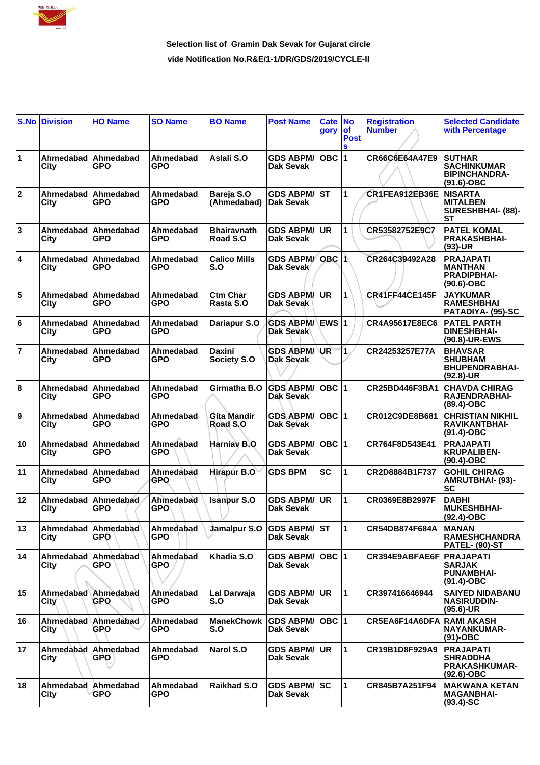

## **Selection list of Gramin Dak Sevak for Gujarat circle vide Notification No.R&E/1-1/DR/GDS/2019/CYCLE-II**

| S.No           | <b>Division</b>          | <b>HO Name</b>                    | <b>SO Name</b>          | <b>BO Name</b>                 | <b>Post Name</b>                        | Cate No<br>gory       | <b>of</b><br><b>Post</b><br>S | <b>Registration</b><br><b>Number</b> | <b>Selected Candidate</b><br>with Percentage                                 |
|----------------|--------------------------|-----------------------------------|-------------------------|--------------------------------|-----------------------------------------|-----------------------|-------------------------------|--------------------------------------|------------------------------------------------------------------------------|
| 1              | Ahmedabad<br>City        | Ahmedabad<br>GPO                  | Ahmedabad<br><b>GPO</b> | Aslali S.O                     | <b>GDS ABPM/</b><br>Dak Sevak           | $OBC$  1              |                               | CR66C6E64A47E9                       | <b>SUTHAR</b><br><b>SACHINKUMAR</b><br><b>BIPINCHANDRA-</b><br>$(91.6)$ -OBC |
| $\mathbf{2}$   | Ahmedabad<br>City        | Ahmedabad<br>GPO                  | Ahmedabad<br>GPO        | Bareja S.O<br>(Ahmedabad)      | <b>GDS ABPM/</b><br>Dak Sevak           | <b>ST</b>             | 1                             | CR1FEA912EB36E                       | <b>NISARTA</b><br><b>MITALBEN</b><br>SURESHBHAI- (88)-<br>SТ                 |
| 3              | Ahmedabad<br>City        | Ahmedabad<br>GPO                  | Ahmedabad<br>GPO        | <b>Bhairavnath</b><br>Road S.O | <b>GDS ABPM/</b><br>Dak Sevak           | <b>UR</b>             | $\mathbf{1}$                  | CR53582752E9C7                       | <b>PATEL KOMAL</b><br><b>PRAKASHBHAI-</b><br>$(93)-UR$                       |
| 4              | Ahmedabad<br>City        | Ahmedabad<br>GPO                  | Ahmedabad<br><b>GPO</b> | <b>Calico Mills</b><br>S.O     | <b>GDS ABPM/</b><br>Dak Sevak           | OBC $ \hat{1}\rangle$ |                               | CR264C39492A28                       | <b>PRAJAPATI</b><br><b>MANTHAN</b><br><b>PRADIPBHAI-</b><br>$(90.6)$ -OBC    |
| 5              | Ahmedabad<br>City        | Ahmedabad<br>GPO                  | Ahmedabad<br>GPO        | <b>Ctm Char</b><br>Rasta S.O   | <b>GDS ABPM/</b><br>Dak Sevak           | <b>UR</b>             | 1                             | <b>CR41FF44CE145F</b>                | <b>JAYKUMAR</b><br><b>RAMESHBHAI</b><br>PATADIYA- (95)-SC                    |
| 6              | Ahmedabad<br>City        | Ahmedabad<br>GPO                  | Ahmedabad<br>GPO        | Dariapur S.O                   | <b>GDS ABPM/</b><br><b>Dak Sevak</b>    | EWS 1                 |                               | CR4A95617E8EC6                       | <b>PATEL PARTH</b><br><b>DINESHBHAI-</b><br>(90.8)-UR-EWS                    |
| $\overline{7}$ | Ahmedabad<br>City        | Ahmedabad<br>GPO                  | Ahmedabad<br>GPO        | <b>Daxini</b><br>Society S.O   | <b>GDS ABPM/</b><br><b>Dak Sevak</b>    | UR                    | $\overline{\mathbf{1}}$       | CR24253257E77A                       | <b>BHAVSAR</b><br><b>SHUBHAM</b><br><b>BHUPENDRABHAI-</b><br>$(92.8)$ -UR    |
| 8              | Ahmedabad<br>City        | Ahmedabad<br><b>GPO</b>           | Ahmedabad<br>GPO        | Girmatha B.O                   | <b>GDS ABPM/</b><br>Dak Sevak           | OBC $ 1$              |                               | CR25BD446F3BA1                       | <b>CHAVDA CHIRAG</b><br>RAJENDRABHAI-<br>$(89.4)$ -OBC                       |
| 9              | Ahmedabad<br>City        | Ahmedabad<br>GPO                  | Ahmedabad<br>GPO        | Gita Mandir<br>Road S.O        | <b>GDS ABPM/</b><br>Dak Sevak           | $OBC$  1              |                               | CR012C9DE8B681                       | <b>CHRISTIAN NIKHIL</b><br>RAVIKANTBHAI-<br>(91.4)-OBC                       |
| 10             | Ahmedabad<br>City        | Ahmedabad<br>GPO                  | Ahmedabad<br>GPO        | Harniav B.O                    | <b>GDS ABPM/</b><br><b>Dak Sevak</b>    | OBC $ 1$              |                               | CR764F8D543E41                       | <b>PRAJAPATI</b><br><b>KRUPALIBEN-</b><br>$(90.4)$ -OBC                      |
| 11             | Ahmedabad<br><b>City</b> | Ahmedabad<br><b>GPO</b>           | Ahmedabad<br>GPO        | <b>Hirapur B.O</b>             | <b>GDS BPM</b>                          | <b>SC</b>             | 1                             | CR2D8884B1F737                       | <b>GOHIL CHIRAG</b><br><b>AMRUTBHAI- (93)-</b><br><b>SC</b>                  |
| 12             | Ahmedabad<br>City        | Ahmedabad<br>GPO                  | Ahmedabad<br><b>GPO</b> | <b>Isanpur S.O</b>             | <b>GDS ABPM/</b><br>Dak Sevak           | <b>UR</b>             | 1                             | CR0369E8B2997F                       | <b>DABHI</b><br><b>MUKESHBHAI-</b><br>$(92.4)$ -OBC                          |
| 13             | City                     | Ahmedabad Ahmedabad<br><b>GPO</b> | Ahmedabad<br><b>GPO</b> | Jamalpur S.O GDS ABPM/ST       | Dak Sevak                               |                       | $\blacktriangleleft$          | CR54DB874F684A                       | <b>MANAN</b><br><b>RAMESHCHANDRA</b><br><b>PATEL- (90)-ST</b>                |
| 14             | Ahmedabad<br>City        | Ahmedabad<br><b>GPO</b>           | Ahmedabad<br><b>GPO</b> | Khadia S.O                     | <b>GDS ABPM/</b><br>Dak Sevak           | OBC  1                |                               | CR394E9ABFAE6F                       | <b>PRAJAPATI</b><br><b>SARJAK</b><br><b>PUNAMBHAI-</b><br>$(91.4)$ -OBC      |
| 15             | <b>City</b>              | Ahmedabad Ahmedabad<br>GPO        | Ahmedabad<br><b>GPO</b> | Lal Darwaja<br>S.O             | <b>GDS ABPM/</b><br><b>Dak Sevak</b>    | UR                    | $\mathbf{1}$                  | CR397416646944                       | <b>SAIYED NIDABANU</b><br><b>NASIRUDDIN-</b><br>$(95.6)$ -UR                 |
| 16             | Ahmedabad<br>City        | Ahmedabad<br><b>GPO</b>           | Ahmedabad<br><b>GPO</b> | <b>ManekChowk</b><br>S.O       | <b>GDS ABPM/</b><br><b>Dak Sevak</b>    | OBC 1                 |                               | CR5EA6F14A6DFA                       | <b>RAMI AKASH</b><br>NAYANKUMAR-<br>$(91)-OBC$                               |
| 17             | Ahmedabad<br>City        | Ahmedabad<br><b>GPO</b>           | Ahmedabad<br>GPO.       | Narol S.O                      | <b>GDS ABPM/</b><br><b>Dak Sevak</b>    | UR.                   | 1                             | CR19B1D8F929A9                       | <b>PRAJAPATI</b><br><b>SHRADDHA</b><br><b>PRAKASHKUMAR-</b><br>$(92.6)$ -OBC |
| 18             | Ahmedabad<br>City        | Ahmedabad<br><b>GPO</b>           | Ahmedabad<br><b>GPO</b> | <b>Raikhad S.O</b>             | <b>GDS ABPM/ SC</b><br><b>Dak Sevak</b> |                       | 1                             | CR845B7A251F94                       | <b>MAKWANA KETAN</b><br><b>MAGANBHAI-</b><br>$(93.4)$ -SC                    |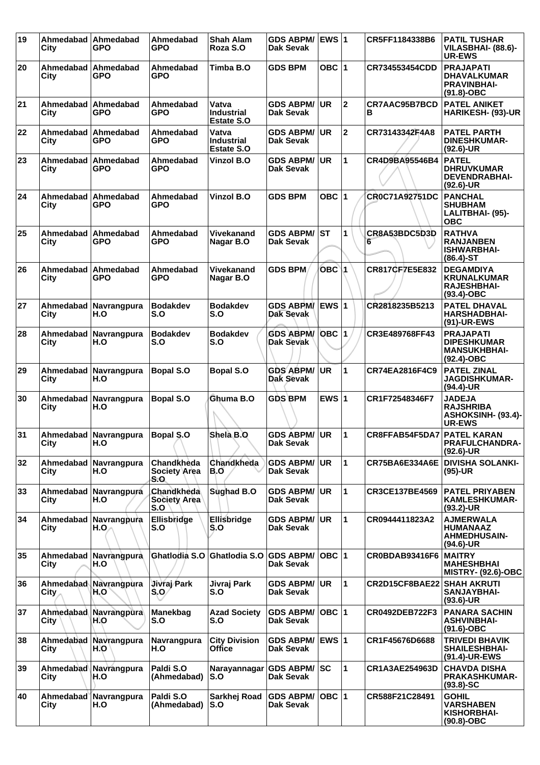| 19 | Ahmedabad<br>City              | Ahmedabad<br><b>GPO</b>      | Ahmedabad<br><b>GPO</b>                  | <b>Shah Alam</b><br>Roza S.O                    | <b>GDS ABPM/</b><br><b>Dak Sevak</b> | EWS $ 1$     |              | CR5FF1184338B6        | <b>PATIL TUSHAR</b><br>VILASBHAI- (88.6)-<br><b>UR-EWS</b>                    |
|----|--------------------------------|------------------------------|------------------------------------------|-------------------------------------------------|--------------------------------------|--------------|--------------|-----------------------|-------------------------------------------------------------------------------|
| 20 | Ahmedabad<br>City              | Ahmedabad<br>GPO             | Ahmedabad<br>GPO                         | Timba B.O                                       | <b>GDS BPM</b>                       | OBC $ 1$     |              | CR734553454CDD        | <b>PRAJAPATI</b><br><b>DHAVALKUMAR</b><br><b>PRAVINBHAI-</b><br>$(91.8)-OBC$  |
| 21 | Ahmedabad<br>City              | Ahmedabad<br><b>GPO</b>      | Ahmedabad<br><b>GPO</b>                  | Vatva<br><b>Industrial</b><br><b>Estate S.O</b> | <b>GDS ABPM/</b><br><b>Dak Sevak</b> | UR.          | $\mathbf 2$  | CR7AAC95B7BCD<br>в    | <b>PATEL ANIKET</b><br><b>HARIKESH- (93)-UR</b>                               |
| 22 | Ahmedabad<br>City              | Ahmedabad<br>GPO             | Ahmedabad<br><b>GPO</b>                  | Vatva<br>Industrial<br><b>Estate S.O</b>        | <b>GDS ABPM/</b><br>Dak Sevak        | <b>UR</b>    | $\mathbf 2$  | CR73143342F4A8        | <b>PATEL PARTH</b><br><b>DINESHKUMAR-</b><br>$(92.6)$ -UR                     |
| 23 | Ahmedabad<br>City              | Ahmedabad<br>GPO             | Ahmedabad<br>GPO                         | Vinzol B.O                                      | <b>GDS ABPM/</b><br>Dak Sevak        | <b>UR</b>    | 1            | CR4D9BA95546B4        | <b>PATEL</b><br><b>DHRUVKUMAR</b><br><b>DEVENDRABHAI-</b><br>$(92.6)$ -UR     |
| 24 | Ahmedabad<br>City              | Ahmedabad<br><b>GPO</b>      | Ahmedabad<br><b>GPO</b>                  | <b>Vinzol B.O</b>                               | <b>GDS BPM</b>                       | OBC $ 1$     |              | <b>CR0C71A92751DC</b> | <b>PANCHAL</b><br><b>SHUBHAM</b><br>LALITBHAI- (95)-<br><b>OBC</b>            |
| 25 | Ahmedabad<br>City              | Ahmedabad<br>GPO             | Ahmedabad<br>GPO                         | <b>Vivekanand</b><br>Nagar B.O                  | <b>GDS ABPM/</b><br>Dak Sevak        | <b>ST</b>    | 1            | CR8A53BDC5D3D<br>6    | <b>RATHVA</b><br><b>RANJANBEN</b><br><b>ISHWARBHAI-</b><br>$(86.4)$ -ST       |
| 26 | Ahmedabad<br>City              | Ahmedabad<br>GPO             | Ahmedabad<br>GPO                         | Vivekanand<br>Nagar B.O                         | <b>GDS BPM</b>                       | OBC 1        |              | CR817CF7E5E832        | <b>DEGAMDIYA</b><br><b>KRUNALKUMAR</b><br><b>RAJESHBHAI-</b><br>$(93.4)$ -OBC |
| 27 | Ahmedabad I<br>City            | Navrangpura<br>H.O           | <b>Bodakdev</b><br>S.O                   | <b>Bodakdev</b><br>S.O                          | <b>GDS ABPM</b><br>Dak Sevak         | <b>EWS 1</b> |              | CR2818235B5213        | <b>PATEL DHAVAL</b><br><b>HARSHADBHAI-</b><br>(91)-UR-EWS                     |
| 28 | Ahmedabad<br>City              | Navrangpura<br>H.O           | <b>Bodakdev</b><br>S.O                   | <b>Bodakdev</b><br>S.O                          | <b>GDS ABPM/</b><br>Dak Sevak        | $OBC$  1     |              | CR3E489768FF43        | <b>PRAJAPATI</b><br><b>DIPESHKUMAR</b><br><b>MANSUKHBHAI-</b><br>$(92.4)-OBC$ |
| 29 | Ahmedabad<br>City              | Navrangpura<br>H.O           | <b>Bopal S.O</b>                         | <b>Bopal S.O</b>                                | <b>GDS ABPM/</b><br>Dak Sevak        | <b>UR</b>    | 1            | CR74EA2816F4C9        | <b>PATEL ZINAL</b><br><b>JAGDISHKUMAR-</b><br>$(94.4)$ -UR                    |
| 30 | Ahmedabad<br>City              | Navrangpura<br>H.O           | <b>Bopal S.O</b>                         | Ghuma B.O                                       | <b>GDS BPM</b>                       | EWS $ 1$     |              | CR1F72548346F7        | <b>JADEJA</b><br><b>RAJSHRIBA</b><br>ASHOKSINH- (93.4)-<br><b>UR-EWS</b>      |
| 31 | City                           | Ahmedabad Navrangpura<br>H.O | <b>Bopal S.O</b>                         | Shela B.O                                       | <b>GDS ABPM/</b><br>Dak Sevak        | <b>UR</b>    | 1            | CR8FFAB54F5DA7        | <b>PATEL KARAN</b><br><b>PRAFULCHANDRA-</b><br>$(92.6)$ -UR                   |
| 32 | City                           | Ahmedabad Navrangpura<br>H.O | Chandkheda<br><b>Society Area</b><br>S.O | Chandkheda<br>B.O                               | <b>GDS ABPM/</b><br>Dak Sevak        | <b>UR</b>    | 1            | CR75BA6E334A6E        | <b>DIVISHA SOLANKI-</b><br>$(95)-UR$                                          |
| 33 | City                           | Ahmedabad Navrangpura<br>H.O | Chandkheda<br><b>Society Area</b><br>S.O | Sughad B.O                                      | <b>GDS ABPM/</b><br>Dak Sevak        | <b>UR</b>    | $\mathbf{1}$ | CR3CE137BE4569        | <b>PATEL PRIYABEN</b><br><b>KAMLESHKUMAR-</b><br>$(93.2)$ -UR                 |
| 34 | Ahmedabad<br>City              | Navrangpura<br>H.O.          | Ellisbridge<br>S.O                       | Ellisbridge<br>S.O                              | <b>GDS ABPM/</b><br><b>Dak Sevak</b> | <b>UR</b>    | 1            | CR0944411823A2        | <b>AJMERWALA</b><br><b>HUMANAAZ</b><br><b>AHMEDHUSAIN-</b><br>$(94.6)$ -UR    |
| 35 | City                           | Ahmedabad Navrangpura<br>H.O | Ghatlodia S.O                            | Ghatlodia S.O                                   | <b>GDS ABPM/</b><br>Dak Sevak        | OBC 1        |              | <b>CR0BDAB93416F6</b> | <b>MAITRY</b><br><b>MAHESHBHAI</b><br><b>MISTRY- (92.6)-OBC</b>               |
| 36 | City                           | Ahmedabad Navrangpura<br>H.O | <b>Jivraj Park</b><br>$S_0$              | Jivraj Park<br>S.O                              | <b>GDS ABPM/</b><br>Dak Sevak        | <b>UR</b>    | $\mathbf{1}$ | CR2D15CF8BAE22        | <b>SHAH AKRUTI</b><br>SANJAYBHAI-<br>$(93.6)$ -UR                             |
| 37 | Ahmedabad<br>City              | Navrangpura<br>H.O           | Manekbag<br>S.O                          | <b>Azad Society</b><br>S.O                      | <b>GDS ABPM/</b><br><b>Dak Sevak</b> | OBC 1        |              | CR0492DEB722F3        | <b>PANARA SACHIN</b><br><b>ASHVINBHAI-</b><br>$(91.6)$ -OBC                   |
| 38 | Ahmedabad<br>City              | Navrangpura<br>H.O           | Navrangpura<br>H.O                       | <b>City Division</b><br><b>Office</b>           | <b>GDS ABPM/</b><br><b>Dak Sevak</b> | <b>EWS 1</b> |              | CR1F45676D6688        | <b>TRIVEDI BHAVIK</b><br><b>SHAILESHBHAI-</b><br>(91.4)-UR-EWS                |
| 39 | Ahmedabad<br>City              | Navrangpura<br>H.O           | Paldi S.O<br>(Ahmedabad)                 | Narayannagar<br>S.O                             | <b>GDS ABPM/ SC</b><br>Dak Sevak     |              | 1            | CR1A3AE254963D        | <b>CHAVDA DISHA</b><br><b>PRAKASHKUMAR-</b><br>$(93.8) - SC$                  |
| 40 | Ahmedabad <sup>®</sup><br>City | Navrangpura<br>H.O           | Paldi S.O<br>(Ahmedabad)                 | Sarkhej Road<br>S.O                             | <b>GDS ABPM/</b><br><b>Dak Sevak</b> | OBC 1        |              | CR588F21C28491        | <b>GOHIL</b><br><b>VARSHABEN</b><br><b>KISHORBHAI-</b><br>$(90.8)-OBC$        |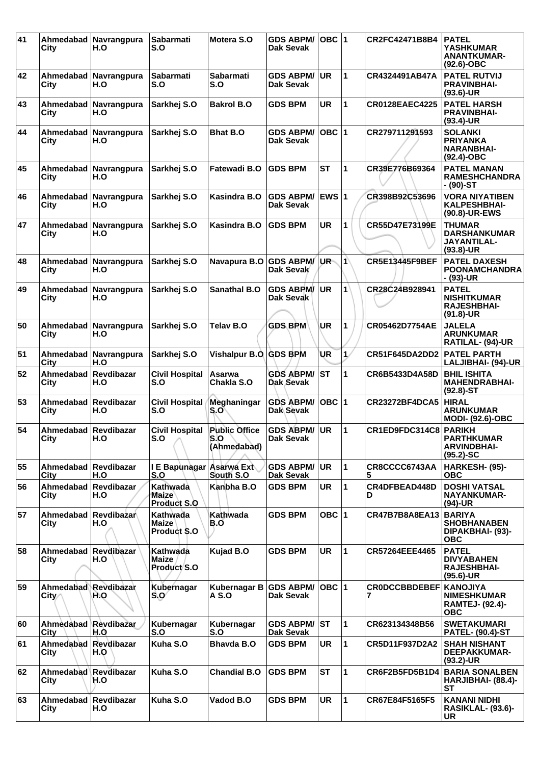| 41 | City                                | Ahmedabad Navrangpura<br>H.O | <b>Sabarmati</b><br>S.O                 | Motera S.O                                 | <b>GDS ABPM/</b><br>Dak Sevak        | OBC $ 1$     |                      | CR2FC42471B8B4             | <b>PATEL</b><br>YASHKUMAR<br><b>ANANTKUMAR-</b><br>$(92.6)$ -OBC              |
|----|-------------------------------------|------------------------------|-----------------------------------------|--------------------------------------------|--------------------------------------|--------------|----------------------|----------------------------|-------------------------------------------------------------------------------|
| 42 | City                                | Ahmedabad Navrangpura<br>H.O | <b>Sabarmati</b><br>S.O                 | <b>Sabarmati</b><br>S.O                    | <b>GDS ABPM/</b><br>Dak Sevak        | <b>UR</b>    | $\blacktriangleleft$ | CR4324491AB47A             | <b>PATEL RUTVIJ</b><br><b>PRAVINBHAI-</b><br>$(93.6)$ -UR                     |
| 43 | City                                | Ahmedabad Navrangpura<br>H.O | Sarkhej S.O                             | <b>Bakrol B.O</b>                          | <b>GDS BPM</b>                       | <b>UR</b>    | $\mathbf{1}$         | <b>CR0128EAEC4225</b>      | <b>PATEL HARSH</b><br><b>PRAVINBHAI-</b><br>$(93.4)$ -UR                      |
| 44 | Ahmedabad<br>City                   | Navrangpura<br>H.O           | Sarkhej S.O                             | <b>Bhat B.O</b>                            | <b>GDS ABPM/</b><br>Dak Sevak        | OBC  1       |                      | CR279711291593             | <b>SOLANKI</b><br><b>PRIYANKA</b><br><b>NARANBHAI-</b><br>$(92.4)$ -OBC       |
| 45 | City                                | Ahmedabad Navrangpura<br>H.O | Sarkhej S.O                             | Fatewadi B.O                               | <b>GDS BPM</b>                       | ST           | $\blacktriangleleft$ | CR39E776B69364             | <b>PATEL MANAN</b><br><b>RAMESHCHANDRA</b><br>- (90)-ST                       |
| 46 | Ahmedabad<br>City                   | Navrangpura<br>H.O           | Sarkhej S.O                             | <b>Kasindra B.O</b>                        | <b>GDS ABPM/</b><br>Dak Sevak        | <b>EWS 1</b> |                      | CR398B92C53696             | <b>VORA NIYATIBEN</b><br><b>KALPESHBHAI-</b><br>(90.8)-UR-EWS                 |
| 47 | Ahmedabad<br>City                   | Navrangpura<br>H.O           | Sarkhej S.O                             | <b>Kasindra B.O</b>                        | <b>GDS BPM</b>                       | <b>UR</b>    | 1                    | CR55D47E73199E             | <b>THUMAR</b><br><b>DARSHANKUMAR</b><br><b>JAYANTILAL-</b><br>$(93.8)$ -UR    |
| 48 | City                                | Ahmedabad Navrangpura<br>H.O | Sarkhej S.O                             | Navapura B.O GDS ABPM                      | Dak Sevak                            | UR-          | Iń                   | <b>CR5E13445F9BEF</b>      | <b>PATEL DAXESH</b><br><b>POONAMCHANDRA</b><br>- (93)-UR                      |
| 49 | Ahmedabad l<br>City                 | Navrangpura<br>H.O           | Sarkhej S.O                             | <b>Sanathal B.O</b>                        | <b>GDS ABPM/</b><br>Dak Sevak        | UR.          | $\mathbf{1}$         | CR28C24B928941             | <b>PATEL</b><br><b>NISHITKUMAR</b><br><b>RAJESHBHAI-</b><br>$(91.8)-UR$       |
| 50 | City                                | Ahmedabad Navrangpura<br>H.O | Sarkhej S.O                             | Telav B.O                                  | <b>GDS BPM</b>                       | <b>UR</b>    | 1                    | CR05462D7754AE             | <b>JALELA</b><br><b>ARUNKUMAR</b><br>RATILAL- (94)-UR                         |
| 51 | City                                | Ahmedabad Navrangpura<br>H.O | Sarkhej S.O                             | Vishalpur B.O. GDS BPM                     |                                      | UR           | $\mathbf{1}$         | CR51F645DA2DD2 PATEL PARTH | LALJIBHAI- (94)-UR                                                            |
| 52 | Ahmedabad<br>City                   | Revdibazar<br>H.O            | <b>Civil Hospital</b><br>S.O            | Asarwa<br>Chakla S.O                       | <b>GDS ABPM/</b><br>Dak Sevak        | <b>ST</b>    | 1                    | CR6B5433D4A58D             | <b>BHIL ISHITA</b><br><b>MAHENDRABHAI-</b><br>$(92.8) - ST$                   |
| 53 | Ahmedabad Revdibazar<br>City        | H.O                          | <b>Civil Hospital</b><br>S.O            | Meghaningar<br>S.O                         | <b>GDS ABPM/</b><br>Dak Sevak        | OBC  1       |                      | <b>CR23272BF4DCA5</b>      | <b>HIRAL</b><br><b>ARUNKUMAR</b><br><b>MODI- (92.6)-OBC</b>                   |
| 54 | Ahmedabad Revdibazar<br><b>City</b> | H.O                          | <b>Civil Hospital</b><br>S.O<br>$\sim$  | <b>Public Office</b><br>S.O<br>(Ahmedabad) | <b>GDS ABPM/</b><br><b>Dak Sevak</b> | <b>UR</b>    | $\blacktriangleleft$ | CR1ED9FDC314C8 PARIKH      | <b>PARTHKUMAR</b><br><b>ARVINDBHAI-</b><br>$(95.2)$ -SC                       |
| 55 | Ahmedabad Revdibazar<br>City        | H.O                          | I E Bapunagar<br>S.O                    | Asarwa Ext<br>South S.O                    | <b>GDS ABPM/</b><br>Dak Sevak        | UR           | $\mathbf 1$          | CR8CCCC6743AA<br>5         | HARKESH- (95)-<br><b>OBC</b>                                                  |
| 56 | Ahmedabad<br>City                   | <b>Revdibazar</b><br>H.O     | Kathwada<br>Maize<br><b>Product S.O</b> | Kanbha B.O                                 | <b>GDS BPM</b>                       | <b>UR</b>    | 1                    | CR4DFBEAD448D<br>D         | <b>DOSHI VATSAL</b><br>NAYANKUMAR-<br>(94)-UR                                 |
| 57 | Ahmedabad<br>City                   | Revdibazar<br>H.O            | Kathwada<br><b>Maize</b><br>Product S.O | Kathwada<br>B.O                            | <b>GDS BPM</b>                       | OBC $ 1$     |                      | CR47B7B8A8EA13             | <b>BARIYA</b><br><b>SHOBHANABEN</b><br>DIPAKBHAI- (93)-<br><b>OBC</b>         |
| 58 | Ahmedabad  <br>City                 | Revdibazar<br>H.O            | Kathwada<br>Maize<br>Product S.O        | Kujad B.O                                  | <b>GDS BPM</b>                       | <b>UR</b>    | $\overline{1}$       | CR57264EEE4465             | <b>PATEL</b><br><b>DIVYABAHEN</b><br><b>RAJESHBHAI-</b><br>$(95.6)$ -UR       |
| 59 | Ahmedabad Revdibazar<br>City∕       | H.O                          | Kubernagar<br>S.O                       | Kubernagar B GDS ABPM/<br>A S.O            | <b>Dak Sevak</b>                     | OBC $ 1 $    |                      | <b>CRODCCBBDEBEF</b><br>7  | <b>KANOJIYA</b><br><b>NIMESHKUMAR</b><br><b>RAMTEJ- (92.4)-</b><br><b>OBC</b> |
| 60 | Ahmedabad Revdibazar<br>City        | H.O                          | Kubernagar<br>S.O                       | Kubernagar<br>S.O                          | <b>GDS ABPM/</b><br>Dak Sevak        | ST           | $\mathbf{1}$         | CR623134348B56             | <b>SWETAKUMARI</b><br><b>PATEL- (90.4)-ST</b>                                 |
| 61 | Ahmedabad Revdibazar<br>City        | H.O                          | Kuha S.O                                | <b>Bhavda B.O</b>                          | <b>GDS BPM</b>                       | <b>UR</b>    | $\mathbf{1}$         | CR5D11F937D2A2             | <b>SHAH NISHANT</b><br><b>DEEPAKKUMAR-</b><br>$(93.2)$ -UR                    |
| 62 | Ahmedabad<br>City                   | Revdibazar<br><b>H.O</b>     | Kuha S.O                                | <b>Chandial B.O</b>                        | <b>GDS BPM</b>                       | <b>ST</b>    | 1                    | CR6F2B5FD5B1D4             | <b>BARIA SONALBEN</b><br>HARJIBHAI- (88.4)-<br>SТ                             |
| 63 | Ahmedabad<br>City                   | Revdibazar<br>H.O            | Kuha S.O                                | Vadod B.O                                  | <b>GDS BPM</b>                       | <b>UR</b>    | $\mathbf{1}$         | CR67E84F5165F5             | <b>KANANI NIDHI</b><br><b>RASIKLAL- (93.6)-</b><br><b>UR</b>                  |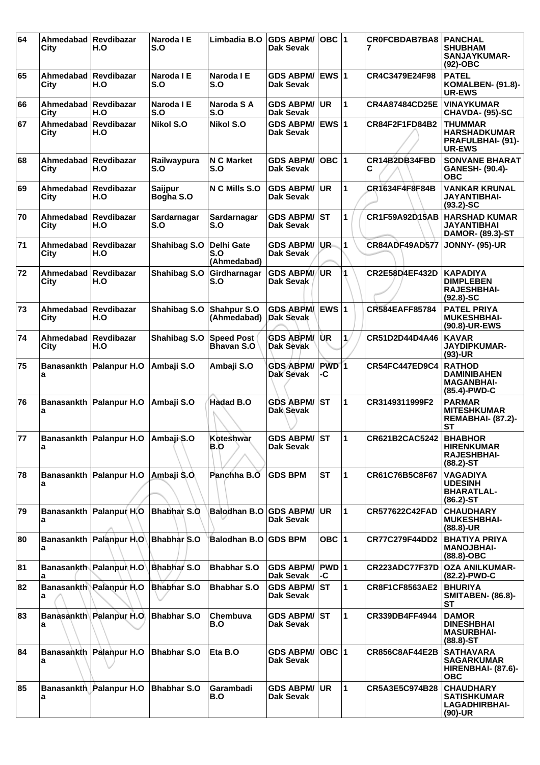| 64 | Ahmedabad<br>City            | Revdibazar<br>H.O                   | Naroda I E<br>S.O    | Limbadia B.O                           | <b>GDS ABPM/</b><br>Dak Sevak          | $OBC$  1               |                      | <b>CROFCBDAB7BA8</b>  | <b>PANCHAL</b><br><b>SHUBHAM</b><br><b>SANJAYKUMAR-</b><br>$(92)$ -OBC       |
|----|------------------------------|-------------------------------------|----------------------|----------------------------------------|----------------------------------------|------------------------|----------------------|-----------------------|------------------------------------------------------------------------------|
| 65 | Ahmedabad Revdibazar<br>City | H.O                                 | Naroda I E<br>S.O    | Naroda I E<br>S.O                      | <b>GDS ABPM/</b><br><b>Dak Sevak</b>   | <b>EWS 1</b>           |                      | CR4C3479E24F98        | <b>PATEL</b><br><b>KOMALBEN- (91.8)-</b><br><b>UR-EWS</b>                    |
| 66 | Ahmedabad<br>City            | <b>Revdibazar</b><br>H.O            | Naroda I E<br>S.O    | Naroda S A<br>S.O                      | <b>GDS ABPM/</b><br><b>Dak Sevak</b>   | UR                     | 1                    | <b>CR4A87484CD25E</b> | <b>VINAYKUMAR</b><br>CHAVDA- (95)-SC                                         |
| 67 | Ahmedabad<br>City            | Revdibazar<br>H.O                   | <b>Nikol S.O</b>     | <b>Nikol S.O</b>                       | <b>GDS ABPM/</b><br><b>Dak Sevak</b>   | EWS $ 1$               |                      | CR84F2F1FD84B2        | <b>THUMMAR</b><br><b>HARSHADKUMAR</b><br>PRAFULBHAI- (91)-<br>UR-EWS         |
| 68 | Ahmedabad<br>City            | <b>Revdibazar</b><br>H.O            | Railwaypura<br>S.O   | <b>N C Market</b><br>S.O               | <b>GDS ABPM/</b><br><b>Dak Sevak</b>   | $OBC$  1               |                      | CR14B2DB34FBD<br>С    | <b>SONVANE BHARAT</b><br><b>GANESH- (90.4)-</b><br><b>OBC</b>                |
| 69 | Ahmedabad<br>City            | <b>Revdibazar</b><br>H.O            | Saijpur<br>Bogha S.O | N C Mills S.O                          | <b>GDS ABPM/</b><br><b>Dak Sevak</b>   | <b>UR</b>              | 1                    | CR1634F4F8F84B        | <b>VANKAR KRUNAL</b><br><b>JAYANTIBHAI-</b><br>$(93.2)$ -SC                  |
| 70 | Ahmedabad Revdibazar<br>City | H.O                                 | Sardarnagar<br>S.O   | Sardarnagar<br>S.O                     | <b>GDS ABPM/ST</b><br>Dak Sevak        |                        | 1                    | CR1F59A92D15AB        | <b>HARSHAD KUMAR</b><br>JAYANTIBHAI<br><b>DAMOR- (89.3)-ST</b>               |
| 71 | Ahmedabad<br>City            | <b>Revdibazar</b><br>H.O            | Shahibag S.O         | Delhi Gate<br>S.O<br>(Ahmedabad)       | <b>GDS ABPM/</b><br><b>Dak Sevak</b>   | UR-                    | 1                    | <b>CR84ADF49AD577</b> | <b>JONNY- (95)-UR</b>                                                        |
| 72 | Ahmedabad<br>City            | Revdibazar<br>H.O                   | Shahibag S.O         | Girdharnagar<br>S.O                    | <b>GDS ABPM/</b><br>Dak Sevak          | ∫UR                    |                      | <b>CR2E58D4EF432D</b> | <b>KAPADIYA</b><br><b>DIMPLEBEN</b><br><b>RAJESHBHAI-</b><br>$(92.8) - SC$   |
| 73 | Ahmedabad<br>City            | Revdibazar<br>H.O                   | Shahibag S.O         | Shahpur S.O<br>(Ahmedabad)             | <b>GDS ABPM</b><br><b>Dak Sevak</b>    | <b>EWS 1</b>           |                      | CR584EAFF85784        | <b>PATEL PRIYA</b><br><b>MUKESHBHAI-</b><br>(90.8)-UR-EWS                    |
| 74 | Ahmedabad<br>City            | <b>Revdibazar</b><br>H.O            | Shahibag S.O         | <b>Speed Post</b><br><b>Bhavan S.O</b> | <b>GDS ABPM/</b><br>Dak Sevak          | UR.                    | 1.                   | CR51D2D44D4A46        | <b>KAVAR</b><br><b>JAYDIPKUMAR-</b><br>$(93)-UR$                             |
| 75 | <b>Banasankth</b><br>a       | Palanpur H.O                        | Ambaji S.O           | Ambaji S.O                             | <b>GDS ABPM/</b><br><b>Dak Sevak</b>   | PWD <sub>1</sub><br>-C |                      | <b>CR54FC447ED9C4</b> | <b>RATHOD</b><br><b>DAMINIBAHEN</b><br><b>MAGANBHAI-</b><br>(85.4)-PWD-C     |
| 76 | a                            | Banasankth Palanpur H.O             | Ambaji S.O           | <b>Hadad B.O</b>                       | <b>GDS ABPM/</b><br>Dak Sevak          | lst                    | 1                    | CR3149311999F2        | <b>PARMAR</b><br><b>MITESHKUMAR</b><br><b>REMABHAI- (87.2)-</b><br><b>ST</b> |
| 77 | a                            | Banasankth Palanpur H.O Ambaii S.O  |                      | Koteshwar<br>B.O                       | <b>GDS ABPM/ST</b><br><b>Dak Sevak</b> |                        | $\overline{1}$       | CR621B2CAC5242        | <b>BHABHOR</b><br><b>HIRENKUMAR</b><br><b>RAJESHBHAI-</b><br>$(88.2)$ -ST    |
| 78 | a                            | Banasankth Palanpur H.O             | Ambaji S.O.          | Panchha B.O                            | <b>GDS BPM</b>                         | <b>ST</b>              | 1                    | CR61C76B5C8F67        | <b>VAGADIYA</b><br><b>UDESINH</b><br><b>BHARATLAL-</b><br>$(86.2)$ -ST       |
| 79 | a                            | Banasankth Palanpur H.O Bhabhar S.O |                      | <b>Balodhan B.O</b>                    | <b>GDS ABPM/</b><br><b>Dak Sevak</b>   | UR.                    | $\blacktriangleleft$ | CR577622C42FAD        | <b>CHAUDHARY</b><br><b>MUKESHBHAI-</b><br>$(88.8) - UR$                      |
| 80 | a                            | Banasankth Palanpur H.O Bhabhar S.O |                      | Balodhan B.O GDS BPM                   |                                        | OBC $ 1$               |                      | <b>CR77C279F44DD2</b> | <b>BHATIYA PRIYA</b><br><b>MANOJBHAI-</b><br>(88.8)-OBC                      |
| 81 | a                            | Banasankth Palanpur H.O             | Bhabhar S.O          | <b>Bhabhar S.O</b>                     | <b>GDS ABPM/</b><br>Dak Sevak          | $PWD$ 1<br>-C          |                      | CR223ADC77F37D        | <b>OZA ANILKUMAR-</b><br>(82.2)-PWD-C                                        |
| 82 | a                            | Banasankth Palanpur H.O             | <b>Bhabhar S.O</b>   | <b>Bhabhar S.O</b>                     | <b>GDS ABPM/</b><br>Dak Sevak          | ST                     | $\blacktriangleleft$ | <b>CR8F1CF8563AE2</b> | <b>BHURIYA</b><br><b>SMITABEN- (86.8)-</b><br>ST                             |
| 83 | a                            | Banasankth Palanpur H.O             | <b>Bhabhar S.O</b>   | Chembuva<br>B.O                        | <b>GDS ABPM/ST</b><br>Dak Sevak        |                        | $\blacktriangleleft$ | CR339DB4FF4944        | <b>DAMOR</b><br><b>DINESHBHAI</b><br><b>MASURBHAI-</b><br>$(88.8) - ST$      |
| 84 | a                            | Banasankth Palanpur H.O             | Bhabhar S.O          | Eta B.O                                | <b>GDS ABPM/</b><br>Dak Sevak          | OBC $ 1$               |                      | <b>CR856C8AF44E2B</b> | <b>SATHAVARA</b><br><b>SAGARKUMAR</b><br>HIRENBHAI- (87.6)-<br><b>OBC</b>    |
| 85 | a                            | Banasankth Palanpur H.O             | Bhabhar S.O          | Garambadi<br>B.O                       | <b>GDS ABPM/</b><br>Dak Sevak          | UR                     | 1                    | CR5A3E5C974B28        | <b>CHAUDHARY</b><br><b>SATISHKUMAR</b><br><b>LAGADHIRBHAI-</b><br>$(90)$ -UR |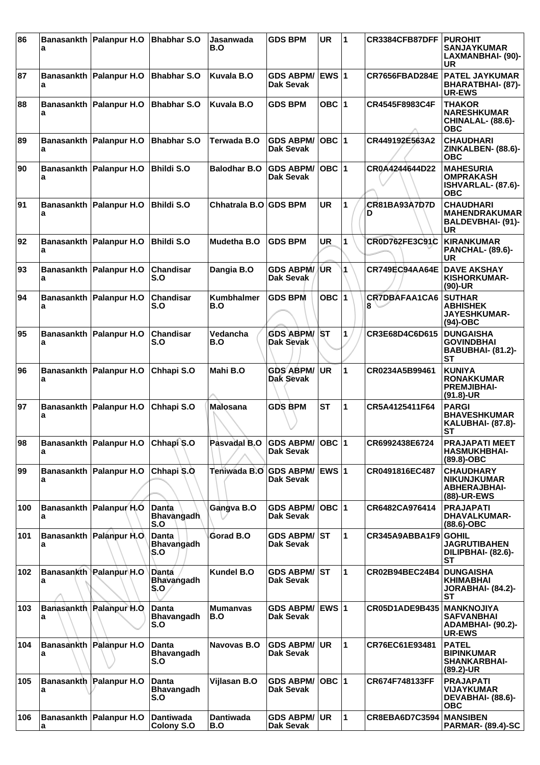| 86  | a                      | Banasankth Palanpur H.O                | <b>Bhabhar S.O</b>                       | Jasanwada<br>B.O         | <b>GDS BPM</b>                       | UR           | 1            | <b>CR3384CFB87DFF</b>     | <b>PUROHIT</b><br><b>SANJAYKUMAR</b><br>LAXMANBHAI- (90)-<br>UR                   |
|-----|------------------------|----------------------------------------|------------------------------------------|--------------------------|--------------------------------------|--------------|--------------|---------------------------|-----------------------------------------------------------------------------------|
| 87  | a                      | Banasankth Palanpur H.O                | <b>Bhabhar S.O</b>                       | <b>Kuvala B.O</b>        | <b>GDS ABPM/</b><br>Dak Sevak        | <b>EWS 1</b> |              | CR7656FBAD284E            | <b>PATEL JAYKUMAR</b><br>BHARATBHAI- (87)-<br><b>UR-EWS</b>                       |
| 88  | a                      | Banasankth Palanpur H.O                | <b>Bhabhar S.O</b>                       | Kuvala B.O               | <b>GDS BPM</b>                       | OBC $ 1$     |              | CR4545F8983C4F            | <b>THAKOR</b><br><b>NARESHKUMAR</b><br>CHINALAL- (88.6)-<br><b>OBC</b>            |
| 89  | a                      | Banasankth Palanpur H.O                | <b>Bhabhar S.O</b>                       | Terwada B.O              | <b>GDS ABPM/</b><br>Dak Sevak        | $OBC$  1     |              | CR449192E563A2            | <b>CHAUDHARI</b><br>ZINKALBEN- (88.6)-<br><b>OBC</b>                              |
| 90  | a                      | Banasankth Palanpur H.O                | <b>Bhildi S.O</b>                        | <b>Balodhar B.O</b>      | <b>GDS ABPM/</b><br>Dak Sevak        | $OBC$  1     |              | CR0A4244644D22            | <b>MAHESURIA</b><br><b>OMPRAKASH</b><br>ISHVARLAL- (87.6)-<br><b>OBC</b>          |
| 91  | а                      | Banasankth Palanpur H.O                | <b>Bhildi S.O</b>                        | Chhatrala B.O GDS BPM    |                                      | <b>UR</b>    | $\mathbf{1}$ | <b>CR81BA93A7D7D</b><br>D | <b>CHAUDHARI</b><br><b>MAHENDRAKUMAR</b><br><b>BALDEVBHAI- (91)-</b><br><b>UR</b> |
| 92  | <b>Banasankth</b><br>a | Palanpur H.O                           | <b>Bhildi S.O</b>                        | <b>Mudetha B.O</b>       | <b>GDS BPM</b>                       | <b>UR</b>    | 1            | CR0D762FE3C91C            | <b>KIRANKUMAR</b><br><b>PANCHAL- (89.6)-</b><br><b>UR</b>                         |
| 93  | a                      | Banasankth Palanpur H.O                | Chandisar<br>S.O                         | Dangia B.O               | <b>GDS ABPM/</b><br>Dak Sevak        | /UR          | 1            | CR749EC94AA64E            | <b>DAVE AKSHAY</b><br>KISHORKUMAR-<br>$(90)-UR$                                   |
| 94  | а                      | Banasankth Palanpur H.O                | <b>Chandisar</b><br>S.O                  | <b>Kumbhalmer</b><br>B.O | <b>GDS BPM</b>                       | OBC  1       |              | CR7DBAFAA1CA6<br>8        | <b>SUTHAR</b><br><b>ABHISHEK</b><br>JAYESHKUMAR-<br>$(94)-OBC$                    |
| 95  | a                      | Banasankth Palanpur H.O                | <b>Chandisar</b><br>S.O                  | Vedancha<br>B.O          | <b>GDS ABPM/</b><br>Dak Sevak        | <b>ST</b>    | 1            | CR3E68D4C6D615            | <b>DUNGAISHA</b><br><b>GOVINDBHAI</b><br><b>BABUBHAI- (81.2)-</b><br><b>ST</b>    |
| 96  | а                      | Banasankth Palanpur H.O                | Chhapi S.O                               | Mahi B.O                 | <b>GDS ABPM/</b><br>Dak Sevak        | <b>UR</b>    | 1            | CR0234A5B99461            | <b>KUNIYA</b><br><b>RONAKKUMAR</b><br><b>PREMJIBHAI-</b><br>$(91.8)$ -UR          |
| 97  | а                      | Banasankth Palanpur H.O                | Chhapi S.O                               | <b>Malosana</b>          | <b>GDS BPM</b>                       | <b>ST</b>    | 1            | CR5A4125411F64            | <b>PARGI</b><br><b>BHAVESHKUMAR</b><br><b>KALUBHAI- (87.8)-</b><br><b>ST</b>      |
| 98  | a                      | Banasankth   Palanpur H.O   Chhapi S.O |                                          | Pasvadal B.O             | GDS ABPM/ OBC 1<br>Dak Sevak         |              |              | CR6992438E6724            | <b>PRAJAPATI MEET</b><br><b>HASMUKHBHAI-</b><br>(89.8)-OBC                        |
| 99  | a                      | Banasankth Palanpur H.O                | Chhapi S.O                               | Teniwada B.O             | <b>GDS ABPM/</b><br>Dak Sevak        | <b>EWS 1</b> |              | CR0491816EC487            | <b>CHAUDHARY</b><br><b>NIKUNJKUMAR</b><br><b>ABHERAJBHAI-</b><br>(88)-UR-EWS      |
| 100 | a                      | Banasankth Palanpur H.O.               | Danta<br><b>Bhavangadh</b><br>S.O        | Gangva B.O               | <b>GDS ABPM/</b><br>Dak Sevak        | $OBC$  1     |              | CR6482CA976414            | <b>PRAJAPATI</b><br><b>DHAVALKUMAR-</b><br>$(88.6)-OBC$                           |
| 101 | а                      | Banasankth Palanpur H.O.               | <b>Danta</b><br><b>Bhavangadh</b><br>S.O | Gorad B.O                | <b>GDS ABPM/</b><br><b>Dak Sevak</b> | <b>ST</b>    | 1            | CR345A9ABBA1F9            | <b>GOHIL</b><br><b>JAGRUTIBAHEN</b><br>DILIPBHAI- (82.6)-<br>SТ                   |
| 102 | а                      | Banasankth Palanpur H.O                | Danta<br>Bhavangadh<br>S.O               | <b>Kundel B.O</b>        | <b>GDS ABPM/</b><br>Dak Sevak        | IST          | 1            | CR02B94BEC24B4            | <b>DUNGAISHA</b><br>KHIMABHAI<br>JORABHAI- (84.2)-<br><b>ST</b>                   |
| 103 | a                      | Banasankth Palanpur H.O                | <b>Danta</b><br><b>Bhavangadh</b><br>S.O | <b>Mumanyas</b><br>B.O   | <b>GDS ABPM/</b><br>Dak Sevak        | EWS $ 1$     |              | CR05D1ADE9B435            | <b>MANKNOJIYA</b><br><b>SAFVANBHAI</b><br>ADAMBHAI- (90.2)-<br><b>UR-EWS</b>      |
| 104 | а                      | Banasankth Palanpur H.O                | <b>Danta</b><br><b>Bhavangadh</b><br>S.O | Navovas B.O              | <b>GDS ABPM/</b><br>Dak Sevak        | <b>UR</b>    | 1            | CR76EC61E93481            | <b>PATEL</b><br><b>BIPINKUMAR</b><br><b>SHANKARBHAI-</b><br>$(89.2)$ -UR          |
| 105 | а                      | Banasankth Palanpur H.O                | <b>Danta</b><br><b>Bhavangadh</b><br>S.O | Vijlasan B.O             | <b>GDS ABPM/</b><br>Dak Sevak        | $OBC$ 1      |              | CR674F748133FF            | <b>PRAJAPATI</b><br><b>VIJAYKUMAR</b><br>DEVABHAI- (88.6)-<br><b>OBC</b>          |
| 106 | а                      | Banasankth Palanpur H.O                | <b>Dantiwada</b><br>Colony S.O           | <b>Dantiwada</b><br>B.O  | <b>GDS ABPM/</b><br>Dak Sevak        | UR.          | 1            | <b>CR8EBA6D7C3594</b>     | <b>MANSIBEN</b><br><b>PARMAR- (89.4)-SC</b>                                       |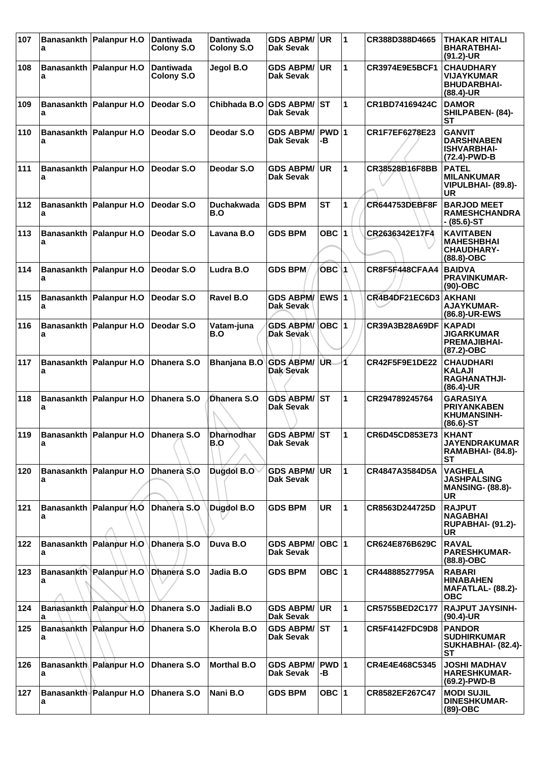| 107 | a | Banasankth Palanpur H.O        | <b>Dantiwada</b><br><b>Colony S.O</b> | <b>Dantiwada</b><br><b>Colony S.O</b> | <b>GDS ABPM/</b><br><b>Dak Sevak</b> | <b>UR</b>   | $\blacktriangleleft$ | CR388D388D4665        | THAKAR HITALI<br><b>BHARATBHAI-</b><br>$(91.2)$ -UR                         |
|-----|---|--------------------------------|---------------------------------------|---------------------------------------|--------------------------------------|-------------|----------------------|-----------------------|-----------------------------------------------------------------------------|
| 108 | a | Banasankth   Palanpur H.O      | <b>Dantiwada</b><br>Colony S.O        | Jegol B.O                             | <b>GDS ABPM/</b><br>Dak Sevak        | <b>UR</b>   | 1                    | CR3974E9E5BCF1        | <b>CHAUDHARY</b><br><b>VIJAYKUMAR</b><br><b>BHUDARBHAI-</b><br>$(88.4)$ -UR |
| 109 | a | Banasankth   Palanpur H.O      | Deodar S.O                            | Chibhada B.O GDS ABPM/                | <b>Dak Sevak</b>                     | lst         | 1                    | CR1BD74169424C        | <b>DAMOR</b><br>SHILPABEN- (84)-<br>SТ                                      |
| 110 | a | Banasankth Palanpur H.O        | Deodar S.O                            | Deodar S.O                            | <b>GDS ABPM/</b><br>Dak Sevak        | PWD 1<br>-В |                      | CR1F7EF6278E23        | <b>GANVIT</b><br><b>DARSHNABEN</b><br><b>ISHVARBHAI-</b><br>(72.4)-PWD-B    |
| 111 | a | Banasankth Palanpur H.O        | Deodar S.O                            | Deodar S.O                            | <b>GDS ABPM/</b><br>Dak Sevak        | <b>UR</b>   | 1                    | CR38528B16F8BB        | <b>PATEL</b><br><b>MILANKUMAR</b><br>VIPULBHAI- (89.8)-<br>UR               |
| 112 | a | Banasankth Palanpur H.O        | Deodar S.O                            | Duchakwada<br>B.O                     | <b>GDS BPM</b>                       | <b>ST</b>   | 1                    | <b>CR644753DEBF8F</b> | <b>BARJOD MEET</b><br><b>RAMESHCHANDRA</b><br>- (85.6)-ST                   |
| 113 | а | Banasankth   Palanpur H.O      | Deodar S.O                            | Lavana B.O                            | <b>GDS BPM</b>                       | OBC $ 1$    |                      | CR2636342E17F4        | <b>KAVITABEN</b><br><b>MAHESHBHAI</b><br><b>CHAUDHARY-</b><br>$(88.8)-OBC$  |
| 114 | a | Banasankth Palanpur H.O        | Deodar S.O                            | Ludra B.O                             | <b>GDS BPM</b>                       | $OBC$ 1     |                      | CR8F5F448CFAA4        | <b>BAIDVA</b><br><b>PRAVINKUMAR-</b><br>$(90)-OBC$                          |
| 115 | a | Banasankth   Palanpur H.O      | Deodar S.O                            | Ravel B.O                             | <b>GDS ABPM/</b><br>Dak Sevak        | $EWS$ 1     |                      | CR4B4DF21EC6D3        | <b>AKHANI</b><br><b>AJAYKUMAR-</b><br>(86.8)-UR-EWS                         |
| 116 | а | Banasankth   Palanpur H.O      | Deodar S.O                            | Vatam-juna<br>B.O                     | <b>GDS ABPM/</b><br>Dak Sevak        |             |                      | CR39A3B28A69DF        | <b>KAPADI</b><br><b>JIGARKUMAR</b><br><b>PREMAJIBHAI-</b><br>(87.2)-OBC     |
| 117 | a | Banasankth   Palanpur H.O      | Dhanera S.O                           | Bhanjana B.O                          | <b>GDS ABPM/</b><br>Dak Sevak        | UR.         | 4                    | CR42F5F9E1DE22        | <b>CHAUDHARI</b><br><b>KALAJI</b><br>RAGHANATHJI-<br>(86.4)-UR              |
| 118 | a | Banasankth   Palanpur H.O      | Dhanera S.O                           | Dhanera S.O                           | GDS ABPM/ ST<br>Dak Sevak            |             | 1                    | CR294789245764        | <b>GARASIYA</b><br><b>PRIYANKABEN</b><br><b>KHUMANSINH-</b><br>$(86.6)$ -ST |
| 119 | а | Banasankth Palanpur H.O        | Dhanera S.O                           | <b>Dharnodhar</b><br>B.O              | <b>GDS ABPM/</b><br>Dak Sevak        | lST.        | 1                    | CR6D45CD853E73        | <b>KHANT</b><br>JAYENDRAKUMAR<br><b>RAMABHAI- (84.8)-</b><br>SТ             |
| 120 | a | Banasankth Palanpur H.O        | Dhanera S.O                           | Dugdol B.O                            | <b>GDS ABPM/</b><br>Dak Sevak        | UR          | 1                    | CR4847A3584D5A        | <b>VAGHELA</b><br><b>JASHPALSING</b><br><b>MANSING- (88.8)-</b><br>UR.      |
| 121 | a | Banasankth Palanpur H.O        | Dhanera S.O                           | Dugdol B.O                            | <b>GDS BPM</b>                       | <b>UR</b>   | 1                    | CR8563D244725D        | <b>RAJPUT</b><br><b>NAGABHAI</b><br><b>RUPABHAI- (91.2)-</b><br><b>UR</b>   |
| 122 | a | Banasankth Palanpur H.O        | Dhanera S.O                           | Duva B.O                              | <b>GDS ABPM/</b><br><b>Dak Sevak</b> | OBC  1      |                      | CR624E876B629C        | <b>RAVAL</b><br><b>PARESHKUMAR-</b><br>$(88.8)-OBC$                         |
| 123 | a | <b>Banasankth Palanpur H.O</b> | Dhanera S.O                           | Jadia B.O                             | <b>GDS BPM</b>                       | OBC $ 1$    |                      | CR44888527795A        | <b>RABARI</b><br><b>HINABAHEN</b><br>MAFATLAL- (88.2)-<br><b>OBC</b>        |
| 124 | a | Banasankth Palanpur H.O        | Dhanera S.O                           | Jadiali B.O                           | <b>GDS ABPM/</b><br>Dak Sevak        | <b>UR</b>   | 1                    | CR5755BED2C177        | <b>RAJPUT JAYSINH-</b><br>$(90.4)$ -UR                                      |
| 125 | а | Banasankth Palanpur H.O        | Dhanera S.O                           | Kherola B.O                           | <b>GDS ABPM/</b><br>Dak Sevak        | IST.        | 1                    | CR5F4142FDC9D8        | <b>PANDOR</b><br><b>SUDHIRKUMAR</b><br>SUKHABHAI- (82.4)-<br><b>ST</b>      |
| 126 | a | <b>Banasankth Palanpur H.O</b> | Dhanera S.O                           | <b>Morthal B.O</b>                    | <b>GDS ABPM/</b><br>Dak Sevak        | PWD 1<br>-В |                      | CR4E4E468C5345        | <b>JOSHI MADHAV</b><br><b>HARESHKUMAR-</b><br>(69.2)-PWD-B                  |
| 127 | a | <b>Banasankth Palanpur H.O</b> | Dhanera S.O                           | Nani B.O                              | <b>GDS BPM</b>                       | OBC $ 1$    |                      | CR8582EF267C47        | <b>MODI SUJIL</b><br><b>DINESHKUMAR-</b><br>$(89)-OBC$                      |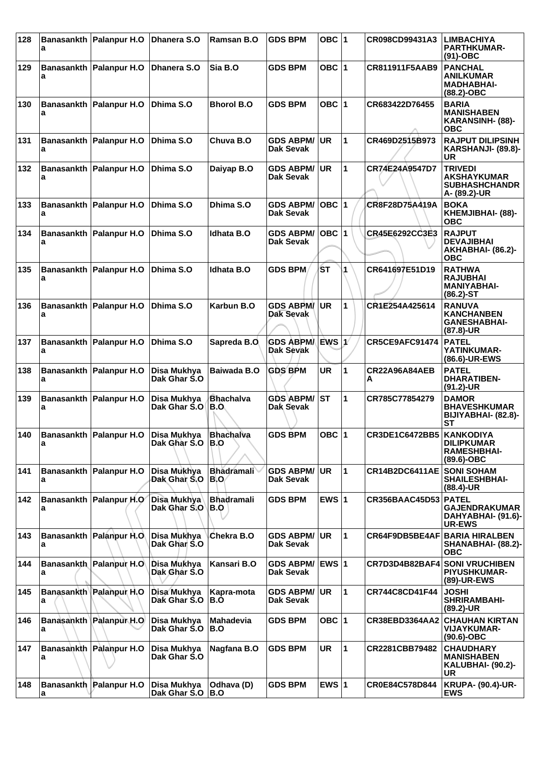| 128 | a | Banasankth   Palanpur H.O   Dhanera S.O |                                   | Ramsan B.O                | <b>GDS BPM</b>                       | OBC $ 1$  |   | CR098CD99431A3                       | <b>LIMBACHIYA</b><br><b>PARTHKUMAR-</b><br>$(91)$ -OBC                         |
|-----|---|-----------------------------------------|-----------------------------------|---------------------------|--------------------------------------|-----------|---|--------------------------------------|--------------------------------------------------------------------------------|
| 129 | а | Banasankth Palanpur H.O                 | Dhanera S.O                       | Sia B.O                   | <b>GDS BPM</b>                       | OBC $ 1$  |   | CR811911F5AAB9                       | <b>PANCHAL</b><br><b>ANILKUMAR</b><br><b>MADHABHAI-</b><br>(88.2)-OBC          |
| 130 | a | Banasankth Palanpur H.O                 | Dhima S.O                         | <b>Bhorol B.O</b>         | <b>GDS BPM</b>                       | OBC 1     |   | CR683422D76455                       | <b>BARIA</b><br><b>MANISHABEN</b><br>KARANSINH- (88)-<br><b>OBC</b>            |
| 131 | a | Banasankth Palanpur H.O                 | Dhima S.O                         | Chuva B.O                 | <b>GDS ABPM/</b><br><b>Dak Sevak</b> | UR        | 1 | CR469D2515B973                       | <b>RAJPUT DILIPSINH</b><br><b>KARSHANJI- (89.8)-</b><br>UR                     |
| 132 | а | Banasankth   Palanpur H.O               | Dhima S.O                         | Daiyap B.O                | <b>GDS ABPM/</b><br><b>Dak Sevak</b> | <b>UR</b> | 1 | CR74E24A9547D7                       | <b>TRIVEDI</b><br><b>AKSHAYKUMAR</b><br><b>SUBHASHCHANDR</b><br>A- (89.2)-UR   |
| 133 | a | Banasankth Palanpur H.O                 | Dhima S.O                         | Dhima S.O                 | <b>GDS ABPM/</b><br>Dak Sevak        | $OBC$  1  |   | CR8F28D75A419A                       | <b>BOKA</b><br>KHEMJIBHAI- (88)-<br><b>OBC</b>                                 |
| 134 | a | Banasankth   Palanpur H.O               | Dhima S.O                         | <b>Idhata B.O</b>         | <b>GDS ABPM/</b><br><b>Dak Sevak</b> | $OBC$  1  |   | CR45E6292CC3E3                       | <b>RAJPUT</b><br><b>DEVAJIBHAI</b><br><b>AKHABHAI- (86.2)-</b><br><b>OBC</b>   |
| 135 | a | Banasankth Palanpur H.O                 | Dhima S.O                         | <b>Idhata B.O</b>         | <b>GDS BPM</b>                       | ŚТ        | 1 | CR641697E51D19                       | <b>RATHWA</b><br><b>RAJUBHAI</b><br><b>MANIYABHAI-</b><br>$(86.2) - ST$        |
| 136 | a | Banasankth Palanpur H.O                 | Dhima S.O                         | Karbun B.O                | <b>GDS ABPM</b><br>Dak Sevak         | UR.       | 1 | CR1E254A425614                       | <b>RANUVA</b><br><b>KANCHANBEN</b><br><b>GANESHABHAI-</b><br>$(87.8)$ -UR      |
| 137 | a | Banasankth   Palanpur H.O               | Dhima S.O                         | Sapreda B.O               | <b>GDS ABPMA</b><br><b>Dak Sevak</b> | EWS 1     |   | CR5CE9AFC91474                       | <b>PATEL</b><br>YATINKUMAR-<br>(86.6)-UR-EWS                                   |
| 138 | a | Banasankth   Palanpur H.O               | Disa Mukhya<br>Dak Ghar S.O       | Baiwada B.O               | <b>GDS BPM</b>                       | <b>UR</b> | 1 | CR22A96A84AEB<br>А                   | <b>PATEL</b><br><b>DHARATIBEN-</b><br>$(91.2)$ -UR                             |
| 139 | a | Banasankth   Palanpur H.O               | Disa Mukhya<br>Dak Ghar S.O       | <b>Bhachalva</b><br>B.O   | <b>GDS ABPM/</b><br>Dak Sevak        | IST       | 1 | CR785C77854279                       | <b>DAMOR</b><br><b>BHAVESHKUMAR</b><br>BIJIYABHAI- (82.8)-<br>SТ               |
| 140 | a | Banasankth Palanpur H.O                 | Disa Mukhya<br>Dak Ghar S.O   B.O | <b>Bhachalva</b>          | <b>GDS BPM</b>                       | OBC ∣1    |   | CR3DE1C6472BB5   KANKODIYA           | <b>DILIPRUMAR</b><br><b>RAMESHBHAI-</b><br>(89.6)-OBC                          |
| 141 | a | Banasankth   Palanpur H.O               | Disa Mukhya<br>Dak Ghar S.O       | <b>Bhadramali</b><br>BIO/ | <b>GDS ABPM/</b><br>Dak Sevak        | UR.       | 1 | <b>CR14B2DC6411AE</b>                | <b>SONI SOHAM</b><br><b>SHAILESHBHAI-</b><br>$(88.4)$ -UR                      |
| 142 | a | Banasankth Palanpur H.O                 | Disa Mukhya<br>Dak Ghar S.O       | <b>Bhadramali</b><br>B.O  | <b>GDS BPM</b>                       | EWS $ 1$  |   | <b>CR356BAAC45D53</b>                | <b>PATEL</b><br><b>GAJENDRAKUMAR</b><br>DAHYABHAI- (91.6)-<br><b>UR-EWS</b>    |
| 143 | a | Banasankth Palanpur H.O.                | Disa Mukhya<br>Dak Ghar S.O       | Chekra B.O                | <b>GDS ABPM/</b><br>Dak Sevak        | UR        | 1 | <b>CR64F9DB5BE4AF BARIA HIRALBEN</b> | <b>SHANABHAI- (88.2)-</b><br><b>OBC</b>                                        |
| 144 | a | Banasankth Palanpur H.O                 | Disa Mukhya<br>Dak Ghar S.O       | Kansari B.O               | <b>GDS ABPM/</b><br>Dak Sevak        | EWS $ 1$  |   |                                      | <b>CR7D3D4B82BAF4 SONI VRUCHIBEN</b><br><b>PIYUSHKUMAR-</b><br>(89)-UR-EWS     |
| 145 | a | Banasankth Palanpur H.O                 | Disa Mukhya<br>Dak Ghar S.O       | Kapra-mota<br>B.O         | <b>GDS ABPM/</b><br>Dak Sevak        | <b>UR</b> | 1 | <b>CR744C8CD41F44</b>                | <b>JOSHI</b><br>SHRIRAMBAHI-<br>(89.2)-UR                                      |
| 146 | a | Banasankth Palanpur H.O                 | Disa Mukhya<br>Dak Ghar S.O       | <b>Mahadevia</b><br>B.O   | <b>GDS BPM</b>                       | OBC ∣1    |   | CR38EBD3364AA2                       | <b>CHAUHAN KIRTAN</b><br><b>VIJAYKUMAR-</b><br>(90.6)-OBC                      |
| 147 | a | Banasankth Palanpur H.O                 | Disa Mukhya<br>Dak Ghar S.O       | Nagfana B.O               | <b>GDS BPM</b>                       | UR        | 1 | CR2281CBB79482                       | <b>CHAUDHARY</b><br><b>MANISHABEN</b><br><b>KALUBHAI- (90.2)-</b><br><b>UR</b> |
| 148 | a | <b>Banasankth Palanpur H.O</b>          | Disa Mukhya<br>Dak Ghar S.O       | Odhava (D)<br>B.O         | <b>GDS BPM</b>                       | EWS $ 1$  |   | CR0E84C578D844                       | <b>KRUPA- (90.4)-UR-</b><br><b>EWS</b>                                         |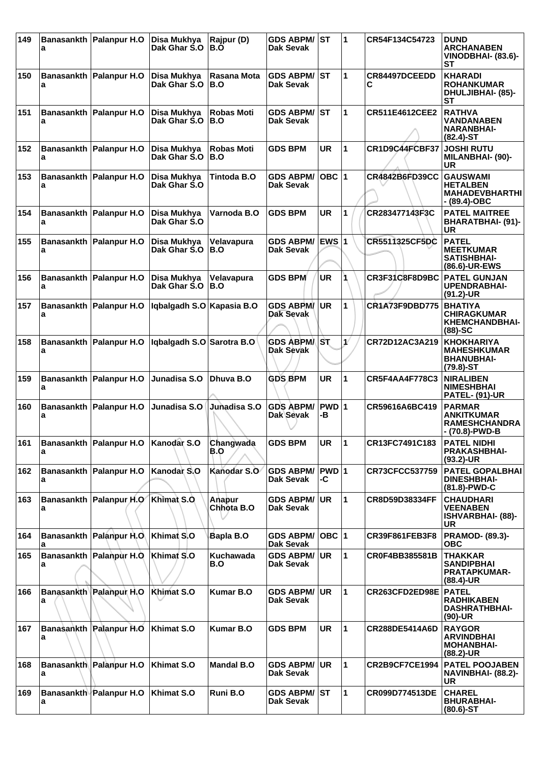| 149 | a | Banasankth   Palanpur H.O             | Disa Mukhva<br>Dak Ghar S.O | Rajpur (D)<br>B.O        | <b>GDS ABPM/</b><br>Dak Sevak           | IST         | 1                     | CR54F134C54723        | <b>DUND</b><br><b>ARCHANABEN</b><br>VINODBHAI- (83.6)-<br>SТ                  |
|-----|---|---------------------------------------|-----------------------------|--------------------------|-----------------------------------------|-------------|-----------------------|-----------------------|-------------------------------------------------------------------------------|
| 150 | a | Banasankth Palanpur H.O               | Disa Mukhya<br>Dak Ghar S.O | Rasana Mota<br>B.O       | <b>GDS ABPM/ ST</b><br><b>Dak Sevak</b> |             | 1                     | CR84497DCEEDD         | <b>KHARADI</b><br><b>ROHANKUMAR</b><br><b>DHULJIBHAI- (85)-</b><br><b>ST</b>  |
| 151 | a | Banasankth   Palanpur H.O             | Disa Mukhya<br>Dak Ghar S.O | <b>Robas Moti</b><br>B.O | <b>GDS ABPM/</b><br><b>Dak Sevak</b>    | <b>ST</b>   | 1                     | CR511E4612CEE2        | <b>RATHVA</b><br><b>VANDANABEN</b><br><b>NARANBHAI-</b><br>$(82.4)$ -ST       |
| 152 | a | Banasankth Palanpur H.O               | Disa Mukhya<br>Dak Ghar S.O | <b>Robas Moti</b><br>B.O | <b>GDS BPM</b>                          | UR          | 1                     | CR1D9C44FCBF37        | <b>JOSHI RUTU</b><br><b>MILANBHAI- (90)-</b><br>UR                            |
| 153 | a | Banasankth   Palanpur H.O             | Disa Mukhya<br>Dak Ghar S.O | Tintoda B.O              | <b>GDS ABPM/</b><br>Dak Sevak           | OBC $ 1$    |                       | <b>CR4842B6FD39CC</b> | <b>GAUSWAMI</b><br><b>HETALBEN</b><br><b>MAHADEVBHARTHI</b><br>- (89.4)-OBC   |
| 154 | a | Banasankth Palanpur H.O               | Disa Mukhya<br>Dak Ghar S.O | Varnoda B.O              | <b>GDS BPM</b>                          | <b>UR</b>   | 1                     | CR283477143F3C        | <b>PATEL MAITREE</b><br>BHARATBHAI- (91)-<br><b>UR</b>                        |
| 155 | a | Banasankth   Palanpur H.O             | Disa Mukhya<br>Dak Ghar S.O | Velavapura<br>B.O        | <b>GDS ABPM/</b><br>Dak Sevak           | EWS $ 1$    |                       | CR5511325CF5DC        | <b>PATEL</b><br><b>MEETKUMAR</b><br>SATISHBHAI-<br>(86.6)-UR-EWS              |
| 156 | a | Banasankth   Palanpur H.O             | Disa Mukhya<br>Dak Ghar S.O | Velavapura<br>B.O        | <b>GDS BPM</b>                          | <b>UR</b>   |                       | CR3F31C8F8D9BC        | <b>PATEL GUNJAN</b><br><b>UPENDRABHAI-</b><br>$(91.2)$ -UR                    |
| 157 | а | Banasankth   Palanpur H.O             | Iqbalgadh S.O Kapasia B.O   |                          | <b>GDS ABPM/</b><br>Dak Sevak           | UR.         | 1                     | <b>CR1A73F9DBD775</b> | <b>BHATIYA</b><br><b>CHIRAGKUMAR</b><br><b>KHEMCHANDBHAI-</b><br>$(88)$ -SC   |
| 158 | a | Banasankth   Palanpur H.O             | Iqbalgadh S.O Sarotra B.O   |                          | <b>GDS ABPMAST</b><br><b>Dak Sevak</b>  |             | $\mathbf{1}^{\prime}$ | CR72D12AC3A219        | <b>KHOKHARIYA</b><br><b>MAHESHKUMAR</b><br><b>BHANUBHAI-</b><br>$(79.8) - ST$ |
| 159 | a | Banasankth Palanpur H.O               | Junadisa S.O                | Dhuya B.O                | <b>GDS BPM</b>                          | <b>UR</b>   | 1                     | <b>CR5F4AA4F778C3</b> | <b>NIRALIBEN</b><br><b>NIMESHBHAI</b><br><b>PATEL- (91)-UR</b>                |
| 160 | a | Banasankth Palanpur H.O               | Junadisa S.O                | Junadisa S.O             | <b>GDS ABPM/</b><br>Dak Sevak           | PWD 1<br>-В |                       | CR59616A6BC419        | <b>PARMAR</b><br><b>ANKITKUMAR</b><br><b>RAMESHCHANDRA</b><br>- (70.8)-PWD-B  |
| 161 | a | Banasankth Palanpur H.O   Kanodar S.O |                             | Changwada<br>B.O         | <b>GDS BPM</b>                          | UR          | 11                    | CR13FC7491C183        | <b>PATEL NIDHI</b><br><b>PRAKASHBHAI-</b><br>$(93.2)$ -UR                     |
| 162 | a | Banasankth   Palanpur H.O             | Kanodar <sub>S.O</sub>      | Kanodar S.O              | <b>GDS ABPM/</b><br>Dak Sevak           | PWD 1<br>-C |                       | CR73CFCC537759        | <b>PATEL GOPALBHAI</b><br><b>DINESHBHAI-</b><br>(81.8)-PWD-C                  |
| 163 | a | Banasankth Palanpur H.O Khimat S.O    |                             | Anapur<br>Chhota B.O     | <b>GDS ABPM/</b><br><b>Dak Sevak</b>    | <b>UR</b>   | $\mathbf{1}$          | CR8D59D38334FF        | <b>CHAUDHARI</b><br><b>VEENABEN</b><br><b>ISHVARBHAI- (88)-</b><br><b>UR</b>  |
| 164 | a | Banasankth Palanpur H.O.              | Khimat S.O                  | Bapla B.O                | <b>GDS ABPM/</b><br>Dak Sevak           | OBC  1      |                       | CR39F861FEB3F8        | <b>PRAMOD- (89.3)-</b><br><b>OBC</b>                                          |
| 165 | a | <b>Banasankth Palanpur H.O.</b>       | Khimat S.O                  | Kuchawada<br>B.O         | <b>GDS ABPM/</b><br>Dak Sevak           | <b>UR</b>   | 1                     | CR0F4BB385581B        | <b>THAKKAR</b><br><b>SANDIPBHAI</b><br><b>PRATAPKUMAR-</b><br>$(88.4)$ -UR    |
| 166 | a | <b>Banasankth Palanpur H.O.</b>       | Khimat S.O                  | <b>Kumar B.O</b>         | <b>GDS ABPM/</b><br>Dak Sevak           | UR          | 1                     | CR263CFD2ED98E        | <b>PATEL</b><br><b>RADHIKABEN</b><br><b>DASHRATHBHAI-</b><br>$(90)-UR$        |
| 167 | а | Banasankth Palanpur H.O               | Khimat S.O                  | <b>Kumar B.O</b>         | <b>GDS BPM</b>                          | <b>UR</b>   | 1                     | CR288DE5414A6D        | <b>RAYGOR</b><br><b>ARVINDBHAI</b><br><b>MOHANBHAI-</b><br>$(88.2)$ -UR       |
| 168 | a | Banasankth Palanpur H.O               | Khimat S.O                  | <b>Mandal B.O</b>        | <b>GDS ABPM/</b><br>Dak Sevak           | <b>UR</b>   | 1                     | CR2B9CF7CE1994        | <b>PATEL POOJABEN</b><br>NAVINBHAI- (88.2)-<br><b>UR</b>                      |
| 169 | a | <b>Banasankth Palanpur H.O</b>        | Khimat S.O                  | Runi B.O                 | <b>GDS ABPM/ ST</b><br>Dak Sevak        |             | $\mathbf{1}$          | CR099D774513DE        | <b>CHAREL</b><br><b>BHURABHAI-</b><br>$(80.6)$ -ST                            |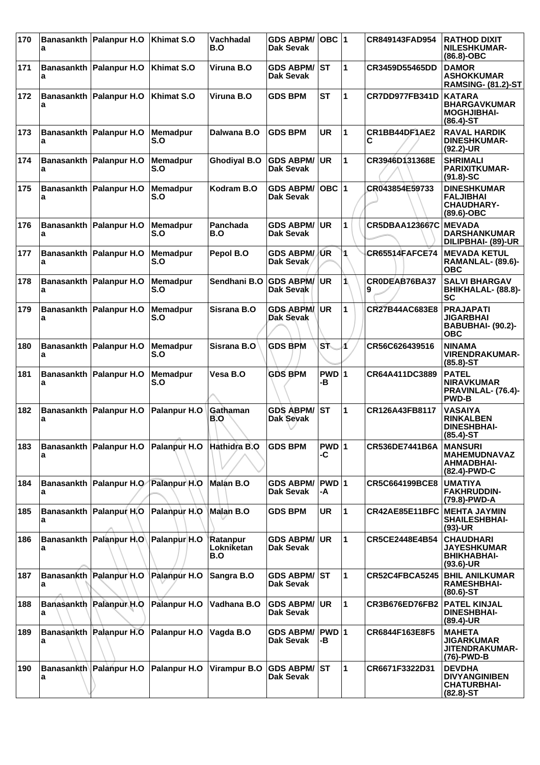| 170 | a | Banasankth Palanpur H.O                                 | Khimat S.O             | <b>Vachhadal</b><br>B.O       | <b>GDS ABPM/</b><br><b>Dak Sevak</b> | $OBC$ 1     |              | CR849143FAD954        | <b>RATHOD DIXIT</b><br><b>NILESHKUMAR-</b><br>$(86.8)-OBC$                   |
|-----|---|---------------------------------------------------------|------------------------|-------------------------------|--------------------------------------|-------------|--------------|-----------------------|------------------------------------------------------------------------------|
| 171 | a | Banasankth   Palanpur H.O                               | Khimat S.O             | Viruna B.O                    | <b>GDS ABPM/</b><br>Dak Sevak        | IST         | 1            | CR3459D55465DD        | <b>DAMOR</b><br><b>ASHOKKUMAR</b><br><b>RAMSING- (81.2)-ST</b>               |
| 172 | a | Banasankth Palanpur H.O                                 | Khimat S.O             | Viruna B.O                    | <b>GDS BPM</b>                       | <b>ST</b>   | 1            | CR7DD977FB341D        | <b>KATARA</b><br><b>BHARGAVKUMAR</b><br><b>MOGHJIBHAI-</b><br>$(86.4)$ -ST   |
| 173 | a | Banasankth Palanpur H.O                                 | <b>Memadpur</b><br>S.O | Dalwana B.O                   | <b>GDS BPM</b>                       | UR          | 1            | CR1BB44DF1AE2<br>С    | <b>RAVAL HARDIK</b><br><b>DINESHKUMAR-</b><br>$(92.2)$ -UR                   |
| 174 | a | Banasankth   Palanpur H.O                               | <b>Memadpur</b><br>S.O | <b>Ghodiyal B.O</b>           | <b>GDS ABPM/</b><br>Dak Sevak        | <b>UR</b>   | 1            | CR3946D131368E        | <b>SHRIMALI</b><br><b>PARIXITKUMAR-</b><br>$(91.8) - SC$                     |
| 175 | a | Banasankth   Palanpur H.O                               | <b>Memadpur</b><br>S.O | Kodram B.O                    | <b>GDS ABPM/</b><br>Dak Sevak        | OBC $ 1$    |              | CR043854E59733        | <b>DINESHKUMAR</b><br><b>FALJIBHAI</b><br><b>CHAUDHARY-</b><br>(89.6)-OBC    |
| 176 | a | Banasankth Palanpur H.O                                 | Memadpur<br>S.O        | Panchada<br>B.O               | <b>GDS ABPM/</b><br><b>Dak Sevak</b> | <b>UR</b>   | 1            | <b>CR5DBAA123667C</b> | <b>MEVADA</b><br><b>DARSHANKUMAR</b><br>DILIPBHAI- (89)-UR                   |
| 177 | a | Banasankth   Palanpur H.O                               | <b>Memadpur</b><br>S.O | Pepol B.O                     | <b>GDS ABPM/JUR</b><br>Dak Sevak     |             | 1            | <b>CR65514FAFCE74</b> | <b>MEVADA KETUL</b><br>RAMANLAL- (89.6)-<br><b>OBC</b>                       |
| 178 | a | Banasankth Palanpur H.O                                 | Memadpur<br>S.O        | Sendhani B.O                  | <b>GDS ABPM/</b><br>Dak Sevak        | <b>UR</b>   | 1            | CR0DEAB76BA37         | <b>SALVI BHARGAV</b><br>BHIKHALAL- (88.8)-<br><b>SC</b>                      |
| 179 | а | Banasankth   Palanpur H.O                               | <b>Memadpur</b><br>S.O | Sisrana B.O                   | <b>GDS ABPM</b><br><b>Dak Sevak</b>  | <b>UR</b>   | 1            | CR27B44AC683E8        | <b>PRAJAPATI</b><br><b>JIGARBHAI</b><br>BABUBHAI- (90.2)-<br><b>OBC</b>      |
| 180 | a | Banasankth   Palanpur H.O                               | Memadpur<br>S.O        | Sisrana B.O                   | <b>GDS BPM</b>                       | SŤ.         | Á            | CR56C626439516        | <b>NINAMA</b><br><b>VIRENDRAKUMAR-</b><br>$(85.8)$ -ST                       |
| 181 | a | Banasankth   Palanpur H.O                               | <b>Memadpur</b><br>S.O | Vesa B.O                      | <b>GDS BPM</b>                       | PWD 1<br>-В |              | CR64A411DC3889        | <b>PATEL</b><br><b>NIRAVKUMAR</b><br>PRAVINLAL- (76.4)-<br><b>PWD-B</b>      |
| 182 | a | Banasankth Palanpur H.O                                 | Palanpur H.O           | Gathaman<br>B.O               | <b>GDS ABPM/</b><br>Dak Sevak        | <b>ST</b>   | 1            | CR126A43FB8117        | <b>VASAIYA</b><br><b>RINKALBEN</b><br><b>DINESHBHAI-</b><br>$(85.4)$ -ST     |
| 183 | a | Banasankth   Palanpur H.O   Palanpur H.O   Hathidra B.O |                        |                               | <b>GDS BPM</b>                       | PWD 1<br>-C |              | CR536DE7441B6A        | <b>MANSURI</b><br><b>MAHEMUDNAVAZ</b><br>AHMADBHAI-<br>(82.4)-PWD-C          |
| 184 | а | Banasankth   Palanpur H.O   Palanpur H.O                |                        | Malán B.O                     | <b>GDS ABPM/</b><br>Dak Sevak        | PWD 1<br>-A |              | CR5C664199BCE8        | <b>UMATIYA</b><br><b>FAKHRUDDIN-</b><br>(79.8)-PWD-A                         |
| 185 | a | Banasankth Palanpur H.O                                 | Palanpur H.O           | Malan B.O                     | <b>GDS BPM</b>                       | <b>UR</b>   | $\mathbf{1}$ | CR42AE85E11BFC        | <b>MEHTA JAYMIN</b><br><b>SHAILESHBHAI-</b><br>$(93)-UR$                     |
| 186 | a | Banasankth Palanpur H.O Palanpur H.O                    |                        | Ratanpur<br>Lokniketan<br>B.O | <b>GDS ABPM/</b><br>Dak Sevak        | <b>UR</b>   | $\mathbf{1}$ | CR5CE2448E4B54        | <b>CHAUDHARI</b><br><b>JAYESHKUMAR</b><br><b>BHIKHABHAI-</b><br>$(93.6)$ -UR |
| 187 | а | Banasankth Palanpur H.O                                 | Palanpur H.O           | Sangra B.O                    | <b>GDS ABPM/ ST</b><br>Dak Sevak     |             | 1            | CR52C4FBCA5245        | <b>BHIL ANILKUMAR</b><br><b>RAMESHBHAI-</b><br>$(80.6)$ -ST                  |
| 188 | a | Banasankth Palanpur H.O                                 | Palanpur H.O           | Vadhana B.O                   | <b>GDS ABPM/</b><br>Dak Sevak        | UR          | 1            | <b>CR3B676ED76FB2</b> | <b>PATEL KINJAL</b><br><b>DINESHBHAI-</b><br>$(89.4)$ -UR                    |
| 189 | a | Banasankth Palanpur H.O                                 | Palanpur H.O           | Vagda B.O                     | <b>GDS ABPM/</b><br>Dak Sevak        | PWD 1<br>-В |              | CR6844F163E8F5        | <b>MAHETA</b><br><b>JIGARKUMAR</b><br>JITENDRAKUMAR-<br>(76)-PWD-B           |
| 190 | а | Banasankth Palanpur H.O                                 | Palanpur H.O           | <b>Virampur B.O</b>           | <b>GDS ABPM/</b><br>Dak Sevak        | lst         | 1            | CR6671F3322D31        | <b>DEVDHA</b><br><b>DIVYANGINIBEN</b><br><b>CHATURBHAI-</b><br>$(82.8)$ -ST  |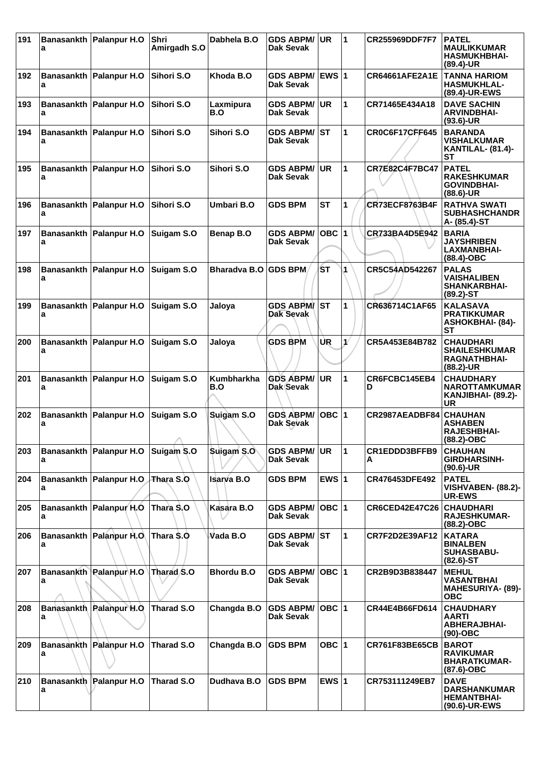| 191 | а | Banasankth   Palanpur H.O          | Shri<br>Amirgadh S.O | Dabhela B.O          | <b>GDS ABPM/</b><br>Dak Sevak | UR.          | 11            | CR255969DDF7F7        | <b>PATEL</b><br><b>MAULIKKUMAR</b><br><b>HASMUKHBHAI-</b><br>$(89.4)$ -UR     |
|-----|---|------------------------------------|----------------------|----------------------|-------------------------------|--------------|---------------|-----------------------|-------------------------------------------------------------------------------|
| 192 | a | Banasankth   Palanpur H.O          | Sihori S.O           | Khoda B.O            | <b>GDS ABPM/</b><br>Dak Sevak | <b>EWS 1</b> |               | <b>CR64661AFE2A1E</b> | <b>TANNA HARIOM</b><br><b>HASMUKHLAL-</b><br>(89.4)-UR-EWS                    |
| 193 | a | Banasankth   Palanpur H.O          | Sihori S.O           | Laxmipura<br>B.O     | <b>GDS ABPM/</b><br>Dak Sevak | <b>UR</b>    | $\mathbf{1}$  | CR71465E434A18        | <b>DAVE SACHIN</b><br><b>ARVINDBHAI-</b><br>$(93.6)$ -UR                      |
| 194 | а | Banasankth Palanpur H.O            | Sihori S.O           | Sihori S.O           | <b>GDS ABPM/</b><br>Dak Sevak | IST          | 1             | CR0C6F17CFF645        | <b>BARANDA</b><br><b>VISHALKUMAR</b><br><b>KANTILAL- (81.4)-</b><br><b>ST</b> |
| 195 | a | Banasankth   Palanpur H.O          | Sihori S.O           | Sihori S.O           | <b>GDS ABPM/</b><br>Dak Sevak | <b>UR</b>    | $\mathbf{1}$  | <b>CR7E82C4F7BC47</b> | <b>PATEL</b><br><b>RAKESHKUMAR</b><br><b>GOVINDBHAI-</b><br>$(88.6)$ -UR      |
| 196 | a | Banasankth   Palanpur H.O          | Sihori S.O           | Umbari B.O           | <b>GDS BPM</b>                | <b>ST</b>    | 1             | <b>CR73ECF8763B4F</b> | <b>RATHVA SWATI</b><br><b>SUBHASHCHANDR</b><br>A- (85.4)-ST                   |
| 197 | а | Banasankth   Palanpur H.O          | Suigam S.O           | Benap B.O            | <b>GDS ABPM/</b><br>Dak Sevak | OBC $ 1$     |               | CR733BA4D5E942        | <b>BARIA</b><br><b>JAYSHRIBEN</b><br>LAXMANBHAI-<br>$(88.4)$ -OBC             |
| 198 | а | Banasankth Palanpur H.O            | Suigam S.O           | Bharadya B.O GDS BPM |                               | ŚТ           | 1             | CR5C54AD542267        | <b>PALAS</b><br><b>VAISHALIBEN</b><br><b>SHANKARBHAI-</b><br>$(89.2)$ -ST     |
| 199 | a | Banasankth Palanpur H.O            | Suigam S.O           | Jaloya               | <b>GDS ABPM</b><br>Dak Sevak  | <b>ST</b>    | 1             | CR636714C1AF65        | <b>KALASAVA</b><br><b>PRATIKKUMAR</b><br><b>ASHOKBHAI- (84)-</b><br><b>ST</b> |
| 200 | a | Banasankth Palanpur H.O            | Suigam S.O           | Jaloya               | <b>GDS BPM</b>                | UR           | $\mathcal{N}$ | CR5A453E84B782        | <b>CHAUDHARI</b><br><b>SHAILESHKUMAR</b><br><b>RAGNATHBHAI-</b><br>(88.2)-UR  |
| 201 | а | Banasankth Palanpur H.O            | Suigam S.O           | <b>Kumbharkha</b>    | <b>GDS ABPM/</b>              | <b>UR</b>    | 1             | CR6FCBC145EB4<br>D    | <b>CHAUDHARY</b>                                                              |
|     |   |                                    |                      | B.O                  | Dak Sevak                     |              |               |                       | <b>NAROTTAMKUMAR</b><br>KANJIBHAI- (89.2)-<br>UR                              |
| 202 | a | Banasankth   Palanpur H.O          | Suigam S.O<br>A      | Suigam S.O           | <b>GDS ABPM/</b><br>Dak Sevak | OBC $ 1$     |               | CR2987AEADBF84        | <b>CHAUHAN</b><br><b>ASHABEN</b><br><b>RAJESHBHAI-</b><br>(88.2)-OBC          |
| 203 | a | Banasankth   Palanpur H.O          | Suigam S.O           | Suigam S.O           | <b>GDS ABPM/</b><br>Dak Sevak | UR.          | 11.           | CR1EDDD3BFFB9<br>A    | <b>CHAUHAN</b><br><b>GIRDHARSINH-</b><br>$(90.6)$ -UR                         |
| 204 | a | Banasankth Palanpur H.O            | Thara S.O            | Isarva B.O           | <b>GDS BPM</b>                | EWS $ 1$     |               | CR476453DFE492        | <b>PATEL</b><br><b>VISHVABEN- (88.2)-</b><br><b>UR-EWS</b>                    |
| 205 | a | Banasankth Palanpur H.O            | Thara S.O            | Kasara B.O           | <b>GDS ABPM/</b><br>Dak Sevak | OBC  1       |               | <b>CR6CED42E47C26</b> | <b>CHAUDHARI</b><br><b>RAJESHKUMAR-</b><br>$(88.2)$ -OBC                      |
| 206 | a | Banasankth Palanpur H.O.           | Thara \$.0           | Vada B.O             | <b>GDS ABPM/</b><br>Dak Sevak | <b>ST</b>    | 1             | CR7F2D2E39AF12        | <b>KATARA</b><br><b>BINALBEN</b><br><b>SUHASBABU-</b><br>$(82.6)$ -ST         |
| 207 | а | Banasankth Palanpur H.O Tharad S.O |                      | <b>Bhordu B.O</b>    | <b>GDS ABPM/</b><br>Dak Sevak | OBC  1       |               | CR2B9D3B838447        | <b>MEHUL</b><br><b>VASANTBHAI</b><br><b>MAHESURIYA- (89)-</b><br><b>OBC</b>   |
| 208 | а | Banasankth Palanpur H.O.           | Tharad S.O           | Changda B.O          | <b>GDS ABPM/</b><br>Dak Sevak | OBC $ 1 $    |               | CR44E4B66FD614        | <b>CHAUDHARY</b><br>AARTI<br><b>ABHERAJBHAI-</b><br>$(90)-OBC$                |
| 209 | а | Banasankth Palanpur H.O            | Tharad S.O           | Changda B.O          | <b>GDS BPM</b>                | OBC $ 1$     |               | <b>CR761F83BE65CB</b> | <b>BAROT</b><br><b>RAVIKUMAR</b><br><b>BHARATKUMAR-</b><br>$(87.6)$ -OBC      |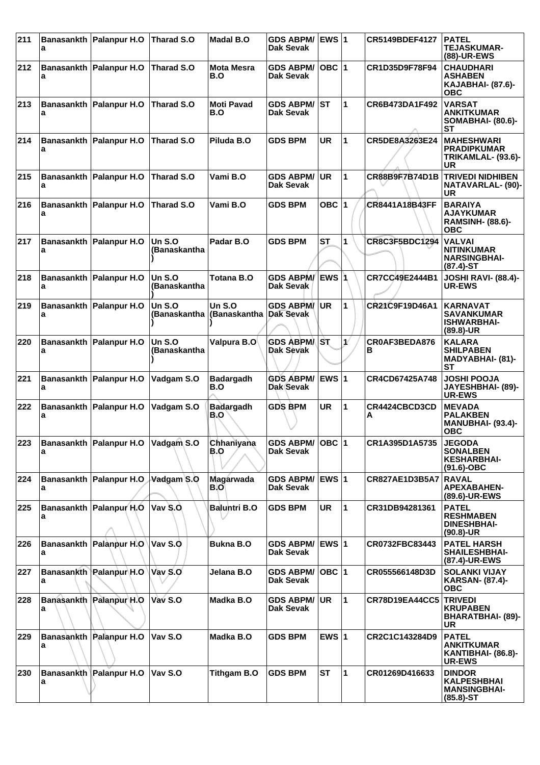| 211 | a | <b>Banasankth Palanpur H.O</b>         | Tharad S.O                    | <b>Madal B.O</b>                   | <b>GDS ABPM/</b><br>Dak Sevak        | $EWS$ 1      |                      | CR5149BDEF4127        | <b>PATEL</b><br><b>TEJASKUMAR-</b><br>(88)-UR-EWS                            |
|-----|---|----------------------------------------|-------------------------------|------------------------------------|--------------------------------------|--------------|----------------------|-----------------------|------------------------------------------------------------------------------|
| 212 | a | Banasankth Palanpur H.O                | <b>Tharad S.O</b>             | <b>Mota Mesra</b><br>B.O           | <b>GDS ABPM/</b><br>Dak Sevak        | $OBC$  1     |                      | CR1D35D9F78F94        | <b>CHAUDHARI</b><br><b>ASHABEN</b><br><b>KAJABHAI- (87.6)-</b><br><b>OBC</b> |
| 213 | a | Banasankth Palanpur H.O                | Tharad S.O                    | <b>Moti Pavad</b><br>B.O           | <b>GDS ABPM/</b><br><b>Dak Sevak</b> | IST          | 1                    | CR6B473DA1F492        | <b>VARSAT</b><br><b>ANKITKUMAR</b><br><b>SOMABHAI- (80.6)-</b><br>SТ         |
| 214 | a | Banasankth Palanpur H.O                | <b>Tharad S.O</b>             | Piluda B.O                         | <b>GDS BPM</b>                       | <b>UR</b>    | 1                    | CR5DE8A3263E24        | <b>MAHESHWARI</b><br><b>PRADIPKUMAR</b><br>TRIKAMLAL- (93.6)-<br>UR          |
| 215 | a | Banasankth Palanpur H.O                | <b>Tharad S.O</b>             | Vami B.O                           | <b>GDS ABPM/</b><br>Dak Sevak        | <b>UR</b>    | 1                    | <b>CR88B9F7B74D1B</b> | <b>TRIVEDI NIDHIBEN</b><br><b>NATAVARLAL- (90)-</b><br>UR                    |
| 216 | a | Banasankth Palanpur H.O                | Tharad S.O                    | Vami B.O                           | <b>GDS BPM</b>                       | OBC $ 1$     |                      | <b>CR8441A18B43FF</b> | <b>BARAIYA</b><br><b>AJAYKUMAR</b><br><b>RAMSINH- (88.6)-</b><br><b>OBC</b>  |
| 217 | a | Banasankth   Palanpur H.O              | Un $S.O$<br>(Banaskantha      | Padar B.O                          | <b>GDS BPM</b>                       | <b>ST</b>    | 1                    | CR8C3F5BDC1294        | <b>VALVAI</b><br><b>NITINKUMAR</b><br><b>NARSINGBHAI-</b><br>$(87.4) - ST$   |
| 218 | a | Banasankth   Palanpur H.O              | <b>Un S.O</b><br>(Banaskantha | <b>Totana B.O</b>                  | <b>GDS ABPM/</b><br>Dak Sevak        | <b>EWS</b> 1 |                      | CR7CC49E2444B1        | <b>JOSHI RAVI- (88.4)-</b><br><b>UR-EWS</b>                                  |
| 219 | a | Banasankth   Palanpur H.O              | Un $S.O$<br>(Banaskantha      | Un $S.O$<br>(Banaskantha Dak Sevak | <b>GDS ABPM</b>                      | UR           | 1                    | CR21C9F19D46A1        | <b>KARNAVAT</b><br><b>SAVANKUMAR</b><br><b>ISHWARBHAI-</b><br>$(89.8)$ -UR   |
| 220 | a | Banasankth   Palanpur H.O              | Un $S.O$<br>(Banaskantha      | Valpura B.O <sup>∖</sup>           | <b>GDS ABPMA</b><br><b>Dak Sevak</b> | ∣sτ          | $\mathbf{v}$         | CR0AF3BEDA876<br>в    | <b>KALARA</b><br><b>SHILPABEN</b><br><b>MADYABHAI- (81)-</b><br>SТ           |
| 221 | a | Banasankth Palanpur H.O                | Vadgam S.O                    | <b>Badargadh</b><br>B.O            | <b>GDS ABPM/</b><br>Dak Sevak        | <b>EWS 1</b> |                      | CR4CD67425A748        | <b>JOSHI POOJA</b><br>JAYESHBHAI- (89)-<br><b>UR-EWS</b>                     |
| 222 | a | Banasankth Palanpur H.O                | Vadgam S.O                    | <b>Badargadh</b><br>B.O            | <b>GDS BPM</b>                       | <b>UR</b>    | 1                    | CR4424CBCD3CD<br>A    | <b>MEVADA</b><br><b>PALAKBEN</b><br><b>MANUBHAI- (93.4)-</b><br><b>OBC</b>   |
|     | a | 223 Banasankth Palanpur H.O Vadgam S.O |                               | Chhaniyana<br>B.O                  | GDS ABPM/ OBC 1<br>Dak Sevak         |              |                      | CR1A395D1A5735        | <b>JEGODA</b><br><b>SONALBEN</b><br><b>KESHARBHAI-</b><br>$(91.6)$ -OBC      |
| 224 | a | Banasankth Palanpur H.O Vadgam S.O     |                               | Magarwada<br>B.O                   | <b>GDS ABPM/</b><br>Dak Sevak        | <b>EWS 1</b> |                      | CR827AE1D3B5A7        | <b>RAVAL</b><br><b>APEXABAHEN-</b><br>(89.6)-UR-EWS                          |
| 225 | a | Banasankth Palanpur H.O                | Vav S.O                       | <b>Baluntri B.O</b>                | <b>GDS BPM</b>                       | <b>UR</b>    | $\blacktriangleleft$ | CR31DB94281361        | <b>PATEL</b><br><b>RESHMABEN</b><br><b>DINESHBHAI-</b><br>$(90.8)$ -UR       |
| 226 | а | Banasankth Palanpur H.O                | Vav S.O                       | <b>Bukna B.O</b>                   | <b>GDS ABPM/</b><br>Dak Sevak        | <b>EWS 1</b> |                      | CR0732FBC83443        | <b>PATEL HARSH</b><br><b>SHAILESHBHAI-</b><br>(87.4)-UR-EWS                  |
| 227 | a | Banasankth Palanpur H.O                | Vav S.O                       | Jelana B.O                         | <b>GDS ABPM/</b><br>Dak Sevak        | OBC  1       |                      | CR055566148D3D        | <b>SOLANKI VIJAY</b><br><b>KARSAN- (87.4)-</b><br><b>OBC</b>                 |
| 228 | a | <b>Banasankth Palanpur H.O</b>         | Vav S.O                       | Madka B.O                          | <b>GDS ABPM/</b><br>Dak Sevak        | UR.          | $\mathbf{1}$         | <b>CR78D19EA44CC5</b> | <b>TRIVEDI</b><br><b>KRUPABEN</b><br><b>BHARATBHAI- (89)-</b><br><b>UR</b>   |
| 229 | a | Banasankth Palanpur H.O                | Vav S.O                       | Madka B.O                          | <b>GDS BPM</b>                       | EWS $ 1$     |                      | CR2C1C143284D9        | <b>PATEL</b><br><b>ANKITKUMAR</b><br>KANTIBHAI- (86.8)-<br><b>UR-EWS</b>     |
| 230 | a | Banasankth Palanpur H.O                | Vav S.O                       | <b>Tithgam B.O</b>                 | <b>GDS BPM</b>                       | <b>ST</b>    | 1                    | CR01269D416633        | <b>DINDOR</b><br><b>KALPESHBHAI</b><br><b>MANSINGBHAI-</b><br>$(85.8) - ST$  |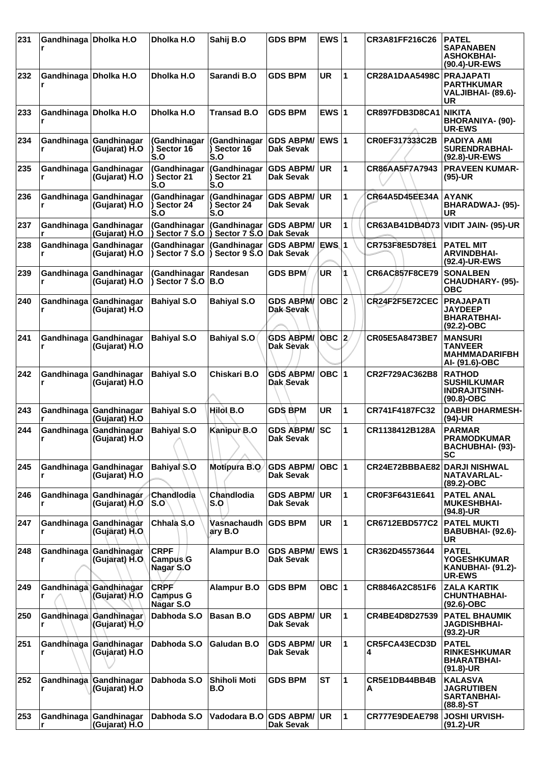| 231 | Gandhinaga Dholka H.O      |                                           | Dholka H.O                                                | Sahij B.O                                      | <b>GDS BPM</b>                       | EWS $ 1$   |   | CR3A81FF216C26        | <b>PATEL</b><br><b>SAPANABEN</b><br><b>ASHOKBHAI-</b><br>(90.4)-UR-EWS      |
|-----|----------------------------|-------------------------------------------|-----------------------------------------------------------|------------------------------------------------|--------------------------------------|------------|---|-----------------------|-----------------------------------------------------------------------------|
| 232 | Gandhinaga Dholka H.O      |                                           | Dholka H.O                                                | Sarandi B.O                                    | <b>GDS BPM</b>                       | <b>UR</b>  | 1 | <b>CR28A1DAA5498C</b> | <b>PRAJAPATI</b><br><b>PARTHKUMAR</b><br>VALJIBHAI- (89.6)-<br>UR           |
| 233 | Gandhinaga Dholka H.O<br>r |                                           | Dholka H.O                                                | <b>Transad B.O</b>                             | <b>GDS BPM</b>                       | EWS $ 1$   |   | CR897FDB3D8CA1        | <b>NIKITA</b><br>BHORANIYA- (90)-<br><b>UR-EWS</b>                          |
| 234 |                            | Gandhinaga Gandhinagar<br>(Gujarat) H.O   | (Gandhinagar<br>Sector 16<br>S.O                          | (Gandhinagar<br>Sector 16<br>S.O               | <b>GDS ABPM/</b><br>Dak Sevak        | $EWS$ 1    |   | CR0EF317333C2B        | <b>PADIYA AMI</b><br><b>SURENDRABHAI-</b><br>(92.8)-UR-EWS                  |
| 235 | r                          | Gandhinaga Gandhinagar<br>(Gujarat) H.O   | (Gandhinagar<br>Sector 21<br>S.O                          | (Gandhinagar<br>Sector 21<br>S.O               | <b>GDS ABPM/</b><br><b>Dak Sevak</b> | <b>UR</b>  | 1 | CR86AA5F7A7943        | <b>PRAVEEN KUMAR-</b><br>$(95)-UR$                                          |
| 236 | Gandhinaga<br>r            | Gandhinagar<br>(Gujarat) H.O              | (Gandhinagar<br>Sector 24<br>S.O                          | (Gandhinagar<br>Sector 24<br>S.O               | <b>GDS ABPM/</b><br>Dak Sevak        | <b>UR</b>  | 1 | <b>CR64A5D45EE34A</b> | <b>AYANK</b><br>BHARADWAJ- (95)-<br>UR                                      |
| 237 |                            | Gandhinaga Gandhinagar<br>(Gujarat) H.O   | (Gandhinagar<br>Sector 7 S.O                              | (Gandhinagar<br>Sector 7 S.O                   | <b>GDS ABPM/</b><br>∣Dak Sevak       | <b>UR</b>  | 1 | CR63AB41DB4D73        | VIDIT JAIN- (95)-UR                                                         |
| 238 | r                          | Gandhinaga Gandhinagar<br>(Gujarat) H.O   | (Gandhinagar<br>$\overline{)}$ Sector 7 S.O               | (Gandhinagar<br>$\delta$ Sector 9 $\bar{S}$ .O | <b>GDS ABPM/</b><br><b>Dak Sevak</b> | EWS 1      |   | CR753F8E5D78E1        | <b>PATEL MIT</b><br><b>ARVINDBHAI-</b><br>(92.4)-UR-EWS                     |
| 239 | Gandhinaga<br>r            | Gandhinagar<br>(Gujarat) H.O              | (Gandhinagar<br>$\overline{)}$ Sector 7 $\overline{S}$ .O | Randesan<br>B.O                                | <b>GDS BPM</b>                       | UR         |   | <b>CR6AC857F8CE79</b> | <b>SONALBEN</b><br>CHAUDHARY- (95)-<br><b>OBC</b>                           |
| 240 |                            | Gandhinaga   Gandhinagar<br>(Gujarat) H.O | <b>Bahiyal S.O</b>                                        | <b>Bahiyal S.O</b>                             | <b>GDS ABPM/</b><br>Dak-Sevak        | $OBC$ 2    |   | CR24F2F5E72CEC        | <b>PRAJAPATI</b><br><b>JAYDEEP</b><br><b>BHARATBHAI-</b><br>$(92.2)$ -OBC   |
| 241 |                            | Gandhinaga Gandhinagar<br>(Gujarat) H.O   | <b>Bahiyal S.O</b>                                        | <b>Bahiyal S.O</b>                             | <b>GDS ABPM/</b><br>Dak Sevak        | $OBC$ 2    |   | CR05E5A8473BE7        | <b>MANSURI</b><br><b>TANVEER</b><br><b>MAHMMADARIFBH</b><br>AI- (91.6)-OBC  |
| 242 | Gandhinaga<br>r            | Gandhinagar<br>(Gujarat) H.O              | <b>Bahiyal S.O</b>                                        | Chiskari B.O                                   | <b>GDS ABPM/</b><br>Dak Sevak        | OBC $ 1$   |   | CR2F729AC362B8        | <b>RATHOD</b><br><b>SUSHILKUMAR</b><br><b>INDRAJITSINH-</b><br>$(90.8)-OBC$ |
| 243 |                            | Gandhinaga Gandhinagar<br>(Guiarat) H.O   | <b>Bahiyal S.O</b>                                        | Hilol B.O                                      | <b>GDS BPM</b>                       | UR         | 1 | CR741F4187FC32        | <b>DABHI DHARMESH-</b><br>$(94)-UR$                                         |
| 244 | r.                         | Gandhinaga Gandhinagar<br>(Gujarat) H.O   | <b>Bahiyal S.O</b>                                        | Kanipur B.O                                    | <b>GDS ABPM/</b><br><b>Dak Sevak</b> | <b>ISC</b> | 1 | CR1138412B128A        | <b>PARMAR</b><br><b>PRAMODKUMAR</b><br><b>BACHUBHAI- (93)-</b><br><b>SC</b> |
| 245 | Gandhinaga<br>r            | Gandhinagar<br>(Gujarat) H.O              | Bahiyal S.O                                               | <b>Motipura B.O</b>                            | <b>GDS ABPM/</b><br><b>Dak Sevak</b> | OBC $ 1$   |   | CR24E72BBBAE82        | <b>DARJI NISHWAL</b><br><b>NATAVARLAL-</b><br>(89.2)-OBC                    |
| 246 |                            | Gandhinaga Gandhinagar<br>(Gujarat) H.O   | Chandlodia<br>S.O                                         | Chandlodia<br>S.O                              | <b>GDS ABPM/</b><br>Dak Sevak        | UR.        | 1 | CR0F3F6431E641        | <b>PATEL ANAL</b><br><b>MUKESHBHAI-</b><br>(94.8)-UR                        |
| 247 | r                          | Gandhinaga Gandhinagar<br>(Gujarat) H.O.  | Chhala S.O                                                | Vasnachaudh<br>ary B.O                         | <b>GDS BPM</b>                       | <b>UR</b>  | 1 | CR6712EBD577C2        | <b>PATEL MUKTI</b><br>BABUBHAI- (92.6)-<br><b>UR</b>                        |
| 248 | r                          | Gandhinaga Gandhinagar<br>(Gujarat) H.O   | <b>CRPF</b><br>Campus G<br>Nagar S.O                      | Alampur B.O                                    | <b>GDS ABPM/</b><br>Dak Sevak        | EWS $ 1$   |   | CR362D45573644        | <b>PATEL</b><br><b>YOGESHKUMAR</b><br>KANUBHAI- (91.2)-<br><b>UR-EWS</b>    |
| 249 | r                          | Gandhinaga Gandhinagar<br>(Gujarat) H.O   | <b>CRPF</b><br><b>Campus G</b><br>Nagar S.O               | <b>Alampur B.O</b>                             | <b>GDS BPM</b>                       | OBC $ 1$   |   | CR8846A2C851F6        | <b>ZALA KARTIK</b><br><b>CHUNTHABHAI-</b><br>$(92.6)$ -OBC                  |
| 250 | r                          | Gandhinaga Gandhinagar<br>(Gujarat) H.O   | Dabhoda S.O                                               | Basan B.O                                      | <b>GDS ABPM/</b><br>Dak Sevak        | <b>UR</b>  | 1 | CR4BE4D8D27539        | <b>PATEL BHAUMIK</b><br><b>JAGDISHBHAI-</b><br>$(93.2)$ -UR                 |
| 251 | r                          | Gandhinaga Gandhinagar<br>(Gujarat) H.O   | Dabhoda S.O                                               | Galudan B.O                                    | <b>GDS ABPM/</b><br>Dak Sevak        | <b>UR</b>  | 1 | CR5FCA43ECD3D<br>4    | <b>PATEL</b><br><b>RINKESHKUMAR</b><br><b>BHARATBHAI-</b><br>$(91.8)-UR$    |
| 252 | r                          | Gandhinaga Gandhinagar<br>(Gujarat) H.O   | Dabhoda S.O                                               | <b>Shiholi Moti</b><br>B.O                     | <b>GDS BPM</b>                       | ST         | 1 | CR5E1DB44BB4B<br>A    | <b>KALASVA</b><br><b>JAGRUTIBEN</b><br><b>SARTANBHAI-</b><br>$(88.8) - ST$  |
| 253 | r                          | Gandhinaga Gandhinagar<br>(Gujarat) H.O   | Dabhoda S.O                                               | Vadodara B.O                                   | <b>IGDS ABPM/ ∣UR</b><br>Dak Sevak   |            | 1 | CR777E9DEAE798        | <b>JOSHI URVISH-</b><br>$(91.2)$ -UR                                        |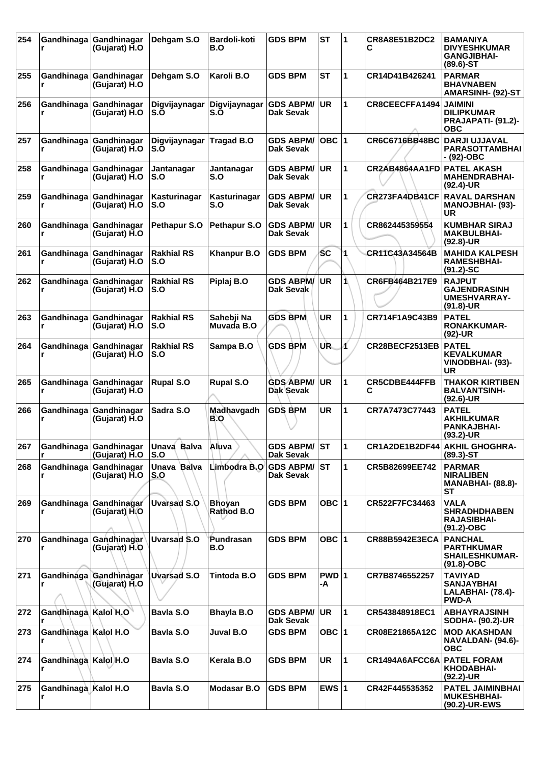| 254 |                             | Gandhinaga Gandhinagar<br>(Gujarat) H.O | Dehgam S.O               | <b>Bardoli-koti</b><br>B.O  | <b>GDS BPM</b>                       | <b>ST</b>     | 1              | <b>CR8A8E51B2DC2</b><br>С     | <b>BAMANIYA</b><br><b>DIVYESHKUMAR</b><br><b>GANGJIBHAI-</b><br>$(89.6)$ -ST |
|-----|-----------------------------|-----------------------------------------|--------------------------|-----------------------------|--------------------------------------|---------------|----------------|-------------------------------|------------------------------------------------------------------------------|
| 255 | r                           | Gandhinaga Gandhinagar<br>(Gujarat) H.O | Dehgam S.O               | Karoli B.O                  | <b>GDS BPM</b>                       | SТ            | 1              | CR14D41B426241                | <b>PARMAR</b><br><b>BHAVNABEN</b><br>AMARSINH- (92)-ST                       |
| 256 | r                           | Gandhinaga Gandhinagar<br>(Gujarat) H.O | Digvijaynagar<br>S.O     | Digvijaynagar<br>S.Ŏ        | <b>GDS ABPM/</b><br><b>Dak Sevak</b> | <b>UR</b>     | 1              | CR8CEECFFA1494                | <b>JAIMINI</b><br><b>DILIPKUMAR</b><br>PRAJAPATI- (91.2)-<br><b>OBC</b>      |
| 257 | Gandhinaga<br>r             | Gandhinagar<br>(Gujarat) H.O            | Digvijaynagar<br>S.O     | <b>Tragad B.O</b>           | <b>GDS ABPM/</b><br><b>Dak Sevak</b> | $OBC$  1      |                | <b>CR6C6716BB48BC</b>         | <b>DARJI UJJAVAL</b><br><b>PARASOTTAMBHAI</b><br>- (92)-OBC                  |
| 258 | r                           | Gandhinaga Gandhinagar<br>(Gujarat) H.O | Jantanagar<br>S.O        | Jantanagar<br>S.O           | <b>GDS ABPM/</b><br>Dak Sevak        | <b>UR</b>     | 1              | CR2AB4864AA1FD                | <b>PATEL AKASH</b><br><b>MAHENDRABHAI-</b><br>$(92.4)$ -UR                   |
| 259 | r                           | Gandhinaga Gandhinagar<br>(Gujarat) H.O | Kasturinagar<br>S.O      | Kasturinagar<br>S.O         | <b>GDS ABPM/</b><br>Dak Sevak        | <b>UR</b>     | 1              | CR273FA4DB41CF                | <b>RAVAL DARSHAN</b><br><b>MANOJBHAI- (93)-</b><br><b>UR</b>                 |
| 260 | r                           | Gandhinaga Gandhinagar<br>(Gujarat) H.O | Pethapur S.O             | Pethapur S.O                | <b>GDS ABPM/</b><br>Dak Sevak        | <b>UR</b>     | 1              | CR862445359554                | <b>KUMBHAR SIRAJ</b><br><b>MAKBULBHAI-</b><br>$(92.8)$ -UR                   |
| 261 | r                           | Gandhinaga Gandhinagar<br>(Gujarat) H.O | <b>Rakhial RS</b><br>S.O | <b>Khanpur B.O</b>          | <b>GDS BPM</b>                       | <b>SC</b>     | 1              | CR11C43A34564B                | <b>MAHIDA KALPESH</b><br><b>RAMESHBHAI-</b><br>$(91.2) - SC$                 |
| 262 | r                           | Gandhinaga Gandhinagar<br>(Gujarat) H.O | <b>Rakhial RS</b><br>S.O | Piplaj B.O                  | <b>GDS ABPM/</b><br>Dak Sevak        | <b>UR</b>     | 1              | CR6FB464B217E9                | <b>RAJPUT</b><br><b>GAJENDRASINH</b><br><b>UMESHVARRAY-</b><br>$(91.8)-UR$   |
| 263 | Gandhinaga<br>r             | Gandhinagar<br>(Gujarat) H.O            | <b>Rakhial RS</b><br>S.O | Sahebji Na<br>Muvada B.O    | <b>GDS BPM</b>                       | <b>UR</b>     | 1              | CR714F1A9C43B9                | <b>PATEL</b><br><b>RONAKKUMAR-</b><br>$(92)$ -UR                             |
| 264 |                             | Gandhinaga Gandhinagar<br>(Gujarat) H.O | <b>Rakhial RS</b><br>S.O | Sampa B.O                   | <b>GDS BPM</b>                       | UR.           | И              | CR28BECF2513EB                | <b>PATEL</b><br><b>KEVALKUMAR</b><br>VINODBHAI- (93)-<br><b>UR</b>           |
| 265 | r                           | Gandhinaga Gandhinagar<br>(Gujarat) H.O | <b>Rupal S.O</b>         | <b>Rupal S.O</b>            | <b>GDS ABPM/</b><br>Dak Sevak        | <b>UR</b>     | 1              | <b>CR5CDBE444FFB</b><br>С     | <b>THAKOR KIRTIBEN</b><br><b>BALVANTSINH-</b><br>$(92.6)$ -UR                |
| 266 | r                           | Gandhinaga Gandhinagar<br>(Gujarat) H.O | Sadra S.O                | Madhavgadh<br>B.O           | <b>GDS BPM</b>                       | <b>UR</b>     | 1              | CR7A7473C77443                | <b>PATEL</b><br><b>AKHILKUMAR</b><br><b>PANKAJBHAI-</b><br>$(93.2)$ -UR      |
| 267 |                             | Gandhinaga Gandhinagar<br>(Gujarat) H.O | Unava Balva<br>S.O       | Aluva                       | <b>GDS ABPM/ST</b><br>Dak Sevak      |               | $\blacksquare$ | CR1A2DE1B2DF44 AKHIL GHOGHRA- | $(89.3) - ST$                                                                |
| 268 | r                           | Gandhinaga Gandhinagar<br>(Gujarat) H.O | Unava Balva<br>S.O       | Limbodra B.O                | <b>GDS ABPM/</b><br>Dak Sevak        | <b>ST</b>     | 1              | CR5B82699EE742                | <b>PARMAR</b><br><b>NIRALIBEN</b><br><b>MANABHAI- (88.8)-</b><br><b>ST</b>   |
| 269 | r                           | Gandhinaga Gandhinagar<br>(Gujarat) H.O | <b>Uvarsad S.O</b>       | <b>Bhoyan</b><br>Rathod B.O | <b>GDS BPM</b>                       | OBC $ 1$      |                | CR522F7FC34463                | <b>VALA</b><br><b>SHRADHDHABEN</b><br><b>RAJASIBHAI-</b><br>$(91.2)$ -OBC    |
| 270 | r                           | Gandhinaga Gandhinagar<br>(Gujarat) H.O | <b>Uvarsad S.O</b>       | Pundrasan<br>B.O            | <b>GDS BPM</b>                       | OBC $ 1$      |                | <b>CR88B5942E3ECA</b>         | <b>PANCHAL</b><br><b>PARTHKUMAR</b><br><b>SHAILESHKUMAR-</b><br>$(91.8)-OBC$ |
| 271 | r                           | Gandhinaga Gandhinagar<br>(Gujarat) H.O | Uvarsad S.O              | Tintoda B.O                 | <b>GDS BPM</b>                       | $PWD$ 1<br>-A |                | CR7B8746552257                | <b>TAVIYAD</b><br>SANJAYBHAI<br>LALABHAI- (78.4)-<br><b>PWD-A</b>            |
| 272 | Gandhinaga Kalol H.O        |                                         | Bavla S.O                | <b>Bhayla B.O</b>           | <b>GDS ABPM/</b><br><b>Dak Sevak</b> | <b>UR</b>     | $\mathbf{1}$   | CR543848918EC1                | <b>ABHAYRAJSINH</b><br><b>SODHA- (90.2)-UR</b>                               |
| 273 | Gandhinaga   Kalol H.O      |                                         | Bavla S.O                | Juval B.O                   | <b>GDS BPM</b>                       | OBC $ 1$      |                | CR08E21865A12C                | <b>MOD AKASHDAN</b><br>NAVALDAN- (94.6)-<br><b>OBC</b>                       |
| 274 | Gandhinaga   Kalol H.O<br>r |                                         | Bayla S.O                | Kerala B.O                  | <b>GDS BPM</b>                       | <b>UR</b>     | $\mathbf{1}$   | CR1494A6AFCC6A PATEL FORAM    | KHODABHAI-<br>$(92.2)$ -UR                                                   |
| 275 | Gandhinaga Kalol H.O        |                                         | Bavla S.O                | <b>Modasar B.O</b>          | <b>GDS BPM</b>                       | EWS $ 1$      |                | CR42F445535352                | PATEL JAIMINBHAI<br><b>MUKESHBHAI-</b><br>(90.2)-UR-EWS                      |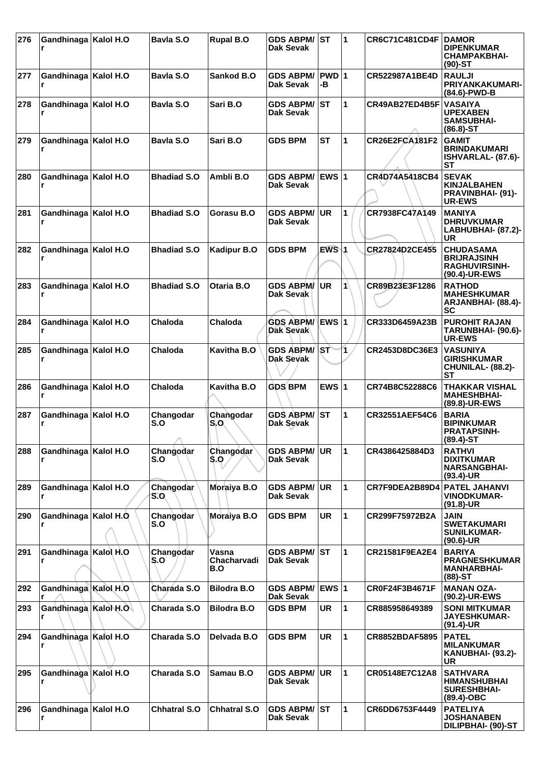| 276 | Gandhinaga   Kalol H.O    | Bavla S.O           | <b>Rupal B.O</b>            | <b>GDS ABPM/</b><br>Dak Sevak        | <b>ST</b>        | $\blacktriangleleft$ | <b>CR6C71C481CD4F</b> | <b>DAMOR</b><br><b>DIPENKUMAR</b><br><b>CHAMPAKBHAI-</b><br>$(90)$ -ST          |
|-----|---------------------------|---------------------|-----------------------------|--------------------------------------|------------------|----------------------|-----------------------|---------------------------------------------------------------------------------|
| 277 | Gandhinaga   Kalol H.O    | Bavla S.O           | Sankod B.O                  | <b>GDS ABPM/</b><br>Dak Sevak        | PWD 1<br>-В      |                      | CR522987A1BE4D        | <b>RAULJI</b><br><b>PRIYANKAKUMARI-</b><br>(84.6)-PWD-B                         |
| 278 | Gandhinaga   Kalol H.O    | Bayla S.O           | Sari B.O                    | <b>GDS ABPM/</b><br>Dak Sevak        | <b>ST</b>        | $\mathbf{1}$         | CR49AB27ED4B5F        | <b>VASAIYA</b><br><b>UPEXABEN</b><br><b>SAMSUBHAI-</b><br>$(86.8) - ST$         |
| 279 | Gandhinaga   Kalol H.O    | Bavla S.O           | Sari B.O                    | <b>GDS BPM</b>                       | <b>ST</b>        | $\mathbf{1}$         | CR26E2FCA181F2        | <b>GAMIT</b><br><b>BRINDAKUMARI</b><br>ISHVARLAL- (87.6)-<br>SТ                 |
| 280 | Gandhinaga   Kalol H.O    | <b>Bhadiad S.O</b>  | Ambli B.O                   | <b>GDS ABPM/</b><br>Dak Sevak        | EWS $ 1$         |                      | CR4D74A5418CB4        | <b>SEVAK</b><br><b>KINJALBAHEN</b><br><b>PRAVINBHAI- (91)-</b><br><b>UR-EWS</b> |
| 281 | Gandhinaga   Kalol H.O    | <b>Bhadiad S.O</b>  | Gorasu B.O                  | <b>GDS ABPM/</b><br>Dak Sevak        | UR.              | 1                    | CR7938FC47A149        | <b>MANIYA</b><br><b>DHRUVKUMAR</b><br>LABHUBHAI- (87.2)-<br>UR                  |
| 282 | Gandhinaga   Kalol H.O    | <b>Bhadiad S.O</b>  | <b>Kadipur B.O</b>          | <b>GDS BPM</b>                       | EWS <sub>1</sub> |                      | CR27824D2CE455        | <b>CHUDASAMA</b><br><b>BRIJRAJSINH</b><br><b>RAGHUVIRSINH-</b><br>(90.4)-UR-EWS |
| 283 | Gandhinaga   Kalol H.O    | <b>Bhadiad S.O</b>  | Otaria B.O                  | <b>GDS ABPM/</b><br>Dak Sevak        | <b>UR</b>        | 1                    | CR89B23E3F1286        | <b>RATHOD</b><br><b>MAHESHKUMAR</b><br>ARJANBHAI- (88.4)-<br>SC                 |
| 284 | Gandhinaga   Kalol H.O    | Chaloda             | Chaloda                     | <b>GDS ABPM/</b><br><b>Dak Sevak</b> | EWS 1            |                      | CR333D6459A23B        | <b>PUROHIT RAJAN</b><br>TARUNBHAI- (90.6)-<br><b>UR-EWS</b>                     |
| 285 | Gandhinaga   Kalol H.O    | Chaloda             | Kavitha B.O                 | <b>GDS ABPM/</b><br>Dak Sevak        | \ST              | $\mathbf{1}$         | CR2453D8DC36E3        | <b>VASUNIYA</b><br><b>GIRISHKUMAR</b><br>CHUNILAL- (88.2)-<br>SТ                |
| 286 | Gandhinaga   Kalol H.O    | Chaloda             | Kavitha B.O                 | <b>GDS BPM</b>                       | EWS $ 1$         |                      | CR74B8C52288C6        | <b>THAKKAR VISHAL</b><br><b>MAHESHBHAI-</b><br>(89.8)-UR-EWS                    |
| 287 | Gandhinaga   Kalol H.O    | Changodar<br>S.O    | Changodar<br>S.O            | <b>GDS ABPM/</b><br>Dak Sevak        | ST               | $\mathbf{1}$         | CR32551AEF54C6        | <b>BARIA</b><br><b>BIPINKUMAR</b><br><b>PRATAPSINH-</b><br>$(89.4) - ST$        |
| 288 | Gandhinaga   Kalol H.O    | Changodar<br>S.O    | Changodar<br>\$.0           | <b>GDS ABPM/</b><br>Dak Sevak        | UR.              | $\blacksquare$       | CR4386425884D3        | <b>RATHVI</b><br><b>DIXITKUMAR</b><br><b>NARSANGBHAI-</b><br>$(93.4)$ -UR       |
| 289 | Gandhinaga   Kalol H.O    | Changodar<br>S.O    | Moraiya B.O                 | <b>GDS ABPM/</b><br>Dak Sevak        | <b>UR</b>        | 1                    | CR7F9DEA2B89D4        | <b>PATEL JAHANVI</b><br><b>VINODKUMAR-</b><br>$(91.8)$ -UR                      |
| 290 | Gandhinaga Kalol H.O.     | Changodar<br>S.O    | Moraiya B.O                 | <b>GDS BPM</b>                       | <b>UR</b>        | $\mathbf 1$          | CR299F75972B2A        | <b>JAIN</b><br><b>SWETAKUMARI</b><br><b>SUNILKUMAR-</b><br>$(90.6)$ -UR         |
| 291 | Gandhinaga   Kalol H.O    | Changodar<br>S.O    | Vasna<br>Chacharvadi<br>B.O | <b>GDS ABPM/</b><br>Dak Sevak        | <b>ST</b>        | 1                    | CR21581F9EA2E4        | <b>BARIYA</b><br><b>PRAGNESHKUMAR</b><br><b>MANHARBHAI-</b><br>$(88)$ -ST       |
| 292 | Gandhinaga Kalol H.O      | Charada S.O         | <b>Bilodra B.O</b>          | <b>GDS ABPM/</b><br>Dak Sevak        | <b>EWS 1</b>     |                      | CR0F24F3B4671F        | <b>MANAN OZA-</b><br>(90.2)-UR-EWS                                              |
| 293 | Gandhinaga Kalol H.O<br>r | Charada S.O         | <b>Bilodra B.O</b>          | <b>GDS BPM</b>                       | <b>UR</b>        | 11.                  | CR885958649389        | <b>SONI MITKUMAR</b><br><b>JAYESHKUMAR-</b><br>$(91.4)$ -UR                     |
| 294 | Gandhinaga   Kalol H.O    | Charada S.O         | Delvada B.O                 | <b>GDS BPM</b>                       | UR.              | $\blacksquare$       | CR8852BDAF5895        | <b>PATEL</b><br><b>MILANKUMAR</b><br><b>KANUBHAI- (93.2)-</b><br>UR             |
| 295 | Gandhinaga Kalol H.O<br>r | Charada S.O         | Samau B.O                   | <b>GDS ABPM/</b><br>Dak Sevak        | <b>UR</b>        | $\mathbf{1}$         | CR05148E7C12A8        | <b>SATHVARA</b><br>HIMANSHUBHAI<br><b>SURESHBHAI-</b><br>(89.4)-OBC             |
| 296 | Gandhinaga   Kalol H.O    | <b>Chhatral S.O</b> | <b>Chhatral S.O</b>         | <b>GDS ABPM/ST</b><br>Dak Sevak      |                  | 1                    | CR6DD6753F4449        | <b>PATELIYA</b><br><b>JOSHANABEN</b><br>DILIPBHAI- (90)-ST                      |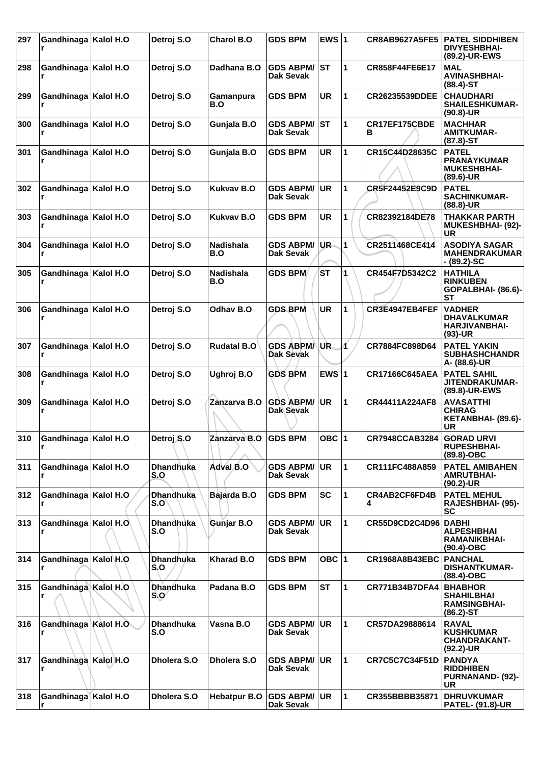| 297 | Gandhinaga   Kalol H.O      |           | Detroj S.O                    | <b>Charol B.O</b>       | <b>GDS BPM</b>                          | EWS $ 1$  |              | <b>CR8AB9627A5FE5</b> | <b>PATEL SIDDHIBEN</b><br><b>DIVYESHBHAI-</b><br>(89.2)-UR-EWS             |
|-----|-----------------------------|-----------|-------------------------------|-------------------------|-----------------------------------------|-----------|--------------|-----------------------|----------------------------------------------------------------------------|
| 298 | Gandhinaga                  | Kalol H.O | Detroj S.O                    | Dadhana B.O             | <b>GDS ABPM/ ST</b><br>Dak Sevak        |           | 1            | CR858F44FE6E17        | <b>MAL</b><br><b>AVINASHBHAI-</b><br>$(88.4) - ST$                         |
| 299 | Gandhinaga   Kalol H.O      |           | Detroj S.O                    | Gamanpura<br>B.O        | <b>GDS BPM</b>                          | <b>UR</b> | 1            | <b>CR26235539DDEE</b> | <b>CHAUDHARI</b><br><b>SHAILESHKUMAR-</b><br>$(90.8)$ -UR                  |
| 300 | Gandhinaga   Kalol H.O<br>r |           | Detroj S.O                    | Gunjala B.O             | <b>GDS ABPM/</b><br>Dak Sevak           | IST       | 1            | CR17EF175CBDE<br>В    | <b>MACHHAR</b><br><b>AMITKUMAR-</b><br>$(87.8) - ST$                       |
| 301 | Gandhinaga   Kalol H.O      |           | Detroj S.O                    | Gunjala B.O             | <b>GDS BPM</b>                          | <b>UR</b> | 1            | CR15C44D28635C        | <b>PATEL</b><br><b>PRANAYKUMAR</b><br><b>MUKESHBHAI-</b><br>$(89.6)$ -UR   |
| 302 | Gandhinaga   Kalol H.O      |           | Detroj S.O                    | <b>Kukvav B.O</b>       | <b>GDS ABPM/</b><br>Dak Sevak           | <b>UR</b> | 1            | CR5F24452E9C9D        | <b>PATEL</b><br><b>SACHINKUMAR-</b><br>(88.8)-UR                           |
| 303 | Gandhinaga   Kalol H.O      |           | Detroj S.O                    | <b>Kukvav B.O</b>       | <b>GDS BPM</b>                          | <b>UR</b> | 1            | CR82392184DE78        | THAKKAR PARTH<br>MUKESHBHAI- (92)-<br>UR                                   |
| 304 | Gandhinaga   Kalol H.O      |           | Detroj S.O                    | <b>Nadishala</b><br>B.O | <b>GDS ABPM/</b><br>Dak Sevak           | UR-       | 1            | CR2511468CE414        | <b>ASODIYA SAGAR</b><br><b>MAHENDRAKUMAR</b><br>- (89.2)-SC                |
| 305 | Gandhinaga                  | Kalol H.O | Detroj S.O                    | <b>Nadishala</b><br>B.O | <b>GDS BPM</b>                          | <b>ST</b> |              | CR454F7D5342C2        | <b>HATHILA</b><br><b>RINKUBEN</b><br>GOPALBHAI- (86.6)-<br><b>ST</b>       |
| 306 | Gandhinaga   Kalol H.O      |           | Detroj S.O                    | Odhav B.O               | <b>GDS BPM</b>                          | <b>UR</b> | 1            | CR3E4947EB4FEF        | <b>VADHER</b><br><b>DHAVALKUMAR</b><br><b>HARJIVANBHAI-</b><br>$(93)-UR$   |
| 307 | Gandhinaga                  | Kalol H.O | Detroj S.O                    | <b>Rudatal B.O</b>      | <b>GDS ABPM/</b><br>Dak Sevak           | UR.       | Á            | CR7884FC898D64        | <b>PATEL YAKIN</b><br><b>SUBHASHCHANDR</b><br>A- (88.6)-UR                 |
| 308 | Gandhinaga   Kalol H.O      |           | Detroj S.O                    | Ughroj B.O              | <b>GDS BPM</b>                          | EWS $ 1$  |              | <b>CR17166C645AEA</b> | <b>PATEL SAHIL</b><br>JITENDRAKUMAR-<br>(89.8)-UR-EWS                      |
| 309 | Gandhinaga   Kalol H.O      |           | Detroj S.O                    | Zanzarva B.O            | <b>GDS ABPM/</b><br>Dak Sevak           | <b>UR</b> | 1            | CR44411A224AF8        | <b>AVASATTHI</b><br><b>CHIRAG</b><br>KETANBHAI- (89.6)-<br>UR              |
| 310 | Gandhinaga   Kalol H.O<br>r |           | Detroj S.O                    | Zanzarva B.O   GDS BPM  |                                         | OBC $ 1$  |              | <b>CR7948CCAB3284</b> | <b>GORAD URVI</b><br><b>RUPESHBHAI-</b><br>$(89.8)-OBC$                    |
| 311 | Gandhinaga   Kalol H.O      |           | <b>Dhandhuka</b><br>S.O       | Adval B.O               | <b>GDS ABPM/</b><br><b>Dak Sevak</b>    | <b>UR</b> | 1            | CR111FC488A859        | <b>PATEL AMIBAHEN</b><br><b>AMRUTBHAI-</b><br>(90.2)-UR                    |
| 312 | Gandhinaga   Kalol H.O      |           | <b>Dhandhuka</b><br>S.O       | Bajarda B.O             | <b>GDS BPM</b>                          | <b>SC</b> | 1            | CR4AB2CF6FD4B<br>4    | <b>PATEL MEHUL</b><br>RAJESHBHAI- (95)-<br>SC                              |
| 313 | Gandhinaga Kalol H.O        |           | <b>Dhandhuka</b><br>S.O       | Gunjar B.O              | <b>GDS ABPM/</b><br>Dak Sevak           | <b>UR</b> | 1            | CR55D9CD2C4D96 DABHI  | <b>ALPESHBHAI</b><br>RAMANIKBHAI-<br>(90.4)-OBC                            |
| 314 | Gandhinaga   Kalol H.O      |           | <b>Dhandhuka</b><br>S.O       | <b>Kharad B.O</b>       | <b>GDS BPM</b>                          | OBC $ 1$  |              | <b>CR1968A8B43EBC</b> | <b>PANCHAL</b><br><b>DISHANTKUMAR-</b><br>(88.4)-OBC                       |
| 315 | Gandhinaga Kalol H.O        |           | <b>Dhandhuka</b><br>$S_{1}O'$ | Padana B.O              | <b>GDS BPM</b>                          | <b>ST</b> | 1            | <b>CR771B34B7DFA4</b> | <b>BHABHOR</b><br><b>SHAHILBHAI</b><br><b>RAMSINGBHAI-</b><br>$(86.2)$ -ST |
| 316 | Gandhinaga Kalol H.O        |           | <b>Dhandhuka</b><br>S.O       | Vasna B.O               | <b>GDS ABPM/</b><br><b>Dak Sevak</b>    | <b>UR</b> | 1            | CR57DA29888614        | <b>RAVAL</b><br><b>KUSHKUMAR</b><br><b>CHANDRAKANT-</b><br>$(92.2)$ -UR    |
| 317 | Gandhinaga   Kalol H.O      |           | Dholera S.O                   | Dholera S.O             | <b>GDS ABPM/</b><br>Dak Sevak           | <b>UR</b> | 1            | <b>CR7C5C7C34F51D</b> | <b>PANDYA</b><br><b>RIDDHIBEN</b><br><b>PURNANAND- (92)-</b><br>UR         |
| 318 | Gandhinaga Kalol H.O<br>r   |           | Dholera S.O                   | <b>Hebatpur B.O</b>     | <b>GDS ABPM/ UR</b><br><b>Dak Sevak</b> |           | $\mathbf{1}$ | CR355BBBB35871        | <b>DHRUVKUMAR</b><br><b>PATEL- (91.8)-UR</b>                               |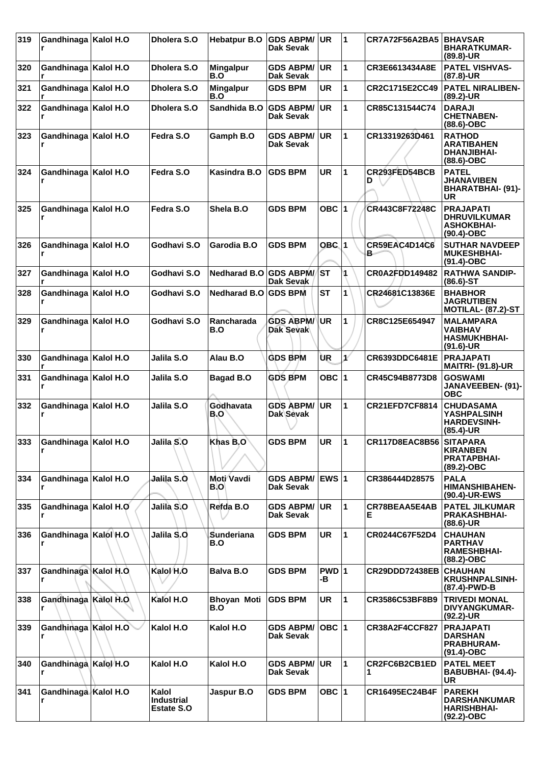| 319 | Gandhinaga   Kalol H.O   | Dholera S.O                                     | <b>Hebatpur B.O</b>       | <b>GDS ABPM/</b><br>Dak Sevak | <b>UR</b>   | 11                   | <b>CR7A72F56A2BA5</b>   | <b>BHAVSAR</b><br><b>BHARATKUMAR-</b><br>$(89.8)$ -UR                         |
|-----|--------------------------|-------------------------------------------------|---------------------------|-------------------------------|-------------|----------------------|-------------------------|-------------------------------------------------------------------------------|
| 320 | Gandhinaga   Kalol H.O   | Dholera S.O                                     | <b>Mingalpur</b><br>B.O   | <b>GDS ABPM/</b><br>Dak Sevak | <b>UR</b>   | 1                    | CR3E6613434A8E          | <b>PATEL VISHVAS-</b><br>$(87.8)$ -UR                                         |
| 321 | Gandhinaga   Kalol H.O   | Dholera S.O                                     | <b>Mingalpur</b><br>B.O   | <b>GDS BPM</b>                | <b>UR</b>   | 1                    | CR2C1715E2CC49          | <b>PATEL NIRALIBEN-</b><br>$(89.2)$ -UR                                       |
| 322 | Gandhinaga   Kalol H.O   | Dholera S.O                                     | Sandhida B.O              | <b>GDS ABPM/</b><br>Dak Sevak | <b>UR</b>   | $\mathbf{1}$         | CR85C131544C74          | <b>DARAJI</b><br><b>CHETNABEN-</b><br>$(88.6)$ -OBC                           |
| 323 | Gandhinaga   Kalol H.O   | Fedra S.O                                       | Gamph B.O                 | <b>GDS ABPM/</b><br>Dak Sevak | <b>UR</b>   | $\blacktriangleleft$ | CR13319263D461          | <b>RATHOD</b><br><b>ARATIBAHEN</b><br><b>DHANJIBHAI-</b><br>$(88.6)$ -OBC     |
| 324 | Gandhinaga   Kalol H.O   | Fedra S.O                                       | Kasindra B.O              | <b>GDS BPM</b>                | <b>UR</b>   | 1                    | CR293FED54BCB<br>D      | <b>PATEL</b><br><b>JHANAVIBEN</b><br><b>BHARATBHAI- (91)-</b><br>UR           |
| 325 | Gandhinaga   Kalol H.O   | Fedra S.O                                       | Shela B.O                 | <b>GDS BPM</b>                | OBC $ 1$    |                      | CR443C8F72248C          | <b>PRAJAPATI</b><br><b>DHRUVILKUMAR</b><br><b>ASHOKBHAI-</b><br>$(90.4)$ -OBC |
| 326 | Gandhinaga   Kalol H.O   | Godhavi S.O                                     | Garodia B.O               | <b>GDS BPM</b>                | $OBC$ 1     |                      | CR59EAC4D14C6<br>в.     | <b>SUTHAR NAVDEEP</b><br><b>MUKESHBHAI-</b><br>$(91.4)$ -OBC                  |
| 327 | Gandhinaga   Kalol H.O   | Godhavi S.O                                     | Nedharad B.O GDS ABPM/ST  | Dak Sevak                     |             | 1                    | <b>CR0A2FDD149482</b>   | <b>RATHWA SANDIP-</b><br>$(86.6)$ -ST                                         |
| 328 | Gandhinaga   Kalol H.O   | Godhavi S.O                                     | <b>Nedharad B.O</b>       | <b>GDS BPM</b>                | <b>ST</b>   | 1                    | CR24681C13836E          | <b>BHABHOR</b><br><b>JAGRUTIBEN</b><br><b>MOTILAL- (87.2)-ST</b>              |
| 329 | Gandhinaga   Kalol H.O   | Godhavi S.O                                     | Rancharada<br>B.O         | <b>GDS ABPM/</b><br>Dak Sevak | <b>UR</b>   | 1                    | CR8C125E654947          | <b>MALAMPARA</b><br>VAIBHAV<br><b>HASMUKHBHAI-</b><br>$(91.6)$ -UR            |
| 330 | Gandhinaga   Kalol H.O   | Jalila S.O                                      | Alau B.O                  | <b>GDS BPM</b>                | ÙR          | $\mathbf{1}^{\ell}$  | CR6393DDC6481E          | <b>PRAJAPATI</b><br><b>MAITRI- (91.8)-UR</b>                                  |
| 331 | Gandhinaga   Kalol H.O   | Jalila S.O                                      | <b>Bagad B.O</b>          | <b>GDS BPM</b>                | OBC $ 1$    |                      | CR45C94B8773D8          | <b>GOSWAMI</b><br>JANAVEEBEN- (91)-<br><b>OBC</b>                             |
| 332 | Gandhinaga   Kalol H.O   | Jalila S.O                                      | Godhavata<br>B.O          | <b>GDS ABPM/</b><br>Dak Sevak | <b>UR</b>   | 1                    | <b>CR21EFD7CF8814</b>   | <b>CHUDASAMA</b><br><b>YASHPALSINH</b><br><b>HARDEVSINH-</b><br>$(85.4)$ -UR  |
| 333 | Gandhinaga Kalol H.O     | Jalila S.O                                      | Khas B.O                  | <b>GDS BPM</b>                | UR          | $ 1\rangle$          | CR117D8EAC8B56 SITAPARA | <b>KIRANBEN</b><br><b>PRATAPBHAI-</b><br>(89.2)-OBC                           |
| 334 | Gandhinaga   Kalol H.O   | Jalila S.Ò                                      | Moti Vavdi<br>BIO         | <b>GDS ABPM/</b><br>Dak Sevak | EWS 1       |                      | CR386444D28575          | <b>PALA</b><br><b>HIMANSHIBAHEN-</b><br>(90.4)-UR-EWS                         |
| 335 | Gandhinaga Kalol H.O     | Jalila S.O                                      | Refda B.O                 | <b>GDS ABPM/</b><br>Dak Sevak | UR.         | 11.                  | CR78BEAA5E4AB<br>Е      | <b>PATEL JILKUMAR</b><br><b>PRAKASHBHAI-</b><br>$(88.6)$ -UR                  |
| 336 | Gandhinaga Kalol H.O     | Jalila S.O                                      | Sunderiana<br>B.O         | <b>GDS BPM</b>                | <b>UR</b>   | $\mathbf{1}$         | CR0244C67F52D4          | <b>CHAUHAN</b><br><b>PARTHAV</b><br><b>RAMESHBHAI-</b><br>(88.2)-OBC          |
| 337 | Gandhinaga Kalol H.O     | Kalol H.O                                       | <b>Balva B.O</b>          | <b>GDS BPM</b>                | PWD 1<br>-в |                      | CR29DDD72438EB          | <b>CHAUHAN</b><br><b>KRUSHNPALSINH-</b><br>(87.4)-PWD-B                       |
| 338 | Gandhinaga Kalol H.O.    | Kalol H.O                                       | <b>Bhoyan Moti</b><br>B.O | <b>GDS BPM</b>                | <b>UR</b>   | $\blacksquare$       | CR3586C53BF8B9          | <b>TRIVEDI MONAL</b><br><b>DIVYANGKUMAR-</b><br>$(92.2)$ -UR                  |
| 339 | Gandhinaga Kalol H.O     | Kalol H.O                                       | Kalol H.O                 | <b>GDS ABPM/</b><br>Dak Sevak | OBC $ 1 $   |                      | CR38A2F4CCF827          | <b>PRAJAPATI</b><br><b>DARSHAN</b><br><b>PRABHURAM-</b><br>$(91.4)$ -OBC      |
| 340 | Gandhinaga Kalo/H.O<br>r | Kalol H.O                                       | Kalol H.O                 | <b>GDS ABPM/</b><br>Dak Sevak | UR          | 11.                  | CR2FC6B2CB1ED<br>1      | <b>PATEL MEET</b><br>BABUBHAI- (94.4)-<br><b>UR</b>                           |
| 341 | Gandhinaga Kalol H.O     | Kalol<br><b>Industrial</b><br><b>Estate S.O</b> | Jaspur B.O                | <b>GDS BPM</b>                | OBC $ 1$    |                      | CR16495EC24B4F          | <b>PAREKH</b><br><b>DARSHANKUMAR</b><br><b>HARISHBHAI-</b><br>(92.2)-OBC      |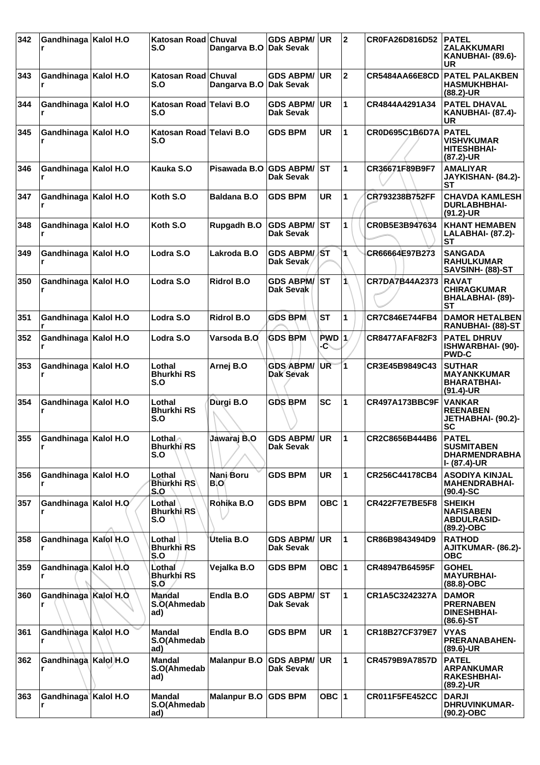| 342 | Gandhinaga   Kalol H.O      | Katosan Road Chuval<br>S.O           | Dangarva B.O Dak Sevak | <b>GDS ABPM/</b>                     | <b>UR</b>    | $\mathbf{2}$            | CR0FA26D816D52        | <b>PATEL</b><br>ZALAKKUMARI<br>KANUBHAI- (89.6)-<br>UR                    |
|-----|-----------------------------|--------------------------------------|------------------------|--------------------------------------|--------------|-------------------------|-----------------------|---------------------------------------------------------------------------|
| 343 | Gandhinaga   Kalol H.O      | Katosan Road Chuval<br>S.O           | Dangarva B.O Dak Sevak | <b>GDS ABPM/</b>                     | <b>UR</b>    | $\mathbf 2$             | <b>CR5484AA66E8CD</b> | <b>PATEL PALAKBEN</b><br><b>HASMUKHBHAI-</b><br>$(88.2)$ -UR              |
| 344 | Gandhinaga   Kalol H.O      | Katosan Road Telavi B.O<br>S.O       |                        | <b>GDS ABPM/</b><br>Dak Sevak        | <b>UR</b>    | 1                       | CR4844A4291A34        | <b>PATEL DHAVAL</b><br><b>KANUBHAI- (87.4)-</b><br>UR                     |
| 345 | Gandhinaga   Kalol H.O      | Katosan Road Telavi B.O<br>S.O       |                        | <b>GDS BPM</b>                       | UR           | 1                       | CR0D695C1B6D7A        | <b>PATEL</b><br><b>VISHVKUMAR</b><br><b>HITESHBHAI-</b><br>(87.2)-UR      |
| 346 | Gandhinaga   Kalol H.O<br>r | Kauka S.O                            | Pisawada B.O GDS ABPM/ | <b>Dak Sevak</b>                     | <b>ST</b>    | 1                       | CR36671F89B9F7        | <b>AMALIYAR</b><br>JAYKISHAN- (84.2)-<br>SТ                               |
| 347 | Gandhinaga   Kalol H.O      | Koth S.O                             | <b>Baldana B.O</b>     | <b>GDS BPM</b>                       | <b>UR</b>    | 1                       | CR793238B752FF        | <b>CHAVDA KAMLESH</b><br><b>DURLABHBHAI-</b><br>$(91.2)$ -UR              |
| 348 | Gandhinaga   Kalol H.O      | Koth S.O                             | Rupgadh B.O            | <b>GDS ABPM/</b><br>Dak Sevak        | ST           | 1                       | CR0B5E3B947634        | <b>KHANT HEMABEN</b><br>LALABHAI- (87.2)-<br><b>ST</b>                    |
| 349 | Gandhinaga   Kalol H.O<br>r | Lodra S.O                            | Lakroda B.O            | <b>GDS ABPM/ST</b><br>Dak Sevak      |              | 1                       | CR66664E97B273        | <b>SANGADA</b><br><b>RAHULKUMAR</b><br>SAVSINH- (88)-ST                   |
| 350 | Gandhinaga   Kalol H.O<br>r | Lodra S.O                            | <b>Ridrol B.O</b>      | <b>GDS ABPM/</b><br>Dak Sevak        | <b>ST</b>    | 1\                      | CR7DA7B44A2373        | <b>RAVAT</b><br><b>CHIRAGKUMAR</b><br>BHALABHAI- (89)-<br><b>ST</b>       |
| 351 | Gandhinaga   Kalol H.O      | Lodra S.O                            | <b>Ridrol B.O</b>      | <b>GDS BPM</b>                       | <b>ST</b>    | 1                       | CR7C846E744FB4        | <b>DAMOR HETALBEN</b><br>RANUBHAI- (88)-ST                                |
| 352 | Gandhinaga   Kalol H.O<br>r | Lodra S.O                            | Varsoda B.O            | <b>GDS BPM</b>                       | PWD 1<br>-C\ |                         | <b>CR8477AFAF82F3</b> | <b>PATEL DHRUV</b><br>ISHWARBHAI- (90)-<br><b>PWD-C</b>                   |
| 353 | Gandhinaga   Kalol H.O      | Lothal<br><b>Bhurkhi RS</b><br>S.O   | Arnej B.O              | <b>GDS ABPM/</b><br>Dak Sevak        | <b>UR</b>    | $\overline{\mathbf{1}}$ | CR3E45B9849C43        | <b>SUTHAR</b><br><b>MAYANKKUMAR</b><br>BHARATBHAI-<br>$(91.4)$ -UR        |
| 354 | Gandhinaga   Kalol H.O      | Lothal<br><b>Bhurkhi RS</b><br>S.O   | Durgi B.O              | <b>GDS BPM</b>                       | SC           | 1                       | CR497A173BBC9F        | <b>VANKAR</b><br><b>REENABEN</b><br>JETHABHAI- (90.2)-<br><b>SC</b>       |
| 355 | Gandhinaga   Kalol H.O<br>r | Lothal ∧<br><b>Bhurkhi</b> RS<br>S.O | Jawarai B.O            | <b>GDS ABPM/ UR</b><br>Dak Sevak     |              | 1                       | CR2C8656B444B6        | <b>PATEL</b><br><b>SUSMITABEN</b><br><b>DHARMENDRABHA</b><br>I- (87.4)-UR |
| 356 | Gandhinaga   Kalol H.O<br>r | Lothal<br><b>Bhurkhi RS</b><br>S.O   | Nani Boru<br>B.OI      | <b>GDS BPM</b>                       | <b>UR</b>    | 1                       | CR256C44178CB4        | <b>ASODIYA KINJAL</b><br><b>MAHENDRABHAI-</b><br>$(90.4)$ -SC             |
| 357 | Gandhinaga Kalol H.O        | Lothal<br><b>Bhurkhi RS</b><br>S.O   | Rohika B.O             | <b>GDS BPM</b>                       | OBC $ 1$     |                         | CR422F7E7BE5F8        | <b>SHEIKH</b><br><b>NAFISABEN</b><br><b>ABDULRASID-</b><br>$(89.2)$ -OBC  |
| 358 | Gandhinaga Kalol H.O        | Lothal<br><b>Bhurkhi RS</b><br>S.O   | Utelia B.O             | <b>GDS ABPM/</b><br><b>Dak Sevak</b> | <b>UR</b>    | 1                       | CR86B9843494D9        | <b>RATHOD</b><br><b>AJITKUMAR- (86.2)-</b><br><b>OBC</b>                  |
| 359 | Gandhinaga Kalol H.O        | Lothal<br>Bhurkhi RS<br>S.O          | Vejalka B.O            | <b>GDS BPM</b>                       | OBC $ 1$     |                         | CR48947B64595F        | <b>GOHEL</b><br><b>MAYURBHAI-</b><br>$(88.8)-OBC$                         |
| 360 | Gandhinaga Kalol H.O<br>r   | <b>Mandal</b><br>S.O(Ahmedab<br>ad)  | Endla B.O              | <b>GDS ABPM/</b><br>Dak Sevak        | <b>IST</b>   | 1                       | CR1A5C3242327A        | <b>DAMOR</b><br><b>PRERNABEN</b><br><b>DINESHBHAI-</b><br>$(86.6)$ -ST    |
| 361 | Gandhinaga Kalol H.O<br>r   | <b>Mandal</b><br>S.O(Ahmedab<br>ad)  | Endla B.O              | <b>GDS BPM</b>                       | <b>UR</b>    | 1                       | CR18B27CF379E7        | <b>VYAS</b><br><b>PRERANABAHEN-</b><br>$(89.6)$ -UR                       |
| 362 | Gandhinaga Kalol H.O<br>r   | <b>Mandal</b><br>S.O(Ahmedab<br>ad)  | <b>Malanpur B.O</b>    | <b>GDS ABPM/</b><br>Dak Sevak        | <b>UR</b>    | 1                       | CR4579B9A7857D        | <b>PATEL</b><br><b>ARPANKUMAR</b><br><b>RAKESHBHAI-</b><br>$(89.2)$ -UR   |
| 363 | Gandhinaga Kalol H.O        | <b>Mandal</b><br>S.O(Ahmedab<br>ad)  | <b>Malanpur B.O</b>    | <b>GDS BPM</b>                       | OBC $ 1$     |                         | CR011F5FE452CC        | <b>DARJI</b><br><b>DHRUVINKUMAR-</b><br>$(90.2)$ -OBC                     |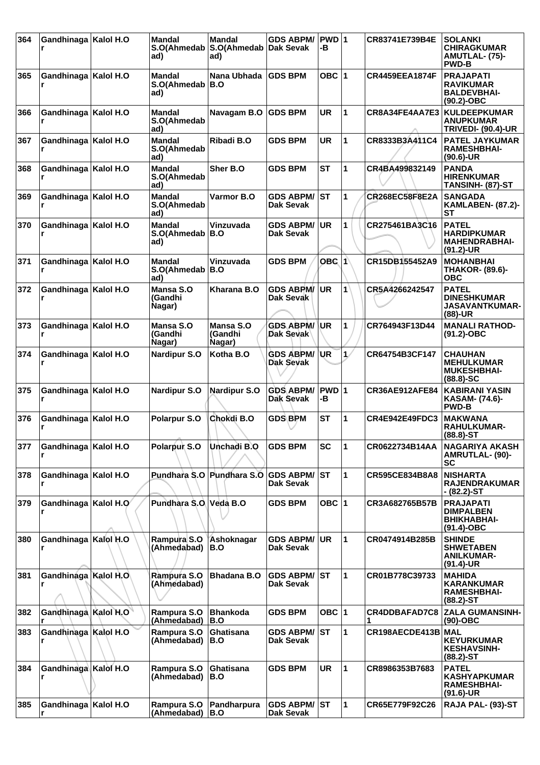| 364 | Gandhinaga   Kalol H.O | <b>Mandal</b><br>ad)                | <b>Mandal</b><br>S.O(Ahmedab   S.O(Ahmedab   Dak Sevak<br>ad) | <b>GDS ABPM/</b>                     | PWD 1<br>-В     |              | CR83741E739B4E        | <b>SOLANKI</b><br><b>CHIRAGKUMAR</b><br>AMUTLAL- (75)-<br><b>PWD-B</b>      |
|-----|------------------------|-------------------------------------|---------------------------------------------------------------|--------------------------------------|-----------------|--------------|-----------------------|-----------------------------------------------------------------------------|
| 365 | Gandhinaga   Kalol H.O | Mandal<br>S.O(Ahmedab<br>ad)        | Nana Ubhada<br>B.O                                            | <b>GDS BPM</b>                       | OBC $ 1$        |              | <b>CR4459EEA1874F</b> | <b>PRAJAPATI</b><br><b>RAVIKUMAR</b><br><b>BALDEVBHAI-</b><br>$(90.2)$ -OBC |
| 366 | Gandhinaga   Kalol H.O | Mandal<br>S.O(Ahmedab<br>ad)        | Navagam B.O                                                   | <b>GDS BPM</b>                       | <b>UR</b>       | 1            | CR8A34FE4AA7E3        | <b>KULDEEPKUMAR</b><br>ANUPKUMAR<br><b>TRIVEDI- (90.4)-UR</b>               |
| 367 | Gandhinaga   Kalol H.O | <b>Mandal</b><br>S.O(Ahmedab<br>ad) | Ribadi B.O                                                    | <b>GDS BPM</b>                       | <b>UR</b>       | 1            | CR8333B3A411C4        | <b>PATEL JAYKUMAR</b><br><b>RAMESHBHAI-</b><br>$(90.6)$ -UR                 |
| 368 | Gandhinaga   Kalol H.O | <b>Mandal</b><br>S.O(Ahmedab<br>ad) | Sher B.O                                                      | <b>GDS BPM</b>                       | <b>ST</b>       | 1            | CR4BA499832149        | <b>PANDA</b><br><b>HIRENKUMAR</b><br>TANSINH- (87)-ST                       |
| 369 | Gandhinaga   Kalol H.O | Mandal<br>S.O(Ahmedab<br>ad)        | Varmor B.O                                                    | <b>GDS ABPM/</b><br>Dak Sevak        | <b>ST</b>       | 1            | <b>CR268EC58F8E2A</b> | <b>SANGADA</b><br><b>KAMLABEN- (87.2)-</b><br>SТ                            |
| 370 | Gandhinaga   Kalol H.O | <b>Mandal</b><br>S.O(Ahmedab<br>ad) | Vinzuvada<br>B.O                                              | <b>GDS ABPM/</b><br>Dak Sevak        | <b>UR</b>       | 1            | CR275461BA3C16        | <b>PATEL</b><br><b>HARDIPKUMAR</b><br><b>MAHENDRABHAI-</b><br>$(91.2)$ -UR  |
| 371 | Gandhinaga   Kalol H.O | Mandal<br>S.O(Ahmedab<br>ad)        | Vinzuvada<br>B.O                                              | <b>GDS BPM</b>                       | OBC $ 1\rangle$ |              | CR15DB155452A9        | <b>MOHANBHAI</b><br><b>THAKOR- (89.6)-</b><br><b>OBC</b>                    |
| 372 | Gandhinaga   Kalol H.O | Mansa S.O<br>(Gandhi<br>Nagar)      | Kharana B.O                                                   | <b>GDS ABPM/</b><br>Dak Sevak        | UR.             | 1            | CR5A4266242547        | <b>PATEL</b><br><b>DINESHKUMAR</b><br><b>JASAVANTKUMAR-</b><br>$(88)-UR$    |
| 373 | Gandhinaga   Kalol H.O | Mansa S.O<br>(Gandhi<br>Nagar)      | Mansa S.O<br>(Gandhi<br>Nagar)                                | <b>GDS ABPM/ UR</b><br>Dak Sevak     |                 | 1            | CR764943F13D44        | <b>MANALI RATHOD-</b><br>$(91.2)$ -OBC                                      |
| 374 | Gandhinaga   Kalol H.O | <b>Nardipur S.O</b>                 | Kotha B.O                                                     | <b>GDS ABPM/</b><br><b>Dak Sevak</b> | ∣UR             | 1/           | CR64754B3CF147        | <b>CHAUHAN</b><br><b>MEHULKUMAR</b><br><b>MUKESHBHAI-</b><br>$(88.8) - SC$  |
| 375 | Gandhinaga   Kalol H.O | <b>Nardipur S.O</b>                 | <b>Nardipur S.O</b>                                           | <b>GDS ABPM/</b><br>Dak Sevak        | PWD 1<br>-В     |              | <b>CR36AE912AFE84</b> | <b>KABIRANI YASIN</b><br>KASAM- (74.6)-<br><b>PWD-B</b>                     |
| 376 | Gandhinaga   Kalol H.O | <b>Polarpur S.O</b>                 | Chokdi B.O                                                    | <b>GDS BPM</b>                       | <b>ST</b>       | 1            | CR4E942E49FDC3        | <b>MAKWANA</b><br><b>RAHULKUMAR-</b><br>$(88.8)$ -ST                        |
| 377 | Gandhinaga   Kalol H.O | Polarpur S.O                        | Unchadi B.O                                                   | <b>GDS BPM</b>                       | <b>SC</b>       | 11           | CR0622734B14AA        | <b>NAGARIYA AKASH</b><br><b>AMRUTLAL- (90)-</b><br>SC                       |
| 378 | Gandhinaga   Kalol H.O |                                     | Pundhara S.O Pundhara S.O                                     | ∣GDS ABPM/ ∣ST<br>Dak Sevak          |                 | 1            | CR595CE834B8A8        | <b>NISHARTA</b><br><b>RAJENDRAKUMAR</b><br>- (82.2)-ST                      |
| 379 | Gandhinaga Kalol H.O   | Pundhara S.O. Veda B.O.             |                                                               | <b>GDS BPM</b>                       | OBC $ 1$        |              | CR3A682765B57B        | <b>PRAJAPATI</b><br><b>DIMPALBEN</b><br><b>BHIKHABHAI-</b><br>$(91.4)$ -OBC |
| 380 | Gandhinaga   Kalol H.O | Rampura S.O<br>(Ahmedabad)          | Ashoknagar<br>B.O                                             | <b>GDS ABPM/</b><br>Dak Sevak        | UR              | 1            | CR0474914B285B        | <b>SHINDE</b><br><b>SHWETABEN</b><br><b>ANILKUMAR-</b><br>$(91.4)$ -UR      |
| 381 | Gandhinaga Kalol H.O.  | Rampura S.O<br>(Ahmedabad)          | <b>Bhadana B.O</b>                                            | <b>GDS ABPM/</b><br>Dak Sevak        | ST              | $\mathbf{1}$ | CR01B778C39733        | <b>MAHIDA</b><br><b>KARANKUMAR</b><br><b>RAMESHBHAI-</b><br>$(88.2) - ST$   |
| 382 | Gandhinaga Kalol H.O   | Rampura S.O<br>(Ahmedabad)          | <b>Bhankoda</b><br>B.O                                        | <b>GDS BPM</b>                       | OBC $ 1$        |              | CR4DDBAFAD7C8         | <b>ZALA GUMANSINH-</b><br>$(90)$ -OBC                                       |
| 383 | Gandhinaga Kalol H.O   | Rampura S.O<br>(Ahmedabad)          | Ghatisana<br>B.O                                              | <b>GDS ABPM/</b><br>Dak Sevak        | <b>ST</b>       | 1            | CR198AECDE413B MAL    | <b>KEYURKUMAR</b><br><b>KESHAVSINH-</b><br>$(88.2) - ST$                    |
| 384 | Gandhinaga Kalol H.O   | Rampura S.O<br>(Ahmedabad)          | Ghatisana<br>B.O                                              | <b>GDS BPM</b>                       | <b>UR</b>       | 1            | CR8986353B7683        | <b>PATEL</b><br><b>KASHYAPKUMAR</b><br><b>RAMESHBHAI-</b><br>(91.6)-UR      |
| 385 | Gandhinaga   Kalol H.O | Rampura S.O<br>(Ahmedabad)          | Pandharpura<br>B.O                                            | <b>GDS ABPM/ ST</b><br>Dak Sevak     |                 | 1            | CR65E779F92C26        | RAJA PAL- (93)-ST                                                           |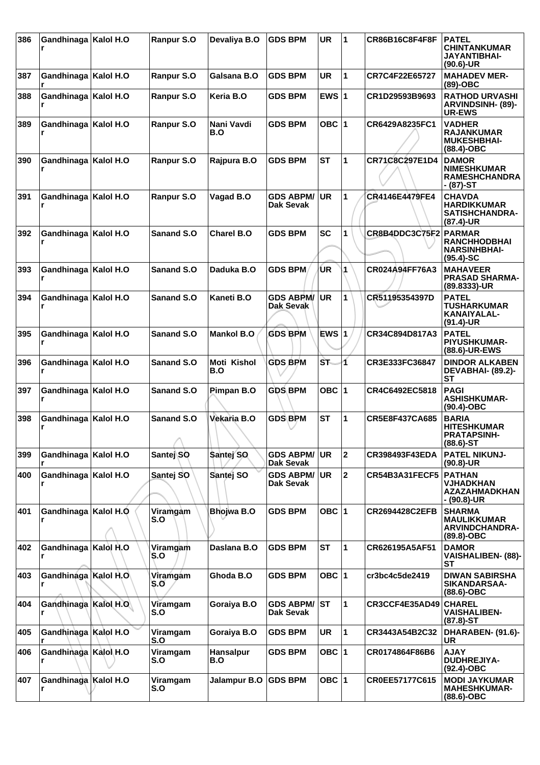| 386 | Gandhinaga   Kalol H.O |           | Ranpur S.O        | Devaliya B.O              | <b>GDS BPM</b>                       | <b>UR</b> | 1              | <b>CR86B16C8F4F8F</b> | <b>PATEL</b><br><b>CHINTANKUMAR</b><br>JAYANTIBHAI-<br>$(90.6)$ -UR          |
|-----|------------------------|-----------|-------------------|---------------------------|--------------------------------------|-----------|----------------|-----------------------|------------------------------------------------------------------------------|
| 387 | Gandhinaga   Kalol H.O |           | Ranpur S.O        | Galsana B.O               | <b>GDS BPM</b>                       | <b>UR</b> | 1              | CR7C4F22E65727        | <b>MAHADEV MER-</b><br>$(89)-OBC$                                            |
| 388 | Gandhinaga   Kalol H.O |           | Ranpur S.O        | Keria B.O                 | <b>GDS BPM</b>                       | EWS $ 1$  |                | CR1D29593B9693        | <b>RATHOD URVASHI</b><br><b>ARVINDSINH- (89)-</b><br><b>UR-EWS</b>           |
| 389 | Gandhinaga   Kalol H.O |           | Ranpur S.O        | Nani Vavdi<br>B.O         | <b>GDS BPM</b>                       | OBC $ 1$  |                | CR6429A8235FC1        | <b>VADHER</b><br><b>RAJANKUMAR</b><br><b>MUKESHBHAI-</b><br>$(88.4)$ -OBC    |
| 390 | Gandhinaga   Kalol H.O |           | Ranpur S.O        | Rajpura B.O               | <b>GDS BPM</b>                       | <b>ST</b> | 1              | CR71C8C297E1D4        | <b>DAMOR</b><br><b>NIMESHKUMAR</b><br><b>RAMESHCHANDRA</b><br>- (87)-ST      |
| 391 | Gandhinaga   Kalol H.O |           | Ranpur S.O        | Vagad B.O                 | <b>GDS ABPM/</b><br>Dak Sevak        | <b>UR</b> | 1              | CR4146E4479FE4        | <b>CHAVDA</b><br><b>HARDIKKUMAR</b><br><b>SATISHCHANDRA-</b><br>(87.4)-UR    |
| 392 | Gandhinaga   Kalol H.O |           | <b>Sanand S.O</b> | Charel B.O                | <b>GDS BPM</b>                       | <b>SC</b> | 1              | CR8B4DDC3C75F2 PARMAR | <b>RANCHHODBHAI</b><br><b>NARSINHBHAI-</b><br>$(95.4)$ -SC                   |
| 393 | Gandhinaga   Kalol H.O |           | Sanand S.O        | Daduka B.O                | <b>GDS BPM</b>                       | UR.       | 1              | CR024A94FF76A3        | <b>MAHAVEER</b><br><b>PRASAD SHARMA-</b><br>(89.8333)-UR                     |
| 394 | Gandhinaga   Kalol H.O |           | Sanand S.O        | Kaneti B.O                | <b>GDS ABPM/</b><br>Dak Sevak        | <b>UR</b> | 1              | CR51195354397D        | <b>PATEL</b><br>TUSHARKUMAR<br>KANAIYALAL-<br>$(91.4)-UR$                    |
| 395 | Gandhinaga   Kalol H.O |           | Sanand S.O        | <b>Mankol B.O</b>         | <b>GDS BPM</b>                       | $EWS$  1  |                | CR34C894D817A3        | <b>PATEL</b><br><b>PIYUSHKUMAR-</b><br>(88.6)-UR-EWS                         |
| 396 | Gandhinaga             | Kalol H.O | <b>Sanand S.O</b> | <b>Moti Kishol</b><br>B.O | <b>GDS BPM</b>                       | ST.       | 1              | CR3E333FC36847        | <b>DINDOR ALKABEN</b><br>DEVABHAI- (89.2)-<br><b>ST</b>                      |
| 397 | Gandhinaga   Kalol H.O |           | Sanand S.O        | Pimpan B.O                | <b>GDS BPM</b>                       | OBC $ 1$  |                | CR4C6492EC5818        | <b>PAGI</b><br><b>ASHISHKUMAR-</b><br>$(90.4)$ -OBC                          |
| 398 | Gandhinaga   Kalol H.O |           | Sanand S.O<br>A   | Vekaria B.O               | <b>GDS BPM</b>                       | <b>ST</b> | 1              | <b>CR5E8F437CA685</b> | <b>BARIA</b><br><b>HITESHKUMAR</b><br><b>PRATAPSINH-</b><br>(88.6)-ST        |
| 399 | Gandhinaga             | Kalol H.O | Santej SO         | Santej SO                 | <b>GDS ABPM/</b><br><b>Dak Sevak</b> | <b>UR</b> | $\mathbf 2$    | CR398493F43EDA        | <b>PATEL NIKUNJ-</b><br>$(90.8)$ -UR                                         |
| 400 | Gandhinaga             | Kalol H.O | Santej SO         | Santej SO                 | <b>GDS ABPM/</b><br>Dak Sevak        | UR        | $\overline{2}$ | CR54B3A31FECF5        | <b>PATHAN</b><br><b>VJHADKHAN</b><br><b>AZAZAHMADKHAN</b><br>- (90.8)-UR     |
| 401 | Gandhinaga   Kalol H.O |           | Viramgam<br>S.O   | Bhojwa B.O                | <b>GDS BPM</b>                       | OBC $ 1$  |                | <b>CR2694428C2EFB</b> | <b>SHARMA</b><br><b>MAULIKKUMAR</b><br><b>ARVINDCHANDRA-</b><br>$(89.8)-OBC$ |
| 402 | Gandhinaga Kalol H.O   |           | Viramgam<br>S.O   | Daslana B.O               | <b>GDS BPM</b>                       | <b>ST</b> | 1              | CR626195A5AF51        | <b>DAMOR</b><br>VAISHALIBEN- (88)-<br><b>ST</b>                              |
| 403 | Gandhinaga Kalol H.O.  |           | Viramgam<br>S.O   | Ghoda B.O                 | <b>GDS BPM</b>                       | OBC $ 1$  |                | cr3bc4c5de2419        | <b>DIWAN SABIRSHA</b><br>SIKANDARSAA-<br>$(88.6)$ -OBC                       |
| 404 | Gandhinaga Kalol H.O   |           | Viramgam<br>S.O   | Goraiya B.O               | <b>GDS ABPM/</b><br>Dak Sevak        | <b>ST</b> | 1              | CR3CCF4E35AD49        | <b>CHAREL</b><br><b>VAISHALIBEN-</b><br>$(87.8) - ST$                        |
| 405 | Gandhinaga Kalol H.O   |           | Viramgam<br>S.O   | Goraiya B.O               | <b>GDS BPM</b>                       | <b>UR</b> | 1              | CR3443A54B2C32        | DHARABEN- (91.6)-<br>UR                                                      |
| 406 | Gandhinaga Kalol H.O   |           | Viramgam<br>S.O   | <b>Hansalpur</b><br>B.O   | <b>GDS BPM</b>                       | OBC $ 1$  |                | CR0174864F86B6        | <b>AJAY</b><br><b>DUDHREJIYA-</b><br>(92.4)-OBC                              |
| 407 | Gandhinaga Kalol H.O   |           | Viramgam<br>S.O   | Jalampur B.O              | <b>GDS BPM</b>                       | OBC $ 1$  |                | CR0EE57177C615        | <b>MODI JAYKUMAR</b><br><b>MAHESHKUMAR-</b><br>(88.6)-OBC                    |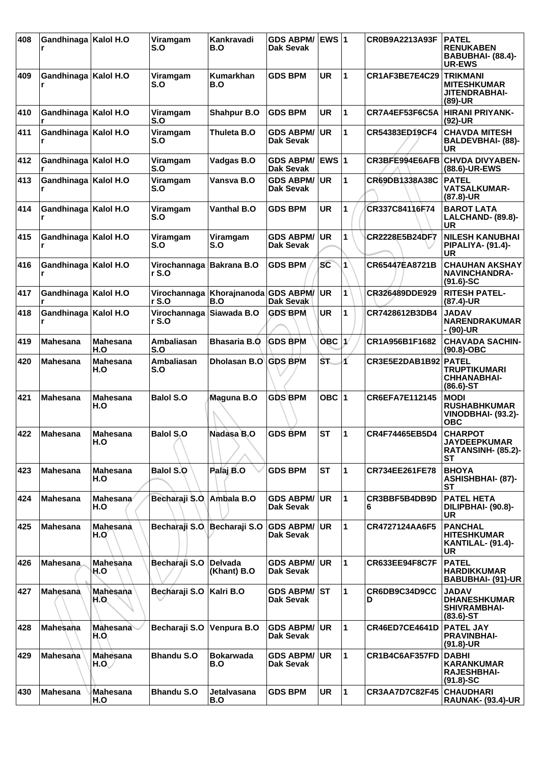| 408 | Gandhinaga   Kalol H.O      |                         | Viramgam<br>S.O                    | Kankravadi<br>B.O             | <b>GDS ABPM/</b><br>Dak Sevak | EWS 1                   |                      | <b>CR0B9A2213A93F</b> | <b>PATEL</b><br><b>RENUKABEN</b><br>BABUBHAI- (88.4)-<br><b>UR-EWS</b>        |
|-----|-----------------------------|-------------------------|------------------------------------|-------------------------------|-------------------------------|-------------------------|----------------------|-----------------------|-------------------------------------------------------------------------------|
| 409 | Gandhinaga   Kalol H.O      |                         | Viramgam<br>S.O                    | <b>Kumarkhan</b><br>B.O       | <b>GDS BPM</b>                | <b>UR</b>               | $\overline{1}$       | CR1AF3BE7E4C29        | <b>TRIKMANI</b><br><b>MITESHKUMAR</b><br><b>JITENDRABHAI-</b><br>$(89)-UR$    |
| 410 | Gandhinaga   Kalol H.O      |                         | Viramgam<br>S.O                    | Shahpur B.O                   | <b>GDS BPM</b>                | UR                      | 1                    | CR7A4EF53F6C5A        | HIRANI PRIYANK-<br>$(92)-UR$                                                  |
| 411 | Gandhinaga   Kalol H.O      |                         | Viramgam<br>S.O                    | Thuleta B.O                   | <b>GDS ABPM/</b><br>Dak Sevak | <b>UR</b>               | 1                    | CR54383ED19CF4        | <b>CHAVDA MITESH</b><br><b>BALDEVBHAI- (88)-</b><br>UR                        |
| 412 | Gandhinaga   Kalol H.O      |                         | Viramgam<br>S.O                    | Vadgas B.O                    | <b>GDS ABPM/</b><br>Dak Sevak | <b>EWS</b> <sub>1</sub> |                      | CR3BFE994E6AFB        | <b>CHVDA DIVYABEN-</b><br>(88.6)-UR-EWS                                       |
| 413 | Gandhinaga   Kalol H.O      |                         | Viramgam<br>S.O                    | Vansva B.O                    | <b>GDS ABPM/</b><br>Dak Sevak | <b>UR</b>               | 1                    | CR69DB1338A38C        | <b>PATEL</b><br><b>VATSALKUMAR-</b><br>(87.8)-UR                              |
| 414 | Gandhinaga   Kalol H.O      |                         | Viramgam<br>S.O                    | <b>Vanthal B.O</b>            | <b>GDS BPM</b>                | <b>UR</b>               | 1                    | CR337C84116F74        | <b>BAROT LATA</b><br>LALCHAND- (89.8)-<br>UR                                  |
| 415 | Gandhinaga   Kalol H.O      |                         | Viramgam<br>S.O                    | Viramgam<br>S.O               | <b>GDS ABPM/</b><br>Dak Sevak | <b>UR</b>               | 1                    | CR2228E5B24DF7        | <b>NILESH KANUBHAI</b><br><b>PIPALIYA- (91.4)-</b><br>UR                      |
| 416 | Gandhinaga   Kalol H.O<br>r |                         | Virochannaga<br>rS.0               | <b>Bakrana B.O</b>            | <b>GDS BPM</b>                | <b>SC</b>               | $\blacktriangleleft$ | CR65447EA8721B        | <b>CHAUHAN AKSHAY</b><br><b>NAVINCHANDRA-</b><br>$(91.6)$ -SC                 |
| 417 | Gandhinaga   Kalol H.O      |                         | Virochannaga<br>r S.O              | Khorajnanoda GDS ABPM/<br>B.O | Dak Sevak                     | <b>UR</b>               | 1                    | CR326489DDE929        | <b>RITESH PATEL-</b><br>(87.4)-UR                                             |
| 418 | Gandhinaga   Kalol H.O      |                         | Virochannaga Siiawada B.O<br>r S.O |                               | <b>GDS BPM</b>                | <b>UR</b>               | 1                    | CR7428612B3DB4        | <b>JADAV</b><br>NARENDRAKUMAR<br>- (90)-UR                                    |
| 419 | <b>Mahesana</b>             | <b>Mahesana</b><br>H.O  | <b>Ambaliasan</b><br>S.O           | <b>Bhasaria B.O</b>           | <b>GDS BPM</b>                | OBC $ 1\rangle$         |                      | CR1A956B1F1682        | <b>CHAVADA SACHIN-</b><br>$(90.8)-OBC$                                        |
| 420 | <b>Mahesana</b>             | <b>Mahesana</b><br>H.O  | <b>Ambaliasan</b><br>S.O           | Dholasan B.O                  | <b>GDS BPM</b>                | ST.                     | 4                    | CR3E5E2DAB1B92 PATEL  | <b>TRUPTIKUMARI</b><br><b>CHHANABHAI-</b><br>$(86.6)$ -ST                     |
| 421 | <b>Mahesana</b>             | <b>Mahesana</b><br>H.O  | <b>Balol S.O</b>                   | Maguna B.O                    | <b>GDS BPM</b>                | OBC ∣1                  |                      | CR6EFA7E112145        | <b>MODI</b><br><b>RUSHABHKUMAR</b><br><b>VINODBHAI- (93.2)-</b><br><b>OBC</b> |
| 422 | ∣Mahesana                   | <b>Mahesana</b><br>H.O  | <b>Balol S.O</b>                   | Nadasa B.O                    | <b>GDS BPM</b>                | <b>ST</b>               | 1                    | CR4F74465EB5D4        | <b>CHARPOT</b><br><b>JAYDEEPKUMAR</b><br>RATANSINH- (85.2)-<br>SТ             |
| 423 | <b>Mahesana</b>             | <b>Mahesana</b><br>H.O  | Balol S.O                          | Palaj B.O                     | <b>GDS BPM</b>                | <b>ST</b>               | 1                    | CR734EE261FE78        | <b>BHOYA</b><br><b>ASHISHBHAI- (87)-</b><br><b>ST</b>                         |
| 424 | <b>Mahesana</b>             | Mahesana<br>H.O         | Becharaji S.O                      | Ambala B.O                    | <b>GDS ABPM/</b><br>Dak Sevak | <b>UR</b>               | 1                    | CR3BBF5B4DB9D<br>6    | <b>PATEL HETA</b><br>DILIPBHAI- (90.8)-<br>UR                                 |
| 425 | Mahesana                    | Mahesana<br>H.O         | Becharaji S.O                      | Becharaji S.O                 | <b>GDS ABPM/</b><br>Dak Sevak | UR                      | 1                    | CR4727124AA6F5        | <b>PANCHAL</b><br><b>HITESHKUMAR</b><br>KANTILAL- (91.4)-<br>UR               |
| 426 | <b>Mahesana</b>             | <b>Mahesana</b><br>H.O  | Becharaji S.O                      | <b>Delvada</b><br>(Khant) B.O | <b>GDS ABPM/</b><br>Dak Sevak | <b>UR</b>               | 1                    | CR633EE94F8C7F        | <b>PATEL</b><br><b>HARDIKKUMAR</b><br><b>BABUBHAI- (91)-UR</b>                |
| 427 | Mahesana                    | <b>Mahesana</b><br>O.H  | Becharaji S.O                      | Kalri B.O                     | <b>GDS ABPM/</b><br>Dak Sevak | lst                     | 1                    | CR6DB9C34D9CC<br>D    | <b>JADAV</b><br><b>DHANESHKUMAR</b><br><b>SHIVRAMBHAI-</b><br>$(83.6)$ -ST    |
| 428 | Mahesana                    | <b>Mahesana</b><br>H.O. | Becharaji S.O                      | <b>Venpura B.O</b>            | <b>GDS ABPM/</b><br>Dak Sevak | <b>UR</b>               | 1                    | CR46ED7CE4641D        | <b>PATEL JAY</b><br><b>PRAVINBHAI-</b><br>$(91.8)$ -UR                        |
| 429 | Mahesana                    | <b>Mahesana</b><br>H.O  | <b>Bhandu S.O</b>                  | <b>Bokarwada</b><br>B.O       | <b>GDS ABPM/</b><br>Dak Sevak | <b>UR</b>               | $\mathbf 1$          | CR1B4C6AF357FD        | <b>DABHI</b><br><b>KARANKUMAR</b><br><b>RAJESHBHAI-</b><br>$(91.8) - SC$      |
| 430 | Mahesana                    | Mahesana<br>H.O         | <b>Bhandu S.O</b>                  | Jetalvasana<br>B.O            | <b>GDS BPM</b>                | <b>UR</b>               | 1                    | <b>CR3AA7D7C82F45</b> | <b>CHAUDHARI</b><br><b>RAUNAK- (93.4)-UR</b>                                  |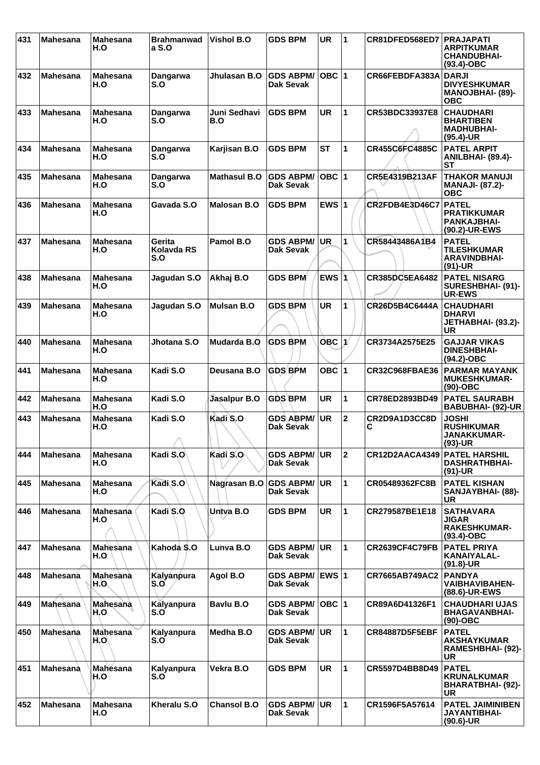| 431 | <b>Mahesana</b> | <b>Mahesana</b><br>H.O | <b>Brahmanwad</b><br>a S.O         | <b>Vishol B.O</b>   | <b>GDS BPM</b>                | <b>UR</b>    | $\overline{1}$ | CR81DFED568ED7        | <b>PRAJAPATI</b><br><b>ARPITKUMAR</b><br><b>CHANDUBHAI-</b><br>$(93.4)-OBC$ |
|-----|-----------------|------------------------|------------------------------------|---------------------|-------------------------------|--------------|----------------|-----------------------|-----------------------------------------------------------------------------|
| 432 | <b>Mahesana</b> | <b>Mahesana</b><br>H.O | Dangarwa<br>S.O                    | Jhulasan B.O        | <b>GDS ABPM/</b><br>Dak Sevak | $OBC$ 1      |                | CR66FEBDFA383A        | <b>DARJI</b><br><b>DIVYESHKUMAR</b><br>MANOJBHAI- (89)-<br><b>OBC</b>       |
| 433 | <b>Mahesana</b> | <b>Mahesana</b><br>H.O | <b>Dangarwa</b><br>S.O             | Juni Sedhavi<br>B.O | <b>GDS BPM</b>                | <b>UR</b>    | $\mathbf{1}$   | CR53BDC33937E8        | <b>CHAUDHARI</b><br><b>BHARTIBEN</b><br><b>MADHUBHAI-</b><br>(95.4)-UR      |
| 434 | <b>Mahesana</b> | <b>Mahesana</b><br>H.O | Dangarwa<br>S.O                    | Karjisan B.O        | <b>GDS BPM</b>                | <b>ST</b>    | $\mathbf{1}$   | CR455C6FC4885C        | <b>PATEL ARPIT</b><br><b>ANILBHAI- (89.4)-</b><br>SТ                        |
| 435 | <b>Mahesana</b> | <b>Mahesana</b><br>H.O | Dangarwa<br>S.O                    | <b>Mathasul B.O</b> | <b>GDS ABPM/</b><br>Dak Sevak | OBC $ 1$     |                | CR5E4319B213AF        | <b>THAKOR MANUJI</b><br><b>MANAJI- (87.2)-</b><br><b>OBC</b>                |
| 436 | <b>Mahesana</b> | <b>Mahesana</b><br>H.O | Gavada S.O                         | <b>Malosan B.O</b>  | <b>GDS BPM</b>                | EWS $ 1$     |                | CR2FDB4E3D46C7        | <b>PATEL</b><br><b>PRATIKKUMAR</b><br><b>PANKAJBHAI-</b><br>(90.2)-UR-EWS   |
| 437 | <b>Mahesana</b> | <b>Mahesana</b><br>H.O | Gerita<br><b>Kolavda RS</b><br>S.O | Pamol B.O           | <b>GDS ABPM/</b><br>Dak Sevak | <b>UR</b>    | 1              | CR58443486A1B4        | <b>PATEL</b><br><b>TILESHKUMAR</b><br><b>ARAVINDBHAI-</b><br>$(91)-UR$      |
| 438 | <b>Mahesana</b> | <b>Mahesana</b><br>H.O | Jagudan S.O                        | Akhaj B.O           | <b>GDS BPM</b>                | EWS $ 1$     |                | CR385DC5EA6482        | <b>PATEL NISARG</b><br>SURESHBHAI- (91)-<br><b>UR-EWS</b>                   |
| 439 | <b>Mahesana</b> | <b>Mahesana</b><br>H.O | Jagudan S.O                        | <b>Mulsan B.O</b>   | <b>GDS BPM</b>                | <b>UR</b>    | 1              | CR26D5B4C6444A        | <b>CHAUDHARI</b><br><b>DHARVI</b><br>JETHABHAI- (93.2)-<br><b>UR</b>        |
| 440 | <b>Mahesana</b> | <b>Mahesana</b><br>H.O | Jhotana S.O                        | Mudarda B.O         | <b>GDS BPM</b>                | $OBC$   $1$  |                | CR3734A2575E25        | <b>GAJJAR VIKAS</b><br><b>DINESHBHAI-</b><br>$(94.2)$ -OBC                  |
| 441 | <b>Mahesana</b> | <b>Mahesana</b><br>H.O | Kadi S.O                           | Deusana B.O         | <b>GDS BPM</b>                | OBC 1        |                | <b>CR32C968FBAE36</b> | <b>PARMAR MAYANK</b><br><b>MUKESHKUMAR-</b><br>(90)-OBC                     |
| 442 | <b>Mahesana</b> | <b>Mahesana</b><br>H.O | Kadi S.O                           | Jasalpur B.O        | <b>GDS BPM</b>                | <b>UR</b>    | $\mathbf{1}$   | CR78ED2893BD49        | <b>PATEL SAURABH</b><br><b>BABUBHAI- (92)-UR</b>                            |
| 443 | <b>Mahesana</b> | Mahesana<br>H.O        | Kadi S.O<br>↗                      | Kadi S.O            | <b>GDS ABPM/</b><br>Dak Sevak | <b>UR</b>    | $\mathbf 2$    | CR2D9A1D3CC8D<br>С    | <b>JOSHI</b><br><b>RUSHIKUMAR</b><br><b>JANAKKUMAR-</b><br>(93)-UR          |
| 444 | <b>Mahesana</b> | <b>Mahesana</b><br>H.O | Kadi S.O                           | Kadi S.O            | <b>GDS ABPM/</b><br>Dak Sevak | UR.          | $\mathbf 2$    | CR12D2AACA4349        | <b> PATEL HARSHIL</b><br><b>DASHRATHBHAI-</b><br>$(91)-UR$                  |
| 445 | <b>Mahesana</b> | <b>Mahesana</b><br>H.O | Kadi S.O                           | Nagrasan B.O        | <b>GDS ABPM/</b><br>Dak Sevak | <b>UR</b>    | 1              | CR05489362FC8B        | <b>PATEL KISHAN</b><br>SANJAYBHAI- (88)-<br>UR                              |
| 446 | <b>Mahesana</b> | <b>Mahesana</b><br>H.O | Kadi S.O                           | Untva B.O           | <b>GDS BPM</b>                | <b>UR</b>    | $\mathbf{1}$   | CR279587BE1E18        | <b>SATHAVARA</b><br>JIGAR<br><b>RAKESHKUMAR-</b><br>$(93.4)$ -OBC           |
| 447 | <b>Mahesana</b> | Mahesana<br>H.O        | Kahoda S.O                         | Lunva B.O           | <b>GDS ABPM/</b><br>Dak Sevak | <b>UR</b>    | $\mathbf{1}$   | <b>CR2639CF4C79FB</b> | <b>PATEL PRIYA</b><br>KANAIYALAL-<br>$(91.8)$ -UR                           |
| 448 | <b>Mahesana</b> | Mahesana<br>H.O.       | Kalyanpura<br>S.O                  | Agol B.O            | <b>GDS ABPM/</b><br>Dak Sevak | <b>EWS 1</b> |                | CR7665AB749AC2        | <b>PANDYA</b><br><b>VAIBHAVIBAHEN-</b><br>(88.6)-UR-EWS                     |
| 449 | Mahesana        | <b>Mahesana</b><br>H.O | Kalyanpura<br>S.O                  | Bavlu B.O           | <b>GDS ABPM/</b><br>Dak Sevak | OBC 1        |                | CR89A6D41326F1        | <b>CHAUDHARI UJAS</b><br><b>BHAGAVANBHAI-</b><br>$(90)-OBC$                 |
| 450 | Mahesana        | Mahesana<br>H.O        | Kalyanpura<br>S.O                  | Medha B.O           | <b>GDS ABPM/</b><br>Dak Sevak | UR.          | $\mathbf{1}$   | <b>CR84887D5F5EBF</b> | <b>PATEL</b><br><b>AKSHAYKUMAR</b><br>RAMESHBHAI- (92)-<br><b>UR</b>        |
| 451 | <b>Mahesana</b> | Mahesana<br>H.O        | Kalyanpura<br>S.O                  | Vekra B.O           | <b>GDS BPM</b>                | <b>UR</b>    | $\mathbf{1}$   | CR5597D4BB8D49        | <b>PATEL</b><br><b>KRUNALKUMAR</b><br>BHARATBHAI- (92)-<br>UR               |
| 452 | <b>Mahesana</b> | <b>Mahesana</b><br>H.O | Kheralu S.O                        | <b>Chansol B.O</b>  | <b>GDS ABPM/</b><br>Dak Sevak | <b>UR</b>    | 1              | CR1596F5A57614        | <b>PATEL JAIMINIBEN</b><br><b>JAYANTIBHAI-</b><br>$(90.6)$ -UR              |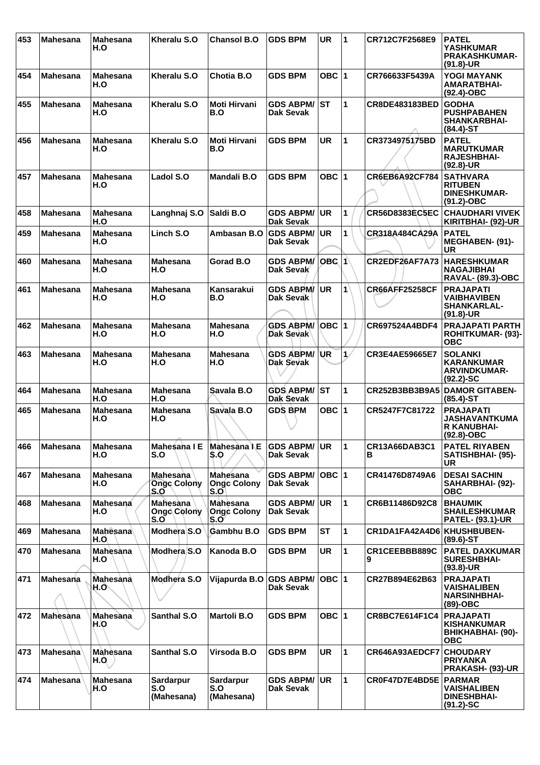| 453 | <b>Mahesana</b> | <b>Mahesana</b><br>H.O | Kheralu S.O                                  | <b>Chansol B.O</b>                     | <b>GDS BPM</b>                       | <b>UR</b>    | 1            | CR712C7F2568E9        | <b>PATEL</b><br><b>YASHKUMAR</b><br><b>PRAKASHKUMAR-</b><br>$(91.8)-UR$        |
|-----|-----------------|------------------------|----------------------------------------------|----------------------------------------|--------------------------------------|--------------|--------------|-----------------------|--------------------------------------------------------------------------------|
| 454 | <b>Mahesana</b> | <b>Mahesana</b><br>H.O | Kheralu S.O                                  | Chotia B.O                             | <b>GDS BPM</b>                       | OBC $ 1$     |              | CR766633F5439A        | YOGI MAYANK<br><b>AMARATBHAI-</b><br>$(92.4)$ -OBC                             |
| 455 | <b>Mahesana</b> | <b>Mahesana</b><br>H.O | Kheralu S.O                                  | <b>Moti Hirvani</b><br>B.O             | <b>GDS ABPM/ST</b><br>Dak Sevak      |              | 1            | CR8DE483183BED        | <b>GODHA</b><br><b>PUSHPABAHEN</b><br><b>SHANKARBHAI-</b><br>$(84.4)$ -ST      |
| 456 | <b>Mahesana</b> | <b>Mahesana</b><br>H.O | Kheralu S.O                                  | Moti Hirvani<br>B.O                    | <b>GDS BPM</b>                       | <b>UR</b>    | $\mathbf{1}$ | CR3734975175BD        | <b>PATEL</b><br><b>MARUTKUMAR</b><br><b>RAJESHBHAI-</b><br>$(92.8)$ -UR        |
| 457 | <b>Mahesana</b> | <b>Mahesana</b><br>H.O | Ladol S.O                                    | <b>Mandali B.O</b>                     | <b>GDS BPM</b>                       | OBC $ 1$     |              | <b>CR6EB6A92CF784</b> | <b>SATHVARA</b><br><b>RITUBEN</b><br><b>DINESHKUMAR-</b><br>$(91.2) - OBC$     |
| 458 | <b>Mahesana</b> | <b>Mahesana</b><br>H.O | Langhnaj S.O                                 | Saldi B.O                              | <b>GDS ABPM/</b><br><b>Dak Sevak</b> | <b>UR</b>    | 1            | <b>CR56D8383EC5EC</b> | <b>CHAUDHARI VIVEK</b><br>KIRITBHAI- (92)-UR                                   |
| 459 | <b>Mahesana</b> | <b>Mahesana</b><br>H.O | Linch S.O                                    | Ambasan B.O                            | <b>GDS ABPM/</b><br><b>Dak Sevak</b> | <b>UR</b>    | 1            | CR318A484CA29A        | <b>PATEL</b><br>MEGHABEN- (91)-<br><b>UR</b>                                   |
| 460 | <b>Mahesana</b> | <b>Mahesana</b><br>H.O | Mahesana<br>H.O                              | Gorad B.O                              | <b>GDS ABPM/</b><br>Dak Sevak        | lOBC I1∖     |              | CR2EDF26AF7A73        | <b>HARESHKUMAR</b><br><b>NAGAJIBHAI</b><br><b>RAVAL- (89.3)-OBC</b>            |
| 461 | <b>Mahesana</b> | <b>Mahesana</b><br>H.O | <b>Mahesana</b><br>H.O                       | Kansarakui<br>B.O                      | <b>GDS ABPM/</b><br>Dak Sevak        | <b>UR</b>    | $\mathbf{1}$ | <b>CR66AFF25258CF</b> | <b>PRAJAPATI</b><br><b>VAIBHAVIBEN</b><br><b>SHANKARLAL-</b><br>$(91.8)-UR$    |
| 462 | <b>Mahesana</b> | <b>Mahesana</b><br>H.O | <b>Mahesana</b><br>H.O                       | <b>Mahesana</b><br>H.O                 | <b>GDS ABPM/</b><br>Dak Sevak        | ∣OBC ∣1      |              | CR697524A4BDF4        | <b>PRAJAPATI PARTH</b><br><b>ROHITKUMAR- (93)-</b><br><b>OBC</b>               |
| 463 | <b>Mahesana</b> | <b>Mahesana</b><br>H.O | Mahesana<br>H.O                              | <b>Mahesana</b><br>H.O                 | <b>GDS ABPM/</b><br>Dak Sevak        | <b>UR</b>    | $\mathbf{1}$ | CR3E4AE59665E7        | <b>SOLANKI</b><br><b>KARANKUMAR</b><br><b>ARVINDKUMAR-</b><br>$(92.2)$ -SC     |
| 464 | <b>Mahesana</b> | <b>Mahesana</b><br>H.O | <b>Mahesana</b><br>H.O                       | Savala B.O                             | <b>GDS ABPM/</b><br><b>Dak Sevak</b> | lst          | 1            | CR252B3BB3B9A5        | <b>DAMOR GITABEN-</b><br>$(85.4)$ -ST                                          |
| 465 | <b>Mahesana</b> | <b>Mahesana</b><br>H.O | <b>Mahesana</b><br>H.O                       | Savala B.O                             | <b>GDS BPM</b>                       | <b>OBC</b> 1 |              | CR5247F7C81722        | <b>PRAJAPATI</b><br><b>JASHAVANTKUMA</b><br><b>R KANUBHAI-</b><br>$(92.8)-OBC$ |
| 466 | <b>Mahesana</b> | <b>Mahesana</b><br>H.O | Mahesana I E<br>S.O                          | Mahesana I E<br>S.O                    | <b>GDS ABPM/ UR</b><br>Dak Sevak     |              | 11           | CR13A66DAB3C1<br>в    | <b>PATEL RIYABEN</b><br>SATISHBHAI- (95)-<br>UR                                |
| 467 | <b>Mahesana</b> | <b>Mahesana</b><br>H.O | <b>Mahesana</b><br><b>Ongc Colony</b><br>S.O | Mahesana<br><b>Ongc Colony</b><br>S.OI | GDS ABPM/ OBC 1<br>Dak Sevak         |              |              | CR41476D8749A6        | <b>DESAI SACHIN</b><br>SAHARBHAI- (92)-<br><b>OBC</b>                          |
| 468 | <b>Mahesana</b> | Mahesana<br>H.O        | <b>Mahesana</b><br><b>Ongc Colony</b><br>S.O | Mahesana<br><b>Ongc Colony</b><br>S.O  | <b>GDS ABPM/</b><br><b>Dak Sevak</b> | <b>UR</b>    | $\mathbf{1}$ | CR6B11486D92C8        | <b>BHAUMIK</b><br><b>SHAILESHKUMAR</b><br><b>PATEL- (93.1)-UR</b>              |
| 469 | <b>Mahesana</b> | <b>Mahesana</b><br>H.O | Modhera S.O                                  | Gambhu B.O                             | <b>GDS BPM</b>                       | <b>ST</b>    | $\mathbf{1}$ | CR1DA1FA42A4D6        | <b>KHUSHBUBEN-</b><br>$(89.6)$ -ST                                             |
| 470 | <b>Mahesana</b> | <b>Mahesana</b><br>H.O | Modhera S.O                                  | Kanoda B.O                             | <b>GDS BPM</b>                       | <b>UR</b>    | $\mathbf{1}$ | CR1CEEBBB889C         | <b>PATEL DAXKUMAR</b><br><b>SURESHBHAI-</b><br>$(93.8)$ -UR                    |
| 471 | Mahesana        | Mahesana<br>∖H.O       | Modhera S.O                                  | Vijapurda B.O GDS ABPM/                | Dak Sevak                            | OBC 1        |              | CR27B894E62B63        | <b>PRAJAPATI</b><br><b>VAISHALIBEN</b><br><b>NARSINHBHAI-</b><br>(89)-OBC      |
| 472 | <b>Mahesana</b> | <b>Mahesana</b><br>H.O | Santhal S.O                                  | <b>Martoli B.O</b>                     | <b>GDS BPM</b>                       | OBC $ 1$     |              | CR8BC7E614F1C4        | <b>PRAJAPATI</b><br><b>KISHANKUMAR</b><br>BHIKHABHAI- (90)-<br><b>OBC</b>      |
| 473 | <b>Mahesana</b> | Mahèsana<br>H.Q        | <b>Santhal S.O</b>                           | Virsoda B.O                            | <b>GDS BPM</b>                       | <b>UR</b>    | $\mathbf{1}$ | CR646A93AEDCF7        | <b>CHOUDARY</b><br><b>PRIYANKA</b><br><b>PRAKASH- (93)-UR</b>                  |
| 474 | <b>Mahesana</b> | <b>Mahesana</b><br>H.O | <b>Sardarpur</b><br>S.O<br>(Mahesana)        | <b>Sardarpur</b><br>S.O<br>(Mahesana)  | <b>GDS ABPM/</b><br><b>Dak Sevak</b> | <b>UR</b>    | $\mathbf{1}$ | CR0F47D7E4BD5E        | <b>PARMAR</b><br><b>VAISHALIBEN</b><br><b>DINESHBHAI-</b><br>$(91.2)$ -SC      |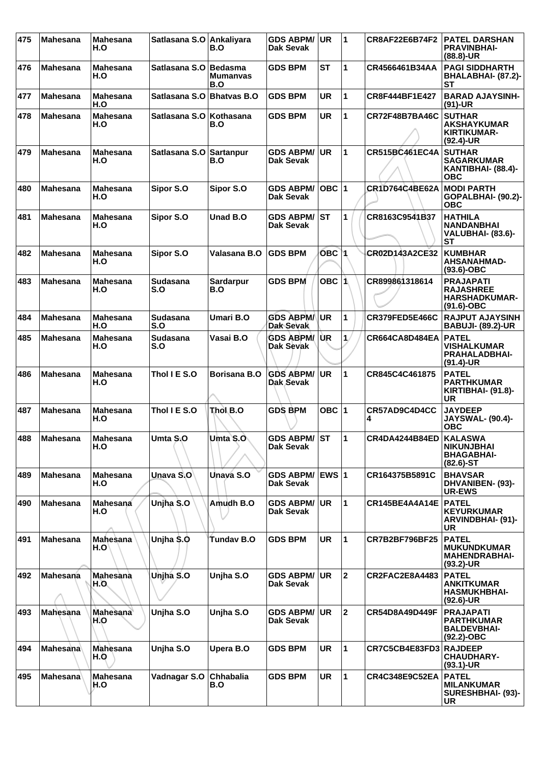| 475 | <b>Mahesana</b> | <b>Mahesana</b><br>H.O  | Satlasana S.O Ankaliyara | B.O                               | <b>GDS ABPM/</b><br>Dak Sevak        | UR              | $\blacktriangleleft$ | CR8AF22E6B74F2         | <b>PATEL DARSHAN</b><br><b>PRAVINBHAI-</b><br>$(88.8)$ -UR                   |
|-----|-----------------|-------------------------|--------------------------|-----------------------------------|--------------------------------------|-----------------|----------------------|------------------------|------------------------------------------------------------------------------|
| 476 | <b>Mahesana</b> | <b>Mahesana</b><br>H.O  | Satlasana S.O            | <b>Bedasma</b><br>Mumanyas<br>B.O | <b>GDS BPM</b>                       | SТ              | 1                    | CR4566461B34AA         | <b>PAGI SIDDHARTH</b><br>BHALABHAI- (87.2)-<br>SТ                            |
| 477 | <b>Mahesana</b> | <b>Mahesana</b><br>H.O  | Satlasana S.O            | <b>Bhatvas B.O</b>                | <b>GDS BPM</b>                       | <b>UR</b>       | 1                    | CR8F444BF1E427         | <b>BARAD AJAYSINH-</b><br>$(91)-UR$                                          |
| 478 | <b>Mahesana</b> | <b>Mahesana</b><br>H.O  | Satlasana S.O            | <b>Kothasana</b><br>B.O           | <b>GDS BPM</b>                       | <b>UR</b>       | $\mathbf{1}$         | CR72F48B7BA46C         | <b>SUTHAR</b><br><b>AKSHAYKUMAR</b><br><b>KIRTIKUMAR-</b><br>$(92.4)$ -UR    |
| 479 | <b>Mahesana</b> | <b>Mahesana</b><br>H.O  | Satlasana S.O            | Sartanpur<br>B.O                  | <b>GDS ABPM/</b><br>Dak Sevak        | UR.             | 1                    | <b>CR515BC461EC4A</b>  | <b>SUTHAR</b><br><b>SAGARKUMAR</b><br>KANTIBHAI- (88.4)-<br><b>OBC</b>       |
| 480 | <b>Mahesana</b> | <b>Mahesana</b><br>H.O  | Sipor S.O                | Sipor S.O                         | <b>GDS ABPM/</b><br>Dak Sevak        | $OBC$  1        |                      | <b>CR1D764C4BE62A</b>  | <b>MODI PARTH</b><br>GOPALBHAI- (90.2)-<br><b>OBC</b>                        |
| 481 | <b>Mahesana</b> | <b>Mahesana</b><br>H.O  | Sipor S.O                | Unad B.O                          | <b>GDS ABPM/</b><br><b>Dak Sevak</b> | IST.            | 1                    | CR8163C9541B37         | <b>HATHILA</b><br><b>NANDANBHAI</b><br><b>VALUBHAI- (83.6)-</b><br><b>ST</b> |
| 482 | <b>Mahesana</b> | <b>Mahesana</b><br>H.O  | Sipor S.O                | Valasana B.O                      | <b>GDS BPM</b>                       | OBC 1           |                      | CR02D143A2CE32         | <b>KUMBHAR</b><br><b>AHSANAHMAD-</b><br>$(93.6)$ -OBC                        |
| 483 | <b>Mahesana</b> | <b>Mahesana</b><br>H.O  | <b>Sudasana</b><br>S.O   | Sardarpur<br>B.O                  | <b>GDS BPM</b>                       | OBC $ \uparrow$ |                      | CR899861318614         | <b>PRAJAPATI</b><br><b>RAJASHREE</b><br><b>HARSHADKUMAR-</b><br>$(91.6)-OBC$ |
| 484 | <b>Mahesana</b> | <b>Mahesana</b><br>H.O  | <b>Sudasana</b><br>S.O   | Umari B.O                         | <b>GDS ABPM/</b><br><b>Dak Sevak</b> | UR              | 1                    | CR379FED5E466C         | <b>RAJPUT AJAYSINH</b><br><b>BABUJI- (89.2)-UR</b>                           |
| 485 | <b>Mahesana</b> | <b>Mahesana</b><br>H.O  | <b>Sudasana</b><br>S.O   | Vasai B.O                         | <b>GDS ABPM/</b><br>Dak Sevak        | UR              | 1 <sub>1</sub>       | CR664CA8D484EA         | <b>PATEL</b><br><b>VISHALKUMAR</b><br><b>PRAHALADBHAI-</b><br>$(91.4)$ -UR   |
| 486 | <b>Mahesana</b> | <b>Mahesana</b><br>H.O  | Thol I E S.O             | <b>Borisana B.O</b>               | <b>GDS ABPM/</b><br>Dak Sevak        | <b>UR</b>       | 1                    | CR845C4C461875         | <b>PATEL</b><br><b>PARTHKUMAR</b><br><b>KIRTIBHAI- (91.8)-</b><br>UR         |
| 487 | <b>Mahesana</b> | <b>Mahesana</b><br>H.O  | Thol I E S.O             | Thol B.O                          | <b>GDS BPM</b>                       | OBC $ 1$        |                      | CR57AD9C4D4CC<br>4     | <b>JAYDEEP</b><br><b>JAYSWAL- (90.4)-</b><br><b>OBC</b>                      |
| 488 | <b>Mahesana</b> | <b>Mahesana</b><br>H.O  | Umta S.O                 | Umta S.O                          | <b>GDS ABPM/ST</b><br>Dak Sevak      |                 | 1                    | <b>CR4DA4244B84ED</b>  | <b>KALASWA</b><br><b>NIKUNJBHAI</b><br><b>BHAGABHAI-</b><br>$(82.6)$ -ST     |
| 489 | <b>Mahesana</b> | <b>Mahesana</b><br>H.O  | Unava S.O                | Unava S.O                         | GDS ABPM/ EWS 1<br><b>Dak Sevak</b>  |                 |                      | CR164375B5891C         | <b>BHAVSAR</b><br>DHVANIBEN- (93)-<br><b>UR-EWS</b>                          |
| 490 | <b>Mahesana</b> | Mahesana<br>H.O         | Unjha S.O                | Amudh B.O                         | <b>GDS ABPM/</b><br>Dak Sevak        | <b>UR</b>       | $\mathbf{1}$         | CR145BE4A4A14E         | <b>PATEL</b><br><b>KEYURKUMAR</b><br><b>ARVINDBHAI- (91)-</b><br><b>UR</b>   |
| 491 | <b>Mahesana</b> | Mahesana<br>H.O         | Unjha \$.0               | Tundav B.O                        | <b>GDS BPM</b>                       | <b>UR</b>       | 1                    | <b>CR7B2BF796BF25</b>  | <b>PATEL</b><br><b>MUKUNDKUMAR</b><br><b>MAHENDRABHAI-</b><br>$(93.2)$ -UR   |
| 492 | <b>Mahesana</b> | <b>Mahesana</b><br>H.O. | Unjha S.O                | Unjha S.O                         | <b>GDS ABPM/</b><br>Dak Sevak        | <b>UR</b>       | $\overline{2}$       | CR2FAC2E8A4483         | <b>PATEL</b><br><b>ANKITKUMAR</b><br><b>HASMUKHBHAI-</b><br>$(92.6)$ -UR     |
| 493 | Mahesana        | <b>Mahesana</b><br>H.O  | Unjha S.O                | Unjha S.O                         | <b>GDS ABPM/</b><br>Dak Sevak        | <b>UR</b>       | $\mathbf 2$          | CR54D8A49D449F         | <b>PRAJAPATI</b><br><b>PARTHKUMAR</b><br><b>BALDEVBHAI-</b><br>$(92.2)$ -OBC |
| 494 | Mahesana        | <b>Mahesana</b><br>H.O  | Unjha S.O                | Upera B.O                         | <b>GDS BPM</b>                       | <b>UR</b>       | 1                    | CR7C5CB4E83FD3 RAJDEEP | <b>CHAUDHARY-</b><br>$(93.1)$ -UR                                            |
| 495 | <b>Mahesana</b> | Mahesana<br>H.O         | Vadnagar S.O             | Chhabalia<br>B.O                  | <b>GDS BPM</b>                       | <b>UR</b>       | $\mathbf{1}$         | <b>CR4C348E9C52EA</b>  | <b>PATEL</b><br><b>MILANKUMAR</b><br>SURESHBHAI- (93)-<br><b>UR</b>          |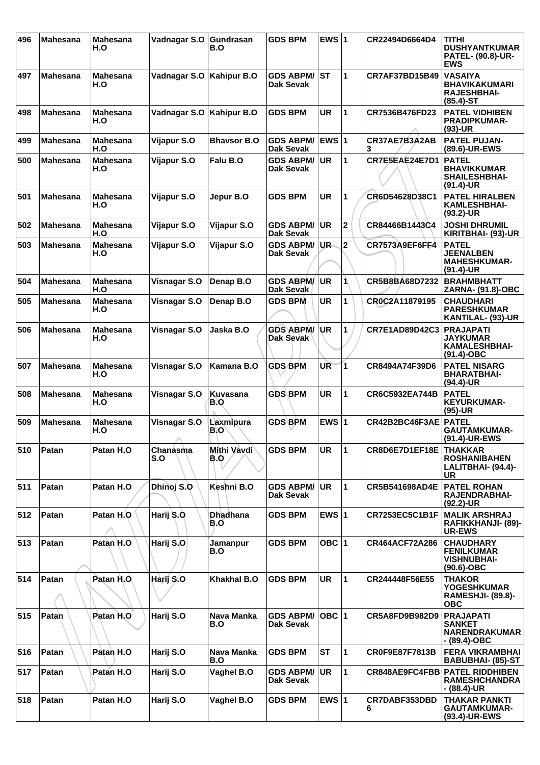| 496 | <b>Mahesana</b> | <b>Mahesana</b><br>H.O | Vadnagar S.O      | Gundrasan<br>B.O          | <b>GDS BPM</b>                       | EWS $ 1$     |                         | CR22494D6664D4        | TITHI<br><b>DUSHYANTKUMAR</b><br><b>PATEL- (90.8)-UR-</b><br><b>EWS</b>       |
|-----|-----------------|------------------------|-------------------|---------------------------|--------------------------------------|--------------|-------------------------|-----------------------|-------------------------------------------------------------------------------|
| 497 | <b>Mahesana</b> | <b>Mahesana</b><br>H.O | Vadnagar S.O      | <b>Kahipur B.O</b>        | <b>GDS ABPM/</b><br>Dak Sevak        | lst          | 1                       | <b>CR7AF37BD15B49</b> | <b>VASAIYA</b><br><b>BHAVIKAKUMARI</b><br><b>RAJESHBHAI-</b><br>$(85.4)$ -ST  |
| 498 | <b>Mahesana</b> | <b>Mahesana</b><br>H.O | Vadnagar S.O      | <b>Kahipur B.O</b>        | <b>GDS BPM</b>                       | <b>UR</b>    | 1                       | CR7536B476FD23        | <b>PATEL VIDHIBEN</b><br><b>PRADIPKUMAR-</b><br>$(93)-UR$                     |
| 499 | <b>Mahesana</b> | <b>Mahesana</b><br>H.O | Vijapur S.O       | <b>Bhavsor B.O</b>        | <b>GDS ABPM/</b><br>Dak Sevak        | <b>EWS 1</b> |                         | CR37AE7B3A2AB<br>3    | <b>PATEL PUJAN-</b><br>(89.6)-UR-EWS                                          |
| 500 | <b>Mahesana</b> | <b>Mahesana</b><br>H.O | Vijapur S.O       | Falu B.O                  | <b>GDS ABPM/</b><br><b>Dak Sevak</b> | <b>UR</b>    | $\mathbf{1}$            | CR7E5EAE24E7D1        | <b>PATEL</b><br><b>BHAVIKKUMAR</b><br><b>SHAILESHBHAI-</b><br>$(91.4)$ -UR    |
| 501 | <b>Mahesana</b> | <b>Mahesana</b><br>H.O | Vijapur S.O       | Jepur B.O                 | <b>GDS BPM</b>                       | <b>UR</b>    | 1                       | CR6D54628D38C1        | <b>PATEL HIRALBEN</b><br><b>KAMLESHBHAI-</b><br>$(93.2)$ -UR                  |
| 502 | <b>Mahesana</b> | <b>Mahesana</b><br>H.O | Vijapur S.O       | Vijapur S.O               | <b>GDS ABPM/</b><br><b>Dak Sevak</b> | <b>UR</b>    | $\overline{\mathbf{2}}$ | CR84466B1443C4        | <b>JOSHI DHRUMIL</b><br>KIRITBHAI- (93)-UR                                    |
| 503 | <b>Mahesana</b> | <b>Mahesana</b><br>H.O | Vijapur S.O       | Vijapur S.O               | <b>GDS ABPM/</b><br><b>Dak Sevak</b> | UR.          | $\overline{2}$          | CR7573A9EF6FF4        | <b>PATEL</b><br><b>JEENALBEN</b><br><b>MAHESHKUMAR-</b><br>$(91.4)$ -UR       |
| 504 | <b>Mahesana</b> | <b>Mahesana</b><br>H.O | Visnagar S.O      | Denap B.O                 | <b>GDS ABPM/</b><br>Dak Sevak        | <b>UR</b>    | 1                       | CR5B8BA68D7232        | <b>BRAHMBHATT</b><br>ZARNA- (91.8)-OBC                                        |
| 505 | <b>Mahesana</b> | <b>Mahesana</b><br>H.O | Visnagar S.O      | Denap B.O                 | <b>GDS BPM</b>                       | UR.          | 1                       | CR0C2A11879195        | <b>CHAUDHARI</b><br><b>PARESHKUMAR</b><br>KANTILAL- (93)-UR                   |
| 506 | <b>Mahesana</b> | <b>Mahesana</b><br>H.O | Visnagar S.O      | Jaska B.O                 | <b>GDS ABPM/</b><br>Dak Sevak        | ∖UR          | 1                       | <b>CR7E1AD89D42C3</b> | <b>PRAJAPATI</b><br><b>JAYKUMAR</b><br><b>KAMALESHBHAI-</b><br>$(91.4)$ -OBC  |
| 507 | <b>Mahesana</b> | <b>Mahesana</b><br>H.O | Visnagar S.O      | Kamana B.O                | <b>GDS BPM</b>                       | UR           | $\overline{\mathbf{1}}$ | CR8494A74F39D6        | <b>PATEL NISARG</b><br><b>BHARATBHAI-</b><br>$(94.4)$ -UR                     |
| 508 | <b>Mahesana</b> | <b>Mahesana</b><br>H.O | Visnagar S.O      | Kuvasana<br>B.O           | <b>GDS BPM</b>                       | <b>UR</b>    | 1                       | CR6C5932EA744B        | <b>PATEL</b><br><b>KEYURKUMAR-</b><br>$(95)-UR$                               |
| 509 | <b>Mahesana</b> | <b>Mahesana</b><br>H.O | Visnagar S.O<br>A | Laxmipura<br>B.O          | <b>GDS BPM</b>                       | EWS $ 1$     |                         | CR42B2BC46F3AE        | <b>PATEL</b><br><b>GAUTAMKUMAR-</b><br>(91.4)-UR-EWS                          |
| 510 | Patan           | Patan H.O              | Chanasma<br>S.O   | Mithi Vavdi<br><b>B.O</b> | <b>GDS BPM</b>                       | <b>UR</b>    | 1                       | CR8D6E7D1EF18E        | <b>THAKKAR</b><br><b>ROSHANIBAHEN</b><br>LALITBHAI- (94.4)-<br>UR             |
| 511 | Patan           | Patan H.O              | Dhinoj S.O        | Keshni B.O                | <b>GDS ABPM/</b><br><b>Dak Sevak</b> | <b>UR</b>    | 1                       | CR5B541698AD4E        | <b>PATEL ROHAN</b><br><b>RAJENDRABHAI-</b><br>$(92.2)$ -UR                    |
| 512 | Patan           | Patan H.O              | Harij S.O         | <b>Dhadhana</b><br>B.O    | <b>GDS BPM</b>                       | EWS $ 1$     |                         | <b>CR7253EC5C1B1F</b> | <b>MALIK ARSHRAJ</b><br>RAFIKKHANJI- (89)-<br><b>UR-EWS</b>                   |
| 513 | Patan           | Patan H.O              | Harij S.O         | Jamanpur<br>B.O           | <b>GDS BPM</b>                       | OBC $ 1$     |                         | CR464ACF72A286        | <b>CHAUDHARY</b><br><b>FENILKUMAR</b><br><b>VISHNUBHAI-</b><br>$(90.6)$ -OBC  |
| 514 | Patan           | Patan H.O.             | Harij S.O         | Khakhal B.O               | <b>GDS BPM</b>                       | <b>UR</b>    | 1                       | CR244448F56E55        | <b>THAKOR</b><br><b>YOGESHKUMAR</b><br><b>RAMESHJI- (89.8)-</b><br><b>OBC</b> |
| 515 | Patan           | Patan H.O              | Harij S.O         | Nava Manka<br>B.O         | <b>GDS ABPM/</b><br>Dak Sevak        | $OBC$  1     |                         | CR5A8FD9B982D9        | <b>PRAJAPATI</b><br><b>SANKET</b><br><b>NARENDRAKUMAR</b><br>- (89.4)-OBC     |
| 516 | Patan           | Patan H.O              | Harij S.O         | Nava Manka<br>B.O         | <b>GDS BPM</b>                       | <b>ST</b>    | $\mathbf{1}$            | CR0F9E87F7813B        | <b>FERA VIKRAMBHAI</b><br><b>BABUBHAI- (85)-ST</b>                            |
| 517 | Patan           | Patan H.O              | Harij S.O         | Vaghel B.O                | <b>GDS ABPM/</b><br><b>Dak Sevak</b> | <b>UR</b>    | 1                       | CR848AE9FC4FBB        | <b>PATEL RIDDHIBEN</b><br><b>RAMESHCHANDRA</b><br>- (88.4)-UR                 |
| 518 | Patan           | Patan H.O              | Harij S.O         | Vaghel B.O                | <b>GDS BPM</b>                       | EWS $ 1$     |                         | CR7DABF353DBD<br>6    | <b>THAKAR PANKTI</b><br>GAUTAMKUMAR-<br>(93.4)-UR-EWS                         |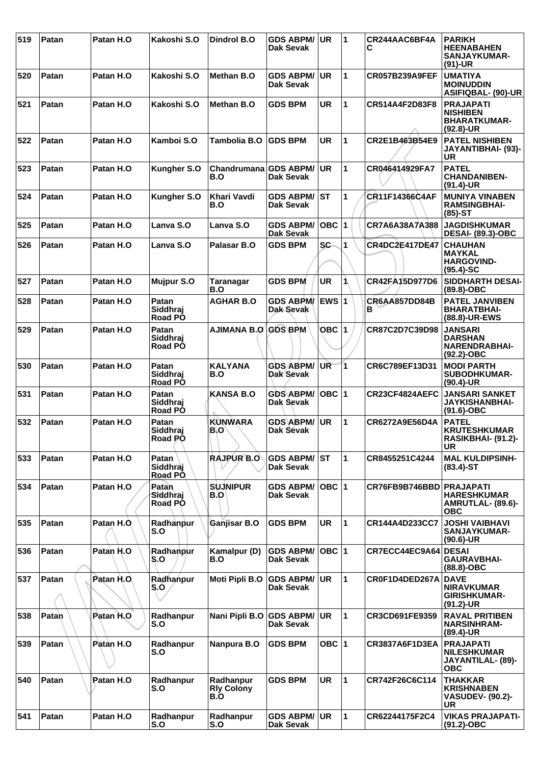| 519 | Patan | Patan H.O  | Kakoshi S.O                  | <b>Dindrol B.O</b>                    | <b>GDS ABPM/</b><br>Dak Sevak        | <b>UR</b>        | 1              | CR244AAC6BF4A<br>С       | <b>PARIKH</b><br><b>HEENABAHEN</b><br>SANJAYKUMAR-<br>$(91)-UR$             |
|-----|-------|------------|------------------------------|---------------------------------------|--------------------------------------|------------------|----------------|--------------------------|-----------------------------------------------------------------------------|
| 520 | Patan | Patan H.O  | Kakoshi S.O                  | <b>Methan B.O</b>                     | <b>GDS ABPM/</b><br><b>Dak Sevak</b> | <b>UR</b>        | 1              | <b>CR057B239A9FEF</b>    | <b>UMATIYA</b><br><b>MOINUDDIN</b><br>ASIFIQBAL- (90)-UR                    |
| 521 | Patan | Patan H.O  | Kakoshi S.O                  | <b>Methan B.O</b>                     | <b>GDS BPM</b>                       | <b>UR</b>        | 1              | CR514A4F2D83F8           | <b>PRAJAPATI</b><br><b>NISHIBEN</b><br><b>BHARATKUMAR-</b><br>$(92.8)$ -UR  |
| 522 | Patan | Patan H.O  | Kamboi S.O                   | <b>Tambolia B.O</b>                   | <b>GDS BPM</b>                       | <b>UR</b>        | 1              | CR2E1B463B54E9           | <b>PATEL NISHIBEN</b><br>JAYANTIBHAI- (93)-<br><b>UR</b>                    |
| 523 | Patan | Patan H.O  | Kungher S.O                  | Chandrumana GDS ABPM/<br>B.O          | <b>Dak Sevak</b>                     | <b>UR</b>        | $\mathbf{1}$   | CR046414929FA7           | <b>PATEL</b><br><b>CHANDANIBEN-</b><br>$(91.4)$ -UR                         |
| 524 | Patan | Patan H.O  | Kungher S.O                  | Khari Vavdi<br>B.O                    | <b>GDS ABPM/</b><br>Dak Sevak        | ST               | 1              | CR11F14366C4AF           | <b>MUNIYA VINABEN</b><br><b>RAMSINGBHAI-</b><br>$(85)-ST$                   |
| 525 | Patan | Patan H.O  | Lanva S.O                    | Lanva S.O                             | <b>GDS ABPM/</b><br><b>Dak Sevak</b> | $\overline{OBC}$ | $\overline{1}$ | CR7A6A38A7A388           | <b>JAGDISHKUMAR</b><br><b>DESAI- (89.3)-OBC</b>                             |
| 526 | Patan | Patan H.O  | Lanva S.O                    | Palasar B.O                           | <b>GDS BPM</b>                       | <b>SC</b>        | 1              | <b>CR4DC2E417DE47</b>    | <b>CHAUHAN</b><br><b>MAYKAL</b><br><b>HARGOVIND-</b><br>$(95.4)-SC$         |
| 527 | Patan | Patan H.O  | <b>Mujpur S.O</b>            | Taranagar<br>B.O                      | <b>GDS BPM</b>                       | <b>UR</b>        | 1              | CR42FA15D977D6           | <b>SIDDHARTH DESAI-</b><br>(89.8)-OBC                                       |
| 528 | Patan | Patan H.O  | Patan<br>Siddhraj<br>Road PO | <b>AGHAR B.O</b>                      | <b>GDS ABPM/</b><br>Dak-Sevak        | EWS 1            |                | CR6AA857DD84B<br>в       | <b>PATEL JANVIBEN</b><br><b>BHARATBHAI-</b><br>(88.8)-UR-EWS                |
| 529 | Patan | Patan H.O  | Patan<br>Siddhraj<br>Road PO | <b>AJIMANA B.O</b>                    | <b>GDS BPM</b>                       | OBC 1            |                | CR87C2D7C39D98           | <b>JANSARI</b><br><b>DARSHAN</b><br>NARENDRABHAI-<br>(92.2)-OBC             |
| 530 | Patan | Patan H.O  | Patan<br>Siddhraj<br>Road PO | <b>KALYANA</b><br>B.O                 | <b>GDS ABPM/</b><br><b>Dak Sevak</b> | UR               | 1              | CR6C789EF13D31           | <b>MODI PARTH</b><br>SUBODHKUMAR-<br>$(90.4)$ -UR                           |
| 531 | Patan | Patan H.O  | Patan<br>Siddhraj<br>Road PO | <b>KANSA B.O</b>                      | <b>GDS ABPM/</b><br>Dak Sevak        | OBC $ 1$         |                | CR23CF4824AEFC           | <b>JANSARI SANKET</b><br><b>JAYKISHANBHAI-</b><br>$(91.6)$ -OBC             |
| 532 | Patan | Patan H.O  | Patan<br>Siddhraj<br>Road PO | <b>KUNWARA</b><br>B.O                 | <b>GDS ABPM/</b><br><b>Dak Sevak</b> | <b>UR</b>        | 1              | CR6272A9E56D4A           | <b>PATEL</b><br><b>KRUTESHKUMAR</b><br>RASIKBHAI- (91.2)-<br><b>UR</b>      |
| 533 | Patan | Patan H.O  | Patan<br>Siddhraj<br>Road PO | <b>RAJPUR B.O</b>                     | <b>GDS ABPM/ST</b><br>Dak Sevak      |                  | $\mathbf{1}$   | CR8455251C4244           | <b>MAL KULDIPSINH-</b><br>$(83.4)$ -ST                                      |
| 534 | Patan | Patan H.O  | Patan<br>Siddhrai<br>Road PO | <b>SUJNIPUR</b><br>B.O                | <b>GDS ABPM/</b><br>Dak Sevak        | OBC 1            |                | CR76FB9B746BBD PRAJAPATI | <b>HARESHKUMAR</b><br>AMRUTLAL- (89.6)-<br><b>OBC</b>                       |
| 535 | Patan | Patan H.O. | Radhanpur<br>S.O             | Ganjisar B.O                          | <b>GDS BPM</b>                       | <b>UR</b>        | 1              | CR144A4D233CC7           | <b>JOSHI VAIBHAVI</b><br><b>SANJAYKUMAR-</b><br>$(90.6)$ -UR                |
| 536 | Patan | Patan H.O  | Radhanpur<br>S.O             | Kamalpur (D)<br>B.O                   | <b>GDS ABPM/</b><br>Dak Sevak        | $OBC$  1         |                | CR7ECC44EC9A64 DESAI     | <b>GAURAVBHAI-</b><br>$(88.8)-OBC$                                          |
| 537 | Patan | Patan H.O. | Radhanpur<br>S.O             | Moti Pipli B.O                        | <b>GDS ABPM/</b><br>Dak Sevak        | ∣UR.             | $\mathbf{1}$   | CR0F1D4DED267A           | <b>DAVE</b><br><b>NIRAVKUMAR</b><br><b>GIRISHKUMAR-</b><br>$(91.2)$ -UR     |
| 538 | Patan | Patan H.O. | Radhanpur<br>S.O             | Nani Pipli B.O                        | <b>GDS ABPM/</b><br>Dak Sevak        | <b>UR</b>        | 1              | CR3CD691FE9359           | <b>RAVAL PRITIBEN</b><br><b>NARSINHRAM-</b><br>(89.4)-UR                    |
| 539 | Patan | Patan H.O  | Radhanpur<br>S.O             | Nanpura B.O                           | <b>GDS BPM</b>                       | OBC $ 1$         |                | CR3837A6F1D3EA           | <b>PRAJAPATI</b><br><b>NILESHKUMAR</b><br>JAYANTILAL- (89)-<br><b>OBC</b>   |
| 540 | Patan | Patan H.O  | Radhanpur<br>S.O             | Radhanpur<br><b>Rly Colony</b><br>B.O | <b>GDS BPM</b>                       | UR.              | $\mathbf{1}$   | CR742F26C6C114           | <b>THAKKAR</b><br><b>KRISHNABEN</b><br><b>VASUDEV- (90.2)-</b><br><b>UR</b> |
| 541 | Patan | Patan H.O  | Radhanpur<br>S.O             | Radhanpur<br>S.O                      | <b>GDS ABPM/</b><br><b>Dak Sevak</b> | ∣UR.             | $\mathbf{1}$   | CR62244175F2C4           | <b>VIKAS PRAJAPATI-</b><br>$(91.2) - OBC$                                   |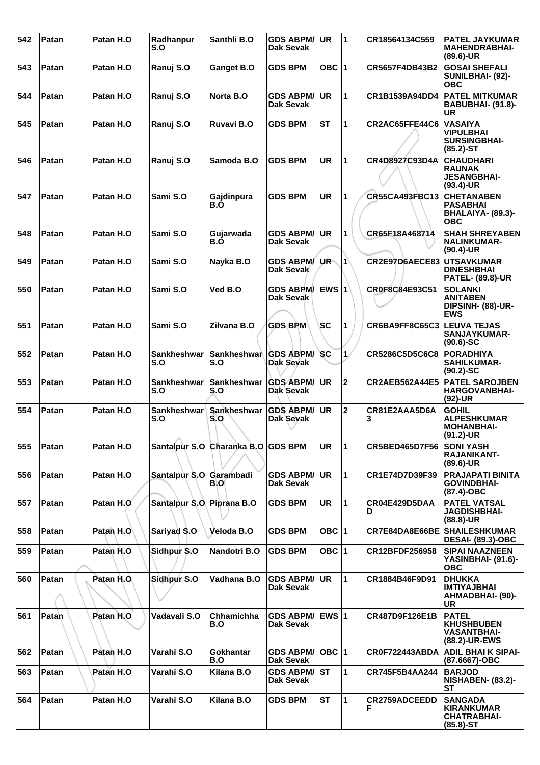| 542 | Patan | Patan H.O  | Radhanpur<br>S.O          | Santhli B.O                        | <b>GDS ABPM/</b><br>Dak Sevak        | <b>UR</b>     | 1            | CR18564134C559        | <b>PATEL JAYKUMAR</b><br><b>MAHENDRABHAI-</b><br>$(89.6)$ -UR               |
|-----|-------|------------|---------------------------|------------------------------------|--------------------------------------|---------------|--------------|-----------------------|-----------------------------------------------------------------------------|
| 543 | Patan | Patan H.O  | Ranuj S.O                 | Ganget B.O                         | <b>GDS BPM</b>                       | OBC $ 1$      |              | CR5657F4DB43B2        | <b>GOSAI SHEFALI</b><br>SUNILBHAI- (92)-<br><b>OBC</b>                      |
| 544 | Patan | Patan H.O  | Ranuj S.O                 | Norta B.O                          | <b>GDS ABPM/</b><br>Dak Sevak        | <b>UR</b>     | 1            | CR1B1539A94DD4        | <b>PATEL MITKUMAR</b><br>BABUBHAI- (91.8)-<br><b>UR</b>                     |
| 545 | Patan | Patan H.O  | Ranuj S.O                 | Ruvavi B.O                         | <b>GDS BPM</b>                       | <b>ST</b>     | $\mathbf{1}$ | CR2AC65FFE44C6        | <b>VASAIYA</b><br><b>VIPULBHAI</b><br><b>SURSINGBHAI-</b><br>$(85.2)$ -ST   |
| 546 | Patan | Patan H.O  | Ranuj S.O                 | Samoda B.O                         | <b>GDS BPM</b>                       | <b>UR</b>     | 1            | CR4D8927C93D4A        | <b>CHAUDHARI</b><br><b>RAUNAK</b><br><b>JESANGBHAI-</b><br>$(93.4)$ -UR     |
| 547 | Patan | Patan H.O  | Sami S.O                  | Gajdinpura<br>B.O                  | <b>GDS BPM</b>                       | <b>UR</b>     | 1            | CR55CA493FBC13        | <b>CHETANABEN</b><br><b>PASABHAI</b><br>BHALAIYA- (89.3)-<br><b>OBC</b>     |
| 548 | Patan | Patan H.O  | Sami S.O                  | Gujarwada<br>B.O                   | <b>GDS ABPM/</b><br>Dak Sevak        | <b>UR</b>     | 1            | CR65F18A468714        | <b>SHAH SHREYABEN</b><br><b>NALINKUMAR-</b><br>$(90.4)$ -UR                 |
| 549 | Patan | Patan H.O  | Sami S.O                  | Nayka B.O                          | <b>GDS ABPM/</b><br>Dak Sevak        | UR-           | $\mathbf{1}$ | CR2E97D6AECE83        | <b>UTSAVKUMAR</b><br><b>DINESHBHAI</b><br><b>PATEL- (89.8)-UR</b>           |
| 550 | Patan | Patan H.O  | Sami S.O                  | Ved B.O                            | <b>GDS ABPM/</b><br><b>Dak Sevak</b> | <b>EWS 1</b>  |              | CR0F8C84E93C51        | <b>SOLANKI</b><br><b>ANITABEN</b><br>DIPSINH- (88)-UR-<br><b>EWS</b>        |
| 551 | Patan | Patan H.O  | Sami S.O                  | Zilvana B.O                        | <b>GDS BPM</b>                       | <b>SC</b>     | 1            | CR6BA9FF8C65C3        | <b>LEUVA TEJAS</b><br><b>SANJAYKUMAR-</b><br>$(90.6)$ -SC                   |
| 552 | Patan | Patan H.O  | <b>Sankheshwar</b><br>S.O | Sankheshwar<br>S.O                 | <b>GDS ABPM/</b><br>Dak Sevak        | <b>SC</b>     | $\mathbf{1}$ | CR5286C5D5C6C8        | <b>PORADHIYA</b><br><b>SAHILKUMAR-</b><br>$(90.2)$ -SC                      |
| 553 | Patan | Patan H.O  | <b>Sankheshwar</b><br>S.O | <b>Sankheshwar</b><br>S.O          | <b>GDS ABPM/</b><br>Dak Sevak        | <b>UR</b>     | $\mathbf 2$  | <b>CR2AEB562A44E5</b> | <b>PATEL SAROJBEN</b><br><b>HARGOVANBHAI-</b><br>(92)-UR                    |
| 554 | Patan | Patan H.O  | Sankheshwar<br>S.O        | Sankheshwar<br>S.O                 | <b>GDS ABPM/</b><br>Dak Sevak        | <b>UR</b>     | $\mathbf 2$  | CR81E2AAA5D6A<br>3    | <b>GOHIL</b><br><b>ALPESHKUMAR</b><br><b>MOHANBHAI-</b><br>$(91.2)$ -UR     |
| 555 | Patan | Patan H.O  |                           | Santalpur S.O Charanka B.O GDS BPM |                                      | UR.           | 11           | <b>CR5BED465D7F56</b> | <b>SONI YASH</b><br>RAJANIKANT-<br>$(89.6)$ -UR                             |
| 556 | Patan | Patan H.O  | Santalpur S.O Garambadi   | BIO                                | <b>GDS ABPM/</b><br>Dak Sevak        | <b>UR</b>     | 1            | CR1E74D7D39F39        | <b>PRAJAPATI BINITA</b><br><b>GOVINDBHAI-</b><br>(87.4)-OBC                 |
| 557 | Patan | Patan H.O  | Santalpur S.O Piprana B.O |                                    | <b>GDS BPM</b>                       | <b>UR</b>     | $\mathbf{1}$ | CR04E429D5DAA<br>D    | <b>PATEL VATSAL</b><br><b>JAGDISHBHAI-</b><br>$(88.8)$ -UR                  |
| 558 | Patan | Patan H.O  | Sariyad S.O               | Veloda B.O                         | <b>GDS BPM</b>                       | OBC $ 1$      |              | CR7E84DA8E66BE        | <b>SHAILESHKUMAR</b><br><b>DESAI- (89.3)-OBC</b>                            |
| 559 | Patan | Patan H.O  | Sidhpur \$.0              | Nandotri B.O                       | <b>GDS BPM</b>                       | OBC $ 1$      |              | CR12BFDF256958        | <b>SIPAI NAAZNEEN</b><br>YASINBHAI- (91.6)-<br><b>OBC</b>                   |
| 560 | Patan | Patan H.O. | Sidhpur S.O               | Vadhana B.O                        | <b>GDS ABPM/</b><br>Dak Sevak        | UR            | 1            | CR1884B46F9D91        | <b>DHUKKA</b><br><b>IMTIYAJBHAI</b><br><b>AHMADBHAI- (90)-</b><br><b>UR</b> |
| 561 | Patan | Patan H.O  | Vadavali S.O              | Chhamichha<br>B.O                  | <b>GDS ABPM/</b><br><b>Dak Sevak</b> | <b>IEWS 1</b> |              | CR487D9F126E1B        | <b>PATEL</b><br><b>KHUSHBUBEN</b><br><b>VASANTBHAI-</b><br>(88.2)-UR-EWS    |
| 562 | Patan | Patan H.O  | Varahi S.O                | Gokhantar<br>B.O                   | <b>GDS ABPM/</b><br><b>Dak Sevak</b> | OBC  1        |              | <b>CR0F722443ABDA</b> | <b>ADIL BHAIK SIPAI-</b><br>(87.6667)-OBC                                   |
| 563 | Patan | Patan H.O  | Varahi S.O                | Kilana B.O                         | <b>GDS ABPM/ ST</b><br>Dak Sevak     |               | $\mathbf{1}$ | <b>CR745F5B4AA244</b> | <b>BARJOD</b><br><b>NISHABEN- (83.2)-</b><br>SТ                             |
| 564 | Patan | Patan H.O  | Varahi S.O                | Kilana B.O                         | <b>GDS BPM</b>                       | <b>ST</b>     | $\mathbf{1}$ | <b>CR2759ADCEEDD</b>  | <b>SANGADA</b><br><b>KIRANKUMAR</b><br><b>CHATRABHAI-</b><br>$(85.8) - ST$  |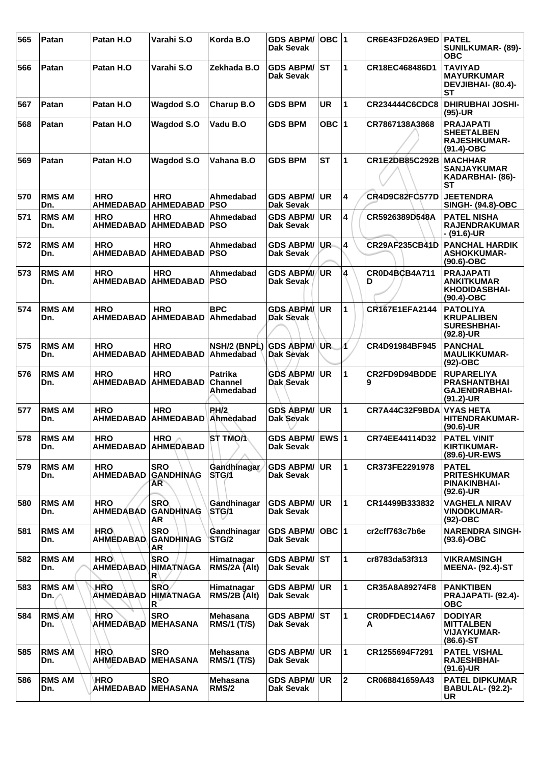| 565 | Patan                | Patan H.O                      | Varahi S.O                                         | Korda B.O                              | <b>GDS ABPM/</b><br>Dak Sevak          | OBC  1    |              | CR6E43FD26A9ED   PATEL    | <b>SUNILKUMAR- (89)-</b><br><b>OBC</b>                                           |
|-----|----------------------|--------------------------------|----------------------------------------------------|----------------------------------------|----------------------------------------|-----------|--------------|---------------------------|----------------------------------------------------------------------------------|
| 566 | Patan                | Patan H.O                      | Varahi S.O                                         | Zekhada B.O                            | <b>GDS ABPM/ST</b><br>Dak Sevak        |           | 1            | CR18EC468486D1            | <b>TAVIYAD</b><br><b>MAYURKUMAR</b><br>DEVJIBHAI- (80.4)-<br><b>ST</b>           |
| 567 | Patan                | Patan H.O                      | <b>Wagdod S.O</b>                                  | Charup B.O                             | <b>GDS BPM</b>                         | <b>UR</b> | 1            | CR234444C6CDC8            | <b>DHIRUBHAI JOSHI-</b><br>$(95)-UR$                                             |
| 568 | Patan                | Patan H.O                      | <b>Wagdod S.O</b>                                  | Vadu B.O                               | <b>GDS BPM</b>                         | OBC ∣1    |              | CR7867138A3868            | <b>PRAJAPATI</b><br><b>SHEETALBEN</b><br><b>RAJESHKUMAR-</b><br>(91.4)-OBC       |
| 569 | Patan                | Patan H.O                      | <b>Wagdod S.O</b>                                  | Vahana B.O                             | <b>GDS BPM</b>                         | <b>ST</b> | 1            | CR1E2DB85C292B            | <b>MACHHAR</b><br><b>SANJAYKUMAR</b><br>KADARBHAI- (86)-<br>SТ                   |
| 570 | <b>RMS AM</b><br>Dn. | <b>HRO</b><br><b>AHMEDABAD</b> | <b>HRO</b><br><b>AHMEDABAD</b>                     | Ahmedabad<br><b>PSO</b>                | <b>GDS ABPM/</b><br><b>Dak Sevak</b>   | <b>UR</b> | 4            | <b>CR4D9C82FC577D</b>     | <b>JEETENDRA</b><br><b>SINGH- (94.8)-OBC</b>                                     |
| 571 | <b>RMS AM</b><br>Dn. | <b>HRO</b><br><b>AHMEDABAD</b> | <b>HRO</b><br><b>AHMEDABAD</b>                     | Ahmedabad<br><b>PSO</b>                | <b>GDS ABPM/</b><br><b>Dak Sevak</b>   | <b>UR</b> | 4            | CR5926389D548A            | <b>PATEL NISHA</b><br><b>RAJENDRAKUMAR</b><br>- (91.6)-UR                        |
| 572 | <b>RMS AM</b><br>Dn. | <b>HRO</b><br><b>AHMEDABAD</b> | <b>HRO</b><br><b>AHMEDABAD</b>                     | Ahmedabad<br><b>PSO</b>                | <b>GDS ABPM/</b><br><b>Dak Sevak</b>   | UR-       | 4            | CR29AF235CB41D            | <b>PANCHAL HARDIK</b><br><b>ASHOKKUMAR-</b><br>$(90.6)$ -OBC                     |
| 573 | <b>RMS AM</b><br>Dn. | <b>HRO</b><br><b>AHMEDABAD</b> | <b>HRO</b><br><b>AHMEDABAD</b>                     | Ahmedabad<br><b>PSO</b>                | <b>GDS ABPM//UR</b><br>Dak Sevak       |           | 4            | <b>CR0D4BCB4A711</b><br>D | <b>PRAJAPATI</b><br><b>ANKITKUMAR</b><br><b>KHODIDASBHAI-</b><br>$(90.4)$ -OBC   |
| 574 | <b>RMS AM</b><br>Dn. | <b>HRO</b><br><b>AHMEDABAD</b> | <b>HRO</b><br><b>AHMEDABAD</b>                     | <b>BPC</b><br>Ahmedabad                | <b>GDS ABPM</b><br><b>Dak Sevak</b>    | UR.       | 1            | CR167E1EFA2144            | <b>PATOLIYA</b><br><b>KRUPALIBEN</b><br><b>SURESHBHAI-</b><br>$(92.8)$ -UR       |
| 575 | <b>RMS AM</b><br>Dn. | <b>HRO</b><br><b>AHMEDABAD</b> | <b>HRO</b><br><b>AHMEDABAD</b>                     | NSH/2 (BNPL)<br>Ahmedabad              | <b>GDS ABPM/</b><br>Dak Sevak          | UR.       | Á            | CR4D91984BF945            | <b>PANCHAL</b><br><b>MAULIKKUMAR-</b><br>$(92)$ -OBC                             |
| 576 | <b>RMS AM</b><br>Dn. | <b>HRO</b><br><b>AHMEDABAD</b> | <b>HRO</b><br><b>AHMEDABAD</b>                     | Patrika<br><b>Channel</b><br>Ahmedabad | <b>GDS ABPM/</b><br>Dak Sevak          | UR.       | 1            | CR2FD9D94BDDE<br>9        | <b>RUPARELIYA</b><br><b>PRASHANTBHAI</b><br><b>GAJENDRABHAI-</b><br>$(91.2)$ -UR |
| 577 | <b>RMS AM</b><br>Dn. | <b>HRO</b><br><b>AHMEDABAD</b> | <b>HRO</b><br><b>AHMEDABAD</b>                     | PH/2<br>Ahmedabad                      | <b>GDS ABPM/</b><br>Dak Sevak          | <b>UR</b> | 1            | CR7A44C32F9BDA            | <b>VYAS HETA</b><br><b>HITENDRAKUMAR-</b><br>$(90.6)$ -UR                        |
| 578 | <b>RMS AM</b><br>Dn. | <b>HRO</b><br><b>AHMEDABAD</b> | HRO $\wedge$<br><b>AHMEDABAD</b>                   | <b>ST TMO/1</b>                        | GDS ABPM/ EWS 1<br><b>Dak Sevak</b>    |           |              | CR74EE44114D32            | <b>PATEL VINIT</b><br><b>KIRTIKUMAR-</b><br>(89.6)-UR-EWS                        |
| 579 | <b>RMS AM</b><br>Dn. | <b>HRO</b><br><b>AHMEDABAD</b> | <b>SRO</b><br><b>GANDHINAG</b><br>AR <sup>-1</sup> | Gandhinagar<br>STG/1                   | <b>GDS ABPM/</b><br>Dak Sevak          | <b>UR</b> | 1            | CR373FE2291978            | <b>PATEL</b><br><b>PRITESHKUMAR</b><br><b>PINAKINBHAI-</b><br>$(92.6)$ -UR       |
| 580 | <b>RMS AM</b><br>Dn. | <b>HRO</b><br><b>AHMEDABAD</b> | <b>SRO</b><br><b>GANDHINAG</b><br>AR               | Gandhinagar<br>STG/1                   | <b>GDS ABPM/</b><br><b>Dak Sevak</b>   | UR.       | 1            | CR14499B333832            | <b>VAGHELA NIRAV</b><br><b>VINODKUMAR-</b><br>(92)-OBC                           |
| 581 | <b>RMS AM</b><br>Dn. | <b>HRO</b><br><b>AHMEDABAD</b> | <b>SRO</b><br><b>GANDHINAG</b><br>AR               | Gandhinagar<br>STG/2                   | <b>GDS ABPM/</b><br><b>Dak Sevak</b>   | OBC  1    |              | cr2cff763c7b6e            | <b>NARENDRA SINGH-</b><br>$(93.6)$ -OBC                                          |
| 582 | <b>RMS AM</b><br>Dn. | <b>HRO</b><br>AHMEDABAD        | <b>SRO</b><br><b>HIMATNAGA</b><br>$\mathsf{R}$     | Himatnagar<br>RMS/2A (Alt)             | <b>GDS ABPM/ST</b><br>Dak Sevak        |           | 1            | cr8783da53f313            | <b>VIKRAMSINGH</b><br><b>MEENA- (92.4)-ST</b>                                    |
| 583 | <b>RMS AM</b><br>Dn. | <b>HRO</b><br><b>AHMEDABAD</b> | <b>SRO</b><br><b>HIMATNAGA</b><br>R                | Himatnagar<br>RMS/2B (Alt)             | <b>GDS ABPM/</b><br><b>Dak Sevak</b>   | <b>UR</b> | 1            | CR35A8A89274F8            | <b>PANKTIBEN</b><br>PRAJAPATI- (92.4)-<br><b>OBC</b>                             |
| 584 | <b>RMS AM</b><br>Dn. | <b>HRO</b><br><b>AHMEDABAD</b> | <b>SRO</b><br><b>MEHASANA</b>                      | Mehasana<br><b>RMS/1 (T/S)</b>         | <b>GDS ABPM/ST</b><br><b>Dak Sevak</b> |           | 1            | CR0DFDEC14A67<br>А        | <b>DODIYAR</b><br><b>MITTALBEN</b><br><b>VIJAYKUMAR-</b><br>$(86.6)$ -ST         |
| 585 | <b>RMS AM</b><br>Dn. | <b>HRO</b><br><b>AHMEDABAD</b> | <b>SRO</b><br><b>MEHASANA</b>                      | <b>Mehasana</b><br><b>RMS/1 (T/S)</b>  | <b>GDS ABPM/</b><br>Dak Sevak          | <b>UR</b> | 1            | CR1255694F7291            | <b>PATEL VISHAL</b><br><b>RAJESHBHAI-</b><br>$(91.6)$ -UR                        |
| 586 | <b>RMS AM</b><br>Dn. | HRO<br><b>AHMEDABAD</b>        | <b>SRO</b><br><b>MEHASANA</b>                      | Mehasana<br><b>RMS/2</b>               | <b>GDS ABPM/</b><br><b>Dak Sevak</b>   | <b>UR</b> | $\mathbf{2}$ | CR068841659A43            | <b>PATEL DIPKUMAR</b><br><b>BABULAL- (92.2)-</b><br><b>UR</b>                    |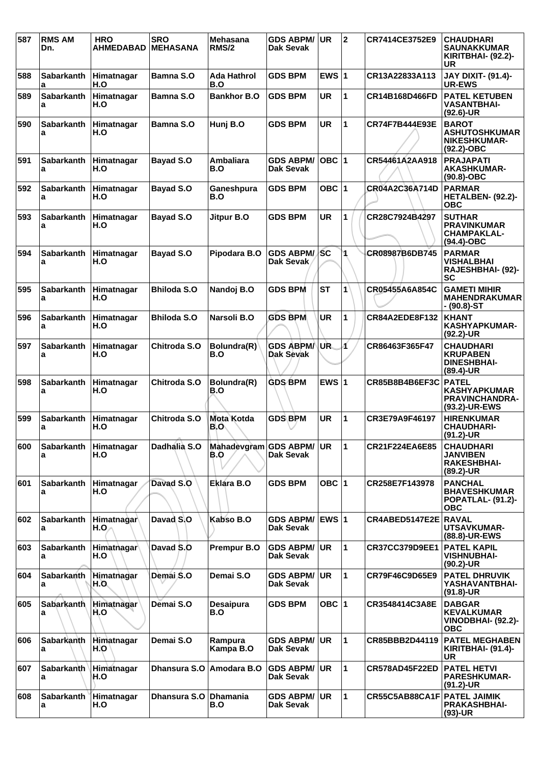| 587 | <b>RMS AM</b><br>Dn.       | <b>HRO</b><br>AHMEDABAD | <b>SRO</b><br><b>MEHASANA</b> | <b>Mehasana</b><br>RMS/2        | <b>GDS ABPM/</b><br><b>Dak Sevak</b> | <b>UR</b>    | $\mathbf{2}$   | CR7414CE3752E9        | <b>CHAUDHARI</b><br><b>SAUNAKKUMAR</b><br>KIRITBHAI- (92.2)-<br>UR            |
|-----|----------------------------|-------------------------|-------------------------------|---------------------------------|--------------------------------------|--------------|----------------|-----------------------|-------------------------------------------------------------------------------|
| 588 | <b>Sabarkanth</b><br>a     | Himatnagar<br>H.O       | Bamna S.O                     | <b>Ada Hathrol</b><br>B.O       | <b>GDS BPM</b>                       | EWS $ 1$     |                | CR13A22833A113        | <b>JAY DIXIT- (91.4)-</b><br>UR-EWS                                           |
| 589 | <b>Sabarkanth</b><br>a     | Himatnagar<br>H.O       | <b>Bamna S.O</b>              | <b>Bankhor B.O</b>              | <b>GDS BPM</b>                       | <b>UR</b>    | 1              | CR14B168D466FD        | <b>PATEL KETUBEN</b><br><b>VASANTBHAI-</b><br>$(92.6)$ -UR                    |
| 590 | <b>Sabarkanth</b><br>a     | Himatnagar<br>H.O       | Bamna S.O                     | Hunj B.O                        | <b>GDS BPM</b>                       | UR           | 1              | CR74F7B444E93E        | <b>BAROT</b><br><b>ASHUTOSHKUMAR</b><br><b>NIKESHKUMAR-</b><br>(92.2)-OBC     |
| 591 | <b>Sabarkanth</b><br>a     | Himatnagar<br>H.O       | <b>Bayad S.O</b>              | <b>Ambaliara</b><br>B.O         | <b>GDS ABPM/</b><br>Dak Sevak        | OBC $ 1$     |                | CR54461A2AA918        | <b>PRAJAPATI</b><br><b>AKASHKUMAR-</b><br>$(90.8)-OBC$                        |
| 592 | Sabarkanth<br>a            | Himatnagar<br>H.O       | Bayad S.O                     | Ganeshpura<br>B.O               | <b>GDS BPM</b>                       | OBC ∣1       |                | CR04A2C36A714D        | <b>PARMAR</b><br>HETALBEN- (92.2)-<br><b>OBC</b>                              |
| 593 | <b>Sabarkanth</b><br>а     | Himatnagar<br>H.O       | <b>Bayad S.O</b>              | Jitpur B.O                      | <b>GDS BPM</b>                       | <b>UR</b>    | 1              | CR28C7924B4297        | <b>SUTHAR</b><br><b>PRAVINKUMAR</b><br><b>CHAMPAKLAL-</b><br>$(94.4)$ -OBC    |
| 594 | <b>Sabarkanth</b><br>a     | Himatnagar<br>H.O       | <b>Bayad S.O</b>              | Pipodara B.O                    | <b>GDS ABPM/</b><br>Dak Sevak        | <b>SC</b>    | 1              | CR08987B6DB745        | <b>PARMAR</b><br>VISHALBHAI<br>RAJESHBHAI- (92)-<br><b>SC</b>                 |
| 595 | <b>Sabarkanth</b><br>a     | Himatnagar<br>H.O       | <b>Bhiloda S.O</b>            | Nandoj B.O                      | <b>GDS BPM</b>                       | <b>ST</b>    | 1              | CR05455A6A854C        | <b>GAMETI MIHIR</b><br><b>MAHENDRAKUMAR</b><br>- (90.8)-ST                    |
| 596 | <b>Sabarkanth</b><br>a     | Himatnagar<br>H.O       | <b>Bhiloda S.O</b>            | Narsoli B.O                     | <b>GDS BPM</b>                       | <b>UR</b>    | 1              | <b>CR84A2EDE8F132</b> | <b>KHANT</b><br><b>KASHYAPKUMAR-</b><br>(92.2)-UR                             |
| 597 | <b>Sabarkanth</b><br>a     | Himatnagar<br>H.O       | Chitroda S.O                  | Bolundra(R)<br>B.O              | <b>GDS ABPM</b><br>Dak Sevak         | UR.          | Á              | CR86463F365F47        | <b>CHAUDHARI</b><br><b>KRUPABEN</b><br><b>DINESHBHAI-</b><br>(89.4)-UR        |
| 598 | <b>Sabarkanth</b><br>a     | Himatnagar<br>H.O       | Chitroda S.O                  | Bolundra(R)<br>B.O              | <b>GDS BPM</b>                       | EWS $ 1$     |                | CR85B8B4B6EF3C        | <b>PATEL</b><br><b>KASHYAPKUMAR</b><br><b>PRAVINCHANDRA-</b><br>(93.2)-UR-EWS |
| 599 | <b>Sabarkanth</b><br>а     | Himatnagar<br>H.O       | Chitroda S.O                  | <b>Mota Kotda</b><br>B.O        | <b>GDS BPM</b>                       | UR           | $\overline{1}$ | CR3E79A9F46197        | <b>HIRENKUMAR</b><br><b>CHAUDHARI-</b><br>(91.2)-UR                           |
| 600 | Sabarkanth Himatnagar<br>a | H.O                     | Dadhalia S.O                  | Mahadevgram GDS ABPM/ UR<br>B.O | Dak Sevak                            |              | 11             | CR21F224EA6E85        | <b>CHAUDHARI</b><br>JANVIBEN<br><b>RAKESHBHAI-</b><br>(89.2)-UR               |
| 601 | <b>Sabarkanth</b><br>a     | Himatnagar<br>H.O       | Davad S.O                     | Eklara B.O                      | <b>GDS BPM</b>                       | OBC 1        |                | CR258E7F143978        | <b>PANCHAL</b><br><b>BHAVESHKUMAR</b><br>POPATLAL- (91.2)-<br><b>OBC</b>      |
| 602 | <b>Sabarkanth</b><br>a     | Himatnagar<br>H.O.      | Davad S.O                     | Kabso B.O                       | <b>GDS ABPM/</b><br><b>Dak Sevak</b> | <b>EWS 1</b> |                | CR4ABED5147E2E RAVAL  | <b>UTSAVKUMAR-</b><br>(88.8)-UR-EWS                                           |
| 603 | <b>Sabarkanth</b><br>a     | Himatnagar<br>H.O       | Davad S.O                     | Prempur B.O                     | <b>GDS ABPM/</b><br>Dak Sevak        | UR           | 1              | <b>CR37CC379D9EE1</b> | <b>PATEL KAPIL</b><br><b>VISHNUBHAI-</b><br>(90.2)-UR                         |
| 604 | Sabarkanth<br>а            | Himatnagar<br>H.O.      | Demai S.O                     | Demai S.O                       | <b>GDS ABPM/</b><br>Dak Sevak        | <b>UR</b>    | $\mathbf 1$    | CR79F46C9D65E9        | <b>PATEL DHRUVIK</b><br>YASHAVANTBHAI-<br>$(91.8)$ -UR                        |
| 605 | <b>Sabarkanth</b><br>a     | Himatnagar<br>H.O       | Demai S.O                     | <b>Desaipura</b><br>B.O         | <b>GDS BPM</b>                       | OBC ∣1       |                | CR3548414C3A8E        | <b>DABGAR</b><br><b>KEVALKUMAR</b><br>VINODBHAI- (92.2)-<br><b>OBC</b>        |
| 606 | Sabarkanth<br>а            | Himatnagar<br>H.O       | Demai S.O                     | Rampura<br>Kampa B.O            | <b>GDS ABPM/</b><br>Dak Sevak        | <b>UR</b>    | 1              | CR85BBB2D44119        | <b>PATEL MEGHABEN</b><br><b>KIRITBHAI- (91.4)-</b><br>UR                      |
| 607 | <b>Sabarkanth</b><br>а     | Himatnagar<br>H.O       | Dhansura S.O                  | Amodara B.O                     | <b>GDS ABPM/</b><br>Dak Sevak        | <b>UR</b>    | $\mathbf 1$    | CR578AD45F22ED        | <b>PATEL HETVI</b><br><b>PARESHKUMAR-</b><br>$(91.2)$ -UR                     |
| 608 | <b>Sabarkanth</b><br>а     | Himatnagar<br>H.O       | Dhansura S.O                  | <b>Dhamania</b><br>B.O          | <b>GDS ABPM/</b><br>Dak Sevak        | UR           | 1              | CR55C5AB88CA1F        | <b>PATEL JAIMIK</b><br><b>PRAKASHBHAI-</b><br>(93)-UR                         |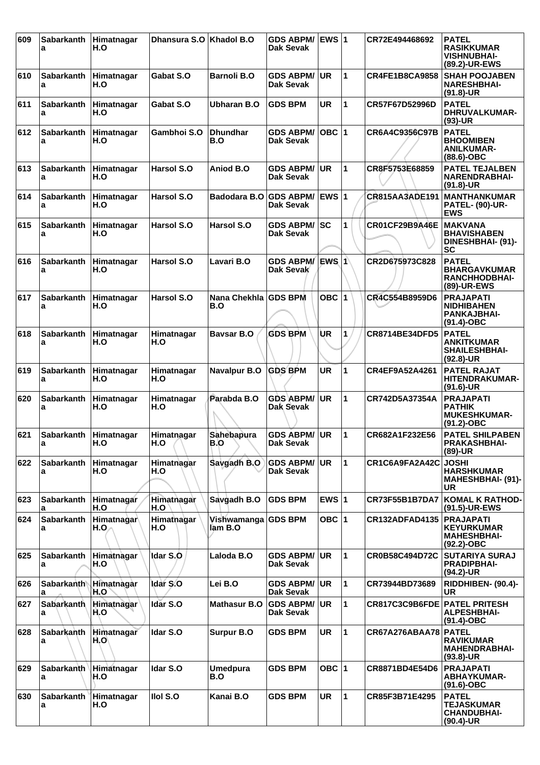| 609 | <b>Sabarkanth</b><br>a | Himatnagar<br>H.O  | Dhansura S.O      | Khadol B.O                  | <b>GDS ABPM/</b><br>Dak Sevak        | EWS $ 1$     |              | CR72E494468692        | <b>PATEL</b><br><b>RASIKKUMAR</b><br><b>VISHNUBHAI-</b><br>(89.2)-UR-EWS     |
|-----|------------------------|--------------------|-------------------|-----------------------------|--------------------------------------|--------------|--------------|-----------------------|------------------------------------------------------------------------------|
| 610 | <b>Sabarkanth</b><br>a | Himatnagar<br>H.O  | Gabat S.O         | <b>Barnoli B.O</b>          | <b>GDS ABPM/</b><br>Dak Sevak        | UR.          | 1            | <b>CR4FE1B8CA9858</b> | <b>SHAH POOJABEN</b><br><b>NARESHBHAI-</b><br>$(91.8)-UR$                    |
| 611 | <b>Sabarkanth</b><br>a | Himatnagar<br>H.O  | Gabat S.O         | <b>Ubharan B.O</b>          | <b>GDS BPM</b>                       | <b>UR</b>    | 1            | CR57F67D52996D        | <b>PATEL</b><br>DHRUVALKUMAR-<br>$(93)-UR$                                   |
| 612 | <b>Sabarkanth</b><br>a | Himatnagar<br>H.O  | Gambhoi S.O       | <b>Dhundhar</b><br>B.O      | <b>GDS ABPM/</b><br>Dak Sevak        | $OBC$  1     |              | CR6A4C9356C97B        | <b>PATEL</b><br><b>BHOOMIBEN</b><br><b>ANILKUMAR-</b><br>$(88.6)$ -OBC       |
| 613 | <b>Sabarkanth</b><br>a | Himatnagar<br>H.O  | Harsol S.O        | Aniod B.O                   | <b>GDS ABPM/</b><br>Dak Sevak        | <b>UR</b>    | 1            | CR8F5753E68859        | <b>PATEL TEJALBEN</b><br><b>NARENDRABHAI-</b><br>$(91.8)-UR$                 |
| 614 | <b>Sabarkanth</b><br>a | Himatnagar<br>H.O  | <b>Harsol S.O</b> | Badodara B.O                | <b>GDS ABPM/</b><br>Dak Sevak        | <b>EWS 1</b> |              | <b>CR815AA3ADE191</b> | <b>MANTHANKUMAR</b><br><b>PATEL- (90)-UR-</b><br><b>EWS</b>                  |
| 615 | Sabarkanth<br>a        | Himatnagar<br>H.O  | <b>Harsol S.O</b> | Harsol S.O                  | <b>GDS ABPM/</b><br>Dak Sevak        | lsc          | 1            | CR01CF29B9A46E        | <b>MAKVANA</b><br><b>BHAVISHABEN</b><br>DINESHBHAI- (91)-<br><b>SC</b>       |
| 616 | <b>Sabarkanth</b><br>a | Himatnagar<br>H.O  | <b>Harsol S.O</b> | Lavari B.O                  | <b>GDS ABPM/</b><br>Dak Sevak        | IEWS I 1     |              | CR2D675973C828        | <b>PATEL</b><br><b>BHARGAVKUMAR</b><br>RANCHHODBHAI-<br>(89)-UR-EWS          |
| 617 | <b>Sabarkanth</b><br>a | Himatnagar<br>H.O  | Harsol S.O        | Nana Chekhla GDS BPM<br>B.O |                                      | OBC 1        |              | CR4C554B8959D6        | <b>PRAJAPATI</b><br><b>NIDHIBAHEN</b><br><b>PANKAJBHAI-</b><br>$(91.4)$ -OBC |
| 618 | <b>Sabarkanth</b><br>a | Himatnagar<br>H.O  | Himatnagar<br>H.O | <b>Bavsar B.O</b>           | <b>GDS BPM</b>                       | UR           | 1            | CR8714BE34DFD5        | <b>PATEL</b><br><b>ANKITKUMAR</b><br><b>SHAILESHBHAI-</b><br>$(92.8)$ -UR    |
| 619 | <b>Sabarkanth</b><br>a | Himatnagar<br>H.O  | Himatnagar<br>H.O | <b>Navalpur B.O</b>         | <b>GDS BPM</b>                       | UR           | 1            | CR4EF9A52A4261        | <b>PATEL RAJAT</b><br><b>HITENDRAKUMAR-</b><br>$(91.6)$ -UR                  |
| 620 | <b>Sabarkanth</b><br>a | Himatnagar<br>H.O  | Himatnagar<br>H.O | Parabda B.O                 | <b>GDS ABPM/</b><br>Dak Sevak        | <b>UR</b>    | 1            | CR742D5A37354A        | <b>PRAJAPATI</b><br><b>PATHIK</b><br><b>MUKESHKUMAR-</b><br>$(91.2)$ -OBC    |
| 621 | <b>Sabarkanth</b><br>a | Himatnagar<br>H.O  | Himatnagar<br>H.O | Sahebapura<br>B.O           | <b>GDS ABPM/</b><br>Dak Sevak        | <b>UR</b>    | 1            | CR682A1F232E56        | <b>PATEL SHILPABEN</b><br><b>PRAKASHBHAI-</b><br>(89)-UR                     |
| 622 | <b>Sabarkanth</b><br>a | Himatnagar<br>H.O  | Himatnagar<br>H.O | Savgadh B.O                 | <b>GDS ABPM/</b><br>Dak Sevak        | <b>UR</b>    | 1            | CR1C6A9FA2A42C        | <b>JOSHI</b><br><b>HARSHKUMAR</b><br><b>MAHESHBHAI- (91)-</b><br>UR          |
| 623 | <b>Sabarkanth</b><br>a | Himatnagar<br>H.O  | Himatnagar<br>H.O | Savgadh B.O                 | <b>GDS BPM</b>                       | EWS $ 1$     |              | <b>CR73F55B1B7DA7</b> | <b>KOMAL K RATHOD-</b><br>(91.5)-UR-EWS                                      |
| 624 | Sabarkanth<br>a        | Himatnagar<br>H.O. | Himathagar<br>H.O | Vishwamanga<br>lam B.O      | <b>GDS BPM</b>                       | OBC $ 1$     |              | <b>CR132ADFAD4135</b> | <b>PRAJAPATI</b><br><b>KEYURKUMAR</b><br><b>MAHESHBHAI-</b><br>$(92.2)$ -OBC |
| 625 | Sabarkanth<br>a        | Himatnagar<br>H.O  | Idar S.O          | Laloda B.O                  | <b>GDS ABPM/</b><br>Dak Sevak        | <b>UR</b>    | $\mathbf{1}$ | CR0B58C494D72C        | <b>SUTARIYA SURAJ</b><br><b>PRADIPBHAI-</b><br>(94.2)-UR                     |
| 626 | Sabarkanth<br>a        | Himatnagar<br>H.O  | Idar S.O          | Lei B.O                     | <b>GDS ABPM/</b><br>Dak Sevak        | <b>UR</b>    | $\mathbf{1}$ | CR73944BD73689        | RIDDHIBEN- (90.4)-<br>UR                                                     |
| 627 | <b>Sabarkanth</b><br>a | Himatnagar<br>H.O  | Idar S.O          | <b>Mathasur B.O</b>         | <b>GDS ABPM/</b><br><b>Dak Sevak</b> | <b>UR</b>    | $\mathbf{1}$ | CR817C3C9B6FDE        | <b>PATEL PRITESH</b><br><b>ALPESHBHAI-</b><br>$(91.4)$ -OBC                  |
| 628 | Sabarkanth<br>а        | Himatnagar<br>H,O  | Idar S.O          | <b>Surpur B.O</b>           | <b>GDS BPM</b>                       | <b>UR</b>    | $\mathbf{1}$ | CR67A276ABAA78        | <b>PATEL</b><br><b>RAVIKUMAR</b><br><b>MAHENDRABHAI-</b><br>$(93.8)$ -UR     |
| 629 | <b>Sabarkanth</b><br>a | Himatnagar<br>H.O  | Idar S.O          | <b>Umedpura</b><br>B.O      | <b>GDS BPM</b>                       | OBC 1        |              | CR8871BD4E54D6        | <b>PRAJAPATI</b><br><b>ABHAYKUMAR-</b><br>$(91.6)$ -OBC                      |
| 630 | <b>Sabarkanth</b><br>а | Himatnagar<br>H.O  | Ilol S.O          | Kanai B.O                   | <b>GDS BPM</b>                       | <b>UR</b>    | $\mathbf{1}$ | CR85F3B71E4295        | <b>PATEL</b><br><b>TEJASKUMAR</b><br><b>CHANDUBHAI-</b><br>(90.4)-UR         |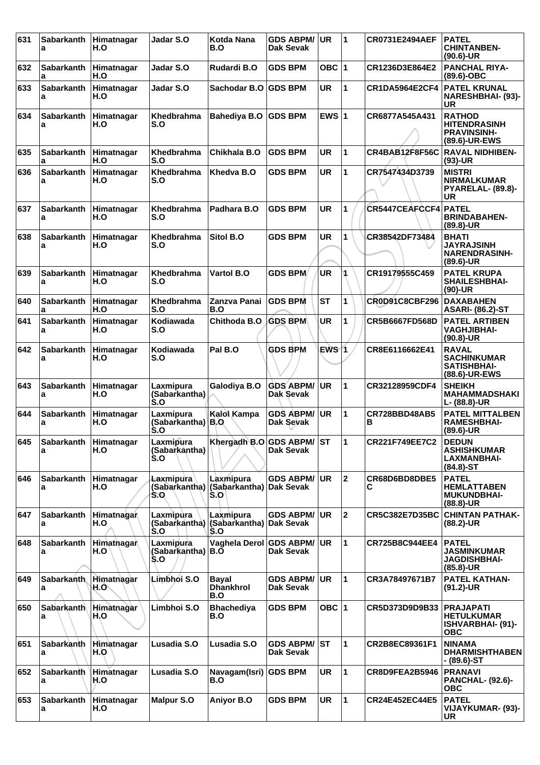| 631 | <b>Sabarkanth</b><br>a | Himatnagar<br>H.O        | Jadar S.O                         | <b>Kotda Nana</b><br>B.O                    | <b>GDS ABPM/</b><br>Dak Sevak        | UR         | 1            | <b>CR0731E2494AEF</b> | <b>PATEL</b><br><b>CHINTANBEN-</b><br>$(90.6)$ -UR                          |
|-----|------------------------|--------------------------|-----------------------------------|---------------------------------------------|--------------------------------------|------------|--------------|-----------------------|-----------------------------------------------------------------------------|
| 632 | <b>Sabarkanth</b><br>a | Himatnagar<br>H.O        | Jadar S.O                         | Rudardi B.O                                 | <b>GDS BPM</b>                       | OBC $ 1$   |              | CR1236D3E864E2        | <b>PANCHAL RIYA-</b><br>$(89.6)$ -OBC                                       |
| 633 | Sabarkanth<br>a        | Himatnagar<br>H.O        | Jadar S.O                         | Sachodar B.O GDS BPM                        |                                      | <b>UR</b>  | 1            | CR1DA5964E2CF4        | <b>PATEL KRUNAL</b><br><b>NARESHBHAI- (93)-</b><br>UR                       |
| 634 | <b>Sabarkanth</b><br>a | Himatnagar<br>H.O        | <b>Khedbrahma</b><br>S.O          | Bahediya B.O                                | <b>GDS BPM</b>                       | EWS $ 1$   |              | CR6877A545A431        | <b>RATHOD</b><br><b>HITENDRASINH</b><br><b>PRAVINSINH-</b><br>(89.6)-UR-EWS |
| 635 | <b>Sabarkanth</b><br>a | Himatnagar<br>H.O        | Khedbrahma<br>S.O                 | Chikhala B.O                                | <b>GDS BPM</b>                       | <b>UR</b>  | $\mathbf{1}$ | <b>CR4BAB12F8F56C</b> | <b>RAVAL NIDHIBEN-</b><br>$(93)-UR$                                         |
| 636 | <b>Sabarkanth</b><br>a | Himatnagar<br>H.O        | Khedbrahma<br>S.O                 | Khedva B.O                                  | <b>GDS BPM</b>                       | <b>UR</b>  | 1            | CR7547434D3739        | <b>MISTRI</b><br><b>NIRMALKUMAR</b><br>PYARELAL- (89.8)-<br>UR              |
| 637 | Sabarkanth<br>a        | Himatnagar<br>H.O        | <b>Khedbrahma</b><br>S.O          | Padhara B.O                                 | <b>GDS BPM</b>                       | UR         | $\mathbf{1}$ | CR5447CEAFCCF4        | <b>PATEL</b><br><b>BRINDABAHEN-</b><br>$(89.8)$ -UR                         |
| 638 | <b>Sabarkanth</b><br>a | Himatnagar<br>H.O        | <b>Khedbrahma</b><br>S.O          | Sitol B.O                                   | <b>GDS BPM</b>                       | <b>UR</b>  | 1            | CR38542DF73484        | <b>BHATI</b><br><b>JAYRAJSINH</b><br><b>NARENDRASINH-</b><br>$(89.6)$ -UR   |
| 639 | <b>Sabarkanth</b><br>a | Himatnagar<br>H.O        | <b>Khedbrahma</b><br>S.O          | <b>Vartol B.O</b>                           | <b>GDS BPM</b>                       | <b>UR</b>  |              | CR19179555C459        | <b>PATEL KRUPA</b><br><b>SHAILESHBHAI-</b><br>$(90)-UR$                     |
| 640 | <b>Sabarkanth</b><br>a | Himatnagar<br>H.O        | Khedbrahma<br>S.O                 | Zanzva Panai<br>B.O                         | <b>GDS BPM</b>                       | <b>ST</b>  | 1            | <b>CR0D91C8CBF296</b> | <b>DAXABAHEN</b><br><b>ASARI- (86.2)-ST</b>                                 |
| 641 | <b>Sabarkanth</b><br>a | Himatnagar<br>H.O        | Kodiawada<br>S.O                  | Chithoda B.O                                | <b>GDS BPM</b>                       | <b>UR</b>  | 1            | CR5B6667FD568D        | <b>PATEL ARTIBEN</b><br><b>VAGHJIBHAI-</b><br>$(90.8)$ -UR                  |
| 642 | <b>Sabarkanth</b><br>a | Himatnagar<br>H.O        | Kodiawada<br>S.O                  | Pal B.O                                     | <b>GDS BPM</b>                       | EWS 1      |              | CR8E6116662E41        | <b>RAVAL</b><br><b>SACHINKUMAR</b><br><b>SATISHBHAI-</b><br>(88.6)-UR-EWS   |
| 643 | <b>Sabarkanth</b><br>а | Himatnagar<br>H.O        | Laxmipura<br>(Sabarkantha)<br>S.O | Galodiya B.O                                | <b>GDS ABPM/</b><br>Dak Sevak        | <b>UR</b>  | 1            | CR32128959CDF4        | <b>SHEIKH</b><br>MAHAMMADSHAKI<br>L- (88.8)-UR                              |
| 644 | <b>Sabarkanth</b><br>a | Himatnagar<br>H.O        | Laxmipura<br>(Sabarkantha)<br>S.O | Kalol Kampa<br> B.O                         | <b>GDS ABPM/</b><br>Dak Sevak        | <b>UR</b>  | $\mathbf{1}$ | CR728BBD48AB5<br>в    | <b>PATEL MITTALBEN</b><br><b>RAMESHBHAI-</b><br>$(89.6)$ -UR                |
| 645 | <b>Sabarkanth</b><br>a | Himatnagar<br>H.O        | Laxmipura<br>(Sabarkantha)<br>S.O | Khergadh B.O GDS ABPM/ ST                   | <b>Dak Sevak</b>                     |            | 1            | CR221F749EE7C2        | <b>DEDUN</b><br><b>ASHISHKUMAR</b><br><b>LAXMANBHAI-</b><br>$(84.8) - ST$   |
| 646 | Sabarkanth<br>а        | Himatnagar<br>H.O        | Laxmipura<br>(Sabarkantha)<br>S.O | Laxmipura<br>(Sabarkantha)<br>S.O           | <b>GDS ABPM/</b><br>Dak Sevak        | UR.        | $\mathbf 2$  | CR68D6BD8DBE5<br>С    | <b>PATEL</b><br><b>HEMLATTABEN</b><br><b>MUKUNDBHAI-</b><br>$(88.8)$ -UR    |
| 647 | Sabarkanth<br>a        | <b>Himatnagan</b><br>H.O | Laxmipura<br>(Sabarkantha)<br>S.O | Laxmipura<br>(Sabarkantha) Dak Sevak<br>S.O | <b>GDS ABPM/</b>                     | <b>UR</b>  | $\mathbf 2$  | CR5C382E7D35BC        | <b>CHINTAN PATHAK-</b><br>$(88.2)$ -UR                                      |
| 648 | <b>Sabarkanth</b><br>а | <b>Himathagar</b><br>H.O | Laxmipura<br>(Sabarkantha)<br>S.O | Vaghela Derol GDS ABPM/<br>B.O              | <b>Dak Sevak</b>                     | <b>UR</b>  | $\mathbf{1}$ | CR725B8C944EE4        | <b>PATEL</b><br><b>JASMINKUMAR</b><br><b>JAGDISHBHAI-</b><br>$(85.8)$ -UR   |
| 649 | Sabarkanth.<br>a       | Himatnagar<br>H.O`       | Limbhói S.O                       | <b>Bayal</b><br><b>Dhankhrol</b><br>B.O     | <b>GDS ABPM/</b><br><b>Dak Sevak</b> | <b>UR</b>  | 1            | CR3A78497671B7        | <b>PATEL KATHAN-</b><br>$(91.2)$ -UR                                        |
| 650 | Sabarkanth<br>а        | Himatnagar<br>H,O        | Limbhoi S.O                       | <b>Bhachediya</b><br>B.O                    | <b>GDS BPM</b>                       | OBC 1      |              | CR5D373D9D9B33        | <b>PRAJAPATI</b><br><b>HETULKUMAR</b><br>ISHVARBHAI- (91)-<br><b>OBC</b>    |
| 651 | Sabarkanth<br>a        | Himatnagar<br>H.O        | Lusadia S.O                       | Lusadia S.O                                 | <b>GDS ABPM/</b><br>Dak Sevak        | <b>IST</b> | 1            | CR2B8EC89361F1        | <b>NINAMA</b><br><b>DHARMISHTHABEN</b><br>- (89.6)-ST                       |
| 652 | Sabarkanth<br>а        | Himatnagar<br>H.O        | Lusadia S.O                       | Navagam(Isri)<br>B.O                        | <b>GDS BPM</b>                       | <b>UR</b>  | 1            | CR8D9FEA2B5946        | <b>PRANAVI</b><br><b>PANCHAL- (92.6)-</b><br><b>OBC</b>                     |
| 653 | <b>Sabarkanth</b><br>а | Himatnagar<br>H.O        | <b>Malpur S.O</b>                 | <b>Aniyor B.O</b>                           | <b>GDS BPM</b>                       | <b>UR</b>  | 1            | <b>CR24E452EC44E5</b> | <b>PATEL</b><br>VIJAYKUMAR- (93)-<br><b>UR</b>                              |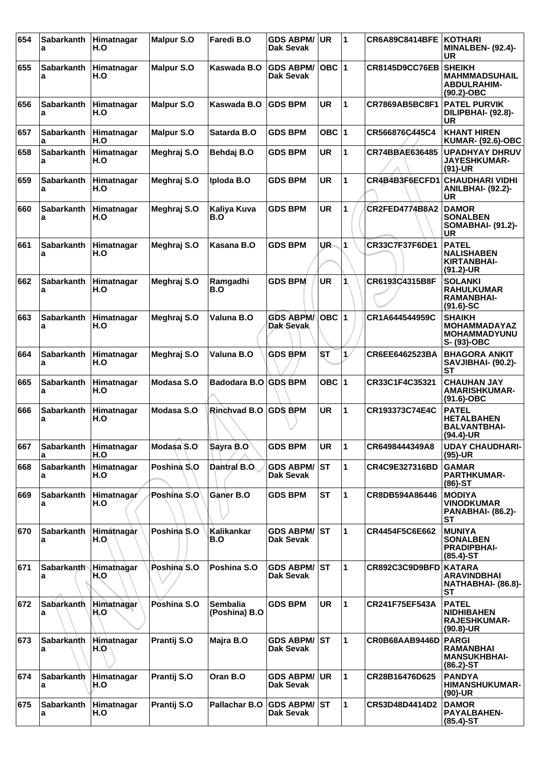| 654 | Sabarkanth<br>a        | Himatnagar<br>H.O | <b>Malpur S.O</b> | Faredi B.O                       | <b>GDS ABPM/</b><br>Dak Sevak          | <b>UR</b> | 11                   | <b>CR6A89C8414BFE</b> | <b>KOTHARI</b><br><b>MINALBEN- (92.4)-</b><br>UR                           |
|-----|------------------------|-------------------|-------------------|----------------------------------|----------------------------------------|-----------|----------------------|-----------------------|----------------------------------------------------------------------------|
| 655 | <b>Sabarkanth</b><br>a | Himatnagar<br>H.O | <b>Malpur S.O</b> | Kaswada B.O                      | <b>GDS ABPM/</b><br>Dak Sevak          | $OBC$  1  |                      | <b>CR8145D9CC76EB</b> | <b>SHEIKH</b><br><b>MAHMMADSUHAIL</b><br><b>ABDULRAHIM-</b><br>(90.2)-OBC  |
| 656 | <b>Sabarkanth</b><br>a | Himatnagar<br>H.O | <b>Malpur S.O</b> | Kaswada B.O                      | <b>GDS BPM</b>                         | <b>UR</b> | 1                    | CR7869AB5BC8F1        | <b>PATEL PURVIK</b><br>DILIPBHAI- (92.8)-<br>UR                            |
| 657 | <b>Sabarkanth</b><br>a | Himatnagar<br>H.O | <b>Malpur S.O</b> | Satarda B.O                      | <b>GDS BPM</b>                         | OBC 1     |                      | CR566876C445C4        | <b>KHANT HIREN</b><br><b>KUMAR- (92.6)-OBC</b>                             |
| 658 | <b>Sabarkanth</b><br>a | Himatnagar<br>H.O | Meghraj S.O       | Behdaj B.O                       | <b>GDS BPM</b>                         | <b>UR</b> | $\blacktriangleleft$ | <b>CR74BBAE636485</b> | <b>UPADHYAY DHRUV</b><br><b>JAYESHKUMAR-</b><br>$(91)-UR$                  |
| 659 | <b>Sabarkanth</b><br>a | Himatnagar<br>H.O | Meghraj S.O       | Iploda B.O                       | <b>GDS BPM</b>                         | <b>UR</b> | 1                    | CR4B4B3F6ECFD1        | <b>CHAUDHARI VIDHI</b><br><b>ANILBHAI- (92.2)-</b><br><b>UR</b>            |
| 660 | Sabarkanth<br>a        | Himatnagar<br>H.O | Meghraj S.O       | Kaliya Kuva<br>B.O               | <b>GDS BPM</b>                         | <b>UR</b> | 1                    | <b>CR2FED4774B8A2</b> | <b>DAMOR</b><br><b>SONALBEN</b><br><b>SOMABHAI- (91.2)-</b><br><b>UR</b>   |
| 661 | <b>Sabarkanth</b><br>a | Himatnagar<br>H.O | Meghraj S.O       | Kasana B.O                       | <b>GDS BPM</b>                         | UR.       | 1                    | CR33C7F37F6DE1        | <b>PATEL</b><br><b>NALISHABEN</b><br>KIRTANBHAI-<br>$(91.2)$ -UR           |
| 662 | <b>Sabarkanth</b><br>a | Himatnagar<br>H.O | Meghraj S.O       | Ramgadhi<br>B.O                  | <b>GDS BPM</b>                         | <b>UR</b> | 1                    | CR6193C4315B8F        | <b>SOLANKI</b><br><b>RAHULKUMAR</b><br><b>RAMANBHAI-</b><br>$(91.6)$ -SC   |
| 663 | Sabarkanth<br>а        | Himatnagar<br>H.O | Meghraj S.O       | Valuna B.O                       | <b>GDS ABPM/</b><br><b>Dak Sevak</b>   | $OBC$  1  |                      | CR1A644544959C        | <b>SHAIKH</b><br><b>MOHAMMADAYAZ</b><br><b>MOHAMMADYUNU</b><br>S- (93)-OBC |
| 664 | <b>Sabarkanth</b><br>a | Himatnagar<br>H.O | Meghraj S.O       | Valuna B.O                       | <b>GDS BPM</b>                         | <b>ST</b> | $\mathbf{1}$         | CR6EE6462523BA        | <b>BHAGORA ANKIT</b><br>SAVJIBHAI- (90.2)-<br><b>ST</b>                    |
| 665 | <b>Sabarkanth</b><br>a | Himatnagar<br>H.O | Modasa S.O        | Badodara B.O                     | <b>GDS BPM</b>                         | OBC $ 1$  |                      | CR33C1F4C35321        | <b>CHAUHAN JAY</b><br><b>AMARISHKUMAR-</b><br>(91.6)-OBC                   |
| 666 | Sabarkanth<br>a        | Himatnagar<br>H.O | Modasa S.O        | Rinchvad B.O                     | <b>GDS BPM</b>                         | <b>UR</b> | 1                    | CR193373C74E4C        | <b>PATEL</b><br><b>HETALBAHEN</b><br><b>BALVANTBHAI-</b><br>(94.4)-UR      |
| 667 | <b>Sabarkanth</b><br>a | Himatnagar<br>H.O | Modasa S.O        | Sayra B.O                        | <b>GDS BPM</b>                         | UR        | 11                   | CR6498444349A8        | <b>UDAY CHAUDHARI-</b><br>$(95)-UR$                                        |
| 668 | <b>Sabarkanth</b><br>а | Himatnagar<br>H.O | Poshina S.O       | Dantral B.O.                     | <b>GDS ABPM/</b><br>Dak Sevak          | <b>ST</b> | 1                    | CR4C9E327316BD        | <b>GAMAR</b><br><b>PARTHKUMAR-</b><br>$(86)$ -ST                           |
| 669 | <b>Sabarkanth</b><br>a | Himatnagar<br>H.O | Poshina S.O       | Ganer B.O                        | <b>GDS BPM</b>                         | <b>ST</b> | 1                    | CR8DB594A86446        | <b>MODIYA</b><br><b>VINODKUMAR</b><br>PANABHAI- (86.2)-<br><b>ST</b>       |
| 670 | <b>Sabarkanth</b><br>a | Himatnagar<br>H.O | Poshina S.O       | Kalikankar<br>B.O                | <b>GDS ABPM/</b><br>Dak Sevak          | lst       | 1                    | CR4454F5C6E662        | <b>MUNIYA</b><br><b>SONALBEN</b><br><b>PRADIPBHAI-</b><br>$(85.4)$ -ST     |
| 671 | <b>Sabarkanth</b><br>a | Himathagar<br>H.O | Poshina S.O       | Poshina S.O                      | <b>GDS ABPM/</b><br><b>Dak Sevak</b>   | IST       | 1                    | CR892C3C9D9BFD KATARA | <b>ARAVINDBHAI</b><br>NATHABHAI- (86.8)-<br><b>ST</b>                      |
| 672 | <b>Sabarkanth</b><br>a | Himatnagar<br>H.O | Poshina S.O       | <b>Sembalia</b><br>(Poshina) B.O | <b>GDS BPM</b>                         | <b>UR</b> | 1                    | CR241F75EF543A        | <b>PATEL</b><br><b>NIDHIBAHEN</b><br><b>RAJESHKUMAR-</b><br>(90.8)-UR      |
| 673 | Sabarkanth<br>а        | Himatnagar<br>H.O | Prantij S.O       | Majra B.O                        | <b>GDS ABPM/</b><br>Dak Sevak          | IST       | 1                    | CR0B68AAB9446D        | <b>PARGI</b><br><b>RAMANBHAI</b><br><b>MANSUKHBHAI-</b><br>$(86.2)$ -ST    |
| 674 | Sabarkanth<br>a        | Himatnagar<br>H.O | Prantij S.O       | Oran B.O                         | <b>GDS ABPM/</b><br><b>Dak Sevak</b>   | <b>UR</b> | 1                    | CR28B16476D625        | <b>PANDYA</b><br><b>HIMANSHUKUMAR-</b><br>(90)-UR                          |
| 675 | Sabarkanth<br>а        | Himatnagar<br>H.O | Prantij S.O       | Pallachar B.O                    | <b>GDS ABPM/ST</b><br><b>Dak Sevak</b> |           | 1                    | CR53D48D4414D2        | <b>DAMOR</b><br><b>PAYALBAHEN-</b><br>$(85.4)$ -ST                         |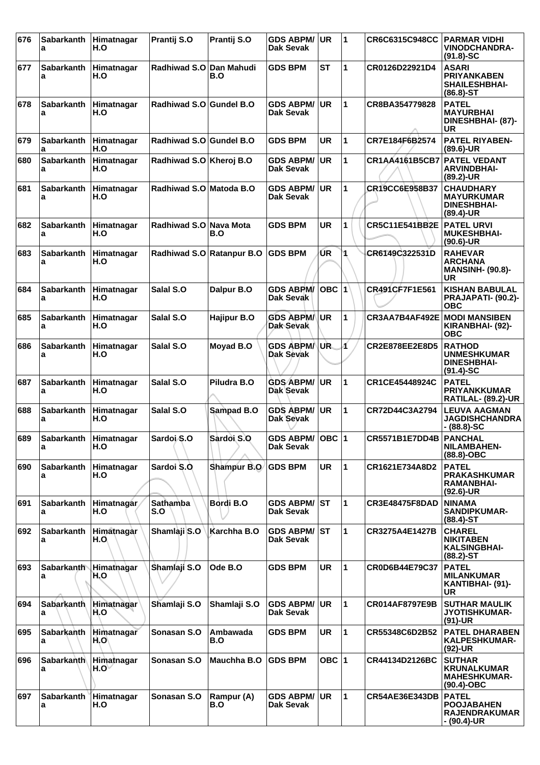| 676 | Sabarkanth Himatnagar<br>a | H.O                | Prantij S.O               | Prantij S.O              | <b>GDS ABPM/</b><br>Dak Sevak          | <b>UR</b> | 1            | CR6C6315C948CC        | <b>PARMAR VIDHI</b><br><b>VINODCHANDRA-</b><br>$(91.8)$ -SC                 |
|-----|----------------------------|--------------------|---------------------------|--------------------------|----------------------------------------|-----------|--------------|-----------------------|-----------------------------------------------------------------------------|
| 677 | <b>Sabarkanth</b><br>а     | Himatnagar<br>H.O  | Radhiwad S.O              | <b>Dan Mahudi</b><br>B.O | <b>GDS BPM</b>                         | SТ        | 1            | CR0126D22921D4        | <b>ASARI</b><br><b>PRIYANKABEN</b><br><b>SHAILESHBHAI-</b><br>$(86.8) - ST$ |
| 678 | Sabarkanth<br>а            | Himatnagar<br>H.O  | Radhiwad S.O Gundel B.O   |                          | <b>GDS ABPM/</b><br>Dak Sevak          | <b>UR</b> | 1            | CR8BA354779828        | <b>PATEL</b><br><b>MAYURBHAI</b><br>DINESHBHAI- (87)-<br><b>UR</b>          |
| 679 | <b>Sabarkanth</b><br>a     | Himatnagar<br>H.O  | Radhiwad S.O Gundel B.O   |                          | <b>GDS BPM</b>                         | <b>UR</b> | $\mathbf{1}$ | CR7E184F6B2574        | PATEL RIYABEN-<br>$(89.6)$ -UR                                              |
| 680 | <b>Sabarkanth</b><br>a     | Himatnagar<br>H.O  | Radhiwad S.O Kheroj B.O   |                          | <b>GDS ABPM/</b><br>Dak Sevak          | <b>UR</b> | 1            | CR1AA4161B5CB7        | <b>PATEL VEDANT</b><br><b>ARVINDBHAI-</b><br>(89.2)-UR                      |
| 681 | <b>Sabarkanth</b><br>а     | Himatnagar<br>H.O  | Radhiwad S.O Matoda B.O   |                          | <b>GDS ABPM/</b><br><b>Dak Sevak</b>   | <b>UR</b> | 1            | CR19CC6E958B37        | <b>CHAUDHARY</b><br><b>MAYURKUMAR</b><br><b>DINESHBHAI-</b><br>$(89.4)$ -UR |
| 682 | Sabarkanth<br>a            | Himatnagar<br>H.O  | Radhiwad S.O Nava Mota    | B.O                      | <b>GDS BPM</b>                         | <b>UR</b> | 1            | CR5C11E541BB2E        | <b>PATEL URVI</b><br><b>MUKESHBHAI-</b><br>$(90.6)$ -UR                     |
| 683 | <b>Sabarkanth</b><br>a     | Himatnagar<br>H.O  | Radhiwad S.O Ratanpur B.O |                          | <b>GDS BPM</b>                         | UR.       | 1            | CR6149C322531D        | <b>RAHEVAR</b><br>ARCHANA<br><b>MANSINH- (90.8)-</b><br>UR                  |
| 684 | <b>Sabarkanth</b><br>a     | Himatnagar<br>H.O  | Salal S.O                 | Dalpur B.O               | <b>GDS ABPM/</b><br><b>Dak Sevak</b>   | OBC 1     |              | CR491CF7F1E561        | <b>KISHAN BABULAL</b><br>PRAJAPATI- (90.2)-<br><b>OBC</b>                   |
| 685 | <b>Sabarkanth</b><br>а     | Himatnagar<br>H.O  | Salal S.O                 | <b>Hajipur B.O</b>       | <b>GDS ABPM/</b><br><b>Dak Sevak</b>   | <b>UR</b> | 1            | CR3AA7B4AF492E        | <b>MODI MANSIBEN</b><br>KIRANBHAI- (92)-<br><b>OBC</b>                      |
| 686 | <b>Sabarkanth</b><br>a     | Himatnagar<br>H.O  | Salal S.O                 | Moyad B.O                | <b>GDS ABPM/</b><br>Dak Sevak          | UR.       | 4            | <b>CR2E878EE2E8D5</b> | <b>RATHOD</b><br><b>UNMESHKUMAR</b><br><b>DINESHBHAI-</b><br>$(91.4)$ -SC   |
| 687 | <b>Sabarkanth</b><br>a     | Himatnagar<br>H.O  | Salal S.O                 | Piludra B.O              | <b>GDS ABPM/</b><br>Dak Sevak          | <b>UR</b> | 1            | CR1CE45448924C        | <b>PATEL</b><br><b>PRIYANKKUMAR</b><br>RATILAL- (89.2)-UR                   |
| 688 | <b>Sabarkanth</b><br>a     | Himatnagar<br>H.O  | Salal S.O                 | Sampad B.O               | <b>GDS ABPM/</b><br>Dak Sevak          | <b>UR</b> | $\mathbf{1}$ | CR72D44C3A2794        | <b>LEUVA AAGMAN</b><br><b>JAGDISHCHANDRA</b><br>- (88.8)-SC                 |
| 689 | Sabarkanth<br>a            | ∣Himatnaqar<br>H.O | Sardoi <sub>S.O</sub>     | Sardoi S.O               | GDS ABPM/ OBC 1<br><b>Dak Sevak</b>    |           |              | <b>CR5571B1E7DD4B</b> | <b>PANCHAL</b><br><b>NILAMBAHEN-</b><br>$(88.8)-OBC$                        |
| 690 | <b>Sabarkanth</b><br>a     | Himatnagar<br>H.O  | Sardoi S.O.               | Shampur B.O              | <b>GDS BPM</b>                         | <b>UR</b> | $\mathbf{1}$ | CR1621E734A8D2        | <b>PATEL</b><br><b>PRAKASHKUMAR</b><br>RAMANBHAI-<br>$(92.6)$ -UR           |
| 691 | <b>Sabarkanth</b><br>a     | Himatnagar<br>H.O  | <b>Sathamba</b><br>S.O    | Bordi B.O                | <b>GDS ABPM/ST</b><br><b>Dak Sevak</b> |           | $\mathbf{1}$ | <b>CR3E48475F8DAD</b> | <b>NINAMA</b><br><b>SANDIPKUMAR-</b><br>$(88.4)$ -ST                        |
| 692 | <b>Sabarkanth</b><br>a     | Himatnagar<br>H.O  | Shamlaji S.O              | Karchha B.O              | <b>GDS ABPM/ST</b><br>Dak Sevak        |           | $\mathbf{1}$ | CR3275A4E1427B        | <b>CHAREL</b><br><b>NIKITABEN</b><br><b>KALSINGBHAI-</b><br>$(88.2)$ -ST    |
| 693 | Sabarkanth Himathagar<br>a | H.O                | Shamlaji S.O              | Ode B.O                  | <b>GDS BPM</b>                         | <b>UR</b> | 1            | CR0D6B44E79C37        | <b>PATEL</b><br><b>MILANKUMAR</b><br>KANTIBHAI- (91)-<br><b>UR</b>          |
| 694 | <b>Sabarkanth</b><br>a     | Himatnagar<br>H.O  | Shamlaji S.O              | Shamlaji S.O             | <b>GDS ABPM/</b><br><b>Dak Sevak</b>   | <b>UR</b> | 1            | CR014AF8797E9B        | <b>SUTHAR MAULIK</b><br><b>JYOTISHKUMAR-</b><br>$(91)-UR$                   |
| 695 | Sabarkanth<br>a            | Himatnagar<br>H,O  | Sonasan S.O               | Ambawada<br>B.O          | <b>GDS BPM</b>                         | <b>UR</b> | $\mathbf{1}$ | CR55348C6D2B52        | <b>PATEL DHARABEN</b><br><b>KALPESHKUMAR-</b><br>$(92)-UR$                  |
| 696 | Sabarkanth<br>a            | Himatnagar<br>H.O` | Sonasan S.O               | Mauchha B.O              | <b>GDS BPM</b>                         | OBC $ 1$  |              | CR44134D2126BC        | <b>SUTHAR</b><br><b>KRUNALKUMAR</b><br><b>MAHESHKUMAR-</b><br>$(90.4)$ -OBC |
| 697 | <b>Sabarkanth</b><br>a     | Himatnagar<br>H.O  | Sonasan S.O               | Rampur (A)<br>B.O        | <b>GDS ABPM/</b><br><b>Dak Sevak</b>   | <b>UR</b> | $\mathbf{1}$ | <b>CR54AE36E343DB</b> | <b>PATEL</b><br><b>POOJABAHEN</b><br><b>RAJENDRAKUMAR</b><br>- (90.4)-UR    |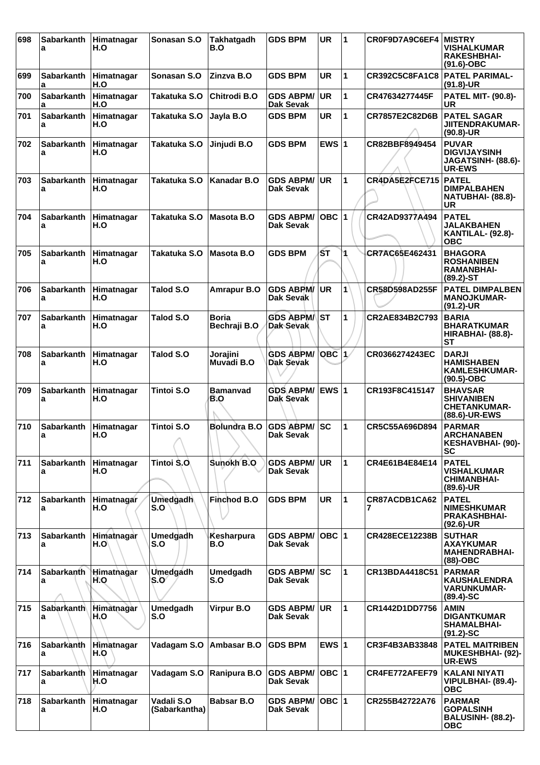| 698 | Sabarkanth<br>a        | Himatnagar<br>H.O | Sonasan S.O                 | <b>Takhatgadh</b><br>B.O     | <b>GDS BPM</b>                         | UR        | 1            | CR0F9D7A9C6EF4        | <b>MISTRY</b><br><b>VISHALKUMAR</b><br><b>RAKESHBHAI-</b><br>$(91.6)$ -OBC  |
|-----|------------------------|-------------------|-----------------------------|------------------------------|----------------------------------------|-----------|--------------|-----------------------|-----------------------------------------------------------------------------|
| 699 | <b>Sabarkanth</b><br>a | Himatnagar<br>H.O | Sonasan S.O                 | Zinzva B.O                   | <b>GDS BPM</b>                         | UR        | 1            | <b>CR392C5C8FA1C8</b> | <b>PATEL PARIMAL-</b><br>$(91.8)$ -UR                                       |
| 700 | <b>Sabarkanth</b><br>a | Himatnagar<br>H.O | Takatuka S.O                | Chitrodi B.O                 | <b>GDS ABPM/</b><br><b>Dak Sevak</b>   | <b>UR</b> | 1            | CR47634277445F        | <b>PATEL MIT- (90.8)-</b><br>UR                                             |
| 701 | <b>Sabarkanth</b><br>a | Himatnagar<br>H.O | Takatuka S.O                | Jayla B.O                    | <b>GDS BPM</b>                         | <b>UR</b> | 1            | CR7857E2C82D6B        | <b>PATEL SAGAR</b><br><b>JIITENDRAKUMAR-</b><br>$(90.8)$ -UR                |
| 702 | <b>Sabarkanth</b><br>а | Himatnagar<br>H.O | Takatuka S.O                | Jinjudi B.O                  | <b>GDS BPM</b>                         | EWS $ 1$  |              | CR82BBF8949454        | <b>PUVAR</b><br><b>DIGVIJAYSINH</b><br>JAGATSINH- (88.6)-<br><b>UR-EWS</b>  |
| 703 | <b>Sabarkanth</b><br>a | Himatnagar<br>H.O | Takatuka S.O                | <b>Kanadar B.O</b>           | <b>GDS ABPM/</b><br>Dak Sevak          | <b>UR</b> | 1            | CR4DA5E2FCE715        | <b>PATEL</b><br><b>DIMPALBAHEN</b><br>NATUBHAI- (88.8)-<br>UR               |
| 704 | <b>Sabarkanth</b><br>a | Himatnagar<br>H.O | Takatuka S.O                | Masota B.O                   | <b>GDS ABPM/</b><br>Dak Sevak          | $OBC$  1  |              | CR42AD9377A494        | <b>PATEL</b><br><b>JALAKBAHEN</b><br><b>KANTILAL- (92.8)-</b><br>ОВС        |
| 705 | <b>Sabarkanth</b><br>а | Himatnagar<br>H.O | Takatuka S.O                | <b>Masota B.O</b>            | <b>GDS BPM</b>                         | SТ        | 1            | CR7AC65E462431        | <b>BHAGORA</b><br><b>ROSHANIBEN</b><br><b>RAMANBHAI-</b><br>$(89.2) - ST$   |
| 706 | Sabarkanth<br>a        | Himatnagar<br>H.O | Talod S.O                   | <b>Amrapur B.O</b>           | <b>GDS ABPM/</b><br><b>Dak Sevak</b>   | <b>UR</b> | 1            | CR58D598AD255F        | <b>PATEL DIMPALBEN</b><br><b>MANOJKUMAR-</b><br>(91.2)-UR                   |
| 707 | <b>Sabarkanth</b><br>а | Himatnagar<br>H.O | Talod S.O                   | <b>Boria</b><br>Bechraji B.O | <b>GDS ABPM/ST</b><br><b>Dak Sevak</b> |           | 1            | CR2AE834B2C793        | <b>BARIA</b><br><b>BHARATKUMAR</b><br><b>HIRABHAI- (88.8)-</b><br>SТ        |
| 708 | <b>Sabarkanth</b><br>a | Himatnagar<br>H.O | <b>Talod S.O</b>            | Jorajini<br>Muvadi B.O       | <b>GDS ABPM/</b><br><b>Dak Sevak</b>   | $OBC$ 1   |              | CR0366274243EC        | <b>DARJI</b><br><b>HAMISHABEN</b><br><b>KAMLESHKUMAR-</b><br>$(90.5)$ -OBC  |
| 709 | <b>Sabarkanth</b><br>а | Himatnagar<br>H.O | Tintoi S.O                  | <b>Bamanvad</b><br>B.O       | <b>GDS ABPM/</b><br>Dak Sevak          | EWS $ 1$  |              | CR193F8C415147        | <b>BHAVSAR</b><br><b>SHIVANIBEN</b><br><b>CHETANKUMAR-</b><br>(88.6)-UR-EWS |
| 710 | Sabarkanth<br>a        | Himatnagar<br>H.O | Tintoi S.O                  | <b>Bolundra B.O</b>          | <b>GDS ABPM/</b><br>Dak Sevak          | SC        | 1            | CR5C55A696D894        | <b>PARMAR</b><br><b>ARCHANABEN</b><br><b>KESHAVBHAI- (90)-</b><br>SC        |
| 711 | <b>Sabarkanth</b><br>a | Himatnagar<br>H.O | Tintoi Ŝ.O.                 | Sunokh B.O                   | <b>GDS ABPM/</b><br>Dak Sevak          | <b>UR</b> | $\mathbf{1}$ | CR4E61B4E84E14        | <b>PATEL</b><br><b>VISHALKUMAR</b><br><b>CHIMANBHAI-</b><br>$(89.6)$ -UR    |
| 712 | <b>Sabarkanth</b><br>a | Himatnagar<br>H.O | <b>Umedgadh</b><br>S.O      | Finchod B.O                  | <b>GDS BPM</b>                         | UR        | 1            | CR87ACDB1CA62<br>7    | <b>PATEL</b><br><b>NIMESHKUMAR</b><br><b>PRAKASHBHAI-</b><br>$(92.6)$ -UR   |
| 713 | <b>Sabarkanth</b><br>a | Himatnagar<br>H.O | Umedgadh<br>S.O             | Kesharpura<br>B.O            | <b>GDS ABPM/</b><br>Dak Sevak          | $OBC$  1  |              | <b>CR428ECE12238B</b> | <b>SUTHAR</b><br><b>AXAYKUMAR</b><br><b>MAHENDRABHAI-</b><br>$(88)-OBC$     |
| 714 | Sabarkanth<br>a        | Himathagar<br>H.O | Umedgadh<br>S.O             | Umedgadh<br>S.O              | <b>GDS ABPM/</b><br>Dak Sevak          | <b>SC</b> | 1            | CR13BDA4418C51        | <b>PARMAR</b><br><b>KAUSHALENDRA</b><br><b>VARUNKUMAR-</b><br>$(89.4) - SC$ |
| 715 | <b>Sabarkanth</b><br>a | Himatnagar<br>H.O | Umedgadh<br>S.O             | Virpur B.O                   | <b>GDS ABPM/</b><br>Dak Sevak          | <b>UR</b> | $\mathbf{1}$ | CR1442D1DD7756        | <b>AMIN</b><br><b>DIGANTKUMAR</b><br><b>SHAMALBHAI-</b><br>$(91.2)$ -SC     |
| 716 | Sabarkanth<br>a        | Himatnagar<br>H.O | Vadagam S.O                 | Ambasar B.O                  | <b>GDS BPM</b>                         | EWS $ 1$  |              | CR3F4B3AB33848        | <b>PATEL MAITRIBEN</b><br>MUKESHBHAI- (92)-<br><b>UR-EWS</b>                |
| 717 | <b>Sabarkanth</b><br>а | Himatnagar<br>H.O | Vadagam S.O                 | Ranipura B.O                 | <b>GDS ABPM/</b><br>Dak Sevak          | $OBC$  1  |              | CR4FE772AFEF79        | KALANI NIYATI<br>VIPULBHAI- (89.4)-<br><b>OBC</b>                           |
| 718 | <b>Sabarkanth</b><br>a | Himatnagar<br>H.O | Vadali S.O<br>(Sabarkantha) | <b>Babsar B.O</b>            | <b>GDS ABPM/</b><br><b>Dak Sevak</b>   | OBC  1    |              | CR255B42722A76        | <b>PARMAR</b><br><b>GOPALSINH</b><br><b>BALUSINH- (88.2)-</b><br>ОВС        |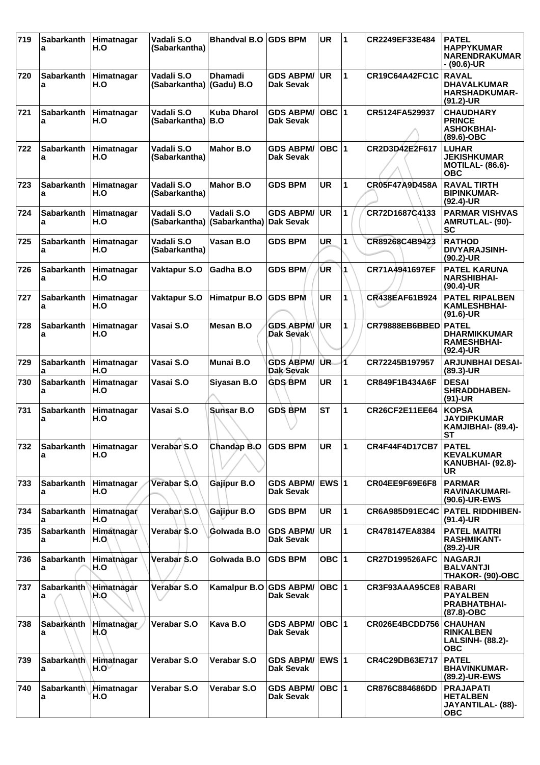| 719 | <b>Sabarkanth</b><br>a     | Himatnagar<br>H.O          | Vadali S.O<br>(Sabarkantha) | <b>Bhandval B.O</b>                   | <b>GDS BPM</b>                       | UR           | 1                    | CR2249EF33E484        | <b>PATEL</b><br><b>HAPPYKUMAR</b><br><b>NARENDRAKUMAR</b><br>- (90.6)-UR    |
|-----|----------------------------|----------------------------|-----------------------------|---------------------------------------|--------------------------------------|--------------|----------------------|-----------------------|-----------------------------------------------------------------------------|
| 720 | <b>Sabarkanth</b><br>a     | Himatnagar<br>H.O          | Vadali S.O<br>(Sabarkantha) | <b>Dhamadi</b><br>(Gadu) B.O          | <b>GDS ABPM/</b><br><b>Dak Sevak</b> | <b>UR</b>    | 1                    | CR19C64A42FC1C        | <b>RAVAL</b><br><b>DHAVALKUMAR</b><br><b>HARSHADKUMAR-</b><br>$(91.2)$ -UR  |
| 721 | <b>Sabarkanth</b><br>a     | Himatnagar<br>H.O          | Vadali S.O<br>(Sabarkantha) | <b>Kuba Dharol</b><br>B.O             | <b>GDS ABPM/</b><br><b>Dak Sevak</b> | OBC $ 1$     |                      | CR5124FA529937        | <b>CHAUDHARY</b><br><b>PRINCE</b><br><b>ASHOKBHAI-</b><br>$(89.6)$ -OBC     |
| 722 | <b>Sabarkanth</b><br>a     | Himatnagar<br>H.O          | Vadali S.O<br>(Sabarkantha) | <b>Mahor B.O</b>                      | <b>GDS ABPM/</b><br>Dak Sevak        | $OBC$ 1      |                      | CR2D3D42E2F617        | <b>LUHAR</b><br><b>JEKISHKUMAR</b><br><b>MOTILAL- (86.6)-</b><br><b>OBC</b> |
| 723 | <b>Sabarkanth</b><br>a     | Himatnagar<br>H.O          | Vadali S.O<br>(Sabarkantha) | Mahor B.O                             | <b>GDS BPM</b>                       | <b>UR</b>    | 1                    | CR05F47A9D458A        | <b>RAVAL TIRTH</b><br><b>BIPINKUMAR-</b><br>$(92.4)$ -UR                    |
| 724 | Sabarkanth<br>a            | Himatnagar<br>H.O          | Vadali S.O<br>(Sabarkantha) | Vadali S.O<br>(Sabarkantha) Dak Sevak | <b>GDS ABPM/</b>                     | <b>UR</b>    | 1                    | CR72D1687C4133        | <b>PARMAR VISHVAS</b><br><b>AMRUTLAL- (90)-</b><br><b>SC</b>                |
| 725 | <b>Sabarkanth</b><br>a     | Himatnagar<br>H.O          | Vadali S.O<br>(Sabarkantha) | Vasan B.O                             | <b>GDS BPM</b>                       | UR           | 1                    | CR89268C4B9423        | <b>RATHOD</b><br><b>DIVYARAJSINH-</b><br>$(90.2)$ -UR                       |
| 726 | <b>Sabarkanth</b><br>a     | Himatnagar<br>H.O          | <b>Vaktapur S.O</b>         | Gadha B.O                             | <b>GDS BPM</b>                       | ŪR           | 1                    | CR71A4941697EF        | <b>PATEL KARUNA</b><br><b>NARSHIBHAI-</b><br>$(90.4)$ -UR                   |
| 727 | Sabarkanth<br>a            | Himatnagar<br>H.O          | Vaktapur S.O                | <b>Himatpur B.O</b>                   | <b>GDS BPM</b>                       | <b>UR</b>    | 1                    | CR438EAF61B924        | <b>PATEL RIPALBEN</b><br><b>KAMLESHBHAI-</b><br>$(91.6)$ -UR                |
| 728 | <b>Sabarkanth</b><br>a     | Himatnagar<br>H.O          | Vasai S.O                   | Mesan B.O                             | <b>GDS ABPM/</b><br>Dak Sevak        | <b>UR</b>    | 1                    | CR79888EB6BBED        | <b>PATEL</b><br><b>DHARMIKKUMAR</b><br><b>RAMESHBHAI-</b><br>$(92.4)$ -UR   |
| 729 | Sabarkanth<br>a            | Himatnagar<br>H.O          | Vasai S.O                   | Munai B.O                             | <b>GDS ABPM/</b><br>Dak Sevak        | UR.          | 1                    | CR72245B197957        | <b>ARJUNBHAI DESAI-</b><br>(89.3)-UR                                        |
| 730 | <b>Sabarkanth</b><br>a     | Himatnagar<br>H.O          | Vasai S.O                   | Siyasan B.O                           | <b>GDS BPM</b>                       | <b>UR</b>    | 1                    | CR849F1B434A6F        | <b>DESAI</b><br><b>SHRADDHABEN-</b><br>$(91)-UR$                            |
| 731 | <b>Sabarkanth</b><br>а     | Himatnagar<br>H.O          | Vasai S.O                   | Sunsar B.O                            | <b>GDS BPM</b>                       | <b>ST</b>    | 1                    | <b>CR26CF2E11EE64</b> | <b>KOPSA</b><br><b>JAYDIPKUMAR</b><br>KAMJIBHAI- (89.4)-<br>ST              |
| 732 | <b>Sabarkanth</b><br>a     | Himatnagar<br>H.O          | Verabar S.O                 | Chandap B.O                           | <b>GDS BPM</b>                       | <b>UR</b>    | $\blacktriangleleft$ | CR4F44F4D17CB7        | <b>PATEL</b><br><b>KEVALKUMAR</b><br>KANUBHAI- (92.8)-<br>UR                |
| 733 | <b>Sabarkanth</b><br>a     | Himatnagar<br>H.O          | Verabar S.O                 | Gajipur B.O                           | <b>GDS ABPM/</b><br>Dak Sevak        | <b>EWS 1</b> |                      | CR04EE9F69E6F8        | <b>PARMAR</b><br><b>RAVINAKUMARI-</b><br>(90.6)-UR-EWS                      |
| 734 | <b>Sabarkanth</b><br>a     | Himatnagar<br>H.O          | Verabar S.O.                | Gajipur B.O                           | <b>GDS BPM</b>                       | <b>UR</b>    | 1                    | <b>CR6A985D91EC4C</b> | <b>PATEL RIDDHIBEN-</b><br>$(91.4)$ -UR                                     |
| 735 | Sabarkanth<br>а            | Himatnagar<br>H.O.         | Verabar S.O                 | Golwada B.O                           | <b>GDS ABPM/</b><br><b>Dak Sevak</b> | <b>UR</b>    | $\mathbf{1}$         | CR478147EA8384        | <b>PATEL MAITRI</b><br><b>RASHMIKANT-</b><br>$(89.2)$ -UR                   |
| 736 | Sabarkanth<br>a            | Himatnagar<br>H.O          | Verabar S.O                 | Golwada B.O                           | <b>GDS BPM</b>                       | OBC  1       |                      | <b>CR27D199526AFC</b> | <b>NAGARJI</b><br><b>BALVANTJI</b><br>THAKOR- (90)-OBC                      |
| 737 | Sabarkanth Himatnagar<br>a | H.O                        | Verabar S.O                 | Kamalpur B.O GDS ABPM/                | Dak Sevak                            | OBC 1        |                      | CR3F93AAA95CE8        | RABARI<br><b>PAYALBEN</b><br><b>PRABHATBHAI-</b><br>(87.8)-OBC              |
| 738 | Sabarkanth<br>a            | Himatnagar<br>H.O          | Verabar S.O                 | Kava B.O                              | <b>GDS ABPM/</b><br><b>Dak Sevak</b> | OBC  1       |                      | CR026E4BCDD756        | <b>CHAUHAN</b><br><b>RINKALBEN</b><br><b>LALSINH- (88.2)-</b><br><b>OBC</b> |
| 739 | Sabarkanth<br>a            | Himatnagar<br>$H.O^{\vee}$ | Verabar S.O                 | Verabar S.O                           | <b>GDS ABPM/</b><br><b>Dak Sevak</b> | EWS $ 1$     |                      | CR4C29DB63E717        | <b>PATEL</b><br><b>BHAVINKUMAR-</b><br>(89.2)-UR-EWS                        |
| 740 | Sabarkanth<br>a            | Himatnagar<br>H.O          | Verabar S.O                 | Verabar S.O                           | <b>GDS ABPM/</b><br>Dak Sevak        | OBC 1        |                      | CR876C884686DD        | <b>PRAJAPATI</b><br><b>HETALBEN</b><br>JAYANTILAL- (88)-<br><b>OBC</b>      |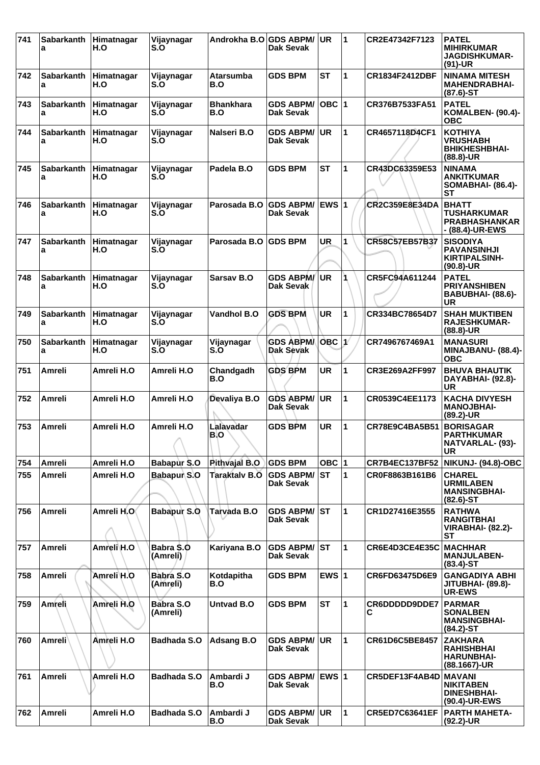| 741 | Sabarkanth<br>a        | Himatnagar<br>H.O | Vijaynagar<br>S.O             | Androkha B.O GDS ABPM/  | Dak Sevak                               | UR.        | 1 | CR2E47342F7123        | <b>PATEL</b><br><b>MIHIRKUMAR</b><br><b>JAGDISHKUMAR-</b><br>$(91)-UR$        |
|-----|------------------------|-------------------|-------------------------------|-------------------------|-----------------------------------------|------------|---|-----------------------|-------------------------------------------------------------------------------|
| 742 | <b>Sabarkanth</b><br>a | Himatnagar<br>H.O | Vijaynagar<br>S.O             | <b>Atarsumba</b><br>B.O | <b>GDS BPM</b>                          | <b>ST</b>  | 1 | CR1834F2412DBF        | <b>NINAMA MITESH</b><br><b>MAHENDRABHAI-</b><br>$(87.6)$ -ST                  |
| 743 | <b>Sabarkanth</b><br>a | Himatnagar<br>H.O | Vijaynagar<br>S.O             | <b>Bhankhara</b><br>B.O | <b>GDS ABPM/</b><br><b>Dak Sevak</b>    | OBC  1     |   | CR376B7533FA51        | <b>PATEL</b><br>KOMALBEN- (90.4)-<br><b>OBC</b>                               |
| 744 | <b>Sabarkanth</b><br>a | Himatnagar<br>H.O | Vijaynagar<br>S.O             | Nalseri B.O             | <b>GDS ABPM/</b><br>Dak Sevak           | <b>UR</b>  | 1 | CR4657118D4CF1        | <b>KOTHIYA</b><br><b>VRUSHABH</b><br><b>BHIKHESHBHAI-</b><br>(88.8)-UR        |
| 745 | <b>Sabarkanth</b><br>a | Himatnagar<br>H.O | Vijaynagar<br>S.O             | Padela B.O              | <b>GDS BPM</b>                          | <b>ST</b>  | 1 | CR43DC63359E53        | <b>NINAMA</b><br><b>ANKITKUMAR</b><br><b>SOMABHAI- (86.4)-</b><br>SТ          |
| 746 | <b>Sabarkanth</b><br>a | Himatnagar<br>H.O | Vijaynagar<br>S.O             | Parosada B.O            | <b>GDS ABPM/ EWS 1</b><br>Dak Sevak     |            |   | <b>CR2C359E8E34DA</b> | <b>BHATT</b><br><b>TUSHARKUMAR</b><br><b>PRABHASHANKAR</b><br>- (88.4)-UR-EWS |
| 747 | Sabarkanth<br>а        | Himatnagar<br>H.O | Vijaynagar<br>S.O             | Parosada B.O            | <b>GDS BPM</b>                          | <b>UR</b>  | 1 | CR58C57EB57B37        | <b>SISODIYA</b><br><b>PAVANSINHJI</b><br><b>KIRTIPALSINH-</b><br>$(90.8)$ -UR |
| 748 | <b>Sabarkanth</b><br>a | Himatnagar<br>H.O | Vijaynagar<br>S.O             | Sarsav B.O              | <b>GDS ABPM/</b><br>Dak Sevak           | <b>UR</b>  |   | CR5FC94A611244        | <b>PATEL</b><br><b>PRIYANSHIBEN</b><br>BABUBHAI- (88.6)-<br>UR                |
| 749 | <b>Sabarkanth</b><br>a | Himatnagar<br>H.O | Vijaynagar<br>S.O             | Vandhol B.O             | <b>GDS BPM</b>                          | <b>UR</b>  | 1 | CR334BC78654D7        | <b>SHAH MUKTIBEN</b><br><b>RAJESHKUMAR-</b><br>$(88.8)$ -UR                   |
| 750 | <b>Sabarkanth</b><br>a | Himatnagar<br>H.O | Vijaynagar<br>S.O             | Vijaynagar<br>S.O       | <b>GDS ABPMA</b><br><b>Dak Sevak</b>    | $OBC$ $1$  |   | CR7496767469A1        | <b>MANASURI</b><br>MINAJBANU- (88.4)-<br><b>OBC</b>                           |
| 751 | Amreli                 | Amreli H.O        | Amreli H.O                    | Chandgadh<br>B.O        | <b>GDS BPM</b>                          | <b>UR</b>  | 1 | CR3E269A2FF997        | <b>BHUVA BHAUTIK</b><br>DAYABHAI- (92.8)-<br>UR                               |
| 752 | Amreli                 | Amreli H.O        | Amreli H.O                    | Devaliya B.O            | <b>GDS ABPM/</b><br>Dak Sevak           | <b>UR</b>  | 1 | CR0539C4EE1173        | <b>KACHA DIVYESH</b><br><b>MANOJBHAI-</b><br>(89.2)-UR                        |
| 753 | <b>Amreli</b>          | Amreli H.O        | Amreli H.O                    | Lalavadar<br>B.O        | <b>GDS BPM</b>                          | <b>UR</b>  | 1 | CR78E9C4BA5B51        | <b>BORISAGAR</b><br><b>PARTHKUMAR</b><br>NATVARLAL- (93)-<br><b>UR</b>        |
| 754 | Amreli                 | Amreli H.O        | Babapur S.O                   | Pithvajal B.O           | <b>GDS BPM</b>                          | OBC $ 1$   |   | <b>CR7B4EC137BF52</b> | NIKUNJ- (94.8)-OBC                                                            |
| 755 | Amreli                 | Amreli H.O        | Babapur S.O                   | <b>Taraktalv B.O</b>    | <b>GDS ABPM/</b><br><b>Dak Sevak</b>    | <b>IST</b> | 1 | CR0F8863B161B6        | <b>CHAREL</b><br><b>URMILABEN</b><br><b>MANSINGBHAI-</b><br>$(82.6)$ -ST      |
| 756 | <b>Amreli</b>          | Amreli H.O        | Babapur S.O                   | Tarvada B.O             | <b>GDS ABPM/</b><br><b>Dak Sevak</b>    | lst        | 1 | CR1D27416E3555        | <b>RATHWA</b><br><b>RANGITBHAI</b><br><b>VIRABHAI- (82.2)-</b><br>SТ          |
| 757 | Amreli                 | Amreli H.O        | Babra \$.0<br><b>(Amreli)</b> | Kariyana B.O            | <b>GDS ABPM/ST</b><br>Dak Sevak         |            | 1 | CR6E4D3CE4E35C        | <b>MACHHAR</b><br><b>MANJULABEN-</b><br>$(83.4)$ -ST                          |
| 758 | Amreli                 | Amreli H.O        | Babra S.O<br>(Amreli)         | Kotdapitha<br>B.O       | <b>GDS BPM</b>                          | EWS $ 1$   |   | CR6FD63475D6E9        | <b>GANGADIYA ABHI</b><br><b>JITUBHAI- (89.8)-</b><br><b>UR-EWS</b>            |
| 759 | Amreli                 | Amreli H.O        | Babra S.O<br>(Amreli)         | <b>Untvad B.O</b>       | <b>GDS BPM</b>                          | <b>ST</b>  | 1 | CR6DDDDD9DDE7<br>С    | <b>PARMAR</b><br><b>SONALBEN</b><br><b>MANSINGBHAI-</b><br>$(84.2)$ -ST       |
| 760 | <b>Amreli</b>          | Amreli H.O        | <b>Badhada S.O</b>            | <b>Adsang B.O</b>       | <b>GDS ABPM/</b><br><b>Dak Sevak</b>    | <b>UR</b>  | 1 | CR61D6C5BE8457        | <b>ZAKHARA</b><br><b>RAHISHBHAI</b><br><b>HARUNBHAI-</b><br>(88.1667)-UR      |
| 761 | Amreli                 | Amreli H.O        | <b>Badhada S.O</b>            | Ambardi J<br>B.O        | GDS ABPM/ EWS 1<br>Dak Sevak            |            |   | CR5DEF13F4AB4D MAVANI | <b>NIKITABEN</b><br><b>DINESHBHAI-</b><br>(90.4)-UR-EWS                       |
| 762 | Amreli                 | Amreli H.O        | <b>Badhada S.O</b>            | Ambardi J<br>B.O        | <b>GDS ABPM/ UR</b><br><b>Dak Sevak</b> |            | 1 | <b>CR5ED7C63641EF</b> | <b>PARTH MAHETA-</b><br>(92.2)-UR                                             |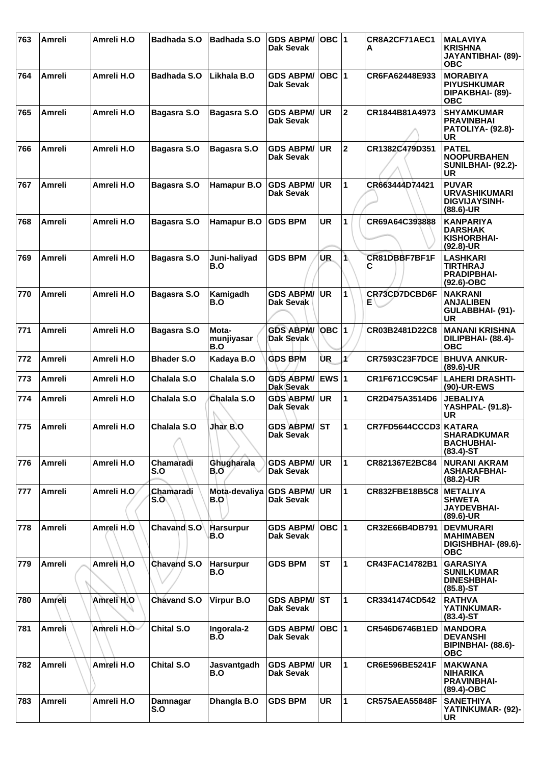| 763 | <b>Amreli</b> | Amreli H.O  | <b>Badhada S.O</b> | <b>Badhada S.O</b>         | <b>GDS ABPM/</b><br>Dak Sevak        | OBC  1       |             | CR8A2CF71AEC1<br>А    | <b>MALAVIYA</b><br><b>KRISHNA</b><br>JAYANTIBHAI- (89)-<br><b>OBC</b>        |
|-----|---------------|-------------|--------------------|----------------------------|--------------------------------------|--------------|-------------|-----------------------|------------------------------------------------------------------------------|
| 764 | Amreli        | Amreli H.O  | <b>Badhada S.O</b> | Likhala B.O                | <b>GDS ABPM/</b><br>Dak Sevak        | OBC  1       |             | CR6FA62448E933        | <b>MORABIYA</b><br><b>PIYUSHKUMAR</b><br>DIPAKBHAI- (89)-<br><b>OBC</b>      |
| 765 | Amreli        | Amreli H.O  | Bagasra S.O        | Bagasra S.O                | <b>GDS ABPM/</b><br>Dak Sevak        | <b>UR</b>    | $\mathbf 2$ | CR1844B81A4973        | <b>SHYAMKUMAR</b><br><b>PRAVINBHAI</b><br>PATOLIYA- (92.8)-<br>UR            |
| 766 | <b>Amreli</b> | Amreli H.O  | Bagasra S.O        | Bagasra S.O                | <b>GDS ABPM/</b><br>Dak Sevak        | UR           | $\mathbf 2$ | CR1382C479D351        | <b>PATEL</b><br><b>NOOPURBAHEN</b><br><b>SUNILBHAI- (92.2)-</b><br>UR        |
| 767 | Amreli        | Amreli H.O  | Bagasra S.O        | Hamapur B.O                | <b>GDS ABPM/</b><br>Dak Sevak        | <b>UR</b>    | 1           | CR663444D74421        | <b>PUVAR</b><br><b>URVASHIKUMARI</b><br><b>DIGVIJAYSINH-</b><br>$(88.6)$ -UR |
| 768 | <b>Amreli</b> | Amreli H.O  | Bagasra S.O        | Hamapur B.O                | <b>GDS BPM</b>                       | <b>UR</b>    | 1           | CR69A64C393888        | <b>KANPARIYA</b><br><b>DARSHAK</b><br>KISHORBHAI-<br>$(92.8)$ -UR            |
| 769 | Amreli        | Amreli H.O  | Bagasra S.O        | Juni-haliyad<br>B.O        | <b>GDS BPM</b>                       | UR.          | 1           | CR81DBBF7BF1F<br>С    | <b>LASHKARI</b><br>TIRTHRAJ<br><b>PRADIPBHAI-</b><br>$(92.6)$ -OBC           |
| 770 | Amreli        | Amreli H.O  | Bagasra S.O        | Kamigadh<br>B.O            | <b>GDS ABPM/</b><br>Dak Sevak        | ∣UR          | 1           | CR73CD7DCBD6F<br>Е    | <b>NAKRANI</b><br><b>ANJALIBEN</b><br>GULABBHAI- (91)-<br><b>UR</b>          |
| 771 | <b>Amreli</b> | Amreli H.O  | Bagasra S.O        | Mota-<br>munjiyasar<br>B.O | <b>GDS ABPM/</b><br>Dak Sevak        | <b>OBC 1</b> |             | CR03B2481D22C8        | <b>MANANI KRISHNA</b><br>DILIPBHAI- (88.4)-<br><b>OBC</b>                    |
| 772 | Amreli        | Amreli H.O  | <b>Bhader S.O</b>  | Kadaya B.O                 | <b>GDS BPM</b>                       | ÙR           | V           | <b>CR7593C23F7DCE</b> | <b>BHUVA ANKUR-</b><br>(89.6)-UR                                             |
| 773 | Amreli        | Amreli H.O  | Chalala S.O        | Chalala S.O                | <b>GDS ABPM/</b><br><b>Dak Sevak</b> | <b>EWS 1</b> |             | CR1F671CC9C54F        | <b>LAHERI DRASHTI-</b><br>(90)-UR-EWS                                        |
| 774 | Amreli        | Amreli H.O  | Chalala S.O        | Chalala S.O                | <b>GDS ABPM/</b><br>Dak Sevak        | <b>UR</b>    | 1           | CR2D475A3514D6        | <b>JEBALIYA</b><br>YASHPAL- (91.8)-<br>UR                                    |
| 775 | <b>Amreli</b> | Amreli H.O  | Chalala S.O        | Jhar B.O                   | <b>GDS ABPM/</b><br>Dak Sevak        | <b>ST</b>    | 1           | CR7FD5644CCCD3        | KATARA<br><b>SHARADKUMAR</b><br><b>BACHUBHAI-</b><br>$(83.4)$ -ST            |
| 776 | Amreli        | Amreli H.O  | Chamaradi<br>S.O   | Ghugharala<br>B.O          | <b>GDS ABPM/ UR</b><br>Dak Sevak     |              | 1           | CR821367E2BC84        | <b>NURANI AKRAM</b><br><b>ASHARAFBHAI-</b><br>$(88.2)$ -UR                   |
| 777 | Amreli        | Amreli H.O. | Chamaradi<br>S.O   | Mota-devaliya<br>B.O       | <b>GDS ABPM/</b><br><b>Dak Sevak</b> | <b>UR</b>    | 1           | <b>CR832FBE18B5C8</b> | <b>METALIYA</b><br><b>SHWETA</b><br><b>JAYDEVBHAI-</b><br>$(89.6)$ -UR       |
| 778 | Amreli        | Amreli H.O  | Chavand S.O        | <b>Harsurpur</b><br>B.O    | <b>GDS ABPM/</b><br>Dak Sevak        | OBC  1       |             | CR32E66B4DB791        | <b>DEVMURARI</b><br><b>MAHIMABEN</b><br>DIGISHBHAI- (89.6)-<br><b>OBC</b>    |
| 779 | Amreli        | Amreli H.O  | Chavand S.O        | <b>Harsurpur</b><br>B.O    | <b>GDS BPM</b>                       | <b>ST</b>    | 1           | <b>CR43FAC14782B1</b> | <b>GARASIYA</b><br><b>SUNILKUMAR</b><br><b>DINESHBHAI-</b><br>$(85.8)$ -ST   |
| 780 | <b>Amreli</b> | Amreli H.O  | <b>Chavand S.O</b> | Virpur B.O                 | <b>GDS ABPM/ ST</b><br>Dak Sevak     |              | 1           | CR3341474CD542        | <b>RATHVA</b><br>YATINKUMAR-<br>$(83.4)$ -ST                                 |
| 781 | Amreli        | Amreli H.O  | <b>Chital S.O</b>  | Ingorala-2<br>B.O          | <b>GDS ABPM/</b><br>Dak Sevak        | OBC  1       |             | CR546D6746B1ED        | <b>MANDORA</b><br><b>DEVANSHI</b><br><b>BIPINBHAI- (88.6)-</b><br><b>OBC</b> |
| 782 | Amreli        | Amreli H.O  | Chital S.O         | Jasvantgadh<br>B.O         | <b>GDS ABPM/</b><br><b>Dak Sevak</b> | <b>UR</b>    | 1           | CR6E596BE5241F        | <b>MAKWANA</b><br><b>NIHARIKA</b><br><b>PRAVINBHAI-</b><br>$(89.4)$ -OBC     |
| 783 | Amreli        | Amreli H.O  | Damnagar<br>S.O    | Dhangla B.O                | <b>GDS BPM</b>                       | <b>UR</b>    | 1           | <b>CR575AEA55848F</b> | <b>SANETHIYA</b><br>YATINKUMAR- (92)-<br><b>UR</b>                           |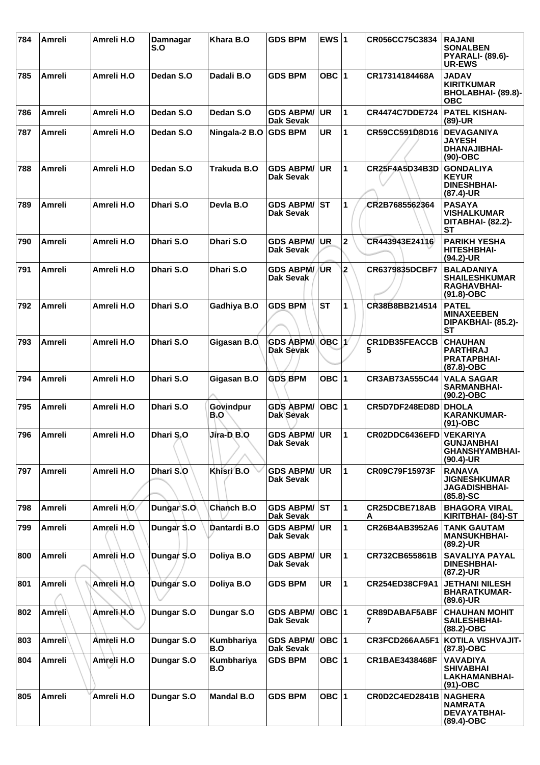| 784 | Amreli        | Amreli H.O  | <b>Damnagar</b><br>S.O | Khara B.O          | <b>GDS BPM</b>                       | EWS $ 1$        |                | CR056CC75C3834        | <b>RAJANI</b><br><b>SONALBEN</b><br><b>PYARALI- (89.6)-</b><br><b>UR-EWS</b>    |
|-----|---------------|-------------|------------------------|--------------------|--------------------------------------|-----------------|----------------|-----------------------|---------------------------------------------------------------------------------|
| 785 | Amreli        | Amreli H.O  | Dedan S.O              | Dadali B.O         | <b>GDS BPM</b>                       | OBC $ 1$        |                | CR17314184468A        | <b>JADAV</b><br><b>KIRITKUMAR</b><br>BHOLABHAI- (89.8)-<br><b>OBC</b>           |
| 786 | Amreli        | Amreli H.O  | Dedan S.O              | Dedan S.O          | <b>GDS ABPM/</b><br>Dak Sevak        | <b>UR</b>       | $\mathbf{1}$   | <b>CR4474C7DDE724</b> | <b>PATEL KISHAN-</b><br>$(89)-UR$                                               |
| 787 | Amreli        | Amreli H.O  | Dedan S.O              | Ningala-2 B.O      | <b>GDS BPM</b>                       | <b>UR</b>       | 1              | CR59CC591D8D16        | <b>DEVAGANIYA</b><br><b>JAYESH</b><br><b>DHANAJIBHAI-</b><br>$(90)$ -OBC        |
| 788 | Amreli        | Amreli H.O  | Dedan S.O              | <b>Trakuda B.O</b> | <b>GDS ABPM/</b><br>Dak Sevak        | <b>UR</b>       | $\mathbf{1}$   | CR25F4A5D34B3D        | <b>GONDALIYA</b><br><b>KEYUR</b><br><b>DINESHBHAI-</b><br>(87.4)-UR             |
| 789 | Amreli        | Amreli H.O  | Dhari S.O              | Devla B.O          | <b>GDS ABPM/</b><br>Dak Sevak        | <b>ST</b>       | 1              | CR2B7685562364        | <b>PASAYA</b><br><b>VISHALKUMAR</b><br>DITABHAI- (82.2)-<br><b>ST</b>           |
| 790 | Amreli        | Amreli H.O  | Dhari S.O              | Dhari S.O          | <b>GDS ABPM/</b><br><b>Dak Sevak</b> | <b>UR</b>       | $\mathbf 2$    | CR443943E24116        | <b>PARIKH YESHA</b><br><b>HITESHBHAI-</b><br>(94.2)-UR                          |
| 791 | <b>Amreli</b> | Amreli H.O  | Dhari S.O              | Dhari S.O          | <b>GDS ABPM/</b><br>Dak Sevak        | /UR             | $\overline{2}$ | <b>CR6379835DCBF7</b> | <b>BALADANIYA</b><br><b>SHAILESHKUMAR</b><br><b>RAGHAVBHAI-</b><br>$(91.8)-OBC$ |
| 792 | <b>Amreli</b> | Amreli H.O  | Dhari S.O              | Gadhiya B.O        | <b>GDS BPM</b>                       | <b>ST</b>       | 1              | CR38B8BB214514        | <b>PATEL</b><br><b>MINAXEEBEN</b><br>DIPAKBHAI- (85.2)-<br><b>ST</b>            |
| 793 | <b>Amreli</b> | Amreli H.O  | Dhari S.O              | Gigasan B.O        | <b>GDS ABPM</b><br><b>Dak Sevak</b>  | OBC $ 1\rangle$ |                | CR1DB35FEACCB<br>5    | <b>CHAUHAN</b><br><b>PARTHRAJ</b><br>PRATAPBHAI-<br>(87.8)-OBC                  |
| 794 | <b>Amreli</b> | Amreli H.O  | Dhari S.O              | Gigasan B.O        | <b>GDS BPM</b>                       | OBC  1          |                | CR3AB73A555C44        | <b>VALA SAGAR</b><br><b>SARMANBHAI-</b><br>$(90.2)$ -OBC                        |
| 795 | Amreli        | Amreli H.O  | Dhari S.O              | Govindpur<br>B.O   | <b>GDS ABPM/</b><br>Dak Sevak        | OBC $ 1$        |                | CR5D7DF248ED8D        | <b>DHOLA</b><br><b>KARANKUMAR-</b><br>$(91)-OBC$                                |
| 796 | Amreli        | Amreli H.O  | Dhari S.O              | Jira-D B.O         | <b>GDS ABPM/</b><br>Dak Sevak        | <b>UR</b>       | 1              | CR02DDC6436EFD        | <b>VEKARIYA</b><br>GUNJANBHAI<br><b>GHANSHYAMBHAI-</b><br>$(90.4)$ -UR          |
| 797 | Amreli        | Amreli H.O  | Dhari S.O              | Khisri B.O         | <b>GDS ABPM/</b><br>Dak Sevak        | UR.             | 1              | CR09C79F15973F        | <b>RANAVA</b><br><b>JIGNESHKUMAR</b><br><b>JAGADISHBHAI-</b><br>$(85.8) - SC$   |
| 798 | Amreli        | Amreli H.O. | Dungar S.O             | Chanch B.O         | <b>GDS ABPM/ ST</b><br>Dak Sevak     |                 | $\mathbf{1}$   | CR25DCBE718AB<br>A    | <b>BHAGORA VIRAL</b><br>KIRITBHAI- (84)-ST                                      |
| 799 | Amreli        | Amreli H.O  | Dungar S.O             | Dantardi B.O       | <b>GDS ABPM/</b><br><b>Dak Sevak</b> | <b>UR</b>       | $\mathbf{1}$   | CR26B4AB3952A6        | <b>TANK GAUTAM</b><br><b>MANSUKHBHAI-</b><br>$(89.2)$ -UR                       |
| 800 | Amreli        | Amreli H.O  | Dungar S.O             | Doliya B.O         | <b>GDS ABPM/</b><br>Dak Sevak        | <b>UR</b>       | 1              | CR732CB655861B        | <b>SAVALIYA PAYAL</b><br><b>DINESHBHAI-</b><br>$(87.2)$ -UR                     |
| 801 | Amreli        | Amreli H.O. | Dungar S.O             | Doliya B.O         | <b>GDS BPM</b>                       | <b>UR</b>       | $\mathbf{1}$   | <b>CR254ED38CF9A1</b> | <b>JETHANI NILESH</b><br><b>BHARATKUMAR-</b><br>$(89.6)$ -UR                    |
| 802 | Amreli        | Amreli H.O  | Dungar S.O             | Dungar S.O         | <b>GDS ABPM/</b><br><b>Dak Sevak</b> | $OBC$  1        |                | CR89DABAF5ABF         | <b>CHAUHAN MOHIT</b><br><b>SAILESHBHAI-</b><br>$(88.2)$ -OBC                    |
| 803 | Amreli∖       | Amreli H.O  | Dungar S.O             | Kumbhariya<br>B.O  | <b>GDS ABPM/</b><br>Dak Sevak        | OBC 1           |                | CR3FCD266AA5F1        | KOTILA VISHVAJIT-<br>$(87.8)-OBC$                                               |
| 804 | Amreli        | Amreli H.O  | Dungar S.O             | Kumbhariya<br>B.O  | <b>GDS BPM</b>                       | OBC $ 1$        |                | CR1BAE3438468F        | <b>VAVADIYA</b><br><b>SHIVABHAI</b><br><b>LAKHAMANBHAI-</b><br>$(91)$ -OBC      |
| 805 | Amreli        | Amreli H.O  | Dungar S.O             | <b>Mandal B.O</b>  | <b>GDS BPM</b>                       | OBC $ 1$        |                | CR0D2C4ED2841B        | <b>NAGHERA</b><br><b>NAMRATA</b><br><b>DEVAYATBHAI-</b><br>(89.4)-OBC           |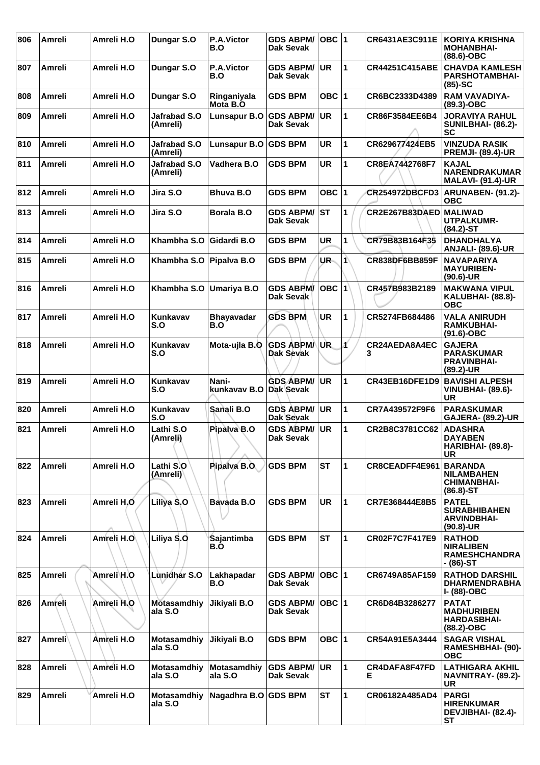| 806 | Amreli        | Amreli H.O | Dungar S.O                    | <b>P.A.Victor</b><br>B.O        | <b>GDS ABPM/</b><br>Dak Sevak        | $OBC$  1  |                      | CR6431AE3C911E         | KORIYA KRISHNA<br><b>MOHANBHAI-</b><br>$(88.6)$ -OBC                       |
|-----|---------------|------------|-------------------------------|---------------------------------|--------------------------------------|-----------|----------------------|------------------------|----------------------------------------------------------------------------|
| 807 | Amreli        | Amreli H.O | Dungar S.O                    | P.A.Victor<br>B.O               | <b>GDS ABPM/</b><br>Dak Sevak        | <b>UR</b> | 1                    | <b>CR44251C415ABE</b>  | <b>CHAVDA KAMLESH</b><br><b>PARSHOTAMBHAI-</b><br>$(85)-SC$                |
| 808 | Amreli        | Amreli H.O | Dungar S.O                    | Ringaniyala<br>Mota B.O         | <b>GDS BPM</b>                       | OBC $ 1$  |                      | CR6BC2333D4389         | <b>RAM VAVADIYA-</b><br>$(89.3)$ -OBC                                      |
| 809 | Amreli        | Amreli H.O | Jafrabad S.O<br>(Amreli)      | Lunsapur B.O                    | <b>GDS ABPM/</b><br>Dak Sevak        | <b>UR</b> | 1                    | CR86F3584EE6B4         | <b>JORAVIYA RAHUL</b><br>SUNILBHAI- (86.2)-<br>SC                          |
| 810 | Amreli        | Amreli H.O | Jafrabad S.O<br>(Amreli)      | <b>Lunsapur B.O</b>             | <b>GDS BPM</b>                       | <b>UR</b> | 1                    | CR629677424EB5         | <b>VINZUDA RASIK</b><br><b>PREMJI- (89.4)-UR</b>                           |
| 811 | Amreli        | Amreli H.O | Jafrabad S.O<br>(Amreli)      | Vadhera B.O                     | <b>GDS BPM</b>                       | <b>UR</b> | 1                    | CR8EA7442768F7         | <b>KAJAL</b><br><b>NARENDRAKUMAR</b><br><b>MALAVI- (91.4)-UR</b>           |
| 812 | Amreli        | Amreli H.O | Jira S.O                      | <b>Bhuva B.O</b>                | <b>GDS BPM</b>                       | OBC $ 1$  |                      | <b>CR254972DBCFD3</b>  | ARUNABEN- (91.2)-<br><b>OBC</b>                                            |
| 813 | Amreli        | Amreli H.O | Jira S.O                      | <b>Borala B.O</b>               | <b>GDS ABPM/</b><br><b>Dak Sevak</b> | <b>ST</b> | 1                    | CR2E267B83DAED MALIWAD | <b>UTPALKUMR-</b><br>$(84.2) - ST$                                         |
| 814 | <b>Amreli</b> | Amreli H.O | Khambha S.O                   | Gidardi B.O                     | <b>GDS BPM</b>                       | <b>UR</b> | 1                    | CR79B83B164F35         | <b>DHANDHALYA</b><br><b>ANJALI- (89.6)-UR</b>                              |
| 815 | Amreli        | Amreli H.O | Khambha S.O                   | Pipalva B.O                     | <b>GDS BPM</b>                       | UR-       | $\blacktriangleleft$ | CR838DF6BB859F         | <b>NAVAPARIYA</b><br><b>MAYURIBEN-</b><br>$(90.6)$ -UR                     |
| 816 | <b>Amreli</b> | Amreli H.O | Khambha S.O                   | Umariya B.O                     | <b>GDS ABPM/</b><br><b>Dak Sevak</b> | OBC $ 1$  |                      | CR457B983B2189         | <b>MAKWANA VIPUL</b><br>KALUBHAI- (88.8)-<br><b>OBC</b>                    |
| 817 | Amreli        | Amreli H.O | Kunkavav<br>S.O               | <b>Bhayavadar</b><br>B.O        | <b>GDS BPM</b>                       | <b>UR</b> | 1                    | CR5274FB684486         | <b>VALA ANIRUDH</b><br><b>RAMKUBHAI-</b><br>$(91.6)$ -OBC                  |
| 818 | Amreli        | Amreli H.O | Kunkavav<br>S.O               | Mota-ujla B.O                   | <b>GDS ABPMA</b><br>Dak Sevak        | UR.       |                      | CR24AEDA8A4EC<br>3     | <b>GAJERA</b><br><b>PARASKUMAR</b><br><b>PRAVINBHAI-</b><br>(89.2)-UR      |
| 819 | <b>Amreli</b> | Amreli H.O | Kunkavav<br>S.O               | Nani-<br>kunkavav B.O Dak Sevak | <b>GDS ABPM/</b>                     | <b>UR</b> | 1                    | CR43EB16DFE1D9         | <b>BAVISHI ALPESH</b><br><b>VINUBHAI- (89.6)-</b><br>UR                    |
| 820 | Amreli        | Amreli H.O | Kunkavav<br>S.O               | Sanali B.O                      | <b>GDS ABPM/</b><br>Dak Sevak        | UR        | 1                    | CR7A439572F9F6         | <b>PARASKUMAR</b><br><b>GAJERA- (89.2)-UR</b>                              |
| 821 | Amreli        | Amreli H.O | Lathi S.O<br>(Amreli)         | Pipalva B.O                     | <b>GDS ABPM/</b><br><b>Dak Sevak</b> | <b>UR</b> | 1                    | CR2B8C3781CC62         | <b>ADASHRA</b><br><b>DAYABEN</b><br>HARIBHAI- (89.8)-<br><b>UR</b>         |
| 822 | Amreli        | Amreli H.O | Lathi S.O<br>(Amreli)         | Pipalva B.O.                    | <b>GDS BPM</b>                       | <b>ST</b> | 1                    | CR8CEADFF4E961         | <b>BARANDA</b><br><b>NILAMBAHEN</b><br><b>CHIMANBHAI-</b><br>$(86.8) - ST$ |
| 823 | Amreli        | Amreli H.O | Liliya S.O                    | Bavada B.O                      | <b>GDS BPM</b>                       | <b>UR</b> | 1                    | CR7E368444E8B5         | <b>PATEL</b><br><b>SURABHIBAHEN</b><br><b>ARVINDBHAI-</b><br>$(90.8)$ -UR  |
| 824 | Amreli        | Amreli H.O | Liliya S.O                    | Sajantimba<br>B.O               | <b>GDS BPM</b>                       | <b>ST</b> | $\blacktriangleleft$ | CR02F7C7F417E9         | <b>RATHOD</b><br><b>NIRALIBEN</b><br><b>RAMESHCHANDRA</b><br>- (86)-ST     |
| 825 | Amreli        | Amreli H.O | Lùnidhar S.O                  | Lakhapadar<br>B.O               | <b>GDS ABPM/</b><br><b>Dak Sevak</b> | OBC $ 1$  |                      | CR6749A85AF159         | <b>RATHOD DARSHIL</b><br><b>DHARMENDRABHA</b><br>I- (88)-OBC               |
| 826 | Amreli        | Amreli H.O | Motasamdhiy<br>ala S.O        | Jikiyali B.O                    | <b>GDS ABPM/</b><br>Dak Sevak        | OBC  1    |                      | CR6D84B3286277         | <b>PATAT</b><br><b>MADHURIBEN</b><br><b>HARDASBHAI-</b><br>$(88.2)$ -OBC   |
| 827 | <b>Amreli</b> | Amreli H.O | <b>Motasamdhiy</b><br>ala S.O | Jikiyali B.O                    | <b>GDS BPM</b>                       | OBC $ 1$  |                      | CR54A91E5A3444         | <b>SAGAR VISHAL</b><br>RAMESHBHAI- (90)-<br><b>OBC</b>                     |
| 828 | Amreli        | Amreli H.O | <b>Motasamdhiy</b><br>ala S.O | <b>Motasamdhiy</b><br>ala S.O   | <b>GDS ABPM/</b><br>Dak Sevak        | <b>UR</b> | $\mathbf{1}$         | CR4DAFA8F47FD<br>E.    | <b>LATHIGARA AKHIL</b><br>NAVNITRAY- (89.2)-<br><b>UR</b>                  |
| 829 | Amreli        | Amreli H.O | <b>Motasamdhiy</b><br>ala S.O | Nagadhra B.O GDS BPM            |                                      | <b>ST</b> | $\mathbf{1}$         | CR06182A485AD4         | <b>PARGI</b><br><b>HIRENKUMAR</b><br>DEVJIBHAI- (82.4)-<br><b>ST</b>       |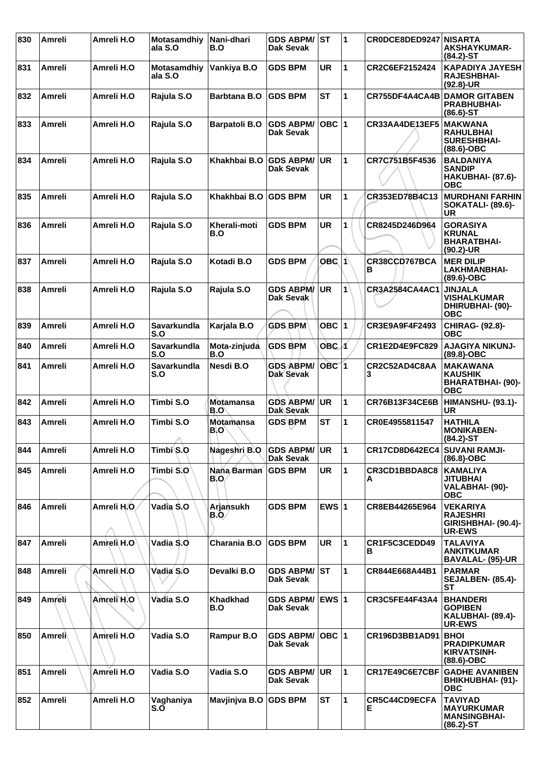| 830 | <b>Amreli</b> | Amreli H.O | <b>Motasamdhiv</b><br>ala S.O | Nani-dhari<br>B.O       | <b>GDS ABPM/</b><br>Dak Sevak        | <b>ST</b>        | $\blacktriangleleft$ | CR0DCE8DED9247 NISARTA | <b>AKSHAYKUMAR-</b><br>$(84.2)$ -ST                                           |
|-----|---------------|------------|-------------------------------|-------------------------|--------------------------------------|------------------|----------------------|------------------------|-------------------------------------------------------------------------------|
| 831 | Amreli        | Amreli H.O | <b>Motasamdhiy</b><br>ala S.O | Vankiya B.O             | <b>GDS BPM</b>                       | UR               | 1                    | CR2C6EF2152424         | <b>KAPADIYA JAYESH</b><br><b>RAJESHBHAI-</b><br>$(92.8)$ -UR                  |
| 832 | Amreli        | Amreli H.O | Rajula S.O                    | <b>Barbtana B.O</b>     | <b>GDS BPM</b>                       | <b>ST</b>        | $\mathbf{1}$         | CR755DF4A4CA4B         | <b>DAMOR GITABEN</b><br><b>PRABHUBHAI-</b><br>$(86.6)$ -ST                    |
| 833 | Amreli        | Amreli H.O | Rajula S.O                    | <b>Barpatoli B.O</b>    | <b>GDS ABPM/</b><br><b>Dak Sevak</b> | OBC $ 1$         |                      | CR33AA4DE13EF5         | <b>MAKWANA</b><br><b>RAHULBHAI</b><br><b>SURESHBHAI-</b><br>(88.6)-OBC        |
| 834 | Amreli        | Amreli H.O | Rajula S.O                    | Khakhbai B.O            | <b>GDS ABPM/</b><br>Dak Sevak        | <b>UR</b>        | 1                    | CR7C751B5F4536         | <b>BALDANIYA</b><br><b>SANDIP</b><br>HAKUBHAI- (87.6)-<br><b>OBC</b>          |
| 835 | Amreli        | Amreli H.O | Rajula S.O                    | Khakhbai B.O            | <b>GDS BPM</b>                       | <b>UR</b>        | 1                    | CR353ED78B4C13         | <b>MURDHANI FARHIN</b><br><b>SOKATALI- (89.6)-</b><br>UR                      |
| 836 | <b>Amreli</b> | Amreli H.O | Rajula S.O                    | Kherali-moti<br>B.O     | <b>GDS BPM</b>                       | <b>UR</b>        | 1                    | CR8245D246D964         | <b>GORASIYA</b><br><b>KRUNAL</b><br><b>BHARATBHAI-</b><br>$(90.2)$ -UR        |
| 837 | <b>Amreli</b> | Amreli H.O | Rajula S.O                    | Kotadi B.O              | <b>GDS BPM</b>                       | OBC 1            |                      | CR38CCD767BCA<br>в     | <b>MER DILIP</b><br>LAKHMANBHAI-<br>$(89.6)$ -OBC                             |
| 838 | <b>Amreli</b> | Amreli H.O | Rajula S.O                    | Rajula S.O              | <b>GDS ABPM/</b><br><b>Dak Sevak</b> | <b>UR</b>        | $\mathbf{1}$         | <b>CR3A2584CA4AC1</b>  | <b>JINJALA</b><br><b>VISHALKUMAR</b><br><b>DHIRUBHAI- (90)-</b><br><b>OBC</b> |
| 839 | Amreli        | Amreli H.O | Savarkundla<br>S.O            | Karjala B.O             | <b>GDS BPM</b>                       | OBC $ 1$         |                      | CR3E9A9F4F2493         | <b>CHIRAG- (92.8)-</b><br><b>OBC</b>                                          |
| 840 | Amreli        | Amreli H.O | Savarkundla<br>S.O            | Mota-zinjuda<br>B.O     | <b>GDS BPM</b>                       | $OBC$ 1          |                      | CR1E2D4E9FC829         | <b>AJAGIYA NIKUNJ-</b><br>$(89.8)-OBC$                                        |
| 841 | Amreli        | Amreli H.O | Savarkundla<br>S.O            | Nesdi B.O               | <b>GDS ABPM/</b><br><b>Dak Sevak</b> | OBC <sub>1</sub> |                      | CR2C52AD4C8AA<br>3     | <b>MAKAWANA</b><br><b>KAUSHIK</b><br><b>BHARATBHAI- (90)-</b><br><b>OBC</b>   |
| 842 | Amreli        | Amreli H.O | Timbi S.O                     | <b>Motamansa</b><br>B.O | <b>GDS ABPM/</b><br>Dak Sevak        | <b>UR</b>        | $\mathbf{1}$         | <b>CR76B13F34CE6B</b>  | <b>HIMANSHU- (93.1)-</b><br>UR                                                |
| 843 | Amreli        | Amreli H.O | Timbi S.O<br>Λ                | <b>Motamansa</b><br>B.O | <b>GDS BPM</b>                       | ST               | 1                    | CR0E4955811547         | <b>HATHILA</b><br><b>MONIKABEN-</b><br>$(84.2)$ -ST                           |
| 844 | Amreli        | Amreli H.O | Timbi S.O                     | Nageshri B.O            | <b>GDS ABPM/</b><br>Dak Sevak        | <b>UR</b>        | $\mathbf{1}$         | <b>CR17CD8D642EC4</b>  | <b>SUVANI RAMJI-</b><br>$(86.8)-OBC$                                          |
| 845 | Amreli        | Amreli H.O | Timbi S.O                     | Nana Barman<br>B.O      | <b>GDS BPM</b>                       | UR               | $\mathbf{1}$         | CR3CD1BBDA8C8<br>А     | <b>KAMALIYA</b><br><b>JITUBHAI</b><br>VALABHAI- (90)-<br><b>OBC</b>           |
| 846 | Amreli        | Amreli H.O | Vadia S.O                     | Arjansukh<br>B.O/       | <b>GDS BPM</b>                       | EWS $ 1$         |                      | CR8EB44265E964         | <b>VEKARIYA</b><br><b>RAJESHRI</b><br>GIRISHBHAI- (90.4)-<br>UR-EWS           |
| 847 | <b>Amreli</b> | Amreli H.O | Vadia S.O                     | Charania B.O            | <b>GDS BPM</b>                       | <b>UR</b>        | 1                    | CR1F5C3CEDD49<br>в     | <b>TALAVIYA</b><br><b>ANKITKUMAR</b><br><b>BAVALAL- (95)-UR</b>               |
| 848 | Amreli        | Amreli∖H.O | Vadia S.O                     | Devalki B.O             | <b>GDS ABPM/</b><br><b>Dak Sevak</b> | lst              | $\mathbf{1}$         | CR844E668A44B1         | <b>PARMAR</b><br><b>SEJALBEN- (85.4)-</b><br><b>ST</b>                        |
| 849 | Amreli        | Amreli H.O | Vadia S.O                     | <b>Khadkhad</b><br>B.O  | <b>GDS ABPM/</b><br>Dak Sevak        | <b>EWS 1</b>     |                      | <b>CR3C5FE44F43A4</b>  | <b>BHANDERI</b><br><b>GOPIBEN</b><br>KALUBHAI- (89.4)-<br><b>UR-EWS</b>       |
| 850 | Amreli∖       | Amreli H.O | Vadia S.O                     | Rampur B.O              | <b>GDS ABPM/</b><br>Dak Sevak        | OBC 1            |                      | CR196D3BB1AD91         | <b>BHOI</b><br><b>PRADIPKUMAR</b><br><b>KIRVATSINH-</b><br>$(88.6)$ -OBC      |
| 851 | Amreli        | Amreli H.O | Vadia S.O                     | Vadia S.O               | <b>GDS ABPM/</b><br><b>Dak Sevak</b> | <b>UR</b>        | 1                    | CR17E49C6E7CBF         | <b>GADHE AVANIBEN</b><br>BHIKHUBHAI- (91)-<br><b>OBC</b>                      |
| 852 | Amreli        | Amreli H.O | Vaghaniya<br>S.O              | Mavjinjva B.O           | <b>GDS BPM</b>                       | <b>ST</b>        | 1                    | CR5C44CD9ECFA<br>Е     | <b>TAVIYAD</b><br><b>MAYURKUMAR</b><br><b>MANSINGBHAI-</b><br>$(86.2)$ -ST    |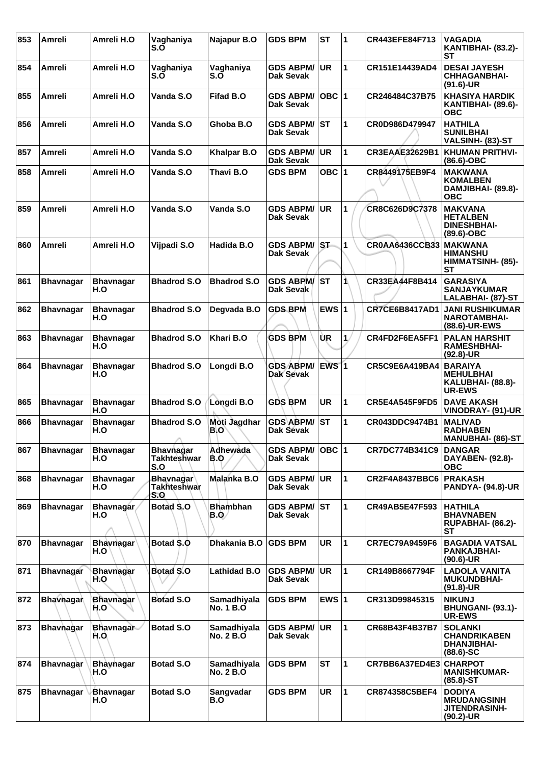| 853 | <b>Amreli</b>    | Amreli H.O               | Vaghaniya<br>S.O                       | Najapur B.O                      | <b>GDS BPM</b>                       | <b>ST</b>          | 1                    | CR443EFE84F713        | VAGADIA<br>KANTIBHAI- (83.2)-<br>SТ                                          |
|-----|------------------|--------------------------|----------------------------------------|----------------------------------|--------------------------------------|--------------------|----------------------|-----------------------|------------------------------------------------------------------------------|
| 854 | Amreli           | Amreli H.O               | Vaqhaniya<br>S.O                       | Vaghaniya<br>S.O                 | <b>GDS ABPM/</b><br>Dak Sevak        | <b>UR</b>          | 1                    | CR151E14439AD4        | <b>DESAI JAYESH</b><br><b>CHHAGANBHAI-</b><br>$(91.6)$ -UR                   |
| 855 | Amreli           | Amreli H.O               | Vanda S.O                              | <b>Fifad B.O</b>                 | <b>GDS ABPM/</b><br>Dak Sevak        | $OBC$ 1            |                      | CR246484C37B75        | <b>KHASIYA HARDIK</b><br>KANTIBHAI- (89.6)-<br><b>OBC</b>                    |
| 856 | <b>Amreli</b>    | Amreli H.O               | Vanda S.O                              | Ghoba B.O                        | <b>GDS ABPM/</b><br>Dak Sevak        | ST                 | 1                    | CR0D986D479947        | <b>HATHILA</b><br><b>SUNILBHAI</b><br>VALSINH- (83)-ST                       |
| 857 | Amreli           | Amreli H.O               | Vanda S.O                              | <b>Khalpar B.O</b>               | <b>GDS ABPM/</b><br><b>Dak Sevak</b> | <b>UR</b>          | 1                    | <b>CR3EAAE32629B1</b> | <b>KHUMAN PRITHVI-</b><br>$(86.6)$ -OBC                                      |
| 858 | Amreli           | Amreli H.O               | Vanda S.O                              | Thavi B.O                        | <b>GDS BPM</b>                       | OBC $ 1$           |                      | CR8449175EB9F4        | <b>MAKWANA</b><br><b>KOMALBEN</b><br>DAMJIBHAI- (89.8)-<br><b>OBC</b>        |
| 859 | Amreli           | Amreli H.O               | Vanda S.O                              | Vanda S.O                        | <b>GDS ABPM/</b><br>Dak Sevak        | <b>UR</b>          | 1                    | CR8C626D9C7378        | <b>MAKVANA</b><br><b>HETALBEN</b><br><b>DINESHBHAI-</b><br>$(89.6)$ -OBC     |
| 860 | Amreli           | Amreli H.O               | Vijpadi S.O                            | Hadida B.O                       | <b>GDS ABPM/</b><br><b>Dak Sevak</b> | lst.               | $\mathbf{1}$         | <b>CR0AA6436CCB33</b> | <b>IMAKWANA</b><br><b>HIMANSHU</b><br>HIMMATSINH- (85)-<br><b>ST</b>         |
| 861 | <b>Bhavnagar</b> | <b>Bhavnagar</b><br>H.O  | <b>Bhadrod S.O</b>                     | <b>Bhadrod S.O</b>               | <b>GDS ABPM/</b><br>Dak Sevak        | ST                 | 1                    | CR33EA44F8B414        | <b>GARASIYA</b><br><b>SANJAYKUMAR</b><br>LALABHAI- (87)-ST                   |
| 862 | <b>Bhavnagar</b> | <b>Bhavnagar</b><br>H.O  | <b>Bhadrod S.O</b>                     | Degvada B.O                      | <b>GDS BPM</b>                       | EWS $ 1$           |                      | <b>CR7CE6B8417AD1</b> | <b>JANI RUSHIKUMAR</b><br><b>NAROTAMBHAI-</b><br>(88.6)-UR-EWS               |
| 863 | <b>Bhavnagar</b> | <b>Bhavnagar</b><br>H.O  | <b>Bhadrod S.O</b>                     | Khari B.O                        | <b>GDS BPM</b>                       | ÙR                 | 1.                   | CR4FD2F6EA5FF1        | <b>PALAN HARSHIT</b><br><b>RAMESHBHAI-</b><br>$(92.8)$ -UR                   |
| 864 | <b>Bhavnagar</b> | <b>Bhavnagar</b><br>H.O  | <b>Bhadrod S.O</b>                     | Longdi B.O                       | <b>GDS ABPM/</b><br><b>Dak Sevak</b> | $EWS$ <sup>1</sup> |                      | CR5C9E6A419BA4        | <b>BARAIYA</b><br><b>MEHULBHAI</b><br>KALUBHAI- (88.8)-<br><b>UR-EWS</b>     |
| 865 | <b>Bhavnagar</b> | <b>Bhavnagar</b><br>H.O  | <b>Bhadrod S.O</b>                     | Lòngdi B.O                       | <b>GDS BPM</b>                       | <b>UR</b>          | 1                    | <b>CR5E4A545F9FD5</b> | <b>DAVE AKASH</b><br>VINODRAY- (91)-UR                                       |
| 866 | <b>Bhavnagar</b> | <b>Bhavnagar</b><br>H.O  | <b>Bhadrod S.O</b><br>л                | Moti Jagdhar<br>B.O              | <b>GDS ABPM/</b><br><b>Dak Sevak</b> | <b>ST</b>          | 1                    | CR043DDC9474B1        | <b>MALIVAD</b><br><b>RADHABEN</b><br><b>MANUBHAI- (86)-ST</b>                |
| 867 | <b>Bhavnagar</b> | <b>Bhavnagar</b><br>H.O  | <b>Bhavnagar</b><br>Takhteshwar<br>S.O | Adhewada<br>B.O                  | <b>GDS ABPM/</b><br><b>Dak Sevak</b> | $OBC$  1           |                      | CR7DC774B341C9        | <b>DANGAR</b><br>DAYABEN- (92.8)-<br><b>OBC</b>                              |
| 868 | <b>Bhavnagar</b> | <b>Bhavnagar</b><br>H.O  | <b>Bhavnagar</b><br>Takhteshwar<br>S.O | Malanka B.O                      | <b>GDS ABPM/</b><br>Dak Sevak        | UR.                | $\blacktriangleleft$ | CR2F4A8437BBC6        | <b>PRAKASH</b><br><b>PANDYA- (94.8)-UR</b>                                   |
| 869 | <b>Bhavnagar</b> | <b>Bhavnagar</b><br>H.O  | Botad S.O                              | <b>Bhambhan</b><br>B.O/          | <b>GDS ABPM/</b><br>Dak Sevak        | lst                | 1                    | <b>CR49AB5E47F593</b> | <b>HATHILA</b><br><b>BHAVNABEN</b><br><b>RUPABHAI- (86.2)-</b><br><b>ST</b>  |
| 870 | <b>Bhavnagar</b> | <b>Bhavnagar</b><br>H.O  | Botad \$.0                             | Dhakania B.O                     | <b>GDS BPM</b>                       | UR                 | 1                    | <b>CR7EC79A9459F6</b> | <b>BAGADIA VATSAL</b><br>PANKAJBHAI-<br>$(90.6)$ -UR                         |
| 871 | <b>Bhavnagar</b> | <b>Bhavnagar</b><br>H.O  | <b>Botad S.O.</b>                      | <b>Lathidad B.O</b>              | <b>GDS ABPM/</b><br>Dak Sevak        | <b>UR</b>          | $\blacktriangleleft$ | CR149B8667794F        | <b>LADOLA VANITA</b><br><b>MUKUNDBHAI-</b><br>$(91.8)$ -UR                   |
| 872 | <b>Bhavnagar</b> | <b>Bhavnagar</b><br>H.O  | <b>Botad S.O</b>                       | Samadhiyala<br><b>No. 1 B.O.</b> | <b>GDS BPM</b>                       | EWS $ 1$           |                      | CR313D99845315        | <b>NIKUNJ</b><br><b>BHUNGANI- (93.1)-</b><br><b>UR-EWS</b>                   |
| 873 | <b>Bhavhagar</b> | <b>Bhavnagar</b><br>H.O. | Botad S.O                              | Samadhiyala<br><b>No. 2 B.O</b>  | <b>GDS ABPM/</b><br>Dak Sevak        | <b>UR</b>          | 1                    | CR68B43F4B37B7        | <b>SOLANKI</b><br><b>CHANDRIKABEN</b><br><b>DHANJIBHAI-</b><br>$(88.6) - SC$ |
| 874 | <b>Bhavnagar</b> | <b>Bhavnagar</b><br>H.O  | <b>Botad S.O</b>                       | Samadhiyala<br><b>No. 2 B.O</b>  | <b>GDS BPM</b>                       | <b>ST</b>          | $\blacktriangleleft$ | CR7BB6A37ED4E3        | <b>CHARPOT</b><br><b>MANISHKUMAR-</b><br>$(85.8) - ST$                       |
| 875 | <b>Bhavnagar</b> | Bhavnagar<br>H.O         | <b>Botad S.O</b>                       | Sangvadar<br>B.O                 | <b>GDS BPM</b>                       | <b>UR</b>          | $\blacktriangleleft$ | <b>CR874358C5BEF4</b> | <b>DODIYA</b><br><b>MRUDANGSINH</b><br><b>JITENDRASINH-</b><br>$(90.2)$ -UR  |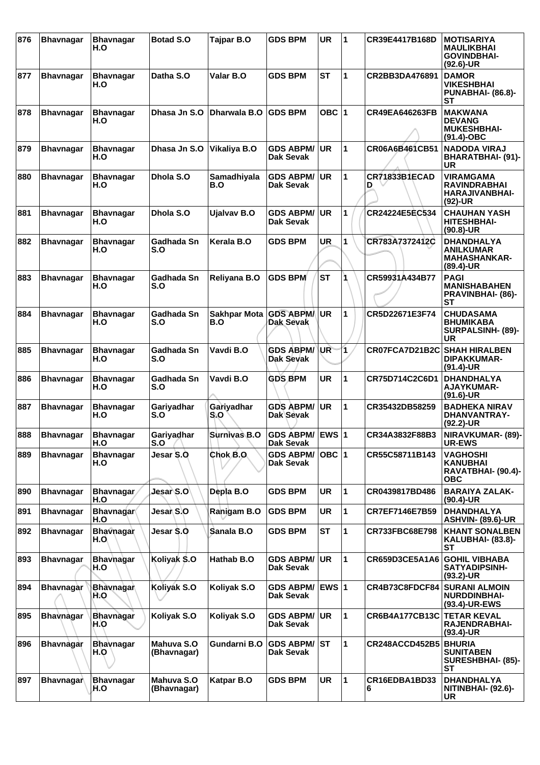| 876 | <b>Bhavnagar</b> | <b>Bhavnagar</b><br>H.O | <b>Botad S.O</b>          | Tajpar B.O                 | <b>GDS BPM</b>                       | <b>UR</b>    | 1            | CR39E4417B168D            | <b>MOTISARIYA</b><br>MAULIKBHAI<br><b>GOVINDBHAI-</b><br>$(92.6)$ -UR     |
|-----|------------------|-------------------------|---------------------------|----------------------------|--------------------------------------|--------------|--------------|---------------------------|---------------------------------------------------------------------------|
| 877 | <b>Bhavnagar</b> | <b>Bhavnagar</b><br>H.O | Datha S.O                 | Valar B.O                  | <b>GDS BPM</b>                       | <b>ST</b>    | 1            | CR2BB3DA476891            | <b>DAMOR</b><br><b>VIKESHBHAI</b><br>PUNABHAI- (86.8)-<br>SТ              |
| 878 | <b>Bhavnagar</b> | <b>Bhavnagar</b><br>H.O | Dhasa Jn S.O              | Dharwala B.O               | <b>GDS BPM</b>                       | OBC $ 1$     |              | <b>CR49EA646263FB</b>     | <b>MAKWANA</b><br><b>DEVANG</b><br><b>MUKESHBHAI-</b><br>$(91.4)$ -OBC    |
| 879 | <b>Bhavnagar</b> | <b>Bhavnagar</b><br>H.O | Dhasa Jn S.O              | Vikaliya B.O               | <b>GDS ABPM/</b><br><b>Dak Sevak</b> | <b>UR</b>    | 1            | CR06A6B461CB51            | <b>NADODA VIRAJ</b><br><b>BHARATBHAI- (91)-</b><br>UR                     |
| 880 | <b>Bhavnagar</b> | <b>Bhavnagar</b><br>H.O | Dhola S.O                 | Samadhiyala<br>B.O         | <b>GDS ABPM/</b><br>Dak Sevak        | <b>UR</b>    | 1            | <b>CR71833B1ECAD</b><br>D | <b>VIRAMGAMA</b><br><b>RAVINDRABHAI</b><br>HARAJIVANBHAI-<br>$(92)-UR$    |
| 881 | <b>Bhavnagar</b> | <b>Bhavnagar</b><br>H.O | Dhola S.O                 | <b>Ujalvav B.O</b>         | <b>GDS ABPM/</b><br>Dak Sevak        | <b>UR</b>    | 1            | CR24224E5EC534            | <b>CHAUHAN YASH</b><br><b>HITESHBHAI-</b><br>$(90.8)$ -UR                 |
| 882 | <b>Bhavnagar</b> | <b>Bhavnagar</b><br>H.O | Gadhada Sn<br>S.O         | Kerala B.O                 | <b>GDS BPM</b>                       | <b>UR</b>    | 1            | CR783A7372412C            | <b>DHANDHALYA</b><br><b>ANILKUMAR</b><br><b>MAHASHANKAR-</b><br>(89.4)-UR |
| 883 | <b>Bhavnagar</b> | <b>Bhavnagar</b><br>H.O | Gadhada Sn<br>S.O         | Reliyana B.O               | <b>GDS BPM</b>                       | <b>ST</b>    |              | CR59931A434B77            | <b>PAGI</b><br><b>MANISHABAHEN</b><br><b>PRAVINBHAI- (86)-</b><br>SТ      |
| 884 | <b>Bhavnagar</b> | <b>Bhavnagar</b><br>H.O | Gadhada Sn<br>S.O         | <b>Sakhpar Mota</b><br>B.O | <b>GDS ABPM/</b><br>Dak Sevak        | <b>UR</b>    | 1            | CR5D22671E3F74            | <b>CHUDASAMA</b><br><b>BHUMIKABA</b><br>SURPALSINH- (89)-<br>UR           |
| 885 | <b>Bhavnagar</b> | <b>Bhavnagar</b><br>H.O | Gadhada Sn<br>S.O         | Vavdi B.O                  | <b>GDS ABPM/</b><br><b>Dak Sevak</b> | UR           | 1            | CR07FCA7D21B2C            | <b>SHAH HIRALBEN</b><br><b>DIPAKKUMAR-</b><br>$(91.4)$ -UR                |
| 886 | <b>Bhavnagar</b> | <b>Bhavnagar</b><br>H.O | Gadhada Sn<br>S.O         | Vavdi B.O                  | <b>GDS BPM</b>                       | <b>UR</b>    | 1            | CR75D714C2C6D1            | <b>DHANDHALYA</b><br>AJAYKUMAR-<br>$(91.6)$ -UR                           |
| 887 | <b>Bhavnagar</b> | <b>Bhavnagar</b><br>H.O | Gariyadhar<br>S.O         | Gariyadhar<br>S.O          | <b>GDS ABPM/</b><br>Dak Sevak        | UR.          | 1            | CR35432DB58259            | <b>BADHEKA NIRAV</b><br>DHANVANTRAY-<br>(92.2)-UR                         |
| 888 | <b>Bhavnagar</b> | <b>Bhavnagar</b><br>H.O | Gariyadhar<br>S.O         | <b>Surnivas B.O</b>        | GDS ABPM/ EWS 1<br>Dak Sevak         |              |              | CR34A3832F88B3            | NIRAVKUMAR- (89)-<br><b>UR-EWS</b>                                        |
| 889 | <b>Bhavnagar</b> | <b>Bhavnagar</b><br>H.O | Jesar S.O                 | Chok B.O.                  | <b>GDS ABPM/</b><br>Dak Sevak        | OBC $ 1$     |              | CR55C58711B143            | <b>VAGHOSHI</b><br><b>KANUBHAI</b><br>RAVATBHAI- (90.4)-<br><b>OBC</b>    |
| 890 | <b>Bhavnagar</b> | <b>Bhavnagar</b><br>H.O | Jesar S.O                 | Depla B.O                  | <b>GDS BPM</b>                       | <b>UR</b>    | 1            | CR0439817BD486            | <b>BARAIYA ZALAK-</b><br>$(90.4)$ -UR                                     |
| 891 | <b>Bhavnagar</b> | <b>Bhavnagar</b><br>H.O | Jesar S.O                 | Ranigam B.O                | <b>GDS BPM</b>                       | <b>UR</b>    | $\mathbf{1}$ | CR7EF7146E7B59            | <b>DHANDHALYA</b><br><b>ASHVIN- (89.6)-UR</b>                             |
| 892 | <b>Bhavnagar</b> | <b>Bhavnagar</b><br>H.O | Jesar \$.O                | Sanala B.O                 | <b>GDS BPM</b>                       | <b>ST</b>    | 1            | CR733FBC68E798            | <b>KHANT SONALBEN</b><br>KALUBHAI- (83.8)-<br>SТ                          |
| 893 | <b>Bhavnagar</b> | <b>Bhavhagar</b><br>H.O | Koliyak S.O               | Hathab B.O                 | <b>GDS ABPM/</b><br><b>Dak Sevak</b> | UR.          | $\mathbf{1}$ | CR659D3CE5A1A6            | <b>GOHIL VIBHABA</b><br><b>SATYADIPSINH-</b><br>$(93.2)$ -UR              |
| 894 | <b>Bhavnagar</b> | Bhavnagar<br>H.O        | Koliyak S.O               | Koliyak S.O                | <b>GDS ABPM/</b><br>Dak Sevak        | <b>EWS 1</b> |              | CR4B73C8FDCF84            | <b>SURANI ALMOIN</b><br><b>NURDDINBHAI-</b><br>(93.4)-UR-EWS              |
| 895 | <b>Bhavnagar</b> | <b>Bhavnagar</b><br>H.O | Koliyak S.O               | Koliyak S.O                | <b>GDS ABPM/</b><br>Dak Sevak        | UR.          | $\mathbf{1}$ | <b>CR6B4A177CB13C</b>     | <b>TETAR KEVAL</b><br>RAJENDRABHAI-<br>$(93.4)$ -UR                       |
| 896 | <b>Bhavnagar</b> | <b>Bhavnagar</b><br>H.O | Mahuva S.O<br>(Bhavnagar) | Gundarni B.O               | <b>GDS ABPM/ ST</b><br>Dak Sevak     |              | $\mathbf{1}$ | <b>CR248ACCD452B5</b>     | <b>BHURIA</b><br><b>SUNITABEN</b><br>SURESHBHAI- (85)-<br>SТ              |
| 897 | <b>Bhavnagar</b> | Bhavnagar<br>H.O        | Mahuva S.O<br>(Bhavnagar) | Katpar B.O                 | <b>GDS BPM</b>                       | UR           | $\mathbf{1}$ | CR16EDBA1BD33<br>6        | <b>DHANDHALYA</b><br>NITINBHAI- (92.6)-<br>UR                             |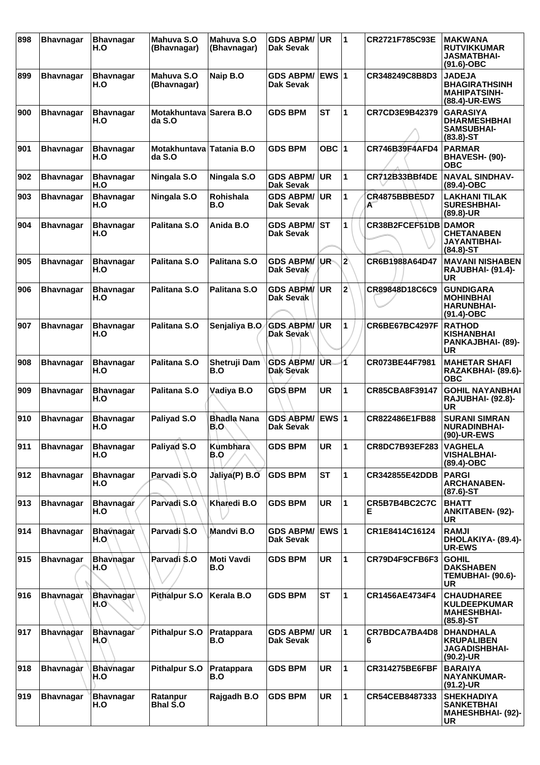| 898 | <b>Bhavnagar</b> | <b>Bhavnagar</b><br>H.O  | Mahuva S.O<br>(Bhavnagar)         | Mahuva S.O<br>(Bhavnagar) | <b>GDS ABPM/</b><br>Dak Sevak        | <b>UR</b>    | 1              | CR2721F785C93E            | <b>MAKWANA</b><br><b>RUTVIKKUMAR</b><br><b>JASMATBHAI-</b><br>$(91.6)-OBC$      |
|-----|------------------|--------------------------|-----------------------------------|---------------------------|--------------------------------------|--------------|----------------|---------------------------|---------------------------------------------------------------------------------|
| 899 | <b>Bhavnagar</b> | <b>Bhavnagar</b><br>H.O  | Mahuva S.O<br>(Bhavnagar)         | Naip B.O                  | <b>GDS ABPM/</b><br><b>Dak Sevak</b> | <b>EWS 1</b> |                | CR348249C8B8D3            | <b>JADEJA</b><br><b>BHAGIRATHSINH</b><br><b>MAHIPATSINH-</b><br>(88.4)-UR-EWS   |
| 900 | <b>Bhavnagar</b> | <b>Bhavnagar</b><br>H.O  | Motakhuntava Sarera B.O<br>da S.O |                           | <b>GDS BPM</b>                       | <b>ST</b>    | 1              | CR7CD3E9B42379            | <b>GARASIYA</b><br><b>DHARMESHBHAI</b><br><b>SAMSUBHAI-</b><br>$(83.8) - ST$    |
| 901 | <b>Bhavnagar</b> | <b>Bhavnagar</b><br>H.O  | <b>Motakhuntava</b><br>da S.O     | <b>Tatania B.O</b>        | <b>GDS BPM</b>                       | OBC $ 1$     |                | CR746B39F4AFD4            | <b>PARMAR</b><br>BHAVESH- (90)-<br><b>OBC</b>                                   |
| 902 | <b>Bhavnagar</b> | <b>Bhavnagar</b><br>H.O  | Ningala S.O                       | Ningala S.O               | <b>GDS ABPM/</b><br>Dak Sevak        | <b>UR</b>    | $\mathbf{1}$   | <b>CR712B33BBf4DE</b>     | <b>NAVAL SINDHAV-</b><br>(89.4)-OBC                                             |
| 903 | <b>Bhavnagar</b> | <b>Bhavnagar</b><br>H.O  | Ningala S.O                       | <b>Rohishala</b><br>B.O   | <b>GDS ABPM/</b><br>Dak Sevak        | <b>UR</b>    | 1              | <b>CR4875BBBE5D7</b><br>A | <b>LAKHANI TILAK</b><br><b>SURESHBHAI-</b><br>$(89.8)$ -UR                      |
| 904 | <b>Bhavnagar</b> | <b>Bhavnagar</b><br>H.O  | Palitana S.O                      | Anida B.O                 | <b>GDS ABPM/ST</b><br>Dak Sevak      |              | 1              | CR38B2FCEF51DB            | <b>DAMOR</b><br><b>CHETANABEN</b><br><b>JAYANTIBHAI-</b><br>$(84.8)$ -ST        |
| 905 | <b>Bhavnagar</b> | <b>Bhavnagar</b><br>H.O  | Palitana S.O                      | Palitana S.O              | <b>GDS ABPM/</b><br>Dak Sevak        | ∣UR-         | $\overline{2}$ | CR6B1988A64D47            | <b>MAVANI NISHABEN</b><br>RAJUBHAI- (91.4)-<br>UR                               |
| 906 | <b>Bhavnagar</b> | <b>Bhavnagar</b><br>H.O  | Palitana S.O                      | Palitana S.O              | <b>GDS ABPM/</b><br><b>Dak Sevak</b> | UR.          | $\mathbf{z}$   | CR89848D18C6C9            | <b>GUNDIGARA</b><br><b>MOHINBHAI</b><br><b>HARUNBHAI-</b><br>$(91.4)$ -OBC      |
| 907 | <b>Bhavnagar</b> | <b>Bhavnagar</b><br>H.O  | Palitana S.O                      | Senjaliya B.O             | <b>GDS ABPM/</b><br>Dak Sevak        | \UR.         | 1              | <b>CR6BE67BC4297F</b>     | <b>RATHOD</b><br><b>KISHANBHAI</b><br>PANKAJBHAI- (89)-<br>UR                   |
| 908 | <b>Bhavnagar</b> | <b>Bhavnagar</b><br>H.O  | Palitana S.O                      | Shetruji Dam<br>B.O       | <b>GDS ABPM/</b><br>Dak Sevak        | UR.          | 1              | CR073BE44F7981            | <b>MAHETAR SHAFI</b><br>RAZAKBHAI- (89.6)-<br><b>OBC</b>                        |
| 909 | <b>Bhavnagar</b> | <b>Bhavnagar</b><br>H.O  | Palitana S.O                      | Vadiya B.O                | <b>GDS BPM</b>                       | <b>UR</b>    | 1              | CR85CBA8F39147            | <b>GOHIL NAYANBHAI</b><br>RAJUBHAI- (92.8)-<br><b>UR</b>                        |
| 910 | <b>Bhavnagar</b> | <b>Bhavnagar</b><br>H.O  | Paliyad S.O                       | <b>Bhadla Nana</b><br>B.O | <b>GDS ABPM/</b><br>Dak Sevak        | EWS $ 1$     |                | CR822486E1FB88            | <b>SURANI SIMRAN</b><br><b>NURADINBHAI-</b><br>(90)-UR-EWS                      |
| 911 | <b>Bhavnagar</b> | <b>Bhavnagar</b><br>H.O  | Paliyad S.O                       | Kumbhara<br>B.O           | <b>GDS BPM</b>                       | <b>UR</b>    | 1              | CR8DC7B93EF283            | <b>VAGHELA</b><br><b>VISHALBHAI-</b><br>(89.4)-OBC                              |
| 912 | <b>Bhavnagar</b> | <b>Bhavnagar</b><br>H.O  | Parvadi S.O                       | Jaliya(P) B.O             | <b>GDS BPM</b>                       | <b>ST</b>    | $\mathbf{1}$   | CR342855E42DDB            | <b>PARGI</b><br><b>ARCHANABEN-</b><br>$(87.6)$ -ST                              |
| 913 | <b>Bhavnagar</b> | <b>Bhavnagar</b><br>H.O  | Parvadi S.O                       | Kharedi B.O               | <b>GDS BPM</b>                       | <b>UR</b>    | 1              | CR5B7B4BC2C7C<br>Е        | <b>BHATT</b><br><b>ANKITABEN- (92)-</b><br><b>UR</b>                            |
| 914 | <b>Bhavnagar</b> | <b>Bhavnagar</b><br>H.O. | Parvadi S.O                       | Mandvi B.O                | <b>GDS ABPM/</b><br><b>Dak Sevak</b> | <b>EWS1</b>  |                | CR1E8414C16124            | <b>RAMJI</b><br>DHOLAKIYA- (89.4)-<br><b>UR-EWS</b>                             |
| 915 | <b>Bhavnagar</b> | <b>Bhavnagar</b><br>H.O  | Parvadi \$.0                      | Moti Vavdi<br>B.O         | <b>GDS BPM</b>                       | UR           | 1              | CR79D4F9CFB6F3            | <b>GOHIL</b><br><b>DAKSHABEN</b><br>TEMUBHAI- (90.6)-<br>UR                     |
| 916 | Bhavnagar        | <b>Bhavnagar</b><br>H.O  | <b>Pithalpur S.O</b>              | Kerala B.O                | <b>GDS BPM</b>                       | <b>ST</b>    | 1              | CR1456AE4734F4            | <b>CHAUDHAREE</b><br><b>KULDEEPKUMAR</b><br><b>MAHESHBHAI-</b><br>$(85.8) - ST$ |
| 917 | <b>Bhavnagar</b> | <b>Bhavnagar</b><br>H.O  | <b>Pithalpur S.O</b>              | Pratappara<br>B.O         | <b>GDS ABPM/</b><br>Dak Sevak        | UR           | 1              | CR7BDCA7BA4D8<br>6        | <b>DHANDHALA</b><br><b>KRUPALIBEN</b><br><b>JAGADISHBHAI-</b><br>(90.2)-UR      |
| 918 | <b>Bhavnagar</b> | <b>Bhavnagar</b><br>H.O  | <b>Pithalpur S.O</b>              | Pratappara<br>B.O         | <b>GDS BPM</b>                       | UR           | 1              | <b>CR314275BE6FBF</b>     | <b>BARAIYA</b><br><b>NAYANKUMAR-</b><br>$(91.2)$ -UR                            |
| 919 | <b>Bhavnagar</b> | <b>Bhavnagar</b><br>H.O  | Ratanpur<br><b>Bhal S.O</b>       | Rajgadh B.O               | <b>GDS BPM</b>                       | <b>UR</b>    | $\mathbf{1}$   | CR54CEB8487333            | <b>SHEKHADIYA</b><br><b>SANKETBHAI</b><br><b>MAHESHBHAI- (92)-</b><br>UR        |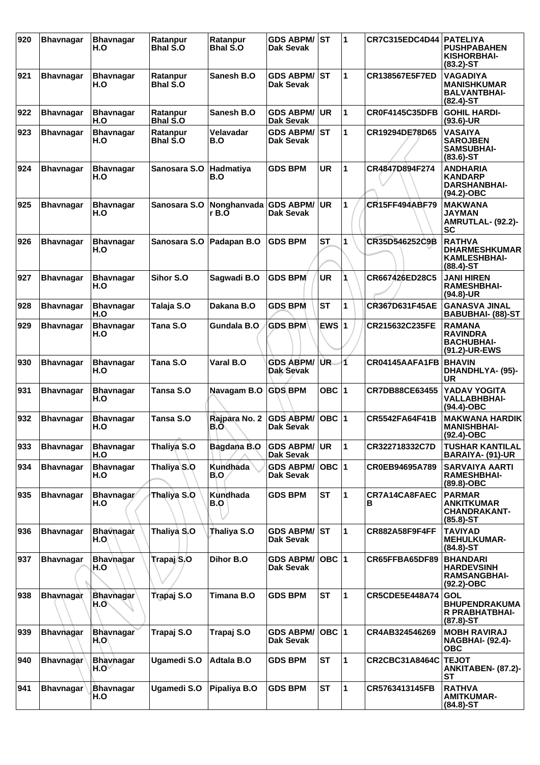| 920 | <b>Bhavnagar</b> | <b>Bhavnagar</b><br>H.O          | Ratanpur<br><b>Bhal S.O</b> | Ratanpur<br><b>Bhal S.O</b> | <b>GDS ABPM/ ST</b><br><b>Dak Sevak</b> |           | 1            | <b>CR7C315EDC4D44</b> | <b>PATELIYA</b><br><b>PUSHPABAHEN</b><br><b>KISHORBHAI-</b><br>$(83.2) - ST$ |
|-----|------------------|----------------------------------|-----------------------------|-----------------------------|-----------------------------------------|-----------|--------------|-----------------------|------------------------------------------------------------------------------|
| 921 | <b>Bhavnagar</b> | <b>Bhavnagar</b><br>H.O          | Ratanpur<br><b>Bhal S.O</b> | Sanesh B.O                  | <b>GDS ABPM/ ST</b><br>Dak Sevak        |           | 1            | <b>CR138567E5F7ED</b> | <b>VAGADIYA</b><br><b>MANISHKUMAR</b><br><b>BALVANTBHAI-</b><br>$(82.4)$ -ST |
| 922 | <b>Bhavnagar</b> | <b>Bhavnagar</b><br>H.O          | Ratanpur<br><b>Bhal S.O</b> | Sanesh B.O                  | <b>GDS ABPM/</b><br>Dak Sevak           | <b>UR</b> | $\mathbf{1}$ | <b>CR0F4145C35DFB</b> | <b>GOHIL HARDI-</b><br>$(93.6)$ -UR                                          |
| 923 | <b>Bhavnagar</b> | <b>Bhavnagar</b><br>H.O          | Ratanpur<br><b>Bhal S.O</b> | Velavadar<br>B.O            | <b>GDS ABPM/</b><br>Dak Sevak           | IST       | 1            | CR19294DE78D65        | <b>VASAIYA</b><br><b>SAROJBEN</b><br><b>SAMSUBHAI-</b><br>$(83.6)$ -ST       |
| 924 | <b>Bhavnagar</b> | <b>Bhavnagar</b><br>H.O          | Sanosara S.O                | Hadmatiya<br>B.O            | <b>GDS BPM</b>                          | <b>UR</b> | 1            | CR4847D894F274        | <b>ANDHARIA</b><br><b>KANDARP</b><br><b>DARSHANBHAI-</b><br>$(94.2)$ -OBC    |
| 925 | <b>Bhavnagar</b> | <b>Bhavnagar</b><br>H.O          | Sanosara S.O                | Nonghanvada<br>r B.O        | <b>GDS ABPM/</b><br><b>Dak Sevak</b>    | UR        | 1            | <b>CR15FF494ABF79</b> | <b>MAKWANA</b><br><b>JAYMAN</b><br>AMRUTLAL- (92.2)-<br>SC                   |
| 926 | <b>Bhavnagar</b> | <b>Bhavnagar</b><br>H.O          | Sanosara S.O                | Padapan B.O                 | <b>GDS BPM</b>                          | <b>ST</b> | 1            | CR35D546252C9B        | <b>RATHVA</b><br><b>DHARMESHKUMAR</b><br><b>KAMLESHBHAI-</b><br>$(88.4)$ -ST |
| 927 | <b>Bhavnagar</b> | <b>Bhavnagar</b><br>H.O          | Sihor S.O                   | Sagwadi B.O                 | <b>GDS BPM</b>                          | <b>UR</b> |              | CR667426ED28C5        | JANI HIREN<br><b>RAMESHBHAI-</b><br>(94.8)-UR                                |
| 928 | <b>Bhavnagar</b> | <b>Bhavnagar</b><br>H.O          | Talaja S.O                  | Dakana B.O                  | <b>GDS BPM</b>                          | <b>ST</b> | 1            | CR367D631F45AE        | <b>GANASVA JINAL</b><br><b>BABUBHAI- (88)-ST</b>                             |
| 929 | <b>Bhavnagar</b> | <b>Bhavnagar</b><br>H.O          | Tana S.O                    | Gundala B.O                 | <b>GDS BPM</b>                          | EWS 1     |              | CR215632C235FE        | <b>RAMANA</b><br><b>RAVINDRA</b><br><b>BACHUBHAI-</b><br>(91.2)-UR-EWS       |
| 930 | <b>Bhavnagar</b> | <b>Bhavnagar</b><br>H.O          | Tana S.O                    | Varal B.O                   | <b>GDS ABPM/</b><br>Dak Sevak           | UR.       | 1            | CR04145AAFA1FB        | <b>BHAVIN</b><br>DHANDHLYA- (95)-<br>UR                                      |
| 931 | <b>Bhavnagar</b> | <b>Bhavnagar</b><br>H.O          | Tansa S.O                   | Navagam B.O                 | <b>GDS BPM</b>                          | OBC $ 1$  |              | <b>CR7DB88CE63455</b> | YADAV YOGITA<br><b>VALLABHBHAI-</b><br>(94.4)-OBC                            |
| 932 | <b>Bhavnagar</b> | <b>Bhavnagar</b><br>H.O          | Tansa S.O                   | Rajpara No. 2<br>B.O        | <b>GDS ABPM/</b><br>Dak Sevak           | $OBC$ 1   |              | <b>CR5542FA64F41B</b> | <b>MAKWANA HARDIK</b><br><b>MANISHBHAI-</b><br>$(92.4)$ -OBC                 |
| 933 | <b>Bhavnagar</b> | <b>Bhavnagar</b><br>H.O          | Thaliya S.O                 | Bagdana B.O                 | <b>GDS ABPM/ UR</b><br><b>Dak Sevak</b> |           | 11           | CR322718332C7D        | <b>TUSHAR KANTILAL</b><br><b>BARAIYA- (91)-UR</b>                            |
| 934 | <b>Bhavnagar</b> | <b>Bhavnagar</b><br>H.O          | Thaliya S.O                 | <b>Kundhada</b><br>B.O      | <b>GDS ABPM/</b><br>Dak Sevak           | OBC $ 1$  |              | CR0EB94695A789        | <b>SARVAIYA AARTI</b><br><b>RAMESHBHAI-</b><br>(89.8)-OBC                    |
| 935 | <b>Bhavnagar</b> | Bhavnagar/<br>H.O                | Thaliya S.O                 | Kundhada<br>B.O             | <b>GDS BPM</b>                          | <b>ST</b> | $\mathbf{1}$ | CR7A14CA8FAEC<br>В    | <b>PARMAR</b><br><b>ANKITKUMAR</b><br><b>CHANDRAKANT-</b><br>$(85.8)$ -ST    |
| 936 | <b>Bhavnagar</b> | <b>Bhavnagar</b><br>H.O.         | Thaliya S.O                 | Thaliya S.O                 | <b>GDS ABPM/ST</b><br>Dak Sevak         |           | 1            | <b>CR882A58F9F4FF</b> | <b>TAVIYAD</b><br><b>MEHULKUMAR-</b><br>$(84.8) - ST$                        |
| 937 | <b>Bhavnagar</b> | <b>Bhavnagar</b><br>H.O          | Trapaj/S.O                  | Dihor B.O                   | <b>GDS ABPM/</b><br>Dak Sevak           | OBC  1    |              | CR65FFBA65DF89        | <b>BHANDARI</b><br><b>HARDEVSINH</b><br><b>RAMSANGBHAI-</b><br>$(92.2)$ -OBC |
| 938 | <b>Bhavnagar</b> | <b>Bhavnagar</b><br>H.O          | Trapaj S.O                  | Timana B.O                  | <b>GDS BPM</b>                          | <b>ST</b> | 1            | <b>CR5CDE5E448A74</b> | <b>GOL</b><br><b>BHUPENDRAKUMA</b><br><b>R PRABHATBHAI-</b><br>$(87.8) - ST$ |
| 939 | <b>Bhavnagar</b> | <b>Bhavnagar</b><br>H.O          | Trapaj S.O                  | Trapaj S.O                  | <b>GDS ABPM/</b><br><b>Dak Sevak</b>    | $OBC$ 1   |              | CR4AB324546269        | <b>MOBH RAVIRAJ</b><br><b>NAGBHAI- (92.4)-</b><br><b>OBC</b>                 |
| 940 | <b>Bhavnagar</b> | <b>Bhavnagar</b><br>$H.O^{\vee}$ | <b>Ugamedi S.O</b>          | <b>Adtala B.O</b>           | <b>GDS BPM</b>                          | <b>ST</b> | $\mathbf{1}$ | <b>CR2CBC31A8464C</b> | <b>TEJOT</b><br>ANKITABEN- (87.2)-<br><b>ST</b>                              |
| 941 | <b>Bhavnagar</b> | Bhavnagar<br>H.O                 | <b>Ugamedi S.O</b>          | Pipaliya B.O                | <b>GDS BPM</b>                          | <b>ST</b> | 1            | CR5763413145FB        | <b>RATHVA</b><br><b>AMITKUMAR-</b><br>$(84.8)$ -ST                           |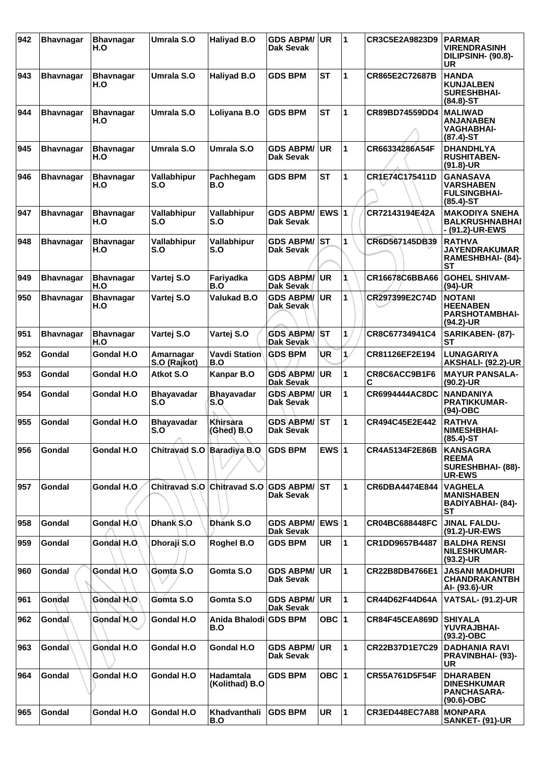| 942 | <b>Bhavnagar</b>    | <b>Bhavnagar</b><br>H.O | Umrala S.O                    | <b>Haliyad B.O</b>                 | <b>GDS ABPM/</b><br>Dak Sevak        | UR           | 1            | CR3C5E2A9823D9        | <b>PARMAR</b><br><b>VIRENDRASINH</b><br>DILIPSINH- (90.8)-<br>UR           |
|-----|---------------------|-------------------------|-------------------------------|------------------------------------|--------------------------------------|--------------|--------------|-----------------------|----------------------------------------------------------------------------|
| 943 | <b>Bhavnagar</b>    | <b>Bhavnagar</b><br>H.O | Umrala S.O                    | Haliyad B.O                        | <b>GDS BPM</b>                       | <b>ST</b>    | 1            | CR865E2C72687B        | <b>HANDA</b><br><b>KUNJALBEN</b><br><b>SURESHBHAI-</b><br>$(84.8) - ST$    |
| 944 | <b>Bhavnagar</b>    | <b>Bhavnagar</b><br>H.O | Umrala S.O                    | Loliyana B.O                       | <b>GDS BPM</b>                       | <b>ST</b>    | 1            | CR89BD74559DD4        | <b>MALIWAD</b><br>ANJANABEN<br><b>VAGHABHAI-</b><br>$(87.4) - ST$          |
| 945 | <b>Bhavnagar</b>    | <b>Bhavnagar</b><br>H.O | Umrala S.O                    | Umrala S.O                         | <b>GDS ABPM/</b><br>Dak Sevak        | UR.          | 1            | CR66334286A54F        | <b>DHANDHLYA</b><br><b>RUSHITABEN-</b><br>$(91.8)-UR$                      |
| 946 | <b>Bhavnagar</b>    | <b>Bhavnagar</b><br>H.O | <b>Vallabhipur</b><br>S.O     | Pachhegam<br>B.O                   | <b>GDS BPM</b>                       | <b>ST</b>    | 1            | CR1E74C175411D        | <b>GANASAVA</b><br><b>VARSHABEN</b><br><b>FULSINGBHAI-</b><br>$(85.4)$ -ST |
| 947 | <b>Bhavnagar</b>    | <b>Bhavnagar</b><br>H.O | Vallabhipur<br>S.O            | Vallabhipur<br>S.O                 | <b>GDS ABPM/</b><br><b>Dak Sevak</b> | <b>EWS 1</b> |              | CR72143194E42A        | <b>MAKODIYA SNEHA</b><br><b>BALKRUSHNABHAI</b><br>- (91.2)-UR-EWS          |
| 948 | <b>Bhavnagar</b>    | <b>Bhavnagar</b><br>H.O | Vallabhipur<br>S.O            | Vallabhipur<br>S.O                 | <b>GDS ABPM/</b><br>Dak Sevak        | <b>ST</b>    | 1            | CR6D567145DB39        | <b>RATHVA</b><br><b>JAYENDRAKUMAR</b><br>RAMESHBHAI- (84)-<br>SТ           |
| 949 | <b>Bhavnagar</b>    | <b>Bhavnagar</b><br>H.O | Vartej S.O                    | Fariyadka<br>B.O                   | <b>GDS ABPM/</b><br>Dak Sevak        | <b>UR</b>    | 1            | CR16678C6BBA66        | <b>GOHEL SHIVAM-</b><br>$(94)-UR$                                          |
| 950 | <b>Bhavnagar</b>    | <b>Bhavnagar</b><br>H.O | Vartej S.O                    | <b>Valukad B.O</b>                 | <b>GDS ABPM/</b><br>Dak Sevak        | <b>UR</b>    | 1            | CR297399E2C74D        | <b>NOTANI</b><br><b>HEENABEN</b><br><b>PARSHOTAMBHAI-</b><br>(94.2)-UR     |
| 951 | <b>Bhavnagar</b>    | <b>Bhavnagar</b><br>H.O | Vartej S.O                    | Vartej S.O                         | <b>GDS ABPM/</b><br>Dak Sevak        | <b>ST</b>    | 1            | CR8C67734941C4        | SARIKABEN- (87)-<br>SТ                                                     |
| 952 | Gondal              | Gondal H.O              | Amarnagar<br>S.O (Rajkot)     | Vavdi Station<br>B.O               | <b>GDS BPM</b>                       | UR           | $\mathbf{1}$ | CR81126EF2E194        | <b>LUNAGARIYA</b><br><b>AKSHALI- (92.2)-UR</b>                             |
| 953 | Gondal              | Gondal H.O              | Atkot S.O                     | Kanpar B.O                         | <b>GDS ABPM/</b><br>Dak Sevak        | UR.          | 1            | CR8C6ACC9B1F6<br>С    | <b>MAYUR PANSALA-</b><br>(90.2)-UR                                         |
| 954 | Gondal              | Gondal H.O              | <b>Bhayavadar</b><br>S.O      | <b>Bhayavadar</b><br>S.O           | <b>GDS ABPM/</b><br>Dak Sevak        | <b>UR</b>    | 1            | CR6994444AC8DC        | <b>NANDANIYA</b><br><b>PRATIKKUMAR-</b><br>$(94)-OBC$                      |
| 955 | Gondal              | Gondal H.O              | <b>Bhayavadar</b><br>S.O<br>A | Khirsara<br>(Ghed) B.O             | <b>GDS ABPM/</b><br>Dak Sevak        | ST           | 1            | CR494C45E2E442        | <b>RATHVA</b><br><b>NIMESHBHAI-</b><br>$(85.4)$ -ST                        |
| 956 | Gondal              | Gondal H.O              | Chitravad S.O Baradiya B.O    |                                    | <b>GDS BPM</b>                       | EWS $ 1$     |              | CR4A5134F2E86B        | KANSAGRA<br><b>REEMA</b><br>SURESHBHAI- (88)-<br><b>UR-EWS</b>             |
| 957 | Gondal              | Gondal H.O              | Chitravad S.O                 | <b>Chitravad S.O</b>               | <b>GDS ABPM/</b><br>Dak Sevak        | lst.         | 1            | <b>CR6DBA4474E844</b> | <b>VAGHELA</b><br><b>MANISHABEN</b><br>BADIYABHAI- (84)-<br><b>ST</b>      |
| 958 | Gondal              | Gondal H.O              | Dhank S.O                     | Dhank S.O                          | <b>GDS ABPM/</b><br><b>Dak Sevak</b> |              |              | <b>CR04BC688448FC</b> | <b>JINAL FALDU-</b><br>(91.2)-UR-EWS                                       |
| 959 | Gondal              | Gondal H.O.             | Dhoraji S.O                   | Roghel B.O                         | <b>GDS BPM</b>                       | <b>UR</b>    | 1            | CR1DD9657B4487        | <b>BALDHA RENSI</b><br><b>NILESHKUMAR-</b><br>$(93.2)$ -UR                 |
| 960 | Gondal              | Gondal H.O              | Gomta S.O                     | Gomta S.O                          | <b>GDS ABPM/</b><br>Dak Sevak        | <b>UR</b>    | 1            | CR22B8DB4766E1        | <b>JASANI MADHURI</b><br><b>CHANDRAKANTBH</b><br>AI- (93.6)-UR             |
| 961 | Gondal              | Gondal H.O              | Gomta S.O                     | Gomta S.O                          | <b>GDS ABPM/</b><br><b>Dak Sevak</b> | <b>UR</b>    | $\mathbf{1}$ | CR44D62F44D64A        | <b>VATSAL- (91.2)-UR</b>                                                   |
| 962 | Gondal              | Gondal H.O              | Gondal H.O                    | Anida Bhalodi GDS BPM<br>B.O       |                                      | OBC $ 1$     |              | <b>CR84F45CEA869D</b> | <b>SHIYALA</b><br>YUVRAJBHAI-<br>$(93.2)$ -OBC                             |
| 963 | Gondal <sup>1</sup> | Gondal H.O              | Gondal H.O                    | Gondal H.O                         | <b>GDS ABPM/</b><br>Dak Sevak        | ∣UR.         | 1            | CR22B37D1E7C29        | <b>DADHANIA RAVI</b><br><b>PRAVINBHAI- (93)-</b><br>UR                     |
| 964 | Gondal              | Gondal H.O              | Gondal H.O                    | <b>Hadamtala</b><br>(Kolithad) B.O | <b>GDS BPM</b>                       | OBC $ 1$     |              | <b>CR55A761D5F54F</b> | <b>DHARABEN</b><br><b>DINESHKUMAR</b><br>PANCHASARA-<br>$(90.6)$ -OBC      |
| 965 | Gondal              | Gondal H.O              | Gondal H.O                    | Khadvanthali<br>B.O                | <b>GDS BPM</b>                       | <b>UR</b>    | $\mathbf{1}$ | <b>CR3ED448EC7A88</b> | <b>MONPARA</b><br>SANKET- (91)-UR                                          |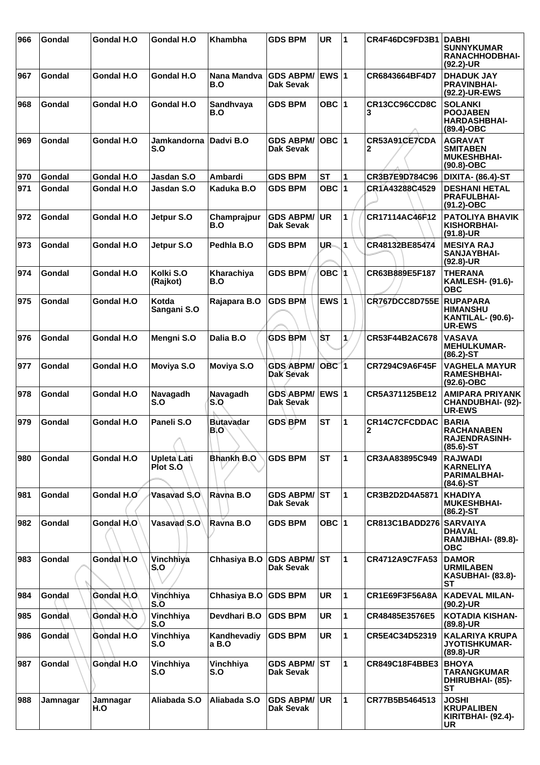| 966 | Gondal   | Gondal H.O         | Gondal H.O                   | Khambha                 | <b>GDS BPM</b>                       | <b>UR</b>   | 1  | CR4F46DC9FD3B1            | <b>DABHI</b><br><b>SUNNYKUMAR</b><br>RANACHHODBHAI-<br>(92.2)-UR           |
|-----|----------|--------------------|------------------------------|-------------------------|--------------------------------------|-------------|----|---------------------------|----------------------------------------------------------------------------|
| 967 | Gondal   | Gondal H.O         | <b>Gondal H.O</b>            | Nana Mandva<br>B.O      | GDS ABPM/ EWS 1<br><b>Dak Sevak</b>  |             |    | CR6843664BF4D7            | <b>DHADUK JAY</b><br><b>PRAVINBHAI-</b><br>(92.2)-UR-EWS                   |
| 968 | Gondal   | <b>Gondal H.O.</b> | <b>Gondal H.O</b>            | Sandhvaya<br>B.O        | <b>GDS BPM</b>                       | OBC $ 1$    |    | CR13CC96CCD8C<br>3        | <b>SOLANKI</b><br><b>POOJABEN</b><br><b>HARDASHBHAI-</b><br>(89.4)-OBC     |
| 969 | Gondal   | Gondal H.O         | Jamkandorna Dadvi B.O<br>S.O |                         | <b>GDS ABPM/</b><br>Dak Sevak        | OBC  1      |    | CR53A91CE7CDA<br>2        | <b>AGRAVAT</b><br><b>SMITABEN</b><br><b>MUKESHBHAI-</b><br>$(90.8)-OBC$    |
| 970 | Gondal   | <b>Gondal H.O</b>  | Jasdan S.O                   | Ambardi                 | <b>GDS BPM</b>                       | <b>ST</b>   | 1  | CR3B7E9D784C96            | DIXITA- (86.4)-ST                                                          |
| 971 | Gondal   | Gondal H.O         | Jasdan S.O                   | Kaduka B.O              | <b>GDS BPM</b>                       | OBC $ 1$    |    | CR1A43288C4529            | <b>DESHANI HETAL</b><br><b>PRAFULBHAI-</b><br>(91.2)-OBC                   |
| 972 | Gondal   | Gondal H.O         | Jetpur S.O                   | Champrajpur<br>B.O      | <b>GDS ABPM/</b><br>Dak Sevak        | UR          | 1  | CR17114AC46F12            | <b>PATOLIYA BHAVIK</b><br>KISHORBHAI-<br>$(91.8)$ -UR                      |
| 973 | Gondal   | <b>Gondal H.O.</b> | Jetpur S.O                   | Pedhla B.O              | <b>GDS BPM</b>                       | UR.         | 1  | CR48132BE85474            | <b>MESIYA RAJ</b><br>SANJAYBHAI-<br>$(92.8)$ -UR                           |
| 974 | Gondal   | <b>Gondal H.O</b>  | Kolki S.O<br>(Rajkot)        | Kharachiya<br>B.O       | <b>GDS BPM</b>                       | OBC M       |    | CR63B889E5F187            | <b>THERANA</b><br><b>KAMLESH- (91.6)-</b><br><b>OBC</b>                    |
| 975 | Gondal   | Gondal H.O         | Kotda<br>Sangani S.O         | Rajapara B.O            | <b>GDS BPM</b>                       | EWS $ 1$    |    | CR767DCC8D755E            | <b>RUPAPARA</b><br><b>HIMANSHU</b><br>KANTILAL- (90.6)-<br><b>UR-EWS</b>   |
| 976 | Gondal   | <b>Gondal H.O</b>  | Mengni S.O                   | Dalia B.O               | <b>GDS BPM</b>                       | <b>ST</b>   | 1. | CR53F44B2AC678            | <b>VASAVA</b><br><b>MEHULKUMAR-</b><br>$(86.2)$ -ST                        |
| 977 | Gondal   | Gondal H.O         | Moviya S.O                   | Moviya S.O              | <b>GDS ABPM/</b><br><b>Dak Sevak</b> | $OBC$ 1     |    | <b>CR7294C9A6F45F</b>     | <b>VAGHELA MAYUR</b><br><b>RAMESHBHAI-</b><br>(92.6)-OBC                   |
| 978 | Gondal   | Gondal H.O         | Navagadh<br>S.O              | Navagadh<br>S.O         | <b>GDS ABPM/</b><br>Dak Sevak        | <b>EWS1</b> |    | CR5A371125BE12            | <b>AMIPARA PRIYANK</b><br><b>CHANDUBHAI- (92)-</b><br><b>UR-EWS</b>        |
| 979 | Gondal   | Gondal H.O         | Paneli S.O<br>л              | <b>Butavadar</b><br>B.O | <b>GDS BPM</b>                       | <b>ST</b>   | 1  | <b>CR14C7CFCDDAC</b><br>2 | <b>BARIA</b><br><b>RACHANABEN</b><br><b>RAJENDRASINH-</b><br>$(85.6) - ST$ |
| 980 | Gondal   | <b>Gondal H.O</b>  | Upleta Lati<br>Plot S.O.     | Bhankh B.O              | <b>GDS BPM</b>                       | <b>ST</b>   | 1  | CR3AA83895C949            | <b>RAJWADI</b><br><b>KARNELIYA</b><br><b>PARIMALBHAI-</b><br>$(84.6)$ -ST  |
| 981 | Gondal   | Gondal H.O         | Vasavad S.O                  | Ravha B.O               | <b>GDS ABPM/ ST</b><br>Dak Sevak     |             | 1  | CR3B2D2D4A5871            | <b>KHADIYA</b><br><b>MUKESHBHAI-</b><br>$(86.2)$ -ST                       |
| 982 | Gondal   | Gondal H.O         | Vasavad S.O                  | Ravna B.O               | <b>GDS BPM</b>                       | OBC $ 1$    |    | CR813C1BADD276 SARVAIYA   | <b>DHAVAL</b><br>RAMJIBHAI- (89.8)-<br><b>OBC</b>                          |
| 983 | Gondal   | Gondal H.O         | Vinchhiya<br>S,O             | Chhasiya B.O            | <b>GDS ABPM/ ST</b><br>Dak Sevak     |             | 1  | CR4712A9C7FA53            | <b>DAMOR</b><br><b>URMILABEN</b><br><b>KASUBHAI- (83.8)-</b><br>SТ         |
| 984 | Gondal   | <b>Gondal H.O.</b> | Vinchhiya<br>S.O             | Chhasiya B.O            | <b>GDS BPM</b>                       | <b>UR</b>   | 1  | CR1E69F3F56A8A            | <b>KADEVAL MILAN-</b><br>$(90.2)$ -UR                                      |
| 985 | Gondal   | Gondal H.O         | Vinchhiya<br>S.O             | Devdhari B.O            | <b>GDS BPM</b>                       | <b>UR</b>   | 1  | CR48485E3576E5            | <b>KOTADIA KISHAN-</b><br>$(89.8)$ -UR                                     |
| 986 | Gondal   | Gondal H.O         | Vinchhiya<br>S.O             | Kandhevadiy<br>a B.O    | <b>GDS BPM</b>                       | <b>UR</b>   | 1  | CR5E4C34D52319            | <b>KALARIYA KRUPA</b><br><b>JYOTISHKUMAR-</b><br>(89.8)-UR                 |
| 987 | Gondal   | Gondal H.O         | Vinchhiya<br>S.O             | Vinchhiya<br>S.O        | <b>GDS ABPM/</b><br>Dak Sevak        | <b>ST</b>   | 1  | CR849C18F4BBE3            | <b>BHOYA</b><br>TARANGKUMAR<br><b>DHIRUBHAI- (85)-</b><br><b>ST</b>        |
| 988 | Jamnagar | Jamnagar<br>H.O    | Aliabada S.O                 | Aliabada S.O            | <b>GDS ABPM/ UR</b><br>Dak Sevak     |             | 1  | CR77B5B5464513            | <b>JOSHI</b><br><b>KRUPALIBEN</b><br>KIRITBHAI- (92.4)-<br>UR              |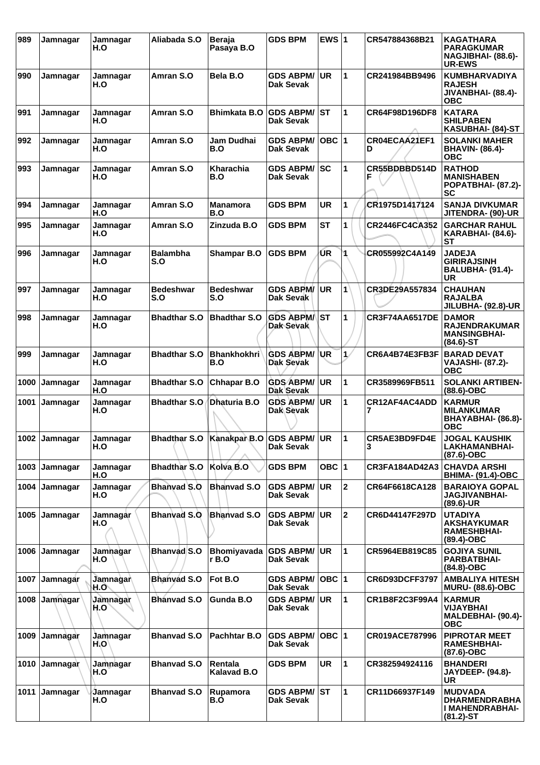| 989  | Jamnagar | Jamnagar<br>H.O  | Aliabada S.O           | <b>Beraja</b><br>Pasaya B.O                | <b>GDS BPM</b>                       | EWS $ 1$  |                | CR547884368B21        | KAGATHARA<br><b>PARAGKUMAR</b><br>NAGJIBHAI- (88.6)-<br><b>UR-EWS</b>       |
|------|----------|------------------|------------------------|--------------------------------------------|--------------------------------------|-----------|----------------|-----------------------|-----------------------------------------------------------------------------|
| 990  | Jamnagar | Jamnagar<br>H.O  | Amran S.O              | Bela B.O                                   | <b>GDS ABPM/</b><br>Dak Sevak        | <b>UR</b> | $\mathbf{1}$   | CR241984BB9496        | <b>KUMBHARVADIYA</b><br><b>RAJESH</b><br>JIVANBHAI- (88.4)-<br><b>OBC</b>   |
| 991  | Jamnagar | Jamnagar<br>H.O  | Amran S.O              | <b>Bhimkata B.O</b>                        | <b>GDS ABPM/</b><br>Dak Sevak        | <b>ST</b> | 1              | CR64F98D196DF8        | <b>KATARA</b><br><b>SHILPABEN</b><br>KASUBHAI- (84)-ST                      |
| 992  | Jamnagar | Jamnagar<br>H.O  | Amran S.O              | <b>Jam Dudhai</b><br>B.O                   | <b>GDS ABPM/</b><br>Dak Sevak        | OBC 1     |                | CR04ECAA21EF1<br>D    | <b>SOLANKI MAHER</b><br><b>BHAVIN- (86.4)-</b><br><b>OBC</b>                |
| 993  | Jamnagar | Jamnagar<br>H.O  | Amran S.O              | <b>Kharachia</b><br>B.O                    | <b>GDS ABPM/</b><br>Dak Sevak        | lsc       | 1              | CR55BDBBD514D<br>F    | <b>RATHOD</b><br><b>MANISHABEN</b><br>POPATBHAI- (87.2)-<br>SC              |
| 994  | Jamnagar | Jamnagar<br>H.O  | Amran S.O              | <b>Manamora</b><br>B.O                     | <b>GDS BPM</b>                       | <b>UR</b> | 1              | CR1975D1417124        | <b>SANJA DIVKUMAR</b><br>JITENDRA- (90)-UR                                  |
| 995  | Jamnagar | Jamnagar<br>H.O  | Amran S.O              | Zinzuda B.O                                | <b>GDS BPM</b>                       | SТ        | 1              | <b>CR2446FC4CA352</b> | <b>GARCHAR RAHUL</b><br><b>KARABHAI- (84.6)-</b><br>SТ                      |
| 996  | Jamnagar | Jamnagar<br>H.O  | <b>Balambha</b><br>S.O | <b>Shampar B.O</b>                         | <b>GDS BPM</b>                       | ŪR        | 4              | CR055992C4A149        | <b>JADEJA</b><br><b>GIRIRAJSINH</b><br><b>BALUBHA- (91.4)-</b><br>UR        |
| 997  | Jamnagar | Jamnagar<br>H.O  | Bedeshwar<br>S.O       | <b>Bedeshwar</b><br>S.O                    | <b>GDS ABPM/</b><br><b>Dak Sevak</b> | <b>UR</b> | $\mathbf{1}$   | CR3DE29A557834        | <b>CHAUHAN</b><br><b>RAJALBA</b><br>JILUBHA- (92.8)-UR                      |
| 998  | Jamnagar | Jamnagar<br>H.O  | <b>Bhadthar S.O</b>    | <b>Bhadthar S.O</b>                        | <b>GDS ABPM/</b><br><b>Dak Sevak</b> | <b>ST</b> | $\mathbf{1}$   | CR3F74AA6517DE        | <b>DAMOR</b><br><b>RAJENDRAKUMAR</b><br><b>MANSINGBHAI-</b><br>$(84.6)$ -ST |
| 999  | Jamnagar | Jamnagar<br>H.O  | <b>Bhadthar S.O</b>    | <b>Bhankhokhri</b><br>B.O                  | <b>GDS ABPM/</b><br>Dak Sevak        | <b>UR</b> | $\mathbf{1}$   | CR6A4B74E3FB3F        | <b>BARAD DEVAT</b><br><b>VAJASHI- (87.2)-</b><br><b>OBC</b>                 |
| 1000 | Jamnagar | Jamnagar<br>H.O  | <b>Bhadthar S.O</b>    | <b>Chhapar B.O</b>                         | <b>GDS ABPM/</b><br>Dak Sevak        | <b>UR</b> | 1              | CR3589969FB511        | <b>SOLANKI ARTIBEN-</b><br>(88.6)-OBC                                       |
| 1001 | Jamnagar | Jamnagar<br>H.O  | <b>Bhadthar S.O</b>    | Dhaturia B.O                               | <b>GDS ABPM/</b><br><b>Dak Sevak</b> | <b>UR</b> | $\mathbf{1}$   | CR12AF4AC4ADD         | <b>KARMUR</b><br><b>MILANKUMAR</b><br>BHAYABHAI- (86.8)-<br><b>OBC</b>      |
| 1002 | Jamnagar | Jamnaɑar<br>H.O  |                        | Bhadthar S.O   Kanakpar B.O   GDS ABPM/ UR | <b>Dak Sevak</b>                     |           | 1              | CR5AE3BD9FD4E<br>3    | <b>JOGAL KAUSHIK</b><br><b>LAKHAMANBHAI-</b><br>$(87.6)$ -OBC               |
| 1003 | Jamnagar | Jamnagar<br>H.O  | <b>Bhadthar S.O</b>    | Kolva B.O                                  | <b>GDS BPM</b>                       | OBC $ 1$  |                | CR3FA184AD42A3        | <b>CHAVDA ARSHI</b><br><b>BHIMA- (91.4)-OBC</b>                             |
| 1004 | Jamnagar | Jamnagar<br>H.O  | Bhanyad S.O            | <b>Bhanvad S.O</b>                         | <b>GDS ABPM/</b><br><b>Dak Sevak</b> | <b>UR</b> | $\mathbf{2}$   | CR64F6618CA128        | <b>BARAIOYA GOPAL</b><br><b>JAGJIVANBHAI-</b><br>$(89.6)$ -UR               |
| 1005 | Jamnagar | Jamnagår<br>H.O  | <b>Bhanvad S.O</b>     | <b>Bhanvad S.O</b>                         | <b>GDS ABPM/</b><br>Dak Sevak        | <b>UR</b> | $\overline{2}$ | CR6D44147F297D        | <b>UTADIYA</b><br>AKSHAYKUMAR<br><b>RAMESHBHAI-</b><br>$(89.4)$ -OBC        |
| 1006 | Jamnagar | Jamhagar<br>H.O  | <b>Bhanvad S.O</b>     | <b>Bhomiyavada</b><br>r B.O                | <b>GDS ABPM/</b><br><b>Dak Sevak</b> | <b>UR</b> | 1              | CR5964EB819C85        | <b>GOJIYA SUNIL</b><br><b>PARBATBHAI-</b><br>(84.8)-OBC                     |
| 1007 | Jamnagar | Jamnagar<br>H.O` | <b>Bhanyad S.O</b>     | Fot B.O                                    | <b>GDS ABPM/</b><br><b>Dak Sevak</b> | $OBC$  1  |                | <b>CR6D93DCFF3797</b> | <b>AMBALIYA HITESH</b><br><b>MURU- (88.6)-OBC</b>                           |
| 1008 | Jamnagar | Jamnagar<br>H.O  | <b>Bhanvad S.O</b>     | Gunda B.O                                  | <b>GDS ABPM/</b><br>Dak Sevak        | <b>UR</b> | $\mathbf{1}$   | CR1B8F2C3F99A4        | <b>KARMUR</b><br>VIJAYBHAI<br>MALDEBHAI- (90.4)-<br><b>OBC</b>              |
| 1009 | Jamnagar | Jamnagar<br>H.O' | <b>Bhanvad S.O</b>     | Pachhtar B.O                               | <b>GDS ABPM/</b><br><b>Dak Sevak</b> | $OBC$  1  |                | CR019ACE787996        | <b>PIPROTAR MEET</b><br><b>RAMESHBHAI-</b><br>(87.6)-OBC                    |
| 1010 | Jamnagar | Jamnagar<br>H.O  | <b>Bhanvad S.O</b>     | Rentala<br><b>Kalavad B.O</b>              | <b>GDS BPM</b>                       | <b>UR</b> | 1              | CR382594924116        | <b>BHANDERI</b><br>JAYDEEP- (94.8)-<br><b>UR</b>                            |
| 1011 | Jamnagar | Jamnagar<br>H.O  | <b>Bhanvad S.O</b>     | Rupamora<br>B.O                            | <b>GDS ABPM/</b><br><b>Dak Sevak</b> | ST        | 1              | CR11D66937F149        | <b>MUDVADA</b><br><b>DHARMENDRABHA</b><br>I MAHENDRABHAI-<br>$(81.2)$ -ST   |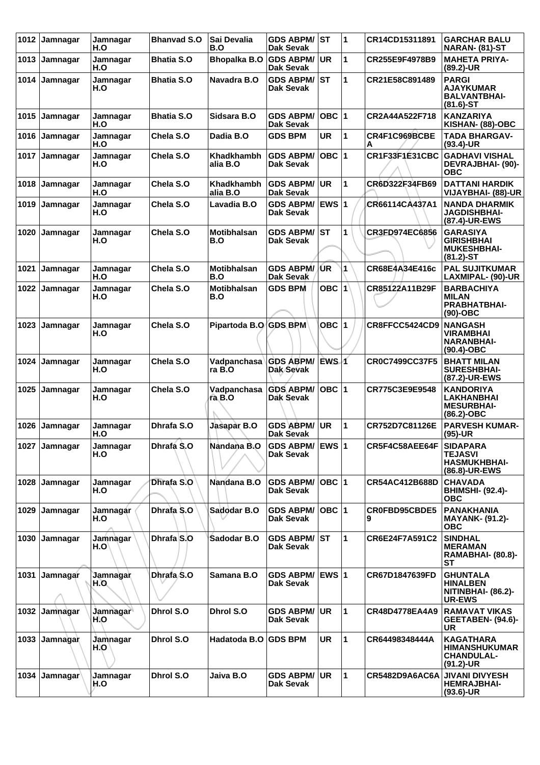| 1012 | Jamnagar      | Jamnagar<br>H.O        | <b>Bhanvad S.O</b> | Sai Devalia<br>B.O            | <b>GDS ABPM/</b><br>Dak Sevak        | ∣sт              | 1 | CR14CD15311891        | <b>GARCHAR BALU</b><br><b>NARAN- (81)-ST</b>                                  |
|------|---------------|------------------------|--------------------|-------------------------------|--------------------------------------|------------------|---|-----------------------|-------------------------------------------------------------------------------|
| 1013 | Jamnagar      | Jamnagar<br>H.O        | <b>Bhatia S.O</b>  | Bhopalka B.O                  | <b>GDS ABPM/</b><br>Dak Sevak        | <b>UR</b>        | 1 | CR255E9F4978B9        | <b>MAHETA PRIYA-</b><br>$(89.2)$ -UR                                          |
| 1014 | Jamnagar      | Jamnagar<br>H.O        | <b>Bhatia S.O</b>  | Navadra B.O                   | <b>GDS ABPM/</b><br><b>Dak Sevak</b> | IST              | 1 | CR21E58C891489        | <b>PARGI</b><br><b>AJAYKUMAR</b><br><b>BALVANTBHAI-</b><br>$(81.6)$ -ST       |
| 1015 | Jamnagar      | Jamnagar<br>H.O        | <b>Bhatia S.O</b>  | Sidsara B.O                   | <b>GDS ABPM/</b><br>Dak Sevak        | OBC  1           |   | CR2A44A522F718        | <b>KANZARIYA</b><br>KISHAN- (88)-OBC                                          |
| 1016 | Jamnagar      | Jamnagar<br>H.O        | Chela S.O          | Dadia B.O                     | <b>GDS BPM</b>                       | <b>UR</b>        | 1 | CR4F1C969BCBE<br>Α    | <b>TADA BHARGAV-</b><br>$(93.4)$ -UR                                          |
| 1017 | Jamnagar      | Jamnagar<br>H.O        | Chela S.O          | <b>Khadkhambh</b><br>alia B.O | <b>GDS ABPM/</b><br><b>Dak Sevak</b> | $OBC$ 1          |   | CR1F33F1E31CBC        | <b>GADHAVI VISHAL</b><br>DEVRAJBHAI- (90)-<br><b>OBC</b>                      |
| 1018 | Jamnagar      | Jamnagar<br>H.O        | Chela S.O          | <b>Khadkhambh</b><br>alia B.O | <b>GDS ABPM/</b><br>Dak Sevak        | UR               | 1 | CR6D322F34FB69        | <b>DATTANI HARDIK</b><br>VIJAYBHAI- (88)-UR                                   |
| 1019 | Jamnagar      | Jamnagar<br>H.O        | Chela S.O          | Lavadia B.O                   | <b>GDS ABPM/</b><br>Dak Sevak        | <b>EWS 1</b>     |   | CR66114CA437A1        | <b>NANDA DHARMIK</b><br><b>JAGDISHBHAI-</b><br>(87.4)-UR-EWS                  |
| 1020 | Jamnagar      | Jamnagar<br>H.O        | Chela S.O          | <b>Motibhalsan</b><br>B.O     | <b>GDS ABPM/</b><br><b>Dak Sevak</b> | IST              | 1 | CR3FD974EC6856        | <b>GARASIYA</b><br><b>GIRISHBHAI</b><br><b>MUKESHBHAI-</b><br>$(81.2) - ST$   |
| 1021 | Jamnagar      | Jamnagar<br>H.O        | Chela S.O          | <b>Motibhalsan</b><br>B.O     | <b>GDS ABPM/</b><br>Dak Sevak        | /UR              | 1 | CR68E4A34E416c        | <b>PAL SUJITKUMAR</b><br>LAXMIPAL- (90)-UR                                    |
| 1022 | Jamnagar      | Jamnagar<br>H.O        | Chela S.O          | Motibhalsan<br>B.O            | <b>GDS BPM</b>                       | $OBC$ $ 1 $      |   | CR85122A11B29F        | <b>BARBACHIYA</b><br><b>MILAN</b><br><b>PRABHATBHAI-</b><br>$(90)$ -OBC       |
| 1023 | Jamnagar      | Jamnagar<br>H.O        | Chela S.O          | Pipartoda B.O GDS BPM         |                                      | OBC $ 1$         |   | CR8FFCC5424CD9        | <b>NANGASH</b><br>VIRAMBHAI<br><b>NARANBHAI-</b><br>$(90.4)$ -OBC             |
| 1024 | Jamnagar      | Jamnagar<br>H.O        | Chela S.O          | Vadpanchasa<br>ra B.O         | <b>GDS ABPM/</b><br>Dak Sevak        | EWS <sub>1</sub> |   | <b>CR0C7499CC37F5</b> | <b>BHATT MILAN</b><br><b>SURESHBHAI-</b><br>(87.2)-UR-EWS                     |
| 1025 | Jamnagar      | Jamnagar<br>H.O        | Chela S.O          | Vadpanchasa<br>ra B.O         | <b>GDS ABPM/</b><br>Dak Sevak        | OBC $ 1$         |   | CR775C3E9E9548        | <b>KANDORIYA</b><br><b>LAKHANBHAI</b><br><b>MESURBHAI-</b><br>(86.2)-OBC      |
| 1026 | Jamnagar      | <b>Jamnagar</b><br>H.O | Dhrafa S.O         | Jasapar B.O                   | <b>GDS ABPM/</b><br>Dak Sevak        | UR               | 1 | CR752D7C81126E        | <b>PARVESH KUMAR-</b><br>$(95)-UR$                                            |
|      | 1027 Jamnagar | Jamnagar<br>H.O        | Dhrafa S.O         | Nandana B.O                   | <b>GDS ABPM/</b><br>Dak Sevak        | <b>EWS 1</b>     |   | CR5F4C58AEE64F        | <b>SIDAPARA</b><br>TEJASVI<br><b>HASMUKHBHAI-</b><br>(86.8)-UR-EWS            |
| 1028 | Jamnagar      | Jamnagar<br>H.O        | Dhrafa S.O         | Nandana B.O                   | <b>GDS ABPM/</b><br>Dak Sevak        | OBC  1           |   | CR54AC412B688D        | <b>CHAVADA</b><br><b>BHIMSHI- (92.4)-</b><br><b>OBC</b>                       |
| 1029 | Jamnagar      | Jamnagar<br>H.O        | Dhrafa S.O         | Sadodar B.O                   | <b>GDS ABPM/</b><br>Dak Sevak        | OBC  1           |   | CR0FBD95CBDE5<br>9    | <b>PANAKHANIA</b><br><b>MAYANK- (91.2)-</b><br><b>OBC</b>                     |
| 1030 | Jamnagar      | Jamnagar<br>H.O        | Dhrafa S.O         | Sadodar B.O                   | <b>GDS ABPM/</b><br>Dak Sevak        | IST.             | 1 | CR6E24F7A591C2        | <b>SINDHAL</b><br><b>MERAMAN</b><br><b>RAMABHAI- (80.8)-</b><br>SТ            |
| 1031 | Jamnagar      | Jamnagar<br>H.O.       | Dhrafa S.O         | Samana B.O                    | <b>GDS ABPM/</b><br>Dak Sevak        | <b>IEWS 1</b>    |   | CR67D1847639FD        | <b>GHUNTALA</b><br><b>HINALBEN</b><br>NITINBHAI- (86.2)-<br><b>UR-EWS</b>     |
| 1032 | Jamnagar      | Jamnagar<br>H.O        | Dhrol S.O          | Dhrol S.O                     | <b>GDS ABPM/</b><br>Dak Sevak        | UR.              | 1 | CR48D4778EA4A9        | <b>RAMAVAT VIKAS</b><br><b>GEETABEN- (94.6)-</b><br>UR                        |
| 1033 | Jamnagar      | Jamnagar<br>H.O        | Dhrol S.O          | Hadatoda B.O                  | <b>GDS BPM</b>                       | UR               | 1 | CR64498348444A        | <b>KAGATHARA</b><br><b>HIMANSHUKUMAR</b><br><b>CHANDULAL-</b><br>$(91.2)$ -UR |
| 1034 | Jamnagar      | Jamnagar<br>H.O        | Dhrol S.O          | Jaiva B.O                     | <b>GDS ABPM/</b><br>Dak Sevak        | ∣UR.             | 1 | CR5482D9A6AC6A        | <b>JIVANI DIVYESH</b><br><b>HEMRAJBHAI-</b><br>$(93.6)$ -UR                   |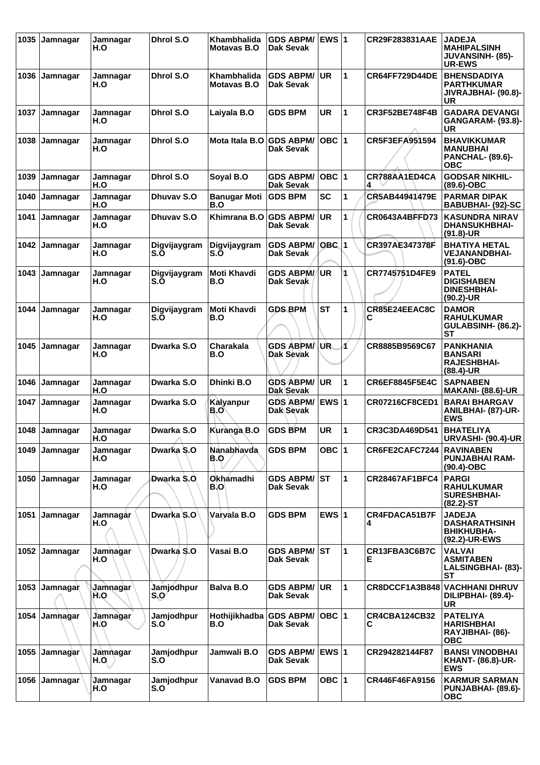| 1035 | Jamnagar | Jamnagar<br>H.O        | Dhrol S.O           | Khambhalida<br>Motavas B.O | <b>GDS ABPM/</b><br>Dak Sevak        | <b>EWS 1</b> |   | CR29F283831AAE        | <b>JADEJA</b><br><b>MAHIPALSINH</b><br><b>JUVANSINH- (85)-</b><br><b>UR-EWS</b> |
|------|----------|------------------------|---------------------|----------------------------|--------------------------------------|--------------|---|-----------------------|---------------------------------------------------------------------------------|
| 1036 | Jamnagar | Jamnagar<br>H.O        | Dhrol S.O           | Khambhalida<br>Motavas B.O | <b>GDS ABPM/</b><br>Dak Sevak        | UR           | 1 | <b>CR64FF729D44DE</b> | <b>BHENSDADIYA</b><br><b>PARTHKUMAR</b><br>JIVRAJBHAI- (90.8)-<br>UR            |
| 1037 | Jamnagar | Jamnagar<br>H.O        | Dhrol S.O           | Laiyala B.O                | <b>GDS BPM</b>                       | <b>UR</b>    | 1 | <b>CR3F52BE748F4B</b> | <b>GADARA DEVANGI</b><br><b>GANGARAM- (93.8)-</b><br><b>UR</b>                  |
| 1038 | Jamnagar | Jamnagar<br>H.O        | Dhrol S.O           | Mota Itala B.O             | <b>GDS ABPM/</b><br>Dak Sevak        | OBC  1       |   | CR5F3EFA951594        | <b>BHAVIKKUMAR</b><br><b>MANUBHAI</b><br><b>PANCHAL- (89.6)-</b><br>ОВС         |
| 1039 | Jamnagar | Jamnagar<br>H.O        | Dhrol S.O           | Soyal B.O                  | <b>GDS ABPM/</b><br><b>Dak Sevak</b> | OBC  1       |   | CR788AA1ED4CA         | <b>GODSAR NIKHIL-</b><br>$(89.6)$ -OBC                                          |
| 1040 | Jamnagar | Jamnagar<br>H.O        | Dhuvav S.O          | <b>Banugar Moti</b><br>B.O | <b>GDS BPM</b>                       | <b>SC</b>    | 1 | CR5AB44941479E        | <b>PARMAR DIPAK</b><br><b>BABUBHAI- (92)-SC</b>                                 |
| 1041 | Jamnagar | Jamnagar<br>H.O        | Dhuvay S.O          | Khimrana B.O               | <b>GDS ABPM/</b><br><b>Dak Sevak</b> | <b>UR</b>    | 1 | <b>CR0643A4BFFD73</b> | <b>KASUNDRA NIRAV</b><br><b>DHANSUKHBHAI-</b><br>(91.8)-UR                      |
| 1042 | Jamnagar | Jamnagar<br>H.O        | Digvijaygram<br>S.O | Digvijaygram<br>S.O        | <b>GDS ABPM/</b><br>Dak Sevak        | $OBC$ 1      |   | CR397AE347378F        | <b>BHATIYA HETAL</b><br><b>VEJANANDBHAI-</b><br>$(91.6)-OBC$                    |
| 1043 | Jamnagar | Jamnagar<br>H.O        | Digvijaygram<br>S.O | Moti Khavdi<br>B.O         | <b>GDS ABPM/</b><br>Dak Sevak        | <b>UR</b>    |   | CR7745751D4FE9        | <b>PATEL</b><br><b>DIGISHABEN</b><br><b>DINESHBHAI-</b><br>$(90.2)$ -UR         |
| 1044 | Jamnagar | Jamnagar<br>H.O        | Digvijaygram<br>S.O | Moti Khavdi<br>B.O         | <b>GDS BPM</b>                       | <b>ST</b>    | 1 | CR85E24EEAC8C<br>С    | <b>DAMOR</b><br><b>RAHULKUMAR</b><br>GULABSINH- (86.2)-<br><b>ST</b>            |
| 1045 | Jamnagar | Jamnagar<br>H.O        | Dwarka S.O          | Charakala<br>B.O           | <b>GDS ABPM/</b><br>Dak Sevak        | UR.          | Á | CR8885B9569C67        | <b>PANKHANIA</b><br><b>BANSARI</b><br><b>RAJESHBHAI-</b><br>$(88.4)$ -UR        |
| 1046 | Jamnagar | Jamnagar<br>H.O        | Dwarka S.O          | Dhinki B.O                 | <b>GDS ABPM/</b><br>Dak Sevak        | UR.          | 1 | <b>CR6EF8845F5E4C</b> | <b>SAPNABEN</b><br><b>MAKANI- (88.6)-UR</b>                                     |
| 1047 | Jamnagar | Jamnagar<br>H.O        | Dwarka S.O          | Kalyanpur<br>B.O           | <b>GDS ABPM/</b><br>Dak Sevak        | <b>EWS 1</b> |   | <b>CR07216CF8CED1</b> | <b>BARAI BHARGAV</b><br><b>ANILBHAI- (87)-UR-</b><br><b>EWS</b>                 |
| 1048 | Jamnagar | Jamnagar<br>H.O        | Dwarka S.O          | Kuranga B.O                | <b>GDS BPM</b>                       | <b>UR</b>    | 1 | CR3C3DA469D541        | <b>BHATELIYA</b><br><b>URVASHI- (90.4)-UR</b>                                   |
| 1049 | Jamnagar | Jamnagar<br>H.O        | Dwarka S.O          | Nanabhavda<br>B.O          | <b>GDS BPM</b>                       | OBC  1       |   | CR6FE2CAFC7244        | <b>RAVINABEN</b><br><b>PUNJABHAI RAM-</b><br>(90.4)-OBC                         |
| 1050 | Jamnagar | Jamnagar<br>H.O        | Dwarka S.O.         | <b>Okhámadhi</b><br>B.O    | <b>GDS ABPM/</b><br><b>Dak Sevak</b> | lst.         | 1 | <b>CR28467AF1BFC4</b> | <b>PARGI</b><br><b>RAHULKUMAR</b><br><b>SURESHBHAI-</b><br>(82.2)-ST            |
| 1051 | Jamnagar | Jamnagår<br>H.O        | Dwarka S.O          | Varvala B.O                | <b>GDS BPM</b>                       | EWS $ 1$     |   | CR4FDACA51B7F<br>4    | <b>JADEJA</b><br><b>DASHARATHSINH</b><br><b>BHIKHUBHA-</b><br>(92.2)-UR-EWS     |
| 1052 | Jamnagar | Jamhagar<br>H.O        | Dwarka S.O          | Vasai B.O                  | <b>GDS ABPM/ ST</b><br>Dak Sevak     |              | 1 | CR13FBA3C6B7C<br>E.   | <b>VALVAI</b><br><b>ASMITABEN</b><br>LALSINGBHAI- (83)-<br><b>ST</b>            |
| 1053 | Jamnagar | Jamnagar<br>H.O        | Jamjodhpur<br>S.O   | <b>Balva B.O</b>           | <b>GDS ABPM/</b><br>Dak Sevak        | <b>UR</b>    | 1 | CR8DCCF1A3B848        | <b>VACHHANI DHRUV</b><br>DILIPBHAI- (89.4)-<br>UR                               |
| 1054 | Jamhagar | Jamnagar<br>H.O        | Jamjodhpur<br>S.O   | Hothijikhadba<br>B.O       | <b>GDS ABPM/</b><br>Dak Sevak        | OBC  1       |   | CR4CBA124CB32<br>С    | <b>PATELIYA</b><br><b>HARISHBHAI</b><br>RAYJIBHAI- (86)-<br><b>OBC</b>          |
| 1055 | Jamnagar | Jamnagar<br>H.O        | Jamjodhpur<br>S.O   | Jamwali B.O                | <b>GDS ABPM/</b><br>Dak Sevak        | <b>EWS 1</b> |   | CR294282144F87        | <b>BANSI VINODBHAI</b><br><b>KHANT- (86.8)-UR-</b><br><b>EWS</b>                |
| 1056 | Jamnagar | <b>Jamnagar</b><br>H.O | Jamjodhpur<br>S.O   | Vanavad B.O                | <b>GDS BPM</b>                       | OBC 1        |   | CR446F46FA9156        | <b>KARMUR SARMAN</b><br><b>PUNJABHAI- (89.6)-</b><br><b>OBC</b>                 |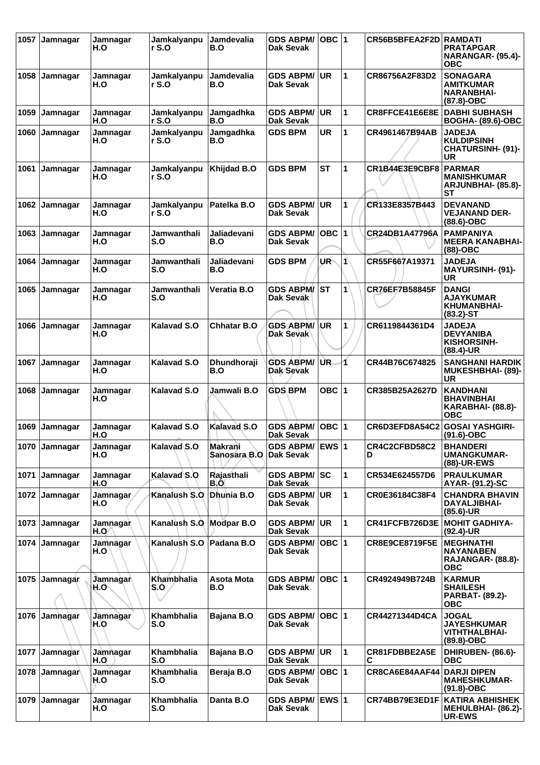| 1057 | Jamnagar | Jamnagar<br>H.O        | Jamkalyanpu<br>r S.O     | <b>Jamdevalia</b><br>B.O | <b>GDS ABPM/</b><br>Dak Sevak        | $OBC$  1  |                      | CR56B5BFEA2F2D        | <b>RAMDATI</b><br><b>PRATAPGAR</b><br><b>NARANGAR- (95.4)-</b><br><b>OBC</b>   |
|------|----------|------------------------|--------------------------|--------------------------|--------------------------------------|-----------|----------------------|-----------------------|--------------------------------------------------------------------------------|
| 1058 | Jamnagar | Jamnagar<br>H.O        | Jamkalyanpu<br>r S.O     | Jamdevalia<br>B.O        | <b>GDS ABPM/</b><br><b>Dak Sevak</b> | <b>UR</b> | 1                    | CR86756A2F83D2        | <b>SONAGARA</b><br><b>AMITKUMAR</b><br><b>NARANBHAI-</b><br>(87.8)-OBC         |
| 1059 | Jamnagar | Jamnagar<br>H.O        | Jamkalyanpu<br>r S.O     | Jamgadhka<br>B.O         | <b>GDS ABPM/</b><br><b>Dak Sevak</b> | <b>UR</b> | $\mathbf{1}$         | CR8FFCE41E6E8E        | <b>DABHI SUBHASH</b><br><b>BOGHA- (89.6)-OBC</b>                               |
| 1060 | Jamnagar | Jamnagar<br>H.O        | Jamkalyanpu<br>r S.O     | Jamgadhka<br>B.O         | <b>GDS BPM</b>                       | <b>UR</b> | 1                    | CR4961467B94AB        | <b>JADEJA</b><br><b>KULDIPSINH</b><br><b>CHATURSINH- (91)-</b><br>UR           |
| 1061 | Jamnagar | Jamnagar<br>H.O        | Jamkalyanpu<br>r S.O     | Khijdad B.O              | <b>GDS BPM</b>                       | <b>ST</b> | 1                    | CR1B44E3E9CBF8        | <b>PARMAR</b><br><b>MANISHKUMAR</b><br>ARJUNBHAI- (85.8)-<br>SТ                |
| 1062 | Jamnagar | Jamnagar<br>H.O        | Jamkalyanpu<br>rS.0      | Patelka B.O              | <b>GDS ABPM/</b><br><b>Dak Sevak</b> | <b>UR</b> | 1                    | CR133E8357B443        | <b>DEVANAND</b><br><b>VEJANAND DER-</b><br>$(88.6)$ -OBC                       |
| 1063 | Jamnagar | Jamnagar<br>H.O        | Jamwanthali<br>S.O       | Jaliadevani<br>B.O       | <b>GDS ABPM/</b><br>Dak Sevak        | OBC $ 1$  |                      | CR24DB1A47796A        | <b>PAMPANIYA</b><br><b>MEERA KANABHAI-</b><br>$(88)$ -OBC                      |
| 1064 | Jamnagar | Jamnagar<br>H.O        | Jamwanthali<br>S.O       | Jaliadevani<br>B.O       | <b>GDS BPM</b>                       | UR-       | $\blacktriangleleft$ | CR55F667A19371        | <b>JADEJA</b><br><b>MAYURSINH- (91)-</b><br>UR                                 |
| 1065 | Jamnagar | Jamnagar<br>H.O        | Jamwanthali<br>S.O       | Veratia B.O              | <b>GDS ABPM/</b><br><b>Dak Sevak</b> | <b>ST</b> | $\mathbf{1}$         | CR76EF7B58845F        | <b>DANGI</b><br><b>AJAYKUMAR</b><br>KHUMANBHAI-<br>$(83.2) - ST$               |
| 1066 | Jamnagar | Jamnagar<br>H.O        | Kalavad S.O              | <b>Chhatar B.O</b>       | <b>GDS ABPM/</b><br>Dak Sevak        | <b>UR</b> | 1                    | CR6119844361D4        | <b>JADEJA</b><br><b>DEVYANIBA</b><br><b>KISHORSINH-</b><br>$(88.4)$ -UR        |
| 1067 | Jamnagar | Jamnagar<br>H.O        | <b>Kalavad S.O</b>       | Dhundhoraji<br>B.O       | <b>GDS ABPM/</b><br>Dak Sevak        | UR.       | 1                    | CR44B76C674825        | <b>SANGHANI HARDIK</b><br><b>MUKESHBHAI- (89)-</b><br><b>UR</b>                |
| 1068 | Jamnagar | Jamnagar<br>H.O        | <b>Kalavad S.O</b>       | Jamwali B.O              | <b>GDS BPM</b>                       | OBC 1     |                      | CR385B25A2627D        | <b>KANDHANI</b><br><b>BHAVINBHAI</b><br><b>KARABHAI- (88.8)-</b><br><b>OBC</b> |
| 1069 | Jamnagar | Jamnagar<br>H.O        | <b>Kalavad S.O</b>       | <b>Kalavad S.O</b>       | <b>GDS ABPM/</b><br><b>Dak Sevak</b> | $OBC$ 1   |                      | CR6D3EFD8A54C2        | <b>GOSAI YASHGIRI-</b><br>$(91.6)$ -OBC                                        |
| 1070 | Jamnagar | Jamnagar<br>H.O        | Kalavad S.O              | Makrani<br>Sanosara B.O  | GDS ABPM/ EWS 1<br><b>Dak Sevak</b>  |           |                      | CR4C2CFBD58C2<br>D    | <b>BHANDERI</b><br><b>UMANGKUMAR-</b><br>(88)-UR-EWS                           |
| 1071 | Jamnagar | Jamnagar<br>H.O        | Kalavad S.O              | Rajasthali<br>B.O        | <b>GDS ABPM/</b><br><b>Dak Sevak</b> | lsc       | 1                    | CR534E624557D6        | <b>PRAULKUMAR</b><br>AYAR- (91.2)-SC                                           |
| 1072 | Jamnagar | <b>Jamnagar</b><br>H.O | Kanalush S.O             | Dhunia B.O               | <b>GDS ABPM/</b><br>Dak Sevak        | <b>UR</b> | 1                    | CR0E36184C38F4        | <b>CHANDRA BHAVIN</b><br>DAYALJIBHAI-<br>$(85.6)$ -UR                          |
| 1073 | Jamnagar | Jamnagar<br>H.O        | Kanalush S.O             | <b>Modpar B.O</b>        | <b>GDS ABPM/</b><br><b>Dak Sevak</b> | UR        | $\mathbf{1}$         | CR41FCFB726D3E        | <b>MOHIT GADHIYA-</b><br>$(92.4)$ -UR                                          |
| 1074 | Jamnagar | Jamnagar<br>H.O        | Kanalush S.O             | Padana B.O               | <b>GDS ABPM/</b><br><b>Dak Sevak</b> | OBC $ 1$  |                      | <b>CR8E9CE8719F5E</b> | <b>MEGHNATHI</b><br><b>NAYANABEN</b><br><b>RAJANGAR- (88.8)-</b><br><b>OBC</b> |
| 1075 | Jamnagar | Jamnagar<br>H.O`       | Khambhalia<br>S.O        | <b>Asota Mota</b><br>B.O | <b>GDS ABPM/</b><br>Dak Sevak        | OBC 1     |                      | CR4924949B724B        | <b>KARMUR</b><br><b>SHAILESH</b><br><b>PARBAT- (89.2)-</b><br><b>OBC</b>       |
| 1076 | Jamhagar | Jamnagar<br>H.O        | Khambhalia<br>S.O        | Bajana B.O               | <b>GDS ABPM/</b><br>Dak Sevak        | OBC  1    |                      | CR44271344D4CA        | <b>JOGAL</b><br><b>JAYESHKUMAR</b><br><b>VITHTHALBHAI-</b><br>$(89.8)-OBC$     |
| 1077 | Jamnagar | Jamnagar<br>H.O        | Khambhalia<br>S.O        | Bajana B.O               | <b>GDS ABPM/</b><br>Dak Sevak        | <b>UR</b> | 1                    | CR81FDBBE2A5E<br>С    | DHIRUBEN- (86.6)-<br><b>OBC</b>                                                |
| 1078 | Jamnagar | Jamnagar<br>H.O        | <b>Khambhalia</b><br>S.O | Beraja B.O               | <b>GDS ABPM/</b><br>Dak Sevak        | OBC $ 1$  |                      | CR8CA6E84AAF44        | <b>DARJI DIPEN</b><br><b>MAHESHKUMAR-</b><br>$(91.8)-OBC$                      |
| 1079 | Jamnagar | Jamnagar<br>H.O        | <b>Khambhalia</b><br>S.O | Danta B.O                | GDS ABPM/ EWS 1<br><b>Dak Sevak</b>  |           |                      | CR74BB79E3ED1F        | <b>KATIRA ABHISHEK</b><br><b>MEHULBHAI- (86.2)-</b><br>UR-EWS                  |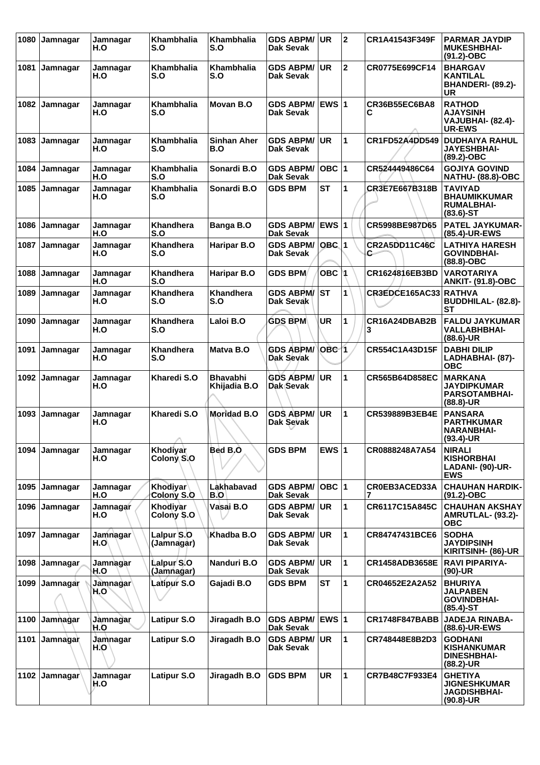| 1080 | Jamnagar | Jamnagar<br>H.O        | Khambhalia<br>S.O        | <b>Khambhalia</b><br>S.O        | <b>GDS ABPM/</b><br>Dak Sevak        | <b>UR</b>          | $\mathbf{2}$ | CR1A41543F349F             | <b>PARMAR JAYDIP</b><br><b>MUKESHBHAI-</b><br>$(91.2) - OBC$                  |
|------|----------|------------------------|--------------------------|---------------------------------|--------------------------------------|--------------------|--------------|----------------------------|-------------------------------------------------------------------------------|
| 1081 | Jamnagar | Jamnagar<br>H.O        | Khambhalia<br>S.O        | Khambhalia<br>S.O               | <b>GDS ABPM/</b><br>Dak Sevak        | <b>UR</b>          | $\mathbf 2$  | CR0775E699CF14             | <b>BHARGAV</b><br><b>KANTILAL</b><br>BHANDERI- (89.2)-<br>UR                  |
| 1082 | Jamnagar | Jamnagar<br>H.O        | <b>Khambhalia</b><br>S.O | Movan B.O                       | <b>GDS ABPM/</b><br><b>Dak Sevak</b> | <b>EWS 1</b>       |              | CR36B55EC6BA8<br>С         | <b>RATHOD</b><br><b>AJAYSINH</b><br><b>VAJUBHAI- (82.4)-</b><br><b>UR-EWS</b> |
| 1083 | Jamnagar | Jamnagar<br>H.O        | <b>Khambhalia</b><br>S.O | <b>Sinhan Aher</b><br>B.O       | <b>GDS ABPM/</b><br><b>Dak Sevak</b> | <b>UR</b>          | $\mathbf{1}$ | CR1FD52A4DD549             | <b>DUDHAIYA RAHUL</b><br><b>JAYESHBHAI-</b><br>(89.2)-OBC                     |
| 1084 | Jamnagar | Jamnagar<br>H.O        | <b>Khambhalia</b><br>S.O | Sonardi B.O                     | <b>GDS ABPM/</b><br><b>Dak Sevak</b> | OBC 1              |              | CR524449486C64             | <b>GOJIYA GOVIND</b><br><b>NATHU- (88.8)-OBC</b>                              |
| 1085 | Jamnagar | Jamnagar<br>H.O        | <b>Khambhalia</b><br>S.O | Sonardi B.O                     | <b>GDS BPM</b>                       | <b>ST</b>          | 1            | CR3E7E667B318B             | <b>TAVIYAD</b><br><b>BHAUMIKKUMAR</b><br><b>RUMALBHAI-</b><br>$(83.6)$ -ST    |
| 1086 | Jamnagar | Jamnagar<br>H.O        | <b>Khandhera</b><br>S.O  | Banga B.O                       | <b>GDS ABPM/</b><br><b>Dak Sevak</b> | EWS 1              |              | CR5998BE987D65             | PATEL JAYKUMAR-<br>(85.4)-UR-EWS                                              |
| 1087 | Jamnagar | Jamnagar<br>H.O        | <b>Khandhera</b><br>S.O  | <b>Haripar B.O</b>              | <b>GDS ABPM/</b><br>Dak Sevak        | $OBC$ <sup>1</sup> |              | <b>CR2A5DD11C46C</b><br>C. | <b>LATHIYA HARESH</b><br><b>GOVINDBHAI-</b><br>(88.8)-OBC                     |
| 1088 | Jamnagar | Jamnagar<br>H.O        | <b>Khandhera</b><br>S.O  | <b>Haripar B.O</b>              | <b>GDS BPM</b>                       | OBC M              |              | CR1624816EB3BD             | <b>VAROTARIYA</b><br><b>ANKIT- (91.8)-OBC</b>                                 |
| 1089 | Jamnagar | Jamnagar<br>H.O        | Khandhera<br>S.O         | <b>Khandhera</b><br>S.O         | <b>GDS ABPM/</b><br>Dak Sevak        | <b>ST</b>          | $\mathbf{1}$ | CR3EDCE165AC33             | <b>RATHVA</b><br>BUDDHILAL- (82.8)-<br><b>ST</b>                              |
| 1090 | Jamnagar | Jamnagar<br>H.O        | Khandhera<br>S.O         | Laloi B.O                       | <b>GDS BPM</b>                       | <b>UR</b>          | 1            | CR16A24DBAB2B<br>3         | <b>FALDU JAYKUMAR</b><br><b>VALLABHBHAI-</b><br>$(88.6)$ -UR                  |
| 1091 | Jamnagar | Jamnagar<br>H.O        | <b>Khandhera</b><br>S.O  | Matva B.O                       | <b>GDS ABPM/</b><br>Dak Sevak        | $OBC$ 1            |              | CR554C1A43D15F             | <b>DABHI DILIP</b><br>LADHABHAI- (87)-<br><b>OBC</b>                          |
| 1092 | Jamnagar | Jamnagar<br>H.O        | Kharedi S.O              | <b>Bhavabhi</b><br>Khijadia B.O | <b>GDS ABPM/</b><br>Dak Sevak        | <b>UR</b>          | 1            | CR565B64D858EC             | <b>MARKANA</b><br><b>JAYDIPKUMAR</b><br><b>PARSOTAMBHAI-</b><br>$(88.8)$ -UR  |
| 1093 | Jamnagar | Jamnagar<br>H.O        | Kharedi S.O              | <b>Moridad B.O</b>              | <b>GDS ABPM/</b><br>Dak Sevak        | <b>UR</b>          | 1            | CR539889B3EB4E             | <b>PANSARA</b><br><b>PARTHKUMAR</b><br><b>NARANBHAI-</b><br>$(93.4)$ -UR      |
| 1094 | Jamnagar | Jamnagar<br>H.O        | Khodiyar<br>Colony S.O   | Bed B.O                         | <b>GDS BPM</b>                       | EWS $ 1$           |              | CR0888248A7A54             | <b>NIRALI</b><br><b>KISHORBHAI</b><br><b>LADANI- (90)-UR-</b><br><b>EWS</b>   |
| 1095 | Jamnagar | Jamnagar<br>H.O        | Khodiyar<br>Colony S.O   | Lakhabavad<br>B.O               | <b>GDS ABPM/</b><br>Dak Sevak        | $OBC$  1           |              | CR0EB3ACED33A              | <b>CHAUHAN HARDIK-</b><br>$(91.2)$ -OBC                                       |
| 1096 | Jamnagar | Jamnagar<br>H.O        | Khodiyar<br>Colony S.O   | Vasai B.O                       | <b>GDS ABPM/</b><br><b>Dak Sevak</b> | <b>UR</b>          | 1            | CR6117C15A845C             | <b>CHAUHAN AKSHAY</b><br>AMRUTLAL- (93.2)-<br><b>OBC</b>                      |
| 1097 | Jamnagar | <b>Jamnagar</b><br>H.O | Lalpur S.O<br>(Jamnagar) | Khadba B.O                      | <b>GDS ABPM/</b><br><b>Dak Sevak</b> | <b>UR</b>          | $\mathbf{1}$ | CR84747431BCE6             | <b>SODHA</b><br><b>JAYDIPSINH</b><br>KIRITSINH- (86)-UR                       |
| 1098 | Jamnagar | Jamnagar<br>H.O        | Lalpur S.O<br>(Jamnagar) | Nanduri B.O                     | <b>GDS ABPM/</b><br>Dak Sevak        | <b>UR</b>          | 1            | <b>CR1458ADB3658E</b>      | <b>RAVI PIPARIYA-</b><br>$(90)-UR$                                            |
| 1099 | Jamnagar | Jamnagar<br>H.O        | Latipur S.O              | Gajadi B.O                      | <b>GDS BPM</b>                       | <b>ST</b>          | 1            | CR04652E2A2A52             | <b>BHURIYA</b><br><b>JALPABEN</b><br><b>GOVINDBHAI-</b><br>$(85.4)$ -ST       |
| 1100 | Jamnagar | Jamnagar<br>H.O        | Latipur S.O              | Jiragadh B.O                    | <b>GDS ABPM/</b><br>Dak Sevak        | EWS $ 1$           |              | <b>CR1748F847BABB</b>      | <b>JADEJA RINABA-</b><br>(88.6)-UR-EWS                                        |
| 1101 | Jamnagar | Jamnagar<br>H.O        | Latipur S.O              | Jiragadh B.O                    | <b>GDS ABPM/</b><br>Dak Sevak        | <b>UR</b>          | 1            | CR748448E8B2D3             | <b>GODHANI</b><br><b>KISHANKUMAR</b><br><b>DINESHBHAI-</b><br>$(88.2)$ -UR    |
| 1102 | Jamnagar | Jamnagar<br>H.O        | Latipur S.O              | Jiragadh B.O                    | <b>GDS BPM</b>                       | <b>UR</b>          | 1            | CR7B48C7F933E4             | <b>GHETIYA</b><br><b>JIGNESHKUMAR</b><br><b>JAGDISHBHAI-</b><br>$(90.8)$ -UR  |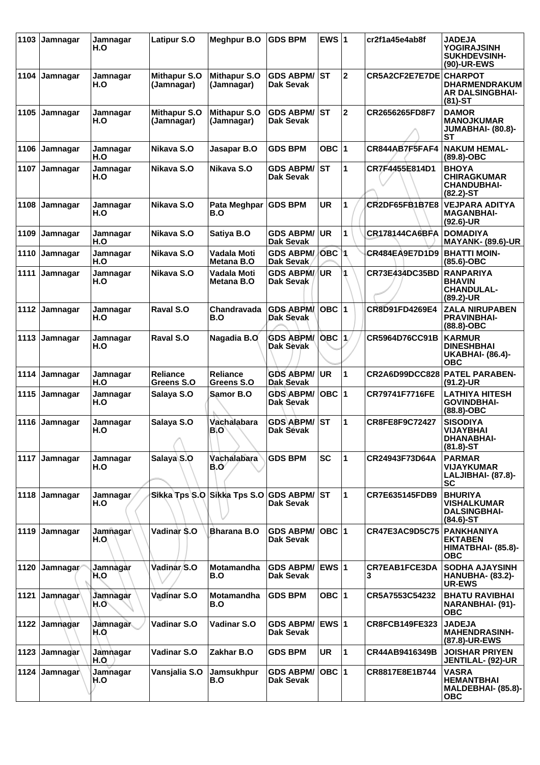| 1103 | Jamnagar              | Jamnagar<br>H.O  | <b>Latipur S.O</b>                | <b>Meghpur B.O</b>                | <b>GDS BPM</b>                       | EWS $ 1$          |                      | cr2f1a45e4ab8f            | <b>JADEJA</b><br><b>YOGIRAJSINH</b><br><b>SUKHDEVSINH-</b><br>(90)-UR-EWS      |
|------|-----------------------|------------------|-----------------------------------|-----------------------------------|--------------------------------------|-------------------|----------------------|---------------------------|--------------------------------------------------------------------------------|
| 1104 | Jamnagar              | Jamnagar<br>H.O  | <b>Mithapur S.O</b><br>(Jamnagar) | <b>Mithapur S.O</b><br>(Jamnagar) | <b>GDS ABPM/</b><br>Dak Sevak        | IST               | $\overline{2}$       | CR5A2CF2E7E7DE CHARPOT    | <b>DHARMENDRAKUM</b><br><b>AR DALSINGBHAI-</b><br>$(81)-ST$                    |
| 1105 | Jamnagar              | Jamnagar<br>H.O  | <b>Mithapur S.O</b><br>(Jamnagar) | <b>Mithapur S.O</b><br>(Jamnagar) | <b>GDS ABPM/</b><br>Dak Sevak        | <b>ST</b>         | $\mathbf 2$          | CR2656265FD8F7            | <b>DAMOR</b><br><b>MANOJKUMAR</b><br><b>JUMABHAI- (80.8)-</b><br>SТ            |
| 1106 | Jamnagar              | Jamnagar<br>H.O  | Nikava S.O                        | Jasapar B.O                       | <b>GDS BPM</b>                       | OBC   1           |                      | CR844AB7F5FAF4            | <b>NAKUM HEMAL-</b><br>$(89.8)-OBC$                                            |
| 1107 | Jamnagar              | Jamnagar<br>H.O  | Nikava S.O                        | Nikava S.O                        | <b>GDS ABPM/</b><br>Dak Sevak        | <b>ST</b>         | 1                    | CR7F4455E814D1            | <b>BHOYA</b><br><b>CHIRAGKUMAR</b><br><b>CHANDUBHAI-</b><br>$(82.2) - ST$      |
| 1108 | Jamnagar              | Jamnagar<br>H.O  | Nikava S.O                        | Pata Meghpar<br>B.O               | <b>GDS BPM</b>                       | <b>UR</b>         | 1                    | <b>CR2DF65FB1B7E8</b>     | <b>VEJPARA ADITYA</b><br><b>MAGANBHAI-</b><br>$(92.6)$ -UR                     |
| 1109 | Jamnagar              | Jamnagar<br>H.O  | Nikava S.O                        | Satiya B.O                        | <b>GDS ABPM/</b><br><b>Dak Sevak</b> | <b>UR</b>         | 1                    | <b>CR178144CA6BFA</b>     | <b>DOMADIYA</b><br><b>MAYANK- (89.6)-UR</b>                                    |
| 1110 | Jamnagar              | Jamnagar<br>H.O  | Nikava S.O                        | Vadala Moti<br>Metana B.O         | <b>GDS ABPM/</b><br>Dak Sevak        | OBC 1             |                      | CR484EA9E7D1D9            | <b>BHATTI MOIN-</b><br>$(85.6)$ -OBC                                           |
| 1111 | Jamnagar              | Jamnagar<br>H.O  | Nikava S.O                        | Vadala Moti<br>Metana B.O         | <b>GDS ABPM/</b><br>Dak Sevak        | UR.               |                      | CR73E434DC35BD            | <b>RANPARIYA</b><br><b>BHAVIN</b><br><b>CHANDULAL-</b><br>(89.2)-UR            |
| 1112 | Jamnagar              | Jamnagar<br>H.O  | Raval S.O                         | Chandravada<br>B.O                | <b>GDS ABPM</b><br><b>Dak Sevak</b>  | OBC $ 1$          |                      | CR8D91FD4269E4            | <b>ZALA NIRUPABEN</b><br><b>PRAVINBHAI-</b><br>$(88.8)-OBC$                    |
| 1113 | Jamnagar              | Jamnagar<br>H.O  | Raval S.O                         | Nagadia B.O                       | <b>GDS ABPM/</b><br>Dak Sevak        | $OBC$ $ 1\rangle$ |                      | <b>CR5964D76CC91B</b>     | <b>KARMUR</b><br><b>DINESHBHAI</b><br><b>UKABHAI- (86.4)-</b><br><b>OBC</b>    |
| 1114 | Jamnagar              | Jamnagar<br>H.O  | Reliance<br>Greens S.O            | <b>Reliance</b><br>Greens S.O     | <b>GDS ABPM/</b><br>Dak Sevak        | UR                | 1                    | <b>CR2A6D99DCC828</b>     | <b>PATEL PARABEN-</b><br>$(91.2)$ -UR                                          |
| 1115 | Jamnagar              | Jamnagar<br>H.O  | Salaya S.O                        | Samor B.O                         | <b>GDS ABPM/</b><br>Dak Sevak        | OBC $ 1$          |                      | CR79741F7716FE            | <b>LATHIYA HITESH</b><br>GOVINDBHAI-<br>(88.8)-OBC                             |
| 1116 | Jamnagar              | Jamnagar<br>H.O  | Salaya S.O<br>A                   | Vachalabara<br>B.O'               | <b>GDS ABPM/</b><br>Dak Sevak        | <b>ST</b>         | 1                    | CR8FE8F9C72427            | <b>SISODIYA</b><br>VIJAYBHAI<br><b>DHANABHAI-</b><br>$(81.8) - ST$             |
|      | 1117 Jamnagar         | Jamnagar<br>H.O  | Salaya <sub>S.O</sub>             | Vachalabara<br>B.O⁄               | <b>GDS BPM</b>                       | <b>SC</b>         | 1                    | CR24943F73D64A            | <b>PARMAR</b><br><b>VIJAYKUMAR</b><br>LALJIBHAI- (87.8)-<br><b>SC</b>          |
| 1118 | Jamnagar              | Jamnagar<br>H.O  |                                   | Sikka Tps S.O Sikka Tps S.O       | <b>GDS ABPM/</b><br>Dak Sevak        | lst               | $\blacktriangleleft$ | CR7E635145FDB9            | <b>BHURIYA</b><br><b>VISHALKUMAR</b><br><b>DALSINGBHAI-</b><br>$(84.6)$ -ST    |
| 1119 | Jamnagar              | Jamnagar<br>H.O. | Vadinar S.O                       | <b>Bharana B.O</b>                | <b>GDS ABPM/</b><br><b>Dak Sevak</b> | OBC $ 1 $         |                      | <b>CR47E3AC9D5C75</b>     | <b>PANKHANIYA</b><br><b>EKTABEN</b><br><b>HIMATBHAI- (85.8)-</b><br><b>OBC</b> |
| 1120 | Jamnagar              | Jamnagar<br>H.O  | Vadinar/S.O                       | Motamandha<br>B.O                 | <b>GDS ABPM/</b><br>Dak Sevak        | EWS $ 1$          |                      | <b>CR7EAB1FCE3DA</b><br>З | <b>SODHA AJAYSINH</b><br><b>HANUBHA- (83.2)-</b><br>UR-EWS                     |
| 1121 | Jamnagar <sup>1</sup> | Jamnagar<br>H.O  | Vadinar S.O                       | Motamandha<br>B.O                 | <b>GDS BPM</b>                       | OBC $ 1$          |                      | CR5A7553C54232            | <b>BHATU RAVIBHAI</b><br><b>NARANBHAI- (91)-</b><br><b>OBC</b>                 |
| 1122 | Jamnagar              | Jamnagar<br>H.O  | Vadinar S.O                       | Vadinar S.O                       | <b>GDS ABPM/</b><br>Dak Sevak        | $EWS$  1          |                      | <b>CR8FCB149FE323</b>     | <b>JADEJA</b><br><b>MAHENDRASINH-</b><br>(87.8)-UR-EWS                         |
| 1123 | Jamnagar              | Jamnagar<br>H.O  | Vadinar S.O                       | Zakhar B.O                        | <b>GDS BPM</b>                       | UR                | 11.                  | CR44AB9416349B            | <b>JOISHAR PRIYEN</b><br><b>JENTILAL- (92)-UR</b>                              |
| 1124 | Jamnagar              | Jamnagar<br>H.O  | Vansjalia S.O                     | Jamsukhpur<br>B.O                 | <b>GDS ABPM/</b><br>Dak Sevak        | OBC $ 1$          |                      | CR8817E8E1B744            | <b>VASRA</b><br><b>HEMANTBHAI</b><br><b>MALDEBHAI- (85.8)-</b><br><b>OBC</b>   |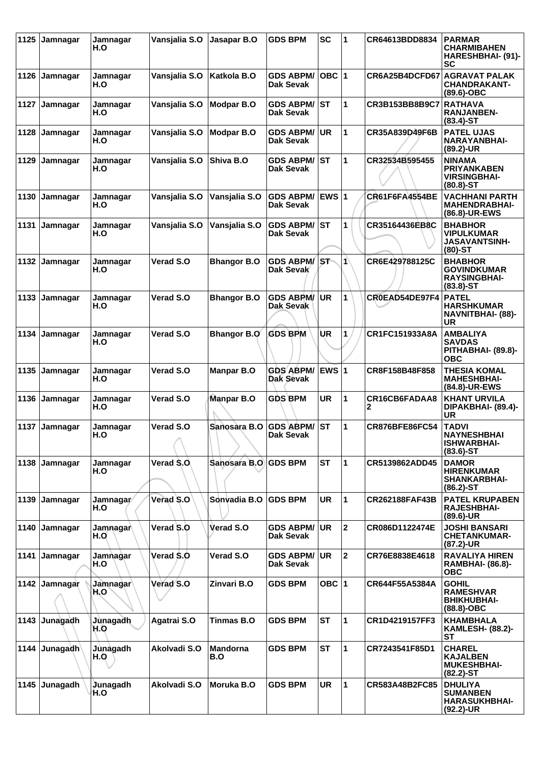| 1125 | Jamnagar | Jamnagar<br>H.O  | Vansjalia S.O         | Jasapar B.O            | <b>GDS BPM</b>                       | <b>SC</b>  | 1              | CR64613BDD8834        | <b>PARMAR</b><br><b>CHARMIBAHEN</b><br>HARESHBHAI- (91)-<br>SC               |
|------|----------|------------------|-----------------------|------------------------|--------------------------------------|------------|----------------|-----------------------|------------------------------------------------------------------------------|
| 1126 | Jamnagar | Jamnagar<br>H.O  | Vansjalia S.O         | Katkola B.O            | <b>GDS ABPM/</b><br>Dak Sevak        | OBC $ 1$   |                | CR6A25B4DCFD67        | <b>AGRAVAT PALAK</b><br><b>CHANDRAKANT-</b><br>$(89.6)$ -OBC                 |
| 1127 | Jamnagar | Jamnagar<br>H.O  | Vansjalia S.O         | <b>Modpar B.O</b>      | <b>GDS ABPM/</b><br>Dak Sevak        | <b>ST</b>  | 1              | CR3B153BB8B9C7        | <b>RATHAVA</b><br><b>RANJANBEN-</b><br>$(83.4)$ -ST                          |
| 1128 | Jamnagar | Jamnagar<br>H.O  | Vansjalia S.O         | <b>Modpar B.O</b>      | <b>GDS ABPM/</b><br>Dak Sevak        | UR         | 1              | CR35A839D49F6B        | <b>PATEL UJAS</b><br><b>NARAYANBHAI-</b><br>(89.2)-UR                        |
| 1129 | Jamnagar | Jamnagar<br>H.O  | Vansjalia S.O         | Shiva B.O              | <b>GDS ABPM/</b><br>Dak Sevak        | <b>IST</b> | 1              | CR32534B595455        | <b>NINAMA</b><br><b>PRIYANKABEN</b><br><b>VIRSINGBHAI-</b><br>$(80.8) - ST$  |
| 1130 | Jamnagar | Jamnagar<br>H.O  | Vansjalia S.O         | Vansjalia S.O          | <b>GDS ABPM/</b><br>Dak Sevak        | EWS $ 1$   |                | <b>CR61F6FA4554BE</b> | <b>VACHHANI PARTH</b><br><b>MAHENDRABHAI-</b><br>(86.8)-UR-EWS               |
| 1131 | Jamnagar | Jamnagar<br>H.O  | Vansjalia S.O         | Vansjalia S.O          | <b>GDS ABPM/</b><br>Dak Sevak        | <b>ST</b>  | 1              | CR35164436EB8C        | <b>BHABHOR</b><br><b>VIPULKUMAR</b><br><b>JASAVANTSINH-</b><br>$(80)$ -ST    |
| 1132 | Jamnagar | Jamnagar<br>H.O  | <b>Verad S.O</b>      | <b>Bhangor B.O</b>     | <b>GDS ABPM/</b><br>Dak Sevak        | lS∓        | $\mathbf{f}$   | CR6E429788125C        | <b>BHABHOR</b><br><b>GOVINDKUMAR</b><br><b>RAYSINGBHAI-</b><br>$(83.8) - ST$ |
| 1133 | Jamnagar | Jamnagar<br>H.O  | Verad S.O             | <b>Bhangor B.O</b>     | <b>GDS ABPM/</b><br>Dak Sevak        | <b>UR</b>  | 1              | CR0EAD54DE97F4        | <b>PATEL</b><br><b>HARSHKUMAR</b><br><b>NAVNITBHAI- (88)-</b><br>UR          |
| 1134 | Jamnagar | Jamnagar<br>H.O  | <b>Verad S.O</b>      | <b>Bhangor B.O</b>     | <b>GDS BPM</b>                       | UR         | 1              | CR1FC151933A8A        | <b>AMBALIYA</b><br><b>SAVDAS</b><br>PITHABHAI- (89.8)-<br><b>OBC</b>         |
| 1135 | Jamnagar | Jamnagar<br>H.O  | Verad S.O             | <b>Manpar B.O</b>      | <b>GDS ABPM/</b><br>Dak Sevak        | EWS $ 1$   |                | CR8F158B48F858        | THESIA KOMAL<br><b>MAHESHBHAI-</b><br>(84.8)-UR-EWS                          |
| 1136 | Jamnagar | Jamnagar<br>H.O  | Verad S.O             | Manpar B.O             | <b>GDS BPM</b>                       | UR         | 1              | CR16CB6FADAA8<br>2    | <b>KHANT URVILA</b><br>DIPAKBHAI- (89.4)-<br>UR                              |
| 1137 | Jamnagar | Jamnagar<br>H.O  | <b>Verad S.O</b><br>A | Sanosara B.O           | <b>GDS ABPM/</b><br><b>Dak Sevak</b> | <b>ST</b>  | 1              | <b>CR876BFE86FC54</b> | <b>TADVI</b><br><b>NAYNESHBHAI</b><br><b>ISHWARBHAI-</b><br>$(83.6)$ -ST     |
| 1138 | Jamnagar | Jamnagar<br>H.O  | Verad S.O.            | Sanosara B.O GDS BPM   |                                      | <b>ST</b>  | $\mathbf{1}$   | CR5139862ADD45        | <b>DAMOR</b><br><b>HIRENKUMAR</b><br><b>SHANKARBHAI-</b><br>$(86.2)$ -ST     |
| 1139 | Jamnagar | Jamnagar/<br>H.O | Verad S.O             | Sonvadia B.O           | <b>GDS BPM</b>                       | <b>UR</b>  | $\mathbf{1}$   | CR262188FAF43B        | <b>PATEL KRUPABEN</b><br><b>RAJESHBHAI-</b><br>$(89.6)$ -UR                  |
| 1140 | Jamnagar | Jamnagar∖<br>H.O | Verad S.O             | Verad S.O              | <b>GDS ABPM/</b><br>Dak Sevak        | <b>UR</b>  | $\mathbf{2}$   | CR086D1122474E        | <b>JOSHI BANSARI</b><br><b>CHETANKUMAR-</b><br>$(87.2)$ -UR                  |
| 1141 | Jamnagar | Jamnagar<br>H.O  | Verad S.O             | Verad S.O              | <b>GDS ABPM/</b><br><b>Dak Sevak</b> | <b>UR</b>  | $\overline{2}$ | CR76E8838E4618        | <b>RAVALIYA HIREN</b><br><b>RAMBHAI- (86.8)-</b><br><b>OBC</b>               |
| 1142 | Jamnagar | Jamnagar<br>H.O  | Verad S.O             | Zinvari B.O            | <b>GDS BPM</b>                       | OBC $ 1$   |                | CR644F55A5384A        | <b>GOHIL</b><br><b>RAMESHVAR</b><br><b>BHIKHUBHAI-</b><br>$(88.8)-OBC$       |
| 1143 | Junagadh | Junagadh<br>H.O  | Agatrai S.O           | <b>Tinmas B.O</b>      | <b>GDS BPM</b>                       | <b>ST</b>  | $\mathbf{1}$   | CR1D4219157FF3        | <b>KHAMBHALA</b><br><b>KAMLESH- (88.2)-</b><br>ST                            |
| 1144 | Junagadh | Junagadh<br>H.Q  | Akolvadi S.O          | <b>Mandorna</b><br>B.O | <b>GDS BPM</b>                       | <b>ST</b>  | $\mathbf{1}$   | CR7243541F85D1        | <b>CHAREL</b><br><b>KAJALBEN</b><br><b>MUKESHBHAI-</b><br>$(82.2) - ST$      |
| 1145 | Junagadh | Junagadh<br>H.O  | Akolvadi S.O          | Moruka B.O             | <b>GDS BPM</b>                       | <b>UR</b>  | $\mathbf{1}$   | CR583A48B2FC85        | <b>DHULIYA</b><br><b>SUMANBEN</b><br><b>HARASUKHBHAI-</b><br>$(92.2)$ -UR    |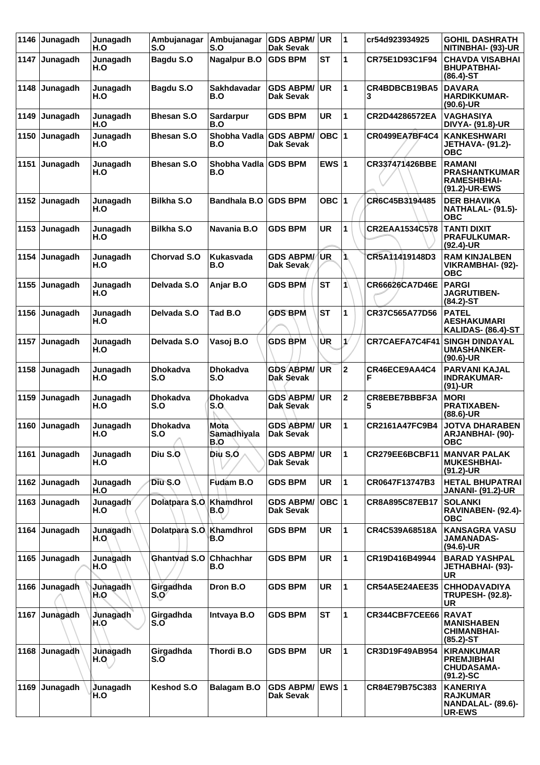| 1146 | Junagadh | Junagadh<br>H.O  | Ambujanagar<br>S.O          | Ambujanagar<br>S.O            | <b>GDS ABPM/</b><br><b>Dak Sevak</b> | <b>UR</b> | 1            | cr54d923934925        | <b>GOHIL DASHRATH</b><br>NITINBHAI- (93)-UR                                 |
|------|----------|------------------|-----------------------------|-------------------------------|--------------------------------------|-----------|--------------|-----------------------|-----------------------------------------------------------------------------|
| 1147 | Junagadh | Junagadh<br>H.O  | Bagdu S.O                   | <b>Nagalpur B.O</b>           | <b>GDS BPM</b>                       | <b>ST</b> | 1            | CR75E1D93C1F94        | <b>CHAVDA VISABHAI</b><br><b>BHUPATBHAI-</b><br>$(86.4)$ -ST                |
| 1148 | Junagadh | Junagadh<br>H.O  | Bagdu S.O                   | Sakhdavadar<br>B.O            | <b>GDS ABPM/</b><br>Dak Sevak        | <b>UR</b> | 1            | CR4BDBCB19BA5         | <b>DAVARA</b><br><b>HARDIKKUMAR-</b><br>$(90.6)$ -UR                        |
| 1149 | Junagadh | Junagadh<br>H.O  | <b>Bhesan S.O</b>           | Sardarpur<br>B.O              | <b>GDS BPM</b>                       | <b>UR</b> | 1            | CR2D44286572EA        | <b>VAGHASIYA</b><br><b>DIVYA- (91.8)-UR</b>                                 |
| 1150 | Junagadh | Junagadh<br>H.O  | <b>Bhesan S.O</b>           | Shobha Vadla GDS ABPM/<br>B.O | <b>Dak Sevak</b>                     | $OBC$ 1   |              | CR0499EA7BF4C4        | <b>KANKESHWARI</b><br><b>JETHAVA- (91.2)-</b><br><b>OBC</b>                 |
| 1151 | Junagadh | Junagadh<br>H.O  | <b>Bhesan S.O</b>           | Shobha Vadla GDS BPM<br>B.O   |                                      | EWS $ 1$  |              | CR337471426BBE        | <b>RAMANI</b><br><b>PRASHANTKUMAR</b><br>RAMESHBHAI-<br>(91.2)-UR-EWS       |
| 1152 | Junagadh | Junagadh<br>H.O  | <b>Bilkha S.O</b>           | <b>Bandhala B.O</b>           | <b>GDS BPM</b>                       | OBC 1     |              | CR6C45B3194485        | <b>DER BHAVIKA</b><br><b>NATHALAL- (91.5)-</b><br><b>OBC</b>                |
| 1153 | Junagadh | Junagadh<br>H.O  | <b>Bilkha S.O</b>           | Navania B.O                   | <b>GDS BPM</b>                       | UR        | 1            | CR2EAA1534C578        | <b>TANTI DIXIT</b><br><b>PRAFULKUMAR-</b><br>$(92.4)$ -UR                   |
| 1154 | Junagadh | Junagadh<br>H.O  | <b>Chorvad S.O</b>          | <b>Kukasvada</b><br>B.O       | <b>GDS ABPM/</b><br>Dak Sevak        | <b>UR</b> | ٦            | CR5A11419148D3        | <b>RAM KINJALBEN</b><br>VIKRAMBHAI- (92)-<br><b>OBC</b>                     |
| 1155 | Junagadh | Junagadh<br>H.O  | Delvada S.O                 | Anjar B.O                     | <b>GDS BPM</b>                       | <b>ST</b> | 1            | <b>CR66626CA7D46E</b> | <b>PARGI</b><br><b>JAGRUTIBEN-</b><br>(84.2)-ST                             |
| 1156 | Junagadh | Junagadh<br>H.O  | Delvada S.O                 | Tad B.O                       | <b>GDS BPM</b>                       | <b>ST</b> | 1            | CR37C565A77D56        | <b>PATEL</b><br><b>AESHAKUMARI</b><br><b>KALIDAS- (86.4)-ST</b>             |
| 1157 | Junagadh | Junagadh<br>H.O  | Delvada S.O                 | Vasoj B.O                     | <b>GDS BPM</b>                       | UR        | ₫            | CR7CAEFA7C4F41        | <b>SINGH DINDAYAL</b><br><b>UMASHANKER-</b><br>$(90.6)$ -UR                 |
| 1158 | Junagadh | Junagadh<br>H.O  | <b>Dhokadva</b><br>S.O      | <b>Dhokadva</b><br>S.O        | <b>GDS ABPM/</b><br>Dak Sevak        | <b>UR</b> | $\mathbf 2$  | CR46ECE9AA4C4<br>F    | <b>PARVANI KAJAL</b><br><b>INDRAKUMAR-</b><br>$(91)-UR$                     |
| 1159 | Junagadh | Junagadh<br>H.O  | <b>Dhokadva</b><br>S.O      | <b>Dhokadva</b><br>S.O        | <b>GDS ABPM/</b><br>Dak Sevak        | <b>UR</b> | $\mathbf{2}$ | CR8EBE7BBBF3A<br>5    | <b>MORI</b><br><b>PRATIXABEN-</b><br>$(88.6)$ -UR                           |
| 1160 | Junagadh | Junagadh<br>H.O  | <b>Dhokadva</b><br>S.O<br>A | Mota<br>Samadhiyala<br>B.O    | <b>GDS ABPM/</b><br><b>Dak Sevak</b> | <b>UR</b> | 1            | CR2161A47FC9B4        | <b>JOTVA DHARABEN</b><br>ARJANBHAI- (90)-<br>ORC                            |
| 1161 | Junagadh | Junagadh<br>H.O  | Diu S.O                     | Diu S.O                       | <b>GDS ABPM/</b><br>Dak Sevak        | <b>UR</b> | $\mathbf{1}$ | CR279EE6BCBF11        | <b>MANVAR PALAK</b><br><b>MUKESHBHAI-</b><br>$(91.2)$ -UR                   |
| 1162 | Junagadh | Junagadh<br>H.O  | Diu S.O                     | Fudam B.O                     | <b>GDS BPM</b>                       | UR        | $\mathbf{1}$ | CR0647F13747B3        | <b>HETAL BHUPATRAI</b><br><b>JANANI- (91.2)-UR</b>                          |
| 1163 | Junagadh | Junagadh<br>H.O  | Dolatpara S.O.              | Khamdhrol<br>B.Q              | <b>GDS ABPM/</b><br><b>Dak Sevak</b> | OBC 1     |              | CR8A895C87EB17        | <b>SOLANKI</b><br>RAVINABEN- (92.4)-<br><b>OBC</b>                          |
| 1164 | Junagadh | Junagadh<br>H.O. | Dolatpara S.O               | Khamdhrol<br>B.O              | <b>GDS BPM</b>                       | <b>UR</b> | $\mathbf{1}$ | CR4C539A68518A        | <b>KANSAGRA VASU</b><br>JAMANADAS-<br>$(94.6)$ -UR                          |
| 1165 | Junagadh | Junagadh<br>H.O  | Ghantyad S.O                | Chhachhar<br>B.O              | <b>GDS BPM</b>                       | <b>UR</b> | 1            | CR19D416B49944        | <b>BARAD YASHPAL</b><br>JETHABHAI- (93)-<br><b>UR</b>                       |
| 1166 | Junagadh | Junagadh<br>H.O  | Girgadhda<br>S.O            | Dron B.O                      | <b>GDS BPM</b>                       | <b>UR</b> | $\mathbf{1}$ | <b>CR54A5E24AEE35</b> | <b>CHHODAVADIYA</b><br><b>TRUPESH- (92.8)-</b><br><b>UR</b>                 |
| 1167 | Junagadh | Junagadh<br>H.O  | Girgadhda<br>S.O            | Intvaya B.O                   | <b>GDS BPM</b>                       | <b>ST</b> | $\mathbf{1}$ | CR344CBF7CEE66        | <b>RAVAT</b><br><b>MANISHABEN</b><br><b>CHIMANBHAI-</b><br>$(85.2)$ -ST     |
| 1168 | Junagadh | Junagadh<br>H.O  | Girgadhda<br>S.O            | Thordi B.O                    | <b>GDS BPM</b>                       | <b>UR</b> | 1            | CR3D19F49AB954        | <b>KIRANKUMAR</b><br><b>PREMJIBHAI</b><br><b>CHUDASAMA-</b><br>$(91.2)$ -SC |
| 1169 | Junagadh | Junagadh<br>H.O  | Keshod S.O                  | <b>Balagam B.O</b>            | <b>GDS ABPM/</b><br><b>Dak Sevak</b> | EWS 1     |              | CR84E79B75C383        | <b>KANERIYA</b><br><b>RAJKUMAR</b><br>NANDALAL- (89.6)-<br>UR-EWS           |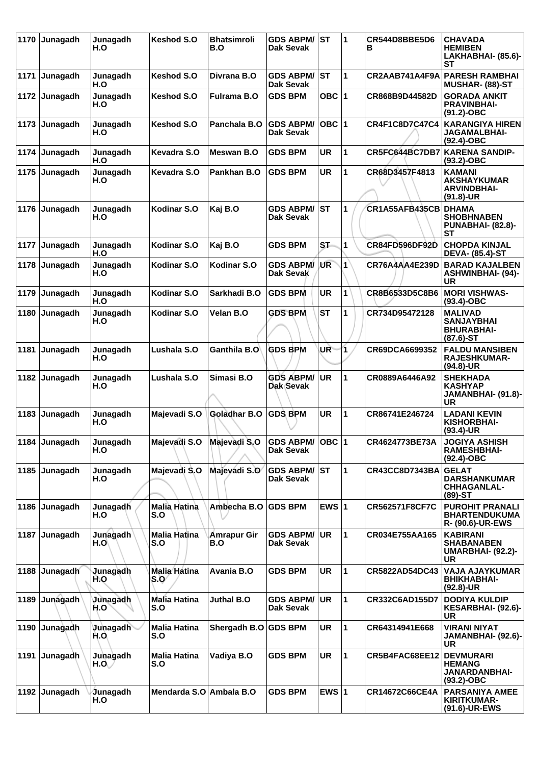| 1170 | Junagadh        | Junagadh<br>H.O         | Keshod S.O                               | <b>Bhatsimroli</b><br>B.O | <b>GDS ABPM/ST</b><br>Dak Sevak      |           | 1              | CR544D8BBE5D6<br>в    | CHAVADA<br><b>HEMIBEN</b><br>LAKHABHAI- (85.6)-<br>SТ                         |
|------|-----------------|-------------------------|------------------------------------------|---------------------------|--------------------------------------|-----------|----------------|-----------------------|-------------------------------------------------------------------------------|
|      | 1171 Junagadh   | Junagadh<br>H.O         | Keshod S.O                               | Divrana B.O               | <b>GDS ABPM/</b><br><b>Dak Sevak</b> | IST       | 1              |                       | <b>CR2AAB741A4F9A PARESH RAMBHAI</b><br><b>MUSHAR- (88)-ST</b>                |
| 1172 | Junagadh        | Junagadh<br>H.O         | Keshod S.O                               | <b>Fulrama B.O</b>        | <b>GDS BPM</b>                       | OBC $ 1$  |                | CR868B9D44582D        | <b>GORADA ANKIT</b><br><b>PRAVINBHAI-</b><br>$(91.2)$ -OBC                    |
|      | 1173 Junagadh   | Junagadh<br>H.O         | Keshod S.O                               | Panchala B.O              | <b>GDS ABPM/</b><br>Dak Sevak        | OBC $ 1$  |                | CR4F1C8D7C47C4        | <b>KARANGIYA HIREN</b><br>JAGAMALBHAI-<br>(92.4)-OBC                          |
| 1174 | Junagadh        | Junagadh<br>H.O         | Kevadra S.O                              | Meswan B.O                | <b>GDS BPM</b>                       | <b>UR</b> | 1              | CR5FC644BC7DB7        | KARENA SANDIP-<br>$(93.2)$ -OBC                                               |
| 1175 | Junagadh        | Junagadh<br>H.O         | Kevadra S.O                              | Pankhan B.O               | <b>GDS BPM</b>                       | <b>UR</b> | 1              | CR68D3457F4813        | <b>KAMANI</b><br><b>AKSHAYKUMAR</b><br><b>ARVINDBHAI-</b><br>$(91.8)-UR$      |
| 1176 | Junagadh        | Junagadh<br>H.O         | Kodinar S.O                              | Kaj B.O                   | <b>GDS ABPM/</b><br>Dak Sevak        | lst       | 1              | CR1A55AFB435CB        | <b>DHAMA</b><br><b>SHOBHNABEN</b><br><b>PUNABHAI- (82.8)-</b><br>SТ           |
| 1177 | <b>Junagadh</b> | Junagadh<br>H.O         | Kodinar S.O                              | Kaj B.O                   | <b>GDS BPM</b>                       | ST-       | $\overline{1}$ | CR84FD596DF92D        | <b>CHOPDA KINJAL</b><br><b>DEVA- (85.4)-ST</b>                                |
| 1178 | ∣Junagadh       | Junagadh<br>H.O         | Kodinar S.O                              | Kodinar S.O               | <b>GDS ABPM/</b><br><b>Dak Sevak</b> | UR        | $\mathbf{1}$   | <b>CR76A4AA4E239D</b> | <b>BARAD KAJALBEN</b><br><b>ASHWINBHAI- (94)-</b><br>UR                       |
| 1179 | Junagadh        | Junagadh<br>H.O         | Kodinar S.O                              | Sarkhadi B.O              | <b>GDS BPM</b>                       | UR        | 1              | CR8B6533D5C8B6        | MORI VISHWAS-<br>$(93.4)$ -OBC                                                |
| 1180 | ∣Junagadh       | Junagadh<br>H.O         | Kodinar S.O                              | Velan B.O                 | <b>GDS BPM</b>                       | <b>ST</b> | 1              | CR734D95472128        | <b>MALIVAD</b><br><b>SANJAYBHAI</b><br><b>BHURABHAI-</b><br>$(87.6)$ -ST      |
| 1181 | Junagadh        | Junagadh<br>H.O         | Lushala S.O                              | Ganthila B.O              | <b>GDS BPM</b>                       | UR        | 1              | CR69DCA6699352        | <b>FALDU MANSIBEN</b><br><b>RAJESHKUMAR-</b><br>(94.8)-UR                     |
| 1182 | <b>Junagadh</b> | Junagadh<br>H.O         | Lushala S.O                              | Simasi B.O                | <b>GDS ABPM/</b><br>Dak Sevak        | <b>UR</b> | 1              | CR0889A6446A92        | <b>SHEKHADA</b><br><b>KASHYAP</b><br>JAMANBHAI- (91.8)-<br>UR.                |
| 1183 | Junagadh        | Junagadh<br>H.O         | Majevadi S.O                             | Goladhar B.O              | <b>GDS BPM</b>                       | <b>UR</b> | 1              | CR86741E246724        | <b>LADANI KEVIN</b><br><b>KISHORBHAI-</b><br>(93.4)-UR                        |
|      | 1184 Junagadh   | Junagadh<br>H.O         | Majevadi S.O                             | Majevadi S.O              | GDS ABPM/OBC 1<br>Dak Sevak          |           |                | CR4624773BE73A        | <b>JOGIYA ASHISH</b><br><b>RAMESHBHAI-</b><br>(92.4)-OBC                      |
|      | 1185 Junagadh   | Junagadh<br>H.O         | Majevadi S.O                             | Majevadi S.O              | <b>GDS ABPM/</b><br>Dak Sevak        | lst       | 1              | CR43CC8D7343BA        | <b>GELAT</b><br><b>DARSHANKUMAR</b><br><b>CHHAGANLAL-</b><br>$(89)$ -ST       |
|      | 1186 Junagadh   | Junagadh<br>H.O         | <b>Malia Hatina</b><br>S.O               | Ambecha B.O GDS BPM       |                                      | EWS $ 1$  |                | <b>CR562571F8CF7C</b> | <b>PUROHIT PRANALI</b><br><b>BHARTENDUKUMA</b><br><b>R- (90.6)-UR-EWS</b>     |
| 1187 | <b>Junagadh</b> | Junagadh<br>H.O         | Malia Hatina<br>S.O                      | Amrapur Gir<br>B.O        | <b>GDS ABPM/</b><br><b>Dak Sevak</b> | <b>UR</b> | 1              | CR034E755AA165        | <b>KABIRANI</b><br><b>SHABANABEN</b><br><b>UMARBHAI- (92.2)-</b><br><b>UR</b> |
|      | 1188 Junagadh   | Junagadh<br>H.O         | Malia Hatina<br>$\mathsf{S}.\mathsf{O}'$ | Avania B.O                | <b>GDS BPM</b>                       | <b>UR</b> | $\mathbf{1}$   | CR5822AD54DC43        | VAJA AJAYKUMAR<br><b>BHIKHABHAI-</b><br>(92.8)-UR                             |
|      | 1189 Junagadh   | Junagadh<br>H.O         | <b>Malia Hatina</b><br>S.O               | Juthal B.O                | <b>GDS ABPM/</b><br><b>Dak Sevak</b> | UR        | 1              | CR332C6AD155D7        | <b>DODIYA KULDIP</b><br>KESARBHAI- (92.6)-<br><b>UR</b>                       |
| 1190 | Junagadh        | <b>Junagadh</b><br>H.O. | <b>Malia Hatina</b><br>S.O               | Shergadh B.O GDS BPM      |                                      | UR        | 1              | CR64314941E668        | <b>VIRANI NIYAT</b><br>JAMANBHAI- (92.6)-<br><b>UR</b>                        |
|      | 1191 Junagadh   | Junagadh<br>H.O         | <b>Malia Hatina</b><br>S.O               | Vadiya B.O                | <b>GDS BPM</b>                       | <b>UR</b> | 1              | CR5B4FAC68EE12        | <b>DEVMURARI</b><br><b>HEMANG</b><br><b>JANARDANBHAI-</b><br>$(93.2)$ -OBC    |
|      | 1192 Junagadh   | Junagadh<br>H.O         | Mendarda S.O Ambala B.O                  |                           | <b>GDS BPM</b>                       | EWS $ 1$  |                | CR14672C66CE4A        | <b>PARSANIYA AMEE</b><br><b>KIRITKUMAR-</b><br>(91.6)-UR-EWS                  |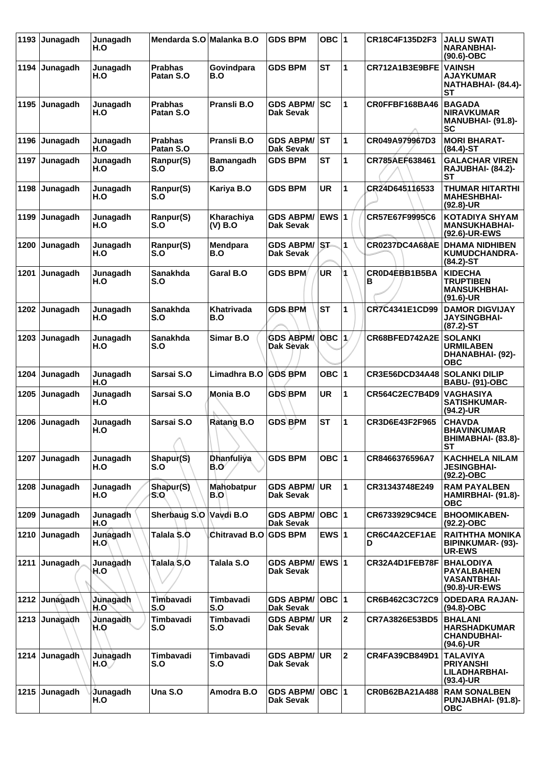| 1193 | Junagadh | Junagadh<br>H.O | Mendarda S.O Malanka B.O    |                           | <b>GDS BPM</b>                       | OBC $ 1$        |                | CR18C4F135D2F3        | <b>JALU SWATI</b><br><b>NARANBHAI-</b><br>$(90.6)$ -OBC                       |
|------|----------|-----------------|-----------------------------|---------------------------|--------------------------------------|-----------------|----------------|-----------------------|-------------------------------------------------------------------------------|
| 1194 | Junagadh | Junagadh<br>H.O | <b>Prabhas</b><br>Patan S.O | Govindpara<br>B.O         | <b>GDS BPM</b>                       | <b>ST</b>       | 1              | CR712A1B3E9BFE        | <b>VAINSH</b><br><b>AJAYKUMAR</b><br>NATHABHAI- (84.4)-<br>SТ                 |
| 1195 | Junagadh | Junagadh<br>H.O | <b>Prabhas</b><br>Patan S.O | Pransli B.O               | <b>GDS ABPM/</b><br><b>Dak Sevak</b> | lsc             | 1              | CR0FFBF168BA46        | <b>BAGADA</b><br><b>NIRAVKUMAR</b><br><b>MANUBHAI- (91.8)-</b><br><b>SC</b>   |
| 1196 | Junagadh | Junagadh<br>H.O | <b>Prabhas</b><br>Patan S.O | Pransli B.O               | <b>GDS ABPM/</b><br><b>Dak Sevak</b> | ST              | 1              | CR049A979967D3        | <b>MORI BHARAT-</b><br>$(84.4)$ -ST                                           |
| 1197 | Junagadh | Junagadh<br>H.O | Ranpur(S)<br>S.O            | <b>Bamangadh</b><br>B.O   | <b>GDS BPM</b>                       | SТ              | 1              | CR785AEF638461        | <b>GALACHAR VIREN</b><br><b>RAJUBHAI- (84.2)-</b><br>SТ                       |
| 1198 | Junagadh | Junagadh<br>H.O | Ranpur(S)<br>S.O            | Kariya B.O                | <b>GDS BPM</b>                       | <b>UR</b>       | 1              | CR24D645116533        | THUMAR HITARTHI<br><b>MAHESHBHAI-</b><br>$(92.8)$ -UR                         |
| 1199 | Junagadh | Junagadh<br>H.O | Ranpur(S)<br>S.O            | Kharachiya<br>(V) B.O     | <b>GDS ABPM/</b><br>Dak Sevak        | EWS $ 1$        |                | CR57E67F9995C6        | <b>KOTADIYA SHYAM</b><br><b>MANSUKHABHAI-</b><br>(92.6)-UR-EWS                |
| 1200 | Junagadh | Junagadh<br>H.O | Ranpur(S)<br>S.O            | Mendpara<br>B.O           | <b>GDS ABPM/</b><br><b>Dak Sevak</b> | IST-            | 1              | CR0237DC4A68AE        | <b>DHAMA NIDHIBEN</b><br><b>KUMUDCHANDRA-</b><br>$(84.2) - ST$                |
| 1201 | Junagadh | Junagadh<br>H.O | <b>Sanakhda</b><br>S.O      | <b>Garal B.O</b>          | <b>GDS BPM</b>                       | UR              |                | CR0D4EBB1B5BA<br>в    | <b>KIDECHA</b><br><b>TRUPTIBEN</b><br><b>MANSUKHBHAI-</b><br>$(91.6)$ -UR     |
| 1202 | Junagadh | Junagadh<br>H.O | <b>Sanakhda</b><br>S.O      | Khatrivada<br>B.O         | <b>GDS BPM</b>                       | <b>ST</b>       | 1              | CR7C4341E1CD99        | <b>DAMOR DIGVIJAY</b><br><b>JAYSINGBHAI-</b><br>$(87.2) - ST$                 |
| 1203 | Junagadh | Junagadh<br>H.O | Sanakhda<br>S.O             | Simar B.O                 | <b>GDS ABPM/</b><br>Dak Sevak        | OBC $ 1\rangle$ |                | CR68BFED742A2E        | <b>SOLANKI</b><br><b>URMILABEN</b><br>DHANABHAI- (92)-<br><b>OBC</b>          |
| 1204 | Junagadh | Junagadh<br>H.O | Sarsai S.O                  | Limadhra B.O              | <b>GDS BPM</b>                       | OBC ∣1          |                | CR3E56DCD34A48        | <b>SOLANKI DILIP</b><br><b>BABU- (91)-OBC</b>                                 |
| 1205 | Junagadh | Junagadh<br>H.O | Sarsai S.O                  | Monia B.O                 | <b>GDS BPM</b>                       | UR              | 1              | <b>CR564C2EC7B4D9</b> | <b>VAGHASIYA</b><br><b>SATISHKUMAR-</b><br>(94.2)-UR                          |
| 1206 | Junagadh | Junagadh<br>H.O | Sarsai S.O<br>↗             | <b>Ratang B.O</b>         | <b>GDS BPM</b>                       | <b>ST</b>       | 1              | CR3D6E43F2F965        | <b>CHAVDA</b><br><b>BHAVINKUMAR</b><br><b>BHIMABHAI- (83.8)-</b><br><b>ST</b> |
| 1207 | Junagadh | Junagadh<br>H.O | Shapur(S)<br>S.O            | <b>Dhanfuliya</b><br>B.O⁄ | <b>GDS BPM</b>                       | OBC $ 1$        |                | CR8466376596A7        | <b>KACHHELA NILAM</b><br><b>JESINGBHAI-</b><br>$(92.2)$ -OBC                  |
| 1208 | Junagadh | Junagadh<br>H.O | Shapur(S)<br>S.O            | <b>Mahobatpur</b><br>B.O' | <b>GDS ABPM/</b><br>Dak Sevak        | <b>UR</b>       | 1              | CR31343748E249        | <b>RAM PAYALBEN</b><br>HAMIRBHAI- (91.8)-<br><b>OBC</b>                       |
| 1209 | Junagadh | Junagadh<br>H.O | Sherbaug S.O                | Vavdi B.O                 | <b>GDS ABPM/</b><br>Dak Sevak        | $OBC$  1        |                | CR6733929C94CE        | <b>BHOOMIKABEN-</b><br>$(92.2)$ -OBC                                          |
| 1210 | Junagadh | Junagadh<br>H.O | Talala S.O                  | Chitravad B.O GDS BPM     |                                      | EWS $ 1$        |                | CR6C4A2CEF1AE<br>D    | <b>RAITHTHA MONIKA</b><br><b>BIPINKUMAR- (93)-</b><br><b>UR-EWS</b>           |
| 1211 | Junagadh | Junagadh<br>H.O | Talala/S.O                  | Talala S.O                | <b>GDS ABPM/</b><br>Dak Sevak        | EWS $ 1$        |                | CR32A4D1FEB78F        | <b>BHALODIYA</b><br><b>PAYALBAHEN</b><br><b>VASANTBHAI-</b><br>(90.8)-UR-EWS  |
| 1212 | Junagadh | Junagadh<br>H.O | Timbavadi<br>S.O            | <b>Timbavadi</b><br>S.O   | <b>GDS ABPM/</b><br>Dak Sevak        | $OBC$ 1         |                | CR6B462C3C72C9        | <b>ODEDARA RAJAN-</b><br>$(94.8)-OBC$                                         |
| 1213 | Junagadh | Junagadh<br>H.O | Timbavadi<br>S.O            | Timbavadi<br>S.O          | <b>GDS ABPM/</b><br>Dak Sevak        | <b>UR</b>       | $\overline{2}$ | CR7A3826E53BD5        | <b>BHALANI</b><br><b>HARSHADKUMAR</b><br><b>CHANDUBHAI-</b><br>$(94.6)$ -UR   |
| 1214 | Junagadh | Junagadh<br>H.O | Timbavadi<br>S.O            | Timbavadi<br>S.O          | <b>GDS ABPM/</b><br>Dak Sevak        | UR              | $\overline{2}$ | CR4FA39CB849D1        | <b>TALAVIYA</b><br><b>PRIYANSHI</b><br>LILADHARBHAI-<br>$(93.4)$ -UR          |
| 1215 | Junagadh | Junagadh<br>H.O | Una S.O                     | Amodra B.O                | <b>GDS ABPM/</b><br>Dak Sevak        | $OBC$  1        |                | CR0B62BA21A488        | <b>RAM SONALBEN</b><br>PUNJABHAI- (91.8)-<br><b>OBC</b>                       |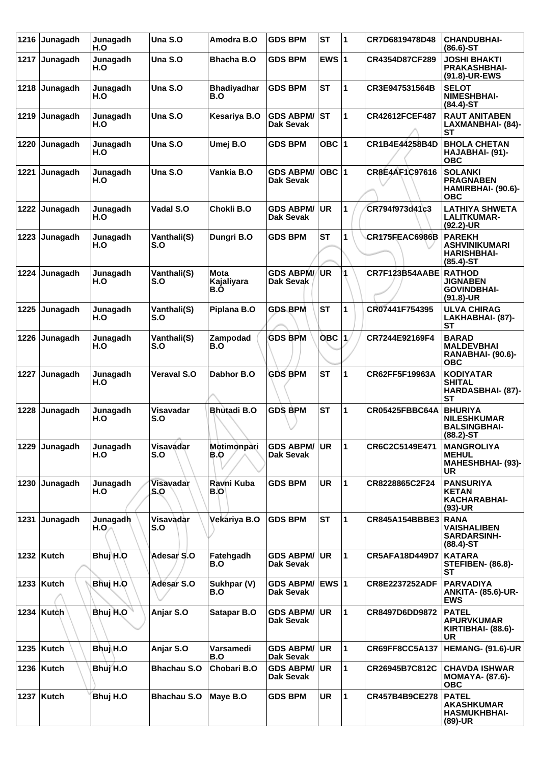| 1216 | Junagadh      | Junagadh<br>H.O  | Una S.O            | Amodra B.O                | <b>GDS BPM</b>                       | <b>ST</b>       | 1            | CR7D6819478D48        | <b>CHANDUBHAI-</b><br>$(86.6)$ -ST                                          |
|------|---------------|------------------|--------------------|---------------------------|--------------------------------------|-----------------|--------------|-----------------------|-----------------------------------------------------------------------------|
|      | 1217 Junagadh | Junagadh<br>H.O  | Una S.O            | Bhacha B.O                | <b>GDS BPM</b>                       | EWS $ 1$        |              | CR4354D87CF289        | <b>JOSHI BHAKTI</b><br><b>PRAKASHBHAI-</b><br>(91.8)-UR-EWS                 |
| 1218 | Junagadh      | Junagadh<br>H.O  | Una S.O            | <b>Bhadiyadhar</b><br>B.O | <b>GDS BPM</b>                       | <b>ST</b>       | 1            | CR3E947531564B        | <b>SELOT</b><br><b>NIMESHBHAI-</b><br>$(84.4)$ -ST                          |
| 1219 | Junagadh      | Junagadh<br>H.O  | Una S.O            | Kesariya B.O              | <b>GDS ABPM/</b><br><b>Dak Sevak</b> | <b>ST</b>       | $\mathbf{1}$ | CR42612FCEF487        | <b>RAUT ANITABEN</b><br>LAXMANBHAI- (84)-<br>SТ                             |
| 1220 | Junagadh      | Junagadh<br>H.O  | Una S.O            | Umej B.O                  | <b>GDS BPM</b>                       | OBC $ 1$        |              | CR1B4E44258B4D        | <b>BHOLA CHETAN</b><br>HAJABHAI- (91)-<br><b>OBC</b>                        |
| 1221 | Junagadh      | Junagadh<br>H.O  | Una S.O            | Vankia B.O                | <b>GDS ABPM/</b><br><b>Dak Sevak</b> | OBC $ 1$        |              | CR8E4AF1C97616        | <b>SOLANKI</b><br><b>PRAGNABEN</b><br>HAMIRBHAI- (90.6)-<br><b>OBC</b>      |
| 1222 | Junagadh      | Junagadh<br>H.O  | Vadal S.O          | Chokli B.O                | <b>GDS ABPM/</b><br>Dak Sevak        | UR              | 1            | CR794f973d41c3        | <b>LATHIYA SHWETA</b><br><b>LALITKUMAR-</b><br>$(92.2)$ -UR                 |
| 1223 | Junagadh      | Junagadh<br>H.O  | Vanthali(S)<br>S.O | Dungri B.O                | <b>GDS BPM</b>                       | <b>ST</b>       | 1            | CR175FEAC6986B        | <b>PAREKH</b><br>ASHVINIKUMARI<br><b>HARISHBHAI-</b><br>$(85.4)$ -ST        |
| 1224 | Junagadh      | Junagadh<br>H.O  | Vanthali(S)<br>S.O | Mota<br>Kajaliyara<br>B.O | <b>GDS ABPM/</b><br>Dak Sevak        | <b>UR</b>       | 4            | CR7F123B54AABE RATHOD | <b>JIGNABEN</b><br><b>GOVINDBHAI-</b><br>$(91.8)$ -UR                       |
| 1225 | Junagadh      | Junagadh<br>H.O  | Vanthali(S)<br>S.O | Piplana B.O               | <b>GDS BPM</b>                       | <b>ST</b>       | 1            | CR07441F754395        | <b>ULVA CHIRAG</b><br>LAKHABHAI- (87)-<br><b>ST</b>                         |
| 1226 | Junagadh      | Junagadh<br>H.O  | Vanthali(S)<br>S.O | Zampodad<br>B.O           | <b>GDS BPM</b>                       | OBC $ 1\rangle$ |              | CR7244E92169F4        | <b>BARAD</b><br><b>MALDEVBHAI</b><br><b>RANABHAI- (90.6)-</b><br><b>OBC</b> |
| 1227 | Junagadh      | Junagadh<br>H.O  | <b>Veraval S.O</b> | Dabhor B.O                | <b>GDS BPM</b>                       | <b>ST</b>       | 1            | CR62FF5F19963A        | <b>KODIYATAR</b><br><b>SHITAL</b><br>HARDASBHAI- (87)-<br><b>ST</b>         |
| 1228 | Junagadh      | Junagadh<br>H.O  | Visavadar<br>S.O   | <b>Bhutadi B.O</b>        | <b>GDS BPM</b>                       | <b>ST</b>       | $\mathbf{1}$ | CR05425FBBC64A        | <b>BHURIYA</b><br><b>NILESHKUMAR</b><br><b>BALSINGBHAI-</b><br>$(88.2)$ -ST |
|      | 1229 Junagadh | Junagadh<br>H.O  | Visavadar<br>S.O   | Motimonpari<br>B.O        | <b>GDS ABPM/ UR</b><br>Dak Sevak     |                 | 11           | CR6C2C5149E471        | <b>MANGROLIYA</b><br><b>MEHUL</b><br><b>MAHESHBHAI- (93)-</b><br>UR         |
|      | 1230 Junagadh | Junagadh<br>H.O  | Visavadar<br>S.O   | Ravni Kuba<br>B.OI        | <b>GDS BPM</b>                       | UR              | 1            | CR8228865C2F24        | <b>PANSURIYA</b><br><b>KETAN</b><br><b>KACHARABHAI-</b><br>$(93)-UR$        |
| 1231 | Junagadh      | Junagadh<br>H.O. | Visavadar<br>S.O   | Vekariya B.O              | <b>GDS BPM</b>                       | <b>ST</b>       | $\mathbf{1}$ | CR845A154BBBE3        | <b>RANA</b><br><b>VAISHALIBEN</b><br><b>SARDARSINH-</b><br>$(88.4)$ -ST     |
|      | 1232   Kutch  | Bhuj H.O         | Adesar S.O         | Fatehgadh<br>B.O          | <b>GDS ABPM/</b><br>Dak Sevak        | ∣UR.            | $\mathbf{1}$ | <b>CR5AFA18D449D7</b> | <b>KATARA</b><br><b>STEFIBEN- (86.8)-</b><br>ST                             |
|      | 1233 Kutch    | Bhuj H.O         | Adesar S.O         | Sukhpar (V)<br>B.O        | <b>GDS ABPM/</b><br><b>Dak Sevak</b> | <b>EWS 1</b>    |              | <b>CR8E2237252ADF</b> | <b>PARVADIYA</b><br><b>ANKITA- (85.6)-UR-</b><br><b>EWS</b>                 |
|      | 1234 Kutch    | Bhuj H.O         | Anjar S.O          | Satapar B.O               | <b>GDS ABPM/</b><br>Dak Sevak        | ∣UR             | 1            | CR8497D6DD9872        | <b>PATEL</b><br><b>APURVKUMAR</b><br>KIRTIBHAI- (88.6)-<br>UR               |
|      | 1235 Kutch    | Bhuj H.O         | Anjar S.O          | Varsamedi<br>B.O          | <b>GDS ABPM/</b><br>Dak Sevak        | ∣UR.            | $\mathbf{1}$ | CR69FF8CC5A137        | <b>HEMANG- (91.6)-UR</b>                                                    |
|      | 1236   Kutch  | Bhuj H.O         | <b>Bhachau S.O</b> | Chobari B.O               | <b>GDS ABPM/</b><br>Dak Sevak        | <b>UR</b>       | $\mathbf{1}$ | CR26945B7C812C        | <b>CHAVDA ISHWAR</b><br><b>MOMAYA- (87.6)-</b><br><b>OBC</b>                |
|      | 1237   Kutch  | Bhuj H.O         | <b>Bhachau S.O</b> | Maye B.O                  | <b>GDS BPM</b>                       | UR              | $\mathbf{1}$ | CR457B4B9CE278        | <b>PATEL</b><br><b>AKASHKUMAR</b><br><b>HASMUKHBHAI-</b><br>(89)-UR         |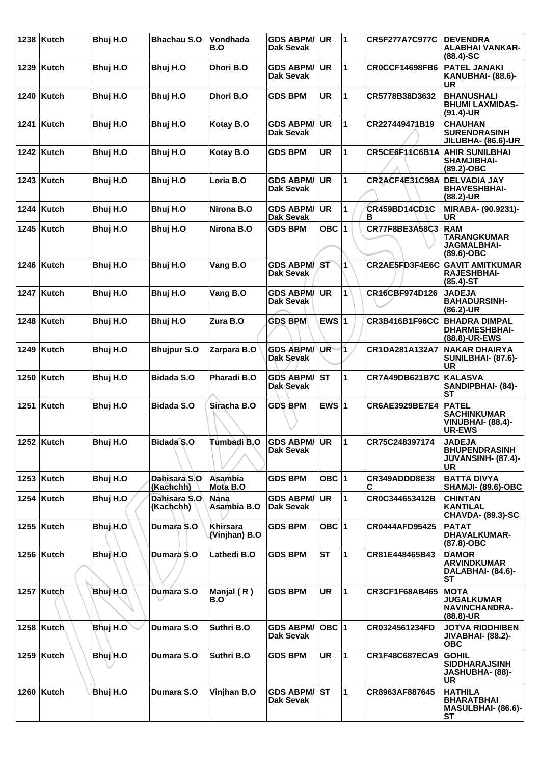| 1238 | <b>Kutch</b> | Bhuj H.O              | <b>Bhachau S.O</b>        | Vondhada<br>B.O                  | <b>GDS ABPM/</b><br>Dak Sevak        | <b>UR</b> | $\blacktriangleleft$ | <b>CR5F277A7C977C</b>     | <b>DEVENDRA</b><br><b>ALABHAI VANKAR-</b><br>(88.4)-SC                          |
|------|--------------|-----------------------|---------------------------|----------------------------------|--------------------------------------|-----------|----------------------|---------------------------|---------------------------------------------------------------------------------|
| 1239 | Kutch        | Bhuj H.O              | Bhuj H.O                  | Dhori B.O                        | <b>GDS ABPM/</b><br><b>Dak Sevak</b> | <b>UR</b> | 1                    | <b>CR0CCF14698FB6</b>     | <b>PATEL JANAKI</b><br>KANUBHAI- (88.6)-<br>UR                                  |
|      | 1240   Kutch | Bhuj H.O              | Bhuj H.O                  | Dhori B.O                        | <b>GDS BPM</b>                       | <b>UR</b> | 1                    | CR5778B38D3632            | <b>BHANUSHALI</b><br><b>BHUMI LAXMIDAS-</b><br>$(91.4)$ -UR                     |
| 1241 | Kutch        | Bhuj H.O              | Bhuj H.O                  | Kotay B.O                        | <b>GDS ABPM/</b><br>Dak Sevak        | UR        | 1                    | CR227449471B19            | <b>CHAUHAN</b><br><b>SURENDRASINH</b><br><b>JILUBHA- (86.6)-UR</b>              |
|      | 1242   Kutch | Bhuj H.O              | Bhuj H.O                  | Kotay B.O                        | <b>GDS BPM</b>                       | <b>UR</b> | 1                    | CR5CE6F11C6B1A            | <b>AHIR SUNILBHAI</b><br><b>SHAMJIBHAI-</b><br>(89.2)-OBC                       |
|      | $1243$ Kutch | Bhuj H.O              | Bhuj H.O                  | Loria B.O                        | <b>GDS ABPM/</b><br>Dak Sevak        | UR        | 1                    | CR2ACF4E31C98A            | <b>DELVADIA JAY</b><br><b>BHAVESHBHAI-</b><br>(88.2)-UR                         |
| 1244 | <b>Kutch</b> | Bhuj H.O              | Bhuj H.O                  | Nirona B.O                       | <b>GDS ABPM/</b><br><b>Dak Sevak</b> | <b>UR</b> | 1                    | <b>CR459BD14CD1C</b><br>в | MIRABA- (90.9231)-<br><b>UR</b>                                                 |
| 1245 | Kutch        | Bhuj H.O              | Bhuj H.O                  | Nirona B.O                       | <b>GDS BPM</b>                       | OBC $ 1$  |                      | CR77F8BE3A58C3            | <b>RAM</b><br>TARANGKUMAR<br><b>JAGMALBHAI-</b><br>(89.6)-OBC                   |
|      | 1246   Kutch | Bhuj H.O              | Bhuj H.O                  | Vang B.O                         | <b>GDS ABPM/</b><br><b>Dak Sevak</b> | ST        | $\mathbf{1}$         | CR2AE5FD3F4E6C            | <b>GAVIT AMITKUMAR</b><br><b>RAJESHBHAI-</b><br>$(85.4)$ -ST                    |
|      | 1247   Kutch | Bhuj H.O              | Bhuj H.O                  | Vang B.O                         | <b>GDS ABPM/</b><br>Dak Sevak        | <b>UR</b> | 1                    | CR16CBF974D126            | <b>JADEJA</b><br><b>BAHADURSINH-</b><br>$(86.2)$ -UR                            |
| 1248 | Kutch        | Bhuj H.O              | Bhuj H.O                  | Zura B.O                         | <b>GDS BPM</b>                       | EWS $ 1$  |                      | <b>CR3B416B1F96CC</b>     | <b>BHADRA DIMPAL</b><br><b>DHARMESHBHAI-</b><br>(88.8)-UR-EWS                   |
| 1249 | <b>Kutch</b> | Bhuj H.O              | <b>Bhujpur S.O</b>        | Zarpara B.O                      | <b>GDS ABPM/</b><br><b>Dak Sevak</b> | UR        | 1                    | CR1DA281A132A7            | <b>NAKAR DHAIRYA</b><br><b>SUNILBHAI- (87.6)-</b><br>UR                         |
|      | 1250   Kutch | Bhuj H.O              | <b>Bidada S.O</b>         | <b>Pharadi B.O</b>               | <b>GDS ABPM/</b><br>Dak Sevak        | <b>ST</b> | 1                    | <b>CR7A49DB621B7C</b>     | <b>KALASVA</b><br>SANDIPBHAI- (84)-<br>SТ                                       |
| 1251 | Kutch        | Bhuj H.O              | <b>Bidada S.O</b>         | Siracha B.O                      | <b>GDS BPM</b>                       | EWS $ 1$  |                      | CR6AE3929BE7E4            | <b>PATEL</b><br><b>SACHINKUMAR</b><br><b>VINUBHAI- (88.4)-</b><br><b>UR-EWS</b> |
|      | 1252 Kutch   | Bhuj H.O              | Bidada <sup>S.O</sup>     | Tumbadi B.O                      | GDS ABPM/UR<br>Dak Sevak             |           | $\mathbf{11}$        | CR75C248397174            | <b>JADEJA</b><br><b>BHUPENDRASINH</b><br><b>JUVANSINH- (87.4)-</b><br><b>UR</b> |
|      | 1253 Kutch   | Bhuj H.O              | Dahisara S.O<br>(Kachchh) | Asambia<br>Mota B.O              | <b>GDS BPM</b>                       | OBC $ 1$  |                      | CR349ADDD8E38<br>С        | <b>BATTA DIVYA</b><br><b>SHAMJI- (89.6)-OBC</b>                                 |
|      | 1254   Kutch | Bhuj H.O              | Dahisara S.O<br>(Kachchh) | Nana<br>Asambia B.O              | <b>GDS ABPM/</b><br>Dak Sevak        | <b>UR</b> | 1                    | CR0C344653412B            | <b>CHINTAN</b><br><b>KANTILAL</b><br><b>CHAVDA- (89.3)-SC</b>                   |
|      | 1255   Kutch | Bhuj <sub>i</sub> H.O | Dumara S.O                | <b>Khirsara</b><br>(Vinjhan) B.O | <b>GDS BPM</b>                       | OBC $ 1$  |                      | <b>CR0444AFD95425</b>     | <b>PATAT</b><br><b>DHAVALKUMAR-</b><br>(87.8)-OBC                               |
|      | 1256 Kutch   | Bhuj H.O              | Dumara S.O                | Lathedi B.O                      | <b>GDS BPM</b>                       | <b>ST</b> | 1                    | CR81E448465B43            | <b>DAMOR</b><br><b>ARVINDKUMAR</b><br>DALABHAI- (84.6)-<br>ST                   |
|      | 1257   Kutch | Bhuj H.O              | Dumara S.O                | Manjal $(R)$<br>B.O              | <b>GDS BPM</b>                       | <b>UR</b> | 1                    | <b>CR3CF1F68AB465</b>     | <b>MOTA</b><br><b>JUGALKUMAR</b><br>NAVINCHANDRA-<br>$(88.8)$ -UR               |
|      | 1258 Kutch   | Bhuj H.O              | Dumara S.O                | Suthri B.O                       | <b>GDS ABPM/</b><br>Dak Sevak        | OBC  1    |                      | CR0324561234FD            | <b>JOTVA RIDDHIBEN</b><br><b>JIVABHAI- (88.2)-</b><br><b>OBC</b>                |
|      | 1259   Kutch | Bhuj H.O              | Dumara S.O                | Suthri B.O                       | <b>GDS BPM</b>                       | <b>UR</b> | 1                    | <b>CR1F48C687ECA9</b>     | <b>GOHIL</b><br><b>SIDDHARAJSINH</b><br>JASHUBHA- (88)-<br>UR                   |
|      | 1260   Kutch | Bhuj H.O              | Dumara S.O                | Vinjhan B.O                      | <b>GDS ABPM/ ST</b><br>Dak Sevak     |           | 1                    | CR8963AF887645            | <b>HATHILA</b><br><b>BHARATBHAI</b><br>MASULBHAI- (86.6)-<br><b>ST</b>          |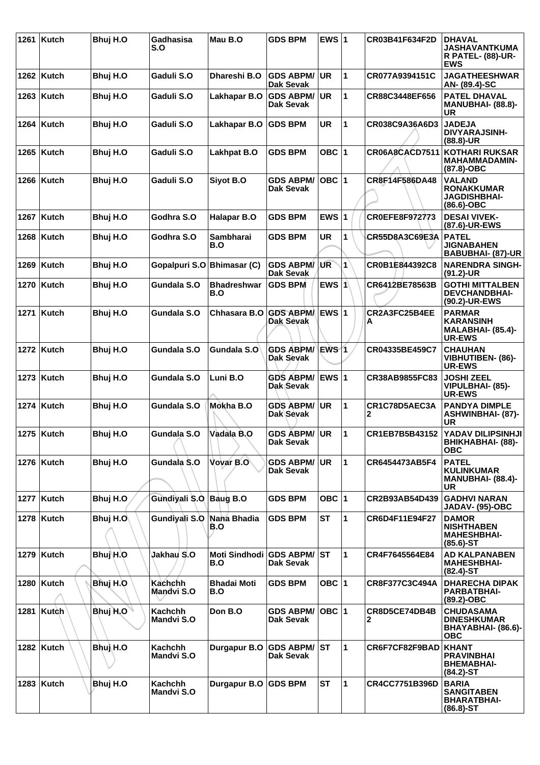| 1261 | <b>Kutch</b> | Bhuj H.O | Gadhasisa<br>S.O             | Mau B.O                           | <b>GDS BPM</b>                       | EWS $ 1$  |              | CR03B41F634F2D     | <b>DHAVAL</b><br><b>JASHAVANTKUMA</b><br><b>R PATEL- (88)-UR-</b><br><b>EWS</b> |
|------|--------------|----------|------------------------------|-----------------------------------|--------------------------------------|-----------|--------------|--------------------|---------------------------------------------------------------------------------|
|      | 1262   Kutch | Bhuj H.O | Gaduli S.O                   | Dhareshi B.O                      | <b>GDS ABPM/</b><br><b>Dak Sevak</b> | <b>UR</b> | 1            | CR077A9394151C     | JAGATHEESHWAR<br>AN- (89.4)-SC                                                  |
|      | $1263$ Kutch | Bhuj H.O | Gaduli S.O                   | Lakhapar B.O                      | <b>GDS ABPM/</b><br>Dak Sevak        | <b>UR</b> | 1            | CR88C3448EF656     | <b>PATEL DHAVAL</b><br><b>MANUBHAI- (88.8)-</b><br>UR                           |
| 1264 | <b>Kutch</b> | Bhuj H.O | Gaduli S.O                   | Lakhapar B.O                      | <b>GDS BPM</b>                       | <b>UR</b> | 1            | CR038C9A36A6D3     | <b>JADEJA</b><br><b>DIVYARAJSINH-</b><br>(88.8)-UR                              |
|      | 1265   Kutch | Bhuj H.O | Gaduli S.O                   | <b>Lakhpat B.O</b>                | <b>GDS BPM</b>                       | OBC $ 1$  |              | CR06A8CACD7511     | <b>KOTHARI RUKSAR</b><br><b>MAHAMMADAMIN-</b><br>$(87.8)-OBC$                   |
|      | 1266   Kutch | Bhuj H.O | Gaduli S.O                   | Siyot B.O                         | <b>GDS ABPM/</b><br>Dak Sevak        | OBC  1    |              | CR8F14F586DA48     | <b>VALAND</b><br><b>RONAKKUMAR</b><br>JAGDISHBHAI-<br>(86.6)-OBC                |
| 1267 | <b>Kutch</b> | Bhuj H.O | Godhra S.O                   | <b>Halapar B.O</b>                | <b>GDS BPM</b>                       | EWS $ 1$  |              | CR0EFE8F972773     | <b>DESAI VIVEK-</b><br>(87.6)-UR-EWS                                            |
| 1268 | Kutch        | Bhuj H.O | Godhra S.O                   | <b>Sambharai</b><br>B.O           | <b>GDS BPM</b>                       | UR        | 1            | CR55D8A3C69E3A     | <b>PATEL</b><br><b>JIGNABAHEN</b><br>BABUBHAI- (87)-UR                          |
| 1269 | Kutch        | Bhuj H.O | Gopalpuri S.O                | <b>Bhimasar (C)</b>               | <b>GDS ABPM/</b><br>Dak Sevak        | UR        | 1            | CR0B1E844392C8     | <b>NARENDRA SINGH-</b><br>$(91.2)$ -UR                                          |
| 1270 | Kutch        | Bhuj H.O | Gundala S.O                  | Bhadreshwar<br>B.O                | <b>GDS BPM</b>                       | EWS $ 1$  |              | CR6412BE78563B     | <b>GOTHI MITTALBEN</b><br><b>DEVCHANDBHAI-</b><br>(90.2)-UR-EWS                 |
| 1271 | <b>Kutch</b> | Bhuj H.O | Gundala S.O                  | Chhasara B.O                      | GDS ABPM/ EWS 1<br>Dak Sevak         |           |              | CR2A3FC25B4EE<br>A | <b>PARMAR</b><br><b>KARANSINH</b><br><b>MALABHAI- (85.4)-</b><br><b>UR-EWS</b>  |
| 1272 | Kutch        | Bhuj H.O | Gundala S.O                  | Gundala S.O                       | <b>GDS ABPM/</b><br>Dak Sevak        | EWS 1     |              | CR04335BE459C7     | <b>CHAUHAN</b><br><b>VIBHUTIBEN- (86)-</b><br><b>UR-EWS</b>                     |
| 1273 | <b>Kutch</b> | Bhuj H.O | Gundala S.O                  | Luni B.O                          | <b>GDS ABPM/</b><br>Dak Sevak        | EWS 1     |              | CR38AB9855FC83     | <b>JOSHI ZEEL</b><br>VIPULBHAI- (85)-<br><b>UR-EWS</b>                          |
| 1274 | Kutch        | Bhuj H.O | Gundala S.O                  | Mokha B.O                         | <b>GDS ABPM/</b><br>Dak Sevak        | <b>UR</b> | 1            | CR1C78D5AEC3A<br>2 | <b>PANDYA DIMPLE</b><br><b>ASHWINBHAI- (87)-</b><br>UR                          |
|      | 1275   Kutch | Bhuj H.O | Gundala S.O                  | Vadala B.O                        | <b>GDS ABPM/</b><br><b>Dak Sevak</b> | <b>UR</b> | 1            | CR1EB7B5B43152     | YADAV DILIPSINHJI<br>ВНІКНАВНАІ- (88)-<br><b>OBC</b>                            |
|      | 1276   Kutch | Bhuj H.O | Gundala S.O                  | Vovar B.O                         | <b>GDS ABPM/ UR</b><br>Dak Sevak     |           | $\mathbf{1}$ | CR6454473AB5F4     | <b>PATEL</b><br><b>KULINKUMAR</b><br><b>MANUBHAI- (88.4)-</b><br>UR             |
| 1277 | Kutch        | Bhuj H.O | Gundiyali S.O                | Baug B.O                          | <b>GDS BPM</b>                       | OBC $ 1$  |              | CR2B93AB54D439     | <b>GADHVI NARAN</b><br>JADAV- (95)-OBC                                          |
|      | 1278   Kutch | Bhuj H.O | Gundiyali S.O Nana Bhadia    | B.O                               | <b>GDS BPM</b>                       | <b>ST</b> | 1            | CR6D4F11E94F27     | <b>DAMOR</b><br><b>NISHTHABEN</b><br><b>MAHESHBHAI-</b><br>$(85.6)$ -ST         |
|      | 1279 Kutch   | Bhuj\H.O | <b>Jakhau S.O</b>            | Moti Sindhodi GDS ABPM/ ST<br>B.O | Dak Sevak                            |           | 1            | CR4F7645564E84     | <b>AD KALPANABEN</b><br><b>MAHESHBHAI-</b><br>$(82.4)$ -ST                      |
|      | 1280   Kutch | Bhuj H.O | Kachchh<br>Mandvi S.O        | <b>Bhadai Moti</b><br>B.O         | <b>GDS BPM</b>                       | OBC $ 1$  |              | CR8F377C3C494A     | <b>DHARECHA DIPAK</b><br><b>PARBATBHAI-</b><br>(89.2)-OBC                       |
| 1281 | Kutch        | Bhuj H.O | Kachchh<br>Mandvi S.O        | Don B.O                           | <b>GDS ABPM/</b><br><b>Dak Sevak</b> | OBC  1    |              | CR8D5CE74DB4B<br>2 | <b>CHUDASAMA</b><br><b>DINESHKUMAR</b><br>BHAYABHAI- (86.6)-<br>ОВС             |
|      | 1282 Kutch   | Bhu) H.O | Kachchh<br><b>Mandvi S.O</b> | Durgapur B.O                      | <b>GDS ABPM/ ST</b><br>Dak Sevak     |           | $\mathbf{1}$ | CR6F7CF82F9BAD     | KHANT<br><b>PRAVINBHAI</b><br><b>BHEMABHAI-</b><br>(84.2)-ST                    |
| 1283 | <b>Kutch</b> | Bhuj H.O | Kachchh<br>Mandvi S.O        | Durgapur B.O                      | <b>GDS BPM</b>                       | <b>ST</b> | 1            | CR4CC7751B396D     | <b>BARIA</b><br><b>SANGITABEN</b><br><b>BHARATBHAI-</b><br>(86.8)-ST            |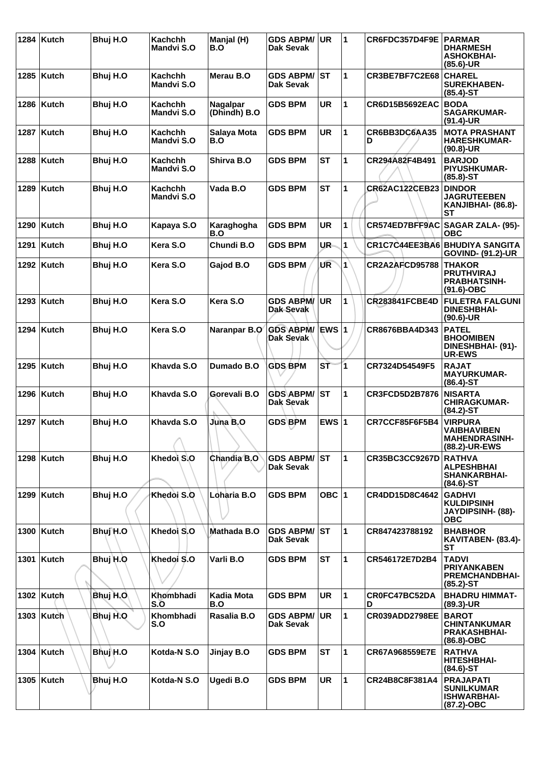|      | 1284 Kutch   | Bhuj H.O | <b>Kachchh</b><br><b>Mandvi S.O</b> | Manjal (H)<br>B.O        | <b>GDS ABPM/</b><br>Dak Sevak        | <b>UR</b> | 1                       | CR6FDC357D4F9E PARMAR | <b>DHARMESH</b><br><b>ASHOKBHAI-</b><br>$(85.6)$ -UR                          |
|------|--------------|----------|-------------------------------------|--------------------------|--------------------------------------|-----------|-------------------------|-----------------------|-------------------------------------------------------------------------------|
|      | 1285   Kutch | Bhuj H.O | Kachchh<br><b>Mandvi S.O</b>        | Merau B.O                | <b>GDS ABPM/ ST</b><br>Dak Sevak     |           | 1                       | CR3BE7BF7C2E68        | <b>CHAREL</b><br><b>SUREKHABEN-</b><br>$(85.4)$ -ST                           |
|      | 1286   Kutch | Bhuj H.O | Kachchh<br>Mandvi S.O               | Nagalpar<br>(Dhindh) B.O | <b>GDS BPM</b>                       | <b>UR</b> | 1                       | <b>CR6D15B5692EAC</b> | <b>BODA</b><br><b>SAGARKUMAR-</b><br>$(91.4)$ -UR                             |
|      | 1287   Kutch | Bhuj H.O | <b>Kachchh</b><br><b>Mandvi S.O</b> | Salaya Mota<br>B.O       | <b>GDS BPM</b>                       | <b>UR</b> | 1                       | CR6BB3DC6AA35<br>D    | <b>MOTA PRASHANT</b><br><b>HARESHKUMAR-</b><br>$(90.8)$ -UR                   |
|      | 1288   Kutch | Bhuj H.O | Kachchh<br>Mandvi S.O               | Shirva B.O               | <b>GDS BPM</b>                       | <b>ST</b> | 1                       | CR294A82F4B491        | <b>BARJOD</b><br><b>PIYUSHKUMAR-</b><br>$(85.8) - ST$                         |
|      | 1289   Kutch | Bhuj H.O | <b>Kachchh</b><br><b>Mandvi S.O</b> | Vada B.O                 | <b>GDS BPM</b>                       | <b>ST</b> | 1                       | <b>CR62AC122CEB23</b> | <b>DINDOR</b><br><b>JAGRUTEEBEN</b><br>KANJIBHAI- (86.8)-<br>SТ               |
|      | 1290   Kutch | Bhuj H.O | Kapaya S.O                          | Karaghogha<br>B.O        | <b>GDS BPM</b>                       | <b>UR</b> | 1                       | CR574ED7BFF9AC        | SAGAR ZALA- (95)-<br>ОВС                                                      |
| 1291 | Kutch        | Bhuj H.O | Kera S.O                            | Chundi B.O               | <b>GDS BPM</b>                       | UR.       | 1                       |                       | <b>CR1C7C44EE3BA6 BHUDIYA SANGITA</b><br><b>GOVIND- (91.2)-UR</b>             |
|      | 1292 Kutch   | Bhuj H.O | Kera S.O                            | Gajod B.O                | <b>GDS BPM</b>                       | UR        | $\mathbf{1}$            | <b>CR2A2AFCD95788</b> | <b>THAKOR</b><br><b>PRUTHVIRAJ</b><br><b>PRABHATSINH-</b><br>$(91.6)-OBC$     |
|      | 1293 Kutch   | Bhuj H.O | Kera S.O                            | Kera S.O                 | <b>GDS ABPM/</b><br>Dak-Sevak        | <b>UR</b> | $\mathbf{1}$            | <b>CR283841FCBE4D</b> | <b>FULETRA FALGUNI</b><br><b>DINESHBHAI-</b><br>$(90.6)$ -UR                  |
|      | 1294   Kutch | Bhuj H.O | Kera S.O                            | Naranpar B.O             | <b>GDS ABPM/</b><br>Dak Sevak        | EWS 1     |                         | CR8676BBA4D343        | <b>PATEL</b><br><b>BHOOMIBEN</b><br>DINESHBHAI- (91)-<br><b>UR-EWS</b>        |
|      | 1295   Kutch | Bhuj H.O | Khavda S.O                          | Dumado B.O               | <b>GDS BPM</b>                       | SŤ        | $\overline{\mathbf{1}}$ | CR7324D54549F5        | <b>RAJAT</b><br><b>MAYURKUMAR-</b><br>$(86.4)$ -ST                            |
|      | 1296   Kutch | Bhuj H.O | Khavda S.O                          | Gorevali B.O             | <b>GDS ABPM/</b><br>Dak Sevak        | <b>ST</b> | 1                       | <b>CR3FCD5D2B7876</b> | <b>NISARTA</b><br><b>CHIRAGKUMAR-</b><br>$(84.2)$ -ST                         |
|      | 1297   Kutch | Bhuj H.O | Khavda S.O<br>л                     | Juna B.O                 | <b>GDS BPM</b>                       | EWS $ 1$  |                         | CR7CCF85F6F5B4        | <b>VIRPURA</b><br><b>VAIBHAVIBEN</b><br><b>MAHENDRASINH-</b><br>(88.2)-UR-EWS |
|      | 1298 Kutch   | Bhuj H.O | Khedoi S.O                          | Chandia B.O              | <b>GDS ABPM/</b><br><b>Dak Sevak</b> | lst       | 1                       | <b>CR35BC3CC9267D</b> | <b>RATHVA</b><br><b>ALPESHBHAI</b><br><b>SHANKARBHAI-</b><br>$(84.6)$ -ST     |
|      | 1299 Kutch   | Bhuj H.O | Khedoi S.O                          | Loharia B.O              | <b>GDS BPM</b>                       | OBC $ 1$  |                         | CR4DD15D8C4642        | <b>GADHVI</b><br><b>KULDIPSINH</b><br><b>JAYDIPSINH- (88)-</b><br><b>OBC</b>  |
|      | 1300 Kutch   | Bhuj H.O | Khedoi S.O                          | Mathada B.O              | <b>GDS ABPM/</b><br><b>Dak Sevak</b> | lst       | 1                       | CR847423788192        | <b>BHABHOR</b><br>KAVITABEN- (83.4)-<br><b>ST</b>                             |
|      | 1301   Kutch | Bhuj H.O | Khedoi S.O                          | Varli B.O                | <b>GDS BPM</b>                       | <b>ST</b> | $\mathbf{1}$            | CR546172E7D2B4        | <b>TADVI</b><br><b>PRIYANKABEN</b><br><b>PREMCHANDBHAI-</b><br>$(85.2) - ST$  |
|      | 1302 Kutch   | Bhuj H.O | Khombhadi<br>S.O                    | Kadia Mota<br>B.O        | <b>GDS BPM</b>                       | <b>UR</b> | 1                       | CR0FC47BC52DA<br>D    | <b>BHADRU HIMMAT-</b><br>$(89.3)$ -UR                                         |
|      | 1303   Kutch | Bhuj H.O | Khombhadi<br>S.O                    | Rasalia B.O              | <b>GDS ABPM/</b><br>Dak Sevak        | <b>UR</b> | 1                       | CR039ADD2798EE        | <b>BAROT</b><br><b>CHINTANKUMAR</b><br><b>PRAKASHBHAI-</b><br>$(86.8)-OBC$    |
|      | 1304   Kutch | Bhuj\H.O | Kotda-N S.O                         | Jinjay B.O               | <b>GDS BPM</b>                       | <b>ST</b> | 1                       | CR67A968559E7E        | <b>RATHVA</b><br><b>HITESHBHAI-</b><br>$(84.6)$ -ST                           |
|      | 1305   Kutch | Bhuj H.O | Kotda-N S.O                         | Ugedi B.O                | <b>GDS BPM</b>                       | <b>UR</b> | $\mathbf{1}$            | CR24B8C8F381A4        | <b>PRAJAPATI</b><br><b>SUNILKUMAR</b><br><b>ISHWARBHAI-</b><br>$(87.2)$ -OBC  |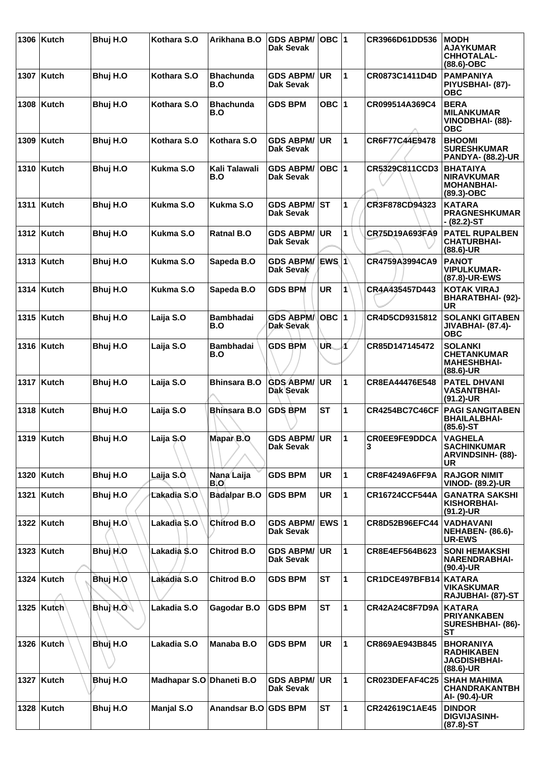| 1306 Kutch   | Bhuj H.O | Kothara S.O              | Arikhana B.O            | <b>GDS ABPM/</b><br>Dak Sevak           | OBC 1     |              | CR3966D61DD536            | <b>MODH</b><br><b>AJAYKUMAR</b><br><b>CHHOTALAL-</b><br>$(88.6)-OBC$         |
|--------------|----------|--------------------------|-------------------------|-----------------------------------------|-----------|--------------|---------------------------|------------------------------------------------------------------------------|
| 1307   Kutch | Bhuj H.O | Kothara S.O              | <b>Bhachunda</b><br>B.O | <b>GDS ABPM/</b><br><b>Dak Sevak</b>    | UR.       | $\mathbf{1}$ | CR0873C1411D4D            | <b>PAMPANIYA</b><br>PIYUSBHAI- (87)-<br><b>OBC</b>                           |
| 1308 Kutch   | Bhuj H.O | Kothara S.O              | <b>Bhachunda</b><br>B.O | <b>GDS BPM</b>                          | OBC $ 1$  |              | CR099514A369C4            | <b>BERA</b><br><b>MILANKUMAR</b><br>VINODBHAI- (88)-<br><b>OBC</b>           |
| 1309 Kutch   | Bhuj H.O | Kothara S.O              | Kothara S.O             | <b>GDS ABPM/</b><br>Dak Sevak           | ∣UR.      | $\mathbf{1}$ | CR6F77C44E9478            | <b>BHOOMI</b><br><b>SURESHKUMAR</b><br><b>PANDYA- (88.2)-UR</b>              |
| 1310   Kutch | Bhuj H.O | Kukma S.O                | Kali Talawali<br>B.O    | <b>GDS ABPM/</b><br><b>Dak Sevak</b>    | OBC 1     |              | CR5329C811CCD3            | <b>BHATAIYA</b><br><b>NIRAVKUMAR</b><br><b>MOHANBHAI-</b><br>$(89.3)$ -OBC   |
| 1311   Kutch | Bhuj H.O | Kukma S.O                | Kukma S.O               | <b>GDS ABPM/</b><br><b>Dak Sevak</b>    | <b>ST</b> | 1            | CR3F878CD94323            | <b>KATARA</b><br><b>PRAGNESHKUMAR</b><br>- (82.2)-ST                         |
| 1312 Kutch   | Bhuj H.O | Kukma S.O                | <b>Ratnal B.O</b>       | <b>GDS ABPM/</b><br>Dak Sevak           | <b>UR</b> | 1            | CR75D19A693FA9            | <b>PATEL RUPALBEN</b><br><b>CHATURBHAI-</b><br>$(88.6)$ -UR                  |
| 1313   Kutch | Bhuj H.O | Kukma S.O                | Sapeda B.O              | GDS ABPM/ EWS 1<br>Dak Sevak            |           |              | CR4759A3994CA9            | <b>PANOT</b><br><b>VIPULKUMAR-</b><br>(87.8)-UR-EWS                          |
| 1314   Kutch | Bhuj H.O | Kukma S.O                | Sapeda B.O              | <b>GDS BPM</b>                          | <b>UR</b> | 1            | CR4A435457D443            | <b>KOTAK VIRAJ</b><br>BHARATBHAI- (92)-<br><b>UR</b>                         |
| 1315   Kutch | Bhuj H.O | Laija S.O                | <b>Bambhadai</b><br>B.O | <b>GDS ABPM/</b><br><b>Dak Sevak</b>    | $OBC$  1  |              | CR4D5CD9315812            | <b>SOLANKI GITABEN</b><br><b>JIVABHAI- (87.4)-</b><br><b>OBC</b>             |
| 1316   Kutch | Bhuj H.O | Laija S.O                | <b>Bambhadai</b><br>B.O | <b>GDS BPM</b>                          | UR.       | Á            | CR85D147145472            | <b>SOLANKI</b><br><b>CHETANKUMAR</b><br><b>MAHESHBHAI-</b><br>$(88.6)$ -UR   |
| 1317   Kutch | Bhuj H.O | Laija S.O                | <b>Bhinsara B.O</b>     | <b>GDS ABPM/</b><br>Dak Sevak           | <b>UR</b> | $\mathbf{1}$ | CR8EA44476E548            | <b>PATEL DHVANI</b><br><b>VASANTBHAI-</b><br>(91.2)-UR                       |
| 1318   Kutch | Bhuj H.O | Laija S.O                | <b>Bhinsara B.O</b>     | <b>GDS BPM</b>                          | SТ        | 1            | <b>CR4254BC7C46CF</b>     | <b>PAGI SANGITABEN</b><br><b>BHAILALBHAI-</b><br>$(85.6)$ -ST                |
| 1319 Kutch   | Bhuj H.O | Laija S.O                | Mapar B.O               | <b>GDS ABPM/ UR</b><br><b>Dak Sevak</b> |           | 1            | <b>CROEE9FE9DDCA</b><br>3 | <b>VAGHELA</b><br><b>SACHINKUMAR</b><br><b>ARVINDSINH- (88)-</b><br>UR       |
| 1320 Kutch   | Bhuj H.O | Laija S.O                | Nana Laija<br>B.O       | <b>GDS BPM</b>                          | <b>UR</b> | $\mathbf{1}$ | <b>CR8F4249A6FF9A</b>     | <b>RAJGOR NIMIT</b><br><b>VINOD- (89.2)-UR</b>                               |
| 1321 Kutch   | Bhuj H.O | Lakadia S.O              | <b>Badalpar B.O</b>     | <b>GDS BPM</b>                          | <b>UR</b> | $\mathbf{1}$ | CR16724CCF544A            | <b>GANATRA SAKSHI</b><br><b>KISHORBHAI-</b><br>$(91.2)$ -UR                  |
| 1322 Kutch   | Bhuj H.O | Lakadia S.O              | Chitrod B.O             | GDS ABPM/ EWS 1<br><b>Dak Sevak</b>     |           |              | CR8D52B96EFC44            | <b>VADHAVANI</b><br><b>NEHABEN- (86.6)-</b><br><b>UR-EWS</b>                 |
| 1323 Kutch   | Bhuj H.O | Lakadia S.O              | <b>Chitrod B.O</b>      | <b>GDS ABPM/</b><br><b>Dak Sevak</b>    | <b>UR</b> | $\mathbf{1}$ | CR8E4EF564B623            | <b>SONI HEMAKSHI</b><br><b>NARENDRABHAI-</b><br>$(90.4)$ -UR                 |
| 1324 Kutch   | Bhuj H.O | Lakadia S.O              | <b>Chitrod B.O</b>      | <b>GDS BPM</b>                          | <b>ST</b> | $\mathbf{1}$ | CR1DCE497BFB14            | <b>KATARA</b><br><b>VIKASKUMAR</b><br>RAJUBHAI- (87)-ST                      |
| 1325   Kutch | Bhuj H.O | Lakadia S.O              | Gagodar B.O             | <b>GDS BPM</b>                          | <b>ST</b> | $\mathbf{1}$ | CR42A24C8F7D9A            | <b>KATARA</b><br><b>PRIYANKABEN</b><br>SURESHBHAI- (86)-<br><b>ST</b>        |
| 1326 Kutch   | Bhuj H.O | Lakadia S.O              | Manaba B.O              | <b>GDS BPM</b>                          | <b>UR</b> | $\mathbf{1}$ | CR869AE943B845            | <b>BHORANIYA</b><br><b>RADHIKABEN</b><br><b>JAGDISHBHAI-</b><br>$(88.6)$ -UR |
| 1327 Kutch   | Bhuj H.O | Madhapar S.O Dhaneti B.O |                         | <b>GDS ABPM/</b><br><b>Dak Sevak</b>    | <b>UR</b> | 1            | CR023DEFAF4C25            | <b>SHAH MAHIMA</b><br><b>CHANDRAKANTBH</b><br>AI- (90.4)-UR                  |
| 1328 Kutch   | Bhuj H.O | Manjal S.O               | Anandsar B.O GDS BPM    |                                         | <b>ST</b> | $\mathbf{1}$ | CR242619C1AE45            | <b>DINDOR</b><br><b>DIGVIJASINH-</b><br>$(87.8) - ST$                        |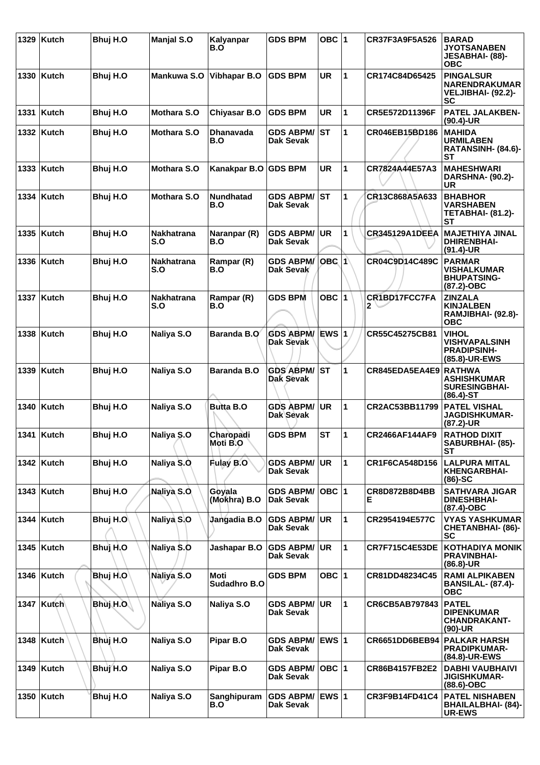| 1329 | Kutch        | Bhuj H.O  | <b>Manjal S.O</b>        | Kalyanpar<br>B.O        | <b>GDS BPM</b>                       | OBC $ 1$     |                         | CR37F3A9F5A526               | <b>BARAD</b><br><b>JYOTSANABEN</b><br>JESABHAI- (88)-<br><b>OBC</b>          |
|------|--------------|-----------|--------------------------|-------------------------|--------------------------------------|--------------|-------------------------|------------------------------|------------------------------------------------------------------------------|
|      | 1330 Kutch   | Bhuj H.O  | Mankuwa S.O              | <b>Vibhapar B.O</b>     | <b>GDS BPM</b>                       | <b>UR</b>    | $\overline{\mathbf{1}}$ | CR174C84D65425               | <b>PINGALSUR</b><br><b>NARENDRAKUMAR</b><br>VELJIBHAI- (92.2)-<br>SC         |
| 1331 | Kutch        | Bhuj H.O  | <b>Mothara S.O</b>       | <b>Chiyasar B.O</b>     | <b>GDS BPM</b>                       | <b>UR</b>    | 1                       | CR5E572D11396F               | <b>PATEL JALAKBEN-</b><br>$(90.4)$ -UR                                       |
|      | 1332 Kutch   | Bhuj H.O  | <b>Mothara S.O</b>       | <b>Dhanavada</b><br>B.O | <b>GDS ABPM/</b><br><b>Dak Sevak</b> | <b>ST</b>    | 1                       | CR046EB15BD186               | <b>MAHIDA</b><br><b>URMILABEN</b><br>RATANSINH- (84.6)-<br><b>ST</b>         |
|      | 1333   Kutch | Bhuj H.O  | <b>Mothara S.O</b>       | Kanakpar B.O GDS BPM    |                                      | <b>UR</b>    | $\mathbf 1$             | CR7824A44E57A3               | <b>MAHESHWARI</b><br><b>DARSHNA- (90.2)-</b><br>UR                           |
|      | 1334 Kutch   | Bhuj H.O  | <b>Mothara S.O</b>       | <b>Nundhatad</b><br>B.O | <b>GDS ABPM/</b><br>Dak Sevak        | ST           | 1                       | CR13C868A5A633               | <b>BHABHOR</b><br><b>VARSHABEN</b><br><b>TETABHAI- (81.2)-</b><br>SТ         |
|      | 1335 Kutch   | Bhuj H.O  | <b>Nakhatrana</b><br>S.O | Naranpar (R)<br>B.O     | <b>GDS ABPM/</b><br><b>Dak Sevak</b> | UR           | 1                       | <b>CR345129A1DEEA</b>        | <b>MAJETHIYA JINAL</b><br><b>DHIRENBHAI-</b><br>(91.4)-UR                    |
|      | 1336 Kutch   | Bhuj H.O  | Nakhatrana<br>S.O        | Rampar (R)<br>B.O       | <b>GDS ABPM/</b><br>Dak Sevak        | <b>OBC 1</b> |                         | CR04C9D14C489C               | <b>PARMAR</b><br><b>VISHALKUMAR</b><br><b>BHUPATSING-</b><br>(87.2)-OBC      |
|      | 1337 Kutch   | Bhuj H.O  | Nakhatrana<br>S.O        | Rampar (R)<br>B.O       | <b>GDS BPM</b>                       | OBC 1        |                         | CR1BD17FCC7FA<br>$2^{\circ}$ | <b>ZINZALA</b><br><b>KINJALBEN</b><br>RAMJIBHAI- (92.8)-<br><b>OBC</b>       |
|      | 1338 Kutch   | Bhuj H.O  | Naliya S.O               | <b>Baranda B.O</b>      | <b>GDS ABPM/</b><br>Dak Sevak        | EWS $ 1$     |                         | CR55C45275CB81               | <b>VIHOL</b><br><b>VISHVAPALSINH</b><br><b>PRADIPSINH-</b><br>(85.8)-UR-EWS  |
|      | 1339 Kutch   | Bhuj H.O  | Naliya S.O               | <b>Baranda B.O</b>      | <b>GDS ABPM/</b><br>Dak Sevak        | IST          | 1                       | CR845EDA5EA4E9               | <b>RATHWA</b><br><b>ASHISHKUMAR</b><br><b>SURESINGBHAI-</b><br>$(86.4) - ST$ |
|      | 1340   Kutch | Bhuj H.O  | Naliya S.O               | <b>Butta B.O</b>        | <b>GDS ABPM/</b><br>Dak Sevak        | UR           | $\mathbf 1$             | CR2AC53BB11799               | <b>PATEL VISHAL</b><br><b>JAGDISHKUMAR-</b><br>(87.2)-UR                     |
|      | 1341 Kutch   | Bhuj H.O  | Naliya S.O               | Charopadi<br>Moti B.O   | <b>GDS BPM</b>                       | <b>ST</b>    | $\mathbf 1$             | CR2466AF144AF9               | <b>RATHOD DIXIT</b><br>SABURBHAI- (85)-<br>SТ                                |
|      | 1342   Kutch | Bhuj H.O  | Naliya S.O               | Fulay B.O               | <b>GDS ABPM/</b><br><b>Dak Sevak</b> | UR)          | $\mathbf{1}$            | CR1F6CA548D156               | LALPURA MITAL<br><b>KHENGARBHAI-</b><br>$(86)-SC$                            |
|      | 1343   Kutch | Bhuj H.O  | Naliya S.O               | Goyala<br>(Mokhra) B.O  | <b>GDS ABPM/</b><br><b>Dak Sevak</b> | OBC $ 1$     |                         | CR8D872B8D4BB<br>E.          | <b>SATHVARA JIGAR</b><br><b>DINESHBHAI-</b><br>(87.4)-OBC                    |
|      | 1344 Kutch   | Bhuj H.O  | Naliya S.O               | Jangadia B.O            | <b>GDS ABPM/</b><br>Dak Sevak        | <b>UR</b>    | $\mathbf 1$             | CR2954194E577C               | <b>VYAS YASHKUMAR</b><br><b>CHETANBHAI- (86)-</b><br><b>SC</b>               |
|      | 1345   Kutch | Bhuj H.O  | Naliya S.O               | Jashapar B.O            | <b>GDS ABPM/</b><br>Dak Sevak        | <b>UR</b>    | $\mathbf 1$             | <b>CR7F715C4E53DE</b>        | <b>KOTHADIYA MONIK</b><br><b>PRAVINBHAI-</b><br>$(86.8)$ -UR                 |
|      | 1346   Kutch | Bhuj H.O  | Naliya S.O               | Moti<br>Sudadhro B.O    | <b>GDS BPM</b>                       | OBC 1        |                         | CR81DD48234C45               | <b>RAMI ALPIKABEN</b><br><b>BANSILAL- (87.4)-</b><br><b>OBC</b>              |
|      | 1347 Kutch   | Bhuj H.O. | Naliya S.O               | Naliya S.O              | <b>GDS ABPM/</b><br>Dak Sevak        | UR           | 1                       | CR6CB5AB797843               | <b>PATEL</b><br><b>DIPENKUMAR</b><br><b>CHANDRAKANT-</b><br>$(90)$ -UR       |
|      | 1348   Kutch | Bhuj H.O  | Naliya S.O               | Pipar B.O               | <b>GDS ABPM/</b><br>Dak Sevak        | <b>EWS 1</b> |                         | CR6651DD6BEB94               | <b>PALKAR HARSH</b><br><b>PRADIPKUMAR-</b><br>(84.8)-UR-EWS                  |
|      | 1349 Kutch   | Bhuj H.O  | Naliya S.O               | Pipar B.O               | <b>GDS ABPM/</b><br>Dak Sevak        | OBC $ 1$     |                         | <b>CR86B4157FB2E2</b>        | <b>DABHI VAUBHAIVI</b><br><b>JIGISHKUMAR-</b><br>(88.6)-OBC                  |
|      | 1350 Kutch   | Bhuj H.O  | Naliya S.O               | Sanghipuram<br>B.O      | <b>GDS ABPM/</b><br>Dak Sevak        | $EWS$ 1      |                         | CR3F9B14FD41C4               | <b>PATEL NISHABEN</b><br>BHAILALBHAI- (84)-<br><b>UR-EWS</b>                 |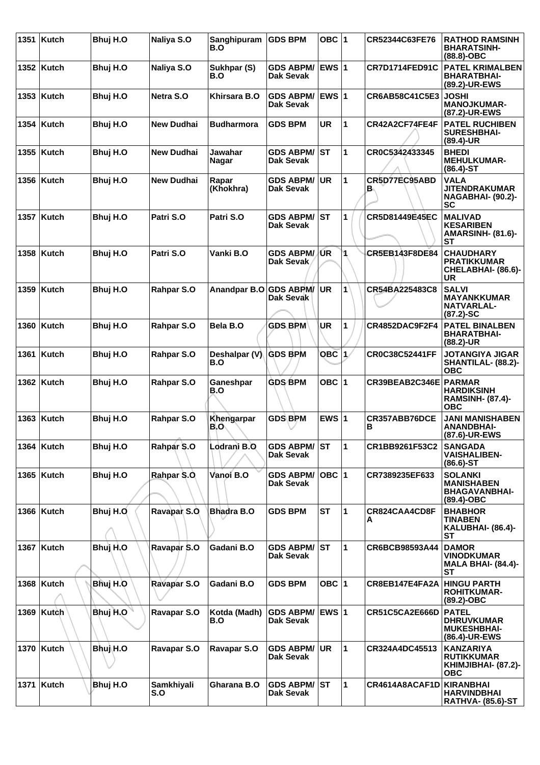|      | 1351 Kutch   | Bhuj H.O | Naliya S.O        | Sanghipuram<br>B.O     | <b>GDS BPM</b>                       | OBC $ 1$     |                      | CR52344C63FE76        | <b>RATHOD RAMSINH</b><br><b>BHARATSINH-</b><br>$(88.8)-OBC$                  |
|------|--------------|----------|-------------------|------------------------|--------------------------------------|--------------|----------------------|-----------------------|------------------------------------------------------------------------------|
|      | 1352 Kutch   | Bhuj H.O | Naliya S.O        | Sukhpar (S)<br>B.O     | <b>GDS ABPM/</b><br>Dak Sevak        | EWS $ 1$     |                      | <b>CR7D1714FED91C</b> | <b>PATEL KRIMALBEN</b><br><b>BHARATBHAI-</b><br>(89.2)-UR-EWS                |
|      | 1353   Kutch | Bhuj H.O | Netra S.O         | Khirsara B.O           | <b>GDS ABPM/</b><br><b>Dak Sevak</b> | EWS 1        |                      | CR6AB58C41C5E3        | <b>JOSHI</b><br><b>MANOJKUMAR-</b><br>(87.2)-UR-EWS                          |
| 1354 | Kutch        | Bhuj H.O | <b>New Dudhai</b> | <b>Budharmora</b>      | <b>GDS BPM</b>                       | UR           | 1                    | CR42A2CF74FE4F        | <b>PATEL RUCHIBEN</b><br><b>SURESHBHAI-</b><br>(89.4)-UR                     |
|      | 1355   Kutch | Bhuj H.O | <b>New Dudhai</b> | Jawahar<br>Nagar       | <b>GDS ABPM/</b><br>Dak Sevak        | ST           | 1                    | CR0C5342433345        | <b>BHEDI</b><br><b>MEHULKUMAR-</b><br>$(86.4) - ST$                          |
|      | 1356   Kutch | Bhuj H.O | <b>New Dudhai</b> | Rapar<br>(Khokhra)     | <b>GDS ABPM/</b><br><b>Dak Sevak</b> | <b>UR</b>    | 1                    | CR5D77EC95ABD<br>в.   | <b>VALA</b><br><b>JITENDRAKUMAR</b><br><b>NAGABHAI- (90.2)-</b><br><b>SC</b> |
|      | 1357   Kutch | Bhuj H.O | Patri S.O         | Patri S.O              | <b>GDS ABPM/</b><br>Dak Sevak        | <b>ST</b>    | 1                    | CR5D81449E45EC        | <b>MALIVAD</b><br><b>KESARIBEN</b><br><b>AMARSINH- (81.6)-</b><br><b>ST</b>  |
|      | 1358   Kutch | Bhuj H.O | Patri S.O         | Vanki B.O              | <b>GDS ABPM/</b><br>Dak Sevak        | ∣⁄UR         | 1                    | CR5EB143F8DE84        | <b>CHAUDHARY</b><br><b>PRATIKKUMAR</b><br>CHELABHAI- (86.6)-<br>UR           |
| 1359 | Kutch        | Bhuj H.O | Rahpar S.O        | Anandpar B.O GDS ABPM/ | <b>Dak Sevak</b>                     | <b>UR</b>    | $\mathbf{1}$         | CR54BA225483C8        | <b>SALVI</b><br><b>MAYANKKUMAR</b><br><b>NATVARLAL-</b><br>$(87.2)$ -SC      |
|      | 1360 Kutch   | Bhuj H.O | Rahpar S.O        | Bela B.O               | <b>GDS BPM</b>                       | UR           | 1                    | CR4852DAC9F2F4        | <b>PATEL BINALBEN</b><br><b>BHARATBHAI-</b><br>(88.2)-UR                     |
|      | 1361 Kutch   | Bhuj H.O | Rahpar S.O        | Deshalpar (V)<br>B.O   | <b>GDS BPM</b>                       | <b>OBC</b> 1 |                      | CR0C38C52441FF        | <b>JOTANGIYA JIGAR</b><br>SHANTILAL- (88.2)-<br><b>OBC</b>                   |
|      | 1362 Kutch   | Bhuj H.O | Rahpar S.O        | Ganeshpar<br>B.O       | <b>GDS BPM</b>                       | OBC ∣1       |                      | CR39BEAB2C346E PARMAR | <b>HARDIKSINH</b><br><b>RAMSINH- (87.4)-</b><br>ОВС                          |
| 1363 | Kutch        | Bhuj H.O | Rahpar S.O        | Khengarpar<br>B.O      | <b>GDS BPM</b>                       | EWS $ 1$     |                      | CR357ABB76DCE<br>в    | <b>JANI MANISHABEN</b><br><b>ANANDBHAI-</b><br>(87.6)-UR-EWS                 |
|      | 1364 Kutch   | Bhuj H.O | Rahpar S.O        | Lodrani B.O            | <b>GDS ABPM/ST</b><br>Dak Sevak      |              | 11                   | CR1BB9261F53C2        | <b>SANGADA</b><br><b>VAISHALIBEN-</b><br>$(86.6)$ -ST                        |
|      | 1365   Kutch | Bhuj H.O | Rahpar S.O        | Vanoi B.O              | <b>GDS ABPM/</b><br><b>Dak Sevak</b> | $OBC$  1     |                      | CR7389235EF633        | <b>SOLANKI</b><br><b>MANISHABEN</b><br><b>BHAGAVANBHAI-</b><br>(89.4)-OBC    |
|      | 1366 Kutch   | Bhuj H.O | Ravapar S.O       | Bhadra B.O             | <b>GDS BPM</b>                       | <b>ST</b>    | $\blacktriangleleft$ | CR824CAA4CD8F<br>A    | <b>BHABHOR</b><br><b>TINABEN</b><br>KALUBHAI- (86.4)-<br>SТ                  |
|      | 1367   Kutch | Bhuj H.O | Ravapar S.O       | Gadani B.O             | <b>GDS ABPM/</b><br>Dak Sevak        | lst          | 1                    | CR6BCB98593A44        | <b>DAMOR</b><br><b>VINODKUMAR</b><br><b>MALA BHAI- (84.4)-</b><br>ST         |
|      | 1368 Kutch   | Bhuj H.O | Ravapar S.O       | Gadani B.O             | <b>GDS BPM</b>                       | OBC $ 1$     |                      | CR8EB147E4FA2A        | <b>HINGU PARTH</b><br><b>ROHITKUMAR-</b><br>(89.2)-OBC                       |
|      | 1369 Kutch   | Bhuj H.O | Ravapar S.O       | Kotda (Madh)<br>B.O    | <b>GDS ABPM/</b><br>Dak Sevak        | EWS $ 1$     |                      | <b>CR51C5CA2E666D</b> | <b>PATEL</b><br><b>DHRUVKUMAR</b><br><b>MUKESHBHAI-</b><br>(86.4)-UR-EWS     |
|      | 1370 Kutch   | Bhuj H.O | Ravapar S.O       | Ravapar S.O            | <b>GDS ABPM/</b><br>Dak Sevak        | UR.          | $\mathbf{1}$         | CR324A4DC45513        | <b>KANZARIYA</b><br><b>RUTIKKUMAR</b><br>KHIMJIBHAI- (87.2)-<br><b>OBC</b>   |
| 1371 | <b>Kutch</b> | Bhuj H.O | Samkhiyali<br>S.O | Gharana B.O            | <b>GDS ABPM/ ST</b><br>Dak Sevak     |              | $\mathbf{1}$         | CR4614A8ACAF1D        | KIRANBHAI<br><b>HARVINDBHAI</b><br><b>RATHVA- (85.6)-ST</b>                  |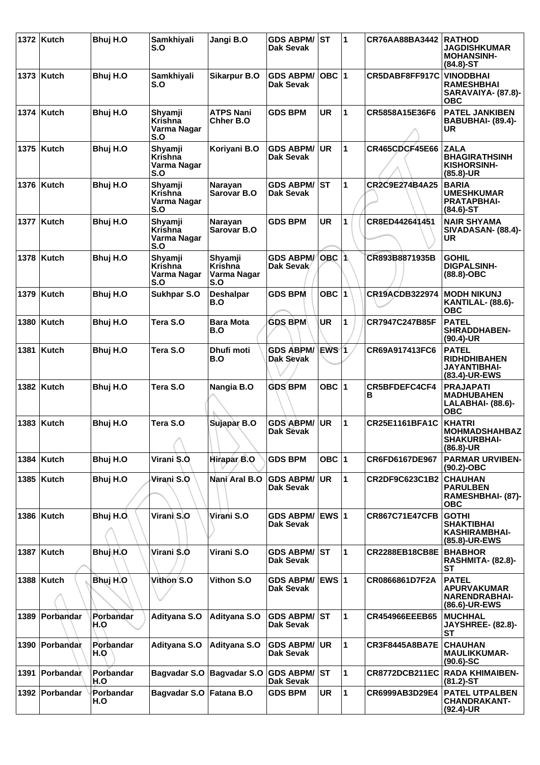|      | 1372 Kutch     | Bhuj H.O         | Samkhiyali<br>S.O                               | Jangi B.O                                | <b>GDS ABPM/</b><br>Dak Sevak          | ST           | 1            | CR76AA88BA3442            | <b>RATHOD</b><br><b>JAGDISHKUMAR</b><br><b>MOHANSINH-</b><br>$(84.8)$ -ST   |
|------|----------------|------------------|-------------------------------------------------|------------------------------------------|----------------------------------------|--------------|--------------|---------------------------|-----------------------------------------------------------------------------|
|      | 1373   Kutch   | Bhuj H.O         | Samkhiyali<br>S.O                               | <b>Sikarpur B.O</b>                      | <b>GDS ABPM/</b><br>Dak Sevak          | OBC  1       |              | CR5DABF8FF917C            | <b>VINODBHAI</b><br><b>RAMESHBHAI</b><br>SARAVAIYA- (87.8)-<br><b>OBC</b>   |
|      | 1374 Kutch     | Bhuj H.O         | Shyamji<br>Krishna<br>Varma Nagar<br>S.O        | <b>ATPS Nani</b><br>Chher B.O            | <b>GDS BPM</b>                         | <b>UR</b>    | $\mathbf{1}$ | CR5858A15E36F6            | <b>PATEL JANKIBEN</b><br>BABUBHAI- (89.4)-<br>UR                            |
|      | 1375 Kutch     | Bhuj H.O         | Shyamji<br>Krishna<br>Varma Nagar<br>S.O        | Koriyani B.O                             | <b>GDS ABPM/</b><br>Dak Sevak          | <b>UR</b>    | 1            | <b>CR465CDCF45E66</b>     | <b>ZALA</b><br><b>BHAGIRATHSINH</b><br>KISHORSINH-<br>$(85.8)$ -UR          |
|      | 1376 Kutch     | Bhuj H.O         | Shyamji<br>Krishna<br>Varma Nagar<br>S.O        | Narayan<br>Sarovar B.O                   | <b>GDS ABPM/</b><br><b>Dak Sevak</b>   | lst          | 1            | CR2C9E274B4A25            | <b>BARIA</b><br><b>UMESHKUMAR</b><br>PRATAPBHAI-<br>$(84.6)$ -ST            |
| 1377 | Kutch          | Bhuj H.O         | Shyamji<br>Krishna<br>Varma Nagar<br>S.O        | Narayan<br>Sarovar B.O                   | <b>GDS BPM</b>                         | <b>UR</b>    | 1            | CR8ED442641451            | <b>NAIR SHYAMA</b><br><b>SIVADASAN- (88.4)-</b><br>UR                       |
|      | 1378   Kutch   | Bhuj H.O         | Shyamji<br><b>Krishna</b><br>Varma Nagar<br>S.O | Shyamji<br>Krishna<br>Varma Nagar<br>S.O | <b>GDS ABPM/</b><br>Dak Sevak          | OBC $ 1$     |              | CR893B8871935B            | <b>GOHIL</b><br><b>DIGPALSINH-</b><br>$(88.8)-OBC$                          |
| 1379 | <b>Kutch</b>   | Bhuj H.O         | <b>Sukhpar S.O</b>                              | <b>Deshalpar</b><br>B.O                  | <b>GDS BPM</b>                         | OBC $ 1$     |              | <b>CR19ACDB322974</b>     | <b>MODH NIKUNJ</b><br><b>KANTILAL- (88.6)-</b><br><b>OBC</b>                |
| 1380 | Kutch          | Bhuj H.O         | Tera S.O                                        | <b>Bara Mota</b><br>B.O                  | <b>GDS BPM</b>                         | <b>UR</b>    | 1            | CR7947C247B85F            | <b>PATEL</b><br><b>SHRADDHABEN-</b><br>$(90.4)$ -UR                         |
| 1381 | <b>Kutch</b>   | Bhuj H.O         | Tera S.O                                        | Dhufi moti<br>B.O                        | <b>GDS ABPM/</b><br>Dak Sevak          | <b>EWS</b> 1 |              | CR69A917413FC6            | <b>PATEL</b><br><b>RIDHDHIBAHEN</b><br><b>JAYANTIBHAI-</b><br>(83.4)-UR-EWS |
|      | 1382 Kutch     | Bhuj H.O         | Tera S.O                                        | Nangia B.O                               | <b>GDS BPM</b>                         | OBC $ 1$     |              | <b>CR5BFDEFC4CF4</b><br>в | <b>PRAJAPATI</b><br><b>MADHUBAHEN</b><br>LALABHAI- (88.6)-<br><b>OBC</b>    |
|      | 1383   Kutch   | Bhuj H.O         | Tera S.O<br>A                                   | Sujapar B.O                              | <b>GDS ABPM/</b><br><b>Dak Sevak</b>   | <b>UR</b>    | 1            | <b>CR25E1161BFA1C</b>     | <b>KHATRI</b><br><b>MOHMADSHAHBAZ</b><br><b>SHAKURBHAI-</b><br>$(86.8)$ -UR |
|      | 1384 Kutch     | Bhuj H.O         | Virani S.O                                      | Hirapar B.O                              | <b>GDS BPM</b>                         | OBC $ 1$     |              | CR6FD6167DE967            | <b>PARMAR URVIBEN-</b><br>$(90.2)$ -OBC                                     |
|      | 1385   Kutch   | Bhuj H.O         | Virani S.O                                      | Nani Aral B.O                            | <b>GDS ABPM/</b><br><b>Dak Sevak</b>   | <b>UR</b>    | $\mathbf{1}$ | CR2DF9C623C1B2            | <b>CHAUHAN</b><br><b>PARULBEN</b><br>RAMESHBHAI- (87)-<br><b>OBC</b>        |
|      | 1386 Kutch     | Bhuj H.O.        | Virani S.O                                      | Virani S.O                               | <b>GDS ABPM/</b><br><b>Dak Sevak</b>   | <b>EWS 1</b> |              | <b>CR867C71E47CFB</b>     | <b>GOTHI</b><br><b>SHAKTIBHAI</b><br><b>KASHIRAMBHAI-</b><br>(85.8)-UR-EWS  |
|      | 1387   Kutch   | Bhuj H.O         | Virani \$.O                                     | Virani S.O                               | <b>GDS ABPM/ ST</b><br>Dak Sevak       |              | 1            | <b>CR2288EB18CB8E</b>     | <b>BHABHOR</b><br><b>RASHMITA- (82.8)-</b><br>ST                            |
|      | 1388   Kutch   | Bhuj H.O         | Vithon S.O                                      | Vithon S.O                               | <b>GDS ABPM/</b><br><b>Dak Sevak</b>   | EWS 1        |              | CR0866861D7F2A            | <b>PATEL</b><br><b>APURVAKUMAR</b><br><b>NARENDRABHAI-</b><br>(86.6)-UR-EWS |
| 1389 | Porbandar      | Porbandar<br>H.O | Adityana S.O                                    | Adityana S.O                             | <b>GDS ABPM/ST</b><br><b>Dak Sevak</b> |              | 1            | CR454966EEEB65            | <b>MUCHHAL</b><br><b>JAYSHREE- (82.8)-</b><br>SТ                            |
|      | 1390 Porbandar | Porbandar<br>H.O | Adityana S.O                                    | Adityana S.O                             | <b>GDS ABPM/</b><br><b>Dak Sevak</b>   | <b>UR</b>    | $\mathbf{1}$ | <b>CR3F8445A8BA7E</b>     | <b>CHAUHAN</b><br><b>MAULIKKUMAR-</b><br>$(90.6)$ -SC                       |
| 1391 | Porbandar      | Porbandar<br>H.O | <b>Bagvadar S.O</b>                             | <b>Bagvadar S.O</b>                      | <b>GDS ABPM/ST</b><br>Dak Sevak        |              | $\mathbf{1}$ | CR8772DCB211EC            | <b>RADA KHIMAIBEN-</b><br>$(81.2)$ -ST                                      |
| 1392 | Porbandar      | Porbandar<br>H.O | Bagvadar S.O                                    | Fatana B.O                               | <b>GDS BPM</b>                         | UR           | $\mathbf{1}$ | CR6999AB3D29E4            | <b>PATEL UTPALBEN</b><br><b>CHANDRAKANT-</b><br>$(92.4)$ -UR                |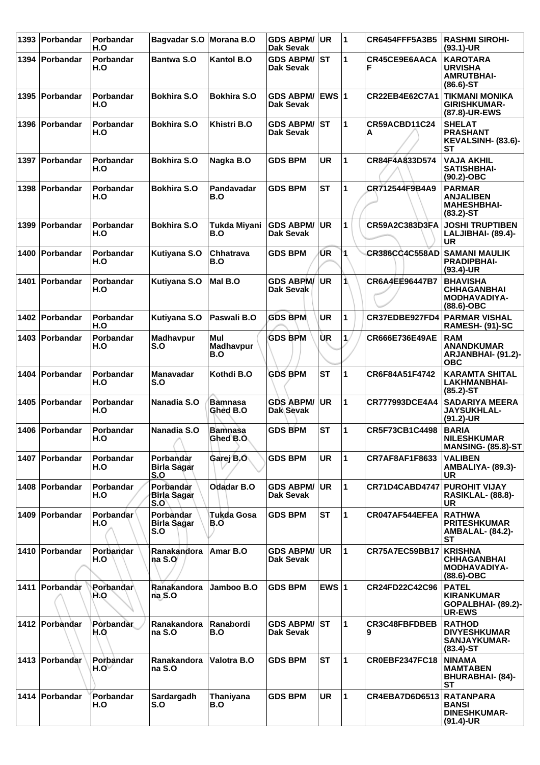|      | 1393 Porbandar   | Porbandar<br>H.O          | Bagvadar S.O Morana B.O                |                             | <b>GDS ABPM/ UR</b><br><b>Dak Sevak</b> |              | 1            | <b>CR6454FFF5A3B5</b> | <b>RASHMI SIROHI-</b><br>$(93.1)$ -UR                                         |
|------|------------------|---------------------------|----------------------------------------|-----------------------------|-----------------------------------------|--------------|--------------|-----------------------|-------------------------------------------------------------------------------|
| 1394 | Porbandar        | Porbandar<br>H.O          | <b>Bantwa S.O</b>                      | <b>Kantol B.O</b>           | <b>GDS ABPM/ST</b><br>Dak Sevak         |              | 1            | CR45CE9E6AACA<br>F    | <b>KAROTARA</b><br><b>URVISHA</b><br><b>AMRUTBHAI-</b><br>$(86.6)$ -ST        |
|      | 1395 Porbandar   | Porbandar<br>H.O          | <b>Bokhira S.O</b>                     | <b>Bokhira S.O</b>          | <b>GDS ABPM/</b><br><b>Dak Sevak</b>    | <b>EWS 1</b> |              | CR22EB4E62C7A1        | <b>TIKMANI MONIKA</b><br><b>GIRISHKUMAR-</b><br>(87.8)-UR-EWS                 |
|      | 1396 Porbandar   | Porbandar<br>H.O          | <b>Bokhira S.O</b>                     | Khistri B.O                 | <b>GDS ABPM/ ST</b><br>Dak Sevak        |              | 1            | CR59ACBD11C24<br>Α    | <b>SHELAT</b><br><b>PRASHANT</b><br>KEVALSINH- (83.6)-<br>SТ                  |
|      | 1397   Porbandar | Porbandar<br>H.O          | <b>Bokhira S.O</b>                     | Nagka B.O                   | <b>GDS BPM</b>                          | <b>UR</b>    | 1            | CR84F4A833D574        | <b>VAJA AKHIL</b><br><b>SATISHBHAI-</b><br>$(90.2)$ -OBC                      |
| 1398 | Porbandar        | Porbandar<br>H.O          | <b>Bokhira S.O</b>                     | Pandavadar<br>B.O           | <b>GDS BPM</b>                          | <b>ST</b>    | 1            | CR712544F9B4A9        | <b>PARMAR</b><br><b>ANJALIBEN</b><br><b>MAHESHBHAI-</b><br>$(83.2)$ -ST       |
| 1399 | Porbandar        | Porbandar<br>H.O          | <b>Bokhira S.O</b>                     | Tukda Miyani<br>B.O         | <b>GDS ABPM/</b><br><b>Dak Sevak</b>    | <b>UR</b>    | 1            | CR59A2C383D3FA        | <b>JOSHI TRUPTIBEN</b><br>LALJIBHAI- (89.4)-<br><b>UR</b>                     |
| 1400 | Porbandar        | Porbandar<br>H.O          | Kutiyana S.O                           | Chhatrava<br>B.O            | <b>GDS BPM</b>                          | UR.          | 1            | <b>CR386CC4C558AD</b> | <b>SAMANI MAULIK</b><br><b>PRADIPBHAI-</b><br>$(93.4)$ -UR                    |
| 1401 | Porbandar        | Porbandar<br>H.O          | Kutiyana S.O                           | Mal B.O                     | <b>GDS ABPM/</b><br>Dak Sevak           | UR           | 1            | CR6A4EE96447B7        | <b>BHAVISHA</b><br><b>CHHAGANBHAI</b><br><b>MODHAVADIYA-</b><br>$(88.6)$ -OBC |
|      | 1402 Porbandar   | <b>Porbandar</b><br>H.O   | Kutiyana S.O                           | Paswali B.O                 | <b>GDS BPM</b>                          | <b>UR</b>    | 1            | CR37EDBE927FD4        | <b>PARMAR VISHAL</b><br>RAMESH- (91)-SC                                       |
|      | 1403 Porbandar   | Porbandar<br>H.O          | Madhavpur<br>S.O                       | Mul<br>Madhavpur<br>B.O     | <b>GDS BPM</b>                          | ÙR.          | $\mathbf{1}$ | CR666E736E49AE        | <b>RAM</b><br><b>ANANDKUMAR</b><br>ARJANBHAI- (91.2)-<br><b>OBC</b>           |
| 1404 | Porbandar        | Porbandar<br>H.O          | <b>Manavadar</b><br>S.O                | Kothdi B.O                  | <b>GDS BPM</b>                          | <b>ST</b>    | 1            | CR6F84A51F4742        | <b>KARAMTA SHITAL</b><br><b>LAKHMANBHAI-</b><br>$(85.2)$ -ST                  |
| 1405 | Porbandar        | Porbandar<br>H.O          | Nanadia S.O                            | <b>Bamnasa</b><br>Ghed B.O  | <b>GDS ABPM/</b><br>Dak Sevak           | UR           | 1            | CR777993DCE4A4        | <b>SADARIYA MEERA</b><br><b>JAYSUKHLAL-</b><br>$(91.2)$ -UR                   |
|      | 1406 Porbandar   | Porbandar<br>H.O          | Nanadia S.O<br>↗                       | <b>Bamnasa</b><br>Ghed B.O. | <b>GDS BPM</b>                          | <b>ST</b>    | 1            | CR5F73CB1C4498        | <b>BARIA</b><br><b>NILESHKUMAR</b><br><b>MANSING- (85.8)-ST</b>               |
|      | 1407   Porbandar | Porbandar<br>H.O          | Porbandar<br>Birla Sagar<br>S.O        | Garej B.O                   | <b>GDS BPM</b>                          | <b>UR</b>    | 1            | CR7AF8AF1F8633        | <b>VALIBEN</b><br>AMBALIYA- (89.3)-<br><b>UR</b>                              |
|      | 1408 Porbandar   | <b>Porbandar</b><br>H.O   | Porbandar<br><b>Birla Sagar</b><br>S.O | <b>Odadar B.O</b>           | <b>GDS ABPM/</b><br><b>Dak Sevak</b>    | <b>UR</b>    | 1            | CR71D4CABD4747        | <b>PUROHIT VIJAY</b><br><b>RASIKLAL- (88.8)-</b><br>UR                        |
| 1409 | Porbandar        | <b>Porbandar</b><br>H.O   | Porbandar<br><b>Birla Sagar</b><br>S.O | Tukda Gosa<br>B.O           | <b>GDS BPM</b>                          | <b>ST</b>    | $\mathbf{1}$ | CR047AF544EFEA        | <b>RATHWA</b><br><b>PRITESHKUMAR</b><br><b>AMBALAL- (84.2)-</b><br>SТ         |
|      | 1410 Porbandar   | Porbandar<br>H.O          | Ranakandora<br>na S.O                  | Amar B.O                    | <b>GDS ABPM/</b><br><b>Dak Sevak</b>    | <b>UR</b>    | 1            | CR75A7EC59BB17        | <b>KRISHNA</b><br><b>CHHAGANBHAI</b><br><b>MODHAVADIYA-</b><br>$(88.6)$ -OBC  |
| 1411 | Porbandar        | Porbandar<br>H.O          | Ranakandora<br>naS.O                   | Jamboo B.O                  | <b>GDS BPM</b>                          | EWS $ 1$     |              | CR24FD22C42C96        | <b>PATEL</b><br><b>KIRANKUMAR</b><br>GOPALBHAI- (89.2)-<br>UR-EWS             |
|      | 1412 Porbandar   | Porbandar<br>H.O          | Ranakandora<br>na S.O                  | <b>Ranabordi</b><br>B.O     | <b>GDS ABPM/ST</b><br>Dak Sevak         |              | 1            | <b>CR3C48FBFDBEB</b>  | <b>RATHOD</b><br><b>DIVYESHKUMAR</b><br><b>SANJAYKUMAR-</b><br>$(83.4)$ -ST   |
|      | 1413 Porbandar   | Porbandar<br>$H.O^{\vee}$ | Ranakandora<br>na S.O                  | Valotra B.O                 | <b>GDS BPM</b>                          | <b>ST</b>    | 1            | <b>CR0EBF2347FC18</b> | <b>NINAMA</b><br><b>MAMTABEN</b><br><b>BHURABHAI- (84)-</b><br><b>ST</b>      |
|      | 1414 Porbandar   | Porbandar<br>H.O          | Sardargadh<br>S.O                      | Thaniyana<br>B.O            | <b>GDS BPM</b>                          | <b>UR</b>    | $\mathbf{1}$ | CR4EBA7D6D6513        | <b>RATANPARA</b><br><b>BANSI</b><br><b>DINESHKUMAR-</b><br>$(91.4)$ -UR       |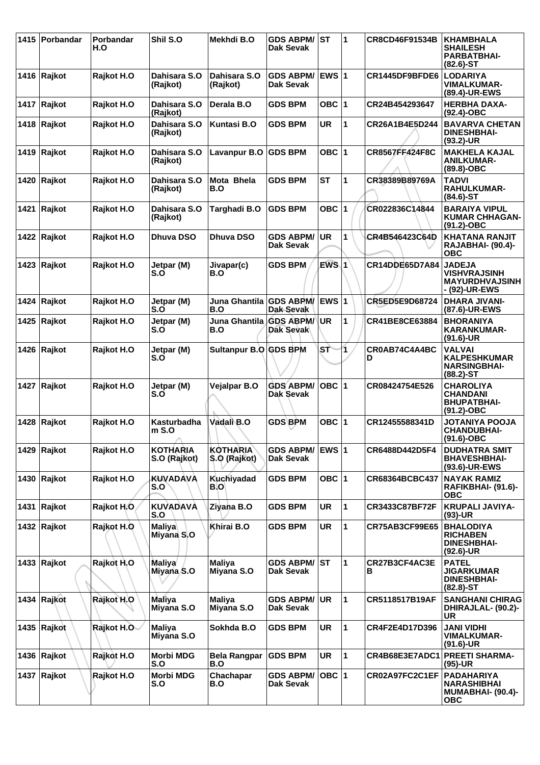|      | 1415 Porbandar        | Porbandar<br>H.O | Shil S.O                        | Mekhdi B.O                       | <b>GDS ABPM/</b><br>Dak Sevak        | <b>IST</b>   | 1            | CR8CD46F91534B        | <b>KHAMBHALA</b><br><b>SHAILESH</b><br><b>PARBATBHAI-</b><br>$(82.6)$ -ST         |
|------|-----------------------|------------------|---------------------------------|----------------------------------|--------------------------------------|--------------|--------------|-----------------------|-----------------------------------------------------------------------------------|
|      | 1416 Rajkot           | Rajkot H.O       | Dahisara S.O<br>(Rajkot)        | Dahisara S.O<br>(Rajkot)         | <b>GDS ABPM/</b><br><b>Dak Sevak</b> | <b>EWS 1</b> |              | CR1445DF9BFDE6        | <b>LODARIYA</b><br><b>VIMALKUMAR-</b><br>(89.4)-UR-EWS                            |
|      | 1417 Rajkot           | Rajkot H.O       | Dahisara S.O<br>(Rajkot)        | Derala B.O                       | <b>GDS BPM</b>                       | OBC $ 1$     |              | CR24B454293647        | <b>HERBHA DAXA-</b><br>$(92.4)$ -OBC                                              |
|      | 1418 Rajkot           | Rajkot H.O       | Dahisara S.O<br>(Rajkot)        | <b>Kuntasi B.O</b>               | <b>GDS BPM</b>                       | <b>UR</b>    | $\mathbf{1}$ | CR26A1B4E5D244        | <b>BAVARVA CHETAN</b><br><b>DINESHBHAI-</b><br>$(93.2)$ -UR                       |
|      | 1419 Rajkot           | Rajkot H.O       | Dahisara S.O<br>(Rajkot)        | Lavanpur B.O                     | <b>GDS BPM</b>                       | OBC $ 1$     |              | <b>CR8567FF424F8C</b> | <b>MAKHELA KAJAL</b><br><b>ANILKUMAR-</b><br>$(89.8)-OBC$                         |
|      | 1420 Rajkot           | Rajkot H.O       | Dahisara S.O<br>(Rajkot)        | Mota Bhela<br>B.O                | <b>GDS BPM</b>                       | <b>ST</b>    | 1            | CR38389B89769A        | <b>TADVI</b><br><b>RAHULKUMAR-</b><br>$(84.6)$ -ST                                |
| 1421 | Rajkot                | Rajkot H.O       | Dahisara S.O<br>(Rajkot)        | Targhadi B.O                     | <b>GDS BPM</b>                       | OBC $ 1$     |              | CR022836C14844        | <b>BARAIYA VIPUL</b><br><b>KUMAR CHHAGAN-</b><br>$(91.2) - OBC$                   |
|      | 1422 Rajkot           | Rajkot H.O       | Dhuva DSO                       | <b>Dhuva DSO</b>                 | <b>GDS ABPM/</b><br><b>Dak Sevak</b> | <b>UR</b>    | 1            | CR4B546423C64D        | <b>KHATANA RANJIT</b><br><b>RAJABHAI- (90.4)-</b><br><b>OBC</b>                   |
| 1423 | Rajkot                | Rajkot H.O       | Jetpar (M)<br>S.O               | Jivapar(c)<br>B.O                | <b>GDS BPM</b>                       | $EWS$ 1      |              | CR14DDE65D7A84        | <b>JADEJA</b><br><b>VISHVRAJSINH</b><br><b>MAYURDHVAJSINH</b><br>- (92)-UR-EWS    |
|      | 1424 Rajkot           | Rajkot H.O       | Jetpar (M)<br>S.O               | Juna Ghantila   GDS ABPM/<br>B.O | Dak-Sevak                            | <b>EWS 1</b> |              | CR5ED5E9D68724        | <b>DHARA JIVANI-</b><br>(87.6)-UR-EWS                                             |
|      | 1425 Rajkot           | Rajkot H.O       | Jetpar (M)<br>S.O               | Juna Ghantila GDS ABPM/<br>B.O   | <b>Dak Sevak</b>                     | <b>UR</b>    | 1            | CR41BE8CE63884        | <b>BHORANIYA</b><br><b>KARANKUMAR-</b><br>$(91.6)$ -UR                            |
|      | 1426 Rajkot           | Rajkot H.O       | Jetpar (M)<br>S.O               | Sultanpur B.O GDS BPM            |                                      | SŤ           | 1            | CR0AB74C4A4BC<br>D    | <b>VALVAI</b><br><b>KALPESHKUMAR</b><br><b>NARSINGBHAI-</b><br>$(88.2) - ST$      |
|      | 1427 Rajkot           | Rajkot H.O       | Jetpar (M)<br>S.O               | Vejalpar B.O                     | <b>GDS ABPM/</b><br><b>Dak Sevak</b> | OBC $ 1$     |              | CR08424754E526        | <b>CHAROLIYA</b><br><b>CHANDANI</b><br><b>BHUPATBHAI-</b><br>$(91.2) - OBC$       |
| 1428 | Rajkot                | Rajkot H.O       | Kasturbadha<br>$m$ S.O<br>л     | Vadali B.O                       | <b>GDS BPM</b>                       | OBC $ 1$     |              | CR12455588341D        | <b>JOTANIYA POOJA</b><br><b>CHANDUBHAI-</b><br>$(91.6)-OBC$                       |
|      | 1429 Rajkot           | Rajkot H.O       | <b>KOTHARIA</b><br>S.O (Rajkot) | <b>KOTHARIA</b><br>S.O (Rajkot)  | <b>GDS ABPM/</b><br><b>Dak Sevak</b> | <b>EWS 1</b> |              | CR6488D442D5F4        | <b>DUDHATRA SMIT</b><br><b>BHAVESHBHAI-</b><br>(93.6)-UR-EWS                      |
|      | 1430 $ $ Rajkot       | Rajkot H.O       | <b>KUVADAVA</b><br>S.O          | Kuchiyadad<br>B.O                | <b>GDS BPM</b>                       | OBC $ 1$     |              | CR68364BCBC437        | <b>NAYAK RAMIZ</b><br>RAFIKBHAI- (91.6)-<br><b>OBC</b>                            |
|      | 1431 Rajkot           | Rajkot H.O       | <b>KUVADAVA</b><br>S.O          | Ziyana B.O                       | <b>GDS BPM</b>                       | <b>UR</b>    | $\mathbf{1}$ | CR3433C87BF72F        | <b>KRUPALI JAVIYA-</b><br>$(93)-UR$                                               |
|      | 1432 $ {\sf Rajkot}$  | Rajkot H.O       | <b>Maliya</b><br>Miyana S.O     | Khirai B.O                       | <b>GDS BPM</b>                       | UR           | $\mathbf{1}$ | CR75AB3CF99E65        | <b>BHALODIYA</b><br><b>RICHABEN</b><br><b>DINESHBHAI-</b><br>$(92.6)$ -UR         |
|      | 1433 $ {\sf Rajkot}$  | Rajkot H.O       | <b>Maliya</b><br>Miyana S.O     | Maliya<br>Miyana S.O             | <b>GDS ABPM/ST</b><br>Dak Sevak      |              | 1            | CR27B3CF4AC3E<br>В    | <b>PATEL</b><br><b>JIGARKUMAR</b><br><b>DINESHBHAI-</b><br>$(82.8) - ST$          |
|      | 1434 Rajkot           | Rajkot H.O       | Maliya<br>Miyana S.O            | <b>Maliya</b><br>Miyana S.O      | <b>GDS ABPM/</b><br><b>Dak Sevak</b> | UR           | $\mathbf{1}$ | CR5118517B19AF        | <b>SANGHANI CHIRAG</b><br>DHIRAJLAL- (90.2)-<br><b>UR</b>                         |
|      | 1435 Rajkot           | Rajkot H.O       | <b>Maliya</b><br>Miyana S.O     | Sokhda B.O                       | <b>GDS BPM</b>                       | UR           | $\mathbf{1}$ | CR4F2E4D17D396        | <b>JANI VIDHI</b><br><b>VIMALKUMAR-</b><br>$(91.6)$ -UR                           |
|      | 1436 $ {\sf Rajkot} $ | Rajkot H.O       | Morbi MDG<br>S.O                | <b>Bela Rangpar</b><br>B.O       | <b>GDS BPM</b>                       | <b>UR</b>    | $\mathbf{1}$ | CR4B68E3E7ADC1        | <b>PREETI SHARMA-</b><br>(95)-UR                                                  |
|      | 1437 Rajkot           | Rajkot H.O       | <b>Morbi MDG</b><br>S.O         | Chachapar<br>B.O                 | <b>GDS ABPM/</b><br><b>Dak Sevak</b> | $OBC$  1     |              | CR02A97FC2C1EF        | <b>PADAHARIYA</b><br><b>NARASHIBHAI</b><br><b>MUMABHAI- (90.4)-</b><br><b>OBC</b> |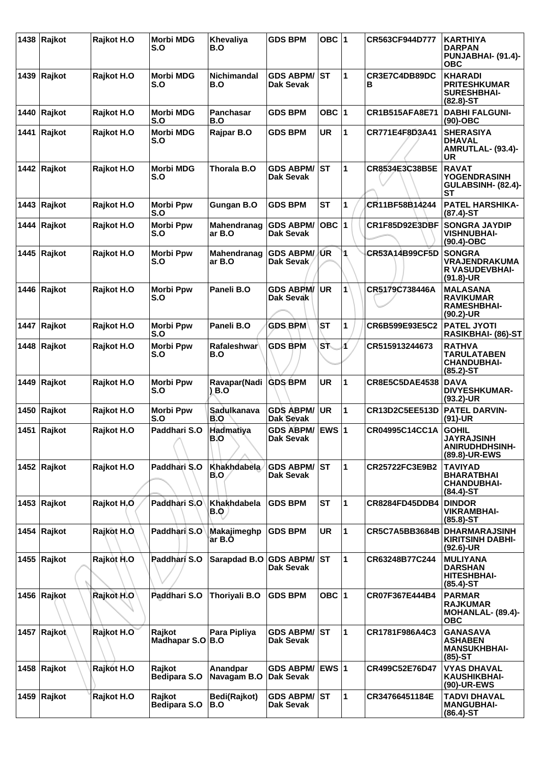|      | 1438 Rajkot          | Rajkot H.O | <b>Morbi MDG</b><br>S.O    | Khevaliya<br>B.O          | <b>GDS BPM</b>                       | OBC  1       |   | CR563CF944D777        | <b>KARTHIYA</b><br><b>DARPAN</b><br>PUNJABHAI- (91.4)-<br><b>OBC</b>          |
|------|----------------------|------------|----------------------------|---------------------------|--------------------------------------|--------------|---|-----------------------|-------------------------------------------------------------------------------|
|      | 1439 $ {\sf Rajkot}$ | Rajkot H.O | <b>Morbi MDG</b><br>S.O    | Nichimandal<br>B.O        | <b>GDS ABPM/</b><br>Dak Sevak        | ST           | 1 | CR3E7C4DB89DC<br>в    | <b>KHARADI</b><br><b>PRITESHKUMAR</b><br><b>SURESHBHAI-</b><br>$(82.8)$ -ST   |
| 1440 | Rajkot               | Rajkot H.O | <b>Morbi MDG</b><br>S.O    | Panchasar<br>B.O          | <b>GDS BPM</b>                       | OBC $ 1$     |   | <b>CR1B515AFA8E71</b> | <b>DABHI FALGUNI-</b><br>$(90)$ -OBC                                          |
|      | 1441 Rajkot          | Rajkot H.O | <b>Morbi MDG</b><br>S.O    | Rajpar B.O                | <b>GDS BPM</b>                       | UR           | 1 | CR771E4F8D3A41        | <b>SHERASIYA</b><br><b>DHAVAL</b><br>AMRUTLAL- (93.4)-<br>UR                  |
|      | 1442 Rajkot          | Rajkot H.O | <b>Morbi MDG</b><br>S.O    | Thorala B.O               | <b>GDS ABPM/</b><br>Dak Sevak        | ST           | 1 | CR8534E3C38B5E        | <b>RAVAT</b><br><b>YOGENDRASINH</b><br>GULABSINH- (82.4)-<br>SТ               |
|      | 1443 $\vert$ Rajkot  | Rajkot H.O | <b>Morbi Ppw</b><br>S.O    | Gungan B.O                | <b>GDS BPM</b>                       | <b>ST</b>    | 1 | CR11BF58B14244        | <b>PATEL HARSHIKA-</b><br>$(87.4)$ -ST                                        |
|      | 1444 Rajkot          | Rajkot H.O | <b>Morbi Ppw</b><br>S.O    | Mahendranag<br>ar B.O     | <b>GDS ABPM/</b><br>Dak Sevak        | OBC $ 1$     |   | CR1F85D92E3DBF        | <b>SONGRA JAYDIP</b><br><b>VISHNUBHAI-</b><br>$(90.4)$ -OBC                   |
|      | 1445 $Raikot$        | Rajkot H.O | <b>Morbi Ppw</b><br>S.O    | Mahendranag<br>ar B.O     | <b>GDS ABPM/</b><br>Dak Sevak        | /UR          | 1 | <b>CR53A14B99CF5D</b> | <b>SONGRA</b><br><b>VRAJENDRAKUMA</b><br><b>R VASUDEVBHAI-</b><br>$(91.8)-UR$ |
|      | 1446 Rajkot          | Rajkot H.O | <b>Morbi Ppw</b><br>S.O    | Paneli B.O                | <b>GDS ABPM/</b><br>Dak Sevak        | <b>UR</b>    | 1 | CR5179C738446A        | <b>MALASANA</b><br><b>RAVIKUMAR</b><br><b>RAMESHBHAI-</b><br>$(90.2)$ -UR     |
|      | 1447 Rajkot          | Rajkot H.O | <b>Morbi Ppw</b><br>S.O    | Paneli B.O                | <b>GDS BPM</b>                       | ST           | 1 | CR6B599E93E5C2        | <b>PATEL JYOTI</b><br>RASIKBHAI- (86)-ST                                      |
|      | 1448 Rajkot          | Rajkot H.O | <b>Morbi Ppw</b><br>S.O    | <b>Rafaleshwar</b><br>B.O | <b>GDS BPM</b>                       | Sħ           | Æ | CR515913244673        | <b>RATHVA</b><br><b>TARULATABEN</b><br><b>CHANDUBHAI-</b><br>$(85.2)$ -ST     |
| 1449 | Rajkot               | Rajkot H.O | <b>Morbi Ppw</b><br>S.O    | Ravapar(Nadi<br>) B.O     | <b>GDS BPM</b>                       | <b>UR</b>    | 1 | <b>CR8E5C5DAE4538</b> | <b>DAVA</b><br><b>DIVYESHKUMAR-</b><br>$(93.2)$ -UR                           |
|      | 1450 Rajkot          | Rajkot H.O | <b>Morbi Ppw</b><br>S.O    | Sadulkanava<br>B.O        | <b>GDS ABPM/</b><br>Dak Sevak        | <b>UR</b>    | 1 | CR13D2C5EE513D        | <b>PATEL DARVIN-</b><br>(91)-UR                                               |
|      | 1451 $\vert$ Rajkot  | Rajkot H.O | Paddhari S.O               | Hadmatiya<br>B.O          | <b>GDS ABPM/</b><br>Dak Sevak        | <b>EWS 1</b> |   | CR04995C14CC1A        | <b>GOHIL</b><br><b>JAYRAJSINH</b><br><b>ANIRUDHDHSINH-</b><br>(89.8)-UR-EWS   |
|      | 1452 Rajkot          | Rajkot H.O | Paddhari S.O               | Khakhdabela<br>B.O        | <b>GDS ABPM/</b><br><b>Dak Sevak</b> | lst.         | 1 | CR25722FC3E9B2        | <b>TAVIYAD</b><br><b>BHARATBHAI</b><br><b>CHANDUBHAI-</b><br>$(84.4)$ -ST     |
|      | 1453 $ {\sf Rajkot}$ | Rajkot H.O | Paddhari S.O               | Khakhdabela<br><b>B.O</b> | <b>GDS BPM</b>                       | <b>ST</b>    | 1 | CR8284FD45DDB4        | <b>DINDOR</b><br><b>VIKRAMBHAI-</b><br>$(85.8)$ -ST                           |
|      | 1454 Rajkot          | Rajkot H.O | Paddhari S.O               | Makajimeghp<br>ar B.O     | <b>GDS BPM</b>                       | UR           | 1 | <b>CR5C7A5BB3684B</b> | <b>DHARMARAJSINH</b><br><b>KIRITSINH DABHI-</b><br>$(92.6)$ -UR               |
|      | 1455 Rajkot          | Rajkot H.O | <b>Paddhari S.O</b>        | Sarapdad B.O              | <b>GDS ABPM/</b><br>Dak Sevak        | lst          | 1 | CR63248B77C244        | <b>MULIYANA</b><br><b>DARSHAN</b><br><b>HITESHBHAI-</b><br>$(85.4)$ -ST       |
|      | 1456 Rajkot          | Rajkot H.O | Paddhari S.O               | Thoriyali B.O             | <b>GDS BPM</b>                       | OBC $ 1$     |   | CR07F367E444B4        | <b>PARMAR</b><br><b>RAJKUMAR</b><br>MOHANLAL- (89.4)-<br><b>OBC</b>           |
|      | 1457 Rajkot          | Rajkot H.O | Rajkot<br>Madhapar S.O B.O | Para Pipliya              | <b>GDS ABPM/</b><br>Dak Sevak        | <b>ST</b>    | 1 | CR1781F986A4C3        | <b>GANASAVA</b><br><b>ASHABEN</b><br><b>MANSUKHBHAI-</b><br>$(85)-ST$         |
|      | 1458 $ {\sf Rajkot}$ | Rajkot H.O | Rajkot<br>Bedipara S.O     | Anandpar<br>Navagam B.O   | <b>GDS ABPM/</b><br>Dak Sevak        | <b>EWS 1</b> |   | CR499C52E76D47        | <b>VYAS DHAVAL</b><br>KAUSHIKBHAI-<br>(90)-UR-EWS                             |
|      | 1459 $ {\sf Rajkot}$ | Rajkot H.O | Rajkot<br>Bedipara S.O     | Bedi(Rajkot)<br>B.O       | <b>GDS ABPM/</b><br><b>Dak Sevak</b> | <b>ST</b>    | 1 | CR34766451184E        | <b>TADVI DHAVAL</b><br><b>MANGUBHAI-</b><br>$(86.4)$ -ST                      |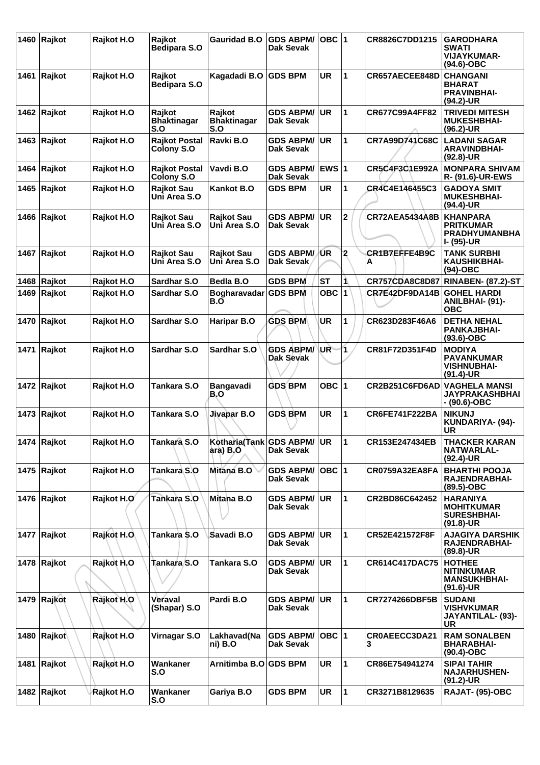| 1460 | Rajkot               | Rajkot H.O  | Rajkot<br>Bedipara S.O              | <b>Gauridad B.O</b>                    | <b>GDS ABPM/</b><br>Dak Sevak        | OBC $ 1$     |                         | CR8826C7DD1215        | <b>GARODHARA</b><br><b>SWATI</b><br><b>VIJAYKUMAR-</b><br>(94.6)-OBC       |
|------|----------------------|-------------|-------------------------------------|----------------------------------------|--------------------------------------|--------------|-------------------------|-----------------------|----------------------------------------------------------------------------|
| 1461 | Rajkot               | Rajkot H.O  | Rajkot<br><b>Bedipara S.O</b>       | Kagadadi B.O GDS BPM                   |                                      | <b>UR</b>    | 1                       | CR657AECEE848D        | <b>CHANGANI</b><br><b>BHARAT</b><br><b>PRAVINBHAI-</b><br>(94.2)-UR        |
|      | 1462 Rajkot          | Rajkot H.O  | Rajkot<br><b>Bhaktinagar</b><br>S.O | Rajkot<br><b>Bhaktinagar</b><br>S.O    | <b>GDS ABPM/</b><br><b>Dak Sevak</b> | <b>UR</b>    | $\mathbf{1}$            | CR677C99A4FF82        | <b>TRIVEDI MITESH</b><br><b>MUKESHBHAI-</b><br>$(96.2)$ -UR                |
|      | 1463 $ {\sf Rajkot}$ | Rajkot H.O  | <b>Rajkot Postal</b><br>Colony S.O  | Ravki B.O                              | <b>GDS ABPM/</b><br>Dak Sevak        | <b>UR</b>    | 1                       | CR7A99D741C68C        | <b>LADANI SAGAR</b><br><b>ARAVINDBHAI-</b><br>$(92.8)$ -UR                 |
| 1464 | Rajkot               | Rajkot H.O  | <b>Rajkot Postal</b><br>Colony S.O  | Vavdi B.O                              | <b>GDS ABPM/</b><br><b>Dak Sevak</b> | <b>EWS 1</b> |                         | CR5C4F3C1E992A        | <b>MONPARA SHIVAM</b><br>R- (91.6)-UR-EWS                                  |
| 1465 | Rajkot               | Rajkot H.O  | <b>Rajkot Sau</b><br>Uni Area S.O   | <b>Kankot B.O</b>                      | <b>GDS BPM</b>                       | <b>UR</b>    | 1                       | CR4C4E146455C3        | <b>GADOYA SMIT</b><br><b>MUKESHBHAI-</b><br>(94.4)-UR                      |
|      | 1466 Rajkot          | Rajkot H.O  | <b>Rajkot Sau</b><br>Uni Area S.O   | <b>Rajkot Sau</b><br>Uni Area S.O      | <b>GDS ABPM/</b><br>Dak Sevak        | <b>UR</b>    | $\mathbf 2$             | <b>CR72AEA5434A8B</b> | <b>KHANPARA</b><br><b>PRITKUMAR</b><br><b>PRADHYUMANBHA</b><br>I- (95)-UR  |
| 1467 | Rajkot               | Rajkot H.O  | <b>Rajkot Sau</b><br>Uni Area S.O   | <b>Rajkot Sau</b><br>Uni Area S.O      | <b>GDS ABPM/</b><br>Dak Sevak        | ŰR           | $\overline{\mathbf{2}}$ | CR1B7EFFE4B9C<br>A    | <b>TANK SURBHI</b><br><b>KAUSHIKBHAI-</b><br>$(94)-OBC$                    |
|      | 1468 Rajkot          | Rajkot H.O  | Sardhar S.O                         | Bedla B.O                              | <b>GDS BPM</b>                       | <b>ST</b>    | 1                       | CR757CDA8C8D87        | <b>RINABEN- (87.2)-ST</b>                                                  |
| 1469 | Rajkot               | Rajkot H.O  | Sardhar S.O                         | Bogharavadar<br>B.O                    | <b>GDS BPM</b>                       | OBC 1        |                         | CR7E42DF9DA14B        | <b>GOHEL HARDI</b><br>ANILBHAI- (91)-<br><b>OBC</b>                        |
|      | 1470 Rajkot          | Rajkot H.O  | Sardhar S.O                         | Haripar B.O                            | <b>GDS BPM</b>                       | <b>UR</b>    | 1                       | CR623D283F46A6        | <b>DETHA NEHAL</b><br><b>PANKAJBHAI-</b><br>$(93.6)$ -OBC                  |
| 1471 | Rajkot               | Rajkot H.O  | Sardhar S.O                         | Sardhar S.O                            | <b>GDS ABPM/</b><br><b>Dak Sevak</b> | UR           | 1                       | CR81F72D351F4D        | <b>MODIYA</b><br><b>PAVANKUMAR</b><br><b>VISHNUBHAI-</b><br>$(91.4)$ -UR   |
|      | 1472 Rajkot          | Rajkot H.O  | Tankara S.O                         | Bangavadi<br>B.O                       | <b>GDS BPM</b>                       | OBC 1        |                         | CR2B251C6FD6AD        | <b>VAGHELA MANSI</b><br><b>JAYPRAKASHBHAI</b><br>- (90.6)-OBC              |
|      | 1473 $ {\sf Rajkot}$ | Rajkot H.O  | Tankara S.O                         | Jivapar B.O                            | <b>GDS BPM</b>                       | <b>UR</b>    | 1                       | <b>CR6FE741F222BA</b> | <b>NIKUNJ</b><br>KUNDARIYA- (94)-<br>UR                                    |
|      | 1474 Rajkot          | Rajkot H.O  | Tankara S.O                         | Kotharia(Tank GDS ABPM/ UR<br>ara) B.O | <b>Dak Sevak</b>                     |              | $\vert$ 1               | CR153E247434EB        | <b>THACKER KARAN</b><br><b>NATWARLAL-</b><br>$(92.4)$ -UR                  |
|      | 1475 Rajkot          | Rajkot H.O  | Tankara S.O                         | Mitana B.O                             | <b>GDS ABPM/</b><br>Dak Sevak        | OBC 1        |                         | CR0759A32EA8FA        | <b>BHARTHI POOJA</b><br>RAJENDRABHAI-<br>(89.5)-OBC                        |
|      | 1476 Rajkot          | Rajkot H.O  | Tankara S.O                         | Mitana B.O                             | <b>GDS ABPM/</b><br>Dak Sevak        | <b>UR</b>    | $\mathbf{1}$            | CR2BD86C642452        | <b>HARANIYA</b><br><b>MOHITKUMAR</b><br><b>SURESHBHAI-</b><br>$(91.8)$ -UR |
|      | 1477 Rajkot          | Rajkot H.O. | Tankara S.O                         | Savadi B.O                             | <b>GDS ABPM/</b><br><b>Dak Sevak</b> | <b>UR</b>    | $\mathbf{1}$            | CR52E421572F8F        | <b>AJAGIYA DARSHIK</b><br>RAJENDRABHAI-<br>$(89.8)$ -UR                    |
|      | 1478 Rajkot          | Rajkot H.O  | Tankara S.O                         | Tankara S.O                            | <b>GDS ABPM/</b><br>Dak Sevak        | <b>UR</b>    | $\mathbf{1}$            | CR614C417DAC75        | <b>HOTHEE</b><br><b>NITINKUMAR</b><br><b>MANSUKHBHAI-</b><br>$(91.6)$ -UR  |
|      | 1479 Rajkot          | Rajkot H.O  | Veraval<br>(Shapar) S.O             | Pardi B.O                              | <b>GDS ABPM/</b><br>Dak Sevak        | <b>UR</b>    | $\mathbf{1}$            | <b>CR7274266DBF5B</b> | <b>SUDANI</b><br><b>VISHVKUMAR</b><br>JAYANTILAL- (93)-<br>UR              |
|      | 1480 Rajkot          | Rajkot H.O  | Virnagar S.O                        | Lakhavad(Na<br>ni) B.O                 | <b>GDS ABPM/</b><br><b>Dak Sevak</b> | OBC 1        |                         | CR0AEECC3DA21<br>3    | <b>RAM SONALBEN</b><br><b>BHARABHAI-</b><br>$(90.4)$ -OBC                  |
|      | 1481 Rajkot          | Rajkot H.O  | Wankaner<br>S.O                     | Arnitimba B.O GDS BPM                  |                                      | <b>UR</b>    | $\mathbf{1}$            | CR86E754941274        | SIPAI TAHIR<br><b>NAJARHUSHEN-</b><br>$(91.2)$ -UR                         |
|      | 1482 Rajkot          | Rajkot H.O  | Wankaner<br>S.O                     | Gariya B.O                             | <b>GDS BPM</b>                       | UR           | $\mathbf{1}$            | CR3271B8129635        | <b>RAJAT- (95)-OBC</b>                                                     |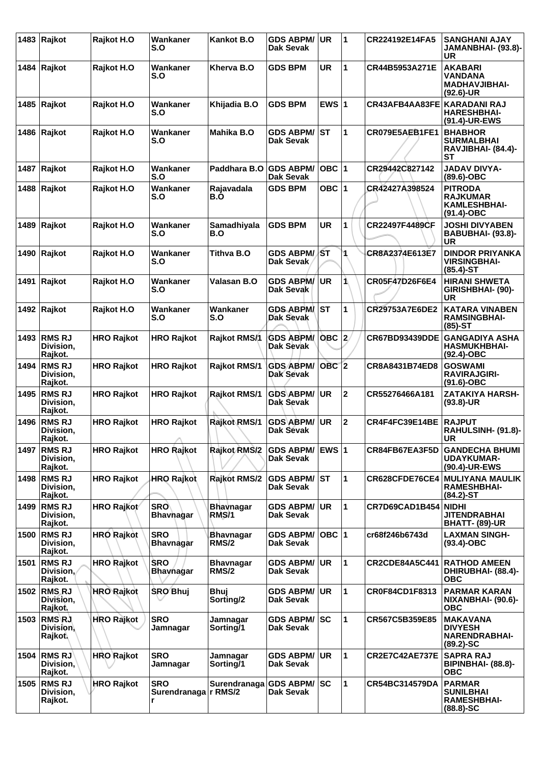|      | 1483 $ $ Rajkot                             | Rajkot H.O        | Wankaner<br>S.O                           | Kankot B.O                       | <b>GDS ABPM/</b><br>Dak Sevak        | <b>UR</b> | $\blacktriangleleft$    | CR224192E14FA5              | <b>SANGHANI AJAY</b><br>JAMANBHAI- (93.8)-<br>UR                           |
|------|---------------------------------------------|-------------------|-------------------------------------------|----------------------------------|--------------------------------------|-----------|-------------------------|-----------------------------|----------------------------------------------------------------------------|
|      | 1484 Rajkot                                 | Rajkot H.O        | Wankaner<br>S.O                           | Kherva B.O                       | <b>GDS BPM</b>                       | <b>UR</b> | 1                       | CR44B5953A271E              | <b>AKABARI</b><br><b>VANDANA</b><br><b>MADHAVJIBHAI-</b><br>$(92.6)$ -UR   |
|      | 1485 $ {\sf Rajkot}$                        | Rajkot H.O        | Wankaner<br>S.O                           | Khijadia B.O                     | <b>GDS BPM</b>                       | EWS $ 1$  |                         | CR43AFB4AA83FE KARADANI RAJ | <b>HARESHBHAI-</b><br>(91.4)-UR-EWS                                        |
|      | 1486 Rajkot                                 | Rajkot H.O        | Wankaner<br>S.O                           | Mahika B.O                       | <b>GDS ABPM/</b><br>Dak Sevak        | ST        | 1                       | CR079E5AEB1FE1              | <b>BHABHOR</b><br><b>SURMALBHAI</b><br>RAVJIBHAI- (84.4)-<br>SТ            |
| 1487 | Rajkot                                      | Rajkot H.O        | Wankaner<br>S.O                           | Paddhara B.O                     | <b>GDS ABPM/</b><br>Dak Sevak        | OBC $ 1$  |                         | CR29442C827142              | JADAV DIVYA-<br>$(89.6)$ -OBC                                              |
| 1488 | Rajkot                                      | Rajkot H.O        | Wankaner<br>S.O                           | Rajavadala<br>B.O                | <b>GDS BPM</b>                       | OBC $ 1$  |                         | CR42427A398524              | <b>PITRODA</b><br><b>RAJKUMAR</b><br><b>KAMLESHBHAI-</b><br>$(91.4)$ -OBC  |
| 1489 | Rajkot                                      | Rajkot H.O        | Wankaner<br>S.O                           | Samadhiyala<br>B.O               | <b>GDS BPM</b>                       | <b>UR</b> | 1                       | CR22497F4489CF              | <b>JOSHI DIVYABEN</b><br>BABUBHAI- (93.8)-<br><b>UR</b>                    |
| 1490 | Rajkot                                      | Rajkot H.O        | Wankaner<br>S.O                           | Tithva B.O                       | <b>GDS ABPM/</b><br>Dak Sevak        | ∤ST       | 1                       | CR8A2374E613E7              | <b>DINDOR PRIYANKA</b><br><b>VIRSINGBHAI-</b><br>$(85.4)$ -ST              |
| 1491 | Rajkot                                      | Rajkot H.O        | Wankaner<br>S.O                           | Valasan B.O                      | <b>GDS ABPM/</b><br>Dak Sevak        | <b>UR</b> | 1                       | CR05F47D26F6E4              | <b>HIRANI SHWETA</b><br>GIRISHBHAI- (90)-<br>UR                            |
|      | 1492 Rajkot                                 | Rajkot H.O        | Wankaner<br>S.O                           | Wankaner<br>S.O                  | <b>GDS ABPM</b><br>Dak Sevak         | <b>ST</b> | 1                       | CR29753A7E6DE2              | <b>KATARA VINABEN</b><br><b>RAMSINGBHAI-</b><br>$(85)-ST$                  |
|      | 1493 RMS RJ<br>Division,<br>Rajkot.         | <b>HRO Rajkot</b> | <b>HRO Rajkot</b>                         | Rajkot RMS/1                     | GDS ABPM/ OBC 2<br>Dak Sevak         |           |                         | CR67BD93439DDE              | <b>GANGADIYA ASHA</b><br><b>HASMUKHBHAI-</b><br>$(92.4)$ -OBC              |
| 1494 | <b>RMSRJ</b><br>Division,<br>Rajkot.        | <b>HRO Rajkot</b> | <b>HRO Rajkot</b>                         | <b>Rajkot RMS/1</b>              | <b>GDS ABPM/</b><br><b>Dak Sevak</b> | $OBC$ 2   |                         | CR8A8431B74ED8              | <b>GOSWAMI</b><br><b>RAVIRAJGIRI-</b><br>$(91.6)$ -OBC                     |
| 1495 | <b>RMSRJ</b><br>Division.<br>Rajkot.        | <b>HRO Rajkot</b> | <b>HRO Rajkot</b>                         | Rajkot RMS/1                     | <b>GDS ABPM/</b><br>Dak Sevak        | <b>UR</b> | $\mathbf 2$             | CR55276466A181              | <b>ZATAKIYA HARSH-</b><br>$(93.8)$ -UR                                     |
| 1496 | <b>RMSRJ</b><br>Division,<br>Rajkot.        | <b>HRO Rajkot</b> | <b>HRO Rajkot</b><br>∧                    | <b>Rajkot RMS/1</b>              | GDS ABPM/<br>Dak Sevak               | <b>UR</b> | $\overline{\mathbf{2}}$ | CR4F4FC39E14BE              | <b>RAJPUT</b><br>RAHULSINH- (91.8)-<br>UR                                  |
| 1497 | <b>RMS RJ</b><br>Division,<br>Rajkot.       | <b>HRO Rajkot</b> | <b>HRO Rajkot</b>                         | <b>Rajkot RMS/2</b>              | <b>GDS ABPM/</b><br>Dak Sevak        | $EWS$  1  |                         | CR84FB67EA3F5D              | <b>GANDECHA BHUMI</b><br><b>UDAYKUMAR-</b><br>(90.4)-UR-EWS                |
| 1498 | <b>RMS RJ</b><br>Division,<br>Rajkot.       | <b>HRO Rajkot</b> | <b>HRO Rajkot</b>                         | <b>Rajkot RMS/2</b>              | <b>GDS ABPM/</b><br>Dak Sevak        | <b>ST</b> | $\mathbf{1}$            | CR628CFDE76CE4              | <b>MULIYANA MAULIK</b><br><b>RAMESHBHAI-</b><br>$(84.2) - ST$              |
| 1499 | <b>RMS RJ</b><br>Division.<br>Rajkot.       | <b>HRO Rajkot</b> | <b>SRO</b><br><b>Bhavhagar</b>            | Bhavnagar<br>RMS/1               | <b>GDS ABPM/</b><br>Dak Sevak        | <b>UR</b> | 1                       | CR7D69CAD1B454              | <b>NIDHI</b><br><b>JITENDRABHAI</b><br><b>BHATT- (89)-UR</b>               |
| 1500 | <b>RMS RJ</b><br>Division,<br>Rajkot.       | <b>HRO Rajkot</b> | <b>SRO</b><br><b>Bhavnagar</b>            | Bhavnagar<br><b>RMS/2</b>        | <b>GDS ABPM/</b><br>Dak Sevak        | OBC 1     |                         | cr68f246b6743d              | <b>LAXMAN SINGH-</b><br>$(93.4)$ -OBC                                      |
| 1501 | <b>RMS RJ</b><br>Division,<br>Rajkot.       | <b>HRO Rajkot</b> | <b>SRO</b><br><b>Bhaynagar</b>            | <b>Bhavnagar</b><br><b>RMS/2</b> | <b>GDS ABPM/</b><br>Dak Sevak        | <b>UR</b> | 1                       | <b>CR2CDE84A5C441</b>       | <b>RATHOD AMEEN</b><br>DHIRUBHAI- (88.4)-<br><b>OBC</b>                    |
| 1502 | <b>RMS RJ</b><br>Division,<br><b>Rajkot</b> | <b>HRO Rajkot</b> | <b>SRO Bhuj</b>                           | Bhuj<br>Sorting/2                | <b>GDS ABPM/</b><br>Dak Sevak        | <b>UR</b> | 1                       | CR0F84CD1F8313              | <b>PARMAR KARAN</b><br>NIXANBHAI- (90.6)-<br><b>OBC</b>                    |
| 1503 | <b>RMSRJ</b><br>Division,<br><b>Rajkot</b>  | <b>HRO Rajkot</b> | <b>SRO</b><br>Jamnagar                    | Jamnaqar<br>Sorting/1            | <b>GDS ABPM/</b><br>Dak Sevak        | <b>SC</b> | 1                       | CR567C5B359E85              | <b>MAKAVANA</b><br><b>DIVYESH</b><br><b>NARENDRABHAI-</b><br>$(89.2) - SC$ |
| 1504 | <b>RMS RJ</b><br>Division,<br>Rajkot.       | <b>HRO Rajkot</b> | <b>SRO</b><br>Jamnagar                    | Jamnagar<br>Sorting/1            | <b>GDS ABPM/</b><br><b>Dak Sevak</b> | <b>UR</b> | 1                       | <b>CR2E7C42AE737E</b>       | <b>SAPRA RAJ</b><br>BIPINBHAI- (88.8)-<br><b>OBC</b>                       |
| 1505 | <b>RMSRJ</b><br>Division,<br>Rajkot.        | <b>HRO Rajkot</b> | <b>SRO</b><br>Surendranaga   r RMS/2<br>r | Surendranaga                     | <b>GDS ABPM/</b><br>Dak Sevak        | <b>SC</b> | 1                       | CR54BC314579DA              | <b>PARMAR</b><br><b>SUNILBHAI</b><br><b>RAMESHBHAI-</b><br>$(88.8) - SC$   |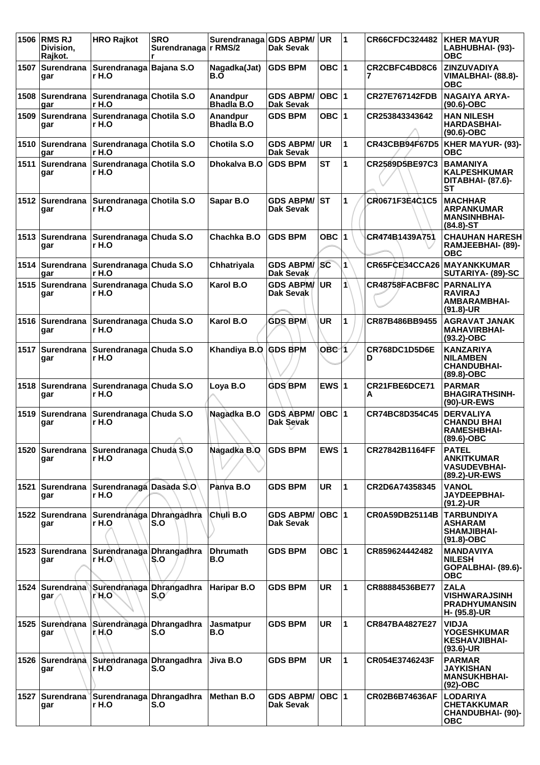|      | 1506 RMS RJ<br>Division,<br>Rajkot. | <b>HRO Rajkot</b>                                      | <b>SRO</b><br>Surendranaga   r RMS/2<br>r | Surendranaga                  | <b>GDS ABPM/</b><br>Dak Sevak        | <b>UR</b>        | 1            | <b>CR66CFDC324482</b> | <b>KHER MAYUR</b><br>LABHUBHAI- (93)-<br><b>OBC</b>                             |
|------|-------------------------------------|--------------------------------------------------------|-------------------------------------------|-------------------------------|--------------------------------------|------------------|--------------|-----------------------|---------------------------------------------------------------------------------|
| 1507 | <b>Surendrana</b><br>gar            | Surendranaga Bajana S.O<br>r H.O                       |                                           | Nagadka(Jat)<br>B.O           | <b>GDS BPM</b>                       | OBC $ 1$         |              | CR2CBFC4BD8C6         | <b>ZINZUVADIYA</b><br>VIMALBHAI- (88.8)-<br><b>OBC</b>                          |
| 1508 | gar                                 | Surendrana Surendranaga Chotila S.O<br>∣r H.O          |                                           | Anandpur<br><b>Bhadla B.O</b> | <b>GDS ABPM/</b><br><b>Dak Sevak</b> | OBC 1            |              | <b>CR27E767142FDB</b> | <b>NAGAIYA ARYA-</b><br>$(90.6)$ -OBC                                           |
| 1509 | gar                                 | Surendrana Surendranaga Chotila S.O<br>r H.O           |                                           | Anandpur<br><b>Bhadla B.O</b> | <b>GDS BPM</b>                       | OBC $ 1$         |              | CR253843343642        | <b>HAN NILESH</b><br><b>HARDASBHAI-</b><br>$(90.6)$ -OBC                        |
| 1510 | Surendrana<br>gar                   | Surendranaga Chotila S.O<br>r H.O                      |                                           | Chotila S.O                   | <b>GDS ABPM/</b><br>Dak Sevak        | <b>UR</b>        | 1            | CR43CBB94F67D5        | KHER MAYUR- (93)-<br><b>OBC</b>                                                 |
| 1511 | Surendrana<br>gar                   | Surendranaga Chotila S.O<br>r H.O                      |                                           | Dhokalva B.O                  | <b>GDS BPM</b>                       | <b>ST</b>        | 1            | CR2589D5BE97C3        | <b>BAMANIYA</b><br><b>KALPESHKUMAR</b><br>DITABHAI- (87.6)-<br><b>ST</b>        |
|      | gar                                 | 1512 Surendrana Surendranaga Chotila S.O<br>r H.O      |                                           | Sapar B.O                     | <b>GDS ABPM/</b><br>Dak Sevak        | <b>ST</b>        | 1            | CR0671F3E4C1C5        | <b>MACHHAR</b><br><b>ARPANKUMAR</b><br><b>MANSINHBHAI-</b><br>$(84.8) - ST$     |
|      | gar                                 | 1513 Surendrana Surendranaga Chuda S.O<br>r H.O        |                                           | Chachka B.O                   | <b>GDS BPM</b>                       | OBC $ 1$         |              | CR474B1439A751        | <b>CHAUHAN HARESH</b><br>RAMJEEBHAI- (89)-<br><b>OBC</b>                        |
| 1514 | gar                                 | Surendrana Surendranaga Chuda S.O<br>r H.O             |                                           | Chhatriyala                   | <b>GDS ABPM/</b><br>Dak Sevak        | SC               | $\mathbf{1}$ | CR65FCE34CCA26        | <b>MAYANKKUMAR</b><br>SUTARIYA- (89)-SC                                         |
|      | gar                                 | 1515 Surendrana Surendranaga Chuda S.O<br>r H.O        |                                           | Karol B.O                     | <b>GDS ABPM/</b><br>Dak Sevak        | <b>UR</b>        | 1            | CR48758FACBF8C        | <b>PARNALIYA</b><br><b>RAVIRAJ</b><br><b>AMBARAMBHAI-</b><br>$(91.8)$ -UR       |
|      | gar                                 | 1516   Surendrana   Surendranaga   Chuda S.O<br>r H.O  |                                           | Karol B.O                     | <b>GDS BPM</b>                       | <b>UR</b>        | 1            | CR87B486BB9455        | <b>AGRAVAT JANAK</b><br><b>MAHAVIRBHAI-</b><br>$(93.2)$ -OBC                    |
| 1517 | Surendrana<br>gar                   | Surendranaga Chuda S.O<br>r H.O                        |                                           | Khandiya B.O GDS BPM          |                                      | OBC <sub>1</sub> |              | CR768DC1D5D6E<br>D    | <b>KANZARIYA</b><br><b>NILAMBEN</b><br><b>CHANDUBHAI-</b><br>(89.8)-OBC         |
|      | gar                                 | 1518 Surendrana Surendranaga Chuda S.O<br>r H.O        |                                           | Loya B.O                      | <b>GDS BPM</b>                       | EWS $ 1$         |              | CR21FBE6DCE71<br>A    | <b>PARMAR</b><br><b>BHAGIRATHSINH-</b><br>(90)-UR-EWS                           |
|      | 1519 Surendrana<br>gar              | Surendranaga Chuda S.O<br>r H.O                        |                                           | Nagadka B.O                   | <b>GDS ABPM/</b><br>Dak Sevak        | $OBC$  1         |              | CR74BC8D354C45        | <b>DERVALIYA</b><br><b>CHANDU BHAI</b><br><b>RAMESHBHAI-</b><br>(89.6)-OBC      |
|      | gar                                 | 1520 Surendrana Surendranaga Chuda S.O<br>r H.O        |                                           | Nagadka B.O                   | <b>GDS BPM</b>                       | EWS $ 1$         |              | CR27842B1164FF        | <b>PATEL</b><br><b>ANKITKUMAR</b><br><b>VASUDEVBHAI-</b><br>(89.2)-UR-EWS       |
|      | gar                                 | 1521   Surendrana   Surendranaga   Dasada S.O<br>r H.O |                                           | Panya B.O                     | <b>GDS BPM</b>                       | UR.              | 1            | CR2D6A74358345        | VANOL<br><b>JAYDEEPBHAI-</b><br>$(91.2)$ -UR                                    |
|      | 1522 Surendrana<br>gar              | Surendranaga Dhrangadhra<br>r H.O                      | S.O                                       | Chuli B.O                     | <b>GDS ABPM/</b><br>Dak Sevak        | $OBC$  1         |              | CR0A59DB25114B        | <b>TARBUNDIYA</b><br><b>ASHARAM</b><br><b>SHAMJIBHAI-</b><br>$(91.8)-OBC$       |
|      | 1523 Surendrana<br>gar              | Surendranaga Dhrangadhra<br>r H.O                      | S.O                                       | <b>Dhrumath</b><br>B.O        | <b>GDS BPM</b>                       | OBC $ 1$         |              | CR859624442482        | <b>MANDAVIYA</b><br><b>NILESH</b><br>GOPALBHAI- (89.6)-<br><b>OBC</b>           |
|      | gar                                 | 1524 Surendrana Surendranaga Dhrangadhra<br>r H.O      | S.O                                       | Haripar B.O                   | <b>GDS BPM</b>                       | UR.              | $\mathbf{1}$ | CR88884536BE77        | <b>ZALA</b><br><b>VISHWARAJSINH</b><br><b>PRADHYUMANSIN</b><br>H- (95.8)-UR     |
|      | 1525 Surendrana<br>gar              | Surendranaga Dhrangadhra<br>ή H.O                      | S.O                                       | <b>Jasmatpur</b><br>B.O       | <b>GDS BPM</b>                       | <b>UR</b>        | $\mathbf{1}$ | CR847BA4827E27        | <b>VIDJA</b><br><b>YOGESHKUMAR</b><br><b>KESHAVJIBHAI-</b><br>$(93.6)$ -UR      |
|      | 1526 Surendrana<br>gar              | Surendranaga Dhrangadhra<br>r H.O                      | S.O                                       | Jiva B.O                      | <b>GDS BPM</b>                       | <b>UR</b>        | 1            | CR054E3746243F        | <b>PARMAR</b><br>JAYKISHAN<br><b>MANSUKHBHAI-</b><br>$(92)$ -OBC                |
|      | gar                                 | 1527 Surendrana Surendranaga Dhrangadhra<br>r H.O      | S.O                                       | Methan B.O                    | <b>GDS ABPM/</b><br>Dak Sevak        | OBC 1            |              | CR02B6B74636AF        | <b>LODARIYA</b><br><b>CHETAKKUMAR</b><br><b>CHANDUBHAI- (90)-</b><br><b>OBC</b> |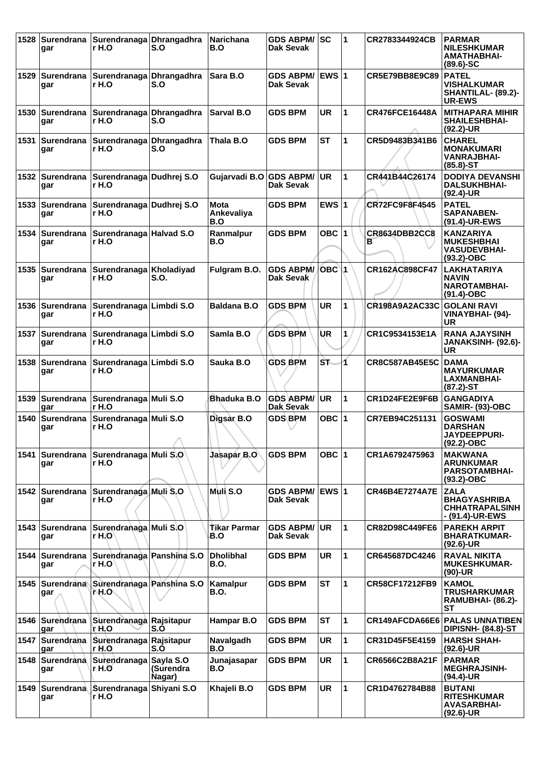|      | gar                    | 1528 Surendrana Surendranaga Dhrangadhra<br>r H.O        | S.O                 | Narichana<br>B.O          | <b>GDS ABPM/ SC</b><br>Dak Sevak |                  | $\mathbf 1$  | CR2783344924CB            | <b>PARMAR</b><br><b>NILESHKUMAR</b><br><b>AMATHABHAI-</b><br>$(89.6) - SC$     |
|------|------------------------|----------------------------------------------------------|---------------------|---------------------------|----------------------------------|------------------|--------------|---------------------------|--------------------------------------------------------------------------------|
|      | gar                    | 1529 Surendrana Surendranaga Dhrangadhra<br>r H.O        | S.O                 | <b>Sara B.O</b>           | GDS ABPM/ EWS 1<br>Dak Sevak     |                  |              | CR5E79BB8E9C89            | <b>PATEL</b><br><b>VISHALKUMAR</b><br>SHANTILAL- (89.2)-<br><b>UR-EWS</b>      |
| 1530 | gar                    | Surendrana Surendranaga Dhrangadhra<br>r H.O             | S.O                 | Sarval B.O                | <b>GDS BPM</b>                   | <b>UR</b>        | 1            | <b>CR476FCE16448A</b>     | <b>MITHAPARA MIHIR</b><br><b>SHAILESHBHAI-</b><br>$(92.2)$ -UR                 |
| 1531 | gar                    | Surendrana Surendranaga Dhrangadhra<br>r H.O             | S.O                 | Thala B.O                 | <b>GDS BPM</b>                   | <b>ST</b>        | 1            | CR5D9483B341B6            | <b>CHAREL</b><br><b>MONAKUMARI</b><br><b>VANRAJBHAI-</b><br>$(85.8) - ST$      |
|      | gar                    | 1532 Surendrana Surendranaga Dudhrej S.O<br>r H.O        |                     | Gujarvadi B.O GDS ABPM/   | Dak Sevak                        | <b>UR</b>        | 1            | CR441B44C26174            | <b>DODIYA DEVANSHI</b><br><b>DALSUKHBHAI-</b><br>$(92.4)$ -UR                  |
|      | 1533 Surendrana<br>gar | Surendranaga Dudhrej S.O<br>r H.O                        |                     | Mota<br>Ankevaliya<br>B.O | <b>GDS BPM</b>                   | EWS $ 1$         |              | <b>CR72FC9F8F4545</b>     | <b>PATEL</b><br><b>SAPANABEN-</b><br>(91.4)-UR-EWS                             |
|      | gar                    | 1534 Surendrana Surendranaga Halvad S.O<br>r H.O         |                     | Ranmalpur<br>B.O          | <b>GDS BPM</b>                   | OBC $ 1 $        |              | <b>CR8634DBB2CC8</b><br>в | <b>KANZARIYA</b><br><b>MUKESHBHAI</b><br><b>VASUDEVBHAI-</b><br>$(93.2)$ -OBC  |
|      | gar                    | 1535   Surendrana   Surendranaga   Kholadiyad<br>r H.O   | S.O.                | Fulgram B.O.              | <b>GDS ABPM/</b><br>Dak Sevak    | OBC <sup>1</sup> |              | CR162AC898CF47            | <b>LAKHATARIYA</b><br><b>NAVIN</b><br><b>NAROTAMBHAI-</b><br>$(91.4)-OBC$      |
|      | 1536 Surendrana<br>gar | Surendranaga Limbdi S.O<br>r H.O                         |                     | <b>Baldana B.O</b>        | <b>GDS BPM</b>                   | <b>UR</b>        | 1            | <b>CR198A9A2AC33C</b>     | <b>GOLANI RAVI</b><br>VINAYBHAI- (94)-<br>UR                                   |
| 1537 | Surendrana<br>gar      | Surendranaga Limbdi S.O<br>r H.O                         |                     | Samla B.O                 | <b>GDS BPM</b>                   | ÙR               | 1            | CR1C9534153E1A            | <b>RANA AJAYSINH</b><br>JANAKSINH- (92.6)-<br>UR                               |
|      | 1538 Surendrana<br>gar | Surendranaga Limbdi S.O<br>r H.O                         |                     | Sauka B.O                 | <b>GDS BPM</b>                   | ST.              | 4            | <b>CR8C587AB45E5C</b>     | <b>DAMA</b><br><b>MAYURKUMAR</b><br><b>LAXMANBHAI-</b><br>$(87.2)$ -ST         |
|      | gar                    | 1539   Surendrana   Surendranaga   Muli S.O<br>r H.O     |                     | Bhaduka B.O               | <b>GDS ABPM/</b><br>Dak Sevak    | <b>UR</b>        | 1            | CR1D24FE2E9F6B            | <b>GANGADIYA</b><br><b>SAMIR- (93)-OBC</b>                                     |
| 1540 | gar                    | Surendrana Surendranaga Muli S.O<br>r H.O                | ↗                   | Digsar B.O                | <b>GDS BPM</b>                   | OBC 1            |              | CR7EB94C251131            | <b>GOSWAMI</b><br><b>DARSHAN</b><br><b>JAYDEEPPURI-</b><br>(92.2)-OBC          |
|      | gar                    | 1541   Surendrana   Surendranaga   Muli S.O<br>r H.O     |                     | Jasapar B.O               | <b>GDS BPM</b>                   | OBC $ 1$         |              | CR1A6792475963            | <b>MAKWANA</b><br><b>ARUNKUMAR</b><br><b>PARSOTAMBHAI-</b><br>$(93.2)$ -OBC    |
|      | gar                    | 1542 Surendrana Surendranaga Muli S.O<br>r H.O           |                     | Muli S.O                  | <b>GDS ABPM/</b><br>Dak Sevak    | EWS 1            |              | <b>CR46B4E7274A7E</b>     | <b>ZALA</b><br><b>BHAGYASHRIBA</b><br><b>CHHATRAPALSINH</b><br>- (91.4)-UR-EWS |
|      | gar                    | 1543   Surendrana   Surendranaga   Muli S.O<br>r H.O     |                     | Tikar Parmar<br>B.O       | <b>GDS ABPM/</b><br>Dak Sevak    | <b>UR</b>        | 1            | CR82D98C449FE6            | <b>PAREKH ARPIT</b><br><b>BHARATKUMAR-</b><br>$(92.6)$ -UR                     |
|      | gar                    | 1544   Surendrana   Surendranaga   Panshina S.O<br>r H.O |                     | <b>Dholibhal</b><br>B.O.  | <b>GDS BPM</b>                   | <b>UR</b>        | $\mathbf{1}$ | CR645687DC4246            | <b>RAVAL NIKITA</b><br><b>MUKESHKUMAR-</b><br>$(90)-UR$                        |
|      | gar                    | 1545   Surendrana   Surendranaga   Panshina S.O<br>MH.O∖ |                     | Kamalpur<br>B.O.          | <b>GDS BPM</b>                   | <b>ST</b>        | 1            | CR58CF17212FB9            | <b>KAMOL</b><br><b>TRUSHARKUMAR</b><br><b>RAMUBHAI- (86.2)-</b><br><b>ST</b>   |
|      | gar                    | 1546 Surendrana Surendranaga Rajsitapur<br>lr H.O        | S.O                 | Hampar B.O                | <b>GDS BPM</b>                   | <b>ST</b>        | 1            | CR149AFCDA66E6            | <b>PALAS UNNATIBEN</b><br><b>DIPISNH- (84.8)-ST</b>                            |
|      | gar                    | 1547 Surendrana Surendranaga Rajsitapur<br>r H.O         | S.O                 | Navalgadh<br>B.O          | <b>GDS BPM</b>                   | <b>UR</b>        | 1            | CR31D45F5E4159            | <b>HARSH SHAH-</b><br>$(92.6)$ -UR                                             |
|      | gar                    | 1548 Surendrana Surendranaga Sayla S.O<br>∣r H.O         | (Surendra<br>Nagar) | Junajasapar<br>B.O        | <b>GDS BPM</b>                   | <b>UR</b>        | 1            | CR6566C2B8A21F            | <b>PARMAR</b><br><b>MEGHRAJSINH-</b><br>(94.4)-UR                              |
| 1549 | gar                    | Surendrana Surendranaga<br>r H.O                         | Shiyani S.O         | Khajeli B.O               | <b>GDS BPM</b>                   | <b>UR</b>        | 1            | CR1D4762784B88            | <b>BUTANI</b><br><b>RITESHKUMAR</b><br><b>AVASARBHAI-</b><br>(92.6)-UR         |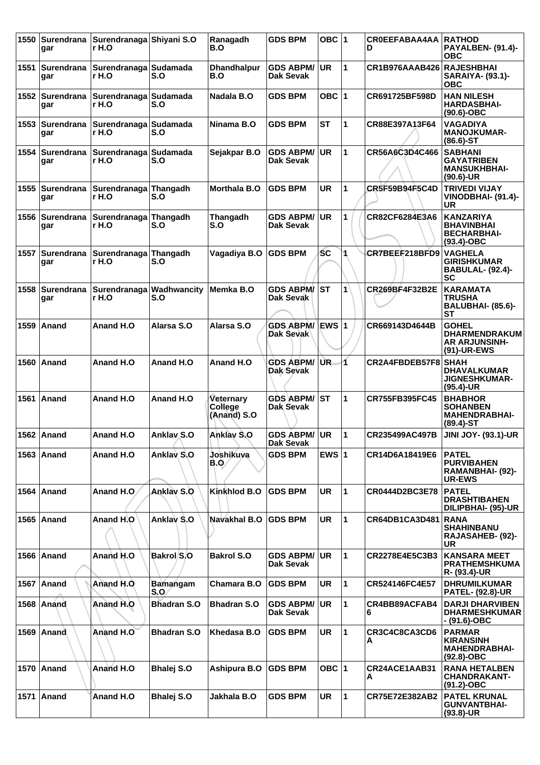| 1550 | Surendrana<br>gar        | Surendranaga Shiyani S.O<br>r H.O |                                 | Ranagadh<br>B.O                            | <b>GDS BPM</b>                   | OBC $ 1$      |   | <b>CROEEFABAA4AA</b><br>D | <b>RATHOD</b><br>PAYALBEN- (91.4)-<br>ОВС                                    |
|------|--------------------------|-----------------------------------|---------------------------------|--------------------------------------------|----------------------------------|---------------|---|---------------------------|------------------------------------------------------------------------------|
| 1551 | ∣Surendrana<br>gar       | Surendranaga Sudamada<br>r H.O    | S.O                             | <b>Dhandhalpur</b><br>B.O                  | <b>GDS ABPM/</b><br>Dak Sevak    | <b>UR</b>     | 1 | CR1B976AAAB426            | <b>RAJESHBHAI</b><br><b>SARAIYA- (93.1)-</b><br>ОВС                          |
| 1552 | Surendrana<br>gar        | Surendranaga Sudamada<br>r H.O    | S.O                             | Nadala B.O                                 | GDS BPM                          | OBC ∣1        |   | CR691725BF598D            | <b>HAN NILESH</b><br><b>HARDASBHAI-</b><br>$(90.6)$ -OBC                     |
| 1553 | Surendrana<br>gar        | Surendranaga Sudamada<br>r H.O    | S.O                             | Ninama B.O                                 | <b>GDS BPM</b>                   | <b>ST</b>     | 1 | CR88E397A13F64            | <b>VAGADIYA</b><br><b>MANOJKUMAR-</b><br>$(86.6)$ -ST                        |
| 1554 | Surendrana<br>gar        | Surendranaga Sudamada<br>r H.O    | S.O                             | Sejakpar B.O                               | <b>GDS ABPM/</b><br>Dak Sevak    | <b>UR</b>     | 1 | CR56A6C3D4C466            | <b>SABHANI</b><br><b>GAYATRIBEN</b><br><b>MANSUKHBHAI-</b><br>$(90.6)$ -UR   |
| 1555 | <b>Surendrana</b><br>gar | Surendranaga Thangadh<br>r H.O    | S.O                             | <b>Morthala B.O</b>                        | GDS BPM                          | <b>UR</b>     | 1 | <b>CR5F59B94F5C4D</b>     | <b>TRIVEDI VIJAY</b><br>VINODBHAI- (91.4)-<br>UR                             |
| 1556 | Surendrana<br>gar        | Surendranaga Thangadh<br>r H.O    | S.O                             | Thangadh<br>S.O                            | <b>GDS ABPM/</b><br>Dak Sevak    | UR.           | 1 | CR82CF6284E3A6            | <b>KANZARIYA</b><br><b>BHAVINBHAI</b><br><b>BECHARBHAI-</b><br>$(93.4)$ -OBC |
| 1557 | <b>Surendrana</b><br>gar | Surendranaga Thangadh<br>r H.O    | S.O                             | Vagadiya B.O                               | <b>GDS BPM</b>                   | <b>SC</b>     |   | CR7BEEF218BFD9            | <b>VAGHELA</b><br><b>GIRISHKUMAR</b><br><b>BABULAL- (92.4)-</b><br>SC        |
| 1558 | Surendrana<br>gar        | r H.O                             | Surendranaga Wadhwancity<br>S.O | Memka B.O                                  | <b>GDS ABPM/ ST</b><br>Dak Sevak |               | 1 | CR269BF4F32B2E            | <b>KARAMATA</b><br>TRUSHA<br>BALUBHAI- (85.6)-<br><b>ST</b>                  |
|      | 1559 Anand               | Anand H.O                         | Alarsa S.O                      | Alarsa S.O                                 | <b>GDS ABPM/</b><br>Dak Sevak    | ∖EWS ∣1       |   | CR669143D4644B            | <b>GOHEL</b><br><b>DHARMENDRAKUM</b><br><b>AR ARJUNSINH-</b><br>(91)-UR-EWS  |
| 1560 | ∣Anand                   | Anand H.O                         | Anand H.O                       | Anand H.O                                  | <b>GDS ABPM/</b><br>Dak Sevak    | UR.           | 4 | CR2A4FBDEB57F8            | <b>SHAH</b><br><b>DHAVALKUMAR</b><br><b>JIGNESHKUMAR-</b><br>$(95.4)$ -UR    |
| 1561 | ∣Anand                   | Anand H.O                         | Anand H.O                       | <b>Veternary</b><br>College<br>(Anand) S.O | GDS ABPM/ST<br>Dak Sevak         |               | 1 | CR755FB395FC45            | <b>BHABHOR</b><br><b>SOHANBEN</b><br><b>MAHENDRABHAI-</b><br>(89.4)-ST       |
|      | 1562 Anand               | Anand H.O                         | <b>Anklav S.O</b>               | Anklay S.O                                 | <b>GDS ABPM/</b><br>Dak Sevak    | <b>UR</b>     | 1 | CR235499AC497B            | <b>JINI JOY- (93.1)-UR</b>                                                   |
|      | 1563   Anand             | Anand H.O                         | Anklay S.O                      | Joshikuya<br>B.Q/                          | <b>GDS BPM</b>                   | <b>EWS 11</b> |   | CR14D6A18419E6            | <b>PATEL</b><br><b>PURVIBAHEN</b><br>RAMANBHAI- (92)-<br><b>UR-EWS</b>       |
|      | 1564 Anand               | Anand H.O.                        | Anklay S.O                      | Kinkhlod B.O                               | <b>GDS BPM</b>                   | <b>UR</b>     | 1 | CR0444D2BC3E78            | <b>PATEL</b><br><b>DRASHTIBAHEN</b><br>DILIPBHAI- (95)-UR                    |
|      | 1565 Anand               | Anand H.O                         | Anklay S.O                      | Navakhal B.O                               | <b>GDS BPM</b>                   | <b>UR</b>     | 1 | CR64DB1CA3D481            | <b>RANA</b><br><b>SHAHINBANU</b><br>RAJASAHEB- (92)-<br>UR                   |
|      | 1566 Anand               | Anand H.O                         | Bakrol S.O                      | <b>Bakrol S.O</b>                          | <b>GDS ABPM/</b><br>Dak Sevak    | <b>UR</b>     | 1 | CR2278E4E5C3B3            | <b>KANSARA MEET</b><br><b>PRATHEMSHKUMA</b><br>R- (93.4)-UR                  |
|      | 1567 Anand               | Anand H.O                         | Bamangam<br>S.O                 | Chamara B.O                                | <b>GDS BPM</b>                   | <b>UR</b>     | 1 | CR524146FC4E57            | <b>DHRUMILKUMAR</b><br><b>PATEL- (92.8)-UR</b>                               |
|      | 1568 Anand               | Anand H.O                         | <b>Bhadran S.O</b>              | <b>Bhadran S.O</b>                         | <b>GDS ABPM/</b><br>Dak Sevak    | <b>UR</b>     | 1 | CR4BB89ACFAB4<br>6        | <b>DARJI DHARVIBEN</b><br><b>DHARMESHKUMAR</b><br>- (91.6)-OBC               |
|      | 1569 Anand               | Anand H.O                         | <b>Bhadran S.O</b>              | Khedasa B.O                                | <b>GDS BPM</b>                   | <b>UR</b>     | 1 | CR3C4C8CA3CD6<br>A        | <b>PARMAR</b><br><b>KIRANSINH</b><br><b>MAHENDRABHAI-</b><br>$(92.8)-OBC$    |
|      | 1570   Anand             | Anand H.O                         | <b>Bhalej S.O</b>               | Ashipura B.O                               | <b>GDS BPM</b>                   | OBC 1         |   | CR24ACE1AAB31<br>A        | <b>RANA HETALBEN</b><br><b>CHANDRAKANT-</b><br>$(91.2) - OBC$                |
|      | 1571   Anand             | Anand H.O                         | <b>Bhalej S.O</b>               | Jakhala B.O                                | <b>GDS BPM</b>                   | <b>UR</b>     | 1 | CR75E72E382AB2            | <b>PATEL KRUNAL</b><br><b>GUNVANTBHAI-</b><br>(93.8)-UR                      |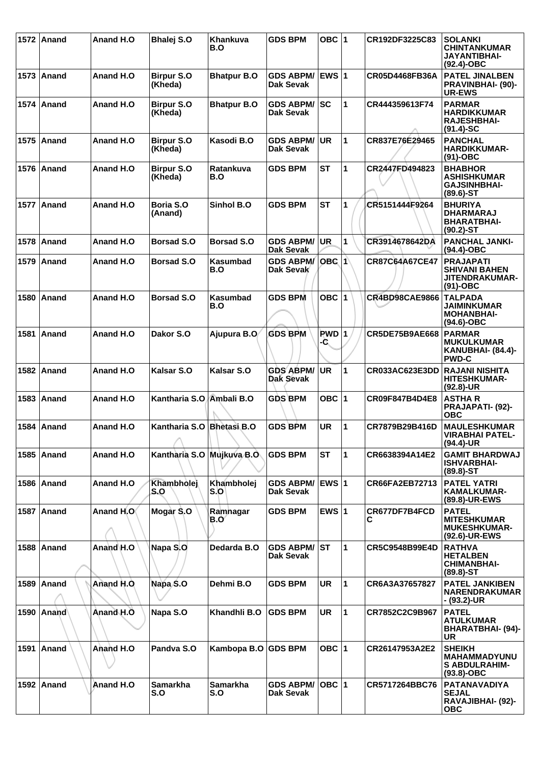|      | 1572 Anand   | Anand H.O | Bhalej S.O                   | <b>Khankuva</b><br>B.O  | <b>GDS BPM</b>                       | OBC 1                          |              | CR192DF3225C83        | <b>SOLANKI</b><br><b>CHINTANKUMAR</b><br>JAYANTIBHAI-<br>$(92.4)$ -OBC          |
|------|--------------|-----------|------------------------------|-------------------------|--------------------------------------|--------------------------------|--------------|-----------------------|---------------------------------------------------------------------------------|
|      | 1573 Anand   | Anand H.O | <b>Birpur S.O</b><br>(Kheda) | <b>Bhatpur B.O</b>      | <b>GDS ABPM/</b><br>Dak Sevak        | <b>IEWS 1</b>                  |              | CR05D4468FB36A        | <b>PATEL JINALBEN</b><br><b>PRAVINBHAI- (90)-</b><br><b>UR-EWS</b>              |
|      | 1574   Anand | Anand H.O | <b>Birpur S.O</b><br>(Kheda) | <b>Bhatpur B.O</b>      | <b>GDS ABPM/</b><br><b>Dak Sevak</b> | SC                             | 1            | CR444359613F74        | <b>PARMAR</b><br><b>HARDIKKUMAR</b><br><b>RAJESHBHAI-</b><br>$(91.4)-SC$        |
|      | 1575 Anand   | Anand H.O | <b>Birpur S.O</b><br>(Kheda) | Kasodi B.O              | <b>GDS ABPM/</b><br>Dak Sevak        | UR                             | 1            | CR837E76E29465        | <b>PANCHAL</b><br><b>HARDIKKUMAR-</b><br>$(91)-OBC$                             |
|      | 1576   Anand | Anand H.O | <b>Birpur S.O</b><br>(Kheda) | <b>Ratankuva</b><br>B.O | <b>GDS BPM</b>                       | <b>ST</b>                      | 1            | CR2447FD494823        | <b>BHABHOR</b><br><b>ASHISHKUMAR</b><br><b>GAJSINHBHAI-</b><br>$(89.6) - ST$    |
|      | 1577 Anand   | Anand H.O | Boria S.O<br>(Anand)         | Sinhol B.O              | <b>GDS BPM</b>                       | <b>ST</b>                      | 1            | CR5151444F9264        | <b>BHURIYA</b><br><b>DHARMARAJ</b><br><b>BHARATBHAI-</b><br>$(90.2)$ -ST        |
| 1578 | Anand        | Anand H.O | <b>Borsad S.O</b>            | <b>Borsad S.O</b>       | <b>GDS ABPM/</b><br><b>Dak Sevak</b> | <b>UR</b>                      | 1            | CR3914678642DA        | <b>PANCHAL JANKI-</b><br>(94.4)-OBC                                             |
| 1579 | <b>Anand</b> | Anand H.O | <b>Borsad S.O</b>            | <b>Kasumbad</b><br>B.O  | <b>GDS ABPM/</b><br>Dak Sevak        | <b>OBC 1</b>                   |              | CR87C64A67CE47        | <b>PRAJAPATI</b><br><b>SHIVANI BAHEN</b><br><b>JITENDRAKUMAR-</b><br>$(91)-OBC$ |
| 1580 | ∣Anand       | Anand H.O | <b>Borsad S.O</b>            | <b>Kasumbad</b><br>B.O  | <b>GDS BPM</b>                       | OBC 1                          |              | <b>CR4BD98CAE9866</b> | <b>TALPADA</b><br>JAIMINKUMAR<br><b>MOHANBHAI-</b><br>$(94.6)$ -OBC             |
|      | 1581 Anand   | Anand H.O | Dakor S.O                    | Ajupura B.O             | <b>GDS BPM</b>                       | <b>PWD</b> <sub>1</sub><br>-C. |              | <b>CR5DE75B9AE668</b> | <b>PARMAR</b><br><b>MUKULKUMAR</b><br>KANUBHAI- (84.4)-<br><b>PWD-C</b>         |
|      | 1582 Anand   | Anand H.O | <b>Kalsar S.O</b>            | <b>Kalsar S.O</b>       | <b>GDS ABPM/</b><br><b>Dak Sevak</b> | UR                             | 1            | CR033AC623E3DD        | <b>RAJANI NISHITA</b><br><b>HITESHKUMAR-</b><br>(92.8)-UR                       |
| 1583 | ∣Anand       | Anand H.O | Kantharia S.O. Ambali B.O    |                         | <b>GDS BPM</b>                       | OBC ∣1                         |              | CR09F847B4D4E8        | <b>ASTHAR</b><br><b>PRAJAPATI- (92)-</b><br><b>OBC</b>                          |
| 1584 | Anand        | Anand H.O | Kantharia S.O<br>A           | <b>Bhetasi B.O</b>      | <b>GDS BPM</b>                       | <b>UR</b>                      | 1            | CR7879B29B416D        | <b>MAULESHKUMAR</b><br><b>VIRABHAI PATEL-</b><br>$(94.4)$ -UR                   |
|      | 1585 Anand   | Anand H.O | Kantharia S.O Mujkuva B.O    |                         | <b>GDS BPM</b>                       | <b>ST</b>                      | 1            | CR6638394A14E2        | <b>GAMIT BHARDWAJ</b><br><b>ISHVARBHAI-</b><br>$(89.8) - ST$                    |
|      | 1586 Anand   | Anand H.O | Khambholej<br>S.O            | Khambholej<br>S.OI      | <b>GDS ABPM/</b><br><b>Dak Sevak</b> | <b>EWS 1</b>                   |              | CR66FA2EB72713        | <b>PATEL YATRI</b><br><b>KAMALKUMAR-</b><br>(89.8)-UR-EWS                       |
|      | 1587 Anand   | Anand H.O | Mogar S.O                    | Ramhagar<br>B.Oʻ        | <b>GDS BPM</b>                       | EWS $ 1$                       |              | CR677DF7B4FCD<br>С    | <b>PATEL</b><br><b>MITESHKUMAR</b><br><b>MUKESHKUMAR-</b><br>(92.6)-UR-EWS      |
|      | 1588 Anand   | Anand H.O | Napa S.O                     | Dedarda B.O             | <b>GDS ABPM/</b><br>Dak Sevak        | <b>ST</b>                      | 1            | CR5C9548B99E4D        | <b>RATHVA</b><br><b>HETALBEN</b><br><b>CHIMANBHAI-</b><br>$(89.8) - ST$         |
|      | 1589 Anand   | Anand H.O | Napa S.O                     | Dehmi B.O               | <b>GDS BPM</b>                       | <b>UR</b>                      | 1            | CR6A3A37657827        | <b>PATEL JANKIBEN</b><br><b>NARENDRAKUMAR</b><br>- (93.2)-UR                    |
|      | 1590   Anand | Anand H.O | Napa S.O                     | Khandhli B.O            | <b>GDS BPM</b>                       | <b>UR</b>                      | $\mathbf{1}$ | CR7852C2C9B967        | <b>PATEL</b><br><b>ATULKUMAR</b><br>BHARATBHAI- (94)-<br><b>UR</b>              |
|      | 1591 Anand   | Anand H.O | Pandva S.O                   | Kambopa B.O GDS BPM     |                                      | OBC $ 1$                       |              | CR26147953A2E2        | <b>SHEIKH</b><br><b>MAHAMMADYUNU</b><br><b>S ABDULRAHIM-</b><br>$(93.8)-OBC$    |
|      | 1592 Anand   | Anand H.O | <b>Samarkha</b><br>S.O       | <b>Samarkha</b><br>S.O  | <b>GDS ABPM/</b><br>Dak Sevak        | OBC $ 1$                       |              | CR5717264BBC76        | <b>PATANAVADIYA</b><br><b>SEJAL</b><br>RAVAJIBHAI- (92)-<br><b>OBC</b>          |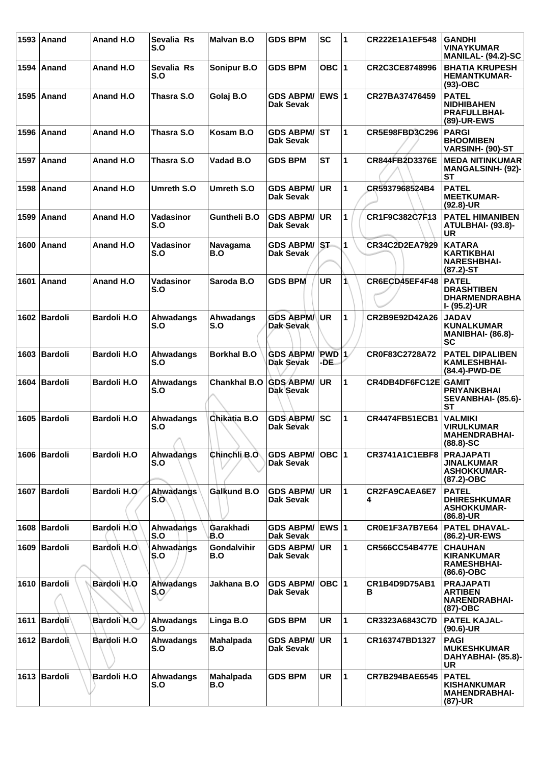|      | 1593   Anand   | Anand H.O          | Sevalia Rs<br>S.O       | <b>Malvan B.O</b>         | <b>GDS BPM</b>                   | SC               | $\overline{1}$ | CR222E1A1EF548        | <b>GANDHI</b><br><b>VINAYKUMAR</b><br>MANILAL- (94.2)-SC                     |
|------|----------------|--------------------|-------------------------|---------------------------|----------------------------------|------------------|----------------|-----------------------|------------------------------------------------------------------------------|
|      | 1594   Anand   | Anand H.O          | Sevalia Rs<br>S.O       | Sonipur B.O               | <b>GDS BPM</b>                   | OBC 1            |                | CR2C3CE8748996        | <b>BHATIA KRUPESH</b><br><b>HEMANTKUMAR-</b><br>$(93)-OBC$                   |
|      | 1595 Anand     | Anand H.O          | Thasra S.O              | Golaj B.O                 | <b>GDS ABPM/</b><br>Dak Sevak    | <b>EWS 1</b>     |                | CR27BA37476459        | <b>PATEL</b><br><b>NIDHIBAHEN</b><br><b>PRAFULLBHAI-</b><br>(89)-UR-EWS      |
|      | 1596 Anand     | Anand H.O          | Thasra S.O              | Kosam B.O                 | <b>GDS ABPM/</b><br>Dak Sevak    | IST              | 1              | CR5E98FBD3C296        | <b>PARGI</b><br><b>BHOOMIBEN</b><br>VARSINH- (90)-ST                         |
|      | 1597   Anand   | Anand H.O          | Thasra S.O              | Vadad B.O                 | <b>GDS BPM</b>                   | SТ               | 1              | CR844FB2D3376E        | <b>MEDA NITINKUMAR</b><br><b>MANGALSINH- (92)-</b><br><b>ST</b>              |
|      | 1598   Anand   | Anand H.O          | Umreth S.O              | Umreth S.O                | <b>GDS ABPM/</b><br>Dak Sevak    | <b>UR</b>        | 1              | CR5937968524B4        | <b>PATEL</b><br><b>MEETKUMAR-</b><br>$(92.8)$ -UR                            |
|      | 1599 Anand     | Anand H.O          | Vadasinor<br>S.O        | <b>Guntheli B.O</b>       | <b>GDS ABPM/</b><br>Dak Sevak    | <b>UR</b>        | 1              | CR1F9C382C7F13        | <b>PATEL HIMANIBEN</b><br>ATULBHAI- (93.8)-<br>UR                            |
|      | 1600 Anand     | <b>Anand H.O.</b>  | Vadasinor<br>S.O        | Navagama<br>B.O           | <b>GDS ABPM/ ST</b><br>Dak Sevak |                  | $\mathbf{1}$   | CR34C2D2EA7929        | <b>KATARA</b><br><b>KARTIKBHAI</b><br><b>NARESHBHAI-</b><br>$(87.2)$ -ST     |
|      | 1601 Anand     | Anand H.O          | Vadasinor<br>S.O        | Saroda B.O                | <b>GDS BPM</b>                   | <b>UR</b>        | 1              | CR6ECD45EF4F48        | <b>PATEL</b><br><b>DRASHTIBEN</b><br><b>DHARMENDRABHA</b><br>I- (95.2)-UR    |
|      | 1602 Bardoli   | <b>Bardoli H.O</b> | Ahwadangs<br>S.O        | Ahwadangs<br>S.O          | <b>GDS ABPM/</b><br>Dak Sevak    | <b>UR</b>        | 1              | CR2B9E92D42A26        | <b>JADAV</b><br><b>KUNALKUMAR</b><br><b>MANIBHAI- (86.8)-</b><br><b>SC</b>   |
|      | 1603 Bardoli   | <b>Bardoli H.O</b> | Ahwadangs<br>S.O        | <b>Borkhal B.O</b>        | <b>GDS ABPM/</b><br>Dak Sevak    | $PWD$  1<br>-DE. |                | CR0F83C2728A72        | <b>PATEL DIPALIBEN</b><br><b>KAMLESHBHAI-</b><br>(84.4)-PWD-DE               |
| 1604 | <b>Bardoli</b> | <b>Bardoli H.O</b> | Ahwadangs<br>S.O        | <b>Chankhal B.O</b>       | <b>GDS ABPM/</b><br>Dak Sevak    | <b>UR</b>        | 1              | CR4DB4DF6FC12E GAMIT  | <b>PRIYANKBHAI</b><br>SEVANBHAI- (85.6)-<br><b>ST</b>                        |
|      | 1605 Bardoli   | <b>Bardoli H.O</b> | Ahwadangs<br>S.O<br>⌒   | Chikatia B.O              | <b>GDS ABPM/</b><br>Dak Sevak    | lsc              | 1              | <b>CR4474FB51ECB1</b> | <b>VALMIKI</b><br><b>VIRULKUMAR</b><br><b>MAHENDRABHAI-</b><br>(88.8)-SC     |
|      | 1606   Bardoli | <b>Bardoli H.O</b> | Ahwadangs<br>S.O        | Chinchli B.O              | <b>GDS ABPM/</b><br>Dak Sevak    | $OBC$  1         |                | <b>CR3741A1C1EBF8</b> | <b>PRAJAPATI</b><br><b>JINALKUMAR</b><br><b>ASHOKKUMAR-</b><br>$(87.2)$ -OBC |
|      | 1607 Bardoli   | Bardoli H.O        | <b>Ahwadangs</b><br>S.O | Galkund B.O               | <b>GDS ABPM/</b><br>Dak Sevak    | <b>UR</b>        | 1              | CR2FA9CAEA6E7<br>4    | <b>PATEL</b><br><b>DHIRESHKUMAR</b><br><b>ASHOKKUMAR-</b><br>$(86.8)$ -UR    |
|      | 1608 Bardoli   | <b>Bardoli H.O</b> | Ahwadangs<br>S.O        | Garakhadi<br>B.O          | <b>GDS ABPM/</b><br>Dak Sevak    | ∣EWS ∣1          |                | CR0E1F3A7B7E64        | <b>PATEL DHAVAL-</b><br>(86.2)-UR-EWS                                        |
|      | 1609 Bardoli   | Bardoli H.O        | Ahwadangs<br>S.O        | <b>Gondalvihir</b><br>B.O | <b>GDS ABPM/</b><br>Dak Sevak    | <b>UR</b>        | $\mathbf{1}$   | <b>CR566CC54B477E</b> | <b>CHAUHAN</b><br><b>KIRANKUMAR</b><br><b>RAMESHBHAI-</b><br>$(86.6)$ -OBC   |
|      | 1610 Bardoli   | Bardoli H.O        | Ahwadangs<br>$S_2O$     | Jakhana B.O               | <b>GDS ABPM/</b><br>Dak Sevak    | OBC  1           |                | CR1B4D9D75AB1<br>в    | <b>PRAJAPATI</b><br><b>ARTIBEN</b><br>NARENDRABHAI-<br>(87)-OBC              |
|      | 1611 Bardoli   | Bardoli H.O        | Ahwadangs<br>S.O        | Linga B.O                 | <b>GDS BPM</b>                   | <b>UR</b>        | $\mathbf{1}$   | CR3323A6843C7D        | <b>PATEL KAJAL-</b><br>$(90.6)$ -UR                                          |
|      | 1612 Bardoli   | Bardoli H.O        | Ahwadangs<br>S.O        | <b>Mahalpada</b><br>B.O   | <b>GDS ABPM/</b><br>Dak Sevak    | <b>UR</b>        | 1              | CR163747BD1327        | <b>PAGI</b><br><b>MUKESHKUMAR</b><br>DAHYABHAI- (85.8)-<br><b>UR</b>         |
|      | 1613 Bardoli   | <b>Bardoli H.O</b> | Ahwadangs<br>S.O        | <b>Mahalpada</b><br>B.O   | <b>GDS BPM</b>                   | <b>UR</b>        | 1              | <b>CR7B294BAE6545</b> | <b>PATEL</b><br><b>KISHANKUMAR</b><br><b>MAHENDRABHAI-</b><br>(87)-UR        |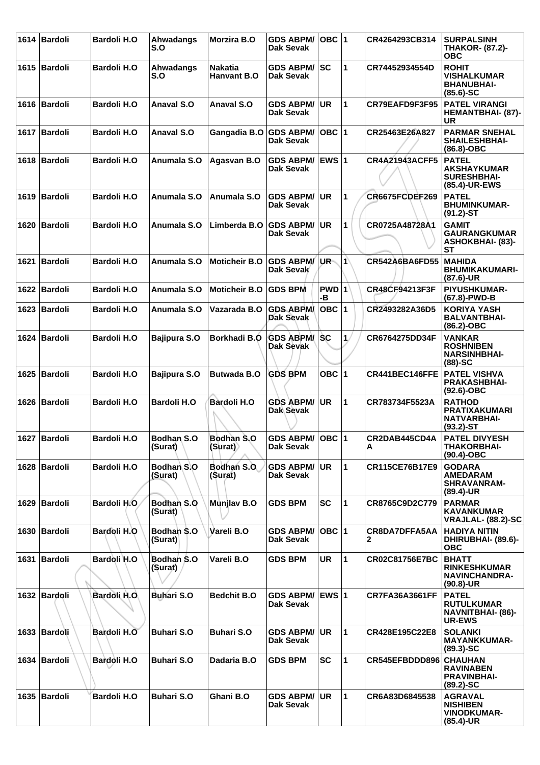|      | 1614   Bardoli | <b>Bardoli H.O</b>  | Ahwadangs<br>S.O                 | <b>Morzira B.O</b>            | <b>GDS ABPM/</b><br>Dak Sevak        | OBC  1        |              | CR4264293CB314        | <b>SURPALSINH</b><br><b>THAKOR- (87.2)-</b><br><b>OBC</b>                      |
|------|----------------|---------------------|----------------------------------|-------------------------------|--------------------------------------|---------------|--------------|-----------------------|--------------------------------------------------------------------------------|
|      | 1615 Bardoli   | <b>Bardoli H.O</b>  | Ahwadangs<br>S.O                 | Nakatia<br><b>Hanvant B.O</b> | <b>GDS ABPM/</b><br>Dak Sevak        | <b>SC</b>     | 1            | CR74452934554D        | <b>ROHIT</b><br><b>VISHALKUMAR</b><br><b>BHANUBHAI-</b><br>$(85.6)$ -SC        |
|      | 1616 Bardoli   | <b>Bardoli H.O</b>  | Anaval S.O                       | <b>Anaval S.O</b>             | <b>GDS ABPM/</b><br>Dak Sevak        | <b>UR</b>     | $\mathbf{1}$ | CR79EAFD9F3F95        | <b>PATEL VIRANGI</b><br><b>HEMANTBHAI- (87)-</b><br>UR                         |
|      | 1617 Bardoli   | <b>Bardoli H.O</b>  | <b>Anaval S.O</b>                | Gangadia B.O                  | <b>GDS ABPM/</b><br>Dak Sevak        | $OBC$  1      |              | CR25463E26A827        | <b>PARMAR SNEHAL</b><br><b>SHAILESHBHAI-</b><br>$(86.8)-OBC$                   |
|      | 1618 Bardoli   | <b>Bardoli H.O</b>  | Anumala S.O                      | Agasvan B.O                   | <b>GDS ABPM/</b><br>Dak Sevak        | EWS $\vert$ 1 |              | <b>CR4A21943ACFF5</b> | <b>PATEL</b><br><b>AKSHAYKUMAR</b><br><b>SURESHBHAI-</b><br>(85.4)-UR-EWS      |
|      | 1619 Bardoli   | <b>Bardoli H.O</b>  | Anumala S.O                      | Anumala S.O                   | <b>GDS ABPM/</b><br>Dak Sevak        | <b>UR</b>     | 1            | <b>CR6675FCDEF269</b> | <b>PATEL</b><br><b>BHUMINKUMAR-</b><br>$(91.2) - ST$                           |
|      | 1620   Bardoli | <b>Bardoli H.O</b>  | Anumala S.O                      | Limberda B.O                  | <b>GDS ABPM/</b><br>Dak Sevak        | <b>UR</b>     | 1            | CR0725A48728A1        | <b>GAMIT</b><br><b>GAURANGKUMAR</b><br><b>ASHOKBHAI- (83)-</b><br><b>ST</b>    |
|      | 1621 Bardoli   | <b>Bardoli H.O</b>  | Anumala S.O                      | <b>Moticheir B.O</b>          | <b>GDS ABPM/</b><br>Dak Sevak        | UR-           | Iń           | CR542A6BA6FD55        | <b>MAHIDA</b><br><b>BHUMIKAKUMARI-</b><br>$(87.6)$ -UR                         |
|      | 1622 Bardoli   | <b>Bardoli H.O</b>  | Anumala S.O                      | <b>Moticheir B.O</b>          | <b>GDS BPM</b>                       | PWD 1<br>-В   |              | CR48CF94213F3F        | <b>PIYUSHKUMAR-</b><br>(67.8)-PWD-B                                            |
|      | 1623 Bardoli   | <b>Bardoli H.O</b>  | Anumala S.O                      | Vazarada B.O                  | <b>GDS ABPM/</b><br><b>Dak Sevak</b> | $OBC$  1      |              | CR2493282A36D5        | <b>KORIYA YASH</b><br><b>BALVANTBHAI-</b><br>$(86.2)$ -OBC                     |
|      | 1624 Bardoli   | <b>Bardoli H.O</b>  | <b>Bajipura S.O</b>              | Borkhadi B.O                  | <b>GDS ABPM/ SC</b><br>Dak Sevak     |               | 1/           | CR6764275DD34F        | <b>VANKAR</b><br><b>ROSHNIBEN</b><br><b>NARSINHBHAI-</b><br>$(88)$ -SC         |
| 1625 | <b>Bardoli</b> | <b>Bardoli H.O</b>  | <b>Bajipura S.O</b>              | <b>Butwada B.O</b>            | <b>GDS BPM</b>                       | OBC $ 1$      |              | CR441BEC146FFE        | <b>PATEL VISHVA</b><br><b>PRAKASHBHAI-</b><br>$(92.6)-OBC$                     |
|      | 1626 Bardoli   | <b>Bardoli H.O</b>  | <b>Bardoli H.O</b>               | <b>Bardoli H.O</b>            | <b>GDS ABPM/</b><br>Dak Sevak        | <b>UR</b>     | 1            | CR783734F5523A        | <b>RATHOD</b><br><b>PRATIXAKUMARI</b><br><b>NATVARBHAI-</b><br>$(93.2)$ -ST    |
|      | 1627 Bardoli   | <b>Bardoli H.O</b>  | Bodhan <sub>S.O</sub><br>(Surat) | Bodhan S.O<br>(Surat)         | GDS ABPM/ OBC 1<br>Dak Sevak         |               |              | CR2DAB445CD4A<br>A    | <b>PATEL DIVYESH</b><br><b>THAKORBHAI-</b><br>$(90.4) - OBC$                   |
|      | 1628 Bardoli   | <b>Bardoli H.O</b>  | Bodhan S.O<br>(Surat)            | Bodhan S.O.<br>(Surat)        | <b>GDS ABPM/</b><br>Dak Sevak        | <b>UR</b>     | 1            | <b>CR115CE76B17E9</b> | <b>GODARA</b><br><b>AMEDARAM</b><br><b>SHRAVANRAM-</b><br>(89.4)-UR            |
|      | 1629 Bardoli   | Bardoli H.O.        | Bodhan S.O<br>(Surat)            | Munjlav B.O                   | <b>GDS BPM</b>                       | <b>SC</b>     | 1            | CR8765C9D2C779        | <b>PARMAR</b><br><b>KAVANKUMAR</b><br>VRAJLAL- (88.2)-SC                       |
|      | 1630   Bardoli | Bardoli H.O         | Bodhan S.O<br>(Surat)            | Vareli B.O                    | <b>GDS ABPM/</b><br>Dak Sevak        | $OBC$  1      |              | CR8DA7DFFA5AA<br>2    | <b>HADIYA NITIN</b><br>DHIRUBHAI- (89.6)-<br><b>OBC</b>                        |
|      | 1631 Bardoli   | Bardoli H.O         | Bodhan S.O<br>(Surat)            | Vareli B.O                    | <b>GDS BPM</b>                       | <b>UR</b>     | $\mathbf{1}$ | CR02C81756E7BC        | <b>BHATT</b><br><b>RINKESHKUMAR</b><br>NAVINCHANDRA-<br>$(90.8)$ -UR           |
|      | 1632 Bardoli   | <b>Bardoli H.O.</b> | <b>Buhari S.O</b>                | <b>Bedchit B.O</b>            | <b>GDS ABPM/</b><br>Dak Sevak        | EWS $ 1$      |              | <b>CR7FA36A3661FF</b> | <b>PATEL</b><br><b>RUTULKUMAR</b><br><b>NAVNITBHAI- (86)-</b><br><b>UR-EWS</b> |
|      | 1633 Bardoli   | Bardoli H.O         | <b>Buhari S.O</b>                | <b>Buhari S.O</b>             | <b>GDS ABPM/</b><br>Dak Sevak        | <b>UR</b>     | $\mathbf{1}$ | CR428E195C22E8        | <b>SOLANKI</b><br><b>MAYANKKUMAR-</b><br>$(89.3) - SC$                         |
|      | 1634 Bardoli   | Bardoli H.O         | <b>Buhari S.O</b>                | Dadaria B.O                   | <b>GDS BPM</b>                       | <b>SC</b>     | 1            | CR545EFBDDD896        | <b>CHAUHAN</b><br><b>RAVINABEN</b><br><b>PRAVINBHAI-</b><br>$(89.2)$ -SC       |
|      | 1635   Bardoli | <b>Bardoli H.O</b>  | <b>Buhari S.O</b>                | Ghani B.O                     | <b>GDS ABPM/</b><br>Dak Sevak        | <b>UR</b>     | 1            | CR6A83D6845538        | <b>AGRAVAL</b><br><b>NISHIBEN</b><br><b>VINODKUMAR-</b><br>(85.4)-UR           |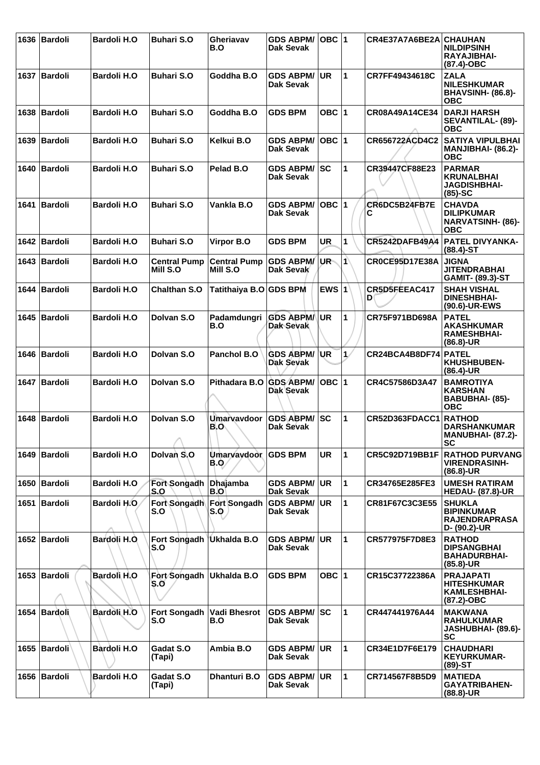|      | 1636   Bardoli | <b>Bardoli H.O</b> | <b>Buhari S.O</b>               | Gheriavav<br>B.O                | <b>GDS ABPM/</b><br><b>Dak Sevak</b> | $OBC$ 1   |              | CR4E37A7A6BE2A CHAUHAN | <b>NILDIPSINH</b><br><b>RAYAJIBHAI-</b><br>(87.4)-OBC                        |
|------|----------------|--------------------|---------------------------------|---------------------------------|--------------------------------------|-----------|--------------|------------------------|------------------------------------------------------------------------------|
|      | 1637 Bardoli   | <b>Bardoli H.O</b> | <b>Buhari S.O</b>               | Goddha B.O                      | <b>GDS ABPM/</b><br><b>Dak Sevak</b> | UR        | 1            | CR7FF49434618C         | <b>ZALA</b><br><b>NILESHKUMAR</b><br><b>BHAVSINH- (86.8)-</b><br><b>OBC</b>  |
|      | 1638   Bardoli | <b>Bardoli H.O</b> | <b>Buhari S.O</b>               | Goddha B.O                      | <b>GDS BPM</b>                       | OBC $ 1$  |              | CR08A49A14CE34         | <b>DARJI HARSH</b><br>SEVANTILAL- (89)-<br><b>OBC</b>                        |
|      | 1639 Bardoli   | <b>Bardoli H.O</b> | <b>Buhari S.O</b>               | Kelkui B.O                      | <b>GDS ABPM/</b><br><b>Dak Sevak</b> | $OBC$ 1   |              | CR656722ACD4C2         | <b>SATIYA VIPULBHAI</b><br>MANJIBHAI- (86.2)-<br><b>OBC</b>                  |
|      | 1640 Bardoli   | <b>Bardoli H.O</b> | <b>Buhari S.O</b>               | Pelad B.O                       | <b>GDS ABPM/ SC</b><br>Dak Sevak     |           | 1            | CR39447CF88E23         | <b>PARMAR</b><br><b>KRUNALBHAI</b><br><b>JAGDISHBHAI-</b><br>$(85)-SC$       |
| 1641 | Bardoli        | <b>Bardoli H.O</b> | <b>Buhari S.O</b>               | Vankla B.O                      | <b>GDS ABPM/</b><br><b>Dak Sevak</b> | $OBC$  1  |              | CR6DC5B24FB7E<br>С     | <b>CHAVDA</b><br><b>DILIPKUMAR</b><br><b>NARVATSINH- (86)-</b><br><b>OBC</b> |
|      | 1642 Bardoli   | <b>Bardoli H.O</b> | <b>Buhari S.O</b>               | Virpor B.O                      | <b>GDS BPM</b>                       | <b>UR</b> | 1            | <b>CR5242DAFB49A4</b>  | <b>PATEL DIVYANKA-</b><br>$(88.4) - ST$                                      |
|      | 1643 Bardoli   | <b>Bardoli H.O</b> | <b>Central Pump</b><br>Mill S.O | <b>Central Pump</b><br>Mill S.O | <b>GDS ABPM/</b><br>Dak Sevak        | ∣UR⊸      | $\mathbf{1}$ | CR0CE95D17E38A         | <b>JIGNA</b><br><b>JITENDRABHAI</b><br>GAMIT- (89.3)-ST                      |
|      | 1644   Bardoli | <b>Bardoli H.O</b> | <b>Chalthan S.O</b>             | Tatithaiya B.O GDS BPM          |                                      | EWS $ 1$  |              | CR5D5FEEAC417<br>D     | <b>SHAH VISHAL</b><br><b>DINESHBHAI-</b><br>(90.6)-UR-EWS                    |
|      | 1645 Bardoli   | <b>Bardoli H.O</b> | Dolvan S.O                      | Padamdungri<br>B.O              | <b>GDS ABPM/</b><br><b>Dak Sevak</b> | <b>UR</b> | 1            | CR75F971BD698A         | <b>PATEL</b><br><b>AKASHKUMAR</b><br><b>RAMESHBHAI-</b><br>(86.8)-UR         |
|      | 1646 Bardoli   | <b>Bardoli H.O</b> | Dolvan S.O                      | Panchol B.O                     | <b>GDS ABPM/</b><br><b>Dak Sevak</b> | ∣UR       | 1/           | CR24BCA4B8DF74 PATEL   | KHUSHBUBEN-<br>(86.4)-UR                                                     |
| 1647 | Bardoli        | <b>Bardoli H.O</b> | Dolvan S.O                      | Pithadara B.O                   | <b>GDS ABPM/</b><br>Dak Sevak        | $OBC$  1  |              | CR4C57586D3A47         | <b>BAMROTIYA</b><br><b>KARSHAN</b><br><b>BABUBHAI- (85)-</b><br><b>OBC</b>   |
| 1648 | Bardoli        | <b>Bardoli H.O</b> | Dolvan S.O<br>↗                 | <b>Umarvavdoor</b><br>B.O       | <b>GDS ABPM/</b><br>Dak Sevak        | lsc       | 1            | CR52D363FDACC1         | <b>RATHOD</b><br><b>DARSHANKUMAR</b><br><b>MANUBHAI- (87.2)-</b><br>SC       |
|      | 1649 Bardoli   | <b>Bardoli H.O</b> | Dolvan S.O                      | <b>Umarvavdoor</b><br>B.Q       | <b>GDS BPM</b>                       | UR        | 1            | CR5C92D719BB1F         | <b>RATHOD PURVANG</b><br><b>VIRENDRASINH-</b><br>$(86.8)$ -UR                |
|      | 1650 Bardoli   | <b>Bardoli H.O</b> | <b>Fort Songadh</b><br>S.O      | <b>Dhajamba</b><br>B.O          | <b>GDS ABPM/</b><br><b>Dak Sevak</b> | <b>UR</b> | 1            | CR34765E285FE3         | <b>UMESH RATIRAM</b><br><b>HEDAU- (87.8)-UR</b>                              |
|      | 1651 Bardoli   | Bardoli H.O.       | Fort Songadh<br>S.O             | Fort Songadh<br>S.Q             | <b>GDS ABPM/</b><br>Dak Sevak        | <b>UR</b> | 1            | CR81F67C3C3E55         | <b>SHUKLA</b><br><b>BIPINKUMAR</b><br><b>RAJENDRAPRASA</b><br>D- (90.2)-UR   |
|      | 1652 Bardoli   | Bardoli H.O.       | Fort Songadh<br>S.O             | Ukhalda B.O                     | <b>GDS ABPM/</b><br>Dak Sevak        | UR        | $\mathbf{1}$ | CR577975F7D8E3         | <b>RATHOD</b><br><b>DIPSANGBHAI</b><br><b>BAHADURBHAI-</b><br>(85.8)-UR      |
|      | 1653   Bardoli | Bardoli H.O        | Fort Songadh<br>S.O             | Ukhalda B.O                     | <b>GDS BPM</b>                       | OBC $ 1$  |              | CR15C37722386A         | <b>PRAJAPATI</b><br><b>HITESHKUMAR</b><br><b>KAMLESHBHAI-</b><br>(87.2)-OBC  |
| 1654 | Bardoli        | <b>Bardoli H.O</b> | <b>Fort Songadh</b><br>S.O      | Vadi Bhesrot<br>B.O             | <b>GDS ABPM/</b><br>Dak Sevak        | SC        | 1            | CR447441976A44         | <b>MAKWANA</b><br><b>RAHULKUMAR</b><br>JASHUBHAI- (89.6)-<br>SC              |
|      | 1655 Bardoli   | Bardoli H.O        | Gadat S.O<br>(Tapi)             | Ambia B.O                       | <b>GDS ABPM/</b><br><b>Dak Sevak</b> | <b>UR</b> | $\mathbf{1}$ | CR34E1D7F6E179         | <b>CHAUDHARI</b><br><b>KEYURKUMAR-</b><br>$(89)$ -ST                         |
|      | 1656 Bardoli   | <b>Bardoli H.O</b> | Gadat S.O<br>(Tapi)             | <b>Dhanturi B.O</b>             | <b>GDS ABPM/</b><br><b>Dak Sevak</b> | <b>UR</b> | 1            | CR714567F8B5D9         | <b>MATIEDA</b><br><b>GAYATRIBAHEN-</b><br>(88.8)-UR                          |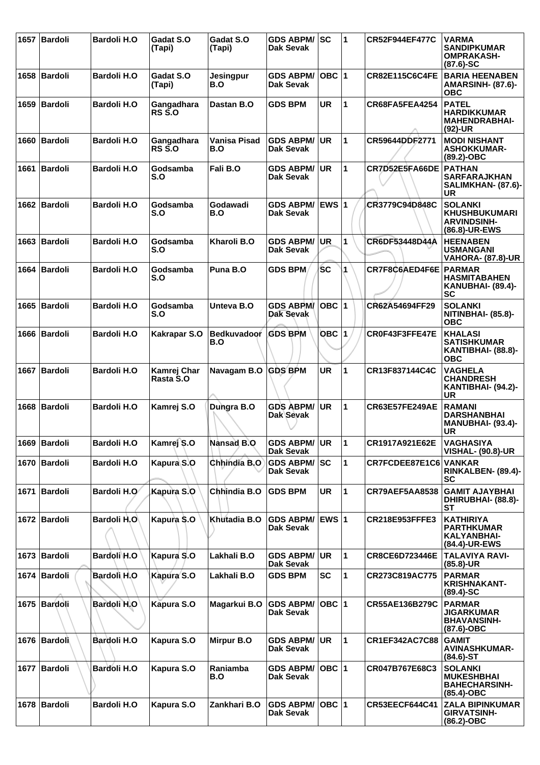| 1657 | Bardoli        | <b>Bardoli H.O</b> | Gadat S.O<br>(Tapi)            | Gadat S.O<br>(Tapi)       | <b>GDS ABPM/</b><br>Dak Sevak            | SC           | 1            | <b>CR52F944EF477C</b> | <b>VARMA</b><br><b>SANDIPKUMAR</b><br><b>OMPRAKASH-</b><br>$(87.6)$ -SC       |
|------|----------------|--------------------|--------------------------------|---------------------------|------------------------------------------|--------------|--------------|-----------------------|-------------------------------------------------------------------------------|
|      | 1658 Bardoli   | <b>Bardoli H.O</b> | Gadat S.O<br>(Tapi)            | Jesingpur<br>B.O          | <b>GDS ABPM/</b><br><b>Dak Sevak</b>     | OBC  1       |              | <b>CR82E115C6C4FE</b> | <b>BARIA HEENABEN</b><br><b>AMARSINH- (87.6)-</b><br><b>OBC</b>               |
| 1659 | Bardoli        | <b>Bardoli H.O</b> | Gangadhara<br><b>RS S.O</b>    | Dastan B.O                | <b>GDS BPM</b>                           | <b>UR</b>    | 1            | CR68FA5FEA4254        | <b>PATEL</b><br><b>HARDIKKUMAR</b><br><b>MAHENDRABHAI-</b><br>$(92)-UR$       |
|      | 1660 Bardoli   | <b>Bardoli H.O</b> | Gangadhara<br>$RS\tilde{S}$ .O | Vanisa Pisad<br>B.O       | <b>GDS ABPM/</b><br>Dak Sevak            | <b>UR</b>    | $\mathbf{1}$ | CR59644DDF2771        | <b>MODI NISHANT</b><br><b>ASHOKKUMAR-</b><br>$(89.2)$ -OBC                    |
| 1661 | Bardoli        | <b>Bardoli H.O</b> | Godsamba<br>S.O                | Fali B.O                  | <b>GDS ABPM/</b><br><b>Dak Sevak</b>     | <b>UR</b>    | 1            | CR7D52E5FA66DE        | <b>PATHAN</b><br><b>SARFARAJKHAN</b><br>SALIMKHAN- (87.6)-<br><b>UR</b>       |
|      | 1662 Bardoli   | <b>Bardoli H.O</b> | Godsamba<br>S.O                | Godawadi<br>B.O           | <b>GDS ABPM/</b><br><b>Dak Sevak</b>     | <b>EWS 1</b> |              | CR3779C94D848C        | <b>SOLANKI</b><br><b>KHUSHBUKUMARI</b><br><b>ARVINDSINH-</b><br>(86.8)-UR-EWS |
| 1663 | Bardoli        | <b>Bardoli H.O</b> | Godsamba<br>S.O                | Kharoli B.O               | <b>GDS ABPM/</b><br>Dak Sevak            | <b>UR</b>    | 1            | CR6DF53448D44A        | <b>HEENABEN</b><br><b>USMANGANI</b><br><b>VAHORA- (87.8)-UR</b>               |
|      | 1664 Bardoli   | <b>Bardoli H.O</b> | Godsamba<br>S.O                | Puna B.O                  | <b>GDS BPM</b>                           | <b>SC</b>    | 1            | CR7F8C6AED4F6E        | <b>PARMAR</b><br><b>HASMITABAHEN</b><br>KANUBHAI- (89.4)-<br><b>SC</b>        |
| 1665 | Bardoli        | <b>Bardoli H.O</b> | Godsamba<br>S.O                | Unteva B.O                | <b>GDS ABPM/</b><br><b>Dak Sevak</b>     | $OBC$  1     |              | CR62A54694FF29        | <b>SOLANKI</b><br>NITINBHAI- (85.8)-<br><b>OBC</b>                            |
|      | 1666 Bardoli   | <b>Bardoli H.O</b> | Kakrapar S.O                   | <b>Bedkuvadoor</b><br>B.O | <b>GDS BPM</b>                           | <b>OBC</b> 1 |              | CR0F43F3FFE47E        | <b>KHALASI</b><br><b>SATISHKUMAR</b><br>KANTIBHAI- (88.8)-<br><b>OBC</b>      |
| 1667 | <b>Bardoli</b> | <b>Bardoli H.O</b> | Kamrej Char<br>Rasta S.O       | Navagam B.O GDS BPM       |                                          | <b>UR</b>    | 1            | CR13F837144C4C        | <b>VAGHELA</b><br><b>CHANDRESH</b><br>KANTIBHAI- (94.2)-<br><b>UR</b>         |
| 1668 | Bardoli        | <b>Bardoli H.O</b> | Kamrej S.O                     | Dungra B.O                | <b>GDS ABPM/</b><br>Dak Sevak            | <b>UR</b>    | $\mathbf{1}$ | CR63E57FE249AE        | <b>RAMANI</b><br><b>DARSHANBHAI</b><br><b>MANUBHAI- (93.4)-</b><br><b>UR</b>  |
|      | 1669 Bardoli   | <b>Bardoli H.O</b> | Kamrej S.O                     | Nansad B.O                | <b>GDS ABPM/  UR</b><br><b>Dak Sevak</b> |              | 11           | CR1917A921E62E        | <b>VAGHASIYA</b><br><b>VISHAL- (90.8)-UR</b>                                  |
|      | 1670   Bardoli | <b>Bardoli H.O</b> | Kapura S.O                     | Chhindia B.O              | <b>GDS ABPM/</b><br><b>Dak Sevak</b>     | <b>SC</b>    | $\mathbf{1}$ | CR7FCDEE87E1C6 VANKAR | RINKALBEN- (89.4)-<br><b>SC</b>                                               |
|      | 1671   Bardoli | Bardoli H.O        | Kapura S.O                     | Chhindia B.O              | <b>GDS BPM</b>                           | <b>UR</b>    | 1            | CR79AEF5AA8538        | <b>GAMIT AJAYBHAI</b><br>DHIRUBHAI- (88.8)-<br><b>ST</b>                      |
|      | 1672 Bardoli   | Bardoli H.O        | Kapura S.O                     | Khutadia B.O              | <b>GDS ABPM/</b><br><b>Dak Sevak</b>     | <b>EWS 1</b> |              | CR218E953FFFE3        | <b>KATHIRIYA</b><br><b>PARTHKUMAR</b><br>KALYANBHAI-<br>(84.4)-UR-EWS         |
|      | 1673 Bardoli   | Bardoli H.O        | Kapura S.O                     | Lakhali B.O               | <b>GDS ABPM/</b><br><b>Dak Sevak</b>     | <b>UR</b>    | $\mathbf{1}$ | CR8CE6D723446E        | <b>TALAVIYA RAVI-</b><br>$(85.8)$ -UR                                         |
|      | 1674 Bardoli   | Bardoli H.O        | Kapura S.O                     | Lakhali B.O               | <b>GDS BPM</b>                           | <b>SC</b>    | $\mathbf{1}$ | CR273C819AC775        | <b>PARMAR</b><br><b>KRISHNAKANT-</b><br>$(89.4) - SC$                         |
|      | 1675 Bardoli   | Bardoli H.O        | Kapura S.O                     | Magarkui B.O              | <b>GDS ABPM/</b><br>Dak Sevak            | $OBC$  1     |              | CR55AE136B279C        | <b>PARMAR</b><br><b>JIGARKUMAR</b><br><b>BHAVANSINH-</b><br>(87.6)-OBC        |
|      | 1676 Bardoli   | Bardoli H.O        | Kapura S.O                     | <b>Mirpur B.O</b>         | <b>GDS ABPM/</b><br><b>Dak Sevak</b>     | <b>UR</b>    | $\mathbf{1}$ | <b>CR1EF342AC7C88</b> | <b>GAMIT</b><br><b>AVINASHKUMAR-</b><br>$(84.6)$ -ST                          |
|      | 1677 Bardoli   | <b>Bardoli H.O</b> | Kapura S.O                     | Raniamba<br>B.O           | <b>GDS ABPM/</b><br><b>Dak Sevak</b>     | $OBC$  1     |              | CR047B767E68C3        | <b>SOLANKI</b><br><b>MUKESHBHAI</b><br><b>BAHECHARSINH-</b><br>(85.4)-OBC     |
|      | 1678 Bardoli   | <b>Bardoli H.O</b> | Kapura S.O                     | Zankhari B.O              | <b>GDS ABPM/</b><br>Dak Sevak            | $OBC$ 1      |              | <b>CR53EECF644C41</b> | <b>ZALA BIPINKUMAR</b><br><b>GIRVATSINH-</b><br>(86.2)-OBC                    |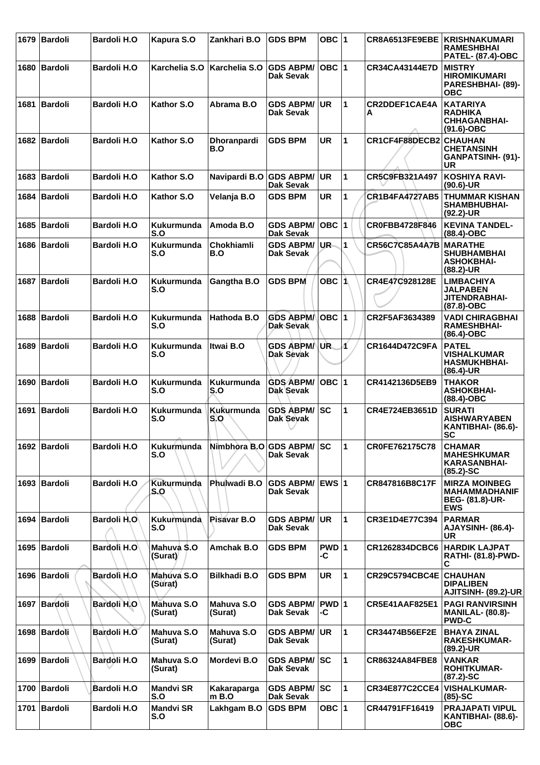|      | 1679 Bardoli   | <b>Bardoli H.O</b> | Kapura S.O               | Zankhari B.O              | <b>GDS BPM</b>                   | OBC $ 1$        |              | CR8A6513FE9EBE            | KRISHNAKUMARI<br><b>RAMESHBHAI</b><br><b>PATEL- (87.4)-OBC</b>                 |
|------|----------------|--------------------|--------------------------|---------------------------|----------------------------------|-----------------|--------------|---------------------------|--------------------------------------------------------------------------------|
|      | 1680 Bardoli   | <b>Bardoli H.O</b> | Karchelia S.O            | Karchelia S.O             | <b>GDS ABPM/</b><br>Dak Sevak    | $OBC$  1        |              | CR34CA43144E7D            | <b>MISTRY</b><br><b>HIROMIKUMARI</b><br><b>PARESHBHAI- (89)-</b><br><b>OBC</b> |
| 1681 | Bardoli        | <b>Bardoli H.O</b> | Kathor S.O               | Abrama B.O                | <b>GDS ABPM/</b><br>Dak Sevak    | <b>UR</b>       | $\mathbf{1}$ | <b>CR2DDEF1CAE4A</b><br>A | <b>KATARIYA</b><br><b>RADHIKA</b><br><b>CHHAGANBHAI-</b><br>$(91.6)-OBC$       |
|      | 1682 Bardoli   | <b>Bardoli H.O</b> | Kathor S.O               | Dhoranpardi<br>B.O        | <b>GDS BPM</b>                   | <b>UR</b>       | 1            | CR1CF4F88DECB2            | <b>CHAUHAN</b><br><b>CHETANSINH</b><br>GANPATSINH- (91)-<br><b>UR</b>          |
| 1683 | <b>Bardoli</b> | <b>Bardoli H.O</b> | Kathor S.O               | Navipardi B.O GDS ABPM/   | Dak Sevak                        | <b>UR</b>       | 1            | CR5C9FB321A497            | <b>KOSHIYA RAVI-</b><br>(90.6)-UR                                              |
|      | 1684   Bardoli | <b>Bardoli H.O</b> | Kathor S.O               | Velanja B.O               | <b>GDS BPM</b>                   | UR              | 1            | <b>CR1B4FA4727AB5</b>     | <b>THUMMAR KISHAN</b><br><b>SHAMBHUBHAI-</b><br>$(92.2)$ -UR                   |
|      | 1685   Bardoli | <b>Bardoli H.O</b> | Kukurmunda<br>S.O        | Amoda B.O                 | <b>GDS ABPM/</b><br>Dak Sevak    | OBC  1          |              | CR0FBB4728F846            | <b>KEVINA TANDEL-</b><br>(88.4)-OBC                                            |
|      | 1686 Bardoli   | <b>Bardoli H.O</b> | Kukurmunda<br>S.O        | Chokhiamli<br>B.O         | <b>GDS ABPM/</b><br>Dak Sevak    | UR-             | $\mathbf{1}$ | <b>CR56C7C85A4A7B</b>     | <b>MARATHE</b><br><b>SHUBHAMBHAI</b><br><b>ASHOKBHAI-</b><br>$(88.2)$ -UR      |
|      | 1687   Bardoli | <b>Bardoli H.O</b> | Kukurmunda<br>S.O        | Gangtha B.O               | <b>GDS BPM</b>                   | OBC $ 1\rangle$ |              | CR4E47C928128E            | <b>LIMBACHIYA</b><br><b>JALPABEN</b><br>JITENDRABHAI-<br>(87.8)-OBC            |
|      | 1688   Bardoli | <b>Bardoli H.O</b> | <b>Kukurmunda</b><br>S.O | Hathoda B.O               | <b>GDS ABPM/</b><br>Dak Sevak    | OBC  1          |              | CR2F5AF3634389            | <b>VADI CHIRAGBHAI</b><br><b>RAMESHBHAI-</b><br>$(86.4)$ -OBC                  |
|      | 1689 Bardoli   | <b>Bardoli H.O</b> | <b>Kukurmunda</b><br>S.O | <b>Itwai B.O</b>          | <b>GDS ABPM/</b><br>Dak Sevak    | UR.             | И            | CR1644D472C9FA            | <b>PATEL</b><br><b>VISHALKUMAR</b><br><b>HASMUKHBHAI-</b><br>(86.4)-UR         |
|      | 1690   Bardoli | <b>Bardoli H.O</b> | Kukurmunda<br>S.O        | Kukurmunda<br>S.O         | <b>GDS ABPM/</b><br>Dak Sevak    | $OBC$  1        |              | CR4142136D5EB9            | <b>THAKOR</b><br><b>ASHOKBHAI-</b><br>(88.4)-OBC                               |
| 1691 | <b>Bardoli</b> | <b>Bardoli H.O</b> | Kukurmunda<br>S.O        | Kukurmunda<br>S.O         | <b>GDS ABPM/</b><br>Dak Sevak    | lsc             | 1            | CR4E724EB3651D            | <b>SURATI</b><br><b>AISHWARYABEN</b><br>KANTIBHAI- (86.6)-<br><b>SC</b>        |
|      | 1692   Bardoli | <b>Bardoli H.O</b> | Kukurmunda<br>S.O        | Nimbhòra B.O GDS ABPM/ SC | Dak Sevak                        |                 | 11.          | CR0FE762175C78            | <b>CHAMAR</b><br><b>MAHESHKUMAR</b><br><b>KARASANBHAI-</b><br>$(85.2)$ -SC     |
|      | 1693   Bardoli | <b>Bardoli H.O</b> | <b>Kukurmunda</b><br>S.O | Phulwadi B.O              | <b>GDS ABPM/</b><br>Dak Sevak    | EWS 1           |              | CR847816B8C17F            | <b>MIRZA MOINBEG</b><br><b>MAHAMMADHANIF</b><br>BEG- (81.8)-UR-<br><b>EWS</b>  |
|      | 1694 Bardoli   | <b>Bardoli H.O</b> | Kukurmunda<br>S.O        | Pisavar B.O               | <b>GDS ABPM/</b><br>Dak Sevak    | <b>UR</b>       | 1            | CR3E1D4E77C394            | <b>PARMAR</b><br>AJAYSINH- (86.4)-<br><b>UR</b>                                |
|      | 1695   Bardoli | Bardoli H.O        | Mahuva S.O<br>(Surat)    | Amchak B.O                | <b>GDS BPM</b>                   | PWD 1<br>-C     |              | CR1262834DCBC6            | <b>HARDIK LAJPAT</b><br><b>RATHI- (81.8)-PWD-</b><br>C                         |
|      | 1696   Bardoli | Bardolì H.O        | Mahuva S.O<br>(Surat)    | <b>Bilkhadi B.O</b>       | <b>GDS BPM</b>                   | UR              | 1            | <b>CR29C5794CBC4E</b>     | <b>CHAUHAN</b><br><b>DIPALIBEN</b><br>AJITSINH- (89.2)-UR                      |
|      | 1697 Bardoli   | Bardoli H.O        | Mahuva S.O<br>(Surat)    | Mahuva S.O<br>(Surat)     | <b>GDS ABPM/</b><br>Dak Sevak    | PWD 1<br>-C     |              | <b>CR5E41AAF825E1</b>     | <b>PAGI RANVIRSINH</b><br><b>MANILAL- (80.8)-</b><br><b>PWD-C</b>              |
|      | 1698 Bardoli   | Bardoli H.O        | Mahuva S.O<br>(Surat)    | Mahuva S.O<br>(Surat)     | <b>GDS ABPM/</b><br>Dak Sevak    | <b>UR</b>       | $\mathbf{1}$ | CR34474B56EF2E            | <b>BHAYA ZINAL</b><br><b>RAKESHKUMAR-</b><br>$(89.2)$ -UR                      |
|      | 1699 Bardoli   | Bardoli H.O        | Mahuva S.O<br>(Surat)    | Mordevi B.O               | <b>GDS ABPM/ SC</b><br>Dak Sevak |                 | 1            | CR86324A84FBE8            | <b>VANKAR</b><br><b>ROHITKUMAR-</b><br>$(87.2)$ -SC                            |
|      | 1700 Bardoli   | <b>Bardoli H.O</b> | <b>Mandvi SR</b><br>S.O  | Kakaraparga<br>$m$ B.O    | <b>GDS ABPM/</b><br>Dak Sevak    | lsc             | 1            | <b>CR34E877C2CCE4</b>     | <b>VISHALKUMAR-</b><br>$(85)-SC$                                               |
|      | 1701 Bardoli   | <b>Bardoli H.O</b> | <b>Mandvi SR</b><br>S.O  | Lakhgam B.O               | <b>GDS BPM</b>                   | OBC  1          |              | CR44791FF16419            | PRAJAPATI VIPUL<br>KANTIBHAI- (88.6)-<br><b>OBC</b>                            |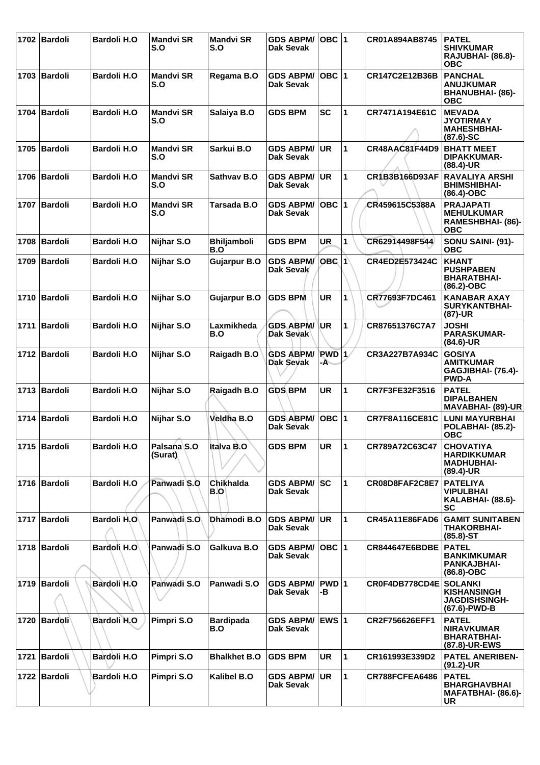|      | 1702 Bardoli   | <b>Bardoli H.O</b> | <b>Mandvi SR</b><br>S.O | <b>Mandvi SR</b><br>S.O   | <b>GDS ABPM/</b><br>Dak Sevak           | $OBC$  1                       |                      | CR01A894AB8745        | <b>PATEL</b><br><b>SHIVKUMAR</b><br>RAJUBHAI- (86.8)-<br><b>OBC</b>           |
|------|----------------|--------------------|-------------------------|---------------------------|-----------------------------------------|--------------------------------|----------------------|-----------------------|-------------------------------------------------------------------------------|
|      | 1703 Bardoli   | <b>Bardoli H.O</b> | <b>Mandvi SR</b><br>S.O | Regama B.O                | <b>GDS ABPM/</b><br><b>Dak Sevak</b>    | $OBC$  1                       |                      | CR147C2E12B36B        | <b>PANCHAL</b><br><b>ANUJKUMAR</b><br>BHANUBHAI- (86)-<br><b>OBC</b>          |
| 1704 | Bardoli        | <b>Bardoli H.O</b> | <b>Mandvi SR</b><br>S.O | Salaiya B.O               | <b>GDS BPM</b>                          | <b>SC</b>                      | 1                    | CR7471A194E61C        | <b>MEVADA</b><br><b>JYOTIRMAY</b><br><b>MAHESHBHAI-</b><br>$(87.6) - SC$      |
|      | 1705 Bardoli   | <b>Bardoli H.O</b> | <b>Mandvi SR</b><br>S.O | Sarkui B.O                | <b>GDS ABPM/</b><br>Dak Sevak           | <b>UR</b>                      | $\mathbf{1}$         | <b>CR48AAC81F44D9</b> | <b>BHATT MEET</b><br><b>DIPAKKUMAR-</b><br>$(88.4)$ -UR                       |
| 1706 | Bardoli        | <b>Bardoli H.O</b> | <b>Mandvi SR</b><br>S.O | Sathvay B.O               | <b>GDS ABPM/</b><br><b>Dak Sevak</b>    | <b>UR</b>                      | 1                    | CR1B3B166D93AF        | <b>RAVALIYA ARSHI</b><br><b>BHIMSHIBHAI-</b><br>(86.4)-OBC                    |
|      | 1707 Bardoli   | <b>Bardoli H.O</b> | <b>Mandvi SR</b><br>S.O | Tarsada B.O               | <b>GDS ABPM/</b><br><b>Dak Sevak</b>    | $OBC$  1                       |                      | CR459615C5388A        | <b>PRAJAPATI</b><br><b>MEHULKUMAR</b><br>RAMESHBHAI- (86)-<br><b>OBC</b>      |
| 1708 | <b>Bardoli</b> | <b>Bardoli H.O</b> | Nijhar S.O              | <b>Bhiljamboli</b><br>B.O | <b>GDS BPM</b>                          | UR                             | 1                    | CR62914498F544        | SONU SAINI- (91)-<br><b>OBC</b>                                               |
| 1709 | Bardoli        | <b>Bardoli H.O</b> | Nijhar S.O              | <b>Gujarpur B.O</b>       | <b>GDS ABPM/</b><br>Dak Sevak           | OBC <sub>1</sub>               |                      | CR4ED2E573424C        | <b>KHANT</b><br><b>PUSHPABEN</b><br><b>BHARATBHAI-</b><br>(86.2)-OBC          |
|      | 1710 Bardoli   | <b>Bardoli H.O</b> | Nijhar S.O              | <b>Gujarpur B.O</b>       | <b>GDS BPM</b>                          | <b>UR</b>                      | 1                    | CR77693F7DC461        | <b>KANABAR AXAY</b><br><b>SURYKANTBHAI-</b><br>(87)-UR                        |
|      | 1711 Bardoli   | <b>Bardoli H.O</b> | Nijhar S.O              | Laxmikheda<br>B.O         | <b>GDS ABPM/</b><br>Dak Sevak           | <b>UR</b>                      | 1                    | CR87651376C7A7        | <b>JOSHI</b><br><b>PARASKUMAR-</b><br>$(84.6)$ -UR                            |
|      | 1712 Bardoli   | <b>Bardoli H.O</b> | Nijhar S.O              | Raigadh B.O               | <b>GDS ABPM/</b><br>Dak Sevak           | <b>PWD</b> <sub>1</sub><br>-A- |                      | CR3A227B7A934C        | <b>GOSIYA</b><br><b>AMITKUMAR</b><br>GAGJIBHAI- (76.4)-<br><b>PWD-A</b>       |
|      | 1713 Bardoli   | <b>Bardoli H.O</b> | Nijhar S.O              | Raigadh B.O               | <b>GDS BPM</b>                          | <b>UR</b>                      | 1                    | CR7F3FE32F3516        | <b>PATEL</b><br><b>DIPALBAHEN</b><br>MAVABHAI- (89)-UR                        |
|      | 1714 Bardoli   | <b>Bardoli H.O</b> | Nijhar S.O              | Veldha B.O                | <b>GDS ABPM/</b><br>Dak Sevak           | OBC 1                          |                      | <b>CR7F8A116CE81C</b> | <b>LUNI MAYURBHAI</b><br>POLABHAI- (85.2)-<br><b>OBC</b>                      |
|      | 1715   Bardoli | <b>Bardoli H.O</b> | Palsana S.O<br>(Surat)  | Italva B.O                | <b>GDS BPM</b>                          | <b>UR</b>                      | $\blacktriangleleft$ | CR789A72C63C47        | <b>CHOVATIYA</b><br><b>HARDIKKUMAR</b><br><b>MADHUBHAI-</b><br>(89.4)-UR      |
|      | 1716 Bardoli   | <b>Bardoli H.O</b> | Panwadi S.O             | Chikhalda<br>B.OI         | <b>GDS ABPM/ SC</b><br><b>Dak Sevak</b> |                                | $\mathbf{1}$         | CR08D8FAF2C8E7        | <b>PATELIYA</b><br><b>VIPULBHAI</b><br>KALABHAI- (88.6)-<br>SC                |
|      | 1717 Bardoli   | Bardoli H.O        | Panwadi S.O             | Dhamodi B.O               | <b>GDS ABPM/</b><br>Dak Sevak           | <b>UR</b>                      | $\mathbf{1}$         | <b>CR45A11E86FAD6</b> | <b>GAMIT SUNITABEN</b><br><b>THAKORBHAI-</b><br>$(85.8) - ST$                 |
|      | 1718   Bardoli | Bardoli H.O        | Panwadi S.O             | Galkuva B.O               | <b>GDS ABPM/</b><br><b>Dak Sevak</b>    | $OBC$  1                       |                      | <b>CR844647E6BDBE</b> | <b>PATEL</b><br><b>BANKIMKUMAR</b><br><b>PANKAJBHAI-</b><br>$(86.8)-OBC$      |
|      | 1719 Bardoli   | Bardoli H.O        | Panwadi S.O             | Panwadi S.O               | <b>GDS ABPM/</b><br><b>Dak Sevak</b>    | PWD 1<br>-В                    |                      | CR0F4DB778CD4E        | <b>SOLANKI</b><br><b>KISHANSINGH</b><br><b>JAGDISHSINGH-</b><br>(67.6)-PWD-B  |
|      | 1720   Bardoli | Bardoli H.O        | Pimpri S.O              | <b>Bardipada</b><br>B.O   | <b>GDS ABPM/</b><br>Dak Sevak           | $EWS$ 1                        |                      | CR2F756626EFF1        | <b>PATEL</b><br><b>NIRAVKUMAR</b><br><b>BHARATBHAI-</b><br>(87.8)-UR-EWS      |
| 1721 | Bardoli        | Bardoli H.O        | Pimpri S.O              | <b>Bhalkhet B.O</b>       | <b>GDS BPM</b>                          | <b>UR</b>                      | $\mathbf{1}$         | CR161993E339D2        | <b>PATEL ANERIBEN-</b><br>$(91.2)$ -UR                                        |
|      | 1722 Bardoli   | <b>Bardoli H.O</b> | Pimpri S.O              | Kalibel B.O               | <b>GDS ABPM/</b><br><b>Dak Sevak</b>    | <b>UR</b>                      | $\mathbf{1}$         | CR788FCFEA6486        | <b>PATEL</b><br><b>BHARGHAVBHAI</b><br><b>МАҒАТВНАІ- (86.6)-</b><br><b>UR</b> |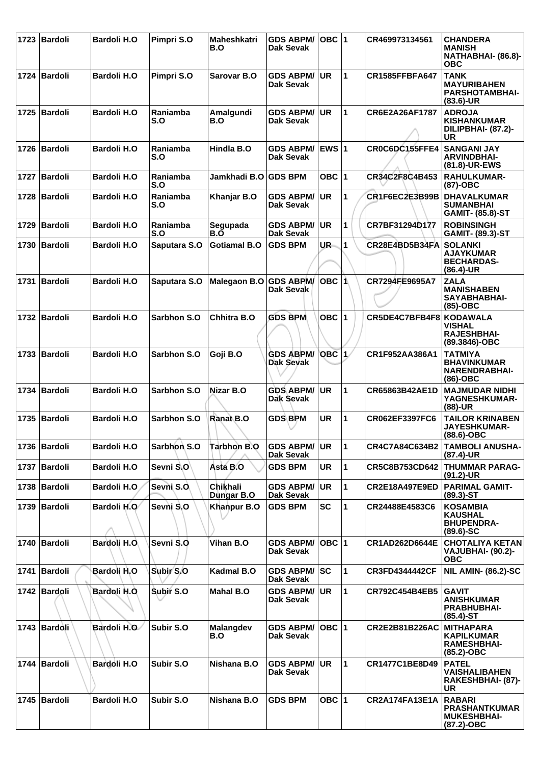| 1723 | Bardoli        | <b>Bardoli H.O</b>  | Pimpri S.O      | Maheshkatri<br>B.O     | <b>GDS ABPM/</b><br>Dak Sevak        | OBC $ 1$  |                      | CR469973134561          | <b>CHANDERA</b><br><b>MANISH</b><br>NATHABHAI- (86.8)-<br><b>OBC</b>        |
|------|----------------|---------------------|-----------------|------------------------|--------------------------------------|-----------|----------------------|-------------------------|-----------------------------------------------------------------------------|
|      | 1724   Bardoli | <b>Bardoli H.O</b>  | Pimpri S.O      | Sarovar B.O            | <b>GDS ABPM/</b><br><b>Dak Sevak</b> | <b>UR</b> | $\blacktriangleleft$ | <b>CR1585FFBFA647</b>   | <b>TANK</b><br><b>MAYURIBAHEN</b><br><b>PARSHOTAMBHAI-</b><br>$(83.6)$ -UR  |
| 1725 | <b>Bardoli</b> | <b>Bardoli H.O</b>  | Raniamba<br>S.O | Amalgundi<br>B.O       | <b>GDS ABPM/</b><br>Dak Sevak        | <b>UR</b> | $\mathbf 1$          | CR6E2A26AF1787          | <b>ADROJA</b><br><b>KISHANKUMAR</b><br>DILIPBHAI- (87.2)-<br>UR             |
|      | 1726   Bardoli | <b>Bardoli H.O</b>  | Raniamba<br>S.O | Hindla B.O             | <b>GDS ABPM/</b><br>Dak Sevak        | $EWS$ 1   |                      | CR0C6DC155FFE4          | <b>SANGANI JAY</b><br><b>ARVINDBHAI-</b><br>(81.8)-UR-EWS                   |
| 1727 | <b>Bardoli</b> | <b>Bardoli H.O</b>  | Raniamba<br>S.O | Jamkhadi B.O           | <b>GDS BPM</b>                       | OBC $ 1$  |                      | CR34C2F8C4B453          | <b>RAHULKUMAR-</b><br>(87)-OBC                                              |
| 1728 | <b>Bardoli</b> | <b>Bardoli H.O</b>  | Raniamba<br>S.O | Khanjar B.O            | <b>GDS ABPM/</b><br>Dak Sevak        | <b>UR</b> | 1                    | CR1F6EC2E3B99B          | <b>DHAVALKUMAR</b><br><b>SUMANBHAI</b><br><b>GAMIT- (85.8)-ST</b>           |
| 1729 | Bardoli        | <b>Bardoli H.O</b>  | Raniamba<br>S.O | Segupada<br>B.O        | <b>GDS ABPM/</b><br>Dak Sevak        | <b>UR</b> | 1                    | CR7BF31294D177          | <b>ROBINSINGH</b><br><b>GAMIT- (89.3)-ST</b>                                |
| 1730 | Bardoli        | <b>Bardoli H.O</b>  | Saputara S.O    | <b>Gotiamal B.O</b>    | <b>GDS BPM</b>                       | UR-       | $\blacktriangleleft$ | CR28E4BD5B34FA          | <b>SOLANKI</b><br><b>AJAYKUMAR</b><br><b>BECHARDAS-</b><br>$(86.4)$ -UR     |
|      | 1731   Bardoli | <b>Bardoli H.O</b>  | Saputara S.O    | Malegaon B.O GDS ABPM/ | Dak Sevak                            | OBC ∣1∖   |                      | CR7294FE9695A7          | <b>ZALA</b><br><b>MANISHABEN</b><br>SAYABHABHAI-<br>$(85)-OBC$              |
| 1732 | Bardoli        | <b>Bardoli H.O</b>  | Sarbhon S.O     | Chhitra B.O            | <b>GDS BPM</b>                       | OBC $ 1$  |                      | CR5DE4C7BFB4F8 KODAWALA | <b>VISHAL</b><br><b>RAJESHBHAI-</b><br>(89.3846)-OBC                        |
| 1733 | Bardoli        | <b>Bardoli H.O</b>  | Sarbhon S.O     | Goji B.O               | <b>GDS ABPM/</b><br><b>Dak Sevak</b> | $OBC$ 1   |                      | CR1F952AA386A1          | <b>TATMIYA</b><br><b>BHAVINKUMAR</b><br><b>NARENDRABHAI-</b><br>$(86)$ -OBC |
| 1734 | Bardoli        | <b>Bardoli H.O</b>  | Sarbhon S.O     | Nizar B.O              | <b>GDS ABPM/</b><br>Dak Sevak        | <b>UR</b> | $\mathbf{1}$         | CR65863B42AE1D          | <b>MAJMUDAR NIDHI</b><br>YAGNESHKUMAR-<br>$(88)-UR$                         |
|      | 1735   Bardoli | <b>Bardoli H.O</b>  | Sarbhon S.O     | Ranat B.O              | <b>GDS BPM</b>                       | <b>UR</b> | 1                    | CR062EF3397FC6          | <b>TAILOR KRINABEN</b><br>JAYESHKUMAR-<br>$(88.6)$ -OBC                     |
|      | 1736   Bardoli | <b>Bardoli H.O</b>  | Sarbhon S.O     | <b>Tarbhon B.O</b>     | <b>GDS ABPM/</b><br><b>Dak Sevak</b> | <b>UR</b> | 11                   |                         | CR4C7A84C634B2 TAMBOLI ANUSHA-<br>$(87.4)$ -UR                              |
|      | 1737   Bardoli | <b>Bardoli H.O.</b> | Sevni S.O       | Asta B.O               | <b>GDS BPM</b>                       | <b>UR</b> | $\mathbf{1}$         | CR5C8B753CD642          | <b>THUMMAR PARAG-</b><br>(91.2)-UR                                          |
|      | 1738   Bardoli | <b>Bardoli H.O</b>  | Sevni S.O.      | Chikhali<br>Dungar B.O | <b>GDS ABPM/</b><br>Dak Sevak        | UR        | $\mathbf{1}$         | <b>CR2E18A497E9ED</b>   | <b>PARIMAL GAMIT-</b><br>$(89.3)$ -ST                                       |
|      | 1739 Bardoli   | Bardoli H.O         | Sevni S.O       | Khanpur B.O            | <b>GDS BPM</b>                       | <b>SC</b> | $\mathbf 1$          | CR24488E4583C6          | <b>KOSAMBIA</b><br><b>KAUSHAL</b><br><b>BHUPENDRA-</b><br>$(89.6) - SC$     |
|      | 1740 Bardoli   | Bardoli H.O.        | Sevni S.O       | Vihan B.O              | <b>GDS ABPM/</b><br>Dak Sevak        | OBC 1     |                      | CR1AD262D6644E          | <b>CHOTALIYA KETAN</b><br>VAJUBHAI- (90.2)-<br><b>OBC</b>                   |
|      | 1741 Bardoli   | Bardoli H.O         | Subir S.O       | Kadmal B.O             | <b>GDS ABPM/</b><br>Dak Sevak        | sc        | $\mathbf{1}$         | <b>CR3FD4344442CF</b>   | <b>NIL AMIN- (86.2)-SC</b>                                                  |
|      | 1742   Bardoli | Bardoli H.O         | Subir S.O       | <b>Mahal B.O</b>       | <b>GDS ABPM/</b><br>Dak Sevak        | <b>UR</b> | $\mathbf{1}$         | <b>CR792C454B4EB5</b>   | <b>GAVIT</b><br><b>ANISHKUMAR</b><br><b>PRABHUBHAI-</b><br>$(85.4)$ -ST     |
|      | 1743 Bardoli   | Bardoli H.O         | Subir S.O       | Malangdev<br>B.O       | <b>GDS ABPM/</b><br>Dak Sevak        | OBC  1    |                      | CR2E2B81B226AC          | <b>MITHAPARA</b><br><b>KAPILKUMAR</b><br>RAMESHBHAI-<br>(85.2)-OBC          |
|      | 1744 Bardoli   | Bardoli H.O         | Subir S.O       | Nishana B.O            | <b>GDS ABPM/</b><br>Dak Sevak        | UR        | $\mathbf 1$          | CR1477C1BE8D49          | <b>PATEL</b><br><b>VAISHALIBAHEN</b><br>RAKESHBHAI- (87)-<br>UR             |
|      | 1745   Bardoli | <b>Bardoli H.O</b>  | Subir S.O       | Nishana B.O            | <b>GDS BPM</b>                       | OBC $ 1$  |                      | <b>CR2A174FA13E1A</b>   | <b>RABARI</b><br><b>PRASHANTKUMAR</b><br><b>MUKESHBHAI-</b><br>(87.2)-OBC   |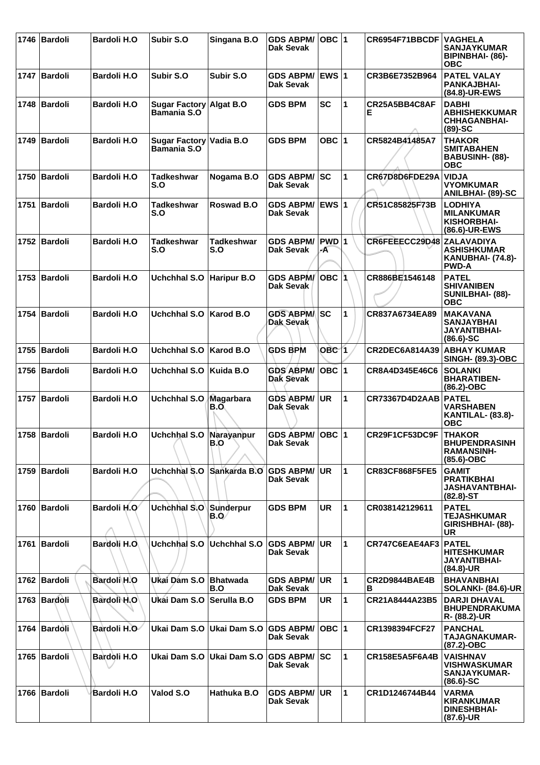|      | 1746 Bardoli   | <b>Bardoli H.O</b> | Subir S.O                                     | Singana B.O            | <b>GDS ABPM/</b><br>Dak Sevak        | $OBC$  1         |                      | CR6954F71BBCDF            | <b>VAGHELA</b><br><b>SANJAYKUMAR</b><br>BIPINBHAI- (86)-<br><b>OBC</b>        |
|------|----------------|--------------------|-----------------------------------------------|------------------------|--------------------------------------|------------------|----------------------|---------------------------|-------------------------------------------------------------------------------|
|      | 1747 Bardoli   | <b>Bardoli H.O</b> | Subir S.O                                     | Subir S.O              | GDS ABPM/ EWS 1<br>Dak Sevak         |                  |                      | CR3B6E7352B964            | <b>PATEL VALAY</b><br>PANKAJBHAI-<br>(84.8)-UR-EWS                            |
|      | 1748 Bardoli   | <b>Bardoli H.O</b> | Sugar Factory Algat B.O<br>Bamania S.O        |                        | <b>GDS BPM</b>                       | <b>SC</b>        | 1                    | CR25A5BB4C8AF<br>Е        | <b>DABHI</b><br><b>ABHISHEKKUMAR</b><br><b>CHHAGANBHAI-</b><br>$(89)-SC$      |
|      | 1749   Bardoli | <b>Bardoli H.O</b> | Sugar Factory Vadia B.O<br><b>Bamania S.O</b> |                        | <b>GDS BPM</b>                       | OBC $ 1$         |                      | CR5824B41485A7            | <b>THAKOR</b><br><b>SMITABAHEN</b><br><b>BABUSINH- (88)-</b><br><b>OBC</b>    |
| 1750 | Bardoli        | <b>Bardoli H.O</b> | <b>Tadkeshwar</b><br>S.O                      | Nogama B.O             | <b>GDS ABPM/</b><br>Dak Sevak        | lsc              | 1                    | CR67D8D6FDE29A            | <b>VIDJA</b><br><b>VYOMKUMAR</b><br><b>ANILBHAI- (89)-SC</b>                  |
|      | 1751 Bardoli   | <b>Bardoli H.O</b> | <b>Tadkeshwar</b><br>S.O                      | Roswad B.O             | <b>GDS ABPM/</b><br>Dak Sevak        | <b>EWS 1</b>     |                      | CR51C85825F73B            | <b>LODHIYA</b><br><b>MILANKUMAR</b><br>KISHORBHAI-<br>(86.6)-UR-EWS           |
|      | 1752 Bardoli   | <b>Bardoli H.O</b> | <b>Tadkeshwar</b><br>S.O                      | Tadkeshwar<br>S.O      | <b>GDS ABPM/</b><br>Dak Sevak        | PWD 1<br>-A      |                      | CR6FEEECC29D48 ZALAVADIYA | <b>ASHISHKUMAR</b><br><b>KANUBHAI- (74.8)-</b><br><b>PWD-A</b>                |
|      | 1753   Bardoli | <b>Bardoli H.O</b> | Uchchhal S.O                                  | <b>Haripur B.O</b>     | <b>GDS ABPM/</b><br>Dak Sevak        | ∣OBC ∣1          |                      | CR886BE1546148            | <b>PATEL</b><br><b>SHIVANIBEN</b><br>SUNILBHAI- (88)-<br><b>OBC</b>           |
|      | 1754 Bardoli   | <b>Bardoli H.O</b> | Uchchhal S.O                                  | <b>Karod B.O</b>       | <b>GDS ABPM/</b><br><b>Dak Sevak</b> | <b>ISC</b>       | 1                    | CR837A6734EA89            | <b>MAKAVANA</b><br><b>SANJAYBHAI</b><br><b>JAYANTIBHAI-</b><br>$(86.6) - SC$  |
| 1755 | Bardoli        | <b>Bardoli H.O</b> | <b>Uchchhal S.O</b>                           | Karod B.O              | <b>GDS BPM</b>                       | OBC <sub>1</sub> |                      | CR2DEC6A814A39            | <b>ABHAY KUMAR</b><br><b>SINGH- (89.3)-OBC</b>                                |
|      | 1756   Bardoli | <b>Bardoli H.O</b> | Uchchhal S.O                                  | Kuida B.O              | <b>GDS ABPM/</b><br>Dak Sevak        | $OBC$  1         |                      | CR8A4D345E46C6            | <b>SOLANKI</b><br><b>BHARATIBEN-</b><br>$(86.2)$ -OBC                         |
|      | 1757 Bardoli   | <b>Bardoli H.O</b> | <b>Uchchhal S.O</b>                           | Magarbara<br>B.O       | <b>GDS ABPM/</b><br>Dak Sevak        | <b>UR</b>        | $\mathbf{1}$         | <b>CR73367D4D2AAB</b>     | <b>PATEL</b><br><b>VARSHABEN</b><br><b>KANTILAL- (83.8)-</b><br><b>OBC</b>    |
|      | 1758 Bardoli   | <b>Bardoli H.O</b> | Uchchhal S.O Narayanpur                       | B.O                    | GDS ABPM/ OBC 1<br>Dak Sevak         |                  |                      | CR29F1CF53DC9F            | <b>THAKOR</b><br><b>BHUPENDRASINH</b><br>RAMANSINH-<br>$(85.6)-OBC$           |
|      | 1759   Bardoli | <b>Bardoli H.O</b> | Uchchhal S.O                                  | Sankarda B.O           | <b>GDS ABPM/</b><br>Dak Sevak        | <b>UR</b>        | 1                    | <b>CR83CF868F5FE5</b>     | <b>GAMIT</b><br><b>PRATIKBHAI</b><br><b>JASHAVANTBHAI-</b><br>$(82.8) - ST$   |
|      | 1760 Bardoli   | Bardoli H.O        | Uchchhal S.O                                  | Sunderpur<br>B.O⁄      | <b>GDS BPM</b>                       | UR               | $\blacktriangleleft$ | CR038142129611            | <b>PATEL</b><br><b>TEJASHKUMAR</b><br>GIRISHBHAI- (88)-<br>UR                 |
|      | 1761 Bardoli   | Bardoli H.O        | Uchchhal S.O                                  | <b>Uchchhal S.O</b>    | <b>GDS ABPM/</b><br>Dak Sevak        | <b>UR</b>        | $\mathbf{1}$         | CR747C6EAE4AF3            | <b>PATEL</b><br><b>HITESHKUMAR</b><br>JAYANTIBHAI-<br>$(84.8)$ -UR            |
|      | 1762 Bardoli   | Bardoli H.O        | Ukai Dam S.O                                  | <b>Bhatwada</b><br>B.O | <b>GDS ABPM/</b><br>Dak Sevak        | <b>UR</b>        | 1                    | <b>CR2D9844BAE4B</b><br>В | <b>BHAVANBHAI</b><br>SOLANKI- (84.6)-UR                                       |
|      | 1763 Bardoli   | Bardoli H.O        | Ukai Dam S.O                                  | <b>Serulla B.O</b>     | <b>GDS BPM</b>                       | UR               | 1                    | CR21A8444A23B5            | <b>DARJI DHAVAL</b><br><b>BHUPENDRAKUMA</b><br>R- (88.2)-UR                   |
|      | 1764 Bardoli   | Bardoli H.O        | Ukai Dam S.O                                  | Ukai Dam S.O           | <b>GDS ABPM/</b><br>Dak Sevak        | $OBC$ 1          |                      | CR1398394FCF27            | <b>PANCHAL</b><br><b>TAJAGNAKUMAR-</b><br>$(87.2)$ -OBC                       |
|      | 1765   Bardoli | Bardoli H.O        | Ukai Dam S.O                                  | Ukai Dam S.O           | <b>GDS ABPM/</b><br>Dak Sevak        | <b>SC</b>        | 1                    | CR158E5A5F6A4B            | <b>VAISHNAV</b><br><b>VISHWASKUMAR</b><br><b>SANJAYKUMAR-</b><br>$(86.6)$ -SC |
|      | 1766 Bardoli   | Bardoli H.O        | Valod S.O                                     | Hathuka B.O            | <b>GDS ABPM/</b><br>Dak Sevak        | <b>UR</b>        | $\blacktriangleleft$ | CR1D1246744B44            | <b>VARMA</b><br><b>KIRANKUMAR</b><br><b>DINESHBHAI-</b><br>$(87.6)$ -UR       |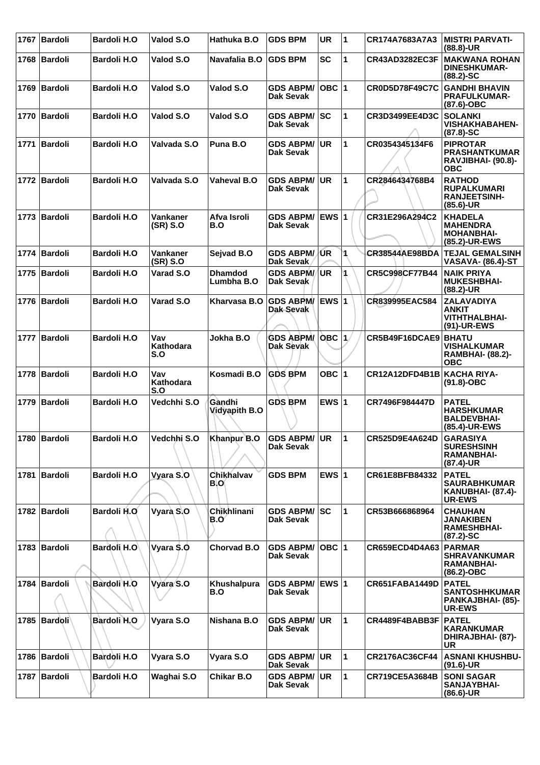|      | 1767 Bardoli   | <b>Bardoli H.O</b> | Valod S.O               | Hathuka B.O                    | <b>GDS BPM</b>                          | <b>UR</b>       | $\overline{\mathbf{1}}$ | CR174A7683A7A3        | <b>MISTRI PARVATI-</b><br>$(88.8)$ -UR                                            |
|------|----------------|--------------------|-------------------------|--------------------------------|-----------------------------------------|-----------------|-------------------------|-----------------------|-----------------------------------------------------------------------------------|
|      | 1768   Bardoli | <b>Bardoli H.O</b> | Valod S.O               | Navafalia B.O                  | <b>GDS BPM</b>                          | <b>SC</b>       | 1                       | CR43AD3282EC3F        | <b>MAKWANA ROHAN</b><br><b>DINESHKUMAR-</b><br>$(88.2) - SC$                      |
|      | 1769 Bardoli   | <b>Bardoli H.O</b> | Valod S.O               | Valod S.O                      | <b>GDS ABPM/</b><br>Dak Sevak           | OBC  1          |                         | <b>CR0D5D78F49C7C</b> | <b>GANDHI BHAVIN</b><br><b>PRAFULKUMAR-</b><br>$(87.6)$ -OBC                      |
| 1770 | Bardoli        | <b>Bardoli H.O</b> | Valod S.O               | Valod S.O                      | <b>GDS ABPM/ SC</b><br><b>Dak Sevak</b> |                 | 1                       | CR3D3499EE4D3C        | <b>SOLANKI</b><br><b>VISHAKHABAHEN-</b><br>$(87.8) - SC$                          |
| 1771 | Bardoli        | <b>Bardoli H.O</b> | Valvada S.O             | Puna B.O                       | <b>GDS ABPM/</b><br><b>Dak Sevak</b>    | <b>UR</b>       | 1                       | CR0354345134F6        | <b>PIPROTAR</b><br><b>PRASHANTKUMAR</b><br>RAVJIBHAI- (90.8)-<br><b>OBC</b>       |
|      | 1772 Bardoli   | <b>Bardoli H.O</b> | Valvada S.O             | <b>Vaheval B.O</b>             | <b>GDS ABPM/ UR</b><br>Dak Sevak        |                 | 1                       | CR2846434768B4        | <b>RATHOD</b><br><b>RUPALKUMARI</b><br><b>RANJEETSINH-</b><br>$(85.6)$ -UR        |
|      | 1773 Bardoli   | <b>Bardoli H.O</b> | Vankaner<br>(SR) S.O    | Afva Isroli<br>B.O             | GDS ABPM/ EWS 1<br><b>Dak Sevak</b>     |                 |                         | CR31E296A294C2        | <b>KHADELA</b><br><b>MAHENDRA</b><br><b>MOHANBHAI-</b><br>(85.2)-UR-EWS           |
| 1774 | Bardoli        | <b>Bardoli H.O</b> | Vankaner<br>(SR) S.O    | Sejvad B.O                     | <b>GDS ABPM/JUR</b><br>Dak Sevak        |                 | 1                       | <b>CR38544AE98BDA</b> | <b>TEJAL GEMALSINH</b><br>VASAVA- (86.4)-ST                                       |
|      | 1775   Bardoli | <b>Bardoli H.O</b> | Varad S.O               | <b>Dhamdod</b><br>Lumbha B.O   | <b>GDS ABPM//</b><br>Dak Sevak          | UR <sup>1</sup> | 1                       | CR5C998CF77B44        | <b>NAIK PRIYA</b><br><b>MUKESHBHAI-</b><br>$(88.2)$ -UR                           |
|      | 1776 Bardoli   | <b>Bardoli H.O</b> | Varad S.O               | Kharvasa B.O                   | GDS ABPM/ EWS 1<br>Dak-Sevak            |                 |                         | CR839995EAC584        | <b>ZALAVADIYA</b><br><b>ANKIT</b><br><b>VITHTHALBHAI-</b><br>(91)-UR-EWS          |
| 1777 | Bardoli        | <b>Bardoli H.O</b> | Vav<br>Kathodara<br>S.O | Jokha B.O                      | <b>GDS ABPM/</b><br>Dak Sevak           | OBC  1.         |                         | CR5B49F16DCAE9        | <b>BHATU</b><br><b>VISHALKUMAR</b><br><b>RAMBHAI- (88.2)-</b><br><b>OBC</b>       |
| 1778 | Bardoli        | <b>Bardoli H.O</b> | Vav<br>Kathodara        | Kosmadi B.O                    | <b>GDS BPM</b>                          | OBC $ 1$        |                         | CR12A12DFD4B1B        | KACHA RIYA-<br>$(91.8)-OBC$                                                       |
|      |                |                    | S.O                     |                                |                                         |                 |                         |                       |                                                                                   |
|      | 1779 Bardoli   | <b>Bardoli H.O</b> | Vedchhi S.O             | Gàndhi<br><b>Vidyapith B.O</b> | <b>GDS BPM</b>                          | EWS $ 1$        |                         | CR7496F984447D        | <b>PATEL</b><br><b>HARSHKUMAR</b><br><b>BALDEVBHAI-</b><br>(85.4)-UR-EWS          |
|      | 1780   Bardoli | <b>Bardoli H.O</b> | Vedchhi S.O             | Khanpur B.O                    | <b>GDS ABPM/ UR</b><br><b>Dak Sevak</b> |                 | $\blacktriangleleft$    | CR525D9E4A624D        | <b>GARASIYA</b><br><b>SURESHSINH</b><br><b>RAMANBHAI-</b><br>$(87.4)$ -UR         |
|      | 1781 Bardoli   | <b>Bardoli H.O</b> | Vyara S.O               | Chikhalvav<br>BIO              | <b>GDS BPM</b>                          | EWS $\vert$ 1   |                         | CR61E8BFB84332        | <b>PATEL</b><br><b>SAURABHKUMAR</b><br><b>KANUBHAI- (87.4)-</b><br><b>UR-EWS</b>  |
|      | 1782 Bardoli   | Bardoli H.O        | Vyara S.O               | Chikhlinani<br>B.Oʻ            | <b>GDS ABPM/</b><br>Dak Sevak           | ISC.            | 1                       | CR53B666868964        | <b>CHAUHAN</b><br>JANAKIBEN<br><b>RAMESHBHAI-</b><br>$(87.2)$ -SC                 |
|      | 1783 Bardoli   | Bardoli H.O        | Vyara \$.0              | Chorvad B.O                    | <b>GDS ABPM/</b><br><b>Dak Sevak</b>    | OBC  1          |                         | CR659ECD4D4A63        | PARMAR<br><b>SHRAVANKUMAR</b><br><b>RAMANBHAI-</b><br>$(86.2)$ -OBC               |
|      | 1784 Bardoli   | Bardoli H.O        | Vyara S.O               | Khushalpura<br>B.O             | GDS ABPM/ EWS 1<br>Dak Sevak            |                 |                         | CR651FABA1449D        | <b>PATEL</b><br><b>SANTOSHHKUMAR</b><br><b>PANKAJBHAI- (85)-</b><br><b>UR-EWS</b> |
|      | 1785   Bardoli | Bardoli H.O        | Vyara S.O               | Nishana B.O                    | <b>GDS ABPM/</b><br>Dak Sevak           | <b>UR</b>       | 1                       | CR4489F4BABB3F        | <b>PATEL</b><br><b>KARANKUMAR</b><br>DHIRAJBHAI- (87)-<br>UR                      |
|      | 1786 Bardoli   | Bardoli H.O        | Vyara S.O               | Vyara S.O                      | <b>GDS ABPM/ UR</b><br>Dak Sevak        |                 | 1                       | CR2176AC36CF44        | <b>ASNANI KHUSHBU-</b><br>$(91.6)$ -UR                                            |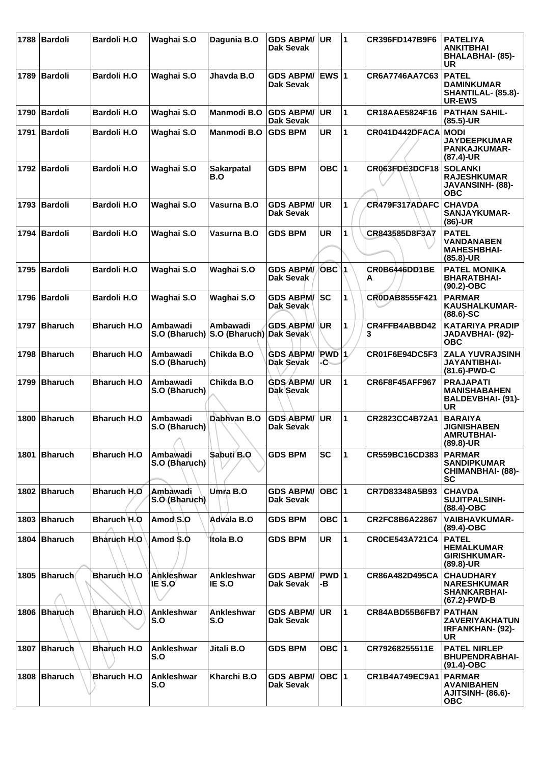| 1788 | Bardoli        | <b>Bardoli H.O</b> | Waghai S.O                       | Dagunia B.O                         | <b>GDS ABPM/</b><br>Dak Sevak        | UR.           | 1            | CR396FD147B9F6        | <b>PATELIYA</b><br><b>ANKITBHAI</b><br><b>BHALABHAI- (85)-</b><br><b>UR</b>    |
|------|----------------|--------------------|----------------------------------|-------------------------------------|--------------------------------------|---------------|--------------|-----------------------|--------------------------------------------------------------------------------|
|      | 1789 Bardoli   | <b>Bardoli H.O</b> | Waghai S.O                       | Jhavda B.O                          | GDS ABPM/ EWS 1<br>Dak Sevak         |               |              | CR6A7746AA7C63        | <b>PATEL</b><br><b>DAMINKUMAR</b><br>SHANTILAL- (85.8)-<br><b>UR-EWS</b>       |
| 1790 | Bardoli        | <b>Bardoli H.O</b> | Waghai S.O                       | <b>Manmodi B.O</b>                  | <b>GDS ABPM/</b><br><b>Dak Sevak</b> | <b>UR</b>     | $\mathbf{1}$ | CR18AAE5824F16        | <b>PATHAN SAHIL-</b><br>$(85.5)$ -UR                                           |
| 1791 | Bardoli        | <b>Bardoli H.O</b> | Waghai S.O                       | <b>Manmodi B.O</b>                  | <b>GDS BPM</b>                       | <b>UR</b>     | $\mathbf{1}$ | CR041D442DFACA        | <b>MODI</b><br><b>JAYDEEPKUMAR</b><br>PANKAJKUMAR-<br>(87.4)-UR                |
|      | 1792 Bardoli   | <b>Bardoli H.O</b> | Waghai S.O                       | <b>Sakarpatal</b><br>B.O            | <b>GDS BPM</b>                       | OBC $ 1$      |              | CR063FDE3DCF18        | <b>SOLANKI</b><br><b>RAJESHKUMAR</b><br>JAVANSINH- (88)-<br><b>OBC</b>         |
|      | 1793 Bardoli   | <b>Bardoli H.O</b> | Waghai S.O                       | Vasurna B.O                         | <b>GDS ABPM/</b><br><b>Dak Sevak</b> | <b>UR</b>     | 1            | CR479F317ADAFC        | <b>CHAVDA</b><br>SANJAYKUMAR-<br>$(86)$ -UR                                    |
|      | 1794 Bardoli   | <b>Bardoli H.O</b> | Waghai S.O                       | Vasurna B.O                         | <b>GDS BPM</b>                       | <b>UR</b>     | 1            | CR843585D8F3A7        | <b>PATEL</b><br><b>VANDANABEN</b><br><b>MAHESHBHAI-</b><br>$(85.8)$ -UR        |
|      | 1795   Bardoli | <b>Bardoli H.O</b> | Waghai S.O                       | Waghai S.O                          | <b>GDS ABPM/</b><br>Dak Sevak        | $OBC$ 1       |              | CR0B6446DD1BE<br>А    | <b>PATEL MONIKA</b><br><b>BHARATBHAI-</b><br>$(90.2)$ -OBC                     |
| 1796 | Bardoli        | <b>Bardoli H.O</b> | Waghai S.O                       | Waghai S.O                          | <b>GDS ABPM/</b><br>Dak Sevak        | <b>SC</b>     | 1            | CR0DAB8555F421        | <b>PARMAR</b><br><b>KAUSHALKUMAR-</b><br>$(88.6) - SC$                         |
|      | 1797 Bharuch   | <b>Bharuch H.O</b> | Ambawadi<br>S.O (Bharuch)        | Ambawadi<br>S.O (Bharuch) Dak Sevak | <b>GDS ABPM/</b>                     | ∣UR           | 1            | CR4FFB4ABBD42<br>3    | <b>KATARIYA PRADIP</b><br>JADAVBHAI- (92)-<br><b>OBC</b>                       |
|      | 1798 Bharuch   | <b>Bharuch H.O</b> | Ambawadi<br>S.O (Bharuch)        | Chikda B.O                          | <b>GDS ABPM/</b><br>Dak Sevak        | $PWD$ 1<br>-С |              | CR01F6E94DC5F3        | <b>ZALA YUVRAJSINH</b><br>JAYANTIBHAI-<br>(81.6)-PWD-C                         |
| 1799 | Bharuch        | <b>Bharuch H.O</b> | <b>Ambawadi</b><br>S.O (Bharuch) | Chikda B.O                          | <b>GDS ABPM/</b><br>Dak Sevak        | <b>UR</b>     | $\mathbf{1}$ | <b>CR6F8F45AFF967</b> | <b>PRAJAPATI</b><br><b>MANISHABAHEN</b><br>BALDEVBHAI- (91)-<br><b>UR</b>      |
| 1800 | Bharuch        | <b>Bharuch H.O</b> | Ambawadi<br>S.O (Bharuch)        | Dabhvan B.O                         | <b>GDS ABPM/</b><br>Dak Sevak        | <b>UR</b>     | $\mathbf{1}$ | CR2823CC4B72A1        | <b>BARAIYA</b><br><b>JIGNISHABEN</b><br><b>AMRUTBHAI-</b><br>$(89.8)$ -UR      |
|      | 1801 Bharuch   | <b>Bharuch H.O</b> | Ambawadi<br>S.O (Bharuch)        | Sabuti B.O                          | <b>GDS BPM</b>                       | SC            | 1            | CR559BC16CD383        | <b>PARMAR</b><br><b>SANDIPKUMAR</b><br><b>CHIMANBHAI- (88)-</b><br><b>SC</b>   |
|      | 1802 Bharuch   | <b>Bharuch H.O</b> | Ambawadi<br>S.O (Bharuch)        | Umra B.O                            | <b>GDS ABPM/</b><br>Dak Sevak        | $OBC$  1      |              | CR7D83348A5B93        | <b>CHAVDA</b><br><b>SUJITPALSINH-</b><br>$(88.4)$ -OBC                         |
| 1803 | Bharuch        | Bharuch H.O        | Amod S.O                         | Advala B.O                          | <b>GDS BPM</b>                       | OBC $ 1 $     |              | CR2FC8B6A22867        | <b>VAIBHAVKUMAR-</b><br>$(89.4)$ -OBC                                          |
|      | 1804 Bharuch   | <b>Bharuch H.O</b> | Amod \$.0                        | <b>Itola B.O</b>                    | <b>GDS BPM</b>                       | UR.           | $\mathbf{1}$ | <b>CR0CE543A721C4</b> | <b>PATEL</b><br><b>HEMALKUMAR</b><br><b>GIRISHKUMAR-</b><br>$(89.8)$ -UR       |
| 1805 | Bharuch        | <b>Bharuch H.O</b> | Ankleshwar<br>IE S.O             | Ankleshwar<br>IE S.O                | <b>GDS ABPM/</b><br>Dak Sevak        | PWD 1<br>-В   |              | CR86A482D495CA        | <b>CHAUDHARY</b><br><b>NARESHKUMAR</b><br><b>SHANKARBHAI-</b><br>(67.2)-PWD-B  |
|      | 1806 Bharuch   | <b>Bharuch H.O</b> | Ankleshwar<br>S.O                | Ankleshwar<br>S.O                   | <b>GDS ABPM/</b><br>Dak Sevak        | ∣UR           | 1            | CR84ABD55B6FB7        | <b>PATHAN</b><br><b>ZAVERIYAKHATUN</b><br><b>IRFANKHAN- (92)-</b><br><b>UR</b> |
|      | 1807 Bharuch   | <b>Bharuch H.O</b> | Ankleshwar<br>S.O                | Jitali B.O                          | <b>GDS BPM</b>                       | OBC $ 1 $     |              | CR79268255511E        | <b>PATEL NIRLEP</b><br><b>BHUPENDRABHAI-</b><br>$(91.4)$ -OBC                  |
|      | 1808 Bharuch   | <b>Bharuch H.O</b> | Ankleshwar<br>S.O                | Kharchi B.O                         | <b>GDS ABPM/</b><br>Dak Sevak        | OBC 1         |              | CR1B4A749EC9A1        | <b>PARMAR</b><br><b>AVANIBAHEN</b><br><b>AJITSINH- (86.6)-</b><br><b>OBC</b>   |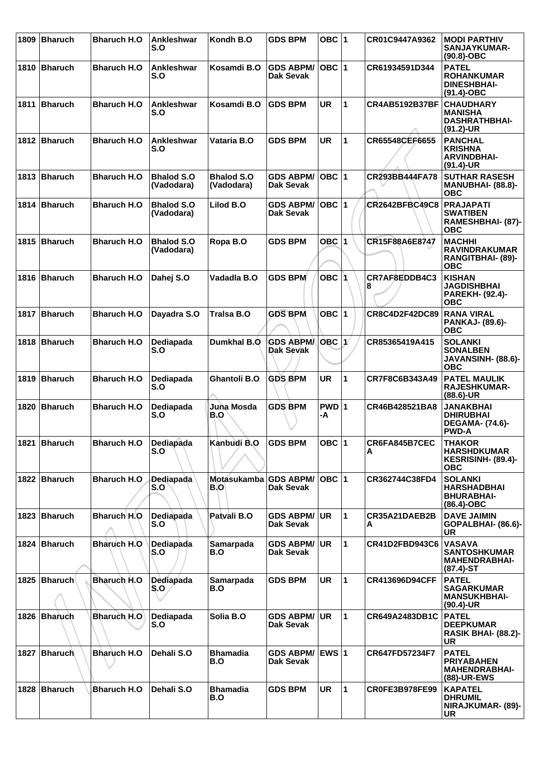| 1809 | <b>Bharuch</b> | <b>Bharuch H.O</b>  | Ankleshwar<br>S.O               | Kondh B.O                       | <b>GDS BPM</b>                       | OBC $ 1$           |                      | CR01C9447A9362        | <b>MODI PARTHIV</b><br>SANJAYKUMAR-<br>(90.8)-OBC                              |
|------|----------------|---------------------|---------------------------------|---------------------------------|--------------------------------------|--------------------|----------------------|-----------------------|--------------------------------------------------------------------------------|
|      | 1810 Bharuch   | <b>Bharuch H.O</b>  | Ankleshwar<br>S.O               | Kosamdi B.O                     | <b>GDS ABPM/</b><br>Dak Sevak        | $OBC$  1           |                      | CR61934591D344        | <b>PATEL</b><br><b>ROHANKUMAR</b><br><b>DINESHBHAI-</b><br>(91.4)-OBC          |
| 1811 | Bharuch        | <b>Bharuch H.O</b>  | Ankleshwar<br>S.O               | Kosamdi B.O                     | <b>GDS BPM</b>                       | <b>UR</b>          | $\blacktriangleleft$ | <b>CR4AB5192B37BF</b> | <b>CHAUDHARY</b><br><b>MANISHA</b><br><b>DASHRATHBHAI-</b><br>$(91.2)$ -UR     |
|      | 1812 Bharuch   | <b>Bharuch H.O.</b> | Ankleshwar<br>S.O               | Vataria B.O                     | <b>GDS BPM</b>                       | <b>UR</b>          | $\blacktriangleleft$ | CR65548CEF6655        | <b>PANCHAL</b><br>KRISHNA<br><b>ARVINDBHAI-</b><br>(91.4)-UR                   |
|      | 1813 Bharuch   | <b>Bharuch H.O</b>  | <b>Bhalod S.O</b><br>(Vadodara) | <b>Bhalod S.O</b><br>(Vadodara) | <b>GDS ABPM/</b><br>Dak Sevak        | $OBC$  1           |                      | CR293BB444FA78        | <b>SUTHAR RASESH</b><br><b>MANUBHAI- (88.8)-</b><br>ОВС                        |
|      | 1814 Bharuch   | <b>Bharuch H.O</b>  | <b>Bhalod S.O</b><br>(Vadodara) | Lilod B.O                       | <b>GDS ABPM/</b><br>Dak Sevak        | $OBC$  1           |                      | <b>CR2642BFBC49C8</b> | <b>PRAJAPATI</b><br><b>SWATIBEN</b><br>RAMESHBHAI- (87)-<br><b>OBC</b>         |
|      | 1815 Bharuch   | <b>Bharuch H.O</b>  | <b>Bhalod S.O</b><br>(Vadodara) | Ropa B.O                        | <b>GDS BPM</b>                       | OBC $ 1$           |                      | CR15F88A6E8747        | <b>MACHHI</b><br><b>RAVINDRAKUMAR</b><br>RANGITBHAI- (89)-<br><b>OBC</b>       |
|      | 1816 Bharuch   | <b>Bharuch H.O</b>  | Dahej S.O                       | Vadadla B.O                     | <b>GDS BPM</b>                       | OBC 1              |                      | CR7AF8EDDB4C3<br>8    | <b>KISHAN</b><br><b>JAGDISHBHAI</b><br><b>PAREKH- (92.4)-</b><br>ОВС           |
| 1817 | Bharuch        | <b>Bharuch H.O</b>  | Dayadra S.O                     | Tralsa B.O                      | <b>GDS BPM</b>                       | $OBC$  1           |                      | CR8C4D2F42DC89        | <b>RANA VIRAL</b><br><b>PANKAJ- (89.6)-</b><br><b>OBC</b>                      |
|      | 1818 Bharuch   | <b>Bharuch H.O</b>  | Dediapada<br>S.O                | Dumkhal B.O                     | <b>GDS ABPM</b><br><b>Dak Sevak</b>  | OBC 1              |                      | CR85365419A415        | <b>SOLANKI</b><br><b>SONALBEN</b><br>JAVANSINH- (88.6)-<br><b>OBC</b>          |
| 1819 | Bharuch        | <b>Bharuch H.O</b>  | Dediapada<br>S.O                | <b>Ghantoli B.O</b>             | <b>GDS BPM</b>                       | <b>UR</b>          | 1                    | CR7F8C6B343A49        | <b>PATEL MAULIK</b><br><b>RAJESHKUMAR-</b><br>$(88.6)$ -UR                     |
| 1820 | <b>Bharuch</b> | <b>Bharuch H.O</b>  | Dediapada<br>S.O                | Juna Mosda<br>B.O               | <b>GDS BPM</b>                       | $PWD$ 1<br>-A      |                      | CR46B428521BA8        | <b>JANAKBHAI</b><br><b>DHIRUBHAI</b><br><b>DEGAMA- (74.6)-</b><br><b>PWD-A</b> |
|      | 1821 Bharuch   | <b>Bharuch H.O</b>  | Dediapada<br>S.O                | Kanbudi B.O                     | <b>GDS BPM</b>                       | OBC $ 1$           |                      | CR6FA845B7CEC<br>A    | <b>THAKOR</b><br><b>HARSHDKUMAR</b><br>KESRISINH- (89.4)-<br><b>OBC</b>        |
|      | 1822 Bharuch   | <b>Bharuch H.O</b>  | <b>Dediapada</b><br>S.O         | Motasukamba GDS ABPM/<br>B.O    | Dak Sevak                            | $\overline{OBC}$ 1 |                      | CR362744C38FD4        | <b>SOLANKI</b><br><b>HARSHADBHAI</b><br><b>BHURABHAI-</b><br>(86.4)-OBC        |
|      | 1823 Bharuch   | Bharuch H.O         | Dediapada<br>S.O                | Patvali B.O                     | <b>GDS ABPM/</b><br>Dak Sevak        | <b>UR</b>          | $\mathbf 1$          | CR35A21DAEB2B<br>A    | <b>DAVE JAIMIN</b><br>GOPALBHAI- (86.6)-<br><b>UR</b>                          |
|      | 1824 Bharuch   | Bharuch H.O         | Dediapada<br>S.O                | Samarpada<br>B.O                | <b>GDS ABPM/</b><br>Dak Sevak        | UR                 | $\mathbf 1$          | CR41D2FBD943C6        | <b>VASAVA</b><br><b>SANTOSHKUMAR</b><br><b>MAHENDRABHAI-</b><br>$(87.4)$ -ST   |
|      | 1825   Bharuch | Bharuch H.O         | Dediapada<br>S.O.               | Samarpada<br>B.O                | <b>GDS BPM</b>                       | <b>UR</b>          | $\mathbf{1}$         | <b>CR413696D94CFF</b> | <b>PATEL</b><br><b>SAGARKUMAR</b><br><b>MANSUKHBHAI-</b><br>$(90.4)$ -UR       |
|      | 1826 Bharuch   | <b>Bharuch H.O</b>  | Dediapada<br>S.O                | Solia B.O                       | <b>GDS ABPM/</b><br>Dak Sevak        | <b>UR</b>          | $\mathbf 1$          | CR649A2483DB1C        | <b>PATEL</b><br><b>DEEPKUMAR</b><br><b>RASIK BHAI- (88.2)-</b><br><b>UR</b>    |
|      | 1827 Bharuch   | <b>Bharuch H.O</b>  | Dehali S.O                      | <b>Bhamadia</b><br>B.O          | <b>GDS ABPM/</b><br><b>Dak Sevak</b> | IEWS ∣1            |                      | CR647FD57234F7        | <b>PATEL</b><br><b>PRIYABAHEN</b><br><b>MAHENDRABHAI-</b><br>(88)-UR-EWS       |
| 1828 | Bharuch        | Bharuch H.O         | Dehali S.O                      | <b>Bhamadia</b><br>B.O          | <b>GDS BPM</b>                       | UR.                | $\blacktriangleleft$ | <b>CR0FE3B978FE99</b> | <b>KAPATEL</b><br><b>DHRUMIL</b><br>NIRAJKUMAR- (89)-<br><b>UR</b>             |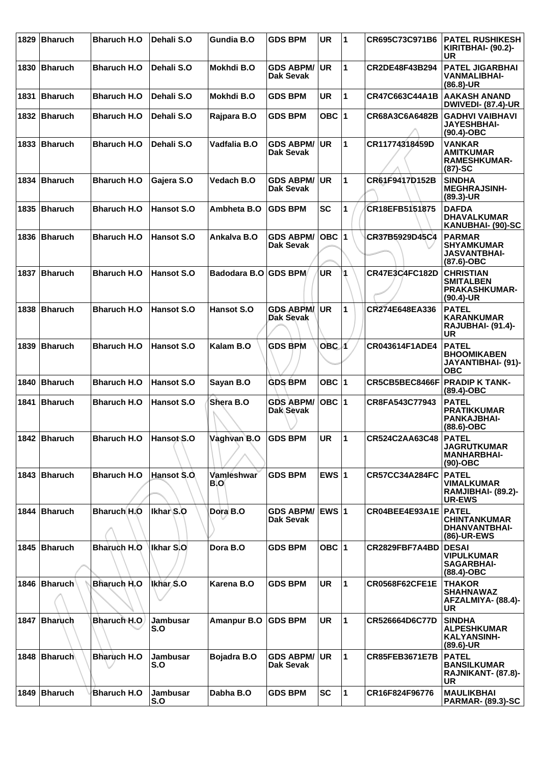| 1829 | <b>Bharuch</b> | <b>Bharuch H.O</b> | Dehali S.O             | Gundia B.O         | <b>GDS BPM</b>                       | <b>UR</b>        | 1            | CR695C73C971B6         | <b>PATEL RUSHIKESH</b><br><b>KIRITBHAI- (90.2)-</b><br><b>UR</b>             |
|------|----------------|--------------------|------------------------|--------------------|--------------------------------------|------------------|--------------|------------------------|------------------------------------------------------------------------------|
| 1830 | <b>Bharuch</b> | <b>Bharuch H.O</b> | Dehali S.O             | Mokhdi B.O         | <b>GDS ABPM/</b><br><b>Dak Sevak</b> | <b>UR</b>        | $\mathbf{1}$ | CR2DE48F43B294         | <b>PATEL JIGARBHAI</b><br><b>VANMALIBHAI-</b><br>$(86.8)$ -UR                |
| 1831 | Bharuch        | <b>Bharuch H.O</b> | Dehali S.O             | Mokhdi B.O         | <b>GDS BPM</b>                       | <b>UR</b>        | 1            | CR47C663C44A1B         | <b>AAKASH ANAND</b><br><b>DWIVEDI- (87.4)-UR</b>                             |
|      | 1832 Bharuch   | <b>Bharuch H.O</b> | Dehali S.O             | Rajpara B.O        | <b>GDS BPM</b>                       | OBC $ 1$         |              | CR68A3C6A6482B         | <b>GADHVI VAIBHAVI</b><br><b>JAYESHBHAI-</b><br>$(90.4)$ -OBC                |
| 1833 | Bharuch        | <b>Bharuch H.O</b> | Dehali S.O             | Vadfalia B.O       | <b>GDS ABPM/</b><br><b>Dak Sevak</b> | <b>UR</b>        | $\mathbf{1}$ | CR11774318459D         | <b>VANKAR</b><br><b>AMITKUMAR</b><br><b>RAMESHKUMAR-</b><br>$(87)-SC$        |
| 1834 | Bharuch        | <b>Bharuch H.O</b> | Gajera S.O             | Vedach B.O         | <b>GDS ABPM/</b><br>Dak Sevak        | <b>UR</b>        | $\mathbf{1}$ | CR61F9417D152B         | <b>SINDHA</b><br><b>MEGHRAJSINH-</b><br>$(89.3)$ -UR                         |
|      | 1835 Bharuch   | <b>Bharuch H.O</b> | Hansot S.O             | Ambheta B.O        | <b>GDS BPM</b>                       | <b>SC</b>        | 1            | CR18EFB5151875         | <b>DAFDA</b><br><b>DHAVALKUMAR</b><br><b>KANUBHAI- (90)-SC</b>               |
|      | 1836 Bharuch   | <b>Bharuch H.O</b> | Hansot S.O             | Ankalva B.O        | <b>GDS ABPM/</b><br><b>Dak Sevak</b> | OBC 1            |              | CR37B5929D45C4         | <b>PARMAR</b><br><b>SHYAMKUMAR</b><br><b>JASVANTBHAI-</b><br>$(87.6)$ -OBC   |
| 1837 | Bharuch        | <b>Bharuch H.O</b> | Hansot S.O             | Badodara B.O       | <b>GDS BPM</b>                       | <b>UR</b>        |              | CR47E3C4FC182D         | <b>CHRISTIAN</b><br><b>SMITALBEN</b><br><b>PRAKASHKUMAR-</b><br>$(90.4)$ -UR |
|      | 1838 Bharuch   | <b>Bharuch H.O</b> | Hansot S.O             | Hansot S.O         | <b>GDS ABPM</b><br>Dak Sevak         | <b>UR</b>        | 1            | CR274E648EA336         | <b>PATEL</b><br><b>KARANKUMAR</b><br>RAJUBHAI- (91.4)-<br><b>UR</b>          |
| 1839 | Bharuch        | <b>Bharuch H.O</b> | Hansot S.O             | Kalam B.O          | <b>GDS BPM</b>                       | OBC <sub>1</sub> |              | CR043614F1ADE4         | <b>PATEL</b><br><b>BHOOMIKABEN</b><br>JAYANTIBHAI- (91)-<br><b>OBC</b>       |
| 1840 | Bharuch        | <b>Bharuch H.O</b> | Hansot S.O             | Sayan B.O          | <b>GDS BPM</b>                       | OBC $ 1$         |              | CR5CB5BEC8466F         | <b>PRADIP K TANK-</b><br>$(89.4)$ -OBC                                       |
|      | 1841 Bharuch   | <b>Bharuch H.O</b> | Hansot S.O             | Shera B.O          | <b>GDS ABPM/</b><br>Dak Sevak        | OBC 1            |              | CR8FA543C77943         | <b>PATEL</b><br><b>PRATIKKUMAR</b><br><b>PANKAJBHAI-</b><br>$(88.6)$ -OBC    |
|      | 1842 Bharuch   | <b>Bharuch H.O</b> | Hansot S.O             | Vaghvan B.O        | <b>GDS BPM</b>                       | <b>UR</b>        | 1            | CR524C2AA63C48         | <b>PATEL</b><br><b>JAGRUTKUMAR</b><br><b>MANHARBHAI-</b><br>$(90)$ -OBC      |
|      | 1843 Bharuch   | <b>Bharuch H.O</b> | Hansot S.O.            | Vamleshwar<br>B.O  | <b>GDS BPM</b>                       | EWS $ 1$         |              | <b>CR57CC34A284FC</b>  | <b>PATEL</b><br><b>VIMALKUMAR</b><br>RAMJIBHAI- (89.2)-<br><b>UR-EWS</b>     |
|      | 1844 Bharuch   | Bharuch H.O        | Ikhar S.O              | Dora B.O           | <b>GDS ABPM/</b><br>Dak Sevak        | <b>EWS 1</b>     |              | CR04BEE4E93A1E   PATEL | <b>CHINTANKUMAR</b><br>DHANVANTBHAI-<br>(86)-UR-EWS                          |
|      | 1845 Bharuch   | Bharuch H.O        | Ikhar S.O              | Dora B.O           | <b>GDS BPM</b>                       | OBC $ 1$         |              | CR2829FBF7A4BD         | <b>DESAI</b><br><b>VIPULKUMAR</b><br><b>SAGARBHAI-</b><br>$(88.4)$ -OBC      |
|      | 1846 Bharuch   | <b>Bharuch H.O</b> | Ikhar <sub>S.O</sub>   | Karena B.O         | <b>GDS BPM</b>                       | UR               | 1            | <b>CR0568F62CFE1E</b>  | <b>THAKOR</b><br><b>SHAHNAWAZ</b><br>AFZALMIYA- (88.4)-<br><b>UR</b>         |
|      | 1847 Bharuch   | Bharuch H.O        | Jambusar<br>S.O        | <b>Amanpur B.O</b> | <b>GDS BPM</b>                       | <b>UR</b>        | 1            | CR526664D6C77D         | <b>SINDHA</b><br><b>ALPESHKUMAR</b><br><b>KALYANSINH-</b><br>$(89.6)$ -UR    |
|      | 1848 Bharuch   | <b>Bharuch H.O</b> | Jambusar<br>S.O        | Bojadra B.O        | <b>GDS ABPM/</b><br>Dak Sevak        | <b>UR</b>        | $\mathbf{1}$ | <b>CR85FEB3671E7B</b>  | <b>PATEL</b><br><b>BANSILKUMAR</b><br>RAJNIKANT- (87.8)-<br><b>UR</b>        |
| 1849 | Bharuch        | <b>Bharuch H.O</b> | <b>Jambusar</b><br>S.O | Dabha B.O          | <b>GDS BPM</b>                       | <b>SC</b>        | 1            | CR16F824F96776         | <b>MAULIKBHAI</b><br><b>PARMAR- (89.3)-SC</b>                                |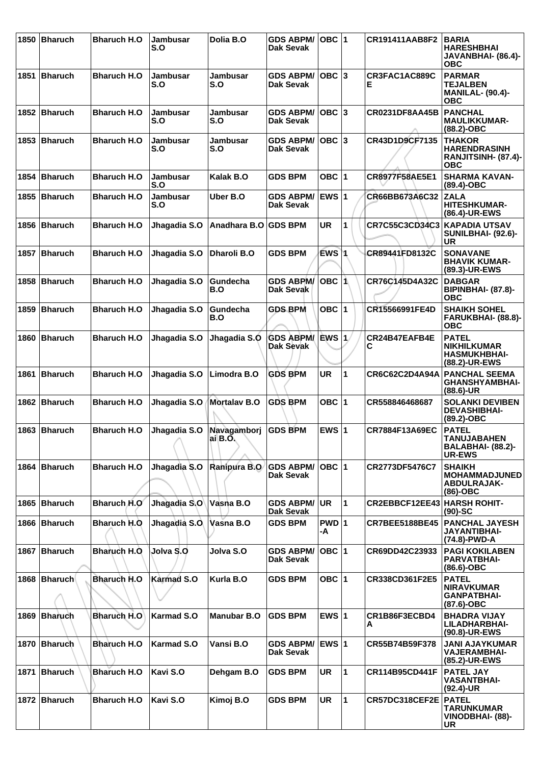| 1850 | <b>Bharuch</b> | <b>Bharuch H.O</b>  | Jambusar<br>S.O        | Dolia B.O                | <b>GDS ABPM/</b><br>Dak Sevak        | OBC 1           |   | CR191411AAB8F2                     | <b>BARIA</b><br><b>HARESHBHAI</b><br>JAVANBHAI- (86.4)-<br><b>OBC</b>      |
|------|----------------|---------------------|------------------------|--------------------------|--------------------------------------|-----------------|---|------------------------------------|----------------------------------------------------------------------------|
| 1851 | Bharuch        | <b>Bharuch H.O</b>  | Jambusar<br>S.O        | Jambusar<br>S.O          | <b>GDS ABPM/</b><br>Dak Sevak        | $OBC$ 3         |   | CR3FAC1AC889C<br>Е                 | <b>PARMAR</b><br><b>TEJALBEN</b><br><b>MANILAL- (90.4)-</b><br><b>OBC</b>  |
|      | 1852 Bharuch   | <b>Bharuch H.O</b>  | <b>Jambusar</b><br>S.O | <b>Jambusar</b><br>S.O   | <b>GDS ABPM/</b><br>Dak Sevak        | $OBC$ 3         |   | CR0231DF8AA45B                     | <b>PANCHAL</b><br><b>MAULIKKUMAR-</b><br>$(88.2)$ -OBC                     |
|      | 1853 Bharuch   | <b>Bharuch H.O.</b> | <b>Jambusar</b><br>S.O | Jambusar<br>S.O          | <b>GDS ABPM/</b><br>Dak Sevak        | $OBC$ 3         |   | CR43D1D9CF7135                     | <b>THAKOR</b><br><b>HARENDRASINH</b><br>RANJITSINH- (87.4)-<br><b>OBC</b>  |
| 1854 | Bharuch        | <b>Bharuch H.O</b>  | Jambusar<br>S.O        | Kalak B.O                | <b>GDS BPM</b>                       | OBC 1           |   | CR8977F58AE5E1                     | <b>SHARMA KAVAN-</b><br>(89.4)-OBC                                         |
| 1855 | Bharuch        | <b>Bharuch H.O</b>  | Jambusar<br>S.O        | Uber B.O                 | <b>GDS ABPM/</b><br><b>Dak Sevak</b> | EWS $ 1$        |   | CR66BB673A6C32                     | <b>ZALA</b><br><b>HITESHKUMAR-</b><br>(86.4)-UR-EWS                        |
| 1856 | Bharuch        | <b>Bharuch H.O</b>  | Jhagadia S.O           | Anadhara B.O GDS BPM     |                                      | <b>UR</b>       | 1 | CR7C55C3CD34C3                     | KAPADIA UTSAV<br>SUNILBHAI- (92.6)-<br><b>UR</b>                           |
| 1857 | <b>Bharuch</b> | <b>Bharuch H.O</b>  | Jhagadia S.O           | <b>Dharoli B.O</b>       | <b>GDS BPM</b>                       | EWS 1           |   | CR89441FD8132C                     | <b>SONAVANE</b><br><b>BHAVIK KUMAR-</b><br>(89.3)-UR-EWS                   |
| 1858 | Bharuch        | <b>Bharuch H.O</b>  | Jhagadia S.O           | Gundecha<br>B.O          | <b>GDS ABPM/</b><br>Dak Sevak        | $OBC$ $\Lambda$ |   | CR76C145D4A32C                     | <b>DABGAR</b><br><b>BIPINBHAI- (87.8)-</b><br><b>OBC</b>                   |
| 1859 | <b>Bharuch</b> | <b>Bharuch H.O</b>  | Jhagadia S.O           | Gundecha<br>B.O          | <b>GDS BPM</b>                       | OBC $ 1$        |   | CR15566991FE4D                     | <b>SHAIKH SOHEL</b><br>FARUKBHAI- (88.8)-<br><b>OBC</b>                    |
| 1860 | <b>Bharuch</b> | <b>Bharuch H.O</b>  | Jhagadia S.O           | Jhagadia S.O             | <b>GDS ABPM/</b><br>Dak Sevak        | EWS 1           |   | CR24B47EAFB4E<br>С                 | <b>PATEL</b><br><b>NIKHILKUMAR</b><br><b>HASMUKHBHAI-</b><br>(88.2)-UR-EWS |
| 1861 | Bharuch        | <b>Bharuch H.O</b>  | Jhagadia S.O           | Limodra B.O              | <b>GDS BPM</b>                       | <b>UR</b>       | 1 | CR6C62C2D4A94A                     | <b>PANCHAL SEEMA</b><br><b>GHANSHYAMBHAI-</b><br>$(88.6)$ -UR              |
|      | 1862 Bharuch   | <b>Bharuch H.O</b>  | Jhagadia S.O           | <b>Mortalav B.O</b>      | <b>GDS BPM</b>                       | OBC $ 1$        |   | CR558846468687                     | <b>SOLANKI DEVIBEN</b><br><b>DEVASHIBHAI-</b><br>(89.2)-OBC                |
|      | 1863 Bharuch   | <b>Bharuch H.O</b>  | Jhagadia S.O           | Navagamborj<br>$ai$ B.O. | <b>GDS BPM</b>                       | EWS $ 1$        |   | CR7884F13A69EC                     | <b>PATEL</b><br><b>TANUJABAHEN</b><br>BALABHAI- (88.2)-<br><b>UR-EWS</b>   |
|      | 1864 Bharuch   | <b>Bharuch H.O</b>  | Jhagadia S.O           | Ranipura B.O             | <b>GDS ABPM/</b><br>Dak Sevak        | OBC 1           |   | CR2773DF5476C7                     | <b>SHAIKH</b><br><b>MOHAMMADJUNED</b><br><b>ABDULRAJAK-</b><br>$(86)$ -OBC |
|      | 1865 Bharuch   | Bharuch H.O         | Jhagadia S.O           | Vasna B.O                | <b>GDS ABPM/</b><br>Dak Sevak        | <b>UR</b>       | 1 | <b>CR2EBBCF12EE43 HARSH ROHIT-</b> | $(90)$ -SC                                                                 |
|      | 1866 Bharuch   | Bharuch H.O         | Jhagadia S.O           | Vasna B.O                | <b>GDS BPM</b>                       | $PWD$ 1<br>-A   |   | <b>CR7BEE5188BE45</b>              | <b>PANCHAL JAYESH</b><br><b>JAYANTIBHAI-</b><br>(74.8)-PWD-A               |
|      | 1867 Bharuch   | <b>Bharuch H.O.</b> | Jolva S.O              | Jolva S.O                | <b>GDS ABPM/</b><br><b>Dak Sevak</b> | $OBC$  1        |   | CR69DD42C23933                     | <b>PAGI KOKILABEN</b><br><b>PARVATBHAI-</b><br>$(86.6)$ -OBC               |
|      | 1868 Bharuch   | Bharuch H.O         | <b>Karmad S.O</b>      | Kurla B.O                | <b>GDS BPM</b>                       | OBC $ 1$        |   | CR338CD361F2E5                     | <b>PATEL</b><br><b>NIRAVKUMAR</b><br><b>GANPATBHAI-</b><br>$(87.6)$ -OBC   |
| 1869 | <b>Bharuch</b> | <b>Bharuch H.O</b>  | <b>Karmad S.O</b>      | <b>Manubar B.O</b>       | <b>GDS BPM</b>                       | EWS $ 1$        |   | CR1B86F3ECBD4<br>А                 | <b>BHADRA VIJAY</b><br>LILADHARBHAI-<br>(90.8)-UR-EWS                      |
| 1870 | Bharuch        | <b>Bharuch H.O</b>  | <b>Karmad S.O</b>      | Vansi B.O                | <b>GDS ABPM/</b><br><b>Dak Sevak</b> | EWS 1           |   | CR55B74B59F378                     | <b>JANI AJAYKUMAR</b><br><b>VAJERAMBHAI-</b><br>(85.2)-UR-EWS              |
| 1871 | <b>Bharuch</b> | <b>Bharuch H.O</b>  | Kavi S.O               | Dehgam B.O               | <b>GDS BPM</b>                       | UR              | 1 | CR114B95CD441F                     | <b>PATEL JAY</b><br><b>VASANTBHAI-</b><br>$(92.4)$ -UR                     |
|      | 1872 Bharuch   | <b>Bharuch H.O</b>  | Kavi S.O               | Kimoj B.O                | <b>GDS BPM</b>                       | <b>UR</b>       | 1 | CR57DC318CEF2E                     | <b>PATEL</b><br><b>TARUNKUMAR</b><br>VINODBHAI- (88)-<br><b>UR</b>         |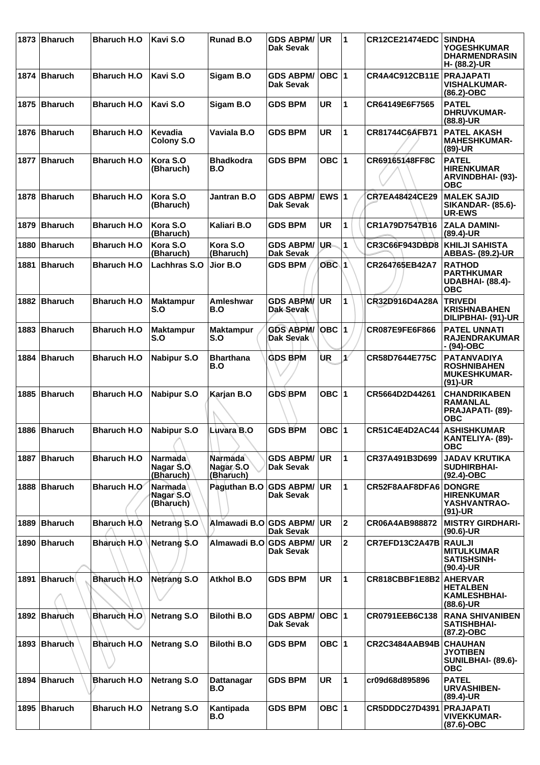| 1873 | Bharuch        | <b>Bharuch H.O</b> | Kavi S.O                                 | <b>Runad B.O</b>                         | <b>GDS ABPM/</b><br>Dak Sevak        | <b>UR</b>        | 1                       | <b>CR12CE21474EDC</b> | <b>SINDHA</b><br><b>YOGESHKUMAR</b><br><b>DHARMENDRASIN</b><br>H- (88.2)-UR  |
|------|----------------|--------------------|------------------------------------------|------------------------------------------|--------------------------------------|------------------|-------------------------|-----------------------|------------------------------------------------------------------------------|
|      | 1874 Bharuch   | <b>Bharuch H.O</b> | Kavi S.O                                 | Sigam B.O                                | <b>GDS ABPM/</b><br><b>Dak Sevak</b> | OBC  1           |                         | CR4A4C912CB11E        | <b>PRAJAPATI</b><br><b>VISHALKUMAR-</b><br>(86.2)-OBC                        |
|      | 1875 Bharuch   | <b>Bharuch H.O</b> | Kavi S.O                                 | Sigam B.O                                | <b>GDS BPM</b>                       | <b>UR</b>        | 1                       | CR64149E6F7565        | <b>PATEL</b><br><b>DHRUVKUMAR-</b><br>(88.8)-UR                              |
|      | 1876 Bharuch   | <b>Bharuch H.O</b> | Kevadia<br>Colony S.O                    | Vaviala B.O                              | <b>GDS BPM</b>                       | <b>UR</b>        | 1                       | CR81744C6AFB71        | <b>PATEL AKASH</b><br><b>MAHESHKUMAR-</b><br>$(89)-UR$                       |
| 1877 | Bharuch        | <b>Bharuch H.O</b> | Kora S.O<br>(Bharuch)                    | <b>Bhadkodra</b><br>B.O                  | <b>GDS BPM</b>                       | OBC $ 1$         |                         | CR69165148FF8C        | <b>PATEL</b><br><b>HIRENKUMAR</b><br><b>ARVINDBHAI- (93)-</b><br><b>OBC</b>  |
|      | 1878 Bharuch   | <b>Bharuch H.O</b> | Kora S.O<br>(Bharuch)                    | <b>Jantran B.O</b>                       | <b>GDS ABPM/</b><br>Dak Sevak        | <b>EWS 1</b>     |                         | <b>CR7EA48424CE29</b> | <b>MALEK SAJID</b><br><b>SIKANDAR- (85.6)-</b><br><b>UR-EWS</b>              |
| 1879 | <b>Bharuch</b> | <b>Bharuch H.O</b> | Kora S.O<br>(Bharuch)                    | Kaliari B.O                              | <b>GDS BPM</b>                       | <b>UR</b>        | 1                       | CR1A79D7547B16        | <b>ZALA DAMINI-</b><br>$(89.4)$ -UR                                          |
| 1880 | Bharuch        | <b>Bharuch H.O</b> | Kora S.O<br>(Bharuch)                    | Kora S.O<br>(Bharuch)                    | <b>GDS ABPM/</b><br><b>Dak Sevak</b> | UR.              | 1                       | <b>CR3C66F943DBD8</b> | <b>KHILJI SAHISTA</b><br><b>ABBAS- (89.2)-UR</b>                             |
| 1881 | Bharuch        | <b>Bharuch H.O</b> | Lachhras S.O                             | Jior B.O                                 | <b>GDS BPM</b>                       | OBC <sub>1</sub> |                         | CR264765EB42A7        | <b>RATHOD</b><br><b>PARTHKUMAR</b><br><b>UDABHAI- (88.4)-</b><br><b>OBC</b>  |
|      | 1882 Bharuch   | <b>Bharuch H.O</b> | <b>Maktampur</b><br>S.O                  | Amleshwar<br>B.O                         | <b>GDS ABPM/</b><br>Dak-Sevak        | <b>UR</b>        | $\mathbf{1}$            | CR32D916D4A28A        | <b>TRIVEDI</b><br><b>KRISHNABAHEN</b><br>DILIPBHAI- (91)-UR                  |
| 1883 | Bharuch        | <b>Bharuch H.O</b> | <b>Maktampur</b><br>S.O                  | <b>Maktampur</b><br>S.O                  | <b>GDS ABPM/</b><br>Dak Sevak        | <b>OBC 1</b>     |                         | CR087E9FE6F866        | <b>PATEL UNNATI</b><br><b>RAJENDRAKUMAR</b><br>- (94)-OBC                    |
| 1884 | Bharuch        | <b>Bharuch H.O</b> | <b>Nabipur S.O</b>                       | <b>Bharthana</b><br>B.O                  | <b>GDS BPM</b>                       | ÙR               | $\mathbf{1}^{\ell}$     | CR58D7644E775C        | <b>PATANVADIYA</b><br><b>ROSHNIBAHEN</b><br><b>MUKESHKUMAR-</b><br>$(91)-UR$ |
| 1885 | Bharuch        | <b>Bharuch H.O</b> | <b>Nabipur S.O</b>                       | Karjan B.O                               | <b>GDS BPM</b>                       | OBC $ 1$         |                         | CR5664D2D44261        | <b>CHANDRIKABEN</b><br>RAMANLAL<br><b>PRAJAPATI- (89)-</b><br>ОВС            |
|      | 1886 Bharuch   | <b>Bharuch H.O</b> | <b>Nabipur S.O</b>                       | Luvara B.O                               | <b>GDS BPM</b>                       | OBC $ 1$         |                         | <b>CR51C4E4D2AC44</b> | <b>ASHISHKUMAR</b><br>KANTELIYA- (89)-<br><b>OBC</b>                         |
| 1887 | Bharuch        | <b>Bharuch H.O</b> | <b>Narmada</b><br>Nagar S.O<br>(Bharuch) | <b>Narmada</b><br>Nagar S.O<br>(Bharuch) | <b>GDS ABPM/</b><br><b>Dak Sevak</b> | <b>UR</b>        | 1                       | CR37A491B3D699        | <b>JADAV KRUTIKA</b><br><b>SUDHIRBHAI-</b><br>$(92.4)$ -OBC                  |
|      | 1888 Bharuch   | Bharuch H.O        | <b>Narmada</b><br>Nagar S.O<br>(Bharuch) | Paguthan B.O                             | <b>GDS ABPM/</b><br>Dak Sevak        | UR.              | 1                       | CR52F8AAF8DFA6        | <b>DONGRE</b><br><b>HIRENKUMAR</b><br>YASHVANTRAO-<br>$(91)-UR$              |
| 1889 | Bharuch        | Bharuch H.O        | Netrang S.O                              | Almawadi B.O GDS ABPM/                   | <b>Dak Sevak</b>                     | <b>UR</b>        | $\overline{\mathbf{2}}$ | CR06A4AB988872        | <b>MISTRY GIRDHARI-</b><br>$(90.6)$ -UR                                      |
| 1890 | Bharuch        | Bharuch H.O        | Netrang \$.0                             | Almawadi B.O                             | <b>GDS ABPM/</b><br><b>Dak Sevak</b> | <b>UR</b>        | $\mathbf{2}$            | CR7EFD13C2A47B        | <b>RAULJI</b><br><b>MITULKUMAR</b><br><b>SATISHSINH-</b><br>$(90.4)$ -UR     |
| 1891 | Bharuch        | <b>Bharuch H.O</b> | <b>Netrang S.O</b>                       | <b>Atkhol B.O</b>                        | <b>GDS BPM</b>                       | <b>UR</b>        | 1                       | CR818CBBF1E8B2        | <b>AHERVAR</b><br><b>HETALBEN</b><br><b>KAMLESHBHAI-</b><br>$(88.6)$ -UR     |
|      | 1892 Bharuch   | <b>Bharuch H.O</b> | <b>Netrang S.O</b>                       | <b>Bilothi B.O</b>                       | <b>GDS ABPM/</b><br>Dak Sevak        | $OBC$  1         |                         | CR0791EEB6C138        | <b>RANA SHIVANIBEN</b><br><b>SATISHBHAI-</b><br>(87.2)-OBC                   |
| 1893 | Bharuch        | <b>Bharuch H.O</b> | <b>Netrang S.O</b>                       | <b>Bilothi B.O</b>                       | <b>GDS BPM</b>                       | OBC $ 1$         |                         | <b>CR2C3484AAB94B</b> | <b>CHAUHAN</b><br><b>JYOTIBEN</b><br><b>SUNILBHAI- (89.6)-</b><br><b>OBC</b> |
|      | 1894 Bharuch   | <b>Bharuch H.O</b> | <b>Netrang S.O</b>                       | Dattanagar<br>B.O                        | <b>GDS BPM</b>                       | UR               | $\mathbf{1}$            | cr09d68d895896        | <b>PATEL</b><br><b>URVASHIBEN-</b><br>$(89.4)$ -UR                           |
|      | 1895 Bharuch   | <b>Bharuch H.O</b> | <b>Netrang S.O</b>                       | Kantipada<br>B.O                         | <b>GDS BPM</b>                       | OBC $ 1$         |                         | <b>CR5DDDC27D4391</b> | <b>PRAJAPATI</b><br><b>VIVEKKUMAR-</b><br>(87.6)-OBC                         |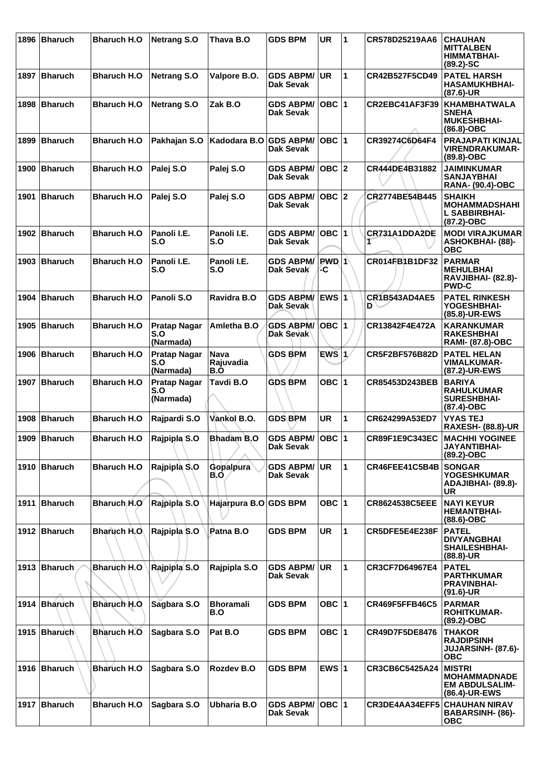| 1896 | <b>Bharuch</b> | <b>Bharuch H.O</b>  | <b>Netrang S.O</b>                      | Thava B.O                | <b>GDS BPM</b>                       | <b>UR</b>     | $\blacktriangleleft$ | CR578D25219AA6              | <b>CHAUHAN</b><br><b>MITTALBEN</b><br>HIMMATBHAI-<br>$(89.2) - SC$             |
|------|----------------|---------------------|-----------------------------------------|--------------------------|--------------------------------------|---------------|----------------------|-----------------------------|--------------------------------------------------------------------------------|
| 1897 | Bharuch        | <b>Bharuch H.O</b>  | <b>Netrang S.O</b>                      | Valpore B.O.             | <b>GDS ABPM/</b><br><b>Dak Sevak</b> | <b>UR</b>     | $\blacktriangleleft$ | CR42B527F5CD49              | <b>PATEL HARSH</b><br><b>HASAMUKHBHAI-</b><br>(87.6)-UR                        |
| 1898 | <b>Bharuch</b> | <b>Bharuch H.O</b>  | <b>Netrang S.O</b>                      | Zak B.O                  | <b>GDS ABPM/</b><br><b>Dak Sevak</b> | <b>OBC 1</b>  |                      | CR2EBC41AF3F39              | KHAMBHATWALA<br><b>SNEHA</b><br><b>MUKESHBHAI-</b><br>$(86.8)-OBC$             |
|      | 1899 Bharuch   | <b>Bharuch H.O</b>  | Pakhajan S.O                            | Kadodara B.O             | <b>GDS ABPM/</b><br>Dak Sevak        | OBC  1        |                      | CR39274C6D64F4              | <b>PRAJAPATI KINJAL</b><br><b>VIRENDRAKUMAR-</b><br>(89.8)-OBC                 |
| 1900 | <b>Bharuch</b> | <b>Bharuch H.O</b>  | Palej S.O                               | Palej S.O                | <b>GDS ABPM/</b><br><b>Dak Sevak</b> | $OBC$  2      |                      | CR444DE4B31882              | <b>JAIMINKUMAR</b><br><b>SANJAYBHAI</b><br><b>RANA- (90.4)-OBC</b>             |
| 1901 | <b>Bharuch</b> | <b>Bharuch H.O</b>  | Palej S.O                               | Palej S.O                | <b>GDS ABPM/</b><br>Dak Sevak        | OBC  2        |                      | CR2774BE54B445              | <b>SHAIKH</b><br><b>MOHAMMADSHAHI</b><br><b>L SABBIRBHAI-</b><br>$(87.2)$ -OBC |
|      | 1902 Bharuch   | <b>Bharuch H.O.</b> | Panoli I.E.<br>S.O                      | Panoli I.E.<br>S.O       | <b>GDS ABPM/</b><br>Dak Sevak        | OBC  1        |                      | CR731A1DDA2DE<br>T          | <b>MODI VIRAJKUMAR</b><br><b>ASHOKBHAI- (88)-</b><br>ОВС                       |
| 1903 | Bharuch        | <b>Bharuch H.O</b>  | Panoli I.E.<br>S.O                      | Panoli I.E.<br>S.O       | <b>GDS ABPM/</b><br>Dak Sevak        | $PWD$ 1<br>-C |                      | CR014FB1B1DF32              | <b>PARMAR</b><br><b>MEHULBHAI</b><br><b>RAVJIBHAI- (82.8)-</b><br><b>PWD-C</b> |
| 1904 | Bharuch        | <b>Bharuch H.O</b>  | Panoli S.O                              | Ravidra B.O              | <b>GDS ABPM/</b><br>Dak Sevak        | <b>EWS 1</b>  |                      | <b>CR1B543AD4AE5</b><br>D \ | <b>PATEL RINKESH</b><br>YOGESHBHAI-<br>(85.8)-UR-EWS                           |
| 1905 | Bharuch        | <b>Bharuch H.O</b>  | <b>Pratap Nagar</b><br>S.O<br>(Narmada) | Amletha B.O              | <b>GDS ABPM/</b><br>Dak Sevak        | ∣OBC ∣1       |                      | CR13842F4E472A              | <b>KARANKUMAR</b><br><b>RAKESHBHAI</b><br><b>RAMI- (87.8)-OBC</b>              |
| 1906 | <b>Bharuch</b> | <b>Bharuch H.O</b>  | <b>Pratap Nagar</b><br>S.O<br>(Narmada) | Nava<br>Rajuvadia<br>B.O | <b>GDS BPM</b>                       | $EWS$ 1       |                      | CR5F2BF576B82D              | <b>PATEL HELAN</b><br><b>VIMALKUMAR-</b><br>(87.2)-UR-EWS                      |
| 1907 | <b>Bharuch</b> | <b>Bharuch H.O</b>  | <b>Pratap Nagar</b><br>S.O<br>(Narmada) | Tavdi B.O                | <b>GDS BPM</b>                       | OBC $ 1$      |                      | CR85453D243BEB              | <b>BARIYA</b><br><b>RAHULKUMAR</b><br><b>SURESHBHAI-</b><br>(87.4)-OBC         |
| 1908 | Bharuch        | <b>Bharuch H.O</b>  | Rajpardi S.O                            | Vankol B.O.              | <b>GDS BPM</b>                       | <b>UR</b>     | 11.                  | CR624299A53ED7              | <b>VYAS TEJ</b><br><b>RAXESH- (88.8)-UR</b>                                    |
|      | 1909   Bharuch | <b>Bharuch H.O</b>  | Rajpipla S.O                            | Bhadam B.O               | GDS ABPM/ OBC 1<br>Dak Sevak         |               |                      | CR89F1E9C343EC              | <b>MACHHI YOGINEE</b><br><b>JAYANTIBHAI-</b><br>$(89.2)$ -OBC                  |
|      | 1910 Bharuch   | <b>Bharuch H.O</b>  | Rajpipla S.O                            | Gopalpura<br>B.O         | <b>GDS ABPM/</b><br>Dak Sevak        | UR.           | 11.                  | CR46FEE41C5B4B              | <b>SONGAR</b><br><b>YOGESHKUMAR</b><br>ADAJIBHAI- (89.8)-<br>UR                |
|      | 1911 Bharuch   | Bharuch H.O         | Rajpipla S.O                            | Hajarpura B.O GDS BPM    |                                      | OBC $ 1$      |                      | <b>CR8624538C5EEE</b>       | <b>NAYI KEYUR</b><br><b>HEMANTBHAI-</b><br>$(88.6)-OBC$                        |
|      | 1912 Bharuch   | Bharuch H.O.        | Rajpipla S.O                            | Patna B.O                | <b>GDS BPM</b>                       | <b>UR</b>     | $\blacktriangleleft$ | CR5DFE5E4E238F              | <b>PATEL</b><br><b>DIVYANGBHAI</b><br><b>SHAILESHBHAI-</b><br>$(88.8)$ -UR     |
|      | 1913 Bharuch   | Bharuch H.O         | Rajpipla S.O                            | Rajpipla S.O             | <b>GDS ABPM/</b><br>Dak Sevak        | <b>UR</b>     | $\blacktriangleleft$ | CR3CF7D64967E4              | <b>PATEL</b><br><b>PARTHKUMAR</b><br><b>PRAVINBHAI-</b><br>$(91.6)$ -UR        |
|      | 1914 Bharuch   | <b>Bharuch H.O.</b> | Sagbara S.O                             | <b>Bhoramali</b><br>B.O  | <b>GDS BPM</b>                       | OBC $ 1 $     |                      | <b>CR469F5FFB46C5</b>       | <b>PARMAR</b><br><b>ROHITKUMAR-</b><br>$(89.2)$ -OBC                           |
|      | 1915   Bharuch | <b>Bharuch H.O</b>  | Sagbara S.O                             | Pat B.O                  | <b>GDS BPM</b>                       | OBC $ 1$      |                      | CR49D7F5DE8476              | THAKOR<br><b>RAJDIPSINH</b><br><b>JUJARSINH- (87.6)-</b><br><b>OBC</b>         |
|      | 1916 Bharuch   | <b>Bharuch H.O</b>  | Sagbara S.O                             | Rozdev B.O               | <b>GDS BPM</b>                       | EWS $ 1 $     |                      | CR3CB6C5425A24              | <b>MISTRI</b><br><b>MOHAMMADNADE</b><br><b>EM ABDULSALIM-</b><br>(86.4)-UR-EWS |
|      | 1917 Bharuch   | <b>Bharuch H.O</b>  | Sagbara S.O                             | <b>Ubharia B.O</b>       | <b>GDS ABPM/</b><br>Dak Sevak        | $OBC$  1      |                      | CR3DE4AA34EFF5              | <b>CHAUHAN NIRAV</b><br>BABARSINH- (86)-<br><b>OBC</b>                         |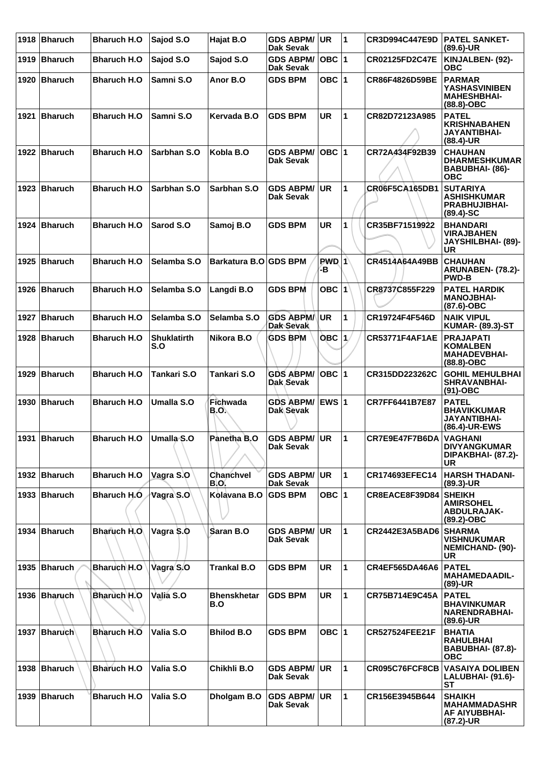|      | 1918 Bharuch   | <b>Bharuch H.O</b> | Sajod S.O                 | Hajat B.O                 | <b>GDS ABPM/ UR</b><br>Dak Sevak     |                   | $\overline{\mathbf{1}}$ | CR3D994C447E9D        | <b>PATEL SANKET-</b><br>$(89.6)$ -UR                                           |
|------|----------------|--------------------|---------------------------|---------------------------|--------------------------------------|-------------------|-------------------------|-----------------------|--------------------------------------------------------------------------------|
|      | 1919 Bharuch   | <b>Bharuch H.O</b> | Sajod S.O                 | Sajod S.O                 | <b>GDS ABPM/</b><br><b>Dak Sevak</b> | OBC  1            |                         | <b>CR02125FD2C47E</b> | KINJALBEN- (92)-<br><b>OBC</b>                                                 |
| 1920 | <b>Bharuch</b> | <b>Bharuch H.O</b> | Samni S.O                 | Anor B.O                  | <b>GDS BPM</b>                       | OBC $ 1$          |                         | CR86F4826D59BE        | <b>PARMAR</b><br><b>YASHASVINIBEN</b><br><b>MAHESHBHAI-</b><br>$(88.8)-OBC$    |
| 1921 | <b>Bharuch</b> | <b>Bharuch H.O</b> | Samni S.O                 | Kervada B.O               | <b>GDS BPM</b>                       | <b>UR</b>         | 1                       | CR82D72123A985        | <b>PATEL</b><br><b>KRISHNABAHEN</b><br>JAYANTIBHAI-<br>(88.4)-UR               |
|      | 1922 Bharuch   | <b>Bharuch H.O</b> | Sarbhan S.O               | Kobla B.O                 | <b>GDS ABPM/</b><br>Dak Sevak        | OBC  1            |                         | CR72A434F92B39        | <b>CHAUHAN</b><br><b>DHARMESHKUMAR</b><br>BABUBHAI- (86)-<br>ОВС               |
| 1923 | Bharuch        | <b>Bharuch H.O</b> | Sarbhan S.O               | Sarbhan S.O               | <b>GDS ABPM/</b><br><b>Dak Sevak</b> | <b>UR</b>         | 1                       | CR06F5CA165DB1        | <b>SUTARIYA</b><br><b>ASHISHKUMAR</b><br><b>PRABHUJIBHAI-</b><br>$(89.4) - SC$ |
| 1924 | Bharuch        | <b>Bharuch H.O</b> | Sarod S.O                 | Samoj B.O                 | <b>GDS BPM</b>                       | <b>UR</b>         | 1                       | CR35BF71519922        | <b>BHANDARI</b><br>VIRAJBAHEN<br><b>JAYSHILBHAI- (89)-</b><br>UR               |
|      | 1925 Bharuch   | <b>Bharuch H.O</b> | Selamba S.O               | Barkatura B.O GDS BPM     |                                      | $PWD$ 1<br>-в     |                         | CR4514A64A49BB        | <b>CHAUHAN</b><br>ARUNABEN- (78.2)-<br><b>PWD-B</b>                            |
| 1926 | Bharuch        | <b>Bharuch H.O</b> | Selamba S.O               | Langdi B.O                | <b>GDS BPM</b>                       | $OBC$ 1           |                         | CR8737C855F229        | <b>PATEL HARDIK</b><br><b>MANOJBHAI-</b><br>$(87.6)$ -OBC                      |
| 1927 | <b>Bharuch</b> | <b>Bharuch H.O</b> | Selamba S.O               | Selamba S.O               | <b>GDS ABPM/</b><br><b>Dak Sevak</b> | UR.               | 1                       | CR19724F4F546D        | <b>NAIK VIPUL</b><br><b>KUMAR- (89.3)-ST</b>                                   |
| 1928 | <b>Bharuch</b> | <b>Bharuch H.O</b> | <b>Shuklatirth</b><br>S.O | Nikora B.O                | <b>GDS BPM</b>                       | $OBC$ $ 1\rangle$ |                         | <b>CR53771F4AF1AE</b> | <b>PRAJAPATI</b><br><b>KOMALBEN</b><br><b>MAHADEVBHAI-</b><br>$(88.8)-OBC$     |
| 1929 | <b>Bharuch</b> | <b>Bharuch H.O</b> | Tankari S.O               | Tankari S.O               | <b>GDS ABPM/</b><br>Dak Sevak        | $OBC$  1          |                         | CR315DD223262C        | <b>GOHIL MEHULBHAI</b><br><b>SHRAVANBHAI-</b><br>$(91)$ -OBC                   |
|      | 1930   Bharuch | <b>Bharuch H.O</b> | Umalla S.O                | Fichwada<br>B.O.          | <b>GDS ABPM/</b><br>Dak Sevak        | <b>EWS 1</b>      |                         | CR7FF6441B7E87        | <b>PATEL</b><br><b>BHAVIKKUMAR</b><br>JAYANTIBHAI-<br>(86.4)-UR-EWS            |
|      | 1931 Bharuch   | <b>Bharuch H.O</b> | ∣Umalla S.O               | Panetha B.O               | <b>GDS ABPM/ UR</b><br>Dak Sevak     |                   | $\blacktriangleleft$    | CR7E9E47F7B6DA        | <b>VAGHANI</b><br><b>DIVYANGKUMAR</b><br>DIPAKBHAI- (87.2)-<br>UR              |
|      | 1932 Bharuch   | <b>Bharuch H.O</b> | Vagra S.O                 | Chanchvel<br>B.O.         | <b>GDS ABPM/ UR</b><br>Dak Sevak     |                   | 1                       | CR174693EFEC14        | <b>HARSH THADANI-</b><br>$(89.3)$ -UR                                          |
|      | 1933 Bharuch   | <b>Bharuch H.O</b> | Vagra S.O                 | Kolavana B.O              | <b>GDS BPM</b>                       | OBC $ 1$          |                         | CR8EACE8F39D84        | <b>SHEIKH</b><br><b>AMIRSOHEL</b><br>ABDULRAJAK-<br>(89.2)-OBC                 |
|      | 1934 Bharuch   | Bharuch H.O.       | Vagra S.O                 | Saran B.O                 | <b>GDS ABPM/</b><br>Dak Sevak        | <b>UR</b>         | 1                       | <b>CR2442E3A5BAD6</b> | <b>SHARMA</b><br>VISHNUKUMAR<br><b>NEMICHAND- (90)-</b><br>UR                  |
|      | 1935 Bharuch   | Bharuch H.O        | Vagra S.O                 | <b>Trankal B.O</b>        | <b>GDS BPM</b>                       | <b>UR</b>         | 1                       | CR4EF565DA46A6        | <b>PATEL</b><br><b>MAHAMEDAADIL-</b><br>$(89)-UR$                              |
|      | 1936 Bharuch   | <b>Bharuch H.O</b> | Valia S.O                 | <b>Bhenskhetar</b><br>B.O | <b>GDS BPM</b>                       | <b>UR</b>         | 1                       | CR75B714E9C45A        | <b>PATEL</b><br><b>BHAVINKUMAR</b><br>NARENDRABHAI-<br>(89.6)-UR               |
|      | 1937 Bharuch   | <b>Bharuch H.O</b> | Valia S.O                 | <b>Bhilod B.O</b>         | <b>GDS BPM</b>                       | OBC $ 1$          |                         | <b>CR527524FEE21F</b> | <b>BHATIA</b><br><b>RAHULBHAI</b><br><b>BABUBHAI- (87.8)-</b><br><b>OBC</b>    |
|      | 1938 Bharuch   | <b>Bharuch H.O</b> | Valia S.O                 | Chikhli B.O               | <b>GDS ABPM/</b><br>Dak Sevak        | <b>UR</b>         | 1                       | CR095C76FCF8CB        | <b>VASAIYA DOLIBEN</b><br>LALUBHAI- (91.6)-<br><b>ST</b>                       |
|      | 1939 Bharuch   | <b>Bharuch H.O</b> | Valia S.O                 | Dholgam B.O               | <b>GDS ABPM/</b><br>Dak Sevak        | <b>UR</b>         | $\mathbf{1}$            | CR156E3945B644        | <b>SHAIKH</b><br><b>MAHAMMADASHR</b><br><b>AF AIYUBBHAI-</b><br>(87.2)-UR      |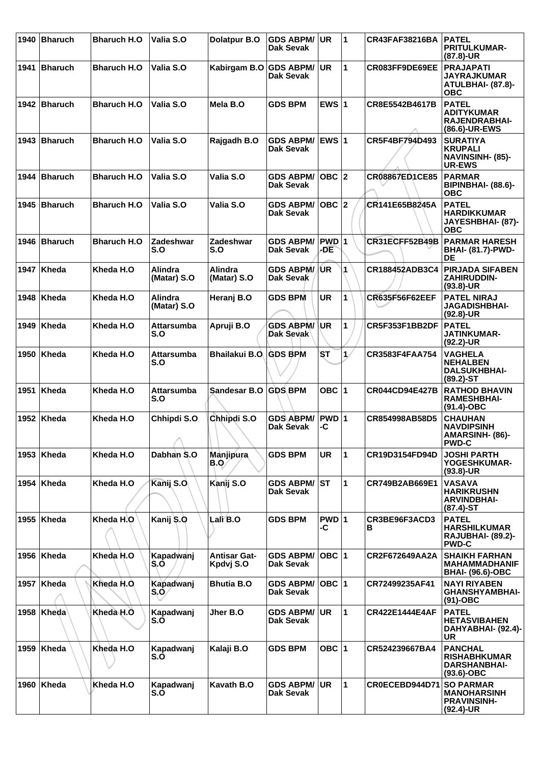| 1940 | Bharuch        | <b>Bharuch H.O</b>  | Valia S.O                     | <b>Dolatpur B.O</b>              | <b>GDS ABPM/</b><br>Dak Sevak        | UR            | $\blacktriangleleft$ | <b>CR43FAF38216BA</b> | <b>PATEL</b><br><b>PRITULKUMAR-</b><br>(87.8)-UR                                |
|------|----------------|---------------------|-------------------------------|----------------------------------|--------------------------------------|---------------|----------------------|-----------------------|---------------------------------------------------------------------------------|
| 1941 | <b>Bharuch</b> | <b>Bharuch H.O</b>  | Valia S.O                     | Kabirgam B.O GDS ABPM/           | Dak Sevak                            | <b>UR</b>     | $\mathbf{1}$         | CR083FF9DE69EE        | <b>PRAJAPATI</b><br><b>JAYRAJKUMAR</b><br>ATULBHAI- (87.8)-<br><b>OBC</b>       |
|      | 1942 Bharuch   | <b>Bharuch H.O</b>  | Valia S.O                     | Mela B.O                         | <b>GDS BPM</b>                       | EWS $ 1$      |                      | CR8E5542B4617B        | <b>PATEL</b><br><b>ADITYKUMAR</b><br>RAJENDRABHAI-<br>(86.6)-UR-EWS             |
|      | 1943 Bharuch   | <b>Bharuch H.O.</b> | Valia S.O                     | Rajgadh B.O                      | <b>GDS ABPM/</b><br>Dak Sevak        | EWS 1         |                      | CR5F4BF794D493        | <b>SURATIYA</b><br><b>KRUPALI</b><br><b>NAVINSINH- (85)-</b><br><b>UR-EWS</b>   |
| 1944 | Bharuch        | <b>Bharuch H.O</b>  | Valia S.O                     | Valia S.O                        | <b>GDS ABPM/</b><br>Dak Sevak        | $OBC$  2      |                      | CR08867ED1CE85        | <b>PARMAR</b><br>BIPINBHAI- (88.6)-<br><b>OBC</b>                               |
|      | 1945 Bharuch   | <b>Bharuch H.O</b>  | Valia S.O                     | Valia S.O                        | <b>GDS ABPM/</b><br>Dak Sevak        | $OBC$ 2       |                      | CR141E65B8245A        | <b>PATEL</b><br><b>HARDIKKUMAR</b><br>JAYESHBHAI- (87)-<br><b>OBC</b>           |
|      | 1946 Bharuch   | <b>Bharuch H.O</b>  | <b>Zadeshwar</b><br>S.O       | <b>Zadeshwar</b><br>S.O          | <b>GDS ABPM/</b><br>Dak Sevak        | PWD 1<br>-DE  |                      | CR31ECFF52B49B        | <b>PARMAR HARESH</b><br><b>BHAI- (81.7)-PWD-</b><br>DE                          |
|      | 1947 Kheda     | Kheda H.O           | <b>Alindra</b><br>(Matar) S.O | <b>Alindra</b><br>(Matar) S.O    | <b>GDS ABPM/</b><br>Dak Sevak        | /UR           | 1                    | CR188452ADB3C4        | <b>PIRJADA SIFABEN</b><br><b>ZAHIRUDDIN-</b><br>$(93.8)$ -UR                    |
| 1948 | Kheda          | Kheda H.O           | Alindra<br>(Matar) S.O        | Heranj B.O                       | <b>GDS BPM</b>                       | <b>UR</b>     | 1                    | CR635F56F62EEF        | <b>PATEL NIRAJ</b><br><b>JAGADISHBHAI-</b><br>$(92.8)$ -UR                      |
| 1949 | ∣Kheda         | Kheda H.O           | Attarsumba<br>S.O             | Apruji B.O                       | <b>GDS ABPM/</b><br>Dak Sevak        | UR            | 1                    | CR5F353F1BB2DF        | <b>PATEL</b><br><b>JATINKUMAR-</b><br>$(92.2)$ -UR                              |
| 1950 | Kheda          | Kheda H.O           | Attarsumba<br>S.O             | Bhailakui B.O. GDS BPM           |                                      | <b>ST</b>     | 1/                   | CR3583F4FAA754        | <b>VAGHELA</b><br><b>NEHALBEN</b><br><b>DALSUKHBHAI-</b><br>$(89.2)$ -ST        |
| 1951 | Kheda          | Kheda H.O           | Attarsumba<br>S.O             | Sandesar B.O GDS BPM             |                                      | OBC $ 1$      |                      | <b>CR044CD94E427B</b> | <b>RATHOD BHAVIN</b><br><b>RAMESHBHAI-</b><br>(91.4)-OBC                        |
|      | 1952 Kheda     | Kheda H.O           | Chhipdi S.O<br>↗              | Chhipdi S.O                      | <b>GDS ABPM/</b><br>Dak Sevak        | $PWD$ 1<br>-C |                      | CR854998AB58D5        | <b>CHAUHAN</b><br><b>NAVDIPSINH</b><br>AMARSINH- (86)-<br><b>PWD-C</b>          |
|      | 1953   Kheda   | Kheda H.O           | Dabhan S.O                    | Manjipura<br><b>B.Q</b>          | <b>GDS BPM</b>                       | <b>UR</b>     | 1                    | <b>CR19D3154FD94D</b> | <b>JOSHI PARTH</b><br>YOGESHKUMAR-<br>$(93.8)$ -UR                              |
|      | 1954   Kheda   | Kheda H.O           | Kanij S.O                     | Kanij S.O                        | <b>GDS ABPM/</b><br>Dak Sevak        | <b>ST</b>     | $\mathbf{1}$         | CR749B2AB669E1        | <b>VASAVA</b><br><b>HARIKRUSHN</b><br><b>ARVINDBHAI-</b><br>$(87.4)$ -ST        |
|      | 1955   Kheda   | Kheda H.O           | Kanij S.O                     | Lali B.O                         | <b>GDS BPM</b>                       | PWD 1<br>-C   |                      | CR3BE96F3ACD3<br>в    | <b>PATEL</b><br><b>HARSHILKUMAR</b><br><b>RAJUBHAI- (89.2)-</b><br><b>PWD-C</b> |
|      | 1956 Kheda     | Kheda H.O           | Kapadwanj<br>S.O              | <b>Antisar Gat-</b><br>Kpdvj S.O | <b>GDS ABPM/</b><br>Dak Sevak        | OBC $ 1 $     |                      | CR2F672649AA2A        | <b>SHAIKH FARHAN</b><br><b>MAHAMMADHANIF</b><br><b>BHAI- (96.6)-OBC</b>         |
| 1957 | Kheda          | Kheda H.O.          | Kapadwanj<br>$S_0$            | <b>Bhutia B.O</b>                | <b>GDS ABPM/</b><br><b>Dak Sevak</b> | OBC  1        |                      | CR72499235AF41        | <b>NAYI RIYABEN</b><br><b>GHANSHYAMBHAI-</b><br>$(91)$ -OBC                     |
| 1958 | Kheda          | Kheda H.O           | Kapadwanj<br>S.O              | Jher B.O                         | <b>GDS ABPM/</b><br>Dak Sevak        | <b>UR</b>     | $\mathbf{1}$         | <b>CR422E1444E4AF</b> | <b>PATEL</b><br><b>HETASVIBAHEN</b><br>DAHYABHAI- (92.4)-<br><b>UR</b>          |
| 1959 | Kheda          | Kheda H.O           | Kapadwanj<br>S.O              | Kalaji B.O                       | <b>GDS BPM</b>                       | OBC  1        |                      | CR524239667BA4        | <b>PANCHAL</b><br><b>RISHABHKUMAR</b><br><b>DARSHANBHAI-</b><br>$(93.6)$ -OBC   |
| 1960 | Kheda          | Kheda H.O           | Kapadwanj<br>S.O              | Kavath B.O                       | <b>GDS ABPM/</b><br>Dak Sevak        | UR.           | $\mathbf{1}$         | CR0ECEBD944D71        | <b>SO PARMAR</b><br><b>MANOHARSINH</b><br><b>PRAVINSINH-</b><br>$(92.4)$ -UR    |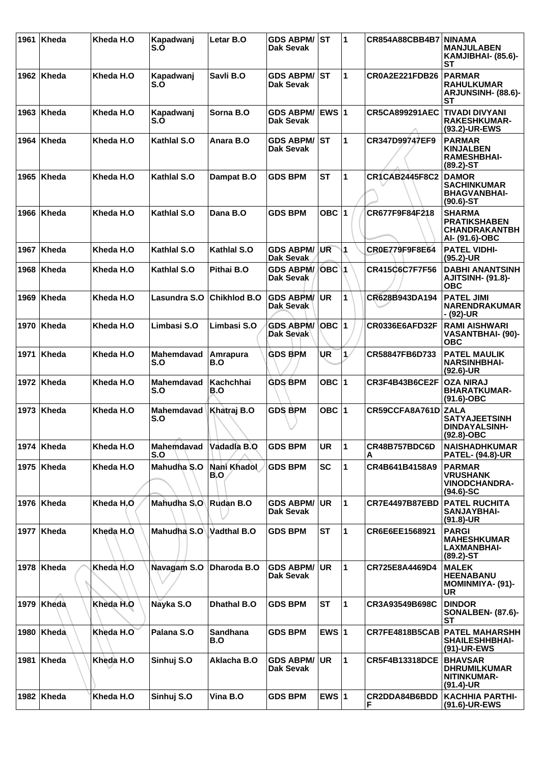| 1961 | Kheda        | Kheda H.O  | Kapadwanj<br>S.O  | Letar B.O              | <b>GDS ABPM/ ST</b><br>Dak Sevak     |                | $\blacktriangleleft$ | <b>CR854A88CBB4B7</b> | <b>ININAMA</b><br><b>MANJULABEN</b><br>KAMJIBHAI- (85.6)-<br>SТ                |
|------|--------------|------------|-------------------|------------------------|--------------------------------------|----------------|----------------------|-----------------------|--------------------------------------------------------------------------------|
|      | 1962   Kheda | Kheda H.O  | Kapadwanj<br>S.O  | Savli B.O              | <b>GDS ABPM/ IST</b><br>Dak Sevak    |                | 1                    | CR0A2E221FDB26        | <b>PARMAR</b><br><b>RAHULKUMAR</b><br>ARJUNSINH- (88.6)-<br>ST                 |
| 1963 | Kheda        | Kheda H.O  | Kapadwanj<br>S.O  | Sorna B.O              | <b>GDS ABPM/</b><br>Dak Sevak        | <b>EWS 1</b>   |                      | <b>CR5CA899291AEC</b> | <b>TIVADI DIVYANI</b><br><b>RAKESHKUMAR-</b><br>(93.2)-UR-EWS                  |
| 1964 | Kheda        | Kheda H.O  | Kathlal S.O       | Anara B.O              | <b>GDS ABPM/</b><br><b>Dak Sevak</b> | lst            | 1                    | CR347D99747EF9        | <b>PARMAR</b><br><b>KINJALBEN</b><br><b>RAMESHBHAI-</b><br>$(89.2) - ST$       |
| 1965 | Kheda        | Kheda H.O  | Kathlal S.O       | Dampat B.O             | <b>GDS BPM</b>                       | <b>ST</b>      | 1                    | <b>CR1CAB2445F8C2</b> | <b>DAMOR</b><br><b>SACHINKUMAR</b><br><b>BHAGVANBHAI-</b><br>$(90.6)$ -ST      |
| 1966 | ∣Kheda       | Kheda H.O  | Kathlal S.O       | Dana B.O               | <b>GDS BPM</b>                       | OBC $ 1$       |                      | CR677F9F84F218        | <b>SHARMA</b><br><b>PRATIKSHABEN</b><br><b>CHANDRAKANTBH</b><br>Al- (91.6)-OBC |
| 1967 | Kheda        | Kheda H.O  | Kathlal S.O       | Kathlal S.O            | <b>GDS ABPM/</b><br>Dak Sevak        | UR             | 1                    | CR0E779F9F8E64        | <b>PATEL VIDHI-</b><br>$(95.2)$ -UR                                            |
| 1968 | Kheda        | Kheda H.O  | Kathlal S.O       | Pithai B.O             | <b>GDS ABPM/</b><br>Dak Sevak        | OBC 1          |                      | CR415C6C7F7F56        | <b>DABHI ANANTSINH</b><br><b>AJITSINH- (91.8)-</b><br><b>OBC</b>               |
| 1969 | Kheda        | Kheda H.O  | Lasundra S.O      | <b>Chikhlod B.O</b>    | <b>GDS ABPM/</b><br>Dak Sevak        | <b>UR</b>      | $\mathbf{1}$         | CR628B943DA194        | <b>PATEL JIMI</b><br><b>NARENDRAKUMAR</b><br>- (92)-UR                         |
| 1970 | Kheda        | Kheda H.O  | Limbasi S.O       | Limbasi S.O            | <b>GDS ABPM/</b><br>Dak Sevak        | <b>∣ОВС  1</b> |                      | CR0336E6AFD32F        | <b>RAMI AISHWARI</b><br><b>VASANTBHAI- (90)-</b><br><b>OBC</b>                 |
| 1971 | Kheda        | Kheda H.O  | Mahemdavad<br>S.O | Amrapura<br>B.O        | <b>GDS BPM</b>                       | UR             | 1/                   | CR58847FB6D733        | <b>PATEL MAULIK</b><br><b>NARSINHBHAI-</b><br>$(92.6)$ -UR                     |
| 1972 | ∣Kheda       | Kheda H.O  | Mahemdavad<br>S.O | Kachchhai<br>B.O       | <b>GDS BPM</b>                       | OBC $ 1$       |                      | CR3F4B43B6CE2F        | <b>OZA NIRAJ</b><br><b>BHARATKUMAR-</b><br>$(91.6)-OBC$                        |
| 1973 | Kheda        | Kheda H.O  | Mahemdavad<br>S.O | Khatraj B.O            | <b>GDS BPM</b>                       | OBC $ 1$       |                      | CR59CCFA8A761D        | <b>ZALA</b><br><b>SATYAJEETSINH</b><br><b>DINDAYALSINH-</b><br>$(92.8)-OBC$    |
|      | 1974   Kheda | Kheda H.O  | Mahemdavad<br>S.O | Vadadla B.O            | <b>GDS BPM</b>                       | <b>UR</b>      | 11                   | CR48B757BDC6D<br>Α    | <b>NAISHADHKUMAR</b><br><b>PATEL- (94.8)-UR</b>                                |
|      | 1975   Kheda | Kheda H.O  | Mahudha S.O       | Nani Khadol<br>B.O     | <b>GDS BPM</b>                       | <b>SC</b>      | 1                    | CR4B641B4158A9        | <b>PARMAR</b><br><b>VRUSHANK</b><br><b>VINODCHANDRA-</b><br>$(94.6)$ -SC       |
|      | 1976 Kheda   | Kheda H.O  | Mahudha S.O       | Rudan B.O              | <b>GDS ABPM/</b><br><b>Dak Sevak</b> | <b>UR</b>      | $\mathbf{1}$         | <b>CR7E4497B87EBD</b> | <b>PATEL RUCHITA</b><br><b>SANJAYBHAI-</b><br>$(91.8)$ -UR                     |
|      | 1977   Kheda | Kheda H.O. | Mahudha S.O       | Vadthal B.O            | <b>GDS BPM</b>                       | <b>ST</b>      | 1                    | CR6E6EE1568921        | <b>PARGI</b><br><b>MAHESHKUMAR</b><br><b>LAXMANBHAI-</b><br>$(89.2)$ -ST       |
| 1978 | Kheda        | Kheda H.O  | Navagam S.O       | Dharoda B.O            | <b>GDS ABPM/</b><br>Dak Sevak        | <b>UR</b>      | $\mathbf{1}$         | CR725E8A4469D4        | <b>MALEK</b><br><b>HEENABANU</b><br>MOMINMIYA- (91)-<br>UR                     |
|      | 1979 Kheda   | Kheda H.O  | Nayka S.O         | <b>Dhathal B.O</b>     | <b>GDS BPM</b>                       | <b>ST</b>      | $\mathbf{1}$         | CR3A93549B698C        | <b>DINDOR</b><br><b>SONALBEN- (87.6)-</b><br><b>ST</b>                         |
| 1980 | Kheda        | Kheda H.O  | Palana S.O        | <b>Sandhana</b><br>B.O | <b>GDS BPM</b>                       | EWS $ 1$       |                      | CR7FE4818B5CAB        | <b>PATEL MAHARSHH</b><br><b>SHAILESHHBHAI-</b><br>(91)-UR-EWS                  |
| 1981 | Kheda        | Kheda H.O  | Sinhuj S.O        | Aklacha B.O            | <b>GDS ABPM/</b><br>Dak Sevak        | <b>UR</b>      | $\mathbf{1}$         | <b>CR5F4B13318DCE</b> | <b>BHAVSAR</b><br><b>DHRUMILKUMAR</b><br>NITINKUMAR-<br>$(91.4)$ -UR           |
|      | 1982 Kheda   | Kheda H.O  | Sinhuj S.O        | Vina B.O               | <b>GDS BPM</b>                       | EWS $ 1$       |                      | CR2DDA84B6BDD<br>F    | <b>KACHHIA PARTHI-</b><br>(91.6)-UR-EWS                                        |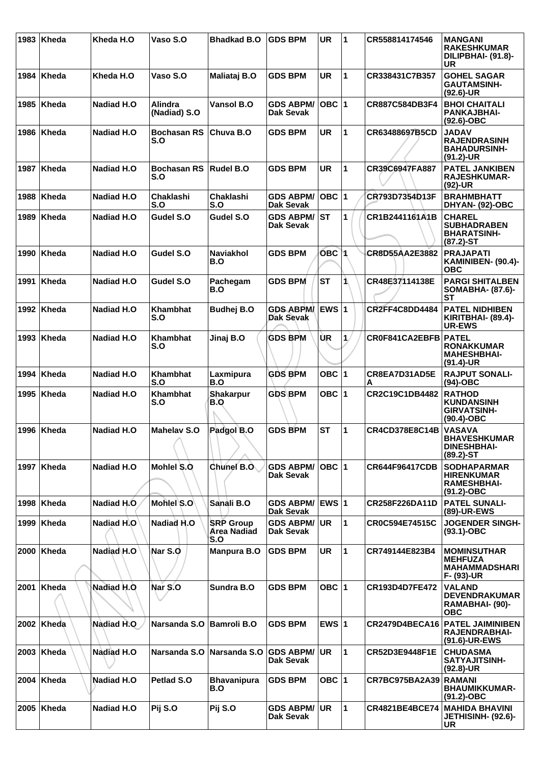| 1983 | ∣Kheda       | Kheda H.O          | Vaso S.O                       | <b>Bhadkad B.O</b>                            | <b>GDS BPM</b>                       | <b>UR</b>    | 1            | CR558814174546        | <b>MANGANI</b><br><b>RAKESHKUMAR</b><br>DILIPBHAI- (91.8)-<br>UR                |
|------|--------------|--------------------|--------------------------------|-----------------------------------------------|--------------------------------------|--------------|--------------|-----------------------|---------------------------------------------------------------------------------|
|      | 1984 Kheda   | Kheda H.O          | Vaso S.O                       | Maliataj B.O                                  | <b>GDS BPM</b>                       | <b>UR</b>    | 1            | CR338431C7B357        | <b>GOHEL SAGAR</b><br><b>GAUTAMSINH-</b><br>$(92.6)$ -UR                        |
|      | 1985   Kheda | <b>Nadiad H.O</b>  | <b>Alindra</b><br>(Nadiad) S.O | <b>Vansol B.O</b>                             | <b>GDS ABPM/</b><br><b>Dak Sevak</b> | $OBC$  1     |              | CR887C584DB3F4        | <b>BHOI CHAITALI</b><br><b>PANKAJBHAI-</b><br>(92.6)-OBC                        |
|      | 1986 Kheda   | <b>Nadiad H.O</b>  | <b>Bochasan RS</b><br>S.O      | Chuva B.O                                     | <b>GDS BPM</b>                       | <b>UR</b>    | $\mathbf{1}$ | CR63488697B5CD        | <b>JADAV</b><br><b>RAJENDRASINH</b><br><b>BAHADURSINH-</b><br>(91.2)-UR         |
| 1987 | ∣Kheda       | <b>Nadiad H.O</b>  | <b>Bochasan RS</b><br>S.O      | <b>Rudel B.O</b>                              | <b>GDS BPM</b>                       | <b>UR</b>    | 1            | CR39C6947FA887        | <b>PATEL JANKIBEN</b><br>RAJESHKUMAR-<br>(92)-UR                                |
| 1988 | Kheda        | <b>Nadiad H.O</b>  | <b>Chaklashi</b><br>S.O        | <b>Chaklashi</b><br>S.O                       | <b>GDS ABPM/</b><br><b>Dak Sevak</b> | $OBC$  1     |              | CR793D7354D13F        | <b>BRAHMBHATT</b><br>DHYAN- (92)-OBC                                            |
|      | 1989   Kheda | <b>Nadiad H.O.</b> | Gudel S.O                      | Gudel S.O                                     | <b>GDS ABPM/</b><br>Dak Sevak        | ST           | 1            | CR1B2441161A1B        | <b>CHAREL</b><br><b>SUBHADRABEN</b><br><b>BHARATSINH-</b><br>$(87.2)$ -ST       |
| 1990 | ∣Kheda       | <b>Nadiad H.O</b>  | Gudel S.O                      | <b>Naviakhol</b><br>B.O                       | <b>GDS BPM</b>                       | OBC 1        |              | CR8D55AA2E3882        | <b>PRAJAPATI</b><br>KAMINIBEN- (90.4)-<br><b>OBC</b>                            |
| 1991 | ∣Kheda       | <b>Nadiad H.O</b>  | Gudel S.O                      | Pachegam<br>B.O                               | <b>GDS BPM</b>                       | <b>ST</b>    | 1\           | CR48E37114138E        | <b>PARGI SHITALBEN</b><br>SOMABHA- (87.6)-<br><b>ST</b>                         |
|      | 1992 Kheda   | <b>Nadiad H.O</b>  | Khambhat<br>S.O                | <b>Budhej B.O</b>                             | <b>GDS ABPM</b><br>Dak Sevak         | <b>EWS 1</b> |              | <b>CR2FF4C8DD4484</b> | <b>PATEL NIDHIBEN</b><br>KIRITBHAI- (89.4)-<br><b>UR-EWS</b>                    |
| 1993 | ∣Kheda       | <b>Nadiad H.O</b>  | <b>Khambhat</b><br>S.O         | Jinaj B.O                                     | <b>GDS BPM</b>                       | ÙR           | 1.           | CR0F841CA2EBFB PATEL  | <b>RONAKKUMAR</b><br><b>MAHESHBHAI-</b><br>$(91.4)$ -UR                         |
| 1994 | ∣Kheda       | <b>Nadiad H.O</b>  | Khambhat<br>S.O                | Laxmipura<br>B.O                              | <b>GDS BPM</b>                       | OBC $ 1$     |              | CR8EA7D31AD5E<br>А    | <b>RAJPUT SONALI-</b><br>$(94)-OBC$                                             |
| 1995 | ∣Kheda       | <b>Nadiad H.O</b>  | <b>Khambhat</b><br>S.O         | <b>Shakarpur</b><br>B.O                       | <b>GDS BPM</b>                       | OBC $ 1$     |              | CR2C19C1DB4482        | <b>RATHOD</b><br><b>KUNDANSINH</b><br><b>GIRVATSINH-</b><br>$(90.4)$ -OBC       |
|      | 1996   Kheda | <b>Nadiad H.O</b>  | <b>Mahelav S.O</b>             | Padgol B.O                                    | <b>GDS BPM</b>                       | <b>ST</b>    | 1            | <b>CR4CD378E8C14B</b> | <b>VASAVA</b><br><b>BHAVESHKUMAR</b><br><b>DINESHBHAI-</b><br>$(89.2)$ -ST      |
| 1997 | ∣Kheda       | Nadiad H.O.        | Mohlel S.O.                    | Chunel B.O.                                   | <b>GDS ABPM/</b><br>Dak Sevak        | $OBC$ 1      |              | <b>CR644F96417CDB</b> | <b>SODHAPARMAR</b><br><b>HIRENKUMAR</b><br><b>RAMESHBHAI-</b><br>$(91.2) - OBC$ |
|      | 1998 Kheda   | Nadiad H.O         | Mohlel S.O                     | Sanali B.O                                    | <b>GDS ABPM/</b><br><b>Dak Sevak</b> | EWS 1        |              | CR258F226DA11D        | <b>PATEL SUNALI-</b><br>(89)-UR-EWS                                             |
| 1999 | Kheda        | Nadiad H.O         | Nadiad H.O                     | <b>SRP Group</b><br><b>Area Nadiad</b><br>S.O | <b>GDS ABPM/</b><br><b>Dak Sevak</b> | <b>UR</b>    | $\mathbf{1}$ | CR0C594E74515C        | <b>JOGENDER SINGH-</b><br>$(93.1) - OBC$                                        |
|      | $2000$ Kheda | Nadiad H.O         | Nar S.O                        | <b>Manpura B.O</b>                            | <b>GDS BPM</b>                       | <b>UR</b>    | 1            | CR749144E823B4        | <b>MOMINSUTHAR</b><br><b>MEHFUZA</b><br><b>MAHAMMADSHARI</b><br>F- (93)-UR      |
|      | 2001 Kheda   | Nadiad H.O         | Nar S.O                        | Sundra B.O                                    | <b>GDS BPM</b>                       | OBC $ 1$     |              | CR193D4D7FE472        | <b>VALAND</b><br><b>DEVENDRAKUMAR</b><br>RAMABHAI- (90)-<br><b>OBC</b>          |
|      | 2002 Kheda   | Nadiad H.O         | Narsanda S.O                   | <b>Bamroli B.O</b>                            | <b>GDS BPM</b>                       | EWS $ 1$     |              | <b>CR2479D4BECA16</b> | <b>PATEL JAIMINIBEN</b><br>RAJENDRABHAI-<br>(91.6)-UR-EWS                       |
|      | $2003$ Kheda | Nadiad H.O         | Narsanda S.O                   | Narsanda S.O                                  | <b>GDS ABPM/</b><br><b>Dak Sevak</b> | <b>UR</b>    | $\mathbf{1}$ | CR52D3E9448F1E        | <b>CHUDASMA</b><br><b>SATYAJITSINH-</b><br>$(92.8)$ -UR                         |
|      | $2004$ Kheda | <b>Nadiad H.O.</b> | Petlad S.O                     | <b>Bhavanipura</b><br>B.O                     | <b>GDS BPM</b>                       | OBC 1        |              | CR7BC975BA2A39        | <b>RAMANI</b><br><b>BHAUMIKKUMAR-</b><br>$(91.2) - OBC$                         |
|      | 2005   Kheda | Nadiad H.O         | Pij S.O                        | Pij S.O                                       | <b>GDS ABPM/</b><br><b>Dak Sevak</b> | ∣UR.         | $\mathbf{1}$ | <b>CR4821BE4BCE74</b> | <b>MAHIDA BHAVINI</b><br>JETHISINH- (92.6)-<br><b>UR</b>                        |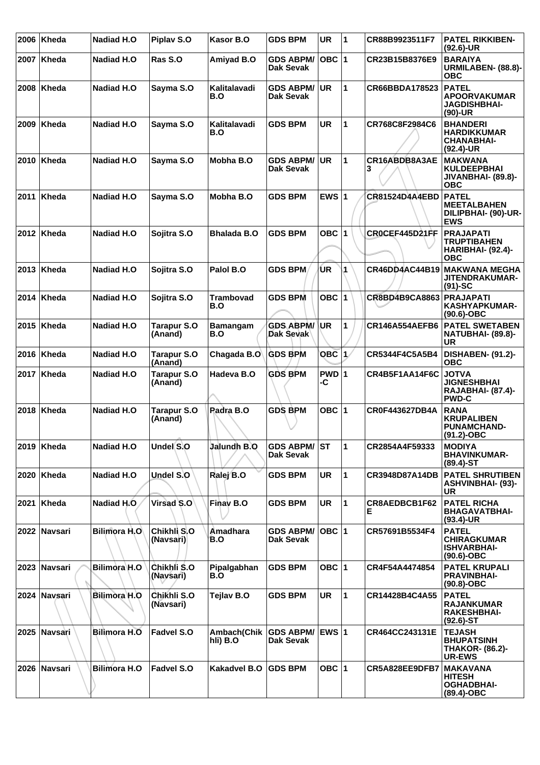| 2006 | Kheda        | Nadiad H.O           | Piplav S.O                    | Kasor B.O               | <b>GDS BPM</b>                       | <b>UR</b>    | $\overline{\mathbf{1}}$ | CR88B9923511F7        | <b>PATEL RIKKIBEN-</b><br>$(92.6)$ -UR                                         |
|------|--------------|----------------------|-------------------------------|-------------------------|--------------------------------------|--------------|-------------------------|-----------------------|--------------------------------------------------------------------------------|
|      | 2007   Kheda | Nadiad H.O           | Ras S.O                       | Amiyad B.O              | <b>GDS ABPM/</b><br>Dak Sevak        | $OBC$  1     |                         | CR23B15B8376E9        | <b>BARAIYA</b><br>URMILABEN- (88.8)-<br>овс                                    |
| 2008 | ∣Kheda       | Nadiad H.O           | Sayma S.O                     | Kalitalavadi<br>B.O     | <b>GDS ABPM/</b><br><b>Dak Sevak</b> | <b>UR</b>    | 1                       | CR66BBDA178523        | <b>PATEL</b><br><b>APOORVAKUMAR</b><br><b>JAGDISHBHAI-</b><br>(90)-UR          |
| 2009 | ∣Kheda       | <b>Nadiad H.O</b>    | Sayma S.O                     | Kalitalavadi<br>B.O     | <b>GDS BPM</b>                       | <b>UR</b>    | 1                       | CR768C8F2984C6        | <b>BHANDERI</b><br><b>HARDIKKUMAR</b><br><b>CHANABHAI-</b><br>$(92.4)-UR$      |
| 2010 | Kheda        | <b>Nadiad H.O</b>    | Sayma S.O                     | Mobha B.O               | <b>GDS ABPM/</b><br>Dak Sevak        | UR.          | 1                       | CR16ABDB8A3AE<br>з    | <b>MAKWANA</b><br><b>KULDEEPBHAI</b><br>JIVANBHAI- (89.8)-<br>ОВС              |
| 2011 | Kheda        | Nadiad H.O           | Sayma S.O                     | Mobha B.O               | <b>GDS BPM</b>                       | EWS $ 1$     |                         | <b>CR81524D4A4EBD</b> | <b>PATEL</b><br><b>MEETALBAHEN</b><br>DILIPBHAI- (90)-UR-<br><b>EWS</b>        |
|      | 2012   Kheda | Nadiad H.O           | Sojitra S.O                   | <b>Bhalada B.O</b>      | <b>GDS BPM</b>                       | OBC 1        |                         | CROCEF445D21FF        | <b>PRAJAPATI</b><br><b>TRUPTIBAHEN</b><br>HARIBHAI- (92.4)-<br><b>OBC</b>      |
|      | 2013   Kheda | Nadiad H.O           | Sojitra S.O                   | Palol B.O               | <b>GDS BPM</b>                       | ÚR           | 1                       | <b>CR46DD4AC44B19</b> | MAKWANA MEGHA<br><b>JITENDRAKUMAR-</b><br>$(91)-SC$                            |
|      | 2014   Kheda | Nadiad H.O           | Sojitra S.O                   | <b>Trambovad</b><br>B.O | <b>GDS BPM</b>                       | OBC          | $\blacktriangleleft$    | CR8BD4B9CA8863        | <b>PRAJAPATI</b><br><b>KASHYAPKUMAR-</b><br>$(90.6)$ -OBC                      |
|      | 2015   Kheda | <b>Nadiad H.O</b>    | <b>Tarapur S.O</b><br>(Anand) | <b>Bamangam</b><br>B.O  | <b>GDS ABPM/</b><br>Dak Sevak        | <b>IUR</b>   | 1                       | <b>CR146A554AEFB6</b> | <b>PATEL SWETABEN</b><br>NATUBHAI- (89.8)-<br><b>UR</b>                        |
|      | 2016   Kheda | <b>Nadiad H.O</b>    | <b>Tarapur S.O</b><br>(Anand) | Chagada B.O             | <b>GDS BPM</b>                       | <b>OBC</b> 1 |                         | CR5344F4C5A5B4        | <b>DISHABEN- (91.2)-</b><br><b>OBC</b>                                         |
| 2017 | Kheda        | Nadiad H.O           | <b>Tarapur S.O</b><br>(Anand) | Hadeva B.O              | <b>GDS BPM</b>                       | PWD 1<br>-C  |                         | CR4B5F1AA14F6C        | <b>JOTVA</b><br><b>JIGNESHBHAI</b><br><b>RAJABHAI- (87.4)-</b><br><b>PWD-C</b> |
|      | 2018   Kheda | <b>Nadiad H.O</b>    | <b>Tarapur S.O</b><br>(Anand) | Padra B.O               | <b>GDS BPM</b>                       | OBC ∣1       |                         | CR0F443627DB4A        | <b>RANA</b><br><b>KRUPALIBEN</b><br><b>PUNAMCHAND-</b><br>(91.2)-OBC           |
|      | $2019$ Kheda | Nadiad H.O           | Undel S.O                     | Jalundh B.O             | <b>GDS ABPM/ ST</b><br>Dak Sevak     |              | ∣1                      | CR2854A4F59333        | <b>MODIYA</b><br><b>BHAVINKUMAR-</b><br>$(89.4) - ST$                          |
|      | 2020 Kheda   | Nadiad H.O           | Undel S.O                     | Ralej B.O               | <b>GDS BPM</b>                       | <b>UR</b>    | 1                       | CR3948D87A14DB        | <b>PATEL SHRUTIBEN</b><br><b>ASHVINBHAI- (93)-</b><br><b>UR</b>                |
|      | 2021 Kheda   | Nadiad H.O.          | Virsad S.O                    | Finay B.O               | <b>GDS BPM</b>                       | <b>UR</b>    | 1                       | CR8AEDBCB1F62<br>E.   | <b>PATEL RICHA</b><br><b>BHAGAVATBHAI-</b><br>$(93.4)$ -UR                     |
|      | 2022 Navsari | <b>Bilimora H.O.</b> | Chikhli S.O<br>(Navsari)      | Amadhara<br>B.O         | <b>GDS ABPM/</b><br>Dak Sevak        | OBC  1       |                         | CR57691B5534F4        | <b>PATEL</b><br><b>CHIRAGKUMAR</b><br><b>ISHVARBHAI-</b><br>$(90.6)$ -OBC      |
|      | 2023 Navsari | Bilimora H.O         | Chikhli S.O<br>(Navsari)      | Pipalgabhan<br>B.O      | <b>GDS BPM</b>                       | OBC $ 1$     |                         | CR4F54A4474854        | <b>PATEL KRUPALI</b><br><b>PRAVINBHAI-</b><br>$(90.8)-OBC$                     |
|      | 2024 Navsari | <b>Bilimora H.O</b>  | Chikhli S.O<br>(Navsari)      | Tejlav B.O              | <b>GDS BPM</b>                       | <b>UR</b>    | 1                       | CR14428B4C4A55        | <b>PATEL</b><br><b>RAJANKUMAR</b><br><b>RAKESHBHAI-</b><br>$(92.6)$ -ST        |
|      | 2025 Navsari | <b>Bilimora H.O</b>  | <b>Fadvel S.O</b>             | Ambach(Chik<br>hli) B.O | <b>GDS ABPM/</b><br>Dak Sevak        | <b>EWS 1</b> |                         | CR464CC243131E        | <b>TEJASH</b><br><b>BHUPATSINH</b><br><b>THAKOR- (86.2)-</b><br><b>UR-EWS</b>  |
|      | 2026 Navsari | <b>Bilimora H.O</b>  | Fadvel S.O                    | <b>Kakadvel B.O</b>     | <b>GDS BPM</b>                       | OBC $ 1$     |                         | CR5A828EE9DFB7        | <b>MAKAVANA</b><br><b>HITESH</b><br><b>OGHADBHAI-</b><br>(89.4)-OBC            |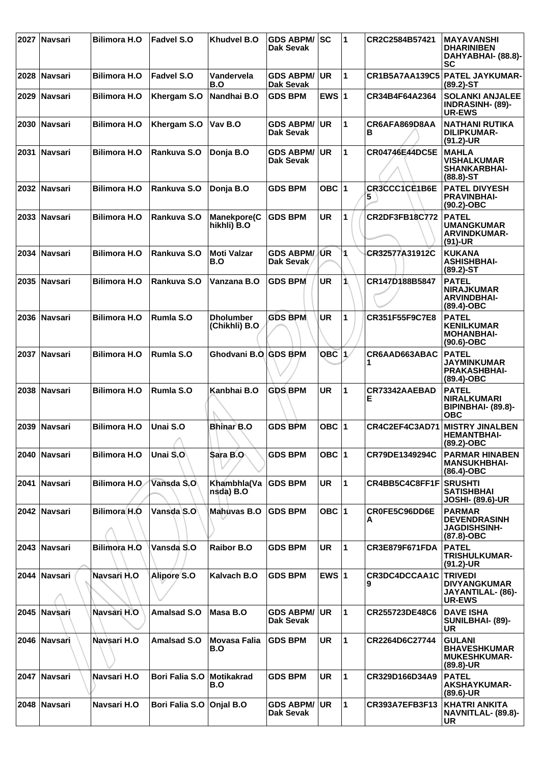|      | 2027 Navsari   | <b>Bilimora H.O</b>  | <b>Fadvel S.O</b>     | Khudvel B.O                       | <b>GDS ABPM/</b><br>Dak Sevak        | lsc       | 1            | CR2C2584B57421        | <b>MAYAVANSHI</b><br><b>DHARINIBEN</b><br>DAHYABHAI- (88.8)-<br>SC            |
|------|----------------|----------------------|-----------------------|-----------------------------------|--------------------------------------|-----------|--------------|-----------------------|-------------------------------------------------------------------------------|
|      | 2028 Navsari   | <b>Bilimora H.O</b>  | <b>Fadvel S.O</b>     | Vandervela<br>B.O                 | <b>GDS ABPM/</b><br><b>Dak Sevak</b> | <b>UR</b> | 1            |                       | CR1B5A7AA139C5 PATEL JAYKUMAR-<br>$(89.2) - ST$                               |
| 2029 | ∣Navsari       | <b>Bilimora H.O.</b> | Khergam S.O           | Nandhai B.O                       | <b>GDS BPM</b>                       | EWS $ 1$  |              | CR34B4F64A2364        | <b>SOLANKI ANJALEE</b><br><b>INDRASINH- (89)-</b><br><b>UR-EWS</b>            |
|      | 2030 Navsari   | <b>Bilimora H.O</b>  | Khergam S.O           | Vav B.O                           | <b>GDS ABPM/</b><br>Dak Sevak        | <b>UR</b> | 1            | CR6AFA869D8AA<br>в    | <b>NATHANI RUTIKA</b><br><b>DILIPKUMAR-</b><br>$(91.2)$ -UR                   |
|      | 2031 Navsari   | <b>Bilimora H.O</b>  | Rankuva S.O           | Donja B.O                         | <b>GDS ABPM/</b><br><b>Dak Sevak</b> | UR.       | $\mathbf{1}$ | <b>CR04746E44DC5E</b> | <b>MAHLA</b><br><b>VISHALKUMAR</b><br><b>SHANKARBHAI-</b><br>$(88.8) - ST$    |
|      | 2032 Navsari   | <b>Bilimora H.O</b>  | Rankuva S.O           | Donja B.O                         | <b>GDS BPM</b>                       | OBC $ 1$  |              | CR3CCC1CE1B6E<br>5.   | <b>PATEL DIVYESH</b><br><b>PRAVINBHAI-</b><br>$(90.2)$ -OBC                   |
|      | 2033 Navsari   | <b>Bilimora H.O</b>  | Rankuva S.O           | <b>Manekpore(C</b><br>hikhli) B.O | <b>GDS BPM</b>                       | <b>UR</b> | 1            | CR2DF3FB18C772        | <b>PATEL</b><br><b>UMANGKUMAR</b><br><b>ARVINDKUMAR-</b><br>$(91)-UR$         |
| 2034 | ∣Navsari       | <b>Bilimora H.O</b>  | Rankuva S.O           | <b>Moti Valzar</b><br>B.O         | <b>GDS ABPM/</b><br>Dak Sevak        | /UR       | 1            | CR32577A31912C        | <b>KUKANA</b><br><b>ASHISHBHAI-</b><br>$(89.2)$ -ST                           |
|      | 2035 Navsari   | <b>Bilimora H.O</b>  | Rankuva S.O           | Vanzana B.O                       | <b>GDS BPM</b>                       | <b>UR</b> | 1\           | CR147D188B5847        | <b>PATEL</b><br><b>NIRAJKUMAR</b><br><b>ARVINDBHAI-</b><br>(89.4)-OBC         |
| 2036 | <b>Navsari</b> | <b>Bilimora H.O</b>  | Rumla S.O             | <b>Dholumber</b><br>(Chikhli) B.O | <b>GDS BPM</b>                       | <b>UR</b> | 1            | CR351F55F9C7E8        | <b>PATEL</b><br><b>KENILKUMAR</b><br><b>MOHANBHAI-</b><br>$(90.6)$ -OBC       |
|      | 2037 Navsari   | <b>Bilimora H.O</b>  | Rumla S.O             | Ghodvani B.O GDS BPM              |                                      | $OBC$ 1   |              | CR6AAD663ABAC         | <b>PATEL</b><br><b>JAYMINKUMAR</b><br><b>PRAKASHBHAI-</b><br>$(89.4)$ -OBC    |
|      | 2038 Navsari   | <b>Bilimora H.O</b>  | Rumla S.O             | Kanbhai B.O                       | <b>GDS BPM</b>                       | <b>UR</b> | 1            | CR73342AAEBAD<br>Ε    | <b>PATEL</b><br><b>NIRALKUMARI</b><br><b>BIPINBHAI- (89.8)-</b><br><b>OBC</b> |
| 2039 | <b>Navsari</b> | <b>Bilimora H.O</b>  | Unai S.O              | <b>Bhinar B.O</b>                 | <b>GDS BPM</b>                       | OBC 1     |              | CR4C2EF4C3AD71        | <b>MISTRY JINALBEN</b><br><b>HEMANTBHAI-</b><br>$(89.2)$ -OBC                 |
| 2040 | ∣Navsari       | <b>Bilimora H.O</b>  | Unai S.O              | Sara B.O                          | <b>GDS BPM</b>                       | OBC $ 1$  |              | CR79DE1349294C        | <b>PARMAR HINABEN</b><br><b>MANSUKHBHAI-</b><br>(86.4)-OBC                    |
|      | 2041 Navsari   | <b>Bilimora H.O.</b> | Vansda S.O            | Khambhla(Va<br>nsda) B.O          | <b>GDS BPM</b>                       | <b>UR</b> | 1            | CR4BB5C4C8FF1F        | <b>SRUSHTI</b><br><b>SATISHBHAI</b><br><b>JOSHI- (89.6)-UR</b>                |
|      | 2042 Navsari   | Bilimora H.O         | Vansda S.O            | Mahuvas B.O                       | <b>GDS BPM</b>                       | OBC 1     |              | CR0FE5C96DD6E<br>А    | <b>PARMAR</b><br><b>DEVENDRASINH</b><br>JAGDISHSINH-<br>$(87.8)-OBC$          |
|      | 2043 Navsari   | Bilimora H.O         | Vansda S.O            | <b>Raibor B.O</b>                 | <b>GDS BPM</b>                       | <b>UR</b> | $\mathbf{1}$ | <b>CR3E879F671FDA</b> | <b>PATEL</b><br>TRISHULKUMAR-<br>$(91.2)$ -UR                                 |
|      | 2044 Navsari   | Navsari H.O          | Alipore S.O           | Kalvach B.O                       | <b>GDS BPM</b>                       | EWS $ 1$  |              | CR3DC4DCCAA1C<br>9    | <b>TRIVEDI</b><br>DIVYANGKUMAR<br>JAYANTILAL- (86)-<br><b>UR-EWS</b>          |
|      | 2045 Navsari   | Navsari H.O          | <b>Amalsad S.O</b>    | Masa B.O                          | <b>GDS ABPM/</b><br>Dak Sevak        | <b>UR</b> | 1            | CR255723DE48C6        | <b>DAVE ISHA</b><br>SUNILBHAI- (89)-<br><b>UR</b>                             |
|      | 2046 Navsari   | Navsari H.O          | Amalsad S.O           | <b>Movasa Falia</b><br>B.O        | <b>GDS BPM</b>                       | <b>UR</b> | $\mathbf{1}$ | CR2264D6C27744        | <b>GULANI</b><br><b>BHAVESHKUMAR</b><br><b>MUKESHKUMAR-</b><br>$(89.8)$ -UR   |
|      | 2047 Navsari   | Navsari H.O          | <b>Bori Falia S.O</b> | <b>Motikakrad</b><br>B.O          | <b>GDS BPM</b>                       | <b>UR</b> | 1            | CR329D166D34A9        | <b>PATEL</b><br>AKSHAYKUMAR-<br>$(89.6)$ -UR                                  |
| 2048 | <b>Navsari</b> | Navsari H.O          | <b>Bori Falia S.O</b> | Onjal B.O                         | <b>GDS ABPM/</b><br><b>Dak Sevak</b> | <b>UR</b> | 1            | CR393A7EFB3F13        | <b>KHATRI ANKITA</b><br>NAVNITLAL- (89.8)-<br><b>UR</b>                       |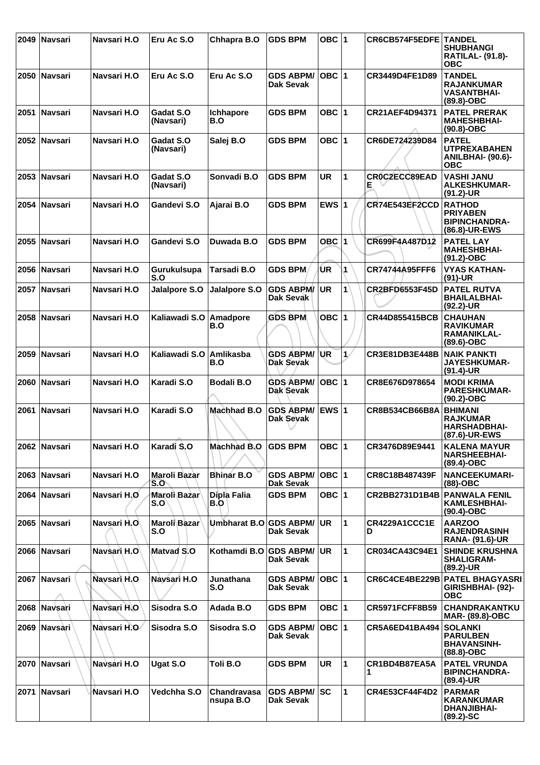|      | 2049 Navsari   | Navsari H.O        | Eru Ac S.O                 | Chhapra B.O              | <b>GDS BPM</b>                       | OBC $ 1$     |              | CR6CB574F5EDFE        | <b>TANDEL</b><br><b>SHUBHANGI</b><br><b>RATILAL- (91.8)-</b><br><b>OBC</b>    |
|------|----------------|--------------------|----------------------------|--------------------------|--------------------------------------|--------------|--------------|-----------------------|-------------------------------------------------------------------------------|
|      | 2050 Navsari   | Navsari H.O        | Eru Ac S.O                 | Eru Ac S.O               | <b>GDS ABPM/</b><br>Dak Sevak        | OBC  1       |              | CR3449D4FE1D89        | <b>TANDEL</b><br><b>RAJANKUMAR</b><br><b>VASANTBHAI-</b><br>$(89.8)-OBC$      |
| 2051 | <b>Navsari</b> | Navsari H.O        | Gadat S.O<br>(Navsari)     | <b>Ichhapore</b><br>B.O  | <b>GDS BPM</b>                       | OBC $ 1$     |              | CR21AEF4D94371        | <b>PATEL PRERAK</b><br><b>MAHESHBHAI-</b><br>$(90.8)-OBC$                     |
|      | 2052 Navsari   | Navsari H.O        | Gadat S.O<br>(Navsari)     | Salej B.O                | <b>GDS BPM</b>                       | OBC $ 1$     |              | CR6DE724239D84        | <b>PATEL</b><br><b>UTPREXABAHEN</b><br><b>ANILBHAI- (90.6)-</b><br><b>OBC</b> |
|      | 2053   Navsari | Navsari H.O        | Gadat S.O<br>(Navsari)     | Sonvadi B.O              | <b>GDS BPM</b>                       | <b>UR</b>    | 1            | CRÓC2ECC89EAD<br>Е    | <b>VASHI JANU</b><br><b>ALKESHKUMAR-</b><br>$(91.2)$ -UR                      |
|      | 2054 Navsari   | Navsari H.O        | Gandevi S.O                | Ajarai B.O               | <b>GDS BPM</b>                       | EWS $ 1$     |              | CR74E543EF2CCD        | <b>RATHOD</b><br><b>PRIYABEN</b><br><b>BIPINCHANDRA-</b><br>(86.8)-UR-EWS     |
|      | 2055 Navsari   | Navsari H.O        | Gandevi S.O                | Duwada B.O               | <b>GDS BPM</b>                       | <b>OBC 1</b> |              | CR699F4A487D12        | <b>PATEL LAY</b><br><b>MAHESHBHAI-</b><br>$(91.2)$ -OBC                       |
|      | 2056   Navsari | Navsari H.O        | Gurukulsupa<br>S.O         | Tarsadi B.O              | <b>GDS BPM</b>                       | UR.          | 1            | CR74744A95FFF6        | <b>VYAS KATHAN-</b><br>$(91)-UR$                                              |
| 2057 | ∣Navsari       | Navsari H.O        | Jalalpore S.O              | Jalalpore S.O            | <b>GDS ABPM/</b><br><b>Dak Sevak</b> | <b>UR</b>    | $\mathbf{1}$ | <b>CR2BFD6553F45D</b> | <b>PATEL RUTVA</b><br><b>BHAILALBHAI-</b><br>(92.2)-UR                        |
|      | 2058 Navsari   | Navsari H.O        | Kaliawadi S.O              | Amadpore<br>B.O          | <b>GDS BPM</b>                       | OBC $ 1$     |              | <b>CR44D855415BCB</b> | <b>CHAUHAN</b><br><b>RAVIKUMAR</b><br>RAMANIKLAL-<br>$(89.6)$ -OBC            |
|      | 2059 Navsari   | Navsari H.O        | Kaliawadi S.O              | Amlikasba<br>B.O         | <b>GDS ABPM/</b><br>Dak Sevak        | <b>UR</b>    | $\mathbf{1}$ | CR3E81DB3E448B        | <b>NAIK PANKTI</b><br><b>JAYESHKUMAR-</b><br>$(91.4)$ -UR                     |
|      | 2060 Navsari   | Navsari H.O        | Karadi S.O                 | <b>Bodali B.O</b>        | <b>GDS ABPM/</b><br>Dak Sevak        | OBC $ 1$     |              | CR8E676D978654        | <b>MODI KRIMA</b><br><b>PARESHKUMAR-</b><br>(90.2)-OBC                        |
|      | 2061 Navsari   | Navsari H.O        | Karadi S.O                 | <b>Machhad B.O</b>       | <b>GDS ABPM/</b><br>Dak Sevak        | EWS $ 1$     |              | CR8B534CB66B8A        | <b>BHIMANI</b><br><b>RAJKUMAR</b><br><b>HARSHADBHAI-</b><br>(87.6)-UR-EWS     |
|      | 2062 Navsari   | Navsari H.O        | Karadi S.O                 | Machhad B.O              | <b>GDS BPM</b>                       | OBC $ 1$     |              | CR3476D89E9441        | <b>KALENA MAYUR</b><br><b>NARSHEEBHAI-</b><br>$(89.4)$ -OBC                   |
|      | 2063 Navsari   | Navsari H.O        | Maroli Bazar<br>S.O        | <b>Bhinar B.O</b>        | <b>GDS ABPM/</b><br><b>Dak Sevak</b> | OBC  1       |              | CR8C18B487439F        | <b>NANCEEKUMARI-</b><br>$(88)-OBC$                                            |
|      | 2064 Navsari   | Navsari H.O        | Maroli Bazar<br>S.O`       | Dipla Falia<br>B.O       | <b>GDS BPM</b>                       | OBC $ 1$     |              | CR2BB2731D1B4B        | <b>PANWALA FENIL</b><br><b>KAMLESHBHAI-</b><br>$(90.4)$ -OBC                  |
|      | 2065 Navsari   | Navsari H.O        | <b>Maroli Bazar</b><br>S.O | Umbharat B.O GDS ABPM/   | Dak Sevak                            | UR.          | $\mathbf{1}$ | CR4229A1CCC1E<br>D    | <b>AARZOO</b><br><b>RAJENDRASINH</b><br><b>RANA- (91.6)-UR</b>                |
|      | 2066 Navsari   | Navsari H.O        | <b>Matvad S.O</b>          | Kothamdi B.O GDS ABPM/   | Dak Sevak                            | <b>UR</b>    | $\mathbf{1}$ | CR034CA43C94E1        | <b>SHINDE KRUSHNA</b><br><b>SHALIGRAM-</b><br>$(89.2)$ -UR                    |
|      | 2067   Navsari | Navsari H.O        | Navsari H.O                | Junathana<br>S.O         | <b>GDS ABPM/</b><br>Dak Sevak        | $OBC$  1     |              |                       | CR6C4CE4BE229B PATEL BHAGYASRI<br>GIRISHBHAI- (92)-<br><b>OBC</b>             |
|      | 2068 Navsari   | Navsari H.O        | Sisodra S.O                | Adada B.O                | <b>GDS BPM</b>                       | OBC $ 1$     |              | <b>CR5971FCFF8B59</b> | CHANDRAKANTKU<br><b>MAR- (89.8)-OBC</b>                                       |
|      | 2069 Navsari   | Navsari H.O        | Sisodra S.O                | Sisodra S.O              | <b>GDS ABPM/</b><br>Dak Sevak        | $OBC$  1     |              | CR5A6ED41BA494        | <b>SOLANKI</b><br><b>PARULBEN</b><br><b>BHAVANSINH-</b><br>$(88.8)-OBC$       |
|      | 2070   Navsari | <b>Navsari H.O</b> | Ugat S.O                   | Toli B.O                 | <b>GDS BPM</b>                       | <b>UR</b>    | $\mathbf{1}$ | CR1BD4B87EA5A<br>1.   | <b>PATEL VRUNDA</b><br><b>BIPINCHANDRA-</b><br>$(89.4)$ -UR                   |
|      | 2071 Navsari   | Navsari H.O        | Vedchha S.O                | Chandravasa<br>nsupa B.O | <b>GDS ABPM/ SC</b><br>Dak Sevak     |              | 1            | <b>CR4E53CF44F4D2</b> | <b>PARMAR</b><br><b>KARANKUMAR</b><br><b>DHANJIBHAI-</b><br>$(89.2) - SC$     |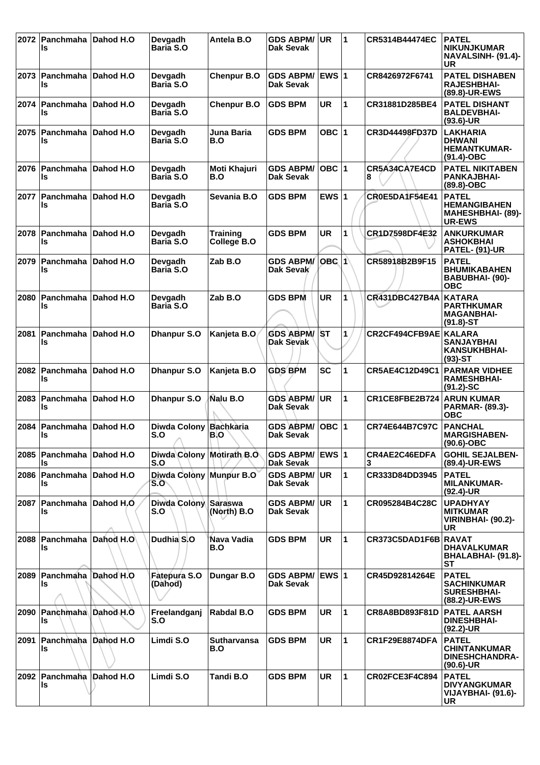| 2072 | Panchmaha<br>ls             | Dahod H.O | Devgadh<br>Baria S.O             | Antela B.O                     | <b>GDS ABPM/</b><br>Dak Sevak        | <b>UR</b>    | 1                    | CR5314B44474EC        | <b>PATEL</b><br><b>NIKUNJKUMAR</b><br>NAVALSINH- (91.4)-<br>UR               |
|------|-----------------------------|-----------|----------------------------------|--------------------------------|--------------------------------------|--------------|----------------------|-----------------------|------------------------------------------------------------------------------|
| 2073 | ∣Panchmaha ∣Dahod H.O<br>ls |           | Devgadh<br>Baria S.O             | <b>Chenpur B.O</b>             | <b>GDS ABPM/</b><br>Dak Sevak        | <b>EWS 1</b> |                      | CR8426972F6741        | <b>PATEL DISHABEN</b><br><b>RAJESHBHAI-</b><br>(89.8)-UR-EWS                 |
| 2074 | Panchmaha<br>ls             | Dahod H.O | Devgadh<br>Baria S.O             | <b>Chenpur B.O</b>             | <b>GDS BPM</b>                       | <b>UR</b>    | $\mathbf{1}$         | CR31881D285BE4        | <b>PATEL DISHANT</b><br><b>BALDEVBHAI-</b><br>$(93.6)$ -UR                   |
| 2075 | Panchmaha<br>ls             | Dahod H.O | Devgadh<br><b>Baria S.O</b>      | Juna Baria<br>B.O              | <b>GDS BPM</b>                       | OBC $ 1$     |                      | CR3D44498FD37D        | <b>LAKHARIA</b><br><b>DHWANI</b><br><b>HEMANTKUMAR-</b><br>$(91.4)$ -OBC     |
| 2076 | <b>Panchmaha</b><br>ls      | Dahod H.O | Devgadh<br>Baria S.O             | Moti Khajuri<br>B.O            | <b>GDS ABPM/</b><br><b>Dak Sevak</b> | OBC  1       |                      | CR5A34CA7E4CD<br>8    | <b>PATEL NIKITABEN</b><br><b>PANKAJBHAI-</b><br>$(89.8)-OBC$                 |
| 2077 | Panchmaha<br>ls             | Dahod H.O | Devgadh<br><b>Baria S.O</b>      | Sevania B.O                    | <b>GDS BPM</b>                       | EWS $ 1$     |                      | <b>CR0E5DA1F54E41</b> | <b>PATEL</b><br><b>HEMANGIBAHEN</b><br>MAHESHBHAI- (89)-<br><b>UR-EWS</b>    |
| 2078 | Panchmaha<br>ls             | Dahod H.O | Devgadh<br>Baria S.O             | <b>Training</b><br>College B.O | <b>GDS BPM</b>                       | <b>UR</b>    | 1                    | CR1D7598DF4E32        | <b>ANKURKUMAR</b><br><b>ASHOKBHAI</b><br><b>PATEL- (91)-UR</b>               |
| 2079 | Panchmaha<br>ls             | Dahod H.O | Devgadh<br><b>Baria S.O</b>      | Zab B.O                        | <b>GDS ABPM/</b><br>Dak Sevak        | OBC 1        |                      | CR58918B2B9F15        | <b>PATEL</b><br><b>BHUMIKABAHEN</b><br>BABUBHAI- (90)-<br><b>OBC</b>         |
| 2080 | Panchmaha<br>ls             | Dahod H.O | Devgadh<br>Baria S.O             | Zab B.O                        | <b>GDS BPM</b>                       | <b>UR</b>    | 1                    | <b>CR431DBC427B4A</b> | <b>KATARA</b><br><b>PARTHKUMAR</b><br><b>MAGANBHAI-</b><br>$(91.8)$ -ST      |
| 2081 | Panchmaha<br>ls             | Dahod H.O | <b>Dhanpur S.O</b>               | Kanjeta B.O                    | <b>GDS ABPM/</b><br>Dak Sevak        | <b>ST</b>    | 1.                   | CR2CF494CFB9AE KALARA | <b>SANJAYBHAI</b><br><b>KANSUKHBHAI-</b><br>$(93)$ -ST                       |
| 2082 | Panchmaha<br>ls             | Dahod H.O | <b>Dhanpur S.O</b>               | Kanjeta B.O                    | <b>GDS BPM</b>                       | <b>SC</b>    | 1                    | <b>CR5AE4C12D49C1</b> | <b>PARMAR VIDHEE</b><br><b>RAMESHBHAI-</b><br>$(91.2)$ -SC                   |
| 2083 | Panchmaha<br>ls             | Dahod H.O | <b>Dhanpur S.O</b>               | Nalu B.O                       | <b>GDS ABPM/</b><br>Dak Sevak        | <b>UR</b>    | $\mathbf{1}$         | CR1CE8FBE2B724        | <b>ARUN KUMAR</b><br><b>PARMAR- (89.3)-</b><br><b>OBC</b>                    |
| 2084 | Panchmaha<br>ls             | Dahod H.O | <b>Diwda Colony</b><br>S.O       | <b>Bachkaria</b><br>B.O        | <b>GDS ABPM/</b><br>Dak Sevak        | <b>OBC</b>   | $\vert$ 1            | CR74E644B7C97C        | <b>PANCHAL</b><br><b>MARGISHABEN-</b><br>$(90.6)$ -OBC                       |
| 2085 | <b>Panchmaha</b><br>ls      | Dahod H.O | Diwda Colony Motirath B.O<br>S.O |                                | <b>GDS ABPM/</b><br>Dak Sevak        | <b>EWS 1</b> |                      | CR4AE2C46EDFA<br>3    | <b>GOHIL SEJALBEN-</b><br>(89.4)-UR-EWS                                      |
| 2086 | Panchmaha<br>ls             | Dahod H.O | Diwda Colony Munpur B.O<br>S.O   |                                | <b>GDS ABPM/</b><br>Dak Sevak        | <b>UR</b>    | $\mathbf{1}$         | CR333D84DD3945        | <b>PATEL</b><br><b>MILANKUMAR-</b><br>$(92.4)$ -UR                           |
| 2087 | Panchmaha<br>ls             | Dahod H.O | <b>Diwda Colony</b><br>S.O       | Saraswa<br>(North) B.O         | <b>GDS ABPM/</b><br>Dak Sevak        | UR           | 1                    | CR095284B4C28C        | <b>UPADHYAY</b><br><b>MITKUMAR</b><br><b>VIRINBHAI- (90.2)-</b><br>UR        |
| 2088 | Panchmaha Dahod H.O<br>ls   |           | Dudhia S.O                       | Nava Vadia<br>B.O              | <b>GDS BPM</b>                       | <b>UR</b>    | $\blacktriangleleft$ | CR373C5DAD1F6B RAVAT  | <b>DHAVALKUMAR</b><br>BHALABHAI- (91.8)-<br><b>ST</b>                        |
| 2089 | Panchmaha<br>ls             | Dahod H.O | Fatepura S.O<br>(Dahod)          | Dungar B.O                     | <b>GDS ABPM/</b><br><b>Dak Sevak</b> | EWS 1        |                      | CR45D92814264E        | <b>PATEL</b><br><b>SACHINKUMAR</b><br><b>SURESHBHAI-</b><br>(88.2)-UR-EWS    |
| 2090 | Panchmaha Dahod H.O<br>ls   |           | Freelandganj<br>S.O              | Rabdal B.O                     | <b>GDS BPM</b>                       | <b>UR</b>    | 1                    | CR8A8BD893F81D        | <b>PATEL AARSH</b><br><b>DINESHBHAI-</b><br>$(92.2)$ -UR                     |
| 2091 | Panchmaha<br>ls             | Dahod H.O | Limdi S.O                        | <b>Sutharvansa</b><br>B.O      | <b>GDS BPM</b>                       | <b>UR</b>    | $\mathbf{1}$         | <b>CR1F29E8874DFA</b> | <b>PATEL</b><br><b>CHINTANKUMAR</b><br><b>DINESHCHANDRA-</b><br>$(90.6)$ -UR |
| 2092 | Panchmaha<br>ls             | Dahod H.O | Limdi S.O                        | Tandi B.O                      | <b>GDS BPM</b>                       | <b>UR</b>    | 1                    | CR02FCE3F4C894        | <b>PATEL</b><br><b>DIVYANGKUMAR</b><br>VIJAYBHAI- (91.6)-<br><b>UR</b>       |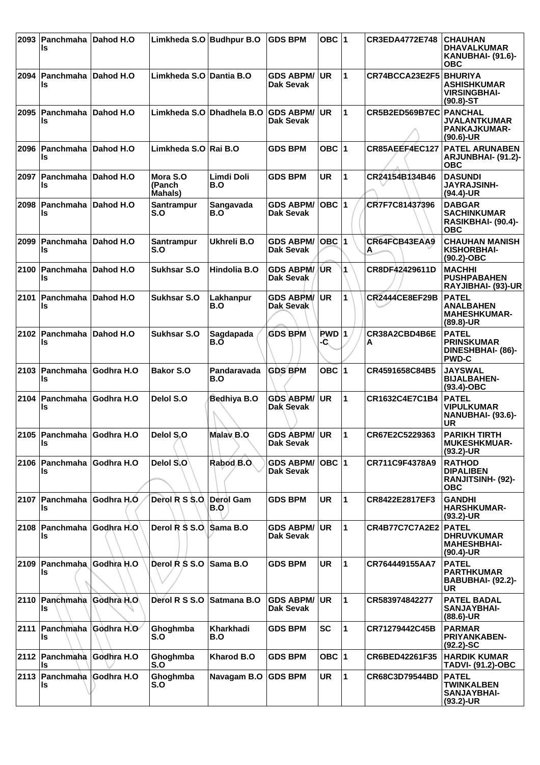| 2093 | Panchmaha<br>ls                     | Dahod H.O  | Limkheda S.O Budhpur B.O              |                    | <b>GDS BPM</b>                          | OBC ∣1        |                | <b>CR3EDA4772E748</b>  | <b>CHAUHAN</b><br><b>DHAVALKUMAR</b><br><b>KANUBHAI- (91.6)-</b><br><b>OBC</b> |
|------|-------------------------------------|------------|---------------------------------------|--------------------|-----------------------------------------|---------------|----------------|------------------------|--------------------------------------------------------------------------------|
| 2094 | ∣Panchmaha<br>ls                    | Dahod H.O  | Limkheda S.O Dantia B.O               |                    | <b>GDS ABPM/</b><br>Dak Sevak           | UR.           | $\overline{1}$ | CR74BCCA23E2F5         | <b>BHURIYA</b><br><b>ASHISHKUMAR</b><br><b>VIRSINGBHAI-</b><br>$(90.8) - ST$   |
|      | 2095   Panchmaha   Dahod H.O<br>ls  |            | Limkheda S.O                          | Dhadhela B.O       | <b>GDS ABPM/</b><br>Dak Sevak           | UR            | 1              | CR5B2ED569B7EC PANCHAL | <b>JVALANTKUMAR</b><br><b>PANKAJKUMAR-</b><br>$(90.6)$ -UR                     |
| 2096 | ∣Panchmaha<br>ls                    | Dahod H.O  | Limkheda S.O Rai B.O                  |                    | <b>GDS BPM</b>                          | OBC $ 1$      |                | CR85AEEF4EC127         | <b>PATEL ARUNABEN</b><br><b>ARJUNBHAI- (91.2)-</b><br><b>OBC</b>               |
| 2097 | ∣Panchmaha<br>ls                    | Dahod H.O  | Mora S.O<br>(Panch<br><b>Mahals</b> ) | Limdi Doli<br>B.O  | <b>GDS BPM</b>                          | UR            | 1              | CR24154B134B46         | <b>DASUNDI</b><br><b>JAYRAJSINH-</b><br>(94.4)-UR                              |
| 2098 | Panchmaha Dahod H.O<br>ls           |            | Santrampur<br>S.O                     | Sangavada<br>B.O   | <b>GDS ABPM/</b><br>Dak Sevak           | $OBC$  1      |                | CR7F7C81437396         | <b>DABGAR</b><br><b>SACHINKUMAR</b><br>RASIKBHAI- (90.4)-<br>ОВС               |
| 2099 | ∣Panchmaha<br>ls                    | Dahod H.O  | <b>Santrampur</b><br>S.O              | Ukhreli B.O        | <b>GDS ABPM/</b><br>Dak Sevak           | OBC $ 1$      |                | CR64FCB43EAA9<br>A     | <b>CHAUHAN MANISH</b><br><b>KISHORBHAI-</b><br>$(90.2)$ -OBC                   |
| 2100 | Panchmaha Dahod H.O<br>ls           |            | <b>Sukhsar S.O</b>                    | Hindolia B.O       | <b>GDS ABPM/</b><br>Dak Sevak           | /UR           | 1              | CR8DF42429611D         | <b>MACHHI</b><br><b>PUSHPABAHEN</b><br>RAYJIBHAI- (93)-UR                      |
|      | 2101 Panchmaha Dahod H.O<br>ls      |            | <b>Sukhsar S.O</b>                    | Lakhanpur<br>B.O   | <b>GDS ABPM/</b><br>Dak Sevak           | UR.           | 1              | <b>CR2444CE8EF29B</b>  | <b>PATEL</b><br><b>ANALBAHEN</b><br><b>MAHESHKUMAR-</b><br>$(89.8)$ -UR        |
| 2102 | Panchmaha<br>ls                     | Dahod H.O  | <b>Sukhsar S.O</b>                    | Sagdapada<br>B.O   | <b>GDS BPM</b>                          | $RWD$ 1<br>-۹ |                | CR38A2CBD4B6E<br>А     | <b>PATEL</b><br><b>PRINSKUMAR</b><br><b>DINESHBHAI- (86)-</b><br><b>PWD-C</b>  |
|      | 2103 Panchmaha<br>ls                | Godhra H.O | <b>Bakor S.O</b>                      | Pandaravada<br>B.O | <b>GDS BPM</b>                          | OBC $ 1$      |                | CR4591658C84B5         | <b>JAYSWAL</b><br><b>BIJALBAHEN-</b><br>$(93.4)$ -OBC                          |
| 2104 | ∣Panchmaha<br>ls                    | Godhra H.O | Delol S.O                             | Bedhiya B.O        | <b>GDS ABPM/</b><br>Dak Sevak           | UR            | 1              | CR1632C4E7C1B4         | <b>PATEL</b><br><b>VIPULKUMAR</b><br>NANUBHAI- (93.6)-<br>UR                   |
|      | 2105   Panchmaha   Godhra H.O<br>ls |            | Delol S.O                             | <b>Malay B.O</b>   | <b>GDS ABPM/ UR</b><br><b>Dak Sevak</b> |               | $\mathbf 1$    | CR67E2C5229363         | PARIKH TIRTH<br><b>MUKESHKMUAR-</b><br>$(93.2)$ -UR                            |
|      | 2106 Panchmaha Godhra H.O<br>ls     |            | Delol S.O                             | Rabod B.O.         | <b>GDS ABPM/</b><br><b>Dak Sevak</b>    | $OBC$ 1       |                | CR711C9F4378A9         | <b>RATHOD</b><br><b>DIPALIBEN</b><br><b>RANJITSINH- (92)-</b><br><b>OBC</b>    |
|      | 2107 Panchmaha Godhra H.O<br>Is     |            | Derol R S S.O.                        | Derol Gam<br>B.O   | <b>GDS BPM</b>                          | <b>UR</b>     | 1              | CR8422E2817EF3         | <b>GANDHI</b><br><b>HARSHKUMAR-</b><br>$(93.2)$ -UR                            |
|      | 2108   Panchmaha   Godhra H.O<br>ls |            | Derol R S S.O.                        | Sama B.O           | <b>GDS ABPM/</b><br><b>Dak Sevak</b>    | UR.           | 1              | CR4B77C7C7A2E2 PATEL   | <b>DHRUVKUMAR</b><br><b>MAHESHBHAI-</b><br>$(90.4)$ -UR                        |
| 2109 | <b>Panchmaha</b><br>ls              | Godhra H.O | Derol R S S.O                         | Sama B.O           | <b>GDS BPM</b>                          | <b>UR</b>     | 1              | CR764449155AA7         | <b>PATEL</b><br><b>PARTHKUMAR</b><br><b>BABUBHAI- (92.2)-</b><br>UR            |
|      | 2110 Panchmaha Godhra H.O<br>Is     |            | Derol R S S.O                         | Satmana B.O        | <b>GDS ABPM/</b><br>Dak Sevak           | <b>UR</b>     | 1              | CR583974842277         | <b>PATEL BADAL</b><br><b>SANJAYBHAI-</b><br>$(88.6)$ -UR                       |
| 2111 | <b>Panchmaha</b><br>ls              | Godhra H.O | Ghoghmba<br>S.O                       | Kharkhadi<br>B.O   | <b>GDS BPM</b>                          | <b>SC</b>     | 1              | CR71279442C45B         | <b>PARMAR</b><br><b>PRIYANKABEN-</b><br>$(92.2)$ -SC                           |
|      | 2112 Panchmaha<br>ls                | Godhra H.O | Ghoghmba<br>S.O                       | Kharod B.O         | <b>GDS BPM</b>                          | OBC ∣1        |                | CR6BED42261F35         | <b>HARDIK KUMAR</b><br><b>TADVI- (91.2)-OBC</b>                                |
| 2113 | Panchmaha Godhra H.O<br>ls          |            | Ghoghmba<br>S.O                       | Navagam B.O        | <b>GDS BPM</b>                          | <b>UR</b>     | 1              | CR68C3D79544BD         | <b>PATEL</b><br><b>TWINKALBEN</b><br><b>SANJAYBHAI-</b><br>(93.2)-UR           |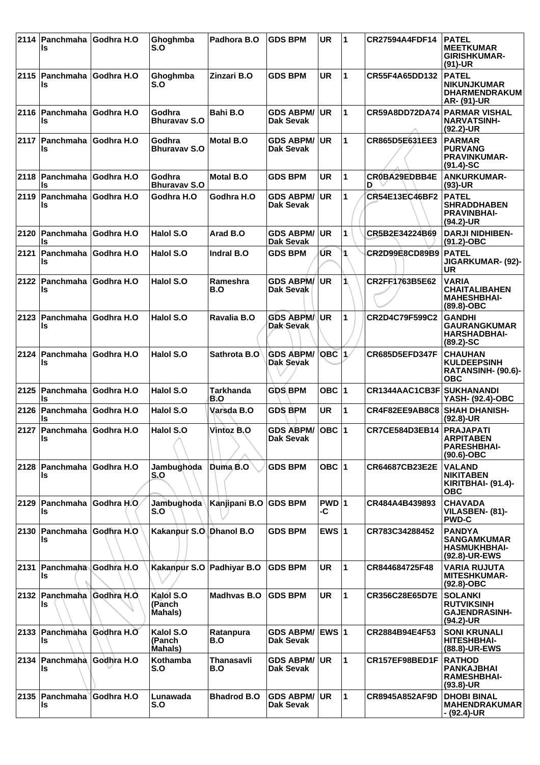| 2114 | Panchmaha Godhra H.O<br>Is          |                   | Ghoghmba<br>S.O                        | Padhora B.O             | <b>GDS BPM</b>                       | UR            | $\blacktriangleleft$ | <b>CR27594A4FDF14</b> | <b>PATEL</b><br><b>MEETKUMAR</b><br><b>GIRISHKUMAR-</b><br>$(91)-UR$         |
|------|-------------------------------------|-------------------|----------------------------------------|-------------------------|--------------------------------------|---------------|----------------------|-----------------------|------------------------------------------------------------------------------|
|      | 2115   Panchmaha   Godhra H.O<br>ls |                   | Ghoghmba<br>S.O                        | Zinzari B.O             | <b>GDS BPM</b>                       | <b>UR</b>     | 1                    | CR55F4A65DD132        | <b>PATEL</b><br><b>NIKUNJKUMAR</b><br><b>DHARMENDRAKUM</b><br>AR- (91)-UR    |
|      | 2116   Panchmaha Godhra H.O<br>ls   |                   | Godhra<br><b>Bhuravav S.O</b>          | Bahi B.O                | <b>GDS ABPM/</b><br>Dak Sevak        | <b>UR</b>     | 1                    | <b>CR59A8DD72DA74</b> | <b>PARMAR VISHAL</b><br><b>NARVATSINH-</b><br>$(92.2)$ -UR                   |
|      | ∣2117  Panchmaha  Godhra H.O<br>Is  |                   | Godhra<br><b>Bhuravay S.O</b>          | <b>Motal B.O</b>        | <b>GDS ABPM/</b><br>Dak Sevak        | <b>UR</b>     | 1                    | CR865D5E631EE3        | <b>PARMAR</b><br><b>PURVANG</b><br><b>PRAVINKUMAR-</b><br>$(91.4)$ -SC       |
| 2118 | Panchmaha<br>ls                     | Godhra H.O        | Godhra<br><b>Bhuravav S.O</b>          | Motal B.O               | <b>GDS BPM</b>                       | <b>UR</b>     | 1                    | CR0BA29EDBB4E<br>D    | <b>ANKURKUMAR-</b><br>$(93)-UR$                                              |
|      | 2119 Panchmaha<br>Is                | <b>Godhra H.O</b> | Godhra H.O                             | Godhra H.O              | <b>GDS ABPM/</b><br>Dak Sevak        | <b>UR</b>     | 1                    | CR54E13EC46BF2        | <b>PATEL</b><br><b>SHRADDHABEN</b><br><b>PRAVINBHAI-</b><br>(94.2)-UR        |
|      | ∣2120 ∣Panchmaha ∣Godhra H.O<br>ls  |                   | Halol S.O                              | Arad B.O                | <b>GDS ABPM/</b><br><b>Dak Sevak</b> | <b>UR</b>     | 1                    | CR5B2E34224B69        | <b>DARJI NIDHIBEN-</b><br>$(91.2) - OBC$                                     |
| 2121 | <b>Panchmaha</b><br>Is              | Godhra H.O        | Halol S.O                              | Indral B.O              | <b>GDS BPM</b>                       | ŪR            | 1                    | CR2D99E8CD89B9        | <b>PATEL</b><br><b>JIGARKUMAR- (92)-</b><br><b>UR</b>                        |
| 2122 | Panchmaha Godhra H.O<br>ls          |                   | Halol S.O                              | Rameshra<br>B.O         | <b>GDS ABPM/</b><br>Dak Sevak        | <b>UR</b>     | 1\                   | CR2FF1763B5E62        | <b>VARIA</b><br><b>CHAITALIBAHEN</b><br><b>MAHESHBHAI-</b><br>$(89.8)-OBC$   |
| 2123 | ∣Panchmaha<br>ls                    | <b>Godhra H.O</b> | Halol S.O                              | Ravalia B.O             | <b>GDS ABPM/</b><br>Dak Sevak        | <b>UR</b>     | 1                    | CR2D4C79F599C2        | <b>GANDHI</b><br><b>GAURANGKUMAR</b><br><b>HARSHADBHAI-</b><br>$(89.2) - SC$ |
| 2124 | Panchmaha Godhra H.O<br>ls          |                   | Halol S.O                              | Sathrota B.O            | <b>GDS ABPM/</b><br><b>Dak Sevak</b> | $OBC$ $1/$    |                      | <b>CR685D5EFD347F</b> | <b>CHAUHAN</b><br><b>KULDEEPSINH</b><br>RATANSINH- (90.6)-<br><b>OBC</b>     |
| 2125 | ∣Panchmaha<br>ls                    | Godhra H.O        | Halol S.O                              | <b>Tarkhanda</b><br>B.O | <b>GDS BPM</b>                       | OBC $ 1$      |                      | CR1344AAC1CB3F        | <b>SUKHANANDI</b><br>YASH- (92.4)-OBC                                        |
| 2126 | ∣Panchmaha<br>Is                    | Godhra H.O        | Halol S.O                              | Varsda B.O              | <b>GDS BPM</b>                       | <b>UR</b>     | 1                    | CR4F82EE9AB8C8        | <b>SHAH DHANISH-</b><br>$(92.8)$ -UR                                         |
|      | 2127   Panchmaha   Godhra H.O<br>Is |                   | Halol S.O                              | Vintoz B.O              | <b>GDS ABPM/</b><br>Dak Sevak        | OBC  1        |                      | CR7CE584D3EB14        | <b>PRAJAPATI</b><br><b>ARPITABEN</b><br><b>PARESHBHAI-</b><br>$(90.6)$ -OBC  |
|      | 2128   Panchmaha   Godhra H.O<br>Is |                   | Jambughoda<br>S.O                      | Duma B.O                | <b>GDS BPM</b>                       | OBC $ 1$      |                      | CR64687CB23E2E        | <b>VALAND</b><br><b>NIKITABEN</b><br><b>KIRITBHAI- (91.4)-</b><br><b>OBC</b> |
| 2129 | Panchmaha Godhra H.O.<br>ls         |                   | Jambughoda<br>S.O                      | Kanjipani B.O           | <b>GDS BPM</b>                       | $PWD$ 1<br>-C |                      | CR484A4B439893        | <b>CHAVADA</b><br>VILASBEN- (81)-<br><b>PWD-C</b>                            |
| 2130 | Panchmaha Godhra H.O<br>ls          |                   | Kakanpur S.O. Dhanol B.O.              |                         | <b>GDS BPM</b>                       | EWS $ 1$      |                      | CR783C34288452        | <b>PANDYA</b><br><b>SANGAMKUMAR</b><br><b>HASMUKHBHAI-</b><br>(92.8)-UR-EWS  |
|      | 2131 Panchmaha Godhra H.O<br>Is     |                   | Kakanpur S.O Padhiyar B.O              |                         | <b>GDS BPM</b>                       | <b>UR</b>     | 1                    | CR844684725F48        | <b>VARIA RUJUTA</b><br><b>MITESHKUMAR-</b><br>$(92.8)-OBC$                   |
|      | 2132 Panchmaha Godhra H.O.<br>ls    |                   | Kalol S.O<br>(Panch<br>Mahals)         | <b>Madhyas B.O</b>      | <b>GDS BPM</b>                       | UR            | 1                    | CR356C28E65D7E        | <b>SOLANKI</b><br><b>RUTVIKSINH</b><br><b>GAJENDRASINH-</b><br>$(94.2)$ -UR  |
|      | 2133 Panchmaha Godhra H.O<br>Is     |                   | Kalol S.O<br>(Panch<br><b>Mahals</b> ) | Ratanpura<br>B.O        | <b>GDS ABPM/</b><br>Dak Sevak        | <b>EWS 1</b>  |                      | CR2884B94E4F53        | <b>SONI KRUNALI</b><br><b>HITESHBHAI-</b><br>(88.8)-UR-EWS                   |
|      | 2134 Panchmaha Godhra H.O<br>ls     |                   | Kothamba<br>S.O                        | Thanasavli<br>B.O       | <b>GDS ABPM/</b><br>Dak Sevak        | <b>UR</b>     | 1                    | CR157EF98BED1F        | <b>RATHOD</b><br><b>PANKAJBHAI</b><br><b>RAMESHBHAI-</b><br>$(93.8)$ -UR     |
|      | 2135   Panchmaha   Godhra H.O<br>Is |                   | Lunawada<br>S.O                        | <b>Bhadrod B.O</b>      | <b>GDS ABPM/</b><br>Dak Sevak        | UR.           | $\mathbf{1}$         | CR8945A852AF9D        | <b>DHOBI BINAL</b><br><b>MAHENDRAKUMAR</b><br>- (92.4)-UR                    |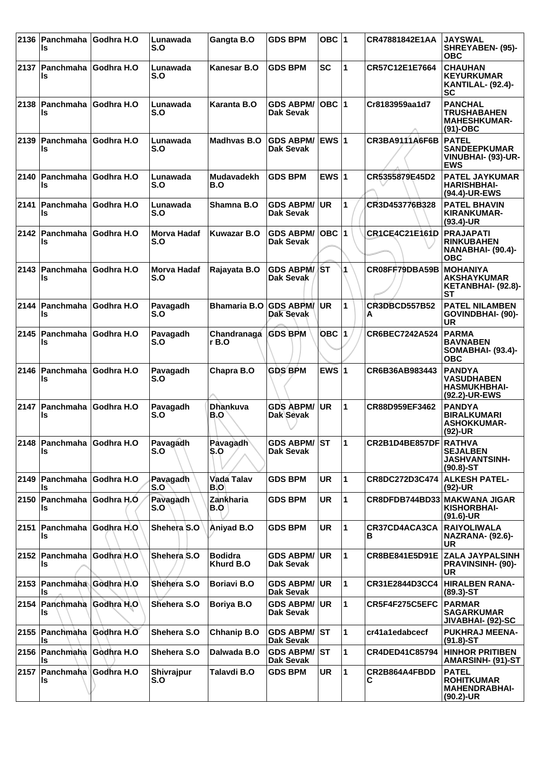|      | 2136   Panchmaha<br>ls              | Godhra H.O | Lunawada<br>S.O           | Gangta B.O                  | <b>GDS BPM</b>                       | OBC $ 1$     |              | CR47881842E1AA               | <b>JAYSWAL</b><br>SHREYABEN- (95)-<br><b>OBC</b>                           |
|------|-------------------------------------|------------|---------------------------|-----------------------------|--------------------------------------|--------------|--------------|------------------------------|----------------------------------------------------------------------------|
| 2137 | ∣Panchmaha<br>ls                    | Godhra H.O | Lunawada<br>S.O           | Kanesar B.O                 | <b>GDS BPM</b>                       | SC           | 1            | CR57C12E1E7664               | <b>CHAUHAN</b><br><b>KEYURKUMAR</b><br><b>KANTILAL- (92.4)-</b><br>SC      |
|      | 2138 Panchmaha<br>ls                | Godhra H.O | Lunawada<br>S.O           | Karanta B.O                 | <b>GDS ABPM/</b><br><b>Dak Sevak</b> | OBC  1       |              | Cr8183959aa1d7               | <b>PANCHAL</b><br><b>TRUSHABAHEN</b><br><b>MAHESHKUMAR-</b><br>$(91)$ -OBC |
| 2139 | ∣Panchmaha<br>ls                    | Godhra H.O | Lunawada<br>S.O           | Madhvas B.O                 | <b>GDS ABPM/</b><br>Dak Sevak        | <b>EWS 1</b> |              | CR3BA9111A6F6B               | <b>PATEL</b><br><b>SANDEEPKUMAR</b><br>VINUBHAI- (93)-UR-<br><b>EWS</b>    |
| 2140 | ∣Panchmaha<br>ls                    | Godhra H.O | Lunawada<br>S.O           | <b>Mudavadekh</b><br>B.O    | <b>GDS BPM</b>                       | EWS $ 1$     |              | CR5355879E45D2               | <b>PATEL JAYKUMAR</b><br><b>HARISHBHAI-</b><br>(94.4)-UR-EWS               |
| 2141 | Panchmaha<br>ls                     | Godhra H.O | Lunawada<br>S.O           | Shamna B.O                  | <b>GDS ABPM/</b><br>Dak Sevak        | <b>UR</b>    | 1            | CR3D453776B328               | <b>PATEL BHAVIN</b><br><b>KIRANKUMAR-</b><br>$(93.4)$ -UR                  |
|      | ∣2142  Panchmaha<br>Is              | Godhra H.O | <b>Morva Hadaf</b><br>S.O | <b>Kuwazar B.O</b>          | <b>GDS ABPM/</b><br>Dak Sevak        | $OBC$  1     |              | <b>CR1CE4C21E161D</b>        | <b>PRAJAPATI</b><br><b>RINKUBAHEN</b><br>NANABHAI- (90.4)-<br><b>OBC</b>   |
| 2143 | ∣Panchmaha<br>ls                    | Godhra H.O | <b>Morva Hadaf</b><br>S.O | Rajayata B.O                | <b>GDS ABPM/ST</b><br>Dak Sevak      |              | 1            | CR08FF79DBA59B               | <b>IMOHANIYA</b><br><b>AKSHAYKUMAR</b><br>KETANBHAI- (92.8)-<br><b>ST</b>  |
| 2144 | Panchmaha<br>Is                     | Godhra H.O | Pavagadh<br>S.O           | <b>Bhamaria B.O</b>         | <b>GDS ABPM</b><br>Dak Sevak         | <b>UR</b>    | 1            | <b>CR3DBCD557B52</b><br>A    | <b>PATEL NILAMBEN</b><br>GOVINDBHAI- (90)-<br><b>UR</b>                    |
| 2145 | Panchmaha<br>Is                     | Godhra H.O | Pavagadh<br>S.O           | Chandranaga<br>r B.O        | <b>GDS BPM</b>                       | $OBC$  1     |              | CR6BEC7242A524               | PARMA<br><b>BAVNABEN</b><br><b>SOMABHAI- (93.4)-</b><br><b>OBC</b>         |
|      | 2146   Panchmaha   Godhra H.O<br>ls |            | Pavagadh<br>S.O           | Chapra B.O                  | <b>GDS BPM</b>                       | EWS $ 1$     |              | CR6B36AB983443               | <b>PANDYA</b><br><b>VASUDHABEN</b><br><b>HASMUKHBHAI-</b><br>(92.2)-UR-EWS |
| 2147 | Panchmaha<br>Is                     | Godhra H.O | Pavagadh<br>S.O           | <b>Dhankuva</b><br>B.O      | <b>GDS ABPM/</b><br>Dak Sevak        | <b>UR</b>    | $\mathbf{1}$ | CR88D959EF3462               | <b>PANDYA</b><br><b>BIRALKUMARI</b><br><b>ASHOKKUMAR-</b><br>(92)-UR       |
|      | 2148 Panchmaha Godhra H.O<br>Is     |            | Pavagadh<br>S.O           | Pavagadh<br>S.O             | GDS ABPM/ ST<br>Dak Sevak            |              | ∣1           | CR2B1D4BE857DF RATHVA        | <b>SEJALBEN</b><br><b>JASHVANTSINH-</b><br>$(90.8) - ST$                   |
|      | 2149   Panchmaha   Godhra H.O<br>ls |            | Pavagadh<br>S.O           | Vada Talav<br>B.O           | <b>GDS BPM</b>                       | <b>UR</b>    | 1            | CR8DC272D3C474               | <b>ALKESH PATEL-</b><br>(92)-UR                                            |
| 2150 | <b>Panchmaha</b><br>ls              | Godhra H.O | Pavagadh<br>S.O           | Zankharia<br>B.O            | GDS BPM                              | <b>UR</b>    | 1            | CR8DFDB744BD33 MAKWANA JIGAR | KISHORBHAI-<br>$(91.6)$ -UR                                                |
|      | 2151   Panchmaha   Godhra H.O<br>ls |            | Shehera S.O               | Aniyad B.O                  | <b>GDS BPM</b>                       | <b>UR</b>    | 1            | CR37CD4ACA3CA<br>в           | <b>RAIYOLIWALA</b><br>NAZRANA- (92.6)-<br><b>UR</b>                        |
|      | 2152 Panchmaha Godhra H.O<br>Is     |            | Shehera S.O               | <b>Bodidra</b><br>Khurd B.O | <b>GDS ABPM/ UR</b><br>Dak Sevak     |              | 1            | CR8BE841E5D91E               | <b>ZALA JAYPALSINH</b><br><b>PRAVINSINH- (90)-</b><br><b>UR</b>            |
|      | 2153 Panchmaha Godhra H.O<br>ls     |            | Shehera S.O               | <b>Boriavi B.O</b>          | <b>GDS ABPM/</b><br>Dak Sevak        | <b>UR</b>    | 1            | CR31E2844D3CC4               | <b>HIRALBEN RANA-</b><br>$(89.3) - ST$                                     |
|      | 2154 Panchmaha<br>ls                | Godhra H.O | Shehera S.O               | Boriya B.O                  | <b>GDS ABPM/</b><br>Dak Sevak        | <b>UR</b>    | 1            | CR5F4F275C5EFC               | PARMAR<br><b>SAGARKUMAR</b><br>JIVABHAI- (92)-SC                           |
|      | 2155 Panchmaha Godhra H.O<br>Is     |            | Shehera S.O               | Chhanip B.O                 | <b>GDS ABPM/ ST</b><br>Dak Sevak     |              | 1            | cr41a1edabcecf               | PUKHRAJ MEENA-<br>$(91.8) - ST$                                            |
| 2156 | <b>Panchmaha</b><br>Is              | Gòdhra H.O | Shehera S.O               | Dalwada B.O                 | <b>GDS ABPM/ ST</b><br>Dak Sevak     |              | 1            | CR4DED41C85794               | <b>HINHOR PRITIBEN</b><br><b>AMARSINH- (91)-ST</b>                         |
|      | 2157 Panchmaha<br>ls                | Godhra H.O | Shivrajpur<br>S.O         | Talavdi B.O                 | <b>GDS BPM</b>                       | UR.          | 1            | CR2B864A4FBDD<br>С           | <b>PATEL</b><br><b>ROHITKUMAR</b><br><b>MAHENDRABHAI-</b><br>$(90.2)$ -UR  |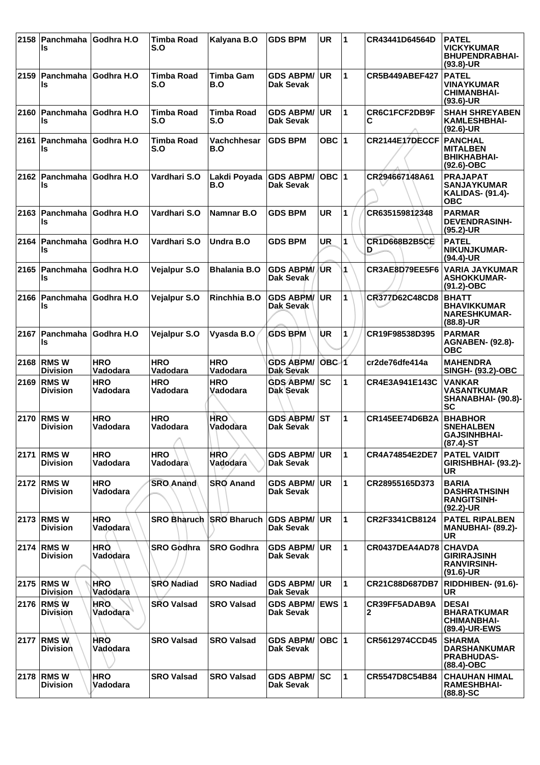| 2158 | Panchmaha<br>ls                     | Godhra H.O             | <b>Timba Road</b><br>S.O    | Kalyana B.O                  | <b>GDS BPM</b>                       | <b>UR</b>        | $\blacktriangleleft$ | CR43441D64564D            | <b>PATEL</b><br><b>VICKYKUMAR</b><br><b>BHUPENDRABHAI-</b><br>$(93.8)$ -UR     |
|------|-------------------------------------|------------------------|-----------------------------|------------------------------|--------------------------------------|------------------|----------------------|---------------------------|--------------------------------------------------------------------------------|
| 2159 | ∣Panchmaha<br>ls                    | <b>Godhra H.O</b>      | <b>Timba Road</b><br>S.O    | <b>Timba Gam</b><br>B.O      | <b>GDS ABPM/</b><br>Dak Sevak        | <b>UR</b>        | 1                    | <b>CR5B449ABEF427</b>     | <b>PATEL</b><br><b>VINAYKUMAR</b><br><b>CHIMANBHAI-</b><br>$(93.6)$ -UR        |
| 2160 | Panchmaha<br>ls                     | Godhra H.O             | <b>Timba Road</b><br>S.O    | <b>Timba Road</b><br>S.O     | <b>GDS ABPM/</b><br><b>Dak Sevak</b> | <b>UR</b>        | 1                    | CR6C1FCF2DB9F<br>С        | <b>SHAH SHREYABEN</b><br><b>KAMLESHBHAI-</b><br>$(92.6)$ -UR                   |
|      | 2161   Panchmaha   Godhra H.O<br>ls |                        | <b>Timba Road</b><br>S.O    | Vachchhesar<br>B.O           | <b>GDS BPM</b>                       | OBC $ 1$         |                      | CR2144E17DECCF            | <b>PANCHAL</b><br><b>MITALBEN</b><br><b>BHIKHABHAI-</b><br>$(92.6)-OBC$        |
| 2162 | Panchmaha<br>ls                     | Godhra H.O             | Vardhari S.O                | Lakdi Poyada<br>B.O          | <b>GDS ABPM/</b><br><b>Dak Sevak</b> | OBC $ 1$         |                      | CR294667148A61            | <b>PRAJAPAT</b><br><b>SANJAYKUMAR</b><br><b>KALIDAS- (91.4)-</b><br><b>OBC</b> |
| 2163 | Panchmaha<br>ls                     | Godhra H.O             | Vardhari S.O                | Namnar B.O                   | <b>GDS BPM</b>                       | <b>UR</b>        | 1                    | CR635159812348            | <b>PARMAR</b><br><b>DEVENDRASINH-</b><br>(95.2)-UR                             |
| 2164 | Panchmaha<br>ls                     | Godhra H.O             | Vardhari S.O                | Undra B.O                    | <b>GDS BPM</b>                       | <b>UR</b>        | 1                    | <b>CR1D668B2B5CE</b><br>D | <b>PATEL</b><br>NIKUNJKUMAR-<br>$(94.4)$ -UR                                   |
| 2165 | Panchmaha<br>ls                     | Godhra H.O             | Vejalpur S.O                | <b>Bhalania B.O</b>          | <b>GDS ABPM/</b><br>Dak Sevak        | /UR              | 1                    | CR3AE8D79EE5F6            | <b>VARIA JAYKUMAR</b><br><b>ASHOKKUMAR-</b><br>$(91.2) - OBC$                  |
| 2166 | Panchmaha<br>ls                     | Godhra H.O             | Vejalpur S.O                | Rinchhia B.O                 | <b>GDS ABPM/</b><br>Dak Sevak        | <b>UR</b>        | 1                    | CR377D62C48CD8            | <b>BHATT</b><br><b>BHAVIKKUMAR</b><br><b>NARESHKUMAR-</b><br>$(88.8)$ -UR      |
| 2167 | Panchmaha<br>ls                     | Godhra H.O             | Vejalpur S.O                | Vyasda B.O                   | <b>GDS BPM</b>                       | UR               | 1                    | CR19F98538D395            | <b>PARMAR</b><br><b>AGNABEN- (92.8)-</b><br><b>OBC</b>                         |
| 2168 | <b>RMSW</b><br><b>Division</b>      | <b>HRO</b><br>Vadodara | <b>HRO</b><br>Vadodara      | <b>HRO</b><br>Vadodara       | <b>GDS ABPM/</b><br>Dak Sevak        | OBC <sub>1</sub> |                      | cr2de76dfe414a            | <b>MAHENDRA</b><br><b>SINGH- (93.2)-OBC</b>                                    |
| 2169 | <b>RMSW</b><br><b>Division</b>      | <b>HRO</b><br>Vadodara | <b>HRO</b><br>Vadodara      | <b>HRO</b><br>Vadodara       | <b>GDS ABPM/</b><br>Dak Sevak        | <b>SC</b>        | $\mathbf{1}$         | CR4E3A941E143C            | <b>VANKAR</b><br><b>VASANTKUMAR</b><br>SHANABHAI- (90.8)-<br><b>SC</b>         |
| 2170 | <b>RMSW</b><br><b>Division</b>      | <b>HRO</b><br>Vadodara | <b>HRO</b><br>Vadodara<br>A | HRO <sup>®</sup><br>Vadodara | <b>GDS ABPM/</b><br>Dak Sevak        | <b>ST</b>        | $\mathbf{1}$         | <b>CR145EE74D6B2A</b>     | <b>BHABHOR</b><br><b>SNEHALBEN</b><br><b>GAJSINHBHAI-</b><br>$(87.4)$ -ST      |
| 2171 | <b>RMSW</b><br><b>Division</b>      | <b>HRO</b><br>Vadodara | <b>HRO</b><br>Vadodara      | <b>HRO</b><br>Vadodara       | <b>GDS ABPM/</b><br>Dak Sevak        | <b>UR</b>        | 1                    | CR4A74854E2DE7            | <b>PATEL VAIDIT</b><br>GIRISHBHAI- (93.2)-<br>UR                               |
| 2172 | <b>RMSW</b><br><b>Division</b>      | <b>HRO</b><br>Vadodara | <b>SRO Anand</b>            | <b>SRO Anand</b>             | <b>GDS ABPM/</b><br>Dak Sevak        | UR               | $\mathbf 1$          | CR28955165D373            | <b>BARIA</b><br><b>DASHRATHSINH</b><br><b>RANGITSINH-</b><br>$(92.2)$ -UR      |
| 2173 | ∣RMS W<br><b>Division</b>           | <b>HRO</b><br>Vadodara | <b>SRO Bharuch</b>          | <b>SRO Bharuch</b>           | <b>GDS ABPM/</b><br>Dak Sevak        | <b>UR</b>        | 1                    | CR2F3341CB8124            | <b>PATEL RIPALBEN</b><br><b>MANUBHAI- (89.2)-</b><br>UR                        |
| 2174 | <b>RMSW</b><br><b>Division</b>      | <b>HRO</b><br>Vadodara | <b>SRO Godhra</b>           | <b>SRO Godhra</b>            | <b>GDS ABPM/</b><br>Dak Sevak        | <b>UR</b>        | $\mathbf{1}$         | CR0437DEA4AD78            | <b>CHAVDA</b><br><b>GIRIRAJSINH</b><br><b>RANVIRSINH-</b><br>$(91.6)$ -UR      |
|      | 2175 RMS W<br><b>Division</b>       | <b>HRO</b><br>Vadodara | <b>SRO Nadiad</b>           | <b>SRO Nadiad</b>            | <b>GDS ABPM/</b><br>Dak Sevak        | UR               | $\blacktriangleleft$ | CR21C88D687DB7            | RIDDHIBEN- (91.6)-<br><b>UR</b>                                                |
|      | 2176 RMS W<br><b>Division</b>       | <b>HRO</b><br>Vadodara | <b>SRO Valsad</b>           | <b>SRO Valsad</b>            | <b>GDS ABPM/</b><br>Dak Sevak        | IEWS ∣1          |                      | CR39FF5ADAB9A<br>2        | <b>DESAI</b><br><b>BHARATKUMAR</b><br><b>CHIMANBHAI-</b><br>(89.4)-UR-EWS      |
| 2177 | <b>RMSW</b><br><b>Division</b>      | HRÒ<br>Vadodara        | <b>SRO Valsad</b>           | <b>SRO Valsad</b>            | <b>GDS ABPM/</b><br>Dak Sevak        | OBC $ 1 $        |                      | CR5612974CCD45            | <b>SHARMA</b><br><b>DARSHANKUMAR</b><br><b>PRABHUDAS-</b><br>$(88.4)$ -OBC     |
| 2178 | <b>RMSW</b><br><b>Division</b>      | <b>HRO</b><br>Vadodara | <b>SRO Valsad</b>           | <b>SRO Valsad</b>            | <b>GDS ABPM/</b><br>Dak Sevak        | <b>SC</b>        | 1                    | CR5547D8C54B84            | <b>CHAUHAN HIMAL</b><br><b>RAMESHBHAI-</b><br>$(88.8) - SC$                    |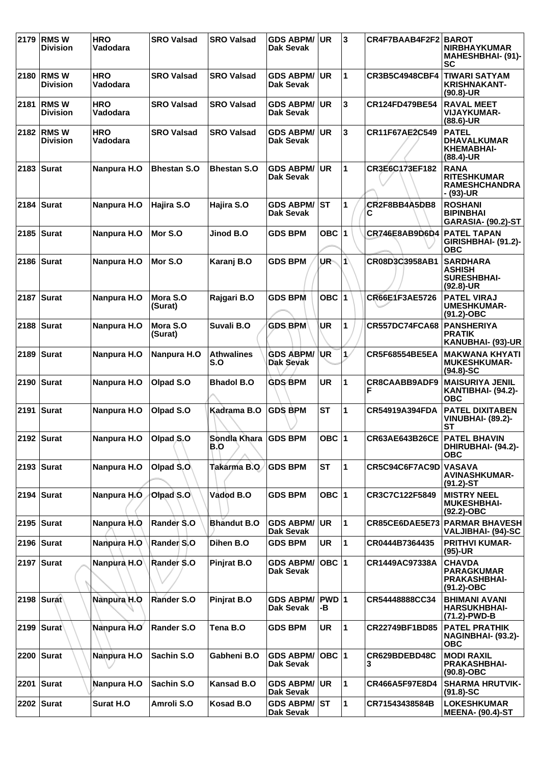| 2179 | <b>RMSW</b><br><b>Division</b>  | <b>HRO</b><br>Vadodara | <b>SRO Valsad</b>      | <b>SRO Valsad</b>        | <b>GDS ABPM/</b><br>Dak Sevak        | UR          | 3  | CR4F7BAAB4F2F2 BAROT      | <b>NIRBHAYKUMAR</b><br>MAHESHBHAI- (91)-<br>SC                              |
|------|---------------------------------|------------------------|------------------------|--------------------------|--------------------------------------|-------------|----|---------------------------|-----------------------------------------------------------------------------|
|      | 2180   RMS W<br><b>Division</b> | <b>HRO</b><br>Vadodara | <b>SRO Valsad</b>      | <b>SRO Valsad</b>        | <b>GDS ABPM/</b><br>Dak Sevak        | ∣UR.        | 1  | <b>CR3B5C4948CBF4</b>     | <b>TIWARI SATYAM</b><br><b>KRISHNAKANT-</b><br>$(90.8)$ -UR                 |
| 2181 | <b>RMSW</b><br><b>Division</b>  | <b>HRO</b><br>Vadodara | <b>SRO Valsad</b>      | <b>SRO Valsad</b>        | <b>GDS ABPM/</b><br>Dak Sevak        | <b>UR</b>   | 3  | CR124FD479BE54            | <b>RAVAL MEET</b><br><b>VIJAYKUMAR-</b><br>(88.6)-UR                        |
|      | 2182 RMS W<br><b>Division</b>   | <b>HRO</b><br>Vadodara | <b>SRO Valsad</b>      | <b>SRO Valsad</b>        | <b>GDS ABPM/</b><br><b>Dak Sevak</b> | <b>UR</b>   | 3  | CR11F67AE2C549            | <b>PATEL</b><br><b>DHAVALKUMAR</b><br><b>KHEMABHAI-</b><br>$(88.4)$ -UR     |
|      | $2183$ Surat                    | Nanpura H.O            | <b>Bhestan S.O</b>     | <b>Bhestan S.O</b>       | <b>GDS ABPM/</b><br>Dak Sevak        | <b>UR</b>   | 1  | CR3E6C173EF182            | <b>RANA</b><br><b>RITESHKUMAR</b><br><b>RAMESHCHANDRA</b><br>- (93)-UR      |
|      | 2184   Surat                    | Nanpura H.O            | Hajira S.O             | Hajira S.O               | <b>GDS ABPM/</b><br><b>Dak Sevak</b> | lst         | 1  | CR2F8BB4A5DB8<br>С        | <b>ROSHANI</b><br><b>BIPINBHAI</b><br>GARASIA- (90.2)-ST                    |
|      | 2185 Surat                      | Nanpura H.O            | Mor S.O                | Jinod B.O                | <b>GDS BPM</b>                       | OBC $ 1$    |    | CR746E8AB9D6D4            | <b>PATEL TAPAN</b><br>GIRISHBHAI- (91.2)-<br><b>OBC</b>                     |
|      | 2186   Surat                    | Nanpura H.O            | Mor S.O                | Karanj B.O               | <b>GDS BPM</b>                       | UR-         | 1  | CR08D3C3958AB1            | <b>SARDHARA</b><br><b>ASHISH</b><br><b>SURESHBHAI-</b><br>$(92.8)$ -UR      |
|      | 2187 Surat                      | Nanpura H.O            | Mora S.O<br>(Surat)    | Rajgari B.O              | <b>GDS BPM</b>                       | OBC $ 1$    |    | <b>CR66E1F3AE5726</b>     | <b>PATEL VIRAJ</b><br><b>UMESHKUMAR-</b><br>$(91.2) - OBC$                  |
|      | 2188   Surat                    | Nanpura H.O            | Mora S.O<br>(Surat)    | Suvali B.O               | <b>GDS BPM</b>                       | UR          | 1  | CR557DC74FCA68            | <b>PANSHERIYA</b><br><b>PRATIK</b><br>KANUBHAI- (93)-UR                     |
|      | 2189   Surat                    | Nanpura H.O            | Nanpura H.O            | <b>Athwalines</b><br>S.O | <b>GDS ABPM/</b><br>Dak Seyak        | ∣UR         | 1/ | <b>CR5F68554BE5EA</b>     | MAKWANA KHYATI I<br><b>MUKESHKUMAR-</b><br>$(94.8) - SC$                    |
|      | 2190   Surat                    | Nanpura H.O            | Olpad S.O              | <b>Bhadol B.O</b>        | <b>GDS BPM</b>                       | <b>UR</b>   | 1  | <b>CR8CAABB9ADF9</b><br>F | <b>MAISURIYA JENIL</b><br>KANTIBHAI- (94.2)-<br><b>OBC</b>                  |
|      | 2191 $ Surat$                   | Nanpura H.O            | Olpad S.O              | Kadrama B.O              | <b>GDS BPM</b>                       | <b>ST</b>   | 1  | CR54919A394FDA            | <b>PATEL DIXITABEN</b><br><b>VINUBHAI- (89.2)-</b><br><b>ST</b>             |
|      | 2192   Surat                    | Nanpura H.O            | Olpad <sub>, S.O</sub> | Sondla Khara<br>B.O      | <b>GDS BPM</b>                       | OBC $ 1$    |    | <b>CR63AE643B26CE</b>     | <b>PATEL BHAVIN</b><br>DHIRUBHAI- (94.2)-<br><b>OBC</b>                     |
|      | $2193$ Surat                    | Nanpura H.O            | Olpad S.O              | Takarma B.O.             | <b>GDS BPM</b>                       | <b>ST</b>   | 1  | CR5C94C6F7AC9D            | <b>VASAVA</b><br><b>AVINASHKUMAR-</b><br>$(91.2) - ST$                      |
|      | 2194 Surat                      | Nanpura H.O            | Olpad S.O              | Vadod B.O                | <b>GDS BPM</b>                       | OBC $ 1$    |    | CR3C7C122F5849            | <b>MISTRY NEEL</b><br><b>MUKESHBHAI-</b><br>(92.2)-OBC                      |
|      | 2195   Surat                    | Nanpura H.O            | Rander S.O             | <b>Bhandut B.O</b>       | <b>GDS ABPM/</b><br>Dak Sevak        | <b>UR</b>   | 1  |                           | <b>CR85CE6DAE5E73 PARMAR BHAVESH</b><br>VALJIBHAI- (94)-SC                  |
|      | 2196   Surat                    | Nanpura H.O            | Rander S.O             | Dihen B.O                | <b>GDS BPM</b>                       | <b>UR</b>   | 1  | CR0444B7364435            | <b>PRITHVI KUMAR-</b><br>$(95)-UR$                                          |
|      | 2197 $ Surat$                   | Nanpura <sub>H.O</sub> | Rander S.O             | <b>Pinjrat B.O</b>       | <b>GDS ABPM/</b><br>Dak Sevak        | $OBC$  1    |    | CR1449AC97338A            | <b>CHAVDA</b><br><b>PARAGKUMAR</b><br><b>PRAKASHBHAI-</b><br>$(91.2) - OBC$ |
|      | 2198   Surat                    | Nanpura H.O            | Rander S.O             | Pinjrat B.O              | <b>GDS ABPM/</b><br><b>Dak Sevak</b> | PWD 1<br>-В |    | CR54448888CC34            | <b>BHIMANI AVANI</b><br><b>HARSUKHBHAI-</b><br>(71.2)-PWD-B                 |
|      | 2199   Surat                    | Nanpura H.O            | Rander S.O             | Tena B.O                 | <b>GDS BPM</b>                       | <b>UR</b>   | 1  | CR22749BF1BD85            | <b>PATEL PRATHIK</b><br>NAGINBHAI- (93.2)-<br><b>OBC</b>                    |
|      | 2200 Surat                      | Nanpura H.O            | Sachin S.O             | Gabheni B.O              | <b>GDS ABPM/</b><br>Dak Sevak        | OBC  1      |    | CR629BDEBD48C<br>3        | <b>MODI RAXIL</b><br><b>PRAKASHBHAI-</b><br>$(90.8)-OBC$                    |
| 2201 | Surat                           | Nanpura H.O            | Sachin S.O             | <b>Kansad B.O</b>        | <b>GDS ABPM/ UR</b><br>Dak Sevak     |             | 1  | CR466A5F97E8D4            | <b>SHARMA HRUTVIK-</b><br>$(91.8)$ -SC                                      |
|      | 2202 Surat                      | Surat H.O              | Amroli S.O             | Kosad B.O                | <b>GDS ABPM/ ST</b><br>Dak Sevak     |             | 1  | CR71543438584B            | <b>LOKESHKUMAR</b><br><b>MEENA- (90.4)-ST</b>                               |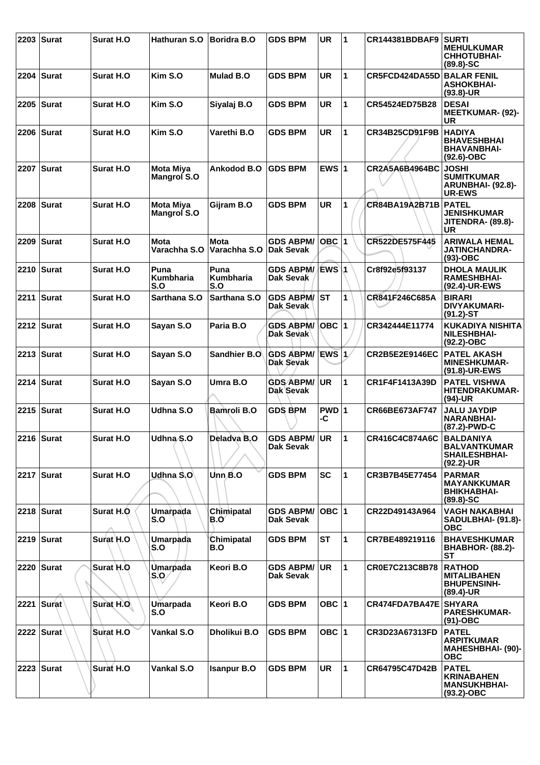| 2203   Surat | Surat H.O         | Hathuran S.O                               | <b>Boridra B.O</b>          | <b>GDS BPM</b>                   | <b>UR</b>   | $\overline{1}$ | CR144381BDBAF9        | <b>SURTI</b><br><b>MEHULKUMAR</b><br><b>CHHOTUBHAI-</b><br>$(89.8) - SC$        |
|--------------|-------------------|--------------------------------------------|-----------------------------|----------------------------------|-------------|----------------|-----------------------|---------------------------------------------------------------------------------|
| 2204   Surat | <b>Surat H.O.</b> | Kim S.O                                    | Mulad B.O                   | <b>GDS BPM</b>                   | UR          | 1              | CR5FCD424DA55D        | <b>BALAR FENIL</b><br><b>ASHOKBHAI-</b><br>$(93.8)$ -UR                         |
| 2205   Surat | <b>Surat H.O.</b> | Kim S.O                                    | Siyalaj B.O                 | <b>GDS BPM</b>                   | <b>UR</b>   | 1              | CR54524ED75B28        | <b>DESAI</b><br><b>MEETKUMAR- (92)-</b><br>UR                                   |
| 2206   Surat | <b>Surat H.O.</b> | Kim S.O                                    | Varethi B.O                 | <b>GDS BPM</b>                   | <b>UR</b>   | 1              | CR34B25CD91F9B        | <b>HADIYA</b><br><b>BHAVESHBHAI</b><br><b>BHAVANBHAI-</b><br>$(92.6)$ -OBC      |
| 2207   Surat | <b>Surat H.O.</b> | <b>Mota Miya</b><br><b>Mangrol S.O</b>     | Ankodod B.O                 | <b>GDS BPM</b>                   | EWS $ 1$    |                | CR2A5A6B4964BC        | <b>JOSHI</b><br><b>SUMITKUMAR</b><br>ARUNBHAI- (92.8)-<br><b>UR-EWS</b>         |
| 2208 Surat   | <b>Surat H.O.</b> | <b>Mota Miya</b><br>Mangrol S.O            | Gijram B.O                  | <b>GDS BPM</b>                   | <b>UR</b>   | 1              | <b>CR84BA19A2B71B</b> | <b>PATEL</b><br><b>JENISHKUMAR</b><br><b>JITENDRA- (89.8)-</b><br>UR            |
| 2209   Surat | <b>Surat H.O</b>  | <b>Mota</b><br>Varachha S.O                | <b>Mota</b><br>Varachha S.O | <b>GDS ABPM/</b><br>Dak Sevak    | $OBC$  1    |                | CR522DE575F445        | <b>ARIWALA HEMAL</b><br><b>JATINCHANDRA-</b><br>$(93)-OBC$                      |
| 2210   Surat | <b>Surat H.O</b>  | Puna<br>Kumbharia<br>S.O                   | Puna<br>Kumbharia<br>S.O    | <b>GDS ABPM/</b><br>Dak Sevak    | EWS\1       |                | Cr8f92e5f93137        | <b>DHOLA MAULIK</b><br><b>RAMESHBHAI-</b><br>(92.4)-UR-EWS                      |
| 2211 Surat   | Surat H.O         | Sarthana S.O                               | Sarthana S.O                | <b>GDS ABPM/</b><br>Dak Sevak    | <b>ST</b>   | 1              | CR841F246C685A        | <b>BIRARI</b><br><b>DIVYAKUMARI-</b><br>$(91.2) - ST$                           |
| 2212   Surat | Surat H.O         | Sayan S.O                                  | Paria B.O                   | <b>GDS ABPM/</b><br>Dak Sevak    | OBC 1       |                | CR342444E11774        | <b>KUKADIYA NISHITA</b><br><b>NILESHBHAI-</b><br>$(92.2)$ -OBC                  |
| 2213   Surat | <b>Surat H.O.</b> | Sayan S.O                                  | Sandhier B.O                | <b>GDS ABPM/</b><br>Dak Sevak    | EWS 1       |                | <b>CR2B5E2E9146EC</b> | <b>PATEL AKASH</b><br><b>MINESHKUMAR-</b><br>(91.8)-UR-EWS                      |
| 2214   Surat | <b>Surat H.O.</b> | Sayan S.O                                  | Umra B.O                    | <b>GDS ABPM/</b><br>Dak Sevak    | <b>UR</b>   | 1              | CR1F4F1413A39D        | <b>PATEL VISHWA</b><br><b>HITENDRAKUMAR-</b><br>(94)-UR                         |
| 2215   Surat | Surat H.O         | Udhna S.O                                  | Bamroli B.O                 | <b>GDS BPM</b>                   | PWD 1<br>-C |                | CR66BE673AF747        | <b>JALU JAYDIP</b><br><b>NARANBHAI-</b><br>(87.2)-PWD-C                         |
| 2216   Surat | Surat H.O         | Udhna <sub>S.O</sub>                       | Deladva B.O                 | <b>GDS ABPM/ UR</b><br>Dak Sevak |             | $\mathbf 1$    | CR416C4C874A6C        | <b>BALDANIYA</b><br><b>BALVANTKUMAR</b><br><b>SHAILESHBHAI-</b><br>$(92.2)$ -UR |
| 2217   Surat | Surat H.O         | Udhna S.O                                  | Unn.B.O                     | <b>GDS BPM</b>                   | <b>SC</b>   | $\mathbf{1}$   | CR3B7B45E77454        | <b>PARMAR</b><br><b>MAYANKKUMAR</b><br><b>BHIKHABHAI-</b><br>$(89.8) - SC$      |
| 2218   Surat | Surat H.O         | Umarpada<br>S.O                            | Chimipatal<br>B.O           | <b>GDS ABPM/</b><br>Dak Sevak    | $OBC$  1    |                | CR22D49143A964        | <b>VAGH NAKABHAI</b><br>SADULBHAI- (91.8)-<br><b>OBC</b>                        |
| 2219 Surat   | Surat H.O         | Umarpada<br>S.O                            | Chimipatal<br>B.O           | <b>GDS BPM</b>                   | ST          | 1              | CR7BE489219116        | <b>BHAVESHKUMAR</b><br><b>BHABHOR- (88.2)-</b><br>ST                            |
| 2220   Surat | Surat H.O         | <b>Umarpada</b><br>$\mathsf{S}.\mathsf{O}$ | Keori B.O                   | <b>GDS ABPM/</b><br>Dak Sevak    | <b>UR</b>   | $\mathbf{1}$   | CR0E7C213C8B78        | <b>RATHOD</b><br><b>MITALIBAHEN</b><br><b>BHUPENSINH-</b><br>$(89.4)$ -UR       |
| 2221   Surat | Surat H.O         | Umarpada<br>S.O                            | Keori B.O                   | <b>GDS BPM</b>                   | OBC $ 1$    |                | CR474FDA7BA47E        | <b>SHYARA</b><br><b>PARESHKUMAR-</b><br>$(91)-OBC$                              |
| 2222   Surat | Surat H.O         | Vankal S.O                                 | Dholikui B.O                | <b>GDS BPM</b>                   | OBC $ 1$    |                | CR3D23A67313FD        | <b>PATEL</b><br><b>ARPITKUMAR</b><br><b>MAHESHBHAI- (90)-</b><br><b>OBC</b>     |
| 2223 Surat   | Surat H.O         | <b>Vankal S.O</b>                          | <b>Isanpur B.O</b>          | <b>GDS BPM</b>                   | <b>UR</b>   | $\mathbf{1}$   | CR64795C47D42B        | <b>PATEL</b><br><b>KRINABAHEN</b><br><b>MANSUKHBHAI-</b><br>(93.2)-OBC          |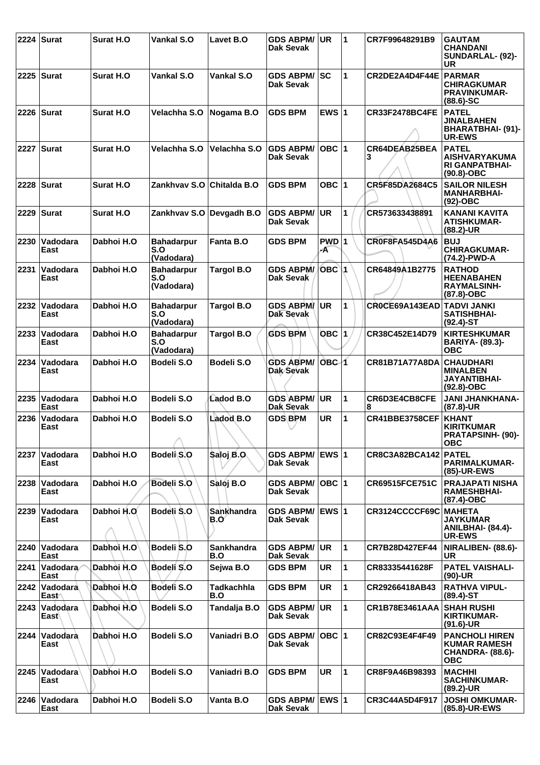|      | 2224 Surat              | <b>Surat H.O</b>  | Vankal S.O                             | Lavet B.O                | <b>GDS ABPM/</b><br>Dak Sevak        | <b>UR</b>        | 1            | CR7F99648291B9             | <b>GAUTAM</b><br><b>CHANDANI</b><br>SUNDARLAL- (92)-<br>UR                            |
|------|-------------------------|-------------------|----------------------------------------|--------------------------|--------------------------------------|------------------|--------------|----------------------------|---------------------------------------------------------------------------------------|
|      | 2225   Surat            | Surat H.O         | Vankal S.O                             | Vankal S.O               | <b>GDS ABPM/</b><br><b>Dak Sevak</b> | lsc              | $\mathbf{1}$ | CR2DE2A4D4F44E             | PARMAR<br><b>CHIRAGKUMAR</b><br><b>PRAVINKUMAR-</b><br>$(88.6) - SC$                  |
| 2226 | Surat                   | <b>Surat H.O.</b> | Velachha S.O                           | Nogama B.O               | <b>GDS BPM</b>                       | EWS $ 1$         |              | <b>CR33F2478BC4FE</b>      | <b>PATEL</b><br><b>JINALBAHEN</b><br><b>BHARATBHAI- (91)-</b><br><b>UR-EWS</b>        |
|      | 2227 Surat              | <b>Surat H.O.</b> | Velachha S.O                           | Velachha S.O             | <b>GDS ABPM/</b><br><b>Dak Sevak</b> | $OBC$  1         |              | CR64DEAB25BEA<br>3         | <b>PATEL</b><br><b>AISHVARYAKUMA</b><br><b>RI GANPATBHAI-</b><br>$(90.8)-OBC$         |
|      | 2228   Surat            | Surat H.O         | Zankhvav S.O Chitalda B.O              |                          | <b>GDS BPM</b>                       | OBC 1            |              | CR5F85DA2684C5             | <b>SAILOR NILESH</b><br><b>MANHARBHAI-</b><br>$(92)$ -OBC                             |
| 2229 | Surat                   | <b>Surat H.O.</b> | Zankhvav S.O Devgadh B.O               |                          | <b>GDS ABPM/</b><br>Dak Sevak        | <b>UR</b>        | 1            | CR573633438891             | KANANI KAVITA<br><b>ATISHKUMAR-</b><br>$(88.2)$ -UR                                   |
| 2230 | Vadodara<br>East        | Dabhoi H.O        | <b>Bahadarpur</b><br>S.O<br>(Vadodara) | <b>Fanta B.O</b>         | <b>GDS BPM</b>                       | PWD 1<br>A       |              | CR0F8FA545D4A6             | <b>BUJ</b><br><b>CHIRAGKUMAR-</b><br>(74.2)-PWD-A                                     |
| 2231 | Vadodara<br>East        | Dabhoi H.O        | <b>Bahadarpur</b><br>S.O<br>(Vadodara) | <b>Targol B.O</b>        | <b>GDS ABPM/</b><br>Dak Sevak        | OBC 1            |              | CR64849A1B2775             | <b>RATHOD</b><br><b>HEENABAHEN</b><br><b>RAYMALSINH-</b><br>$(87.8)-OBC$              |
| 2232 | <b>Vadodara</b><br>East | Dabhoi H.O        | <b>Bahadarpur</b><br>S.O<br>(Vadodara) | <b>Targol B.O</b>        | <b>GDS ABPM/</b><br>Dak Sevak        | <b>UR</b>        | 1            | CROCE69A143EAD TADVI JANKI | <b>SATISHBHAI-</b><br>$(92.4)$ -ST                                                    |
| 2233 | Vadodara<br>East        | Dabhoi H.O        | <b>Bahadarpur</b><br>S.O<br>(Vadodara) | <b>Targol B.O</b>        | <b>GDS BPM</b>                       | <b>OBC</b> 1     |              | CR38C452E14D79             | <b>KIRTESHKUMAR</b><br>BARIYA- (89.3)-<br><b>OBC</b>                                  |
| 2234 | Vadodara<br>East        | Dabhoi H.O        | Bodeli S.O                             | Bodeli S.O               | <b>GDS ABPM/</b><br>Dak Sevak        | OBC <sub>1</sub> |              | <b>CR81B71A77A8DA</b>      | <b>CHAUDHARI</b><br><b>MINALBEN</b><br>JAYANTIBHAI-<br>$(92.8)-OBC$                   |
| 2235 | Vadodara<br>East        | Dabhoi H.O        | Bodeli S.O                             | <b>Ladod B.O</b>         | <b>GDS ABPM/</b><br>Dak Sevak        | <b>UR</b>        | $\mathbf{1}$ | CR6D3E4CB8CFE<br>8         | <b>JANI JHANKHANA-</b><br>$(87.8)$ -UR                                                |
| 2236 | Vadodara<br>East        | Dabhoi H.O        | Bodeli S.O<br>↗                        | Ladod <sub>B.O</sub>     | <b>GDS BPM</b>                       | <b>UR</b>        | 1            | CR41BBE3758CEF             | <b>KHANT</b><br><b>KIRITKUMAR</b><br><b>PRATAPSINH- (90)-</b><br><b>ORC</b>           |
| 2237 | Vadodara<br>East        | Dabhoi H.O        | Bodel S.O                              | Saloj B.O.               | <b>GDS ABPM/</b><br>Dak Sevak        | <b>EWS 1</b>     |              | <b>CR8C3A82BCA142</b>      | <b>PATEL</b><br><b>PARIMALKUMAR-</b><br>(85)-UR-EWS                                   |
| 2238 | Vadodara<br>East        | Dabhoi H.O        | Bodeli S.O                             | Saloj B.O                | <b>GDS ABPM/</b><br>Dak Sevak        | $OBC$  1         |              | <b>CR69515FCE751C</b>      | <b>PRAJAPATI NISHA</b><br><b>RAMESHBHAI-</b><br>(87.4)-OBC                            |
| 2239 | Vadodara<br>East        | Dabhoi H.O.       | Bodeli S.O                             | Sankhandra<br>B.O        | <b>GDS ABPM/</b><br>Dak Sevak        | EWS $ 1$         |              | CR3124CCCCF69C             | <b>MAHETA</b><br><b>JAYKUMAR</b><br>ANILBHAI- (84.4)-<br>UR-EWS                       |
| 2240 | Vadodara<br>East        | Dabhoi H.O        | Bodeli S.O                             | <b>Sankhandra</b><br>B.O | <b>GDS ABPM/</b><br>Dak Sevak        | <b>UR</b>        | $\mathbf{1}$ | CR7B28D427EF44             | NIRALIBEN- (88.6)-<br>UR.                                                             |
| 2241 | ∣Vadodara<br>East       | Dabhoi H.O        | Bodeli S.O                             | Sejwa B.O                | <b>GDS BPM</b>                       | UR               | $\mathbf{1}$ | CR83335441628F             | <b>PATEL VAISHALI-</b><br>$(90)$ -UR                                                  |
| 2242 | Vadodara<br>East∩       | Dabhoi H.O        | Bodeli S.O                             | Tadkachhla<br>B.O        | <b>GDS BPM</b>                       | UR               | 1            | CR29266418AB43             | <b>RATHVA VIPUL-</b><br>$(89.4)$ -ST                                                  |
| 2243 | Vadodara<br>East∖       | Dabhoi H.O        | Bodeli S.O                             | Tandalja B.O             | <b>GDS ABPM/</b><br>Dak Sevak        | <b>UR</b>        | 1            | <b>CR1B78E3461AAA</b>      | <b>SHAH RUSHI</b><br><b>KIRTIKUMAR-</b><br>$(91.6)$ -UR                               |
| 2244 | Vadodara<br>East        | Dabhoi H.O        | Bodeli S.O                             | Vaniadri B.O             | <b>GDS ABPM/</b><br>Dak Sevak        | $OBC$ 1          |              | CR82C93E4F4F49             | <b>PANCHOLI HIREN</b><br><b>KUMAR RAMESH</b><br><b>CHANDRA- (88.6)-</b><br><b>OBC</b> |
| 2245 | Vadodara<br>East        | Dabhoi H.O        | Bodeli S.O                             | Vaniadri B.O             | <b>GDS BPM</b>                       | <b>UR</b>        | 1            | CR8F9A46B98393             | <b>MACHHI</b><br><b>SACHINKUMAR-</b><br>(89.2)-UR                                     |
| 2246 | Vadodara<br>East        | Dabhoi H.O        | Bodeli S.O                             | Vanta B.O                | GDS ABPM/ EWS 1<br>Dak Sevak         |                  |              | CR3C44A5D4F917             | <b>JOSHI OMKUMAR-</b><br>(85.8)-UR-EWS                                                |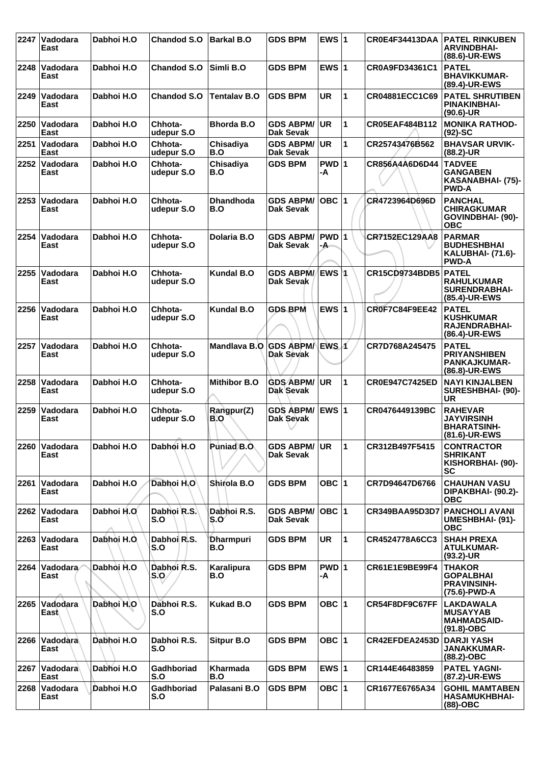| 2247 | Vadodara<br>East      | Dabhoi H.O  | <b>Chandod S.O</b>           | <b>Barkal B.O</b>       | <b>GDS BPM</b>                       | EWS $ 1$      |              | CR0E4F34413DAA        | <b>PATEL RINKUBEN</b><br><b>ARVINDBHAI-</b><br>(88.6)-UR-EWS                   |
|------|-----------------------|-------------|------------------------------|-------------------------|--------------------------------------|---------------|--------------|-----------------------|--------------------------------------------------------------------------------|
| 2248 | Vadodara<br>East      | Dabhoi H.O  | Chandod S.O                  | Simli B.O               | <b>GDS BPM</b>                       | EWS $ 1$      |              | CR0A9FD34361C1        | <b>PATEL</b><br><b>BHAVIKKUMAR-</b><br>(89.4)-UR-EWS                           |
| 2249 | Vadodara<br>East      | Dabhoi H.O  | <b>Chandod S.O</b>           | <b>Tentalav B.O</b>     | <b>GDS BPM</b>                       | <b>UR</b>     | 1            | CR04881ECC1C69        | <b>PATEL SHRUTIBEN</b><br><b>PINAKINBHAI-</b><br>$(90.6)$ -UR                  |
| 2250 | Vadodara<br>East      | Dabhoi H.O  | Chhota-<br>udepur S.O        | Bhorda B.O              | <b>GDS ABPM/</b><br><b>Dak Sevak</b> | <b>UR</b>     | $\mathbf{1}$ | CR05EAF484B112        | <b>MONIKA RATHOD-</b><br>$(92)$ -SC                                            |
| 2251 | Vadodara<br>East      | Dabhoi H.O  | Chhota-<br>udepur S.O        | Chisadiya<br>B.O        | <b>GDS ABPM/</b><br><b>Dak Sevak</b> | <b>UR</b>     | 1            | CR25743476B562        | <b>BHAVSAR URVIK-</b><br>(88.2)-UR                                             |
| 2252 | Vadodara<br>East      | Dabhoi H.O  | Chhota-<br>udepur S.O        | Chisadiya<br>B.O        | <b>GDS BPM</b>                       | PWD 1<br>-A   |              | CR856A4A6D6D44        | <b>TADVEE</b><br><b>GANGABEN</b><br>KASANABHAI- (75)-<br><b>PWD-A</b>          |
| 2253 | Vadodara<br>East      | Dabhoi H.O  | Chhota-<br>udepur S.O        | <b>Dhandhoda</b><br>B.O | <b>GDS ABPM/</b><br>Dak Sevak        | OBC $ 1$      |              | CR4723964D696D        | <b>PANCHAL</b><br><b>CHIRAGKUMAR</b><br><b>GOVINDBHAI- (90)-</b><br><b>OBC</b> |
| 2254 | Vadodara<br>East      | Dabhoi H.O  | Chhota-<br>udepur S.O        | Dolaria B.O             | <b>GDS ABPM/</b><br>Dak Sevak        | $PWD$ 1<br>-А |              | CR7152EC129AA8        | <b>PARMAR</b><br><b>BUDHESHBHAI</b><br>KALUBHAI- (71.6)-<br><b>PWD-A</b>       |
| 2255 | Vadodara<br>East      | Dabhoi H.O  | Chhota-<br>udepur S.O        | <b>Kundal B.O</b>       | <b>GDS ABPM/</b><br>Dak Sevak        |               |              | CR15CD9734BDB5        | <b>PATEL</b><br><b>RAHULKUMAR</b><br><b>SURENDRABHAI-</b><br>(85.4)-UR-EWS     |
| 2256 | Vadodara<br>East      | Dabhoi H.O  | Chhota-<br>udepur S.O        | <b>Kundal B.O</b>       | <b>GDS BPM</b>                       | EWS $ 1$      |              | <b>CR0F7C84F9EE42</b> | <b>PATEL</b><br><b>KUSHKUMAR</b><br>RAJENDRABHAI-<br>(86.4)-UR-EWS             |
| 2257 | Vadodara<br>East      | Dabhoi H.O  | Chhota-<br>udepur S.O        | Mandlava B.O GDS ABPM/  | Dak Sevak                            | EWS 1         |              | CR7D768A245475        | <b>PATEL</b><br><b>PRIYANSHIBEN</b><br><b>PANKAJKUMAR-</b><br>(86.8)-UR-EWS    |
| 2258 | Vadodara<br>East      | Dabhoi H.O  | Chhota-<br>udepur S.O        | <b>Mithibor B.O</b>     | <b>GDS ABPM/</b><br>Dak Sevak        | <b>UR</b>     | 1            | CR0E947C7425ED        | <b>NAYI KINJALBEN</b><br>SURESHBHAI- (90)-<br><b>UR</b>                        |
| 2259 | Vadodara<br>East      | Dabhoi H.O  | Chhota-<br>udepur S.O        | Rangpur(Z)<br>B.O       | <b>GDS ABPM/</b><br>Dak Sevak        | EWS $ 1$      |              | CR0476449139BC        | <b>RAHEVAR</b><br><b>JAYVIRSINH</b><br><b>BHARATSINH-</b><br>(81.6)-UR-EWS     |
|      | 2260 Vadodara<br>East | Dabhoi H.O  | Dabhoi H.O                   | Puniad B.O.             | <b>GDS ABPM/ UR</b><br>Dak Sevak     |               | 11           | CR312B497F5415        | <b>CONTRACTOR</b><br><b>SHRIKANT</b><br>KISHORBHAI- (90)-<br>SC                |
| 2261 | Vadodara<br>East      | Dabhoi H.O  | Dabhoi H.O                   | Shirola B.O             | <b>GDS BPM</b>                       | OBC $ 1$      |              | CR7D94647D6766        | <b>CHAUHAN VASU</b><br>DIPAKBHAI- (90.2)-<br><b>OBC</b>                        |
|      | 2262 Vadodara<br>East | Dabhoi H.O. | Dabhoi R.S.<br>S.O           | Dabhoi R.S.<br>S.O      | <b>GDS ABPM/</b><br><b>Dak Sevak</b> | OBC 1         |              | CR349BAA95D3D7        | <b>PANCHOLI AVANI</b><br><b>UMESHBHAI- (91)-</b><br><b>OBC</b>                 |
| 2263 | Vadodara<br>East      | Dabhoi H.O. | Dabhoi R.S.<br>S.O           | Dharmpuri<br>B.O        | <b>GDS BPM</b>                       | UR.           | 1            | CR4524778A6CC3        | <b>SHAH PREXA</b><br><b>ATULKUMAR-</b><br>$(93.2)$ -UR                         |
| 2264 | Vadodara<br>East      | Dabhoi H.O  | Dabhoi R.S.<br>$ S.O\rangle$ | Karalipura<br>B.O       | <b>GDS BPM</b>                       | PWD 1<br>-A   |              | CR61E1E9BE99F4        | <b>THAKOR</b><br><b>GOPALBHAI</b><br><b>PRAVINSINH-</b><br>(75.6)-PWD-A        |
| 2265 | Vadodara<br>East      | Dabhoi H.O  | Dabhoi R.S.<br>S.O           | Kukad B.O               | <b>GDS BPM</b>                       | OBC $ 1$      |              | CR54F8DF9C67FF        | <b>LAKDAWALA</b><br><b>MUSAYYAB</b><br><b>MAHMADSAID-</b><br>$(91.8)-OBC$      |
| 2266 | Vadodara<br>East      | Dabhoi H.O  | Dabhoi R.S.<br>S.O           | <b>Sitpur B.O</b>       | <b>GDS BPM</b>                       | OBC $ 1$      |              | CR42EFDEA2453D        | <b>DARJI YASH</b><br><b>JANAKKUMAR-</b><br>$(88.2)$ -OBC                       |
| 2267 | Vadodara<br>East      | Dabhoi H.O  | Gadhboriad<br>S.O            | Kharmada<br>B.O         | <b>GDS BPM</b>                       | EWS 1         |              | CR144E46483859        | <b>PATEL YAGNI-</b><br>(87.2)-UR-EWS                                           |
| 2268 | Vadodara<br>East      | Dabhoi H.O  | Gadhboriad<br>S.O            | Palasani B.O            | <b>GDS BPM</b>                       | OBC $ 1$      |              | CR1677E6765A34        | <b>GOHIL MAMTABEN</b><br><b>HASAMUKHBHAI-</b><br>$(88)-OBC$                    |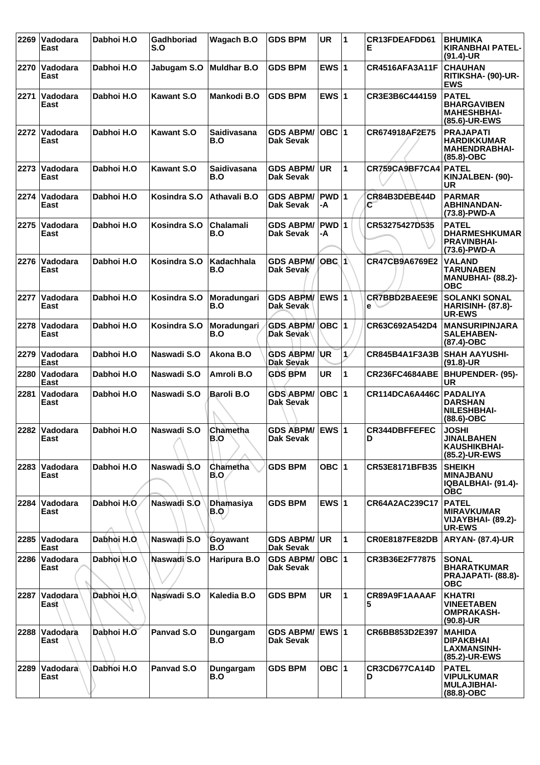| 2269 | Vadodara<br>East        | Dabhoi H.O  | Gadhboriad<br>S.O | Wagach B.O                     | <b>GDS BPM</b>                | <b>UR</b>    | $\overline{1}$ | CR13FDEAFDD61<br>Е    | <b>BHUMIKA</b><br><b>KIRANBHAI PATEL-</b><br>$(91.4)$ -UR                     |
|------|-------------------------|-------------|-------------------|--------------------------------|-------------------------------|--------------|----------------|-----------------------|-------------------------------------------------------------------------------|
| 2270 | Vadodara<br>East        | Dabhoi H.O  | Jabugam S.O       | <b>Muldhar B.O</b>             | <b>GDS BPM</b>                | EWS $ 1$     |                | <b>CR4516AFA3A11F</b> | <b>CHAUHAN</b><br>RITIKSHA- (90)-UR-<br><b>EWS</b>                            |
| 2271 | Vadodara<br>East        | Dabhoi H.O  | <b>Kawant S.O</b> | Mankodi B.O                    | <b>GDS BPM</b>                | EWS $ 1$     |                | CR3E3B6C444159        | <b>PATEL</b><br><b>BHARGAVIBEN</b><br><b>MAHESHBHAI-</b><br>(85.6)-UR-EWS     |
| 2272 | Vadodara<br>East        | Dabhoi H.O  | <b>Kawant S.O</b> | <b>Saidivasana</b><br>B.O      | <b>GDS ABPM/</b><br>Dak Sevak | $OBC$  1     |                | CR674918AF2E75        | <b>PRAJAPATI</b><br><b>HARDIKKUMAR</b><br><b>MAHENDRABHAI-</b><br>(85.8)-OBC  |
| 2273 | Vadodara<br>East        | Dabhoi H.O  | <b>Kawant S.O</b> | <b>Saidivasana</b><br>B.O      | <b>GDS ABPM/</b><br>Dak Sevak | <b>UR</b>    | $\mathbf{1}$   | CR759CA9BF7CA4        | <b>PATEL</b><br>KINJALBEN- (90)-<br>UR                                        |
| 2274 | Vadodara<br>East        | Dabhoi H.O  | Kosindra S.O      | Athavali B.O                   | <b>GDS ABPM/</b><br>Dak Sevak | PWD 1<br>-A  |                | CR84B3DEBE44D<br>С    | <b>PARMAR</b><br><b>ABHINANDAN-</b><br>(73.8)-PWD-A                           |
| 2275 | Vadodara<br>East        | Dabhoi H.O  | Kosindra S.O      | <b>Chalamali</b><br>B.O        | <b>GDS ABPM/</b><br>Dak Sevak | PWD 1<br>-A  |                | CR53275427D535        | <b>PATEL</b><br><b>DHARMESHKUMAR</b><br><b>PRAVINBHAI-</b><br>(73.6)-PWD-A    |
| 2276 | Vadodara<br>East        | Dabhoi H.O  | Kosindra S.O      | Kadachhala<br>B.O              | <b>GDS ABPM/</b><br>Dak Sevak | <b>OBC 1</b> |                | CR47CB9A6769E2        | <b>VALAND</b><br><b>TARUNABEN</b><br><b>MANUBHAI- (88.2)-</b><br><b>OBC</b>   |
| 2277 | Vadodara<br>East        | Dabhoi H.O  | Kosindra S.O      | Moradungari<br>B.O             | <b>GDS ABPM/</b><br>Dak Sevak | <b>EWS 1</b> |                | CR7BBD2BAEE9E<br>e N  | <b>SOLANKI SONAL</b><br><b>HARISINH- (87.8)-</b><br><b>UR-EWS</b>             |
| 2278 | Vadodara<br>East        | Dabhoi H.O  | Kosindra S.O      | Moradungari<br>B.O             | <b>GDS ABPM/</b><br>Dak Sevak | ∣OBC ∣1      |                | CR63C692A542D4        | <b>MANSURIPINJARA</b><br><b>SALEHABEN-</b><br>$(87.4)$ -OBC                   |
| 2279 | Vadodara<br>East        | Dabhoi H.O  | Naswadi S.O       | Akona B.O                      | <b>GDS ABPM/</b><br>Dak Sevak | <b>UR</b>    | $\mathbf{1}$   | CR845B4A1F3A3B        | <b>SHAH AAYUSHI-</b><br>$(91.8)-UR$                                           |
| 2280 | Vadodara<br>East        | Dabhoi H.O  | Naswadi S.O       | Amroli B.O                     | <b>GDS BPM</b>                | UR           | 1              | <b>CR236FC4684ABE</b> | <b>BHUPENDER- (95)-</b><br><b>UR</b>                                          |
| 2281 | Vadodara<br>East        | Dabhoi H.O  | Naswadi S.O       | <b>Baroli B.O</b>              | <b>GDS ABPM/</b><br>Dak Sevak | $OBC$  1     |                | CR114DCA6A446C        | <b>PADALIYA</b><br><b>DARSHAN</b><br><b>NILESHBHAI-</b><br>(88.6)-OBC         |
| 2282 | Vadodara<br>East        | Dabhoi H.O  | Naswadi S.O       | Chametha<br> B.O               | <b>GDS ABPM/</b><br>Dak Sevak | <b>EWS 1</b> |                | CR344DBFFEFEC<br>D    | <b>JOSHI</b><br><b>JINALBAHEN</b><br><b>KAUSHIKBHAI-</b><br>(85.2)-UR-EWS     |
| 2283 | Vadodara<br>East        | Dabhoi H.O  | Naswadi S.O       | <b>Chametha</b><br>B.O         | <b>GDS BPM</b>                | OBC $ 1$     |                | <b>CR53E8171BFB35</b> | <b>SHEIKH</b><br><b>MINAJBANU</b><br>IQBALBHAI- (91.4)-<br><b>OBC</b>         |
| 2284 | Vadodara<br>East        | Dabhoi H.O  | Naswadi S.O       | <b>Dhamasiya</b><br><b>B.Q</b> | <b>GDS BPM</b>                | EWS $ 1$     |                | CR64A2AC239C17        | <b>PATEL</b><br><b>MIRAVKUMAR</b><br>VIJAYBHAI- (89.2)-<br><b>UR-EWS</b>      |
| 2285 | <b>Vadodara</b><br>East | Dabhoi H.O. | Naswadi S.O       | Govawant<br>B.O                | <b>GDS ABPM/</b><br>Dak Sevak | <b>UR</b>    | $\mathbf{1}$   | <b>CR0E8187FE82DB</b> | <b>ARYAN- (87.4)-UR</b>                                                       |
| 2286 | Vadodara<br>East        | Dabhoi H.O  | Naswadi S.O       | Haripura B.O                   | <b>GDS ABPM/</b><br>Dak Sevak | $OBC$  1     |                | CR3B36E2F77875        | <b>SONAL</b><br><b>BHARATKUMAR</b><br><b>PRAJAPATI- (88.8)-</b><br><b>OBC</b> |
| 2287 | Vadodara<br>East        | Dabhoi H.O  | Naswadi S.O       | Kaledia B.O                    | <b>GDS BPM</b>                | UR           | 1              | CR89A9F1AAAAF<br>5    | <b>KHATRI</b><br><b>VINEETABEN</b><br><b>OMPRAKASH-</b><br>$(90.8)$ -UR       |
| 2288 | Vadodara<br>East        | Dabhoi H.O  | Panyad S.O        | Dungargam<br>B.O               | <b>GDS ABPM/</b><br>Dak Sevak | EWS $ 1$     |                | CR6BB853D2E397        | <b>MAHIDA</b><br><b>DIPAKBHAI</b><br>LAXMANSINH-<br>(85.2)-UR-EWS             |
| 2289 | Vadodara<br>East        | Dabhoi H.O  | Panvad S.O        | Dungargam<br>B.O               | <b>GDS BPM</b>                | OBC $ 1$     |                | CR3CD677CA14D<br>D    | <b>PATEL</b><br><b>VIPULKUMAR</b><br><b>MULAJIBHAI-</b><br>(88.8)-OBC         |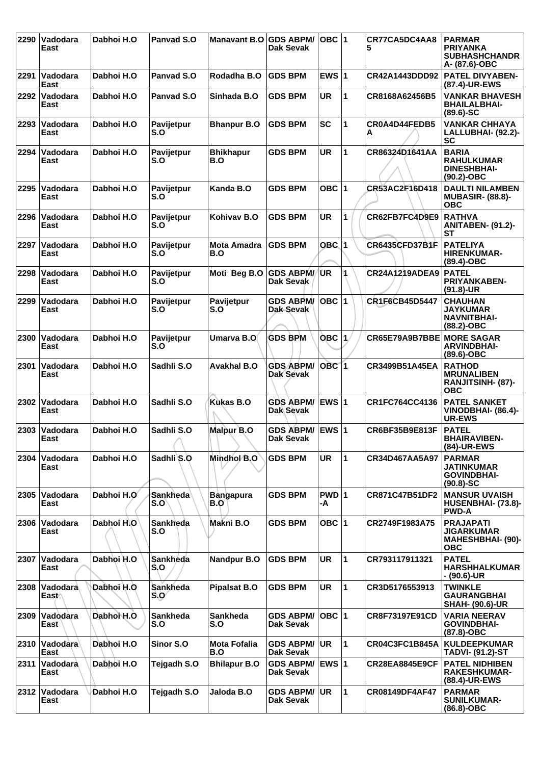| 2290 | Vadodara<br>East         | Dabhoi H.O | Panvad S.O               | Manavant B.O GDS ABPM/     | Dak Sevak                            | OBC  1           |              | CR77CA5DC4AA8<br>5               | <b>PARMAR</b><br><b>PRIYANKA</b><br><b>SUBHASHCHANDR</b><br>A- (87.6)-OBC       |
|------|--------------------------|------------|--------------------------|----------------------------|--------------------------------------|------------------|--------------|----------------------------------|---------------------------------------------------------------------------------|
|      | 2291 Vadodara<br>East    | Dabhoi H.O | Panvad S.O               | Rodadha B.O                | <b>GDS BPM</b>                       | EWS $ 1$         |              | CR42A1443DDD92                   | <b>PATEL DIVYABEN-</b><br>(87.4)-UR-EWS                                         |
| 2292 | Vadodara<br>East         | Dabhoi H.O | Panvad S.O               | Sinhada B.O                | <b>GDS BPM</b>                       | <b>UR</b>        | 1            | CR8168A62456B5                   | VANKAR BHAVESH<br><b>BHAILALBHAI-</b><br>$(89.6) - SC$                          |
| 2293 | Vadodara<br>East         | Dabhoi H.O | Pavijetpur<br>S.O        | <b>Bhanpur B.O</b>         | <b>GDS BPM</b>                       | <b>SC</b>        | 1            | CR0A4D44FEDB5<br>A               | <b>VANKAR CHHAYA</b><br>LALLUBHAI- (92.2)-<br><b>SC</b>                         |
| 2294 | ∣Vadodara<br>East        | Dabhoi H.O | Pavijetpur<br>S.O        | <b>Bhikhapur</b><br>B.O    | <b>GDS BPM</b>                       | UR               | 1            | CR86324D1641AA                   | <b>BARIA</b><br><b>RAHULKUMAR</b><br><b>DINESHBHAI-</b><br>$(90.2)$ -OBC        |
| 2295 | Vadodara<br>East         | Dabhoi H.O | <b>Pavijetpur</b><br>S.O | Kanda B.O                  | <b>GDS BPM</b>                       | OBC ∣1           |              | CR53AC2F16D418                   | <b>DAULTI NILAMBEN</b><br><b>MUBASIR- (88.8)-</b><br><b>OBC</b>                 |
| 2296 | Vadodara<br>East         | Dabhoi H.O | Pavijetpur<br>S.O        | Kohivav B.O                | <b>GDS BPM</b>                       | UR               | 1            | CR62FB7FC4D9E9                   | <b>RATHVA</b><br><b>ANITABEN- (91.2)-</b><br><b>ST</b>                          |
| 2297 | ∣Vadodara<br>East        | Dabhoi H.O | Pavijetpur<br>S.O        | <b>Mota Amadra</b><br>B.O  | <b>GDS BPM</b>                       | OBC 1            |              | CR6435CFD37B1F                   | <b>PATELIYA</b><br><b>HIRENKUMAR-</b><br>(89.4)-OBC                             |
| 2298 | <b>Vadodara</b><br>East  | Dabhoi H.O | Pavijetpur<br>S.O        | Moti Beg B.O               | <b>GDS ABPM/</b><br><b>Dak Sevak</b> | <b>UR</b>        | 4            | <b>CR24A1219ADEA9</b>            | <b>PATEL</b><br><b>PRIYANKABEN-</b><br>$(91.8)$ -UR                             |
| 2299 | Vadodara<br>East         | Dabhoi H.O | Pavijetpur<br>S.O        | Pavijetpur<br>S.O          | <b>GDS ABPM/</b><br>Dak-Sevak        | $OBC$ 1          |              | CR1F6CB45D5447                   | <b>CHAUHAN</b><br><b>JAYKUMAR</b><br><b>NAVNITBHAI-</b><br>(88.2)-OBC           |
| 2300 | <b>Vadodara</b><br>East  | Dabhoi H.O | Pavijetpur<br>S.O        | Umarva B.O                 | <b>GDS BPM</b>                       | OBC $ 1\rangle$  |              | <b>CR65E79A9B7BBE MORE SAGAR</b> | <b>ARVINDBHAI-</b><br>$(89.6)$ -OBC                                             |
| 2301 | Vadodara<br>East         | Dabhoi H.O | Sadhli S.O               | <b>Avakhal B.O</b>         | <b>GDS ABPM/</b><br>Dak Sevak        | OBC <sub>1</sub> |              | CR3499B51A45EA                   | <b>RATHOD</b><br><b>MRUNALIBEN</b><br>RANJITSINH- (87)-<br><b>OBC</b>           |
| 2302 | Vadodara<br>East         | Dabhoi H.O | Sadhli S.O               | <b>Kukas B.O</b>           | <b>GDS ABPM/</b><br>Dak Sevak        | <b>EWS1</b>      |              | CR1FC764CC4136                   | <b>PATEL SANKET</b><br>VINODBHAI- (86.4)-<br><b>UR-EWS</b>                      |
| 2303 | ∣Vadodara<br>East        | Dabhoi H.O | Sadhli S.O               | Malpur B.O                 | GDS ABPM/ EWS 1<br><b>Dak Sevak</b>  |                  |              | CR6BF35B9E813F                   | <b>PATEL</b><br><b>BHAIRAVIBEN-</b><br>(84)-UR-EWS                              |
| 2304 | Vadodara<br>East         | Dabhoi H.O | Sadhli <sup>S.O</sup>    | Mindhol B.O                | <b>GDS BPM</b>                       | <b>UR</b>        | $\mathbf{1}$ | CR34D467AA5A97                   | <b>PARMAR</b><br>JATINKUMAR<br><b>GOVINDBHAI-</b><br>$(90.8) - SC$              |
| 2305 | Vadodara<br>East         | Dabhoi H.O | <b>Sankheda</b><br>S.O   | <b>Bangapura</b><br>B.O    | <b>GDS BPM</b>                       | PWD 1<br>-A      |              | CR871C47B51DF2                   | <b>MANSUR UVAISH</b><br>HUSENBHAI- (73.8)-<br><b>PWD-A</b>                      |
|      | 2306 Vadodara<br>East    | Dabhoi H.O | Sankheda<br>S.O          | Makni B.O                  | <b>GDS BPM</b>                       | OBC  1           |              | CR2749F1983A75                   | <b>PRAJAPATI</b><br><b>JIGARKUMAR</b><br><b>MAHESHBHAI- (90)-</b><br><b>OBC</b> |
| 2307 | Vadodara<br>East         | Dabhoi H.O | <b>Sankheda</b><br>S.O   | <b>Nandpur B.O</b>         | <b>GDS BPM</b>                       | UR               | 1            | CR793117911321                   | <b>PATEL</b><br><b>HARSHHALKUMAR</b><br>- (90.6)-UR                             |
| 2308 | <b>Vadodara</b><br>East∩ | Dabhoi H.O | <b>Sankheda</b><br>S.O   | <b>Pipalsat B.O</b>        | <b>GDS BPM</b>                       | UR               | 1            | CR3D5176553913                   | <b>TWINKLE</b><br><b>GAURANGBHAI</b><br><b>SHAH- (90.6)-UR</b>                  |
|      | 2309 Vadodara<br>East    | Dabhoi H.O | <b>Sankheda</b><br>S.O   | <b>Sankheda</b><br>S.O     | <b>GDS ABPM/</b><br><b>Dak Sevak</b> | $OBC$  1         |              | CR8F73197E91CD                   | <b>VARIA NEERAV</b><br><b>GOVINDBHAI-</b><br>(87.8)-OBC                         |
|      | 2310 Vadodara<br>East    | Dabhoi H.O | Sinor S.O                | <b>Mota Fofalia</b><br>B.O | <b>GDS ABPM/</b><br><b>Dak Sevak</b> | UR               | 1            | CR04C3FC1B845A                   | <b>KULDEEPKUMAR</b><br><b>TADVI- (91.2)-ST</b>                                  |
| 2311 | <b>Vadodara</b><br>East  | Dabhoi H.O | Tejgadh S.O              | <b>Bhilapur B.O</b>        | <b>GDS ABPM/</b><br>Dak Sevak        | <b>EWS 1</b>     |              | <b>CR28EA8845E9CF</b>            | <b>PATEL NIDHIBEN</b><br><b>RAKESHKUMAR-</b><br>(88.4)-UR-EWS                   |
|      | 2312 Vadodara<br>East    | Dabhoi H.O | Tejgadh S.O              | Jaloda B.O                 | <b>GDS ABPM/</b><br>Dak Sevak        | <b>UR</b>        | 1            | <b>CR08149DF4AF47</b>            | <b>PARMAR</b><br><b>SUNILKUMAR-</b><br>(86.8)-OBC                               |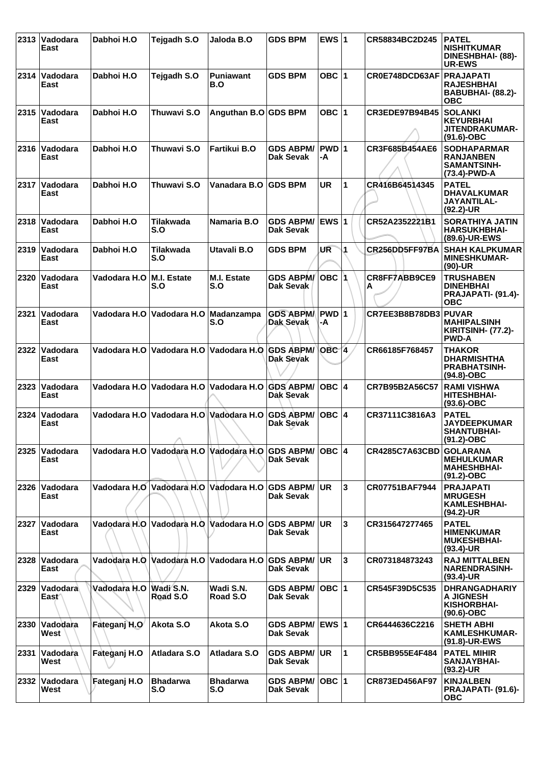|      | 2313   Vadodara<br>East            | Dabhoi H.O                 | Tejgadh S.O                            | Jaloda B.O              | <b>GDS BPM</b>                             | EWS $ 1$                |                | CR58834BC2D245          | <b>PATEL</b><br><b>NISHITKUMAR</b><br><b>DINESHBHAI- (88)-</b><br><b>UR-EWS</b> |
|------|------------------------------------|----------------------------|----------------------------------------|-------------------------|--------------------------------------------|-------------------------|----------------|-------------------------|---------------------------------------------------------------------------------|
|      | 2314  Vadodara<br>East             | Dabhoi H.O                 | Tejgadh S.O                            | <b>Puniawant</b><br>B.O | <b>GDS BPM</b>                             | OBC 1                   |                | CR0E748DCD63AF          | <b>PRAJAPATI</b><br><b>RAJESHBHAI</b><br><b>BABUBHAI- (88.2)-</b><br><b>OBC</b> |
| 2315 | <b>Vadodara</b><br>East            | Dabhoi H.O                 | Thuwavi S.O                            | Anguthan B.O GDS BPM    |                                            | OBC $ 1$                |                | <b>CR3EDE97B94B45</b>   | <b>SOLANKI</b><br><b>KEYURBHAI</b><br>JITENDRAKUMAR-<br>$(91.6)$ -OBC           |
| 2316 | Vadodara<br>East                   | Dabhoi H.O                 | Thuwavi S.O                            | Fartikui B.O            | <b>GDS ABPM/</b><br><b>Dak Sevak</b>       | PWD 1<br>-A             |                | CR3F685B454AE6          | <b>SODHAPARMAR</b><br><b>RANJANBEN</b><br>SAMANTSINH-<br>(73.4)-PWD-A           |
|      | 2317   Vadodara<br>East            | Dabhoi H.O                 | Thuwavi S.O                            | Vanadara B.O            | <b>GDS BPM</b>                             | UR                      | 1              | CR416B64514345          | <b>PATEL</b><br><b>DHAVALKUMAR</b><br><b>JAYANTILAL-</b><br>$(92.2)$ -UR        |
| 2318 | <b>Vadodara</b><br>East            | Dabhoi H.O                 | Tilakwada<br>S.O                       | Namaria B.O             | <b>GDS ABPM/</b><br>Dak Sevak              | <b>EWS</b> <sub>1</sub> |                | CR52A2352221B1          | <b>SORATHIYA JATIN</b><br><b>HARSUKHBHAI-</b><br>(89.6)-UR-EWS                  |
| 2319 | <b>Vadodara</b><br>East            | Dabhoi H.O                 | <b>Tilakwada</b><br>S.O                | Utavali B.O             | <b>GDS BPM</b>                             | UR                      | 1              | CR256DD5FF97BA          | <b>SHAH KALPKUMAR</b><br><b>MINESHKUMAR-</b><br>(90)-UR                         |
| 2320 | ∣Vadodara<br>East                  | Vadodara H.O   M.I. Estate | S.O                                    | M.I. Estate<br>S.O      | <b>GDS ABPM/</b><br>Dak Sevak              | IOBC I1                 |                | CR8FF7ABB9CE9<br>А      | <b>TRUSHABEN</b><br><b>DINEHBHAI</b><br>PRAJAPATI- (91.4)-<br><b>OBC</b>        |
| 2321 | Vadodara<br>East                   |                            | Vadodara H.O Vadodara H.O              | Madanzampa<br>S.O       | <b>GDS ABPM/</b><br>Dak Sevak              | PWD 1<br>-A             |                | CR7EE3B8B78DB3 PUVAR    | <b>MAHIPALSINH</b><br><b>KIRITSINH- (77.2)-</b><br><b>PWD-A</b>                 |
| 2322 | Vadodara<br>East                   | Vadodara H.O               | Vadodara H.O Vadodara H.O              |                         | <b>GDS ABPM/</b><br>Dak Sevak              | OBC <sub>1</sub>        |                | CR66185F768457          | <b>THAKOR</b><br><b>DHARMISHTHA</b><br><b>PRABHATSINH-</b><br>$(94.8)-OBC$      |
| 2323 | <b>Vadodara</b><br>East            |                            | Vadodara H.O Vadodara H.O Vadodara H.O |                         | <b>GDS ABPM/</b><br>Dak Sevak              | ∣OBC ∣4                 |                | CR7B95B2A56C57          | <b>RAMI VISHWA</b><br><b>HITESHBHAI-</b><br>$(93.6)$ -OBC                       |
| 2324 | Vadodara<br>East                   |                            | Vadodara H.O Vadodara H.O Vadodara H.O |                         | <b>GDS ABPM/</b><br>Dak Sevak              | $OBC$  4                |                | CR37111C3816A3          | <b>PATEL</b><br><b>JAYDEEPKUMAR</b><br><b>SHANTUBHAI-</b><br>$(91.2) - OBC$     |
| 2325 | ∣Vadodara<br>East                  |                            | Vadodara H.O Vadodara H.O Vadodara H.O |                         | <b>GDS ABPM/</b><br>Dak Sevak              | OBC  4                  |                | CR4285C7A63CBD GOLARANA | <b>MEHULKUMAR</b><br><b>MAHESHBHAI-</b><br>(91.2)-OBC                           |
| 2326 | ∣Vadodara<br>East                  |                            | Vadodara H.O Vadodara H.O Vadodara H.O |                         | <b>GDS ABPM/ UR</b><br><b>Dak Sevak</b>    |                         | 3              | CR07751BAF7944          | <b>PRAJAPATI</b><br><b>MRUGESH</b><br><b>KAMLESHBHAI-</b><br>(94.2)-UR          |
| 2327 | <b>Vadodara</b><br>East            |                            | Vadodara H.O Vadodara H.O Vadodara H.O |                         | <b>GDS ABPM/</b><br><b>Dak Sevak</b>       | UR.                     | $\overline{3}$ | CR315647277465          | <b>PATEL</b><br><b>HIMENKUMAR</b><br><b>MUKESHBHAI-</b><br>(93.4)-UR            |
| 2328 | Vadodara<br>East                   |                            | Vadodara H.O Vadodara H.O Vadodara H.O |                         | <b>GDS ABPM/</b><br>Dak Sevak              | <b>UR</b>               | 3              | CR073184873243          | <b>RAJ MITTALBEN</b><br><b>NARENDRASINH-</b><br>(93.4)-UR                       |
|      | 2329 Vadodara<br>East <sup>-</sup> | Vadodara H.O Wadi S.N.     | Road S.O                               | Wadi S.N.<br>Road S.O   | <b>GDS ABPM/</b><br><b>Dak Sevak</b>       | OBC  1                  |                | CR545F39D5C535          | <b>DHRANGADHARIY</b><br><b>A JIGNESH</b><br>KISHORBHAI-<br>$(90.6)$ -OBC        |
| 2330 | Vadodara<br>West                   | Fateganj H.O               | Akota S.O                              | Akota S.O               | <b>GDS ABPM/ EWS 1</b><br><b>Dak Sevak</b> |                         |                | CR6444636C2216          | <b>SHETH ABHI</b><br><b>KAMLESHKUMAR-</b><br>(91.8)-UR-EWS                      |
| 2331 | Vadodara<br>West                   | Fateganj H.O               | Atladara S.O                           | Atladara S.O            | <b>GDS ABPM/</b><br><b>Dak Sevak</b>       | <b>UR</b>               | $\mathbf 1$    | CR5BB955E4F484          | <b>PATEL MIHIR</b><br><b>SANJAYBHAI-</b><br>$(93.2)$ -UR                        |
|      | 2332 Vadodara<br>West              | Fateganj H.O               | <b>Bhadarwa</b><br>S.O                 | <b>Bhadarwa</b><br>S.O  | <b>GDS ABPM/</b><br><b>Dak Sevak</b>       | OBC  1                  |                | <b>CR873ED456AF97</b>   | <b>KINJALBEN</b><br>PRAJAPATI- (91.6)-<br><b>OBC</b>                            |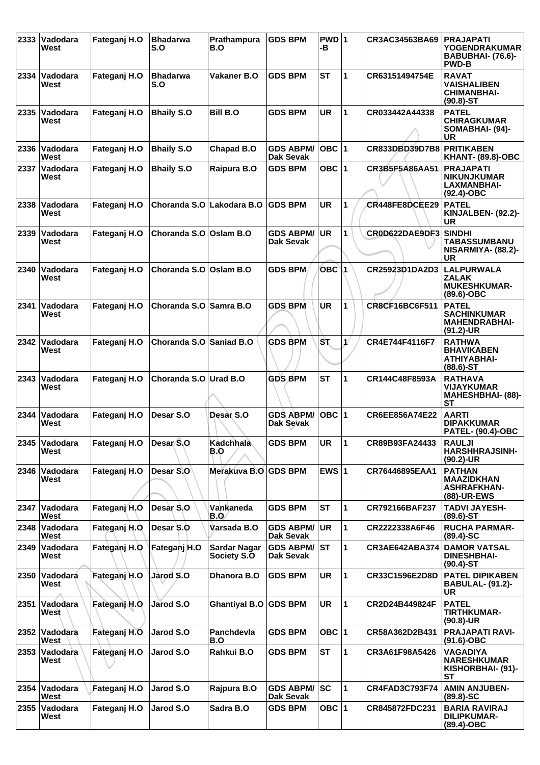| 2333 | Vadodara<br>West        | Fateganj H.O  | <b>Bhadarwa</b><br>S.O    | Prathampura<br>B.O                 | <b>GDS BPM</b>                       | $PWD$ 1<br>-в |              | CR3AC34563BA69        | <b>PRAJAPATI</b><br><b>YOGENDRAKUMAR</b><br>BABUBHAI- (76.6)-<br><b>PWD-B</b> |
|------|-------------------------|---------------|---------------------------|------------------------------------|--------------------------------------|---------------|--------------|-----------------------|-------------------------------------------------------------------------------|
| 2334 | ∣Vadodara<br>West       | Fateganj H.O  | <b>Bhadarwa</b><br>S.O    | <b>Vakaner B.O</b>                 | <b>GDS BPM</b>                       | <b>ST</b>     | 1            | CR63151494754E        | <b>RAVAT</b><br><b>VAISHALIBEN</b><br><b>CHIMANBHAI-</b><br>$(90.8) - ST$     |
| 2335 | Vadodara<br>West        | Fateganj H.O  | <b>Bhaily S.O</b>         | <b>Bill B.O</b>                    | <b>GDS BPM</b>                       | <b>UR</b>     | 1            | CR033442A44338        | <b>PATEL</b><br><b>CHIRAGKUMAR</b><br>SOMABHAI- (94)-<br><b>UR</b>            |
| 2336 | <b>Vadodara</b><br>West | Fateganj H.O  | <b>Bhaily S.O</b>         | Chapad B.O                         | <b>GDS ABPM/</b><br><b>Dak Sevak</b> | $OBC$  1      |              | CR833DBD39D7B8        | <b>PRITIKABEN</b><br><b>KHANT- (89.8)-OBC</b>                                 |
| 2337 | ∣Vadodara<br>West       | Fateganj H.O  | <b>Bhaily S.O</b>         | Raipura B.O                        | <b>GDS BPM</b>                       | OBC $ 1$      |              | CR3B5F5A86AA51        | <b>PRAJAPATI</b><br><b>NIKUNJKUMAR</b><br>LAXMANBHAI-<br>$(92.4)$ -OBC        |
| 2338 | Vadodara<br>West        | Fateganj H.O  | Choranda S.O Lakodara B.O |                                    | <b>GDS BPM</b>                       | <b>UR</b>     | 1            | CR448FE8DCEE29        | <b>PATEL</b><br>KINJALBEN- (92.2)-<br><b>UR</b>                               |
| 2339 | ∣Vadodara<br>West       | Fateganj H.O  | Choranda S.O              | Oslam B.O                          | <b>GDS ABPM/</b><br>Dak Sevak        | <b>UR</b>     | 1            | CR0D622DAE9DF3        | <b>SINDHI</b><br><b>TABASSUMBANU</b><br>NISARMIYA- (88.2)-<br>UR              |
| 2340 | Vadodara<br>West        | Fateganj H.O  | Choranda S.O Oslam B.O    |                                    | <b>GDS BPM</b>                       | $OBC$ 1       |              | CR25923D1DA2D3        | <b>LALPURWALA</b><br><b>ZALAK</b><br><b>MUKESHKUMAR-</b><br>$(89.6)-OBC$      |
| 2341 | Vadodara<br>West        | Fateganj H.O  | Choranda S.O Samra B.O    |                                    | <b>GDS BPM</b>                       | <b>UR</b>     | 1            | CR8CF16BC6F511        | <b>PATEL</b><br><b>SACHINKUMAR</b><br><b>MAHENDRABHAI-</b><br>$(91.2)$ -UR    |
| 2342 | <b>Vadodara</b><br>West | Fateganj H.O  | Choranda S.O Saniad B.O   |                                    | <b>GDS BPM</b>                       | Sτ            | $\mathbf{v}$ | CR4E744F4116F7        | <b>RATHWA</b><br><b>BHAVIKABEN</b><br>ATHIYABHAI-<br>$(88.6)$ -ST             |
| 2343 | Vadodara<br>West        | Fateganj H.O  | Choranda S.O Urad B.O     |                                    | <b>GDS BPM</b>                       | <b>ST</b>     | 1            | CR144C48F8593A        | <b>RATHAVA</b><br><b>VIJAYKUMAR</b><br><b>MAHESHBHAI- (88)-</b><br><b>ST</b>  |
| 2344 | Vadodara<br>West        | Fateganj H.O  | Desar S.O                 | Desar S.O                          | <b>GDS ABPM/</b><br>Dak Sevak        | $OBC$  1      |              | CR6EE856A74E22        | <b>AARTI</b><br><b>DIPAKKUMAR</b><br><b>PATEL- (90.4)-OBC</b>                 |
|      | 2345 Vadodara<br>West   | Fateganj H.O  | Desar S.O                 | Kadchhala<br>B.O                   | <b>GDS BPM</b>                       | UR.           | 11           | CR89B93FA24433        | <b>RAULJI</b><br>HARSHHRAJSINH-<br>$(90.2)$ -UR                               |
| 2346 | ∣Vadodara<br>West       | Fateganj H.O  | Desar S.O                 | Merakuva B.O GDS BPM               |                                      | EWS $ 1$      |              | CR76446895EAA1        | <b>PATHAN</b><br><b>MAAZIDKHAN</b><br><b>ASHRAFKHAN-</b><br>(88)-UR-EWS       |
| 2347 | <b>Vadodara</b><br>West | Fateganj H.O  | Desar S.O                 | Vankaneda<br>B.O                   | <b>GDS BPM</b>                       | <b>ST</b>     | $\mathbf{1}$ | CR792166BAF237        | <b>TADVI JAYESH-</b><br>$(89.6)$ -ST                                          |
|      | 2348 Vadodara<br>West   | Fateganj H.O. | Desar S.O                 | Varsada B.O                        | <b>GDS ABPM/</b><br>Dak Sevak        | <b>UR</b>     | 1            | CR2222338A6F46        | <b>RUCHA PARMAR-</b><br>$(89.4) - SC$                                         |
| 2349 | Vadodara<br>West        | Fateganj H.O  | Fateganj H.O              | <b>Sardar Nagar</b><br>Society S.O | <b>GDS ABPM/</b><br>Dak Sevak        | ST            | 1            | <b>CR3AE642ABA374</b> | <b>DAMOR VATSAL</b><br><b>DINESHBHAI-</b><br>$(90.4)$ -ST                     |
| 2350 | Vadodará<br>West        | Fateganj H.O  | Jarod S.O                 | Dhanora B.O                        | <b>GDS BPM</b>                       | <b>UR</b>     | 1            | CR33C1596E2D8D        | <b>PATEL DIPIKABEN</b><br><b>BABULAL- (91.2)-</b><br><b>UR</b>                |
| 2351 | <b>Vadodara</b><br>West | Fateganj H.O  | Jarod S.O                 | <b>Ghantiyal B.O</b>               | <b>GDS BPM</b>                       | UR.           | $\mathbf{1}$ | CR2D24B449824F        | <b>PATEL</b><br><b>TIRTHKUMAR-</b><br>$(90.8)$ -UR                            |
|      | 2352 Vadodara<br>West   | Fateganj H.O  | Jarod S.O                 | Panchdevla<br>B.O                  | <b>GDS BPM</b>                       | OBC $ 1 $     |              | CR58A362D2B431        | <b>PRAJAPATI RAVI-</b><br>$(91.6)$ -OBC                                       |
| 2353 | <b>Vadodara</b><br>West | Fateganj H.O  | Jarod S.O                 | Rahkui B.O                         | <b>GDS BPM</b>                       | <b>ST</b>     | $\mathbf{1}$ | CR3A61F98A5426        | <b>VAGADIYA</b><br><b>NARESHKUMAR</b><br>KISHORBHAI- (91)-<br>SТ              |
| 2354 | Vadodara<br>West        | Fateganj H.O  | Jarod S.O                 | Rajpura B.O                        | <b>GDS ABPM/</b><br>Dak Sevak        | SC            | 1            | <b>CR4FAD3C793F74</b> | <b>AMIN ANJUBEN-</b><br>$(89.8) - SC$                                         |
|      | 2355 Vadodara<br>West   | Fateganj H.O  | Jarod S.O                 | Sadra B.O                          | <b>GDS BPM</b>                       | OBC $ 1$      |              | CR845872FDC231        | <b>BARIA RAVIRAJ</b><br><b>DILIPKUMAR-</b><br>(89.4)-OBC                      |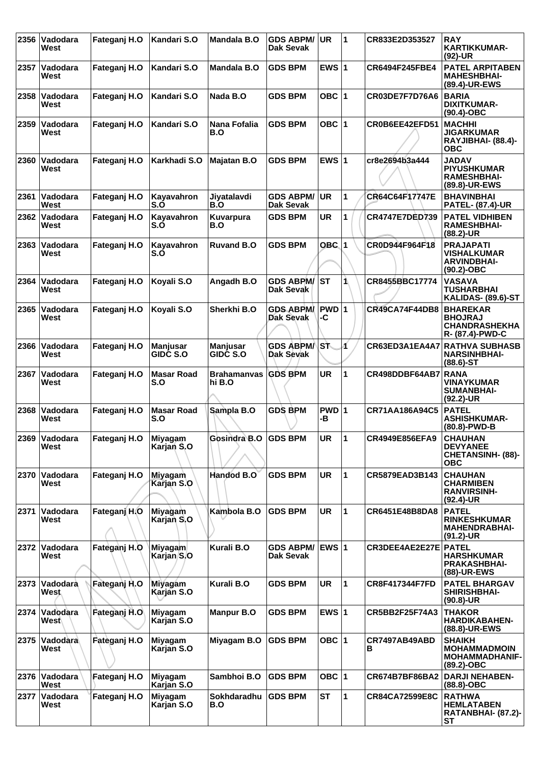| 2356 | Vadodara<br>West        | Fateganj H.O | Kandari S.O                        | Mandala B.O                        | <b>GDS ABPM/</b><br>Dak Sevak        | UR          | 11           | CR833E2D353527        | <b>RAY</b><br><b>KARTIKKUMAR-</b><br>$(92)$ -UR                                |
|------|-------------------------|--------------|------------------------------------|------------------------------------|--------------------------------------|-------------|--------------|-----------------------|--------------------------------------------------------------------------------|
| 2357 | Vadodara<br>West        | Fateganj H.O | Kandari S.O                        | Mandala B.O                        | <b>GDS BPM</b>                       | EWS $ 1$    |              | <b>CR6494F245FBE4</b> | <b>PATEL ARPITABEN</b><br><b>MAHESHBHAI-</b><br>(89.4)-UR-EWS                  |
| 2358 | Vadodara<br>West        | Fateganj H.O | Kandari S.O                        | Nada B.O                           | <b>GDS BPM</b>                       | OBC $ 1$    |              | CR03DE7F7D76A6        | <b>BARIA</b><br>DIXITKUMAR-<br>$(90.4)$ -OBC                                   |
| 2359 | Vadodara<br>West        | Fateganj H.O | Kandari S.O                        | <b>Nana Fofalia</b><br>B.O         | <b>GDS BPM</b>                       | OBC $ 1$    |              | CR0B6EE42EFD51        | <b>MACHHI</b><br><b>JIGARKUMAR</b><br>RAYJIBHAI- (88.4)-<br><b>OBC</b>         |
| 2360 | Vadodara<br>West        | Fateganj H.O | Karkhadi S.O                       | <b>Majatan B.O</b>                 | <b>GDS BPM</b>                       | EWS $ 1$    |              | cr8e2694b3a444        | <b>JADAV</b><br><b>PIYUSHKUMAR</b><br><b>RAMESHBHAI-</b><br>(89.8)-UR-EWS      |
| 2361 | Vadodara<br>West        | Fateganj H.O | Kayavahron<br>S.Ó                  | Jiyatalavdi<br>B.O                 | <b>GDS ABPM/</b><br>Dak Sevak        | UR          | 1            | CR64C64F17747E        | <b>BHAVINBHAI</b><br><b>PATEL- (87.4)-UR</b>                                   |
| 2362 | Vadodara<br>West        | Fateganj H.O | Kayavahron<br>S.O                  | Kuvarpura<br>B.O                   | <b>GDS BPM</b>                       | <b>UR</b>   | 1            | <b>CR4747E7DED739</b> | <b>PATEL VIDHIBEN</b><br><b>RAMESHBHAI-</b><br>$(88.2)$ -UR                    |
| 2363 | Vadodara<br>West        | Fateganj H.O | Kayavahron<br>S.O                  | <b>Ruvand B.O</b>                  | <b>GDS BPM</b>                       | $OBC$ 1     |              | CR0D944F964F18        | <b>PRAJAPATI</b><br><b>VISHALKUMAR</b><br><b>ARVINDBHAI-</b><br>(90.2)-OBC     |
| 2364 | Vadodara<br>West        | Fateganj H.O | Koyali S.O                         | Angadh B.O                         | <b>GDS ABPM/</b><br>Dak Sevak        | <b>ST</b>   | 1            | CR8455BBC17774        | <b>VASAVA</b><br>TUSHARBHAI<br>KALIDAS- (89.6)-ST                              |
| 2365 | Vadodara<br>West        | Fateganj H.O | Koyali S.O                         | Sherkhi B.O                        | <b>GDS ABPM/</b><br><b>Dak Sevak</b> | PWD 1<br>-C |              | <b>CR49CA74F44DB8</b> | <b>BHAREKAR</b><br><b>BHOJRAJ</b><br><b>CHANDRASHEKHA</b><br>R- (87.4)-PWD-C   |
| 2366 | Vadodara<br>West        | Fateganj H.O | <b>Manjusar</b><br><b>GIDC S.O</b> | <b>Manjusar</b><br><b>GIDC S.O</b> | <b>GDS ABPM/</b><br>Dak Sevak        | Sħ          | И            | CR63ED3A1EA4A7        | <b>RATHVA SUBHASB</b><br><b>NARSINHBHAI-</b><br>$(88.6)$ -ST                   |
| 2367 | Vadodara<br>West        | Fateganj H.O | <b>Masar Road</b><br>S.O           | <b>Brahamanvas</b><br>hi B.O       | <b>GDS BPM</b>                       | <b>UR</b>   | 1            | CR498DDBF64AB7        | <b>RANA</b><br><b>VINAYKUMAR</b><br><b>SUMANBHAI-</b><br>$(92.2)$ -UR          |
| 2368 | Vadodara<br>West        | Fateganj H.O | <b>Masar Road</b><br>S.O           | Sampla B.O                         | <b>GDS BPM</b>                       | PWD 1<br>-в |              | CR71AA186A94C5        | <b>PATEL</b><br><b>ASHISHKUMAR-</b><br>(80.8)-PWD-B                            |
|      | 2369 Vadodara<br>West   | Fateganj H.O | Miyagam<br>Karjan S.O              | Gosindra B.O                       | <b>GDS BPM</b>                       | UR          | 11           | CR4949E856EFA9        | <b>CHAUHAN</b><br><b>DEVYANEE</b><br><b>CHETANSINH- (88)-</b><br><b>OBC</b>    |
| 2370 | Vadodara<br>West        | Fateganj H.O | Miyagam<br>Karjan S.O              | Handod B.O                         | <b>GDS BPM</b>                       | <b>UR</b>   | $\mathbf{1}$ | CR5879EAD3B143        | <b>CHAUHAN</b><br><b>CHARMIBEN</b><br><b>RANVIRSINH-</b><br>$(92.4)$ -UR       |
| 2371 | Vadodara<br>West        | Fateganj H.O | Miyagam<br>Karjan S.O              | Kambola B.O                        | <b>GDS BPM</b>                       | <b>UR</b>   | $\mathbf{1}$ | CR6451E48B8DA8        | <b>PATEL</b><br><b>RINKESHKUMAR</b><br><b>MAHENDRABHAI-</b><br>$(91.2)$ -UR    |
| 2372 | Vadodara<br>West        | Fateganj H.O | Miyagam<br>Karjan S.O              | Kurali B.O                         | <b>GDS ABPM/</b><br>Dak Sevak        | EWS $ 1$    |              | CR3DEE4AE2E27E        | <b>PATEL</b><br><b>HARSHKUMAR</b><br><b>PRAKASHBHAI-</b><br>(88)-UR-EWS        |
| 2373 | Vadodara<br><b>West</b> | Fateganj H.O | <b>Miyagam</b><br>Karjan S.O       | Kurali B.O                         | <b>GDS BPM</b>                       | <b>UR</b>   | 1            | <b>CR8F417344F7FD</b> | <b>PATEL BHARGAV</b><br>SHIRISHBHAI-<br>$(90.8)$ -UR                           |
| 2374 | Vadodara<br>West∖       | Fateganj H.O | <b>Miyagam</b><br>Karjan S.O       | <b>Manpur B.O</b>                  | <b>GDS BPM</b>                       | EWS $ 1$    |              | CR5BB2F25F74A3        | <b>THAKOR</b><br><b>HARDIKABAHEN-</b><br>(88.8)-UR-EWS                         |
| 2375 | Vadodara<br>West        | Fateganj H.O | <b>Miyagam</b><br>Karjan S.O       | Miyagam B.O                        | <b>GDS BPM</b>                       | OBC $ 1$    |              | CR7497AB49ABD<br>в    | <b>SHAIKH</b><br><b>MOHAMMADMOIN</b><br><b>MOHAMMADHANIF-</b><br>$(89.2)$ -OBC |
| 2376 | Vadodara<br>West        | Fateganj H.O | <b>Miyagam</b><br>Karjan S.O       | Sambhoi B.O                        | <b>GDS BPM</b>                       | OBC $ 1$    |              | CR674B7BF86BA2        | <b>DARJI NEHABEN-</b><br>$(88.8)-OBC$                                          |
| 2377 | Vadodara<br>West        | Fateganj H.O | Miyagam<br>Karjan S.O              | Sokhdaradhu<br>B.O                 | <b>GDS BPM</b>                       | <b>ST</b>   | 1            | <b>CR84CA72599E8C</b> | <b>RATHWA</b><br><b>HEMLATABEN</b><br>RATANBHAI- (87.2)-<br>ST                 |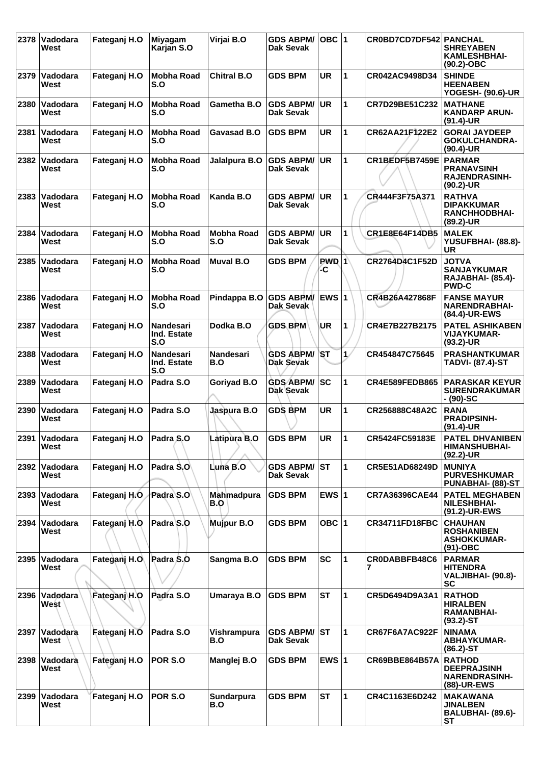| 2378 | Vadodara<br>West        | Fateganj H.O | Miyagam<br>Karjan S.O                  | Virjai B.O               | <b>GDS ABPM/</b><br>Dak Sevak        | OBC $ 1$      |              | CR0BD7CD7DF542 PANCHAL | <b>SHREYABEN</b><br>KAMLESHBHAI-<br>$(90.2)$ -OBC                              |
|------|-------------------------|--------------|----------------------------------------|--------------------------|--------------------------------------|---------------|--------------|------------------------|--------------------------------------------------------------------------------|
| 2379 | <b>Vadodara</b><br>West | Fateganj H.O | Mobha Road<br>S.O                      | <b>Chitral B.O</b>       | <b>GDS BPM</b>                       | UR            | 1            | CR042AC9498D34         | <b>SHINDE</b><br><b>HEENABEN</b><br><b>YOGESH- (90.6)-UR</b>                   |
| 2380 | Vadodara<br>West        | Fateganj H.O | <b>Mobha Road</b><br>S.O               | Gametha B.O              | <b>GDS ABPM/</b><br>Dak Sevak        | <b>UR</b>     | 1            | CR7D29BE51C232         | <b>MATHANE</b><br><b>KANDARP ARUN-</b><br>$(91.4)$ -UR                         |
| 2381 | Vadodara<br>West        | Fateganj H.O | <b>Mobha Road</b><br>S.O               | Gavasad B.O              | <b>GDS BPM</b>                       | <b>UR</b>     | 1            | CR62AA21F122E2         | <b>GORAI JAYDEEP</b><br>GOKULCHANDRA-<br>$(90.4)$ -UR                          |
| 2382 | Vadodara<br>West        | Fateganj H.O | <b>Mobha Road</b><br>S.O               | Jalalpura B.O            | <b>GDS ABPM/</b><br>Dak Sevak        | <b>UR</b>     | 1            | CR1BEDF5B7459E         | <b>PARMAR</b><br><b>PRANAVSINH</b><br><b>RAJENDRASINH-</b><br>$(90.2)$ -UR     |
| 2383 | Vadodara<br>West        | Fateganj H.O | <b>Mobha Road</b><br>S.O               | Kanda B.O                | <b>GDS ABPM/</b><br>Dak Sevak        | <b>UR</b>     | 1            | CR444F3F75A371         | <b>RATHVA</b><br><b>DIPAKKUMAR</b><br><b>RANCHHODBHAI-</b><br>$(89.2)$ -UR     |
| 2384 | Vadodara<br>West        | Fateganj H.O | <b>Mobha Road</b><br>S.O               | <b>Mobha Road</b><br>S.O | <b>GDS ABPM/</b><br>Dak Sevak        | <b>UR</b>     | 1            | CR1E8E64F14DB5         | <b>MALEK</b><br>YUSUFBHAI- (88.8)-<br>UR                                       |
| 2385 | Vadodara<br>West        | Fateganj H.O | <b>Mobha Road</b><br>S.O               | <b>Muval B.O</b>         | <b>GDS BPM</b>                       | $PWD$ 1<br>-C |              | CR2764D4C1F52D         | <b>JOTVA</b><br><b>SANJAYKUMAR</b><br><b>RAJABHAI- (85.4)-</b><br><b>PWD-C</b> |
| 2386 | Vadodara<br>West        | Fateganj H.O | <b>Mobha Road</b><br>S.O               | Pindappa B.O             | <b>GDS ABPM/</b><br>Dak Sevak        | EWS $ 1$      |              | CR4B26A427868F         | <b>FANSE MAYUR</b><br><b>NARENDRABHAI-</b><br>(84.4)-UR-EWS                    |
| 2387 | Vadodara<br>West        | Fateganj H.O | <b>Nandesari</b><br>Ind. Estate<br>S.O | Dodka B.O                | <b>GDS BPM</b>                       | UR            | 1            | CR4E7B227B2175         | <b>PATEL ASHIKABEN</b><br><b>VIJAYKUMAR-</b><br>$(93.2)$ -UR                   |
| 2388 | Vadodara<br>West        | Fateganj H.O | <b>Nandesari</b><br>Ind. Estate<br>S.O | <b>Nandesari</b><br>B.O  | <b>GDS ABPM/</b><br><b>Dak Sevak</b> | 'ST           | $\mathbf{1}$ | CR454847C75645         | <b>PRASHANTKUMAR</b><br><b>TADVI- (87.4)-ST</b>                                |
| 2389 | Vadodara<br>West        | Fateganj H.O | Padra S.O                              | Goriyad B.O              | <b>GDS ABPM/</b><br>Dak Sevak        | lsc           | 1            | <b>CR4E589FEDB865</b>  | <b>PARASKAR KEYUR</b><br><b>SURENDRAKUMAR</b><br>- (90)-SC                     |
| 2390 | Vadodara<br>West        | Fateganj H.O | Padra S.O                              | Jaspura B.O              | <b>GDS BPM</b>                       | <b>UR</b>     | 1            | CR256888C48A2C         | <b>RANA</b><br><b>PRADIPSINH-</b><br>$(91.4)$ -UR                              |
|      | 2391 Vadodara<br>West   | Fateganj H.O | Padra S.O                              | Latipura B.O             | <b>GDS BPM</b>                       | <b>UR</b>     | 1            | CR5424FC59183E         | <b>PATEL DHVANIBEN</b><br><b>HIMANSHUBHAI-</b><br>$(92.2)$ -UR                 |
| 2392 | Vadodara<br>West        | Fateganj H.O | Padra S.O                              | Luna B.O                 | <b>GDS ABPM/</b><br><b>Dak Sevak</b> | lst.          | 1            | CR5E51AD68249D         | <b>MUNIYA</b><br><b>PURVESHKUMAR</b><br>PUNABHAI- (88)-ST                      |
| 2393 | Vadodara<br>West        | Fateganj H.O | Padra S.O                              | Mahmadpura<br>B.O        | <b>GDS BPM</b>                       | EWS $ 1$      |              | CR7A36396CAE44         | <b>PATEL MEGHABEN</b><br><b>NILESHBHAI-</b><br>(91.2)-UR-EWS                   |
| 2394 | Vadodara<br>West        | Fateganj H.O | Padra S.O                              | Mujpur B.O               | <b>GDS BPM</b>                       | OBC $ 1$      |              | <b>CR34711FD18FBC</b>  | <b>CHAUHAN</b><br><b>ROSHANIBEN</b><br><b>ASHOKKUMAR-</b><br>$(91)$ -OBC       |
| 2395 | Vadodara<br>West        | Fateganj H.O | Padra S.O                              | Sangma B.O               | <b>GDS BPM</b>                       | <b>SC</b>     | 1            | CR0DABBFB48C6          | <b>PARMAR</b><br><b>HITENDRA</b><br>VALJIBHAI- (90.8)-<br>SC                   |
| 2396 | Vadodara<br>West        | Fateganj H.O | Padra S.O                              | Umaraya B.O              | <b>GDS BPM</b>                       | <b>ST</b>     | 1            | CR5D6494D9A3A1         | <b>RATHOD</b><br><b>HIRALBEN</b><br><b>RAMANBHAI-</b><br>$(93.2)$ -ST          |
| 2397 | Vadodara<br>West        | Fateganj H.O | Padra S.O                              | Vishrampura<br>B.O       | <b>GDS ABPM/</b><br>Dak Sevak        | <b>ST</b>     | 1            | CR67F6A7AC922F         | <b>NINAMA</b><br><b>ABHAYKUMAR-</b><br>$(86.2)$ -ST                            |
| 2398 | Vadodara<br>West        | Fateganj H.O | POR S.O                                | Manglej B.O              | <b>GDS BPM</b>                       | EWS $ 1$      |              | <b>CR69BBE864B57A</b>  | <b>RATHOD</b><br><b>DEEPRAJSINH</b><br><b>NARENDRASINH-</b><br>(88)-UR-EWS     |
| 2399 | Vadodara<br>West        | Fateganj H.O | POR S.O                                | Sundarpura<br>B.O        | <b>GDS BPM</b>                       | <b>ST</b>     | $\mathbf{1}$ | CR4C1163E6D242         | <b>MAKAWANA</b><br><b>JINALBEN</b><br>BALUBHAI- (89.6)-<br>ST                  |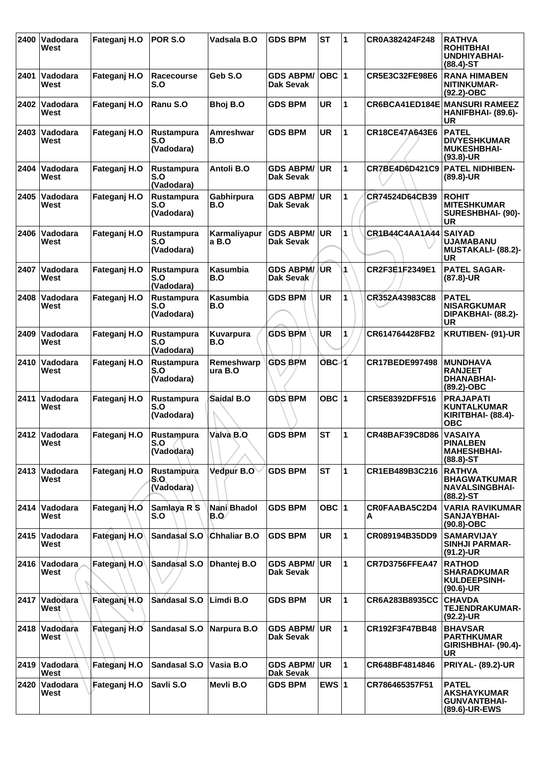| 2400 | Vadodara<br>West        | Fateganj H.O | POR S.O                         | Vadsala B.O            | <b>GDS BPM</b>                       | <b>ST</b> | 1            | CR0A382424F248        | <b>RATHVA</b><br><b>ROHITBHAI</b><br><b>UNDHIYABHAI-</b><br>$(88.4) - ST$     |
|------|-------------------------|--------------|---------------------------------|------------------------|--------------------------------------|-----------|--------------|-----------------------|-------------------------------------------------------------------------------|
|      | 2401 Vadodara<br>West   | Fateganj H.O | Racecourse<br>S.O               | Geb S.O                | <b>GDS ABPM/</b><br>Dak Sevak        | $OBC$  1  |              | CR5E3C32FE98E6        | <b>RANA HIMABEN</b><br>NITINKUMAR-<br>$(92.2)$ -OBC                           |
| 2402 | <b>Vadodara</b><br>West | Fateganj H.O | Ranu S.O                        | Bhoj B.O               | <b>GDS BPM</b>                       | <b>UR</b> | 1            |                       | CR6BCA41ED184E MANSURI RAMEEZ<br>HANIFBHAI- (89.6)-<br>UR                     |
| 2403 | <b>Vadodara</b><br>West | Fateganj H.O | Rustampura<br>S.O<br>(Vadodara) | Amreshwar<br>B.O       | <b>GDS BPM</b>                       | <b>UR</b> | 1            | CR18CE47A643E6        | <b>PATEL</b><br><b>DIVYESHKUMAR</b><br><b>MUKESHBHAI-</b><br>$(93.8)$ -UR     |
| 2404 | <b>Vadodara</b><br>West | Fateganj H.O | Rustampura<br>S.O<br>(Vadodara) | Antoli B.O             | <b>GDS ABPM/</b><br>Dak Sevak        | UR        | 1            | CR7BE4D6D421C9        | <b>PATEL NIDHIBEN-</b><br>$(89.8)$ -UR                                        |
| 2405 | <b>Vadodara</b><br>West | Fateganj H.O | Rustampura<br>S.O<br>(Vadodara) | Gabhirpura<br>B.O      | <b>GDS ABPM/</b><br>Dak Sevak        | <b>UR</b> | 1            | CR74524D64CB39        | <b>ROHIT</b><br><b>MITESHKUMAR</b><br>SURESHBHAI- (90)-<br><b>UR</b>          |
| 2406 | Vadodara<br>West        | Fateganj H.O | Rustampura<br>S.O<br>(Vadodara) | Karmaliyapur<br>a B.O  | <b>GDS ABPM/</b><br><b>Dak Sevak</b> | UR        | 1            | CR1B44C4AA1A44        | <b>SAIYAD</b><br><b>UJAMABANU</b><br><b>MUSTAKALI- (88.2)-</b><br>UR          |
| 2407 | <b>Vadodara</b><br>West | Fateganj H.O | Rustampura<br>S.O<br>(Vadodara) | <b>Kasumbia</b><br>B.O | <b>GDS ABPM/</b><br>Dak Sevak        | /UR       | 1            | CR2F3E1F2349E1        | <b>PATEL SAGAR-</b><br>$(87.8)$ -UR                                           |
| 2408 | Vadodara<br>West        | Fateganj H.O | Rustampura<br>S.O<br>(Vadodara) | <b>Kasumbia</b><br>B.O | <b>GDS BPM</b>                       | <b>UR</b> | 1            | CR352A43983C88        | <b>PATEL</b><br><b>NISARGKUMAR</b><br>DIPAKBHAI- (88.2)-<br>UR                |
| 2409 | Vadodara<br>West        | Fateganj H.O | Rustampura<br>S.O<br>(Vadodara) | Kuvarpura<br>B.O       | <b>GDS BPM</b>                       | ÙR        | 1            | CR614764428FB2        | <b>KRUTIBEN- (91)-UR</b>                                                      |
| 2410 | <b>Vadodara</b><br>West | Fateganj H.O | Rustampura<br>S.O<br>(Vadodara) | Remeshwarp<br>ura B.O  | <b>GDS BPM</b>                       | OBC 1     |              | <b>CR17BEDE997498</b> | <b>MUNDHAVA</b><br><b>RANJEET</b><br><b>DHANABHAI-</b><br>(89.2)-OBC          |
| 2411 | <b>Vadodara</b><br>West | Fateganj H.O | Rustampura<br>S.O<br>(Vadodara) | Saidal B.O             | <b>GDS BPM</b>                       | OBC ∣1    |              | CR5E8392DFF516        | <b>PRAJAPATI</b><br><b>KUNTALKUMAR</b><br>KIRITBHAI- (88.4)-<br><b>OBC</b>    |
|      | 2412 Vadodara<br>West   | Fateganj H.O | Rustampura<br>S.O<br>(Vadodara) | Valva B.O              | <b>GDS BPM</b>                       | <b>ST</b> | $\mathbf{1}$ | CR48BAF39C8D86        | <b>VASAIYA</b><br><b>PINALBEN</b><br><b>MAHESHBHAI-</b><br>$(88.8) - ST$      |
| 2413 | <b>Vadodara</b><br>West | Fateganj H.O | Rustampura<br>S.O<br>(Vadodara) | Vedpur B.O             | <b>GDS BPM</b>                       | <b>ST</b> | $\mathbf 1$  | CR1EB489B3C216        | <b>RATHVA</b><br><b>BHAGWATKUMAR</b><br><b>NAVALSINGBHAI-</b><br>$(88.2)$ -ST |
|      | 2414 Vadodara<br>West   | Fateganj H.O | Samlaya R S<br>S.O              | Nani Bhadol<br>B.O/    | <b>GDS BPM</b>                       | OBC $ 1$  |              | CROFAABA5C2D4<br>A    | <b>VARIA RAVIKUMAR</b><br>SANJAYBHAI-<br>(90.8)-OBC                           |
| 2415 | Vadodara<br>West        | Fateganj H.O | Sandasal S.O                    | Chhaliar B.O           | <b>GDS BPM</b>                       | <b>UR</b> | 1            | CR089194B35DD9        | <b>SAMARVIJAY</b><br><b>SINHJI PARMAR-</b><br>$(91.2)$ -UR                    |
| 2416 | ∣Vadodara<br>West       | Fateganj H.O | Sandasal S.O                    | Dhantej B.O            | <b>GDS ABPM/</b><br>Dak Sevak        | <b>UR</b> | 1            | <b>CR7D3756FFEA47</b> | <b>RATHOD</b><br><b>SHARADKUMAR</b><br><b>KULDEEPSINH-</b><br>$(90.6)$ -UR    |
| 2417 | Vadodara<br>West        | Fateganj H.O | Sandasal S.O                    | Limdi B.O              | <b>GDS BPM</b>                       | <b>UR</b> | $\mathbf 1$  | CR6A283B8935CC        | <b>CHAVDA</b><br><b>TEJENDRAKUMAR-</b><br>(92.2)-UR                           |
| 2418 | Vadodara<br>West        | Fateganj H.O | Sandasal S.O                    | Narpura B.O            | <b>GDS ABPM/</b><br>Dak Sevak        | <b>UR</b> | 1            | CR192F3F47BB48        | <b>BHAVSAR</b><br><b>PARTHKUMAR</b><br>GIRISHBHAI- (90.4)-<br><b>UR</b>       |
|      | 2419 Vadodara<br>West   | Fateganj H.O | <b>Sandasal S.O</b>             | Vasia B.O              | <b>GDS ABPM/</b><br>Dak Sevak        | <b>UR</b> | 1            | CR648BF4814846        | <b>PRIYAL- (89.2)-UR</b>                                                      |
| 2420 | Vadodara<br>West        | Fateganj H.O | Savli S.O                       | Mevli B.O              | <b>GDS BPM</b>                       | EWS $ 1$  |              | CR786465357F51        | <b>PATEL</b><br><b>AKSHAYKUMAR</b><br><b>GUNVANTBHAI-</b><br>(89.6)-UR-EWS    |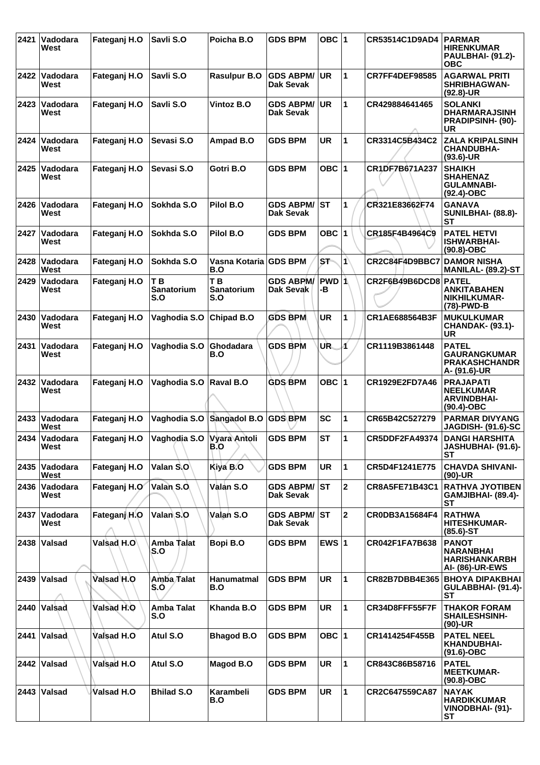| 2421 | Vadodara<br>West      | Fateganj H.O | Savli S.O                                  | Poicha B.O                          | <b>GDS BPM</b>                | OBC $ 1$    |                      | CR53514C1D9AD4        | <b>PARMAR</b><br><b>HIRENKUMAR</b><br>PAULBHAI- (91.2)-<br><b>OBC</b>              |
|------|-----------------------|--------------|--------------------------------------------|-------------------------------------|-------------------------------|-------------|----------------------|-----------------------|------------------------------------------------------------------------------------|
| 2422 | Vadodara<br>West      | Fateganj H.O | Savli S.O                                  | <b>Rasulpur B.O</b>                 | <b>GDS ABPM/</b><br>Dak Sevak | UR.         | $\mathbf 1$          | <b>CR7FF4DEF98585</b> | <b>AGARWAL PRITI</b><br><b>SHRIBHAGWAN-</b><br>$(92.8)$ -UR                        |
| 2423 | Vadodara<br>West      | Fateganj H.O | Savli S.O                                  | <b>Vintoz B.O</b>                   | <b>GDS ABPM/</b><br>Dak Sevak | <b>UR</b>   | $\mathbf{1}$         | CR429884641465        | <b>SOLANKI</b><br><b>DHARMARAJSINH</b><br><b>PRADIPSINH- (90)-</b><br>UR           |
| 2424 | Vadodara<br>West      | Fateganj H.O | Sevasi S.O                                 | Ampad B.O                           | <b>GDS BPM</b>                | <b>UR</b>   | $\mathbf 1$          | CR3314C5B434C2        | <b>ZALA KRIPALSINH</b><br><b>CHANDUBHA-</b><br>$(93.6)$ -UR                        |
| 2425 | Vadodara<br>West      | Fateganj H.O | Sevasi S.O                                 | Gotri B.O                           | <b>GDS BPM</b>                | OBC $ 1$    |                      | CR1DF7B671A237        | <b>SHAIKH</b><br><b>SHAHENAZ</b><br><b>GULAMNABI-</b><br>$(92.4)$ -OBC             |
| 2426 | Vadodara<br>West      | Fateganj H.O | Sokhda S.O                                 | Pilol B.O                           | <b>GDS ABPM/</b><br>Dak Sevak | <b>ST</b>   | 1                    | CR321E83662F74        | <b>GANAVA</b><br>SUNILBHAI- (88.8)-<br><b>ST</b>                                   |
| 2427 | Vadodara<br>West      | Fateganj H.O | Sokhda S.O                                 | Pilol B.O                           | <b>GDS BPM</b>                | OBC $ 1$    |                      | CR185F4B4964C9        | <b>PATEL HETVI</b><br><b>ISHWARBHAI-</b><br>$(90.8)-OBC$                           |
| 2428 | Vadodara<br>West      | Fateganj H.O | Sokhda S.O                                 | Vasna Kotaria GDS BPM<br><b>B.O</b> |                               | ST.         | $ 1\rangle$          | CR2C84F4D9BBC7        | <b>DAMOR NISHA</b><br>MANILAL- (89.2)-ST                                           |
| 2429 | Vadodara<br>West      | Fateganj H.O | T <sub>B</sub><br><b>Sanatorium</b><br>S.O | T <sub>B</sub><br>Sanatorium<br>S.O | <b>GDS ABPM/</b><br>Dak Sevak | PWD 1<br>-В |                      | CR2F6B49B6DCD8 PATEL  | <b>ANKITABAHEN</b><br>NIKHILKUMAR-<br>(78)-PWD-B                                   |
| 2430 | Vadodara<br>West      | Fateganj H.O | Vaghodia S.O                               | Chipad B.O                          | <b>GDS BPM</b>                | <b>UR</b>   | 1                    | CR1AE688564B3F        | <b>MUKULKUMAR</b><br><b>CHANDAK- (93.1)-</b><br>UR                                 |
| 2431 | Vadodara<br>West      | Fateganj H.O | Vaghodia S.O                               | Ghodadara<br>B.O                    | <b>GDS BPM</b>                | UR.         | и                    | CR1119B3861448        | <b>PATEL</b><br><b>GAURANGKUMAR</b><br><b>PRAKASHCHANDR</b><br>A- (91.6)-UR        |
| 2432 | Vadodara<br>West      | Fateganj H.O | Vaghodia S.O                               | <b>Raval B.O</b>                    | <b>GDS BPM</b>                | OBC $ 1$    |                      | CR1929E2FD7A46        | <b>PRAJAPATI</b><br><b>NEELKUMAR</b><br><b>ARVINDBHAI-</b><br>$(90.4)$ -OBC        |
| 2433 | Vadodara<br>West      | Fateganj H.O | Vaghodia S.O                               | Sangadol B.O GDS BPM                |                               | <b>SC</b>   | 1                    | CR65B42C527279        | <b>PARMAR DIVYANG</b><br><b>JAGDISH- (91.6)-SC</b>                                 |
|      | 2434 Vadodara<br>West | Fateganj H.O | Vaghodia S.O Vyara Antoli<br>B.O           |                                     | <b>GDS BPM</b>                | <b>ST</b>   | 1                    | CR5DDF2FA49374        | <b>DANGI HARSHITA</b><br>JASHUBHAI- (91.6)-<br>SТ                                  |
| 2435 | Vadodara<br>West      | Fateganj H.O | Valan S.O                                  | Kiya B.O                            | <b>GDS BPM</b>                | <b>UR</b>   | $\mathbf 1$          | CR5D4F1241E775        | <b>CHAVDA SHIVANI-</b><br>$(90)-UR$                                                |
| 2436 | Vadodara<br>West      | Fateganj H.O | Valan S.O.                                 | Valan S.O                           | <b>GDS ABPM/</b><br>Dak Sevak | <b>ST</b>   | $\mathbf{2}$         | <b>CR8A5FE71B43C1</b> | <b>RATHVA JYOTIBEN</b><br>GAMJIBHAI- (89.4)-<br><b>ST</b>                          |
| 2437 | Vadodara<br>West      | Fateganj H.O | Valan <sub>S.O</sub>                       | Valan S.O                           | <b>GDS ABPM/</b><br>Dak Sevak | <b>ST</b>   | $ 2\rangle$          | CR0DB3A15684F4        | <b>RATHWA</b><br><b>HITESHKUMAR-</b><br>$(85.6)$ -ST                               |
|      | 2438 Valsad           | Valsad H.O   | Amba Talat<br>S.O                          | Bopi B.O                            | <b>GDS BPM</b>                | EWS $ 1 $   |                      | CR042F1FA7B638        | <b>PANOT</b><br><b>NARANBHAI</b><br><b>HARISHANKARBH</b><br><b>AI- (86)-UR-EWS</b> |
|      | 2439 Valsad           | Valsad H.O   | Amba Talat<br>S.O                          | Hanumatmal<br>B.O                   | <b>GDS BPM</b>                | <b>UR</b>   | $\blacktriangleleft$ | CR82B7DBB4E365        | <b>BHOYA DIPAKBHAI</b><br><b>GULABBHAI- (91.4)-</b><br><b>ST</b>                   |
|      | 2440 Valsad           | Valsad H.O   | Amba Talat<br>S.O                          | Khanda B.O                          | <b>GDS BPM</b>                | <b>UR</b>   | $\blacksquare$       | CR34D8FFF55F7F        | <b>THAKOR FORAM</b><br><b>SHAILESHSINH-</b><br>$(90)$ -UR                          |
| 2441 | Valsad                | Valsad H.O   | Atul S.O                                   | <b>Bhagod B.O</b>                   | <b>GDS BPM</b>                | OBC $ 1$    |                      | CR1414254F455B        | <b>PATEL NEEL</b><br><b>KHANDUBHAI-</b><br>$(91.6)$ -OBC                           |
|      | 2442 Valsad           | Valsad H.O   | Atul S.O                                   | Magod B.O                           | <b>GDS BPM</b>                | <b>UR</b>   | $\mathbf 1$          | CR843C86B58716        | <b>PATEL</b><br><b>MEETKUMAR-</b><br>$(90.8)-OBC$                                  |
|      | 2443 Valsad           | Valsad H.O   | <b>Bhilad S.O</b>                          | Karambeli<br>B.O                    | <b>GDS BPM</b>                | <b>UR</b>   | $\blacksquare$       | CR2C647559CA87        | <b>NAYAK</b><br><b>HARDIKKUMAR</b><br>VINODBHAI- (91)-<br><b>ST</b>                |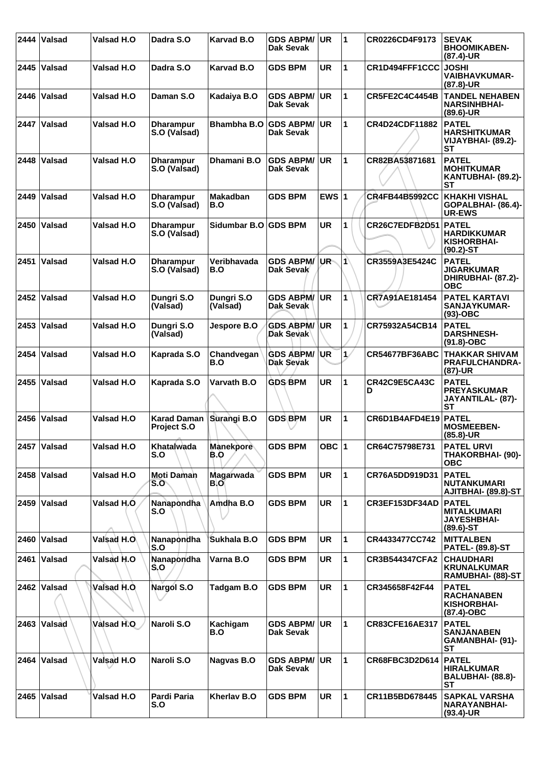| 2444 | Valsad          | Valsad H.O        | Dadra S.O                                | <b>Karvad B.O</b>      | <b>GDS ABPM/</b><br>Dak Sevak        | <b>UR</b> | $\blacktriangleleft$ | CR0226CD4F9173        | <b>SEVAK</b><br><b>BHOOMIKABEN-</b><br>$(87.4)$ -UR                      |
|------|-----------------|-------------------|------------------------------------------|------------------------|--------------------------------------|-----------|----------------------|-----------------------|--------------------------------------------------------------------------|
| 2445 | <b>Valsad</b>   | Valsad H.O        | Dadra S.O                                | <b>Karvad B.O</b>      | <b>GDS BPM</b>                       | UR        | 1                    | CR1D494FFF1CCC        | <b>JOSHI</b><br><b>VAIBHAVKUMAR-</b><br>$(87.8)$ -UR                     |
| 2446 | <b>Valsad</b>   | Valsad H.O        | Daman S.O                                | Kadaiya B.O            | <b>GDS ABPM/</b><br>Dak Sevak        | <b>UR</b> | $\mathbf{1}$         | <b>CR5FE2C4C4454B</b> | <b>TANDEL NEHABEN</b><br><b>NARSINHBHAI-</b><br>$(89.6)$ -UR             |
| 2447 | Valsad          | Valsad H.O        | <b>Dharampur</b><br>S.O (Valsad)         | <b>Bhambha B.O</b>     | <b>GDS ABPM/</b><br><b>Dak Sevak</b> | <b>UR</b> | $\mathbf{1}$         | CR4D24CDF11882        | <b>PATEL</b><br><b>HARSHITKUMAR</b><br>VIJAYBHAI- (89.2)-<br>SТ          |
| 2448 | <b>Valsad</b>   | <b>Valsad H.O</b> | <b>Dharampur</b><br>S.O (Valsad)         | Dhamani B.O            | <b>GDS ABPM/</b><br>Dak Sevak        | <b>UR</b> | 1                    | CR82BA53871681        | <b>PATEL</b><br><b>MOHITKUMAR</b><br>KANTUBHAI- (89.2)-<br>ST            |
| 2449 | <b>Valsad</b>   | Valsad H.O        | <b>Dharampur</b><br>S.O (Valsad)         | <b>Makadban</b><br>B.O | <b>GDS BPM</b>                       | EWS $ 1$  |                      | <b>CR4FB44B5992CC</b> | <b>KHAKHI VISHAL</b><br>GOPALBHAI- (86.4)-<br><b>UR-EWS</b>              |
| 2450 | Valsad          | Valsad H.O        | <b>Dharampur</b><br>S.O (Valsad)         | Sidumbar B.O GDS BPM   |                                      | <b>UR</b> | 1                    | CR26C7EDFB2D51        | <b>PATEL</b><br><b>HARDIKKUMAR</b><br>KISHORBHAI-<br>$(90.2)$ -ST        |
| 2451 | Valsad          | Valsad H.O        | <b>Dharampur</b><br>S.O (Valsad)         | Veribhavada<br>B.O     | <b>GDS ABPM/</b><br>Dak Sevak        | UR-       | $\blacktriangleleft$ | CR3559A3E5424C        | <b>PATEL</b><br><b>JIGARKUMAR</b><br>DHIRUBHAI- (87.2)-<br><b>OBC</b>    |
| 2452 | Valsad          | <b>Valsad H.O</b> | Dungri S.O<br>(Valsad)                   | Dungri S.O<br>(Valsad) | <b>GDS ABPM/</b><br>Dak Sevak        | <b>UR</b> | 1                    | CR7A91AE181454        | <b>PATEL KARTAVI</b><br>SANJAYKUMAR-<br>$(93)-OBC$                       |
| 2453 | Valsad          | <b>Valsad H.O</b> | Dungri S.O<br>(Valsad)                   | Jespore B.O            | <b>GDS ABPM/</b><br>Dak Sevak        | UR        | $\mathbf{1}$         | CR75932A54CB14        | <b>PATEL</b><br><b>DARSHNESH-</b><br>$(91.8)-OBC$                        |
| 2454 | Valsad          | <b>Valsad H.O</b> | Kaprada S.O                              | Chandvegan<br>B.O      | <b>GDS ABPM/</b><br>Dak Sevak        | <b>UR</b> | $\mathbf{1}$         | CR54677BF36ABC        | <b>THAKKAR SHIVAM</b><br><b>PRAFULCHANDRA-</b><br>(87)-UR                |
| 2455 | <b>Valsad</b>   | Valsad H.O        | Kaprada S.O                              | Varvath B.O            | <b>GDS BPM</b>                       | <b>UR</b> | 1                    | CR42C9E5CA43C<br>D    | <b>PATEL</b><br><b>PREYASKUMAR</b><br>JAYANTILAL- (87)-<br><b>ST</b>     |
| 2456 | <b>Valsad</b>   | Valsad H.O        | <b>Karad Daman</b><br><b>Project S.O</b> | Surangi B.O            | <b>GDS BPM</b>                       | UR        | 1                    | CR6D1B4AFD4E19        | <b>PATEL</b><br><b>MOSMEEBEN-</b><br>$(85.8)$ -UR                        |
|      | 2457 Valsad     | <b>Valsad H.O</b> | Khatalwada<br>S.O                        | Manekpore<br>B.O       | <b>GDS BPM</b>                       | OBC $ 1$  |                      | CR64C75798E731        | <b>PATEL URVI</b><br><b>THAKORBHAI- (90)-</b><br><b>OBC</b>              |
|      | 2458 Valsad     | Valsad H.O        | <b>Moti Daman</b><br>S.O                 | Magarwada<br>B.O       | <b>GDS BPM</b>                       | <b>UR</b> | $\mathbf{1}$         | CR76A5DD919D31        | <b>PATEL</b><br><b>NUTANKUMARI</b><br>AJITBHAI- (89.8)-ST                |
|      | 2459 Valsad     | Valsad H.O        | Nanapondha<br>S.O                        | Amdha B.O              | <b>GDS BPM</b>                       | <b>UR</b> | $\mathbf{1}$         | CR3EF153DF34AD        | <b>PATEL</b><br><b>MITALKUMARI</b><br><b>JAYESHBHAI-</b><br>$(89.6)$ -ST |
|      | 2460 Valsad     | Valsad H.O.       | Nanapondha<br>S.O                        | Sukhala B.O            | <b>GDS BPM</b>                       | <b>UR</b> | 1                    | CR4433477CC742        | <b>MITTALBEN</b><br><b>PATEL- (89.8)-ST</b>                              |
| 2461 | Valsad          | Valsad H.O        | Nanapondha<br>S.O                        | Varna B.O              | <b>GDS BPM</b>                       | <b>UR</b> | $\mathbf{1}$         | <b>CR3B544347CFA2</b> | <b>CHAUDHARI</b><br><b>KRUNALKUMAR</b><br>RAMUBHAI- (88)-ST              |
|      | 2462 $ V$ alsad | Valsad H.O.       | Nargol S.O                               | Tadgam B.O             | <b>GDS BPM</b>                       | <b>UR</b> | $\mathbf{1}$         | CR345658F42F44        | <b>PATEL</b><br><b>RACHANABEN</b><br>KISHORBHAI-<br>(87.4)-OBC           |
|      | 2463 Valsad     | Valsad H.O        | Naroli S.O                               | Kachigam<br>B.O        | <b>GDS ABPM/</b><br>Dak Sevak        | UR.       | 1                    | <b>CR83CFE16AE317</b> | <b>PATEL</b><br><b>SANJANABEN</b><br>GAMANBHAI- (91)-<br><b>ST</b>       |
| 2464 | Valsad          | Valsad H.O        | Naroli S.O                               | Nagvas B.O             | <b>GDS ABPM/</b><br>Dak Sevak        | <b>UR</b> | $\mathbf{1}$         | CR68FBC3D2D614        | <b>PATEL</b><br><b>HIRALKUMAR</b><br>BALUBHAI- (88.8)-<br><b>ST</b>      |
| 2465 | Valsad          | Valsad H.O        | Pardi Paria<br>S.O                       | Kherlav B.O            | <b>GDS BPM</b>                       | <b>UR</b> | $\mathbf{1}$         | CR11B5BD678445        | <b>SAPKAL VARSHA</b><br><b>NARAYANBHAI-</b><br>$(93.4)$ -UR              |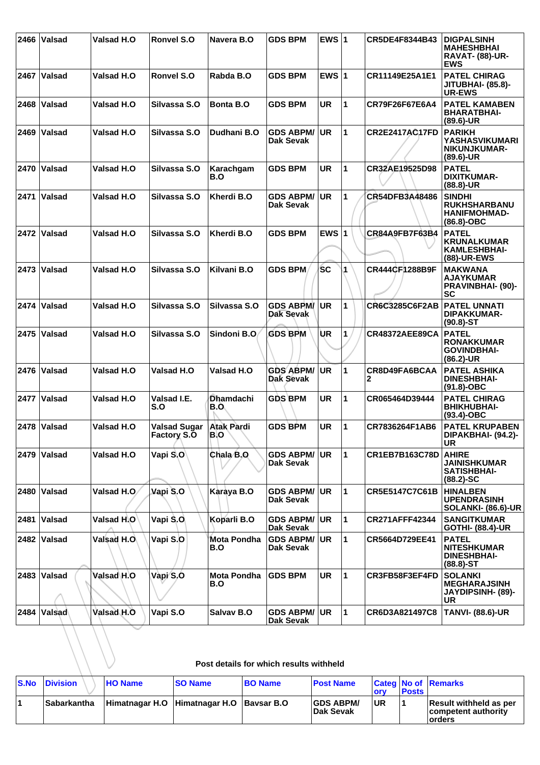| 2466 | Valsad                                  | Valsad H.O  | Ronvel S.O                         | Navera B.O                | <b>GDS BPM</b>                       | EWS $ 1$  |             | CR5DE4F8344B43        | <b>DIGPALSINH</b><br><b>MAHESHBHAI</b><br><b>RAVAT- (88)-UR-</b><br><b>EWS</b> |  |  |
|------|-----------------------------------------|-------------|------------------------------------|---------------------------|--------------------------------------|-----------|-------------|-----------------------|--------------------------------------------------------------------------------|--|--|
| 2467 | <b>Valsad</b>                           | Valsad H.O  | <b>Ronvel S.O</b>                  | Rabda B.O                 | <b>GDS BPM</b>                       | EWS $ 1$  |             | CR11149E25A1E1        | <b>PATEL CHIRAG</b><br><b>JITUBHAI- (85.8)-</b><br><b>UR-EWS</b>               |  |  |
| 2468 | ∣Valsad                                 | Valsad H.O  | Silvassa S.O                       | Bonta B.O                 | <b>GDS BPM</b>                       | <b>UR</b> | 1           | CR79F26F67E6A4        | <b>PATEL KAMABEN</b><br><b>BHARATBHAI-</b><br>$(89.6)$ -UR                     |  |  |
| 2469 | ∣Valsad                                 | Valsad H.O  | Silvassa S.O                       | Dudhani B.O               | <b>GDS ABPM/</b><br>Dak Sevak        | <b>UR</b> | 1           | <b>CR2E2417AC17FD</b> | <b>PARIKH</b><br>YASHASVIKUMARI<br>NIKUNJKUMAR-<br>$(89.6)$ -UR                |  |  |
|      | 2470 Valsad                             | Valsad H.O  | Silvassa S.O                       | Karachgam<br>B.O          | <b>GDS BPM</b>                       | <b>UR</b> | $\mathbf 1$ | CR32AE19525D98        | <b>PATEL</b><br>DIXITKUMAR-<br>(88.8)-UR                                       |  |  |
| 2471 | ∣Valsad                                 | Valsad H.O  | Silvassa S.O                       | Kherdi B.O                | <b>GDS ABPM/</b><br>Dak Sevak        | <b>UR</b> | 1           | CR54DFB3A48486        | <b>SINDHI</b><br><b>RUKHSHARBANU</b><br><b>HANIFMOHMAD-</b><br>$(86.8)-OBC$    |  |  |
| 2472 | ∣Valsad                                 | Valsad H.O  | Silvassa S.O                       | Kherdi B.O                | <b>GDS BPM</b>                       | EWS $ 1$  |             | CR84A9FB7F63B4        | <b>PATEL</b><br><b>KRUNALKUMAR</b><br><b>KAMLESHBHAI-</b><br>(88)-UR-EWS       |  |  |
|      | 2473 Valsad                             | Valsad H.O  | Silvassa S.O                       | Kilvani B.O               | <b>GDS BPM</b>                       | <b>SC</b> | 1           | CR444CF1288B9F        | <b>MAKWANA</b><br><b>AJAYKUMAR</b><br><b>PRAVINBHAI- (90)-</b><br><b>SC</b>    |  |  |
| 2474 | Valsad                                  | Valsad H.O  | Silvassa S.O                       | Silvassa S.O              | <b>GDS ABPM/</b><br>Dak Sevak        | UR        | 1           | <b>CR6C3285C6F2AB</b> | <b>PATEL UNNATI</b><br><b>DIPAKKUMAR-</b><br>$(90.8) - ST$                     |  |  |
| 2475 | ∣Valsad                                 | Valsad H.O  | Silvassa S.O                       | Sindoni B.O.              | <b>GDS BPM</b>                       | UR        | 1           | CR48372AEE89CA        | <b>PATEL</b><br><b>RONAKKUMAR</b><br><b>GOVINDBHAI-</b><br>$(86.2)$ -UR        |  |  |
|      | 2476 Valsad                             | Valsad H.O  | Valsad H.O                         | <b>Valsad H.O</b>         | <b>GDS ABPM/</b><br><b>Dak Sevak</b> | <b>UR</b> | 1           | CR8D49FA6BCAA<br>2    | <b>PATEL ASHIKA</b><br><b>DINESHBHAI-</b><br>(91.8)-OBC                        |  |  |
| 2477 | Valsad                                  | Valsad H.O  | Valsad I.E.<br>S.O                 | <b>Dhamdachi</b><br>B.O.  | <b>GDS BPM</b>                       | <b>UR</b> | 1           | CR065464D39444        | <b>PATEL CHIRAG</b><br><b>BHIKHUBHAI-</b><br>$(93.4)$ -OBC                     |  |  |
| 2478 | Valsad                                  | Valsad H.O  | Valsad Sugar<br><b>Factory S.O</b> | <b>Atak Pardi</b><br>B.O  | <b>GDS BPM</b>                       | <b>UR</b> | 1           | CR7836264F1AB6        | <b>PATEL KRUPABEN</b><br>DIPAKBHAI- (94.2)-<br><b>UR</b>                       |  |  |
|      | 2479   Valsad                           | Valsad H.O  | Vapi S.O                           | Chala B.O                 | <b>GDS ABPM/</b><br>Dak Sevak        | <b>UR</b> | 1           | <b>CR1EB7B163C78D</b> | <b>AHIRE</b><br>JAINISHKUMAR<br><b>SATISHBHAI-</b><br>$(88.2) - SC$            |  |  |
|      | 2480 Valsad                             | Valsad H.O. | Vapi S.O                           | Karaya B.O                | <b>GDS ABPM/</b><br>Dak Sevak        | <b>UR</b> | 1           | CR5E5147C7C61B        | <b>HINALBEN</b><br><b>UPENDRASINH</b><br><b>SOLANKI- (86.6)-UR</b>             |  |  |
| 2481 | ∣Valsad                                 | Valsad H.O  | Vapi S.O                           | Koparli B.O               | <b>GDS ABPM/</b><br>Dak Sevak        | <b>UR</b> | 1           | <b>CR271AFFF42344</b> | <b>SANGITKUMAR</b><br><b>GOTHI- (88.4)-UR</b>                                  |  |  |
|      | 2482 Valsad                             | Valsad H.O. | Vapi S.O                           | Mota Pondha<br>B.O        | <b>GDS ABPM/</b><br>Dak Sevak        | <b>UR</b> | 1           | CR5664D729EE41        | <b>PATEL</b><br><b>NITESHKUMAR</b><br><b>DINESHBHAI-</b><br>$(88.8) - ST$      |  |  |
|      | 2483 Valsad                             | Valsad H.O  | Vapi S.O                           | <b>Mota Pondha</b><br>B.O | <b>GDS BPM</b>                       | <b>UR</b> | 1           | CR3FB58F3EF4FD        | <b>SOLANKI</b><br><b>MEGHARAJSINH</b><br><b>JAYDIPSINH- (89)-</b><br>UR        |  |  |
| 2484 | ∣Valsad∖                                | Valsad H.O  | Vapi S.O                           | Salvav B.O                | <b>GDS ABPM/</b><br>Dak Sevak        | <b>UR</b> | 1           | CR6D3A821497C8        | <b>TANVI- (88.6)-UR</b>                                                        |  |  |
|      | Post details for which results withheld |             |                                    |                           |                                      |           |             |                       |                                                                                |  |  |

## **Post details for which results withheld**

| <b>S.No Division</b> | <b>HO Name</b> | <b>SO Name</b>                           | <b>BO Name</b> | <b>Post Name</b>                     | <b><i><u>lorv</u></i></b> | <b>Posts</b> | <b>Categ No of Remarks</b>                               |
|----------------------|----------------|------------------------------------------|----------------|--------------------------------------|---------------------------|--------------|----------------------------------------------------------|
| <b>Sabarkantha</b>   |                | Himatnagar H.O Himatnagar H.O Baysar B.O |                | <b>GDS ABPM/</b><br><b>Dak Sevak</b> | UR                        |              | Result withheld as per<br>competent authority<br>lorders |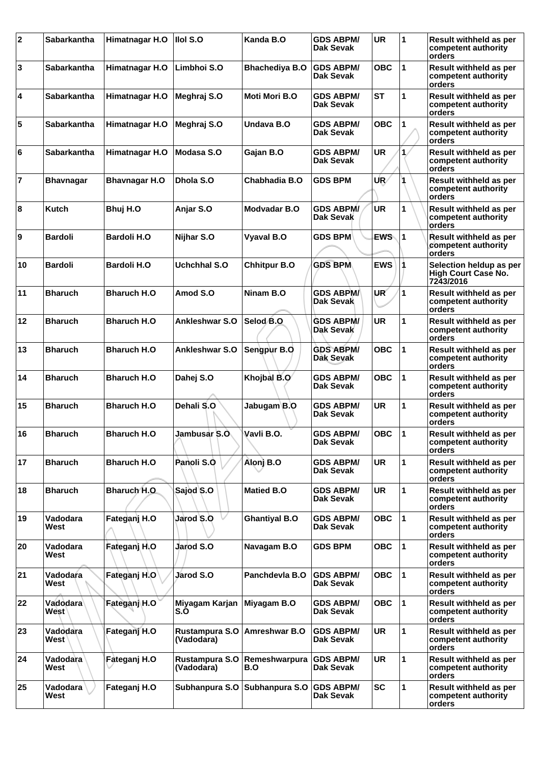| $ 2\rangle$ | <b>Sabarkantha</b> | Himatnagar H.O       | Ilol S.O                     | Kanda B.O                     | <b>GDS ABPM/</b><br>Dak Sevak        | <b>UR</b>  | 1                    | Result withheld as per<br>competent authority<br>orders            |
|-------------|--------------------|----------------------|------------------------------|-------------------------------|--------------------------------------|------------|----------------------|--------------------------------------------------------------------|
| 3           | <b>Sabarkantha</b> | Himatnagar H.O       | Limbhoi S.O                  | <b>Bhachediya B.O</b>         | <b>GDS ABPM/</b><br>Dak Sevak        | <b>OBC</b> | $\mathbf{1}$         | Result withheld as per<br>competent authority<br>orders            |
| 4           | <b>Sabarkantha</b> | Himatnagar H.O       | Meghraj S.O                  | Moti Mori B.O                 | GDS ABPM/<br>Dak Sevak               | <b>ST</b>  | 1                    | Result withheld as per<br>competent authority<br>orders            |
| 5           | Sabarkantha        | Himatnagar H.O       | Meghraj S.O                  | Undava B.O                    | GDS ABPM/<br>Dak Sevak               | <b>OBC</b> | 1                    | Result withheld as per<br>competent authority<br>orders            |
| 6           | <b>Sabarkantha</b> | Himatnagar H.O       | Modasa S.O                   | Gajan B.O                     | <b>GDS ABPM/</b><br>Dak Sevak        | <b>UR</b>  | $\mathbf{1}$         | Result withheld as per<br>competent authority<br>orders            |
| 17          | <b>Bhavnagar</b>   | <b>Bhavnagar H.O</b> | Dhola S.O                    | Chabhadia B.O                 | <b>GDS BPM</b>                       | UR∕        |                      | Result withheld as per<br>competent authority<br>orders            |
| 8           | Kutch              | Bhuj H.O             | Anjar S.O                    | Modvadar B.O                  | <b>GDS ABPM/</b><br>Dak Sevak        | <b>UR</b>  | 1                    | Result withheld as per<br>competent authority<br>orders            |
| 9           | <b>Bardoli</b>     | <b>Bardoli H.O</b>   | Nijhar S.O                   | Vyaval B.O                    | <b>GDS BPM</b>                       | <b>EWS</b> | 11                   | <b>Result withheld as per</b><br>competent authority<br>orders     |
| 10          | <b>Bardoli</b>     | <b>Bardoli H.O</b>   | <b>Uchchhal S.O</b>          | <b>Chhitpur B.O</b>           | <b>GDS BPM</b>                       | <b>EWS</b> |                      | Selection heldup as per<br><b>High Court Case No.</b><br>7243/2016 |
| 11          | <b>Bharuch</b>     | <b>Bharuch H.O.</b>  | Amod S.O                     | Ninam B.O                     | GDS ABPM/<br>Dak Sevak               | UR         | 1                    | Result withheld as per<br>competent authority<br>orders            |
| 12          | <b>Bharuch</b>     | <b>Bharuch H.O</b>   | Ankleshwar S.O               | Selod B.O.                    | <b>GDS ABPM/</b><br><b>Dak Sevak</b> | <b>UR</b>  | 1                    | Result withheld as per<br>competent authority<br>orders            |
| 13          | <b>Bharuch</b>     | <b>Bharuch H.O</b>   | Ankleshwar S.O               | Sengpur B.O                   | <b>GDS ABPM/</b><br>Dak Sevak        | <b>OBC</b> | $\mathbf{1}$         | Result withheld as per<br>competent authority<br>orders            |
| 14          | <b>Bharuch</b>     | <b>Bharuch H.O.</b>  | Dahej S.O                    | Khojbal B.O                   | GDS ABPM/<br>Dak Sevak               | <b>OBC</b> | $\mathbf{1}$         | Result withheld as per<br>competent authority<br>orders            |
| 15          | <b>Bharuch</b>     | <b>Bharuch H.O</b>   | Dehali S.O                   | Jabugam B.O                   | GDS ABPM/<br>Dak Sevak               | <b>UR</b>  | 1                    | Result withheld as per<br>competent authority<br>orders            |
| 16          | <b>Bharuch</b>     | <b>Bharuch H.O</b>   | Jambusar S.O                 | Vavli B.O.                    | GDS ABPM/<br>Dak Sevak               | <b>OBC</b> | 1                    | Result withheld as per<br>competent authority<br>orders            |
| 17          | <b>Bharuch</b>     | <b>Bharuch H.O</b>   | Panoli S.O                   | Alonj B.O                     | GDS ABPM/<br>Dak Sevak               | <b>UR</b>  | 1                    | Result withheld as per<br>competent authority<br>orders            |
| 18          | <b>Bharuch</b>     | Bharuch H.O          | Sajod S.O                    | <b>Matied B.O</b>             | <b>GDS ABPM/</b><br>Dak Sevak        | <b>UR</b>  | 1                    | Result withheld as per<br>competent authority<br>orders            |
| 19          | Vadodara<br>West   | Fateganj H.O         | Jarod S.O                    | <b>Ghantiyal B.O</b>          | GDS ABPM/<br>Dak Sevak               | <b>OBC</b> | $\vert$ 1            | Result withheld as per<br>competent authority<br>orders            |
| 20          | Vadodara<br>West   | Fateganj H.O         | Jarod S.O                    | Navagam B.O                   | <b>GDS BPM</b>                       | <b>OBC</b> | $\mathbf{1}$         | Result withheld as per<br>competent authority<br>orders            |
| 21          | Vadodara<br>West   | Fateganj H.O         | Jarod S.O                    | Panchdevla B.O                | <b>GDS ABPM/</b><br>Dak Sevak        | <b>OBC</b> | $\blacktriangleleft$ | Result withheld as per<br>competent authority<br>orders            |
| 22          | Vadodara<br>West   | Fateganj H.O         | Miyagam Karjan<br>S.O        | Miyagam B.O                   | GDS ABPM/<br>Dak Sevak               | <b>OBC</b> | 1                    | Result withheld as per<br>competent authority<br>orders            |
| 23          | Vadodara<br>West   | Fateganj H.O         | Rustampura S.O<br>(Vadodara) | Amreshwar B.O                 | <b>GDS ABPM/</b><br>Dak Sevak        | <b>UR</b>  | 1                    | Result withheld as per<br>competent authority<br>orders            |
| 24          | Vadodara<br>West   | Fateganj H.O         | Rustampura S.O<br>(Vadodara) | Remeshwarpura<br>B.O          | <b>GDS ABPM/</b><br>Dak Sevak        | <b>UR</b>  | 1                    | Result withheld as per<br>competent authority<br>orders            |
| 25          | Vadodara<br>West   | Fateganj H.O         |                              | Subhanpura S.O Subhanpura S.O | <b>GDS ABPM/</b><br>Dak Sevak        | <b>SC</b>  | 1                    | Result withheld as per<br>competent authority<br>orders            |